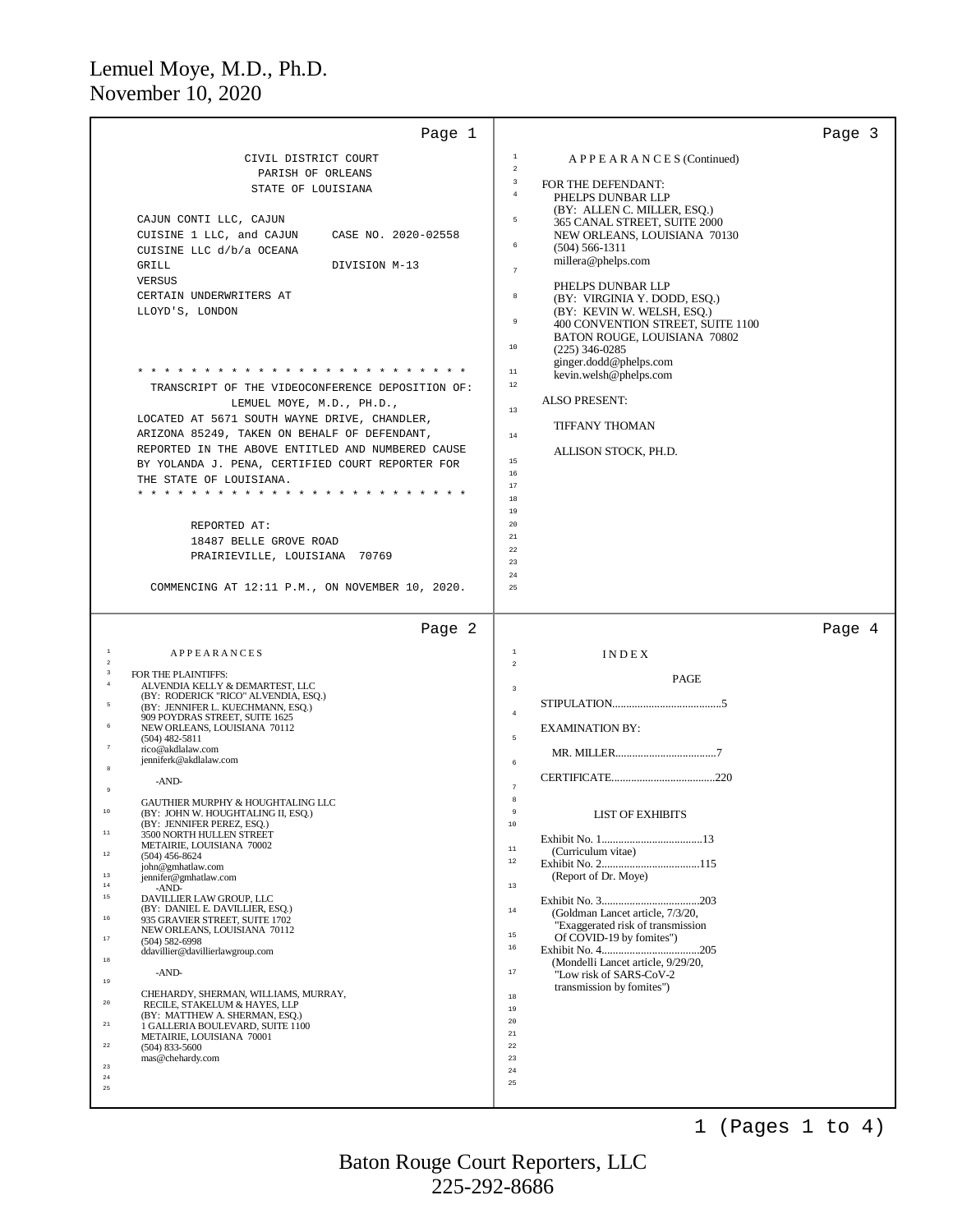| Page 1                                                                                                                                                                                                                                                                                                                                                                                                                                                                                                                                                                                                                                                                                                                                                                                                                                                                                                                                                                                                                                                                                                                                                                                                                                                     | Page 3                                                                                                                                                                                                                                                                                                                                                                                                                                                                                                                                |
|------------------------------------------------------------------------------------------------------------------------------------------------------------------------------------------------------------------------------------------------------------------------------------------------------------------------------------------------------------------------------------------------------------------------------------------------------------------------------------------------------------------------------------------------------------------------------------------------------------------------------------------------------------------------------------------------------------------------------------------------------------------------------------------------------------------------------------------------------------------------------------------------------------------------------------------------------------------------------------------------------------------------------------------------------------------------------------------------------------------------------------------------------------------------------------------------------------------------------------------------------------|---------------------------------------------------------------------------------------------------------------------------------------------------------------------------------------------------------------------------------------------------------------------------------------------------------------------------------------------------------------------------------------------------------------------------------------------------------------------------------------------------------------------------------------|
| CIVIL DISTRICT COURT<br>PARISH OF ORLEANS<br>STATE OF LOUISIANA<br>CAJUN CONTI LLC, CAJUN<br>CUISINE 1 LLC, and CAJUN<br>CASE NO. 2020-02558<br>CUISINE LLC d/b/a OCEANA<br>GRILL<br>DIVISION M-13<br>VERSUS<br>CERTAIN UNDERWRITERS AT<br>LLOYD'S, LONDON                                                                                                                                                                                                                                                                                                                                                                                                                                                                                                                                                                                                                                                                                                                                                                                                                                                                                                                                                                                                 | $\mathbf{1}$<br>APPEARANCES (Continued)<br>$\,2\,$<br>$\,$ 3 $\,$<br>FOR THE DEFENDANT:<br>$\bf{4}$<br>PHELPS DUNBAR LLP<br>(BY: ALLEN C. MILLER, ESQ.)<br>5<br>365 CANAL STREET, SUITE 2000<br>NEW ORLEANS, LOUISIANA 70130<br>6<br>$(504) 566 - 1311$<br>millera@phelps.com<br>$\overline{7}$<br>PHELPS DUNBAR LLP<br>$^{\rm 8}$<br>(BY: VIRGINIA Y. DODD, ESQ.)<br>(BY: KEVIN W. WELSH, ESO.)<br>9<br>400 CONVENTION STREET, SUITE 1100<br>BATON ROUGE, LOUISIANA 70802<br>$10$                                                    |
| * * * * * * * * * * * * * * * * *<br>TRANSCRIPT OF THE VIDEOCONFERENCE DEPOSITION OF:<br>LEMUEL MOYE, M.D., PH.D.,<br>LOCATED AT 5671 SOUTH WAYNE DRIVE, CHANDLER,<br>ARIZONA 85249, TAKEN ON BEHALF OF DEFENDANT,<br>REPORTED IN THE ABOVE ENTITLED AND NUMBERED CAUSE<br>BY YOLANDA J. PENA, CERTIFIED COURT REPORTER FOR<br>THE STATE OF LOUISIANA.<br>* * * * * * * * * * * * * *<br>REPORTED AT:<br>18487 BELLE GROVE ROAD<br>PRAIRIEVILLE, LOUISIANA 70769<br>COMMENCING AT 12:11 P.M., ON NOVEMBER 10, 2020.                                                                                                                                                                                                                                                                                                                                                                                                                                                                                                                                                                                                                                                                                                                                        | $(225)$ 346-0285<br>ginger.dodd@phelps.com<br>$1\,1$<br>kevin.welsh@phelps.com<br>$1\,2$<br><b>ALSO PRESENT:</b><br>13<br><b>TIFFANY THOMAN</b><br>$1\,4$<br>ALLISON STOCK, PH.D.<br>$15\,$<br>16<br>17<br>18<br>19<br>20<br>$21\,$<br>22<br>23<br>24<br>25                                                                                                                                                                                                                                                                           |
| Page 2                                                                                                                                                                                                                                                                                                                                                                                                                                                                                                                                                                                                                                                                                                                                                                                                                                                                                                                                                                                                                                                                                                                                                                                                                                                     | Page 4                                                                                                                                                                                                                                                                                                                                                                                                                                                                                                                                |
| $\,$ $\,$<br><b>APPEARANCES</b><br>$\overline{2}$<br>$\sqrt{3}$<br>FOR THE PLAINTIFFS:<br>$\frac{4}{3}$<br>ALVENDIA KELLY & DEMARTEST, LLC<br>(BY: RODERICK "RICO" ALVENDIA, ESQ.)<br>5<br>(BY: JENNIFER L. KUECHMANN, ESQ.)<br>909 POYDRAS STREET, SUITE 1625<br>$\,$ 6<br>NEW ORLEANS, LOUISIANA 70112<br>$(504)$ 482-5811<br>$\overline{7}$<br>rico@akdlalaw.com<br>jenniferk@akdlalaw.com<br>-AND-<br>$\overline{9}$<br>GAUTHIER MURPHY & HOUGHTALING LLC<br>10<br>(BY: JOHN W. HOUGHTALING II, ESQ.)<br>(BY: JENNIFER PEREZ, ESO.)<br>$1\,1$<br>3500 NORTH HULLEN STREET<br>METAIRIE, LOUISIANA 70002<br>$1\,2$<br>$(504)$ 456-8624<br>john@gmhatlaw.com<br>$1\,3$<br>jennifer@gmhatlaw.com<br>$1\,4$<br>-AND-<br>$1\,5$<br>DAVILLIER LAW GROUP, LLC<br>(BY: DANIEL E. DAVILLIER, ESQ.)<br>$1\,6$<br>935 GRAVIER STREET, SUITE 1702<br>NEW ORLEANS, LOUISIANA 70112<br>$1\,7$<br>$(504) 582 - 6998$<br>ddavillier@davillierlawgroup.com<br>$1\,8$<br>-AND-<br>19<br>CHEHARDY, SHERMAN, WILLIAMS, MURRAY,<br>$2\,0$<br>RECILE, STAKELUM & HAYES, LLP<br>(BY: MATTHEW A. SHERMAN, ESO.)<br>$2\,1$<br>1 GALLERIA BOULEVARD, SUITE 1100<br>METAIRIE, LOUISIANA 70001<br>$2\,2$<br>$(504)$ 833-5600<br>mas@chehardy.com<br>$2\sqrt{3}$<br>$2\,4$<br>$2\,5$ | $\,$ 1<br>INDEX<br>$\sqrt{2}$<br>PAGE<br>$\overline{\mathbf{3}}$<br>$\,4\,$<br><b>EXAMINATION BY:</b><br>5<br>6<br>8<br>$\ddot{q}$<br><b>LIST OF EXHIBITS</b><br>$10$<br>$11\,$<br>(Curriculum vitae)<br>$1\,2$<br>(Report of Dr. Moye)<br>13<br>$14$<br>(Goldman Lancet article, 7/3/20,<br>"Exaggerated risk of transmission"<br>$15$<br>Of COVID-19 by fomites")<br>$16\,$<br>(Mondelli Lancet article, 9/29/20,<br>17<br>"Low risk of SARS-CoV-2<br>transmission by fomites")<br>18<br>19<br>20<br>$21\,$<br>22<br>23<br>24<br>25 |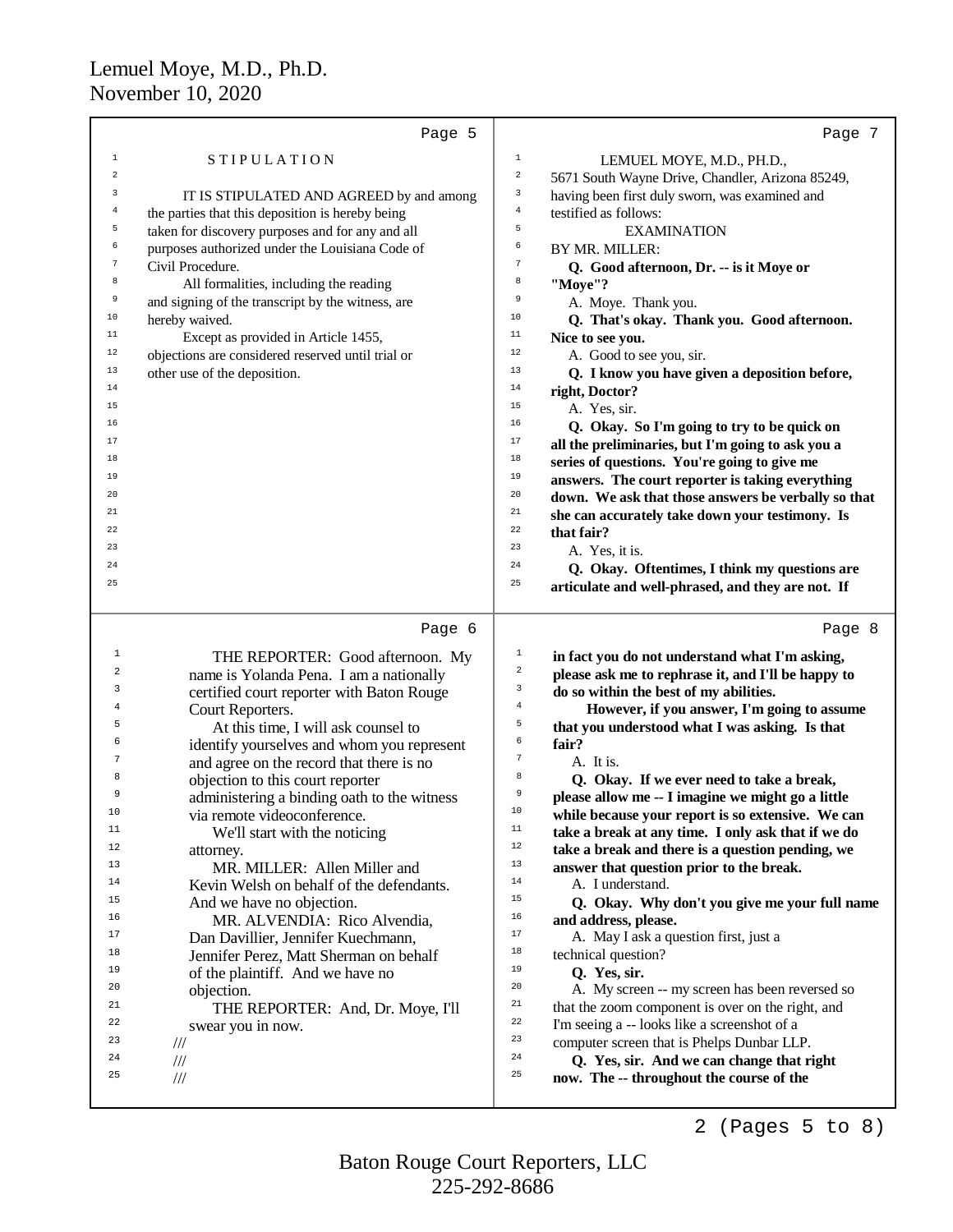|                | Page 5                                                                                | Page 7                                                                                                                                             |
|----------------|---------------------------------------------------------------------------------------|----------------------------------------------------------------------------------------------------------------------------------------------------|
| $\mathbf 1$    | <b>STIPULATION</b>                                                                    | $\mathbf 1$<br>LEMUEL MOYE, M.D., PH.D.,                                                                                                           |
| $\overline{a}$ |                                                                                       | $\sqrt{2}$<br>5671 South Wayne Drive, Chandler, Arizona 85249,                                                                                     |
| 3              | IT IS STIPULATED AND AGREED by and among                                              | 3<br>having been first duly sworn, was examined and                                                                                                |
| 4              | the parties that this deposition is hereby being                                      | $\overline{4}$<br>testified as follows:                                                                                                            |
| 5              | taken for discovery purposes and for any and all                                      | 5<br><b>EXAMINATION</b>                                                                                                                            |
| 6              | purposes authorized under the Louisiana Code of                                       | 6<br>BY MR. MILLER:                                                                                                                                |
| $\tau$         | Civil Procedure.                                                                      | $\sqrt{7}$<br>Q. Good afternoon, Dr. -- is it Moye or                                                                                              |
| 8              | All formalities, including the reading                                                | 8<br>"Moye"?                                                                                                                                       |
| 9              | and signing of the transcript by the witness, are                                     | 9<br>A. Moye. Thank you.                                                                                                                           |
| 10             | hereby waived.                                                                        | 10<br>Q. That's okay. Thank you. Good afternoon.                                                                                                   |
| $11$           | Except as provided in Article 1455,                                                   | 11<br>Nice to see you.                                                                                                                             |
| 12             | objections are considered reserved until trial or                                     | 12<br>A. Good to see you, sir.                                                                                                                     |
| 13             | other use of the deposition.                                                          | 13<br>Q. I know you have given a deposition before,                                                                                                |
| 14             |                                                                                       | 14<br>right, Doctor?                                                                                                                               |
| 15             |                                                                                       | 15<br>A. Yes, sir.                                                                                                                                 |
| 16             |                                                                                       | 16<br>Q. Okay. So I'm going to try to be quick on                                                                                                  |
| 17             |                                                                                       | 17<br>all the preliminaries, but I'm going to ask you a                                                                                            |
| 18             |                                                                                       | 18                                                                                                                                                 |
| 19             |                                                                                       | series of questions. You're going to give me<br>19                                                                                                 |
| 20             |                                                                                       | answers. The court reporter is taking everything<br>20<br>down. We ask that those answers be verbally so that                                      |
| 21             |                                                                                       | 21                                                                                                                                                 |
| 22             |                                                                                       | she can accurately take down your testimony. Is<br>22<br>that fair?                                                                                |
| 23             |                                                                                       | 23                                                                                                                                                 |
| 24             |                                                                                       | A. Yes, it is.<br>24                                                                                                                               |
| 25             |                                                                                       | Q. Okay. Oftentimes, I think my questions are<br>25                                                                                                |
|                |                                                                                       | articulate and well-phrased, and they are not. If                                                                                                  |
| 1<br>2         | Page 6<br>THE REPORTER: Good afternoon. My<br>name is Yolanda Pena. I am a nationally | Page 8<br>$\mathbf{1}$<br>in fact you do not understand what I'm asking,<br>$\boldsymbol{2}$<br>please ask me to rephrase it, and I'll be happy to |
| 3              | certified court reporter with Baton Rouge                                             | $\mathsf 3$<br>do so within the best of my abilities.                                                                                              |
| 4              | Court Reporters.                                                                      | 4<br>However, if you answer, I'm going to assume                                                                                                   |
| 5              | At this time, I will ask counsel to                                                   | 5<br>that you understood what I was asking. Is that                                                                                                |
| 6              | identify yourselves and whom you represent                                            | б<br>fair?                                                                                                                                         |
| $\overline{7}$ | and agree on the record that there is no                                              | $\tau$<br>A. It is.                                                                                                                                |
| 8              | objection to this court reporter                                                      | 8<br>Q. Okay. If we ever need to take a break,                                                                                                     |
| q              | administering a binding oath to the witness                                           | 9<br>please allow me -- I imagine we might go a little                                                                                             |
| 10             | via remote videoconference.                                                           | 10<br>while because your report is so extensive. We can                                                                                            |
| 11             | We'll start with the noticing                                                         | 11<br>take a break at any time. I only ask that if we do                                                                                           |
| 12             | attorney.                                                                             | 12<br>take a break and there is a question pending, we                                                                                             |
| 13             | MR. MILLER: Allen Miller and                                                          | 13<br>answer that question prior to the break.                                                                                                     |
| 14             | Kevin Welsh on behalf of the defendants.                                              | 14<br>A. I understand.                                                                                                                             |
| 15             | And we have no objection.                                                             | 15<br>Q. Okay. Why don't you give me your full name                                                                                                |
| 16             | MR. ALVENDIA: Rico Alvendia,                                                          | 16<br>and address, please.                                                                                                                         |
| 17             | Dan Davillier, Jennifer Kuechmann,                                                    | 17<br>A. May I ask a question first, just a                                                                                                        |
| 18             | Jennifer Perez, Matt Sherman on behalf                                                | 18<br>technical question?                                                                                                                          |
| 19             | of the plaintiff. And we have no                                                      | 19<br>Q. Yes, sir.                                                                                                                                 |
| 20             | objection.                                                                            | 20<br>A. My screen -- my screen has been reversed so                                                                                               |
| 21             | THE REPORTER: And, Dr. Moye, I'll                                                     | 21<br>that the zoom component is over on the right, and                                                                                            |
| 22             | swear you in now.                                                                     | 22<br>I'm seeing a -- looks like a screenshot of a                                                                                                 |
| 23             | $\frac{1}{1}$                                                                         | 23<br>computer screen that is Phelps Dunbar LLP.                                                                                                   |
| 24             | $/\!/ \!/$                                                                            | 24<br>Q. Yes, sir. And we can change that right                                                                                                    |
| 25             | $/\!/ \!/$                                                                            | 25<br>now. The -- throughout the course of the                                                                                                     |
|                |                                                                                       |                                                                                                                                                    |
|                |                                                                                       | (Pages 5 to 8)<br>2                                                                                                                                |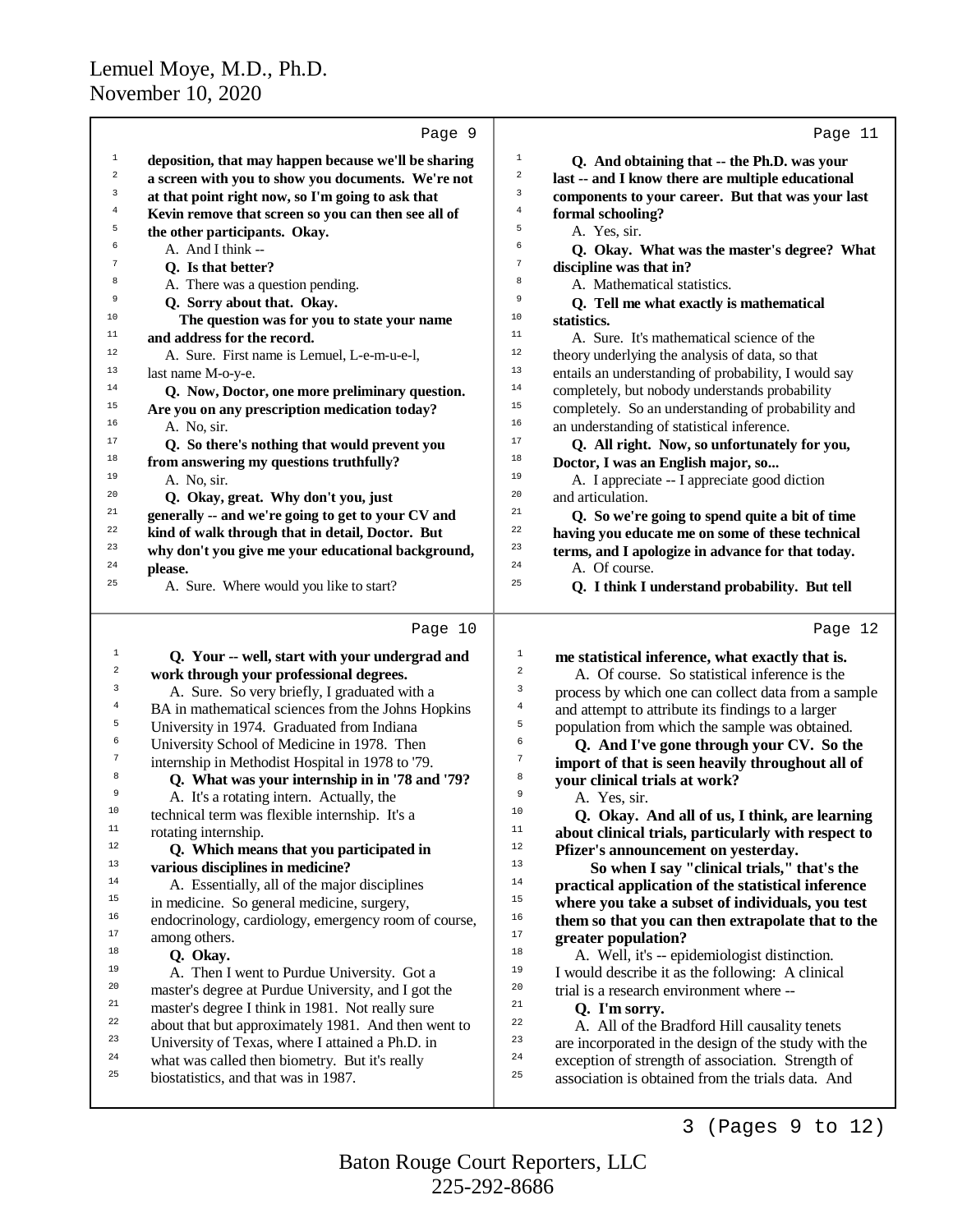|                  | Page 9                                                                                 |                                                                                                              | Page 11 |
|------------------|----------------------------------------------------------------------------------------|--------------------------------------------------------------------------------------------------------------|---------|
| $\mathbf 1$      | deposition, that may happen because we'll be sharing                                   | $\,1$<br>Q. And obtaining that -- the Ph.D. was your                                                         |         |
| $\boldsymbol{2}$ | a screen with you to show you documents. We're not                                     | $\overline{\mathbf{c}}$<br>last -- and I know there are multiple educational                                 |         |
| 3                | at that point right now, so I'm going to ask that                                      | 3<br>components to your career. But that was your last                                                       |         |
| $\overline{4}$   | Kevin remove that screen so you can then see all of                                    | $\bf 4$<br>formal schooling?                                                                                 |         |
| 5                | the other participants. Okay.                                                          | 5<br>A. Yes, sir.                                                                                            |         |
| 6                | A. And I think --                                                                      | 6<br>Q. Okay. What was the master's degree? What                                                             |         |
| $\overline{7}$   | Q. Is that better?                                                                     | $\sqrt{ }$<br>discipline was that in?                                                                        |         |
| 8                | A. There was a question pending.                                                       | 8<br>A. Mathematical statistics.                                                                             |         |
| 9                | Q. Sorry about that. Okay.                                                             | 9<br>Q. Tell me what exactly is mathematical                                                                 |         |
| 10               | The question was for you to state your name                                            | 10<br>statistics.                                                                                            |         |
| 11               | and address for the record.                                                            | 11<br>A. Sure. It's mathematical science of the                                                              |         |
| 12               | A. Sure. First name is Lemuel, L-e-m-u-e-l,                                            | 12<br>theory underlying the analysis of data, so that                                                        |         |
| 13               | last name M-o-y-e.                                                                     | 13<br>entails an understanding of probability, I would say                                                   |         |
| 14               | Q. Now, Doctor, one more preliminary question.                                         | 14<br>completely, but nobody understands probability                                                         |         |
| 15               | Are you on any prescription medication today?                                          | 15<br>completely. So an understanding of probability and                                                     |         |
| 16               | A. No, sir.                                                                            | 16<br>an understanding of statistical inference.                                                             |         |
| 17               | Q. So there's nothing that would prevent you                                           | 17<br>Q. All right. Now, so unfortunately for you,                                                           |         |
| 18               | from answering my questions truthfully?                                                | 18<br>Doctor, I was an English major, so                                                                     |         |
| 19               | A. No, sir.                                                                            | 19<br>A. I appreciate -- I appreciate good diction                                                           |         |
| 20               | Q. Okay, great. Why don't you, just                                                    | 20<br>and articulation.                                                                                      |         |
| 21               | generally -- and we're going to get to your CV and                                     | 21<br>Q. So we're going to spend quite a bit of time                                                         |         |
| 22               | kind of walk through that in detail, Doctor. But                                       | 22<br>having you educate me on some of these technical                                                       |         |
| 23               | why don't you give me your educational background,                                     | 23<br>terms, and I apologize in advance for that today.                                                      |         |
| 24               | please.                                                                                | 24<br>A. Of course.                                                                                          |         |
| 25               | A. Sure. Where would you like to start?                                                | 25<br>Q. I think I understand probability. But tell                                                          |         |
|                  |                                                                                        |                                                                                                              |         |
|                  |                                                                                        |                                                                                                              |         |
|                  | Page 10                                                                                |                                                                                                              | Page 12 |
| $1\,$            | Q. Your -- well, start with your undergrad and                                         | $\overline{1}$<br>me statistical inference, what exactly that is.                                            |         |
| 2                | work through your professional degrees.                                                | $\,2$<br>A. Of course. So statistical inference is the                                                       |         |
| 3                | A. Sure. So very briefly, I graduated with a                                           | 3<br>process by which one can collect data from a sample                                                     |         |
| 4                | BA in mathematical sciences from the Johns Hopkins                                     | 4<br>and attempt to attribute its findings to a larger                                                       |         |
| 5                | University in 1974. Graduated from Indiana                                             | 5<br>population from which the sample was obtained.                                                          |         |
| 6                | University School of Medicine in 1978. Then                                            | 6<br>Q. And I've gone through your CV. So the                                                                |         |
| 7                | internship in Methodist Hospital in 1978 to '79.                                       | 7<br>import of that is seen heavily throughout all of                                                        |         |
| 8                | Q. What was your internship in in '78 and '79?                                         | 8<br>your clinical trials at work?                                                                           |         |
| 9                | A. It's a rotating intern. Actually, the                                               | 9<br>A. Yes, sir.                                                                                            |         |
| 10<br>11         | technical term was flexible internship. It's a                                         | 10<br>Q. Okay. And all of us, I think, are learning                                                          |         |
| $12\,$           | rotating internship.                                                                   | 11<br>about clinical trials, particularly with respect to                                                    |         |
| 13               | Q. Which means that you participated in                                                | $12$<br>Pfizer's announcement on yesterday.<br>13                                                            |         |
| 14               | various disciplines in medicine?                                                       | So when I say "clinical trials," that's the<br>14                                                            |         |
| 15               | A. Essentially, all of the major disciplines                                           | practical application of the statistical inference<br>15                                                     |         |
| 16               | in medicine. So general medicine, surgery,                                             | where you take a subset of individuals, you test<br>16                                                       |         |
| 17               | endocrinology, cardiology, emergency room of course,                                   | them so that you can then extrapolate that to the<br>$17\,$                                                  |         |
| 18               | among others.                                                                          | greater population?<br>18                                                                                    |         |
| 19               | Q. Okay.                                                                               | A. Well, it's -- epidemiologist distinction.<br>19                                                           |         |
| 20               | A. Then I went to Purdue University. Got a                                             | I would describe it as the following: A clinical<br>20                                                       |         |
| 21               | master's degree at Purdue University, and I got the                                    | trial is a research environment where --<br>21                                                               |         |
| 22               | master's degree I think in 1981. Not really sure                                       | Q. I'm sorry.<br>22                                                                                          |         |
| 23               | about that but approximately 1981. And then went to                                    | A. All of the Bradford Hill causality tenets<br>23                                                           |         |
| 24               | University of Texas, where I attained a Ph.D. in                                       | are incorporated in the design of the study with the<br>24                                                   |         |
| 25               | what was called then biometry. But it's really<br>biostatistics, and that was in 1987. | exception of strength of association. Strength of<br>25<br>association is obtained from the trials data. And |         |

3 (Pages 9 to 12)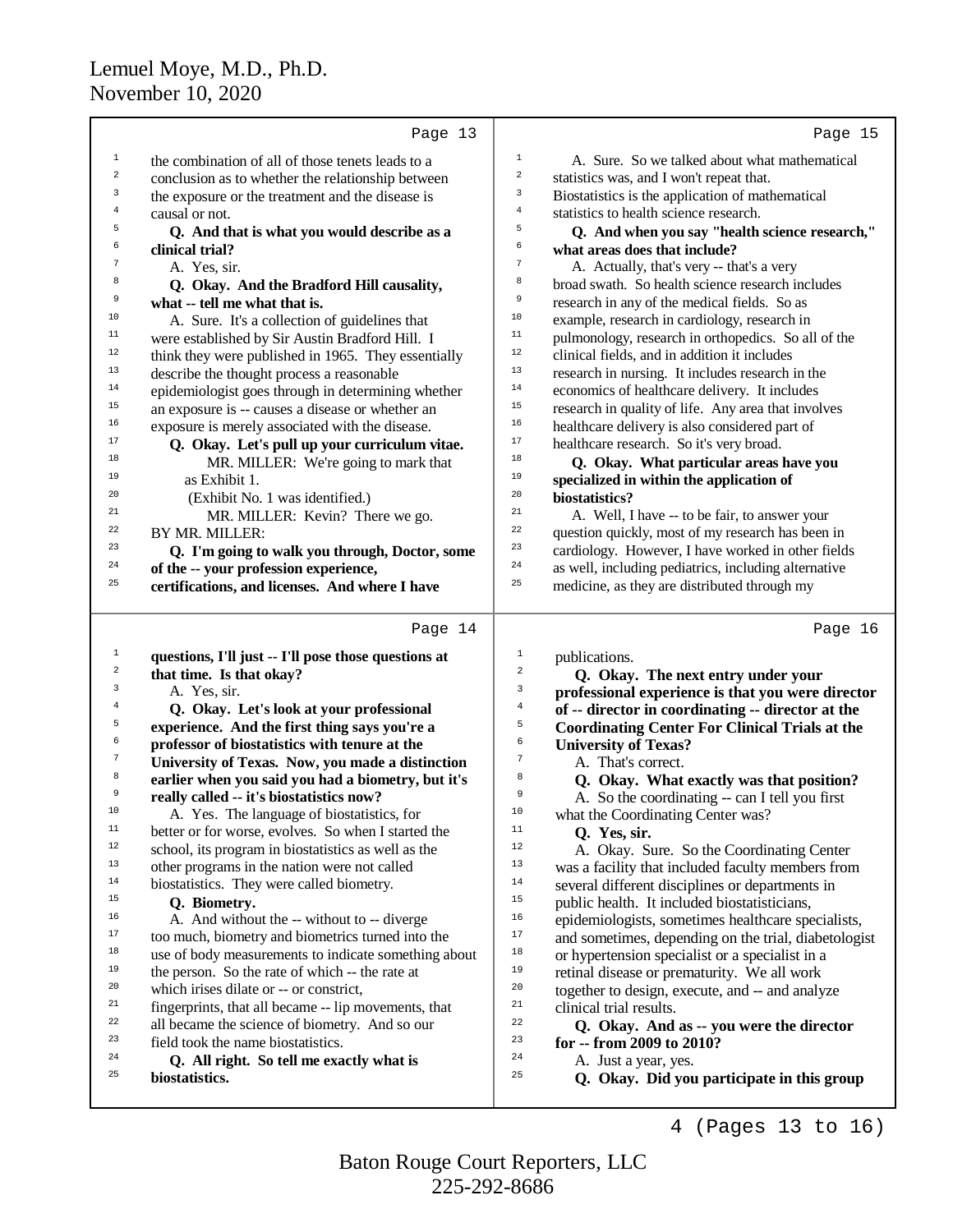|                  | Page 13                                                                                           | Page 15                                                                                                       |
|------------------|---------------------------------------------------------------------------------------------------|---------------------------------------------------------------------------------------------------------------|
| $\mathbf{1}$     | the combination of all of those tenets leads to a                                                 | $\,1$<br>A. Sure. So we talked about what mathematical                                                        |
| $\boldsymbol{2}$ | conclusion as to whether the relationship between                                                 | $\mathbf 2$<br>statistics was, and I won't repeat that.                                                       |
| 3                | the exposure or the treatment and the disease is                                                  | 3<br>Biostatistics is the application of mathematical                                                         |
| $\overline{4}$   | causal or not.                                                                                    | $\overline{4}$<br>statistics to health science research.                                                      |
| 5                | Q. And that is what you would describe as a                                                       | 5<br>Q. And when you say "health science research,"                                                           |
| 6                | clinical trial?                                                                                   | б<br>what areas does that include?                                                                            |
| $\boldsymbol{7}$ | A. Yes, sir.                                                                                      | $\boldsymbol{7}$<br>A. Actually, that's very -- that's a very                                                 |
| 8                | Q. Okay. And the Bradford Hill causality,                                                         | 8<br>broad swath. So health science research includes                                                         |
| 9                | what -- tell me what that is.                                                                     | 9<br>research in any of the medical fields. So as                                                             |
| 10               | A. Sure. It's a collection of guidelines that                                                     | $10$<br>example, research in cardiology, research in                                                          |
| 11               | were established by Sir Austin Bradford Hill. I                                                   | $11\,$<br>pulmonology, research in orthopedics. So all of the                                                 |
| 12               | think they were published in 1965. They essentially                                               | $12\,$<br>clinical fields, and in addition it includes                                                        |
| 13               | describe the thought process a reasonable                                                         | 13<br>research in nursing. It includes research in the                                                        |
| 14               | epidemiologist goes through in determining whether                                                | 14<br>economics of healthcare delivery. It includes                                                           |
| 15               | an exposure is -- causes a disease or whether an                                                  | 15<br>research in quality of life. Any area that involves                                                     |
| 16               | exposure is merely associated with the disease.                                                   | 16<br>healthcare delivery is also considered part of                                                          |
| 17               | Q. Okay. Let's pull up your curriculum vitae.                                                     | 17<br>healthcare research. So it's very broad.                                                                |
| 18               | MR. MILLER: We're going to mark that                                                              | 18<br>Q. Okay. What particular areas have you                                                                 |
| 19               | as Exhibit 1.                                                                                     | 19<br>specialized in within the application of                                                                |
| 20               | (Exhibit No. 1 was identified.)                                                                   | 20<br>biostatistics?                                                                                          |
| 21               | MR. MILLER: Kevin? There we go.                                                                   | 21<br>A. Well, I have -- to be fair, to answer your                                                           |
| 22               | BY MR. MILLER:                                                                                    | 22<br>question quickly, most of my research has been in                                                       |
| 23               | Q. I'm going to walk you through, Doctor, some                                                    | 23<br>cardiology. However, I have worked in other fields                                                      |
| 24               | of the -- your profession experience,                                                             | 24<br>as well, including pediatrics, including alternative                                                    |
| 25               | certifications, and licenses. And where I have                                                    | 25<br>medicine, as they are distributed through my                                                            |
|                  |                                                                                                   |                                                                                                               |
|                  |                                                                                                   |                                                                                                               |
|                  | Page 14                                                                                           | Page 16                                                                                                       |
| $\mathbf{1}$     |                                                                                                   | $\mathbf{1}$                                                                                                  |
| 2                | questions, I'll just -- I'll pose those questions at                                              | publications.<br>$\overline{\mathbf{c}}$                                                                      |
| 3                | that time. Is that okay?                                                                          | Q. Okay. The next entry under your<br>3                                                                       |
| $\bf{4}$         | A. Yes, sir.                                                                                      | professional experience is that you were director<br>$\bf{4}$                                                 |
| 5                | Q. Okay. Let's look at your professional                                                          | of -- director in coordinating -- director at the<br>5                                                        |
| 6                | experience. And the first thing says you're a                                                     | <b>Coordinating Center For Clinical Trials at the</b><br>6                                                    |
| $\boldsymbol{7}$ | professor of biostatistics with tenure at the                                                     | <b>University of Texas?</b><br>$\sqrt{7}$                                                                     |
| 8                | University of Texas. Now, you made a distinction                                                  | A. That's correct.<br>8                                                                                       |
| 9                | earlier when you said you had a biometry, but it's<br>really called -- it's biostatistics now?    | Q. Okay. What exactly was that position?<br>9                                                                 |
| 10               |                                                                                                   | A. So the coordinating -- can I tell you first<br>10                                                          |
| 11               | A. Yes. The language of biostatistics, for<br>better or for worse, evolves. So when I started the | what the Coordinating Center was?<br>11<br>Q. Yes, sir.                                                       |
| 12               | school, its program in biostatistics as well as the                                               | 12<br>A. Okay. Sure. So the Coordinating Center                                                               |
| 13               | other programs in the nation were not called                                                      | 13<br>was a facility that included faculty members from                                                       |
| 14               | biostatistics. They were called biometry.                                                         | 14<br>several different disciplines or departments in                                                         |
| 15               | Q. Biometry.                                                                                      | 15                                                                                                            |
| 16               | A. And without the -- without to -- diverge                                                       | public health. It included biostatisticians,<br>16<br>epidemiologists, sometimes healthcare specialists,      |
| 17               | too much, biometry and biometrics turned into the                                                 | 17                                                                                                            |
| 18               | use of body measurements to indicate something about                                              | and sometimes, depending on the trial, diabetologist<br>18<br>or hypertension specialist or a specialist in a |
| 19               | the person. So the rate of which -- the rate at                                                   | 19<br>retinal disease or prematurity. We all work                                                             |
| 20               | which irises dilate or -- or constrict,                                                           | $20\,$<br>together to design, execute, and -- and analyze                                                     |
| 21               | fingerprints, that all became -- lip movements, that                                              | 21<br>clinical trial results.                                                                                 |
| 22               | all became the science of biometry. And so our                                                    | 22                                                                                                            |
| 23               | field took the name biostatistics.                                                                | Q. Okay. And as -- you were the director<br>23<br>for -- from 2009 to 2010?                                   |
| 24               | Q. All right. So tell me exactly what is                                                          | 24<br>A. Just a year, yes.                                                                                    |
| 25               | biostatistics.                                                                                    | 25<br>Q. Okay. Did you participate in this group                                                              |

4 (Pages 13 to 16)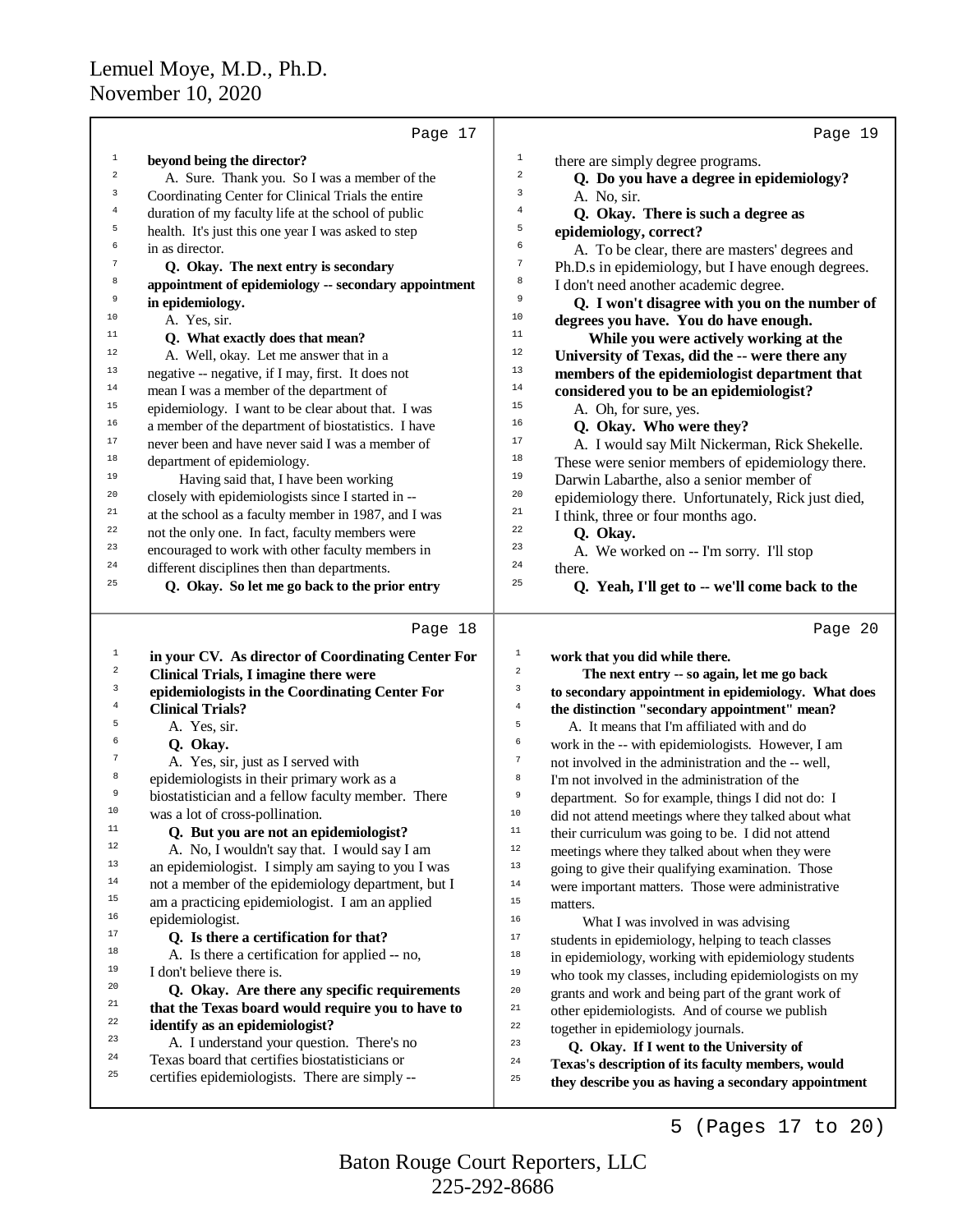|                | Page 17                                                  |                  | Page 19                                                                       |
|----------------|----------------------------------------------------------|------------------|-------------------------------------------------------------------------------|
| $\mathbf{1}$   | beyond being the director?                               | $\mathbf 1$      | there are simply degree programs.                                             |
| $\overline{c}$ | A. Sure. Thank you. So I was a member of the             | 2                | Q. Do you have a degree in epidemiology?                                      |
| 3              | Coordinating Center for Clinical Trials the entire       | 3                | A. No, sir.                                                                   |
| $\overline{4}$ | duration of my faculty life at the school of public      | 4                | Q. Okay. There is such a degree as                                            |
| 5              | health. It's just this one year I was asked to step      | 5                | epidemiology, correct?                                                        |
| 6              | in as director.                                          | 6                | A. To be clear, there are masters' degrees and                                |
| $\tau$         | Q. Okay. The next entry is secondary                     | 7                | Ph.D.s in epidemiology, but I have enough degrees.                            |
| 8              | appointment of epidemiology -- secondary appointment     | 8                | I don't need another academic degree.                                         |
| 9              | in epidemiology.                                         | 9                | Q. I won't disagree with you on the number of                                 |
| 10             | A. Yes, sir.                                             | 10               | degrees you have. You do have enough.                                         |
| 11             | Q. What exactly does that mean?                          | 11               | While you were actively working at the                                        |
| $12\,$         | A. Well, okay. Let me answer that in a                   | $12\,$           | University of Texas, did the -- were there any                                |
| 13             | negative -- negative, if I may, first. It does not       | 13               | members of the epidemiologist department that                                 |
| $14\,$         | mean I was a member of the department of                 | 14               | considered you to be an epidemiologist?                                       |
| 15             | epidemiology. I want to be clear about that. I was       | 15               | A. Oh, for sure, yes.                                                         |
| 16             | a member of the department of biostatistics. I have      | 16               | Q. Okay. Who were they?                                                       |
| $17\,$         | never been and have never said I was a member of         | 17               | A. I would say Milt Nickerman, Rick Shekelle.                                 |
| 18             | department of epidemiology.                              | 18               | These were senior members of epidemiology there.                              |
| 19             | Having said that, I have been working                    | 19               | Darwin Labarthe, also a senior member of                                      |
| 20             | closely with epidemiologists since I started in --       | 20               | epidemiology there. Unfortunately, Rick just died,                            |
| 21             | at the school as a faculty member in 1987, and I was     | 21               | I think, three or four months ago.                                            |
| 22             | not the only one. In fact, faculty members were          | 22               | Q. Okay.                                                                      |
| 23             | encouraged to work with other faculty members in         | 23               | A. We worked on -- I'm sorry. I'll stop                                       |
| 24             | different disciplines then than departments.             | 24               | there.                                                                        |
| 25             | Q. Okay. So let me go back to the prior entry            | 25               | Q. Yeah, I'll get to -- we'll come back to the                                |
|                | Page 18                                                  |                  | Page 20                                                                       |
| $1\,$          | in your CV. As director of Coordinating Center For       | $\mathbf{1}$     | work that you did while there.                                                |
| 2              | Clinical Trials, I imagine there were                    | $\sqrt{2}$       | The next entry -- so again, let me go back                                    |
| 3              | epidemiologists in the Coordinating Center For           | 3                | to secondary appointment in epidemiology. What does                           |
| 4              | <b>Clinical Trials?</b>                                  | $\overline{4}$   | the distinction "secondary appointment" mean?                                 |
| 5              | A. Yes, sir.                                             | $\mathsf S$      | A. It means that I'm affiliated with and do                                   |
| 6              | Q. Okay.                                                 | 6                | work in the -- with epidemiologists. However, I am                            |
| 7              | A. Yes, sir, just as I served with                       | $\boldsymbol{7}$ | not involved in the administration and the -- well,                           |
| 8              | epidemiologists in their primary work as a               | $^{\rm 8}$       | I'm not involved in the administration of the                                 |
| 9              | biostatistician and a fellow faculty member. There       | 9                | department. So for example, things I did not do: I                            |
| 10             | was a lot of cross-pollination.                          | 10               | did not attend meetings where they talked about what                          |
| 11<br>12       | Q. But you are not an epidemiologist?                    | $11\,$           | their curriculum was going to be. I did not attend                            |
| 13             | A. No, I wouldn't say that. I would say I am             | 12               | meetings where they talked about when they were                               |
| 14             | an epidemiologist. I simply am saying to you I was       | $13$             | going to give their qualifying examination. Those                             |
| 15             | not a member of the epidemiology department, but I       | $1\,4$           | were important matters. Those were administrative                             |
| 16             | am a practicing epidemiologist. I am an applied          | $15\,$<br>16     | matters.                                                                      |
| 17             | epidemiologist.<br>Q. Is there a certification for that? | 17               | What I was involved in was advising                                           |
| 18             | A. Is there a certification for applied -- no,           | $18\,$           | students in epidemiology, helping to teach classes                            |
| 19             | I don't believe there is.                                | 19               | in epidemiology, working with epidemiology students                           |
| 20             | Q. Okay. Are there any specific requirements             | 20               | who took my classes, including epidemiologists on my                          |
| 21             | that the Texas board would require you to have to        | $_{\rm 21}$      | grants and work and being part of the grant work of                           |
| 22             | identify as an epidemiologist?                           | 22               | other epidemiologists. And of course we publish                               |
| 23             | A. I understand your question. There's no                | 23               | together in epidemiology journals.<br>Q. Okay. If I went to the University of |
| 24             | Texas board that certifies biostatisticians or           | 24               | Texas's description of its faculty members, would                             |
| 25             | certifies epidemiologists. There are simply --           | 25               | they describe you as having a secondary appointment                           |
|                |                                                          |                  |                                                                               |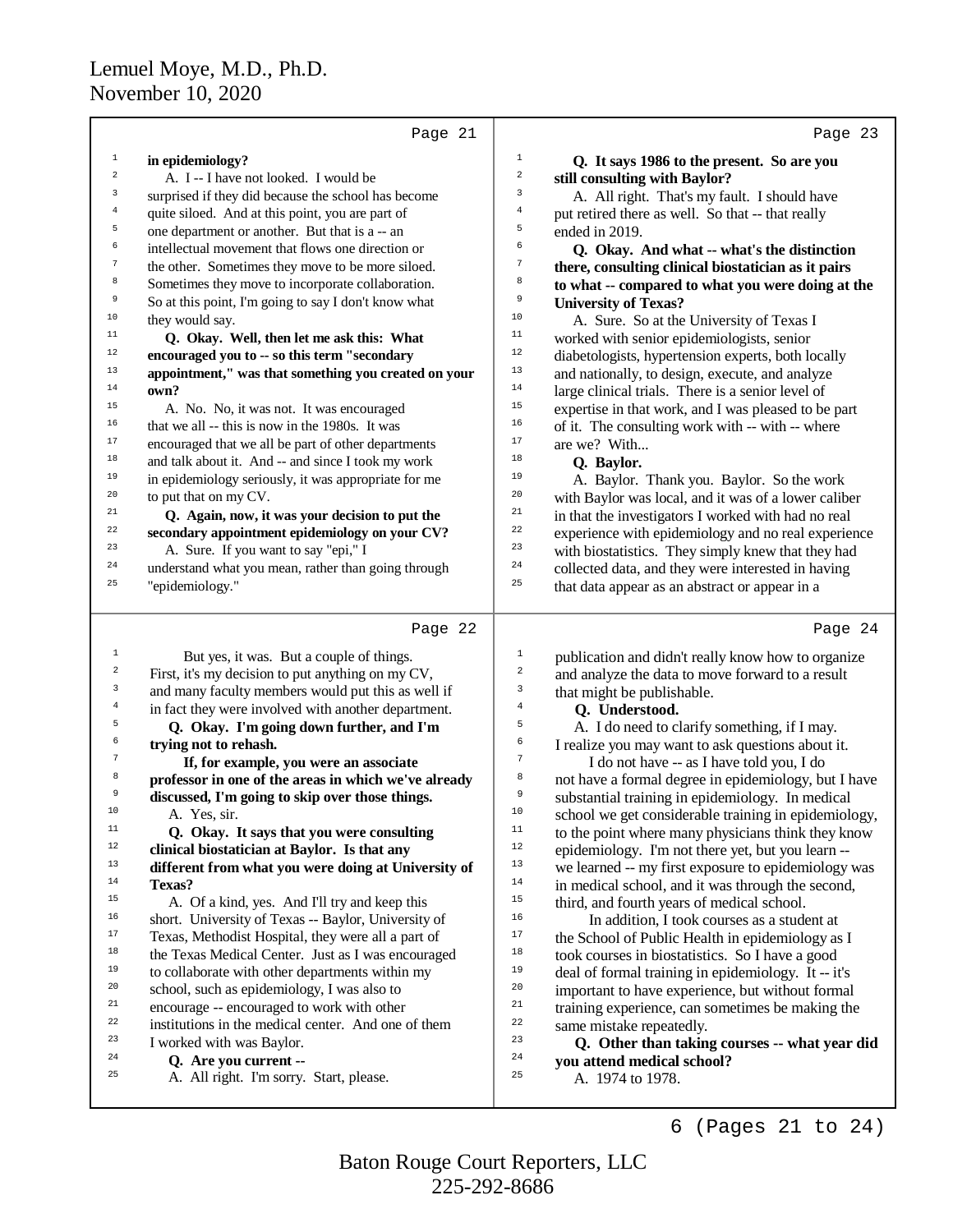|                                                                                                                 | Page 21                                                                                                                                                                                                                                                                                                                                                                                                                                                                                                                                           | Page 23                                                                                                                                                                                                                                                                                                                                                                                                                                                                                                                                                                                                                                                                                                       |
|-----------------------------------------------------------------------------------------------------------------|---------------------------------------------------------------------------------------------------------------------------------------------------------------------------------------------------------------------------------------------------------------------------------------------------------------------------------------------------------------------------------------------------------------------------------------------------------------------------------------------------------------------------------------------------|---------------------------------------------------------------------------------------------------------------------------------------------------------------------------------------------------------------------------------------------------------------------------------------------------------------------------------------------------------------------------------------------------------------------------------------------------------------------------------------------------------------------------------------------------------------------------------------------------------------------------------------------------------------------------------------------------------------|
| $\mathbf{1}$                                                                                                    | in epidemiology?                                                                                                                                                                                                                                                                                                                                                                                                                                                                                                                                  | $\mathbf{1}$<br>Q. It says 1986 to the present. So are you                                                                                                                                                                                                                                                                                                                                                                                                                                                                                                                                                                                                                                                    |
| $\boldsymbol{2}$                                                                                                | A. I -- I have not looked. I would be                                                                                                                                                                                                                                                                                                                                                                                                                                                                                                             | $\boldsymbol{2}$<br>still consulting with Baylor?                                                                                                                                                                                                                                                                                                                                                                                                                                                                                                                                                                                                                                                             |
| 3                                                                                                               | surprised if they did because the school has become                                                                                                                                                                                                                                                                                                                                                                                                                                                                                               | 3<br>A. All right. That's my fault. I should have                                                                                                                                                                                                                                                                                                                                                                                                                                                                                                                                                                                                                                                             |
| $\overline{4}$                                                                                                  | quite siloed. And at this point, you are part of                                                                                                                                                                                                                                                                                                                                                                                                                                                                                                  | $\bf{4}$<br>put retired there as well. So that -- that really                                                                                                                                                                                                                                                                                                                                                                                                                                                                                                                                                                                                                                                 |
| 5                                                                                                               | one department or another. But that is a -- an                                                                                                                                                                                                                                                                                                                                                                                                                                                                                                    | 5<br>ended in 2019.                                                                                                                                                                                                                                                                                                                                                                                                                                                                                                                                                                                                                                                                                           |
| б                                                                                                               | intellectual movement that flows one direction or                                                                                                                                                                                                                                                                                                                                                                                                                                                                                                 | 6<br>Q. Okay. And what -- what's the distinction                                                                                                                                                                                                                                                                                                                                                                                                                                                                                                                                                                                                                                                              |
| $\boldsymbol{7}$                                                                                                | the other. Sometimes they move to be more siloed.                                                                                                                                                                                                                                                                                                                                                                                                                                                                                                 | 7<br>there, consulting clinical biostatician as it pairs                                                                                                                                                                                                                                                                                                                                                                                                                                                                                                                                                                                                                                                      |
| 8                                                                                                               | Sometimes they move to incorporate collaboration.                                                                                                                                                                                                                                                                                                                                                                                                                                                                                                 | 8<br>to what -- compared to what you were doing at the                                                                                                                                                                                                                                                                                                                                                                                                                                                                                                                                                                                                                                                        |
| 9                                                                                                               | So at this point, I'm going to say I don't know what                                                                                                                                                                                                                                                                                                                                                                                                                                                                                              | 9<br><b>University of Texas?</b>                                                                                                                                                                                                                                                                                                                                                                                                                                                                                                                                                                                                                                                                              |
| $10$                                                                                                            | they would say.                                                                                                                                                                                                                                                                                                                                                                                                                                                                                                                                   | 10<br>A. Sure. So at the University of Texas I                                                                                                                                                                                                                                                                                                                                                                                                                                                                                                                                                                                                                                                                |
| $11$                                                                                                            | Q. Okay. Well, then let me ask this: What                                                                                                                                                                                                                                                                                                                                                                                                                                                                                                         | 11<br>worked with senior epidemiologists, senior                                                                                                                                                                                                                                                                                                                                                                                                                                                                                                                                                                                                                                                              |
| $12\,$                                                                                                          | encouraged you to -- so this term "secondary                                                                                                                                                                                                                                                                                                                                                                                                                                                                                                      | 12<br>diabetologists, hypertension experts, both locally                                                                                                                                                                                                                                                                                                                                                                                                                                                                                                                                                                                                                                                      |
| 13                                                                                                              | appointment," was that something you created on your                                                                                                                                                                                                                                                                                                                                                                                                                                                                                              | 13<br>and nationally, to design, execute, and analyze                                                                                                                                                                                                                                                                                                                                                                                                                                                                                                                                                                                                                                                         |
| 14                                                                                                              | own?                                                                                                                                                                                                                                                                                                                                                                                                                                                                                                                                              | $14\,$<br>large clinical trials. There is a senior level of                                                                                                                                                                                                                                                                                                                                                                                                                                                                                                                                                                                                                                                   |
| 15                                                                                                              | A. No. No, it was not. It was encouraged                                                                                                                                                                                                                                                                                                                                                                                                                                                                                                          | 15<br>expertise in that work, and I was pleased to be part                                                                                                                                                                                                                                                                                                                                                                                                                                                                                                                                                                                                                                                    |
| 16                                                                                                              | that we all -- this is now in the 1980s. It was                                                                                                                                                                                                                                                                                                                                                                                                                                                                                                   | 16<br>of it. The consulting work with -- with -- where                                                                                                                                                                                                                                                                                                                                                                                                                                                                                                                                                                                                                                                        |
| $17\,$                                                                                                          | encouraged that we all be part of other departments                                                                                                                                                                                                                                                                                                                                                                                                                                                                                               | $17\,$<br>are we? With                                                                                                                                                                                                                                                                                                                                                                                                                                                                                                                                                                                                                                                                                        |
| $18\,$                                                                                                          | and talk about it. And -- and since I took my work                                                                                                                                                                                                                                                                                                                                                                                                                                                                                                | 18<br>Q. Baylor.                                                                                                                                                                                                                                                                                                                                                                                                                                                                                                                                                                                                                                                                                              |
| 19                                                                                                              | in epidemiology seriously, it was appropriate for me                                                                                                                                                                                                                                                                                                                                                                                                                                                                                              | 19<br>A. Baylor. Thank you. Baylor. So the work                                                                                                                                                                                                                                                                                                                                                                                                                                                                                                                                                                                                                                                               |
| 20                                                                                                              | to put that on my CV.                                                                                                                                                                                                                                                                                                                                                                                                                                                                                                                             | 20<br>with Baylor was local, and it was of a lower caliber                                                                                                                                                                                                                                                                                                                                                                                                                                                                                                                                                                                                                                                    |
| 21                                                                                                              | Q. Again, now, it was your decision to put the                                                                                                                                                                                                                                                                                                                                                                                                                                                                                                    | 21<br>in that the investigators I worked with had no real                                                                                                                                                                                                                                                                                                                                                                                                                                                                                                                                                                                                                                                     |
| 22                                                                                                              | secondary appointment epidemiology on your CV?                                                                                                                                                                                                                                                                                                                                                                                                                                                                                                    | 22<br>experience with epidemiology and no real experience                                                                                                                                                                                                                                                                                                                                                                                                                                                                                                                                                                                                                                                     |
| 23                                                                                                              | A. Sure. If you want to say "epi," I                                                                                                                                                                                                                                                                                                                                                                                                                                                                                                              | 23<br>with biostatistics. They simply knew that they had                                                                                                                                                                                                                                                                                                                                                                                                                                                                                                                                                                                                                                                      |
| 24                                                                                                              | understand what you mean, rather than going through                                                                                                                                                                                                                                                                                                                                                                                                                                                                                               | 24<br>collected data, and they were interested in having                                                                                                                                                                                                                                                                                                                                                                                                                                                                                                                                                                                                                                                      |
| 25                                                                                                              | "epidemiology."                                                                                                                                                                                                                                                                                                                                                                                                                                                                                                                                   | 25<br>that data appear as an abstract or appear in a                                                                                                                                                                                                                                                                                                                                                                                                                                                                                                                                                                                                                                                          |
| $\mathbf{1}$<br>$\overline{a}$<br>3<br>$\overline{4}$<br>5<br>6<br>$\boldsymbol{7}$<br>8<br>9<br>10<br>11<br>12 | But yes, it was. But a couple of things.<br>First, it's my decision to put anything on my CV,<br>and many faculty members would put this as well if<br>in fact they were involved with another department.<br>Q. Okay. I'm going down further, and I'm<br>trying not to rehash.<br>If, for example, you were an associate<br>professor in one of the areas in which we've already<br>discussed, I'm going to skip over those things.<br>A. Yes, sir.<br>Q. Okay. It says that you were consulting<br>clinical biostatician at Baylor. Is that any | $\mathbf{1}$<br>publication and didn't really know how to organize<br>$\overline{\mathbf{c}}$<br>and analyze the data to move forward to a result<br>3<br>that might be publishable.<br>$\bf{4}$<br>Q. Understood.<br>5<br>A. I do need to clarify something, if I may.<br>6<br>I realize you may want to ask questions about it.<br>$\boldsymbol{7}$<br>I do not have -- as I have told you, I do<br>8<br>not have a formal degree in epidemiology, but I have<br>9<br>substantial training in epidemiology. In medical<br>10<br>school we get considerable training in epidemiology,<br>11<br>to the point where many physicians think they know<br>12<br>epidemiology. I'm not there yet, but you learn -- |
| 13                                                                                                              |                                                                                                                                                                                                                                                                                                                                                                                                                                                                                                                                                   | 13<br>we learned -- my first exposure to epidemiology was                                                                                                                                                                                                                                                                                                                                                                                                                                                                                                                                                                                                                                                     |
| $14\,$                                                                                                          | different from what you were doing at University of<br>Texas?                                                                                                                                                                                                                                                                                                                                                                                                                                                                                     | 14<br>in medical school, and it was through the second,                                                                                                                                                                                                                                                                                                                                                                                                                                                                                                                                                                                                                                                       |
| $15\,$                                                                                                          | A. Of a kind, yes. And I'll try and keep this                                                                                                                                                                                                                                                                                                                                                                                                                                                                                                     | 15<br>third, and fourth years of medical school.                                                                                                                                                                                                                                                                                                                                                                                                                                                                                                                                                                                                                                                              |
| 16                                                                                                              | short. University of Texas -- Baylor, University of                                                                                                                                                                                                                                                                                                                                                                                                                                                                                               | 16<br>In addition, I took courses as a student at                                                                                                                                                                                                                                                                                                                                                                                                                                                                                                                                                                                                                                                             |
| 17                                                                                                              | Texas, Methodist Hospital, they were all a part of                                                                                                                                                                                                                                                                                                                                                                                                                                                                                                | $17\,$<br>the School of Public Health in epidemiology as I                                                                                                                                                                                                                                                                                                                                                                                                                                                                                                                                                                                                                                                    |
| 18                                                                                                              | the Texas Medical Center. Just as I was encouraged                                                                                                                                                                                                                                                                                                                                                                                                                                                                                                | $1\,8$<br>took courses in biostatistics. So I have a good                                                                                                                                                                                                                                                                                                                                                                                                                                                                                                                                                                                                                                                     |
| 19                                                                                                              | to collaborate with other departments within my                                                                                                                                                                                                                                                                                                                                                                                                                                                                                                   | 19<br>deal of formal training in epidemiology. It -- it's                                                                                                                                                                                                                                                                                                                                                                                                                                                                                                                                                                                                                                                     |
| 20                                                                                                              | school, such as epidemiology, I was also to                                                                                                                                                                                                                                                                                                                                                                                                                                                                                                       | 20<br>important to have experience, but without formal                                                                                                                                                                                                                                                                                                                                                                                                                                                                                                                                                                                                                                                        |
| 21                                                                                                              | encourage -- encouraged to work with other                                                                                                                                                                                                                                                                                                                                                                                                                                                                                                        | 21<br>training experience, can sometimes be making the                                                                                                                                                                                                                                                                                                                                                                                                                                                                                                                                                                                                                                                        |
| $^{\rm 22}$                                                                                                     | institutions in the medical center. And one of them                                                                                                                                                                                                                                                                                                                                                                                                                                                                                               | 22<br>same mistake repeatedly.                                                                                                                                                                                                                                                                                                                                                                                                                                                                                                                                                                                                                                                                                |
| 23                                                                                                              | I worked with was Baylor.                                                                                                                                                                                                                                                                                                                                                                                                                                                                                                                         | 23<br>Q. Other than taking courses -- what year did                                                                                                                                                                                                                                                                                                                                                                                                                                                                                                                                                                                                                                                           |
| 24                                                                                                              | Q. Are you current --                                                                                                                                                                                                                                                                                                                                                                                                                                                                                                                             | 24<br>you attend medical school?                                                                                                                                                                                                                                                                                                                                                                                                                                                                                                                                                                                                                                                                              |
| 25                                                                                                              | A. All right. I'm sorry. Start, please.                                                                                                                                                                                                                                                                                                                                                                                                                                                                                                           | 25<br>A. 1974 to 1978.                                                                                                                                                                                                                                                                                                                                                                                                                                                                                                                                                                                                                                                                                        |

6 (Pages 21 to 24)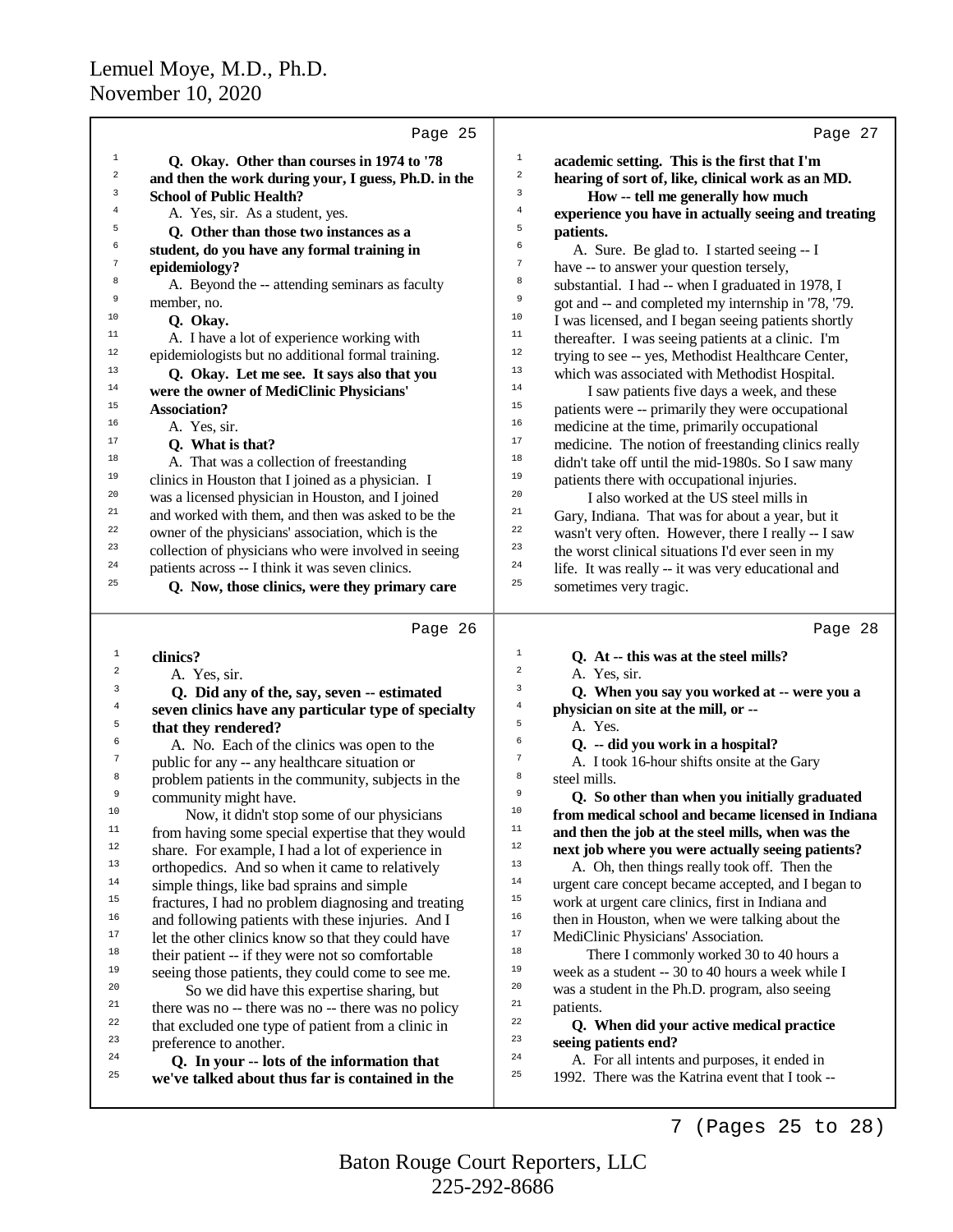|              | Page 25                                                                      |                         | Page 27                                                                                        |
|--------------|------------------------------------------------------------------------------|-------------------------|------------------------------------------------------------------------------------------------|
| $\mathbf{1}$ | Q. Okay. Other than courses in 1974 to '78                                   | $\mathbf{1}$            | academic setting. This is the first that I'm                                                   |
| $\sqrt{2}$   | and then the work during your, I guess, Ph.D. in the                         | $\boldsymbol{2}$        | hearing of sort of, like, clinical work as an MD.                                              |
| 3            | <b>School of Public Health?</b>                                              | 3                       | How -- tell me generally how much                                                              |
| 4            | A. Yes, sir. As a student, yes.                                              | $\bf 4$                 | experience you have in actually seeing and treating                                            |
| 5            | Q. Other than those two instances as a                                       | 5                       | patients.                                                                                      |
| 6            | student, do you have any formal training in                                  | 6                       | A. Sure. Be glad to. I started seeing -- I                                                     |
| 7            | epidemiology?                                                                | $\boldsymbol{7}$        | have -- to answer your question tersely,                                                       |
| 8            | A. Beyond the -- attending seminars as faculty                               | 8                       | substantial. I had -- when I graduated in 1978, I                                              |
| 9            | member, no.                                                                  | 9                       | got and -- and completed my internship in '78, '79.                                            |
| 10           | Q. Okay.                                                                     | 10                      | I was licensed, and I began seeing patients shortly                                            |
| 11           | A. I have a lot of experience working with                                   | 11                      | thereafter. I was seeing patients at a clinic. I'm                                             |
| $12$         | epidemiologists but no additional formal training.                           | 12                      | trying to see -- yes, Methodist Healthcare Center,                                             |
| 13           | Q. Okay. Let me see. It says also that you                                   | 13                      | which was associated with Methodist Hospital.                                                  |
| 14           | were the owner of MediClinic Physicians'                                     | 14                      | I saw patients five days a week, and these                                                     |
| 15           | <b>Association?</b>                                                          | 15                      | patients were -- primarily they were occupational                                              |
| 16           | A. Yes, sir.                                                                 | 16                      | medicine at the time, primarily occupational                                                   |
| 17           | Q. What is that?                                                             | $17\,$                  | medicine. The notion of freestanding clinics really                                            |
| 18           | A. That was a collection of freestanding                                     | 18                      | didn't take off until the mid-1980s. So I saw many                                             |
| 19           | clinics in Houston that I joined as a physician. I                           | 19                      | patients there with occupational injuries.                                                     |
| 20           | was a licensed physician in Houston, and I joined                            | 20                      | I also worked at the US steel mills in                                                         |
| 21           | and worked with them, and then was asked to be the                           | 21                      | Gary, Indiana. That was for about a year, but it                                               |
| 22           | owner of the physicians' association, which is the                           | 22                      | wasn't very often. However, there I really -- I saw                                            |
| 23           | collection of physicians who were involved in seeing                         | 23                      | the worst clinical situations I'd ever seen in my                                              |
| 24           | patients across -- I think it was seven clinics.                             | 24                      | life. It was really -- it was very educational and                                             |
| 25           | Q. Now, those clinics, were they primary care                                | 25                      | sometimes very tragic.                                                                         |
|              |                                                                              |                         |                                                                                                |
|              | Page 26                                                                      |                         | Page 28                                                                                        |
| 1            | clinics?                                                                     | $1\,$                   | Q. At -- this was at the steel mills?                                                          |
| 2            | A. Yes, sir.                                                                 | $\overline{\mathbf{c}}$ | A. Yes, sir.                                                                                   |
| 3            | Q. Did any of the, say, seven -- estimated                                   | 3                       | Q. When you say you worked at -- were you a                                                    |
| 4            | seven clinics have any particular type of specialty                          | 4                       | physician on site at the mill, or --                                                           |
| 5            | that they rendered?                                                          | 5                       | A. Yes.                                                                                        |
| 6            | A. No. Each of the clinics was open to the                                   | 6<br>$\boldsymbol{7}$   | Q. -- did you work in a hospital?                                                              |
| 7            | public for any -- any healthcare situation or                                |                         | A. I took 16-hour shifts onsite at the Gary                                                    |
| 8<br>9       | problem patients in the community, subjects in the                           | 8<br>9                  | steel mills.                                                                                   |
| $10$         | community might have.                                                        | 10                      | Q. So other than when you initially graduated                                                  |
|              | Now, it didn't stop some of our physicians                                   | $11\,$                  | from medical school and became licensed in Indiana                                             |
| 11<br>12     | from having some special expertise that they would                           | 12                      | and then the job at the steel mills, when was the                                              |
| 13           | share. For example, I had a lot of experience in                             | 13                      | next job where you were actually seeing patients?                                              |
| 14           | orthopedics. And so when it came to relatively                               | 14                      | A. Oh, then things really took off. Then the                                                   |
| 15           | simple things, like bad sprains and simple                                   | 15                      | urgent care concept became accepted, and I began to                                            |
| 16           | fractures, I had no problem diagnosing and treating                          | 16                      | work at urgent care clinics, first in Indiana and                                              |
| 17           | and following patients with these injuries. And I                            | $17\,$                  | then in Houston, when we were talking about the                                                |
| 18           | let the other clinics know so that they could have                           | $18\,$                  | MediClinic Physicians' Association.                                                            |
| 19           | their patient -- if they were not so comfortable                             | 19                      | There I commonly worked 30 to 40 hours a<br>week as a student -- 30 to 40 hours a week while I |
| 20           | seeing those patients, they could come to see me.                            | 20                      | was a student in the Ph.D. program, also seeing                                                |
| 21           | So we did have this expertise sharing, but                                   | 21                      | patients.                                                                                      |
| 22           | there was no -- there was no -- there was no policy                          | 22                      |                                                                                                |
| 23           | that excluded one type of patient from a clinic in<br>preference to another. | 23                      | Q. When did your active medical practice<br>seeing patients end?                               |
| 24           | Q. In your -- lots of the information that                                   | 24                      | A. For all intents and purposes, it ended in                                                   |
| 25           | we've talked about thus far is contained in the                              | 25                      | 1992. There was the Katrina event that I took --                                               |
|              |                                                                              |                         |                                                                                                |

7 (Pages 25 to 28)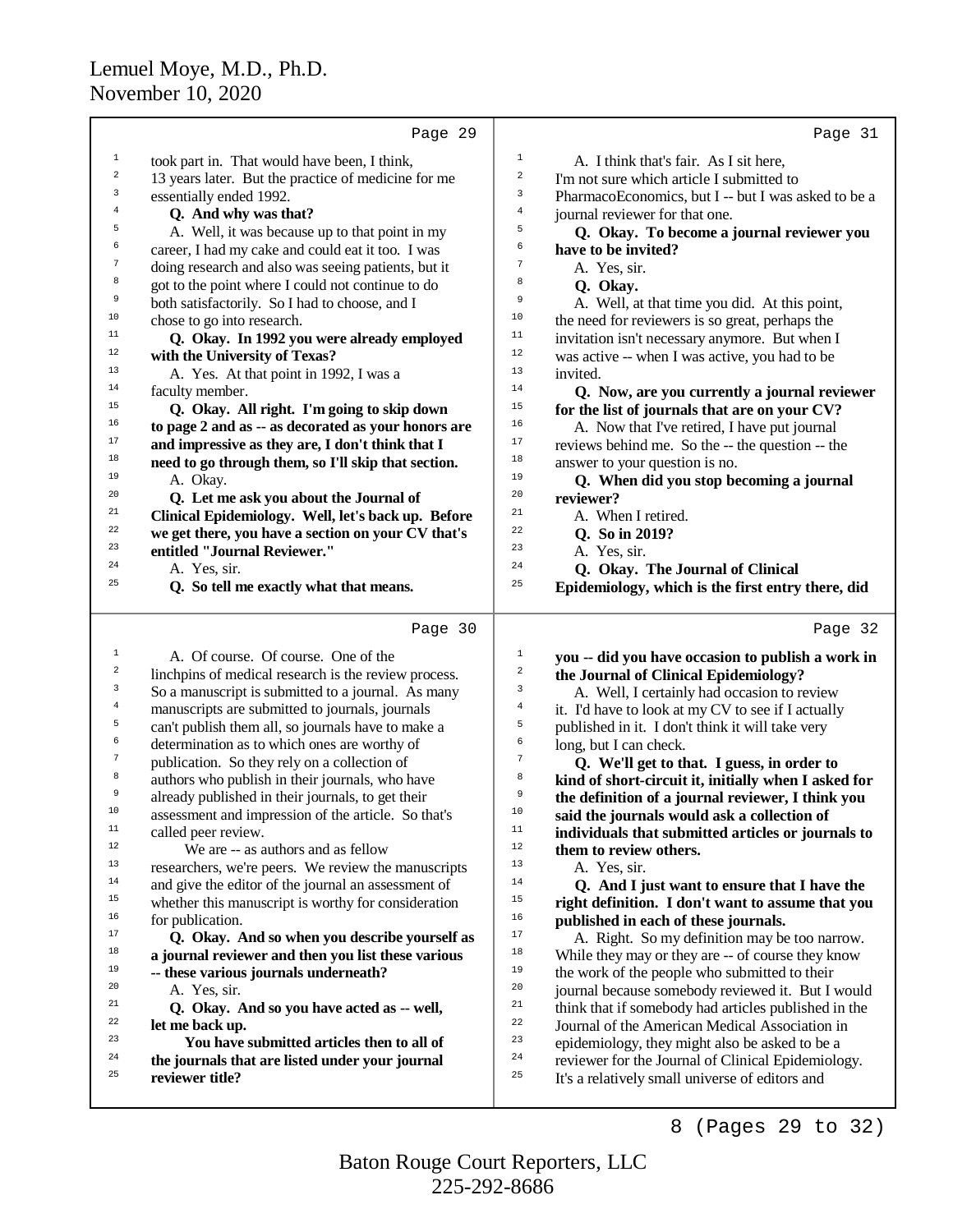|                  | Page 29                                              |                  | Page 31                                              |
|------------------|------------------------------------------------------|------------------|------------------------------------------------------|
| $\mathbf 1$      | took part in. That would have been, I think,         | $\mathbf 1$      | A. I think that's fair. As I sit here,               |
| $\,2$            | 13 years later. But the practice of medicine for me  | $\boldsymbol{2}$ | I'm not sure which article I submitted to            |
| 3                | essentially ended 1992.                              | 3                | PharmacoEconomics, but I -- but I was asked to be a  |
| 4                | Q. And why was that?                                 | $\,4$            | journal reviewer for that one.                       |
| 5                | A. Well, it was because up to that point in my       | 5                | Q. Okay. To become a journal reviewer you            |
| 6                | career, I had my cake and could eat it too. I was    | 6                | have to be invited?                                  |
| 7                | doing research and also was seeing patients, but it  | $\boldsymbol{7}$ | A. Yes, sir.                                         |
| 8                | got to the point where I could not continue to do    | 8                | Q. Okay.                                             |
| 9                | both satisfactorily. So I had to choose, and I       | 9                | A. Well, at that time you did. At this point,        |
| $10$             | chose to go into research.                           | 10               | the need for reviewers is so great, perhaps the      |
| 11               | Q. Okay. In 1992 you were already employed           | 11               | invitation isn't necessary anymore. But when I       |
| $12\,$           | with the University of Texas?                        | 12               | was active -- when I was active, you had to be       |
| 13               | A. Yes. At that point in 1992, I was a               | 13               | invited.                                             |
| 14               | faculty member.                                      | 14               | Q. Now, are you currently a journal reviewer         |
| 15               | Q. Okay. All right. I'm going to skip down           | 15               | for the list of journals that are on your CV?        |
| 16               | to page 2 and as -- as decorated as your honors are  | 16               | A. Now that I've retired, I have put journal         |
| $17\,$           | and impressive as they are, I don't think that I     | 17               | reviews behind me. So the -- the question -- the     |
| $18\,$           | need to go through them, so I'll skip that section.  | 18               | answer to your question is no.                       |
| 19               | A. Okay.                                             | 19               | Q. When did you stop becoming a journal              |
| 20               | Q. Let me ask you about the Journal of               | 20               | reviewer?                                            |
| 21               | Clinical Epidemiology. Well, let's back up. Before   | 21               | A. When I retired.                                   |
| 22               | we get there, you have a section on your CV that's   | 22               | Q. So in 2019?                                       |
| 23               | entitled "Journal Reviewer."                         | 23               | A. Yes, sir.                                         |
| 24               | A. Yes, sir.                                         | 24               | Q. Okay. The Journal of Clinical                     |
| 25               | Q. So tell me exactly what that means.               | 25               | Epidemiology, which is the first entry there, did    |
|                  |                                                      |                  |                                                      |
|                  | Page 30                                              |                  | Page 32                                              |
| $\mathbf{1}$     |                                                      |                  |                                                      |
|                  | A. Of course. Of course. One of the                  | $\mathbf{1}$     | you -- did you have occasion to publish a work in    |
| $\boldsymbol{2}$ | linchpins of medical research is the review process. | $\boldsymbol{2}$ | the Journal of Clinical Epidemiology?                |
| 3                | So a manuscript is submitted to a journal. As many   | 3                | A. Well, I certainly had occasion to review          |
| $\bf{4}$         | manuscripts are submitted to journals, journals      | $\bf{4}$         | it. I'd have to look at my CV to see if I actually   |
| 5                | can't publish them all, so journals have to make a   | 5                | published in it. I don't think it will take very     |
| 6                | determination as to which ones are worthy of         | 6                | long, but I can check.                               |
| $\boldsymbol{7}$ | publication. So they rely on a collection of         | $\boldsymbol{7}$ | Q. We'll get to that. I guess, in order to           |
| 8                | authors who publish in their journals, who have      | 8                | kind of short-circuit it, initially when I asked for |
| 9                | already published in their journals, to get their    | 9                | the definition of a journal reviewer, I think you    |
| 10               | assessment and impression of the article. So that's  | $10$             | said the journals would ask a collection of          |
| 11               | called peer review.                                  | 11               | individuals that submitted articles or journals to   |
| 12               | We are -- as authors and as fellow                   | 12               | them to review others.                               |
| 13               | researchers, we're peers. We review the manuscripts  | 13               | A. Yes, sir.                                         |
| 14               | and give the editor of the journal an assessment of  | 14               | Q. And I just want to ensure that I have the         |
| 15               | whether this manuscript is worthy for consideration  | 15               | right definition. I don't want to assume that you    |
| 16               | for publication.                                     | 16               | published in each of these journals.                 |
| 17               | Q. Okay. And so when you describe yourself as        | 17               | A. Right. So my definition may be too narrow.        |
| 18               | a journal reviewer and then you list these various   | 18               | While they may or they are -- of course they know    |
| 19               | -- these various journals underneath?                | 19               | the work of the people who submitted to their        |
| 20               | A. Yes, sir.                                         | 20               | journal because somebody reviewed it. But I would    |
| 21               | Q. Okay. And so you have acted as -- well,           | 21               | think that if somebody had articles published in the |
| 22               | let me back up.                                      | 22               | Journal of the American Medical Association in       |
| 23<br>24         | You have submitted articles then to all of           | 23               | epidemiology, they might also be asked to be a       |
| 25               | the journals that are listed under your journal      | 24               | reviewer for the Journal of Clinical Epidemiology.   |
|                  | reviewer title?                                      | 25               | It's a relatively small universe of editors and      |

8 (Pages 29 to 32)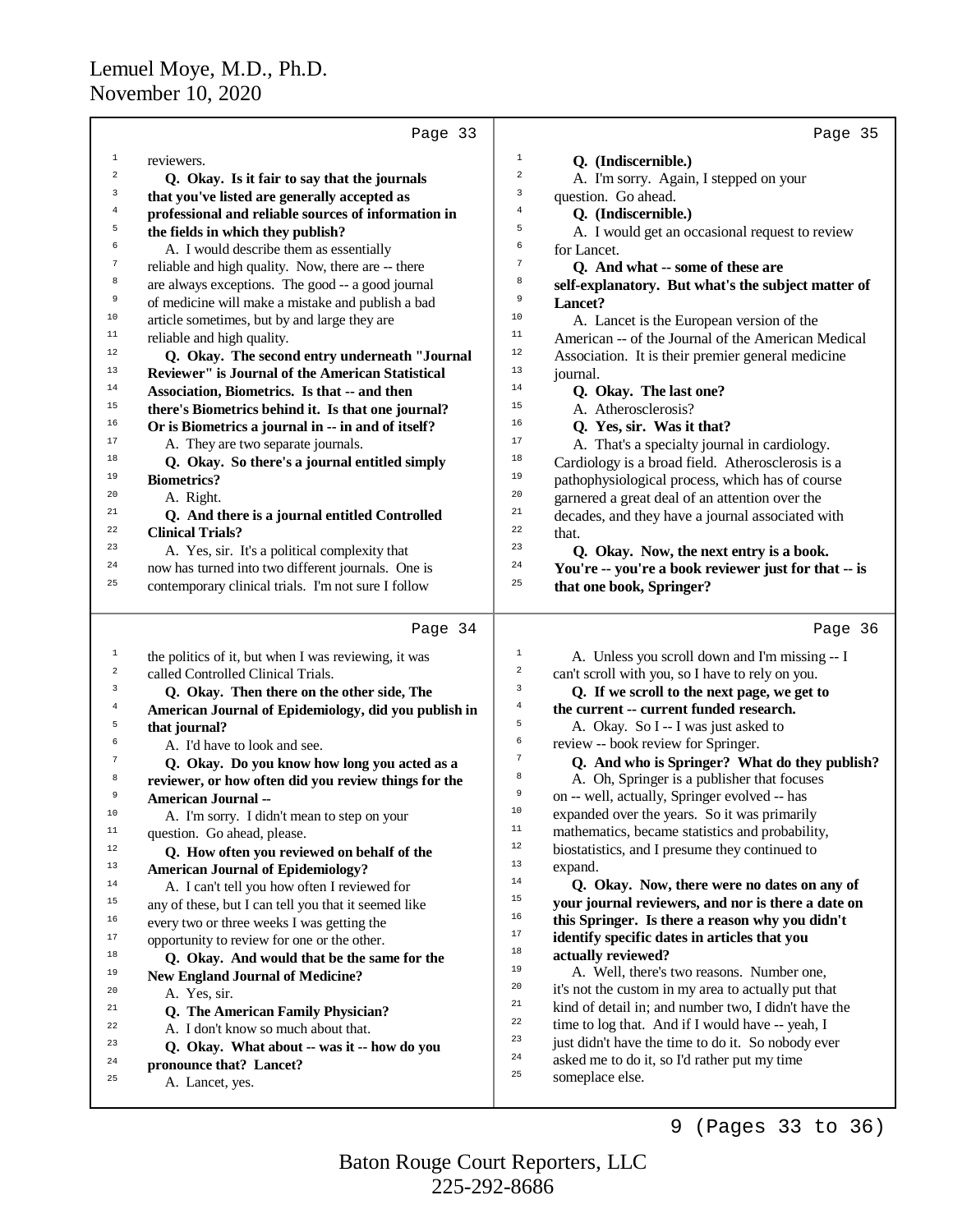|                         | Page 33                                                                  |                  | Page 35                                                                          |
|-------------------------|--------------------------------------------------------------------------|------------------|----------------------------------------------------------------------------------|
| $\mathbf{1}$            | reviewers.                                                               | $\mathbf{1}$     | Q. (Indiscernible.)                                                              |
| $\overline{\mathbf{c}}$ | Q. Okay. Is it fair to say that the journals                             | $\boldsymbol{2}$ | A. I'm sorry. Again, I stepped on your                                           |
| 3                       | that you've listed are generally accepted as                             | 3                | question. Go ahead.                                                              |
| 4                       | professional and reliable sources of information in                      | 4                | Q. (Indiscernible.)                                                              |
| 5                       | the fields in which they publish?                                        | 5                | A. I would get an occasional request to review                                   |
| 6                       | A. I would describe them as essentially                                  | 6                | for Lancet.                                                                      |
| $\tau$                  | reliable and high quality. Now, there are -- there                       | 7                | Q. And what -- some of these are                                                 |
| 8                       | are always exceptions. The good -- a good journal                        | 8                | self-explanatory. But what's the subject matter of                               |
| 9                       | of medicine will make a mistake and publish a bad                        | 9                | Lancet?                                                                          |
| 10                      | article sometimes, but by and large they are                             | 10               | A. Lancet is the European version of the                                         |
| 11                      | reliable and high quality.                                               | 11               | American -- of the Journal of the American Medical                               |
| 12                      | Q. Okay. The second entry underneath "Journal                            | 12               | Association. It is their premier general medicine                                |
| 13                      | Reviewer" is Journal of the American Statistical                         | 13               | journal.                                                                         |
| 14                      | Association, Biometrics. Is that -- and then                             | 14               | Q. Okay. The last one?                                                           |
| 15                      | there's Biometrics behind it. Is that one journal?                       | 15               | A. Atherosclerosis?                                                              |
| 16                      | Or is Biometrics a journal in -- in and of itself?                       | 16               | Q. Yes, sir. Was it that?                                                        |
| 17                      | A. They are two separate journals.                                       | 17               | A. That's a specialty journal in cardiology.                                     |
| 18                      | Q. Okay. So there's a journal entitled simply                            | 18               | Cardiology is a broad field. Atherosclerosis is a                                |
| 19                      | <b>Biometrics?</b>                                                       | 19               | pathophysiological process, which has of course                                  |
| 20                      | A. Right.                                                                | 20               | garnered a great deal of an attention over the                                   |
| 21                      |                                                                          | 21               |                                                                                  |
| 22                      | Q. And there is a journal entitled Controlled<br><b>Clinical Trials?</b> | 22               | decades, and they have a journal associated with                                 |
| 23                      | A. Yes, sir. It's a political complexity that                            | 23               | that.                                                                            |
| 24                      | now has turned into two different journals. One is                       | 24               | Q. Okay. Now, the next entry is a book.                                          |
| 25                      | contemporary clinical trials. I'm not sure I follow                      | 25               | You're -- you're a book reviewer just for that -- is<br>that one book, Springer? |
|                         |                                                                          |                  |                                                                                  |
|                         | Page 34                                                                  |                  | Page 36                                                                          |
| 1                       | the politics of it, but when I was reviewing, it was                     | $\mathbf{1}$     | A. Unless you scroll down and I'm missing -- I                                   |
| 2                       | called Controlled Clinical Trials.                                       | $\boldsymbol{2}$ | can't scroll with you, so I have to rely on you.                                 |
| 3                       | Q. Okay. Then there on the other side, The                               | 3                | Q. If we scroll to the next page, we get to                                      |
| $\overline{4}$          | American Journal of Epidemiology, did you publish in                     | $\overline{4}$   | the current -- current funded research.                                          |
| 5                       | that journal?                                                            | 5                | A. Okay. So I -- I was just asked to                                             |
| 6                       | A. I'd have to look and see.                                             | 6                | review -- book review for Springer.                                              |
| 7                       | Q. Okay. Do you know how long you acted as a                             | $\boldsymbol{7}$ | Q. And who is Springer? What do they publish?                                    |
| 8                       | reviewer, or how often did you review things for the                     | 8                | A. Oh, Springer is a publisher that focuses                                      |
| 9                       | <b>American Journal --</b>                                               | 9                | on -- well, actually, Springer evolved -- has                                    |
| 10                      | A. I'm sorry. I didn't mean to step on your                              | 10               | expanded over the years. So it was primarily                                     |
| $\mathbf{11}%$          | question. Go ahead, please.                                              | $11\,$           | mathematics, became statistics and probability,                                  |
| $12\,$                  | Q. How often you reviewed on behalf of the                               | $12\,$           | biostatistics, and I presume they continued to                                   |
| 13                      | <b>American Journal of Epidemiology?</b>                                 | 13               | expand.                                                                          |
| 14                      | A. I can't tell you how often I reviewed for                             | $14\,$           | Q. Okay. Now, there were no dates on any of                                      |
| 15                      | any of these, but I can tell you that it seemed like                     | 15               | your journal reviewers, and nor is there a date on                               |
| 16                      | every two or three weeks I was getting the                               | 16               | this Springer. Is there a reason why you didn't                                  |
| 17                      | opportunity to review for one or the other.                              | 17               | identify specific dates in articles that you                                     |
| 18                      | Q. Okay. And would that be the same for the                              | 18               | actually reviewed?                                                               |
| 19                      | <b>New England Journal of Medicine?</b>                                  | 19               | A. Well, there's two reasons. Number one,                                        |
| 20                      | A. Yes, sir.                                                             | 20               | it's not the custom in my area to actually put that                              |
| 21                      | Q. The American Family Physician?                                        | 21               | kind of detail in; and number two, I didn't have the                             |
| 22                      | A. I don't know so much about that.                                      | 22               | time to log that. And if I would have -- yeah, I                                 |
| 23                      | Q. Okay. What about -- was it -- how do you                              | 23               | just didn't have the time to do it. So nobody ever                               |
| 24                      | pronounce that? Lancet?                                                  | 24               | asked me to do it, so I'd rather put my time                                     |
| 25                      | A. Lancet, yes.                                                          | 25               | someplace else.                                                                  |
|                         |                                                                          |                  |                                                                                  |

9 (Pages 33 to 36)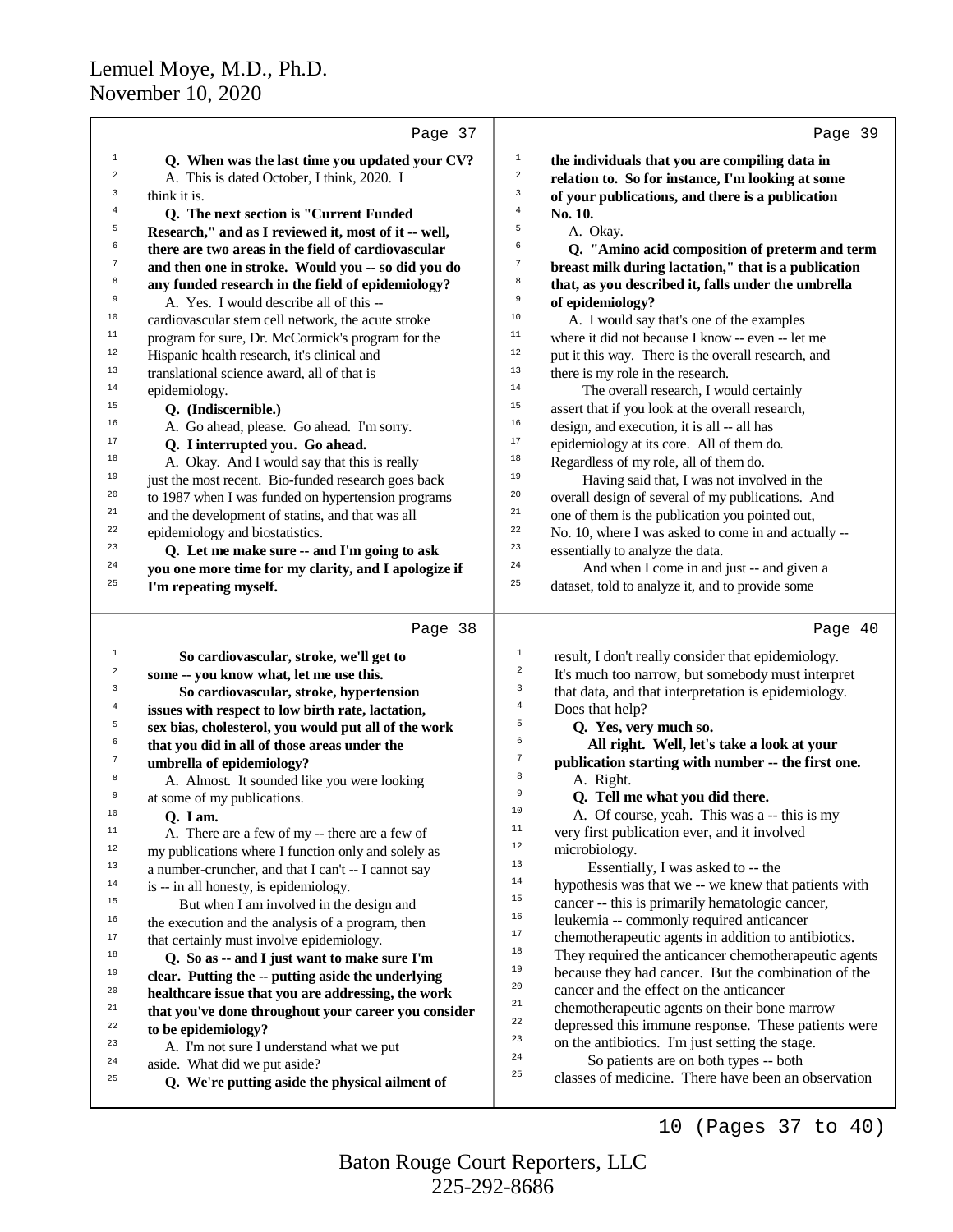|                         | Page 37                                              | Page 39                                                                                       |
|-------------------------|------------------------------------------------------|-----------------------------------------------------------------------------------------------|
| 1                       | Q. When was the last time you updated your CV?       | $\mathbf 1$<br>the individuals that you are compiling data in                                 |
| $\overline{\mathbf{c}}$ | A. This is dated October, I think, 2020. I           | $\mathbf 2$<br>relation to. So for instance, I'm looking at some                              |
| 3                       | think it is.                                         | 3<br>of your publications, and there is a publication                                         |
| $\bf{4}$                | Q. The next section is "Current Funded               | $\overline{4}$<br>No. 10.                                                                     |
| 5                       | Research," and as I reviewed it, most of it -- well, | 5<br>A. Okay.                                                                                 |
| 6                       | there are two areas in the field of cardiovascular   | б<br>Q. "Amino acid composition of preterm and term                                           |
| $\sqrt{ }$              | and then one in stroke. Would you -- so did you do   | $\boldsymbol{7}$<br>breast milk during lactation," that is a publication                      |
| 8                       | any funded research in the field of epidemiology?    | 8<br>that, as you described it, falls under the umbrella                                      |
| 9                       | A. Yes. I would describe all of this --              | 9<br>of epidemiology?                                                                         |
| 10                      | cardiovascular stem cell network, the acute stroke   | $10$<br>A. I would say that's one of the examples                                             |
| 11                      | program for sure, Dr. McCormick's program for the    | 11<br>where it did not because I know -- even -- let me                                       |
| 12                      | Hispanic health research, it's clinical and          | $1\,2$<br>put it this way. There is the overall research, and                                 |
| 13                      | translational science award, all of that is          | 13<br>there is my role in the research.                                                       |
| 14                      | epidemiology.                                        | $14$<br>The overall research, I would certainly                                               |
| 15                      | Q. (Indiscernible.)                                  | 15<br>assert that if you look at the overall research,                                        |
| 16                      | A. Go ahead, please. Go ahead. I'm sorry.            | $16$<br>design, and execution, it is all -- all has                                           |
| 17                      | Q. I interrupted you. Go ahead.                      | $17\,$<br>epidemiology at its core. All of them do.                                           |
| 18                      | A. Okay. And I would say that this is really         | 18<br>Regardless of my role, all of them do.                                                  |
| 19                      | just the most recent. Bio-funded research goes back  | 19<br>Having said that, I was not involved in the                                             |
| 20                      | to 1987 when I was funded on hypertension programs   | 20<br>overall design of several of my publications. And                                       |
| 21<br>22                | and the development of statins, and that was all     | 21<br>one of them is the publication you pointed out,<br>$^{\rm 22}$                          |
| 23                      | epidemiology and biostatistics.                      | No. 10, where I was asked to come in and actually --<br>23                                    |
| 24                      | Q. Let me make sure -- and I'm going to ask          | essentially to analyze the data.<br>24                                                        |
| 25                      | you one more time for my clarity, and I apologize if | And when I come in and just -- and given a<br>25                                              |
|                         | I'm repeating myself.                                | dataset, told to analyze it, and to provide some                                              |
|                         | Page 38                                              | Page 40                                                                                       |
| $\mathbf{1}$            | So cardiovascular, stroke, we'll get to              | $1\,$<br>result, I don't really consider that epidemiology.                                   |
| $\overline{\mathbf{c}}$ | some -- you know what, let me use this.              | $\sqrt{2}$<br>It's much too narrow, but somebody must interpret                               |
| 3                       | So cardiovascular, stroke, hypertension              | 3<br>that data, and that interpretation is epidemiology.                                      |
| $\overline{4}$          | issues with respect to low birth rate, lactation,    | $\sqrt{4}$<br>Does that help?                                                                 |
| 5                       | sex bias, cholesterol, you would put all of the work | 5<br>Q. Yes, very much so.                                                                    |
| 6                       | that you did in all of those areas under the         | 6<br>All right. Well, let's take a look at your                                               |
| $\sqrt{7}$              | umbrella of epidemiology?                            | $\boldsymbol{7}$<br>publication starting with number -- the first one.                        |
| 8                       | A. Almost. It sounded like you were looking          | 8<br>A. Right.                                                                                |
| 9                       | at some of my publications.                          | 9<br>Q. Tell me what you did there.                                                           |
| 10                      | Q. I am.                                             | 10<br>A. Of course, yeah. This was a -- this is my                                            |
| 11                      | A. There are a few of my -- there are a few of       | 11<br>very first publication ever, and it involved                                            |
| 12                      | my publications where I function only and solely as  | 12<br>microbiology.                                                                           |
| 13                      | a number-cruncher, and that I can't -- I cannot say  | 13<br>Essentially, I was asked to -- the                                                      |
| $14\,$                  | is -- in all honesty, is epidemiology.               | 14<br>hypothesis was that we -- we knew that patients with                                    |
| 15                      | But when I am involved in the design and             | 15<br>cancer -- this is primarily hematologic cancer,<br>16                                   |
| 16                      | the execution and the analysis of a program, then    | leukemia -- commonly required anticancer<br>$17\,$                                            |
| 17                      | that certainly must involve epidemiology.            | chemotherapeutic agents in addition to antibiotics.<br>18                                     |
| $18\,$                  | Q. So as -- and I just want to make sure I'm         | They required the anticancer chemotherapeutic agents<br>19                                    |
| 19                      | clear. Putting the -- putting aside the underlying   | because they had cancer. But the combination of the<br>20                                     |
| 20<br>21                | healthcare issue that you are addressing, the work   | cancer and the effect on the anticancer<br>21<br>chemotherapeutic agents on their bone marrow |
| 22                      | that you've done throughout your career you consider | 22<br>depressed this immune response. These patients were                                     |
| 23                      | to be epidemiology?                                  | 23<br>on the antibiotics. I'm just setting the stage.                                         |
| 24                      | A. I'm not sure I understand what we put             | 24<br>So patients are on both types -- both                                                   |
| 25                      | aside. What did we put aside?                        | 25<br>classes of medicine. There have been an observation                                     |
|                         | Q. We're putting aside the physical ailment of       |                                                                                               |
|                         |                                                      | (Pages 37 to 40)<br>10                                                                        |

225-292-8686 Baton Rouge Court Reporters, LLC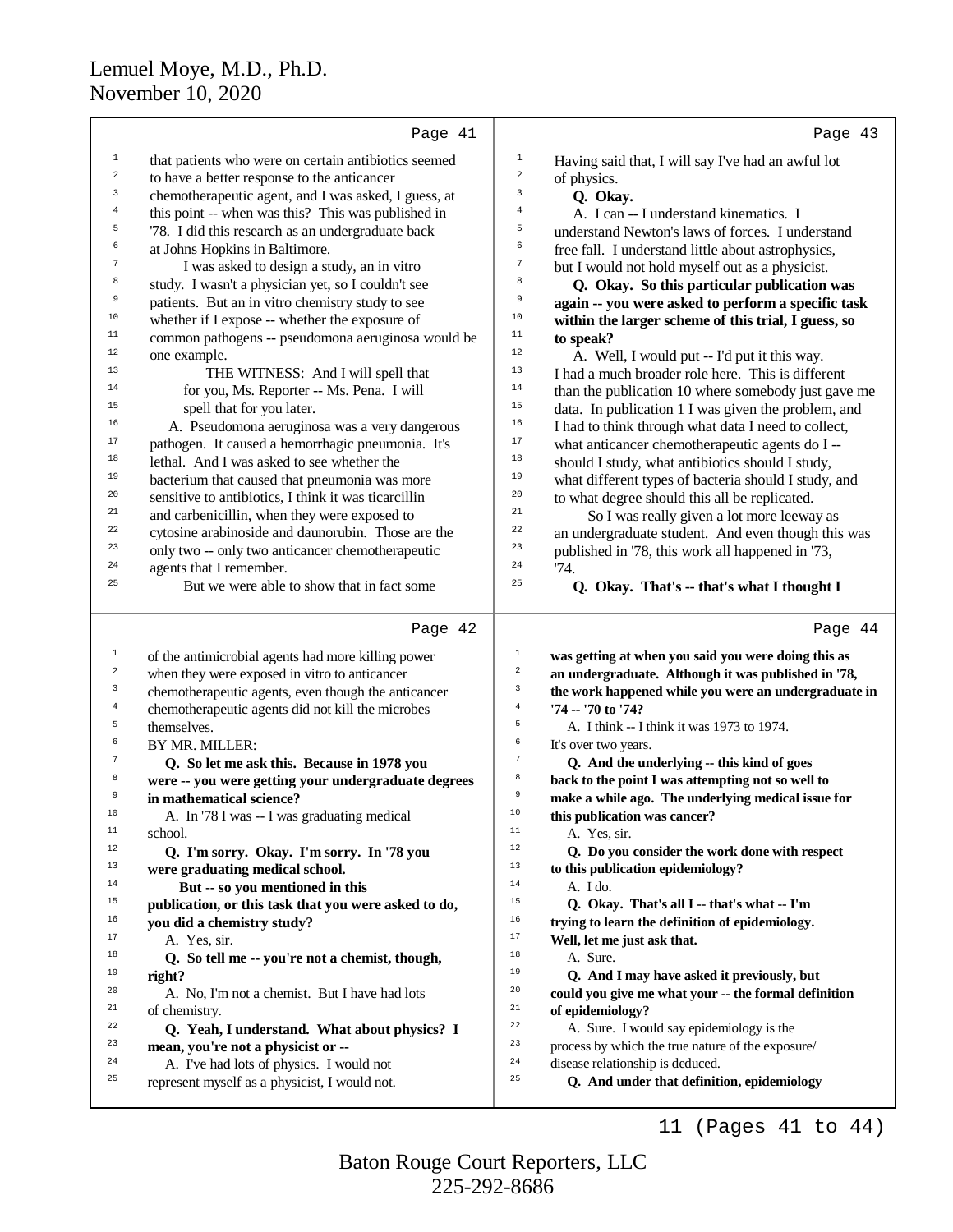|                | Page 41                                                                                   | Page 43                                                                                    |
|----------------|-------------------------------------------------------------------------------------------|--------------------------------------------------------------------------------------------|
| $\mathbf{1}$   | that patients who were on certain antibiotics seemed                                      | $1\,$<br>Having said that, I will say I've had an awful lot                                |
| $\mathbf 2$    | to have a better response to the anticancer                                               | $\boldsymbol{2}$<br>of physics.                                                            |
| 3              | chemotherapeutic agent, and I was asked, I guess, at                                      | 3<br>Q. Okay.                                                                              |
| $\overline{4}$ | this point -- when was this? This was published in                                        | 4<br>A. I can -- I understand kinematics. I                                                |
| 5              | '78. I did this research as an undergraduate back                                         | 5<br>understand Newton's laws of forces. I understand                                      |
| 6              | at Johns Hopkins in Baltimore.                                                            | 6<br>free fall. I understand little about astrophysics,                                    |
| 7              | I was asked to design a study, an in vitro                                                | $\tau$<br>but I would not hold myself out as a physicist.                                  |
| 8              | study. I wasn't a physician yet, so I couldn't see                                        | 8<br>Q. Okay. So this particular publication was                                           |
| 9              | patients. But an in vitro chemistry study to see                                          | 9<br>again -- you were asked to perform a specific task                                    |
| $10$           | whether if I expose -- whether the exposure of                                            | 10<br>within the larger scheme of this trial, I guess, so                                  |
| 11             | common pathogens -- pseudomona aeruginosa would be                                        | 11<br>to speak?                                                                            |
| $12\,$         | one example.                                                                              | 12<br>A. Well, I would put -- I'd put it this way.                                         |
| 13             | THE WITNESS: And I will spell that                                                        | 13<br>I had a much broader role here. This is different                                    |
| 14             | for you, Ms. Reporter -- Ms. Pena. I will                                                 | $14$<br>than the publication 10 where somebody just gave me                                |
| 15             | spell that for you later.                                                                 | 15<br>data. In publication 1 I was given the problem, and                                  |
| 16             | A. Pseudomona aeruginosa was a very dangerous                                             | 16<br>I had to think through what data I need to collect,                                  |
| 17             | pathogen. It caused a hemorrhagic pneumonia. It's                                         | 17<br>what anticancer chemotherapeutic agents do I --                                      |
| 18             | lethal. And I was asked to see whether the                                                | 18<br>should I study, what antibiotics should I study,                                     |
| 19             | bacterium that caused that pneumonia was more                                             | 19<br>what different types of bacteria should I study, and                                 |
| 20             | sensitive to antibiotics, I think it was ticarcillin                                      | 20<br>to what degree should this all be replicated.                                        |
| 21             | and carbenicillin, when they were exposed to                                              | 21<br>So I was really given a lot more leeway as                                           |
| 22             | cytosine arabinoside and daunorubin. Those are the                                        | 22<br>an undergraduate student. And even though this was                                   |
| 23             | only two -- only two anticancer chemotherapeutic                                          | 23<br>published in '78, this work all happened in '73,                                     |
| $\bf 24$       | agents that I remember.                                                                   | 24<br>74.                                                                                  |
| 25             | But we were able to show that in fact some                                                | 25<br>Q. Okay. That's -- that's what I thought I                                           |
|                |                                                                                           |                                                                                            |
|                | Page 42                                                                                   | Page 44                                                                                    |
| $\mathbf 1$    |                                                                                           | $\mathbf 1$                                                                                |
| $\sqrt{2}$     | of the antimicrobial agents had more killing power                                        | was getting at when you said you were doing this as<br>$\,2$                               |
| 3              | when they were exposed in vitro to anticancer                                             | an undergraduate. Although it was published in '78,<br>3                                   |
| $\,4$          | chemotherapeutic agents, even though the anticancer                                       | the work happened while you were an undergraduate in<br>$\,4\,$                            |
| 5              | chemotherapeutic agents did not kill the microbes<br>themselves.                          | '74 -- '70 to '74?<br>5<br>A. I think -- I think it was 1973 to 1974.                      |
| 6              | BY MR. MILLER:                                                                            | 6<br>It's over two years.                                                                  |
| 7              | Q. So let me ask this. Because in 1978 you                                                | 7<br>Q. And the underlying -- this kind of goes                                            |
| 8              | were -- you were getting your undergraduate degrees                                       | 8<br>back to the point I was attempting not so well to                                     |
| 9              | in mathematical science?                                                                  | 9<br>make a while ago. The underlying medical issue for                                    |
| 10             | A. In '78 I was -- I was graduating medical                                               | $10$<br>this publication was cancer?                                                       |
| 11             | school.                                                                                   | $1\,1$<br>A. Yes, sir.                                                                     |
| 12             | Q. I'm sorry. Okay. I'm sorry. In '78 you                                                 | $1\,2$<br>Q. Do you consider the work done with respect                                    |
| 13             | were graduating medical school.                                                           | 13<br>to this publication epidemiology?                                                    |
| 14             | But -- so you mentioned in this                                                           | $1\,4$<br>A. I do.                                                                         |
| 15             | publication, or this task that you were asked to do,                                      | $15$<br>Q. Okay. That's all I -- that's what -- I'm                                        |
| 16             | you did a chemistry study?                                                                | 16<br>trying to learn the definition of epidemiology.                                      |
| 17             | A. Yes, sir.                                                                              | 17<br>Well, let me just ask that.                                                          |
| 18             | Q. So tell me -- you're not a chemist, though,                                            | $1\,8$<br>A. Sure.                                                                         |
| 19             | right?                                                                                    | 19<br>Q. And I may have asked it previously, but                                           |
| 20             | A. No, I'm not a chemist. But I have had lots                                             | 20<br>could you give me what your -- the formal definition                                 |
| 21             | of chemistry.                                                                             | 21<br>of epidemiology?                                                                     |
| 22             | Q. Yeah, I understand. What about physics? I                                              | 22<br>A. Sure. I would say epidemiology is the                                             |
| 23             | mean, you're not a physicist or --                                                        | 23<br>process by which the true nature of the exposure/                                    |
| 24<br>25       | A. I've had lots of physics. I would not<br>represent myself as a physicist, I would not. | 24<br>disease relationship is deduced.<br>25<br>Q. And under that definition, epidemiology |

11 (Pages 41 to 44)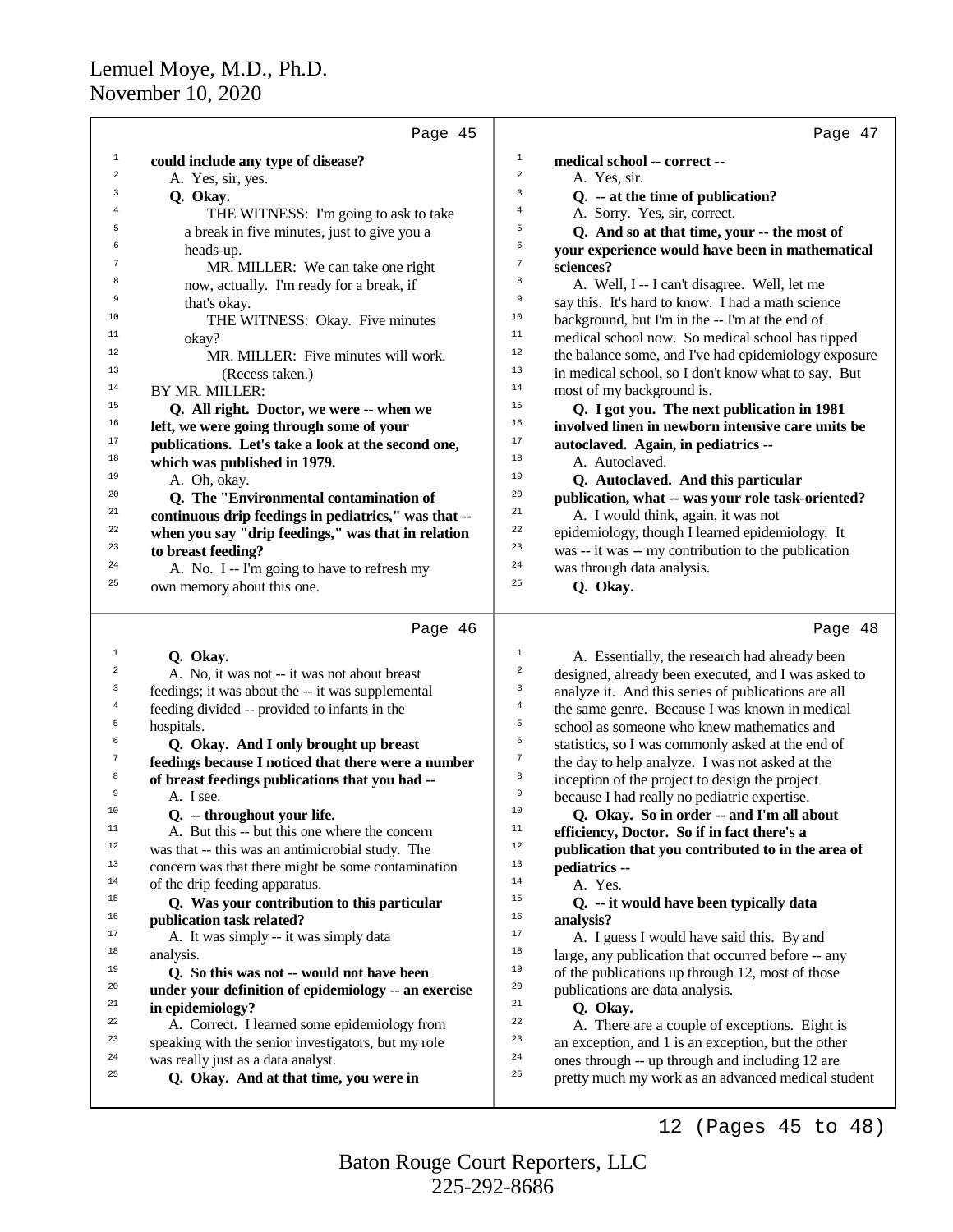|                         | Page 45                                                                      | Page 47                                                                                                           |
|-------------------------|------------------------------------------------------------------------------|-------------------------------------------------------------------------------------------------------------------|
| $\mathbf{1}$            | could include any type of disease?                                           | $1\,$<br>medical school -- correct --                                                                             |
| $\overline{\mathbf{c}}$ | A. Yes, sir, yes.                                                            | $\,2$<br>A. Yes, sir.                                                                                             |
| 3                       | Q. Okay.                                                                     | 3<br>Q. -- at the time of publication?                                                                            |
| $\overline{4}$          | THE WITNESS: I'm going to ask to take                                        | 4<br>A. Sorry. Yes, sir, correct.                                                                                 |
| 5                       | a break in five minutes, just to give you a                                  | 5<br>Q. And so at that time, your -- the most of                                                                  |
| 6                       | heads-up.                                                                    | 6<br>your experience would have been in mathematical                                                              |
| 7                       |                                                                              | 7<br>sciences?                                                                                                    |
| 8                       | MR. MILLER: We can take one right                                            | 8                                                                                                                 |
| 9                       | now, actually. I'm ready for a break, if                                     | A. Well, I -- I can't disagree. Well, let me<br>9                                                                 |
| 10                      | that's okay.                                                                 | say this. It's hard to know. I had a math science<br>10                                                           |
|                         | THE WITNESS: Okay. Five minutes                                              | background, but I'm in the -- I'm at the end of<br>$11\,$                                                         |
| 11<br>12                | okay?                                                                        | medical school now. So medical school has tipped                                                                  |
|                         | MR. MILLER: Five minutes will work.                                          | $12\,$<br>the balance some, and I've had epidemiology exposure                                                    |
| 13                      | (Recess taken.)                                                              | 13<br>in medical school, so I don't know what to say. But                                                         |
| 14                      | BY MR. MILLER:                                                               | 14<br>most of my background is.                                                                                   |
| 15                      | Q. All right. Doctor, we were -- when we                                     | 15<br>Q. I got you. The next publication in 1981                                                                  |
| 16                      | left, we were going through some of your                                     | 16<br>involved linen in newborn intensive care units be                                                           |
| $17\,$                  | publications. Let's take a look at the second one,                           | 17<br>autoclaved. Again, in pediatrics --                                                                         |
| 18                      | which was published in 1979.                                                 | 18<br>A. Autoclaved.                                                                                              |
| 19                      | A. Oh, okay.                                                                 | 19<br>Q. Autoclaved. And this particular                                                                          |
| 20                      | Q. The "Environmental contamination of                                       | 20<br>publication, what -- was your role task-oriented?                                                           |
| 21                      | continuous drip feedings in pediatrics," was that --                         | 21<br>A. I would think, again, it was not                                                                         |
| 22                      | when you say "drip feedings," was that in relation                           | 22<br>epidemiology, though I learned epidemiology. It                                                             |
| 23                      | to breast feeding?                                                           | 23<br>was -- it was -- my contribution to the publication                                                         |
| 24                      | A. No. I -- I'm going to have to refresh my                                  | 24<br>was through data analysis.                                                                                  |
| 25                      | own memory about this one.                                                   | 25<br>Q. Okay.                                                                                                    |
|                         |                                                                              |                                                                                                                   |
|                         |                                                                              |                                                                                                                   |
|                         | Page 46                                                                      | Page 48                                                                                                           |
| $1\,$                   |                                                                              | $\mathbf{1}$                                                                                                      |
| $\overline{a}$          | Q. Okay.<br>A. No, it was not -- it was not about breast                     | A. Essentially, the research had already been<br>$\,2$                                                            |
| 3                       |                                                                              | designed, already been executed, and I was asked to<br>3                                                          |
| $\overline{4}$          | feedings; it was about the -- it was supplemental                            | analyze it. And this series of publications are all<br>$\,4$                                                      |
| 5                       | feeding divided -- provided to infants in the                                | the same genre. Because I was known in medical<br>5                                                               |
| 6                       | hospitals.                                                                   | school as someone who knew mathematics and<br>6                                                                   |
| 7                       | Q. Okay. And I only brought up breast                                        | statistics, so I was commonly asked at the end of<br>7                                                            |
| 8                       | feedings because I noticed that there were a number                          | the day to help analyze. I was not asked at the<br>8                                                              |
| 9                       | of breast feedings publications that you had --<br>A. I see.                 | inception of the project to design the project<br>9                                                               |
| 10                      |                                                                              | because I had really no pediatric expertise.<br>10                                                                |
| $11\,$                  | Q. -- throughout your life.                                                  | Q. Okay. So in order -- and I'm all about<br>11                                                                   |
| 12                      | A. But this -- but this one where the concern                                | efficiency, Doctor. So if in fact there's a<br>12                                                                 |
| 13                      | was that -- this was an antimicrobial study. The                             | publication that you contributed to in the area of<br>13                                                          |
| 14                      | concern was that there might be some contamination                           | pediatrics --<br>14                                                                                               |
| 15                      | of the drip feeding apparatus.                                               | A. Yes.<br>15                                                                                                     |
| 16                      | Q. Was your contribution to this particular                                  | Q. -- it would have been typically data<br>16                                                                     |
| 17                      | publication task related?                                                    | analysis?<br>17                                                                                                   |
| 18                      | A. It was simply -- it was simply data                                       | A. I guess I would have said this. By and<br>18                                                                   |
| 19                      | analysis.                                                                    | large, any publication that occurred before -- any                                                                |
|                         | Q. So this was not -- would not have been                                    | 19<br>of the publications up through 12, most of those                                                            |
| 20                      | under your definition of epidemiology -- an exercise                         | 20<br>publications are data analysis.                                                                             |
| 21                      | in epidemiology?                                                             | $21\,$<br>Q. Okay.                                                                                                |
| 22                      | A. Correct. I learned some epidemiology from                                 | 22<br>A. There are a couple of exceptions. Eight is                                                               |
| 23                      | speaking with the senior investigators, but my role                          | 23<br>an exception, and 1 is an exception, but the other                                                          |
| 24<br>25                | was really just as a data analyst.<br>Q. Okay. And at that time, you were in | 24<br>ones through -- up through and including 12 are<br>25<br>pretty much my work as an advanced medical student |

12 (Pages 45 to 48)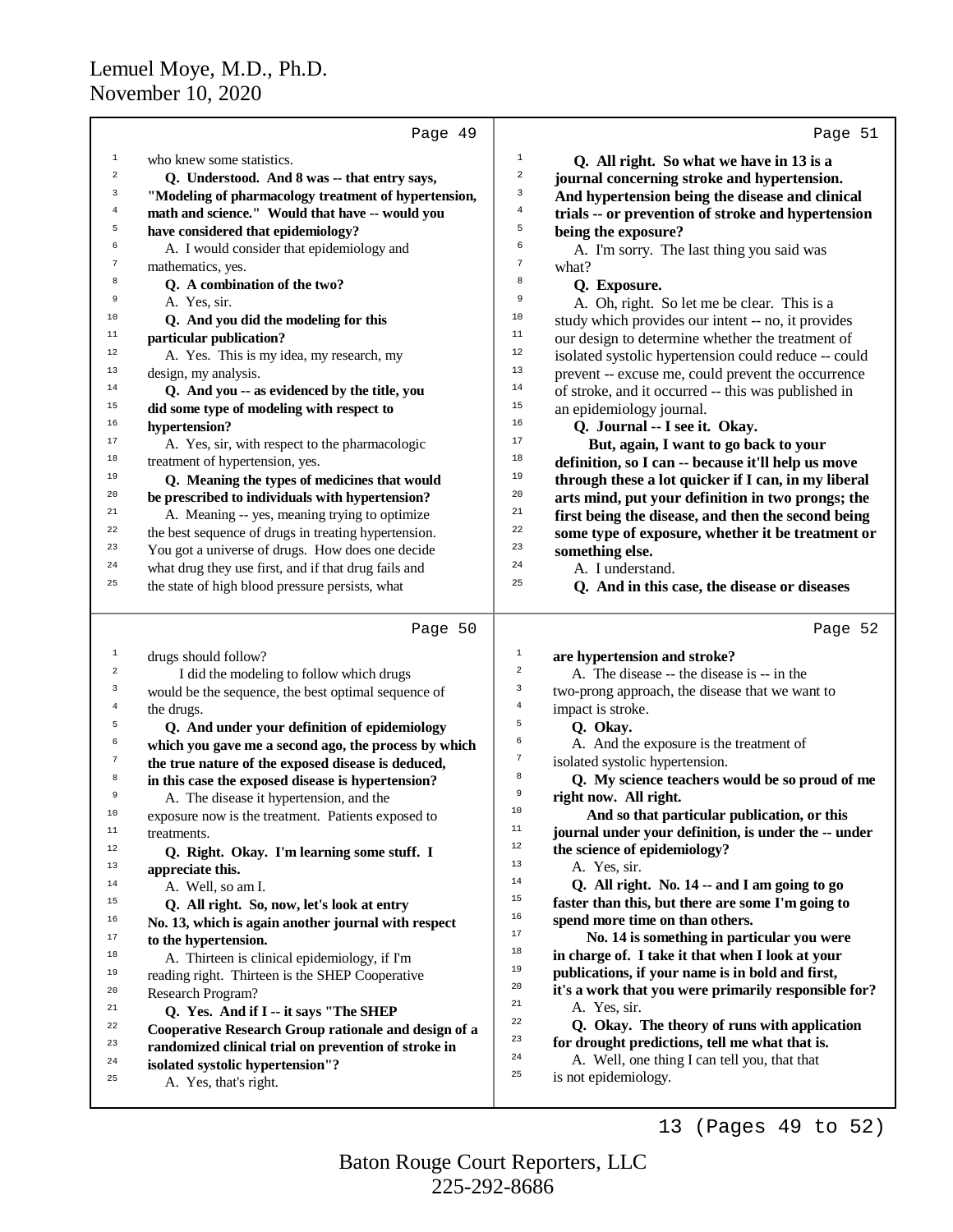|                         | Page 49                                              |                                                             | Page 51 |
|-------------------------|------------------------------------------------------|-------------------------------------------------------------|---------|
| 1                       | who knew some statistics.                            | $1\,$<br>Q. All right. So what we have in 13 is a           |         |
| $\overline{a}$          | Q. Understood. And 8 was -- that entry says,         | 2<br>journal concerning stroke and hypertension.            |         |
| 3                       | "Modeling of pharmacology treatment of hypertension, | 3<br>And hypertension being the disease and clinical        |         |
| $\bf{4}$                | math and science." Would that have -- would you      | 4<br>trials -- or prevention of stroke and hypertension     |         |
| 5                       | have considered that epidemiology?                   | 5<br>being the exposure?                                    |         |
| 6                       | A. I would consider that epidemiology and            | 6<br>A. I'm sorry. The last thing you said was              |         |
| $\boldsymbol{7}$        | mathematics, yes.                                    | 7<br>what?                                                  |         |
| 8                       | Q. A combination of the two?                         | 8<br>Q. Exposure.                                           |         |
| 9                       | A. Yes, sir.                                         | 9                                                           |         |
| 10                      |                                                      | A. Oh, right. So let me be clear. This is a<br>10           |         |
| $11$                    | Q. And you did the modeling for this                 | study which provides our intent -- no, it provides<br>11    |         |
| 12                      | particular publication?                              | our design to determine whether the treatment of<br>12      |         |
| 13                      | A. Yes. This is my idea, my research, my             | isolated systolic hypertension could reduce -- could<br>13  |         |
| 14                      | design, my analysis.                                 | prevent -- excuse me, could prevent the occurrence<br>14    |         |
| 15                      | Q. And you -- as evidenced by the title, you         | of stroke, and it occurred -- this was published in<br>15   |         |
| 16                      | did some type of modeling with respect to            | an epidemiology journal.<br>16                              |         |
|                         | hypertension?                                        | Q. Journal -- I see it. Okay.<br>$17\,$                     |         |
| 17                      | A. Yes, sir, with respect to the pharmacologic       | But, again, I want to go back to your                       |         |
| $18\,$                  | treatment of hypertension, yes.                      | 18<br>definition, so I can -- because it'll help us move    |         |
| 19                      | Q. Meaning the types of medicines that would         | 19<br>through these a lot quicker if I can, in my liberal   |         |
| 20                      | be prescribed to individuals with hypertension?      | 20<br>arts mind, put your definition in two prongs; the     |         |
| 21                      | A. Meaning -- yes, meaning trying to optimize        | 21<br>first being the disease, and then the second being    |         |
| 22                      | the best sequence of drugs in treating hypertension. | 22<br>some type of exposure, whether it be treatment or     |         |
| 23                      | You got a universe of drugs. How does one decide     | 23<br>something else.                                       |         |
| 24                      | what drug they use first, and if that drug fails and | 24<br>A. I understand.                                      |         |
| 25                      | the state of high blood pressure persists, what      | 25<br>Q. And in this case, the disease or diseases          |         |
|                         | Page 50                                              |                                                             | Page 52 |
|                         |                                                      |                                                             |         |
| 1                       | drugs should follow?                                 | $\,1$<br>are hypertension and stroke?                       |         |
| $\overline{\mathbf{c}}$ | I did the modeling to follow which drugs             | $\sqrt{2}$<br>A. The disease -- the disease is -- in the    |         |
|                         |                                                      |                                                             |         |
| 3                       | would be the sequence, the best optimal sequence of  | 3<br>two-prong approach, the disease that we want to        |         |
| $\overline{4}$          | the drugs.                                           | $\overline{4}$<br>impact is stroke.                         |         |
| 5                       | Q. And under your definition of epidemiology         | 5<br>Q. Okay.                                               |         |
| 6                       | which you gave me a second ago, the process by which | б<br>A. And the exposure is the treatment of                |         |
| $\tau$                  | the true nature of the exposed disease is deduced,   | $\boldsymbol{7}$<br>isolated systolic hypertension.         |         |
| 8                       | in this case the exposed disease is hypertension?    | 8<br>Q. My science teachers would be so proud of me         |         |
| 9                       | A. The disease it hypertension, and the              | 9<br>right now. All right.                                  |         |
| 10                      | exposure now is the treatment. Patients exposed to   | 10<br>And so that particular publication, or this           |         |
| $11$                    | treatments.                                          | 11<br>journal under your definition, is under the -- under  |         |
| $12\,$                  | Q. Right. Okay. I'm learning some stuff. I           | 12<br>the science of epidemiology?                          |         |
| 13                      | appreciate this.                                     | 13<br>A. Yes, sir.                                          |         |
| 14                      | A. Well, so am I.                                    | 14<br>Q. All right. No. 14 -- and I am going to go          |         |
| 15                      | Q. All right. So, now, let's look at entry           | 15<br>faster than this, but there are some I'm going to     |         |
| 16                      | No. 13, which is again another journal with respect  | 16<br>spend more time on than others.                       |         |
| 17                      | to the hypertension.                                 | $17\,$<br>No. 14 is something in particular you were        |         |
| 18                      | A. Thirteen is clinical epidemiology, if I'm         | 18<br>in charge of. I take it that when I look at your      |         |
| 19                      | reading right. Thirteen is the SHEP Cooperative      | 19<br>publications, if your name is in bold and first,      |         |
| 20                      | Research Program?                                    | 20<br>it's a work that you were primarily responsible for?  |         |
| $^{\rm 21}$             | Q. Yes. And if I -- it says "The SHEP                | 21<br>A. Yes, sir.                                          |         |
| 22                      | Cooperative Research Group rationale and design of a | $^{\rm 22}$<br>Q. Okay. The theory of runs with application |         |
| 23                      | randomized clinical trial on prevention of stroke in | 23<br>for drought predictions, tell me what that is.        |         |
| 24                      | isolated systolic hypertension"?                     | 24<br>A. Well, one thing I can tell you, that that          |         |
| 25                      | A. Yes, that's right.                                | 25<br>is not epidemiology.                                  |         |

13 (Pages 49 to 52)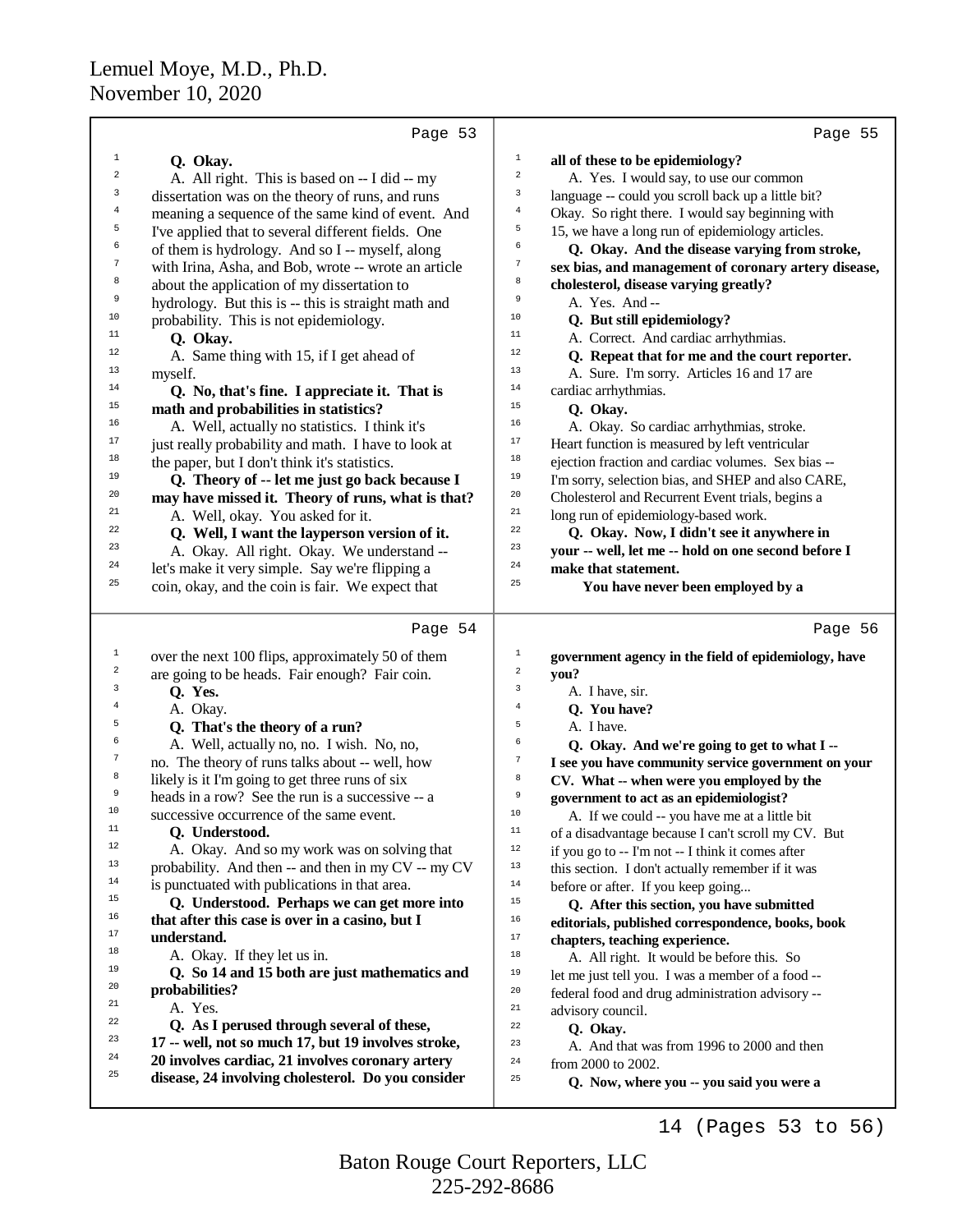|                  | Page 53                                                                                                | Page 55                                                                    |
|------------------|--------------------------------------------------------------------------------------------------------|----------------------------------------------------------------------------|
| 1                | Q. Okay.                                                                                               | 1<br>all of these to be epidemiology?                                      |
| 2                | A. All right. This is based on -- I did -- my                                                          | $\overline{\mathbf{c}}$<br>A. Yes. I would say, to use our common          |
| 3                | dissertation was on the theory of runs, and runs                                                       | 3<br>language -- could you scroll back up a little bit?                    |
| 4                | meaning a sequence of the same kind of event. And                                                      | $\,4$<br>Okay. So right there. I would say beginning with                  |
| 5                | I've applied that to several different fields. One                                                     | 5<br>15, we have a long run of epidemiology articles.                      |
| 6                | of them is hydrology. And so I -- myself, along                                                        | 6<br>Q. Okay. And the disease varying from stroke,                         |
| $\boldsymbol{7}$ | with Irina, Asha, and Bob, wrote -- wrote an article                                                   | $\boldsymbol{7}$<br>sex bias, and management of coronary artery disease,   |
| 8                | about the application of my dissertation to                                                            | 8<br>cholesterol, disease varying greatly?                                 |
| 9                | hydrology. But this is -- this is straight math and                                                    | 9<br>A. Yes. And --                                                        |
| 10               | probability. This is not epidemiology.                                                                 | 10<br>Q. But still epidemiology?                                           |
| 11               | Q. Okay.                                                                                               | 11<br>A. Correct. And cardiac arrhythmias.                                 |
| 12               | A. Same thing with 15, if I get ahead of                                                               | 12<br>Q. Repeat that for me and the court reporter.                        |
| 13               | myself.                                                                                                | 13<br>A. Sure. I'm sorry. Articles 16 and 17 are                           |
| 14               | Q. No, that's fine. I appreciate it. That is                                                           | 14<br>cardiac arrhythmias.                                                 |
| 15               | math and probabilities in statistics?                                                                  | 15<br>Q. Okay.                                                             |
| 16               | A. Well, actually no statistics. I think it's                                                          | 16<br>A. Okay. So cardiac arrhythmias, stroke.                             |
| 17               | just really probability and math. I have to look at                                                    | 17<br>Heart function is measured by left ventricular                       |
| 18               | the paper, but I don't think it's statistics.                                                          | $18\,$<br>ejection fraction and cardiac volumes. Sex bias --               |
| 19               | Q. Theory of -- let me just go back because I                                                          | 19<br>I'm sorry, selection bias, and SHEP and also CARE,                   |
| 20               | may have missed it. Theory of runs, what is that?                                                      | 20<br>Cholesterol and Recurrent Event trials, begins a                     |
| 21               | A. Well, okay. You asked for it.                                                                       | $21\,$<br>long run of epidemiology-based work.                             |
| 22               | Q. Well, I want the layperson version of it.                                                           | $\bf{22}$<br>Q. Okay. Now, I didn't see it anywhere in                     |
| 23               | A. Okay. All right. Okay. We understand --                                                             | 23<br>your -- well, let me -- hold on one second before I                  |
| 24<br>25         | let's make it very simple. Say we're flipping a                                                        | 24<br>make that statement.<br>25                                           |
|                  | coin, okay, and the coin is fair. We expect that                                                       | You have never been employed by a                                          |
|                  |                                                                                                        |                                                                            |
|                  | Page 54                                                                                                | Page 56                                                                    |
| $\mathbf{1}$     |                                                                                                        | 1                                                                          |
| 2                | over the next 100 flips, approximately 50 of them                                                      | government agency in the field of epidemiology, have<br>$\sqrt{2}$<br>you? |
| 3                | are going to be heads. Fair enough? Fair coin.<br>Q. Yes.                                              | 3<br>A. I have, sir.                                                       |
| 4                | A. Okay.                                                                                               | $\,4$<br>Q. You have?                                                      |
| 5                | Q. That's the theory of a run?                                                                         | 5<br>A. I have.                                                            |
| 6                | A. Well, actually no, no. I wish. No, no,                                                              | 6<br>Q. Okay. And we're going to get to what I --                          |
| 7                | no. The theory of runs talks about -- well, how                                                        | $\boldsymbol{7}$<br>I see you have community service government on your    |
| 8                | likely is it I'm going to get three runs of six                                                        | 8<br>CV. What -- when were you employed by the                             |
| 9                | heads in a row? See the run is a successive -- a                                                       | 9<br>government to act as an epidemiologist?                               |
| 10               | successive occurrence of the same event.                                                               | 10<br>A. If we could -- you have me at a little bit                        |
| 11               | Q. Understood.                                                                                         | $11\,$<br>of a disadvantage because I can't scroll my CV. But              |
| 12               | A. Okay. And so my work was on solving that                                                            | 12<br>if you go to -- I'm not -- I think it comes after                    |
| 13               | probability. And then -- and then in my CV -- my CV                                                    | 13<br>this section. I don't actually remember if it was                    |
| 14               | is punctuated with publications in that area.                                                          | 14<br>before or after. If you keep going                                   |
| 15               | Q. Understood. Perhaps we can get more into                                                            | 15<br>Q. After this section, you have submitted                            |
| 16               | that after this case is over in a casino, but I                                                        | 16<br>editorials, published correspondence, books, book                    |
| 17               | understand.                                                                                            | $17$<br>chapters, teaching experience.                                     |
| 18<br>19         | A. Okay. If they let us in.                                                                            | $1\,8$<br>A. All right. It would be before this. So                        |
| 20               | Q. So 14 and 15 both are just mathematics and                                                          | 19<br>let me just tell you. I was a member of a food --                    |
| 21               | probabilities?                                                                                         | 20<br>federal food and drug administration advisory --                     |
| 22               | A. Yes.                                                                                                | $2\sqrt{1}$<br>advisory council.                                           |
| 23               | Q. As I perused through several of these,                                                              | 22<br>Q. Okay.                                                             |
| 24               | 17 -- well, not so much 17, but 19 involves stroke,                                                    | 23<br>A. And that was from 1996 to 2000 and then<br>24                     |
| 25               | 20 involves cardiac, 21 involves coronary artery<br>disease, 24 involving cholesterol. Do you consider | from 2000 to 2002.<br>25<br>Q. Now, where you -- you said you were a       |

14 (Pages 53 to 56)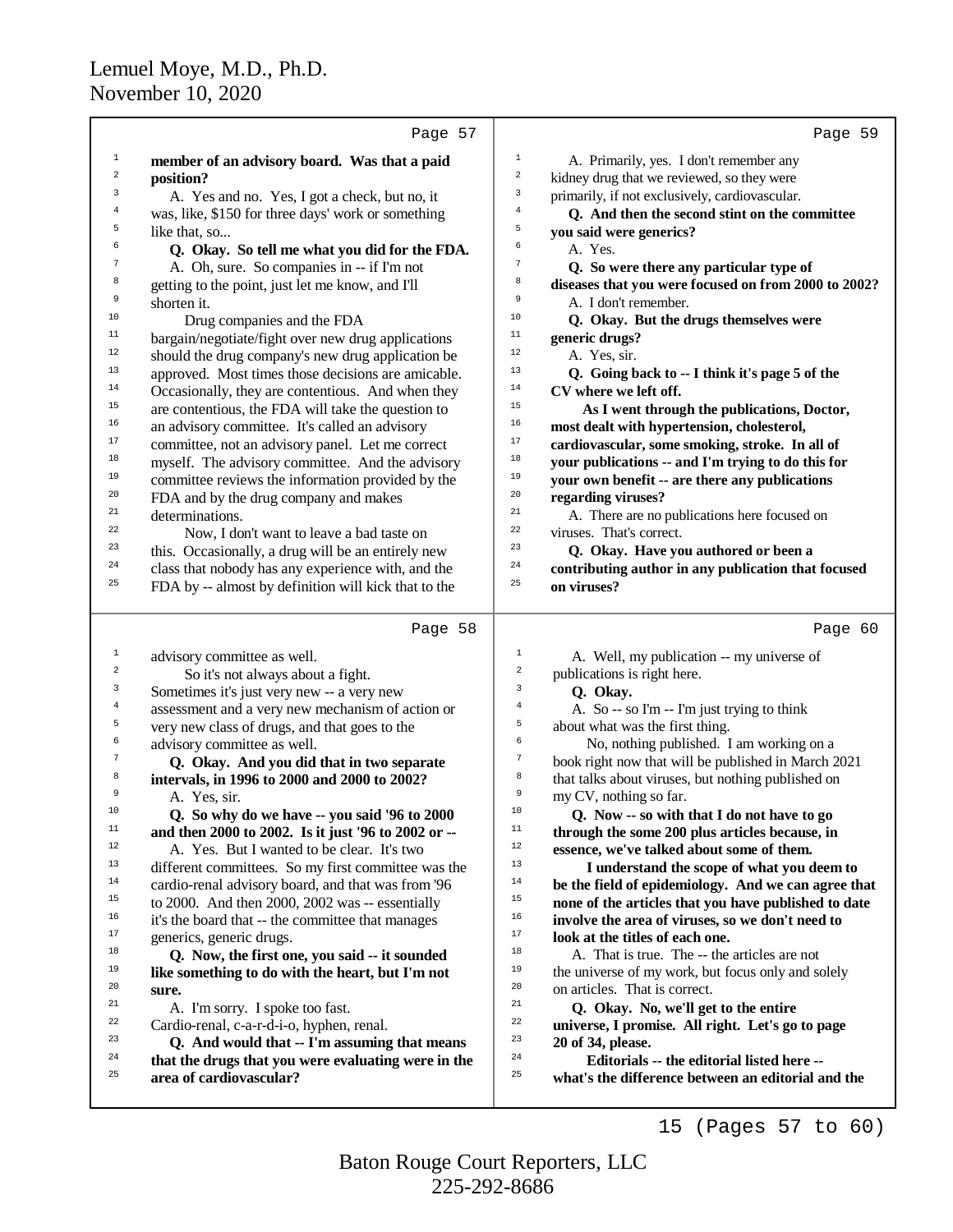|                  | Page 57                                              | Page 59                                                                     |
|------------------|------------------------------------------------------|-----------------------------------------------------------------------------|
| $\mathbf 1$      | member of an advisory board. Was that a paid         | 1<br>A. Primarily, yes. I don't remember any                                |
| $\boldsymbol{2}$ | position?                                            | $\mathbf 2$<br>kidney drug that we reviewed, so they were                   |
| 3                | A. Yes and no. Yes, I got a check, but no, it        | $\ensuremath{\mathsf{3}}$<br>primarily, if not exclusively, cardiovascular. |
| 4                | was, like, \$150 for three days' work or something   | $\,4$<br>Q. And then the second stint on the committee                      |
| 5                | like that, so                                        | 5<br>you said were generics?                                                |
| 6                | Q. Okay. So tell me what you did for the FDA.        | 6<br>A. Yes.                                                                |
| 7                | A. Oh, sure. So companies in -- if I'm not           | $\tau$<br>Q. So were there any particular type of                           |
| 8                | getting to the point, just let me know, and I'll     | 8<br>diseases that you were focused on from 2000 to 2002?                   |
| 9                | shorten it.                                          | 9<br>A. I don't remember.                                                   |
| $10$             | Drug companies and the FDA                           | 10<br>Q. Okay. But the drugs themselves were                                |
| $11$             | bargain/negotiate/fight over new drug applications   | $11$<br>generic drugs?                                                      |
| $12\,$           | should the drug company's new drug application be    | 12<br>A. Yes, sir.                                                          |
| 13               | approved. Most times those decisions are amicable.   | 13<br>Q. Going back to -- I think it's page 5 of the                        |
| 14               | Occasionally, they are contentious. And when they    | 14<br>CV where we left off.                                                 |
| 15               | are contentious, the FDA will take the question to   | $15$<br>As I went through the publications, Doctor,                         |
| 16               | an advisory committee. It's called an advisory       | 16<br>most dealt with hypertension, cholesterol,                            |
| 17               | committee, not an advisory panel. Let me correct     | $17\,$<br>cardiovascular, some smoking, stroke. In all of                   |
| 18               | myself. The advisory committee. And the advisory     | 18<br>your publications -- and I'm trying to do this for                    |
| 19               | committee reviews the information provided by the    | 19<br>your own benefit -- are there any publications                        |
| 20               | FDA and by the drug company and makes                | $20\,$<br>regarding viruses?                                                |
| 21               | determinations.                                      | 21<br>A. There are no publications here focused on                          |
| 22               | Now, I don't want to leave a bad taste on            | 22<br>viruses. That's correct.                                              |
| 23               | this. Occasionally, a drug will be an entirely new   | 23<br>Q. Okay. Have you authored or been a                                  |
| 24               | class that nobody has any experience with, and the   | 24<br>contributing author in any publication that focused                   |
| 25               | FDA by -- almost by definition will kick that to the | 25<br>on viruses?                                                           |
|                  | Page 58                                              | Page 60                                                                     |
| $\mathbf{1}$     | advisory committee as well.                          | $\mathbf{1}$<br>A. Well, my publication -- my universe of                   |
| $\overline{a}$   | So it's not always about a fight.                    | $\sqrt{2}$<br>publications is right here.                                   |
| 3                | Sometimes it's just very new -- a very new           | $\mathbf{3}$<br>Q. Okay.                                                    |
| 4                | assessment and a very new mechanism of action or     | $\overline{4}$<br>A. So -- so I'm -- I'm just trying to think               |
| 5                | very new class of drugs, and that goes to the        | 5<br>about what was the first thing.                                        |
| 6                | advisory committee as well.                          | 6<br>No, nothing published. I am working on a                               |
| 7                | Q. Okay. And you did that in two separate            | 7<br>book right now that will be published in March 2021                    |
| 8                | intervals, in 1996 to 2000 and 2000 to 2002?         | 8<br>that talks about viruses, but nothing published on                     |
| 9                | A. Yes, sir.                                         | 9<br>my CV, nothing so far.                                                 |
| 10               | Q. So why do we have -- you said '96 to 2000         | 10<br>Q. Now -- so with that I do not have to go                            |
| $11$             | and then 2000 to 2002. Is it just '96 to 2002 or --  | $11\,$<br>through the some 200 plus articles because, in                    |
| 12               | A. Yes. But I wanted to be clear. It's two           | $12$<br>essence, we've talked about some of them.                           |
| 13               | different committees. So my first committee was the  | 13<br>I understand the scope of what you deem to                            |
| 14               | cardio-renal advisory board, and that was from '96   | 14<br>be the field of epidemiology. And we can agree that                   |
| 15               | to 2000. And then 2000, 2002 was -- essentially      | $15$<br>none of the articles that you have published to date                |
| 16               | it's the board that -- the committee that manages    | 16<br>involve the area of viruses, so we don't need to                      |
| 17               | generics, generic drugs.                             | 17<br>look at the titles of each one.                                       |
| 18               | Q. Now, the first one, you said -- it sounded        | 18<br>A. That is true. The -- the articles are not                          |
| 19               | like something to do with the heart, but I'm not     | 19<br>the universe of my work, but focus only and solely                    |
| 20               | sure.                                                | 20<br>on articles. That is correct.                                         |
| 21               | A. I'm sorry. I spoke too fast.                      | 21<br>Q. Okay. No, we'll get to the entire                                  |
| 22               | Cardio-renal, c-a-r-d-i-o, hyphen, renal.            | 22<br>universe, I promise. All right. Let's go to page                      |
| 23<br>24         | Q. And would that -- I'm assuming that means         | 23<br>20 of 34, please.<br>24                                               |
| 25               | that the drugs that you were evaluating were in the  | Editorials -- the editorial listed here --<br>25                            |
|                  | area of cardiovascular?                              | what's the difference between an editorial and the                          |
|                  |                                                      |                                                                             |

15 (Pages 57 to 60)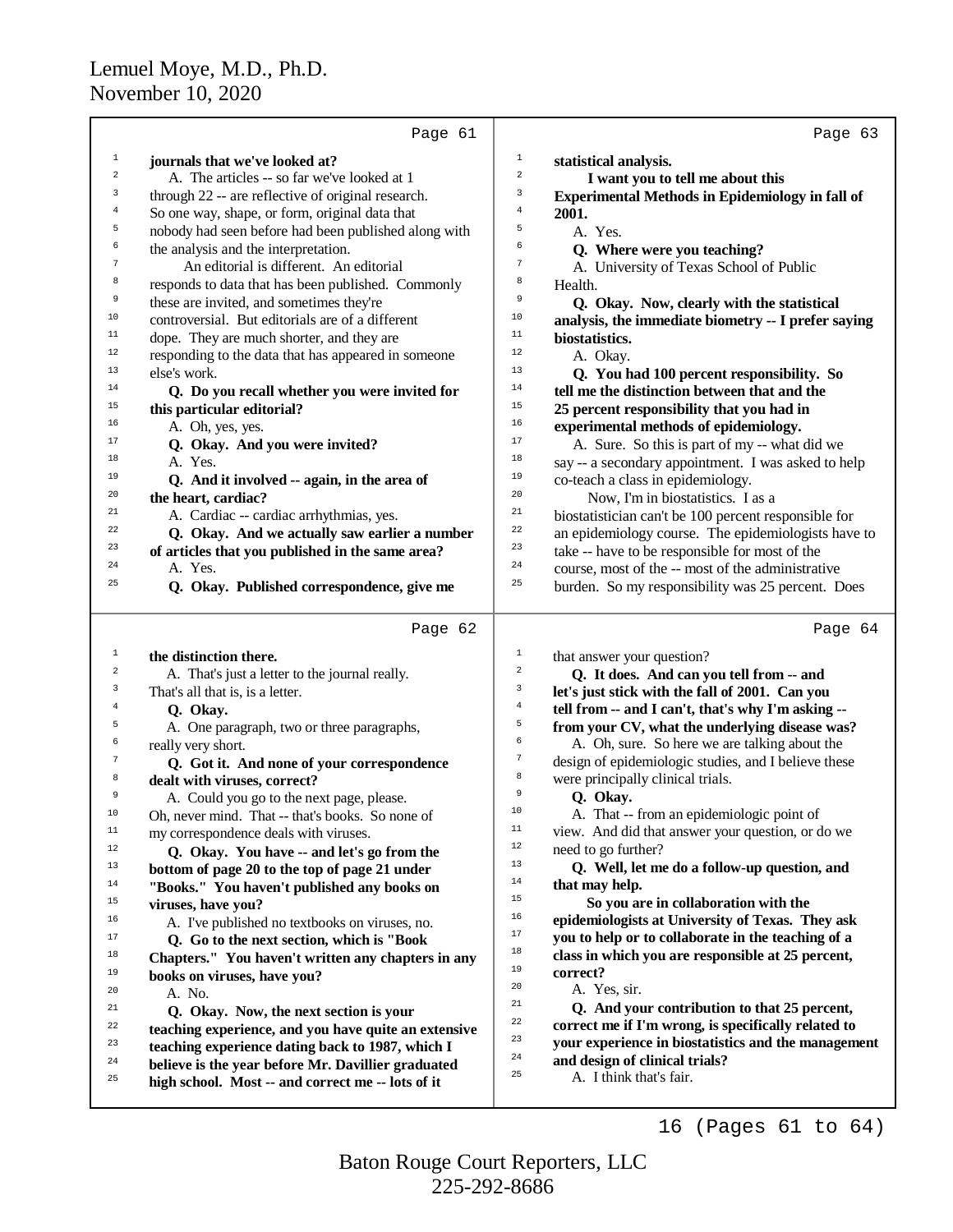|                         | Page 61                                                                                                 | Page 63                                                                                                     |
|-------------------------|---------------------------------------------------------------------------------------------------------|-------------------------------------------------------------------------------------------------------------|
| 1                       | journals that we've looked at?                                                                          | $\mathbf{1}$<br>statistical analysis.                                                                       |
| $\,2$                   | A. The articles -- so far we've looked at 1                                                             | $\overline{a}$<br>I want you to tell me about this                                                          |
| 3                       | through 22 -- are reflective of original research.                                                      | 3<br><b>Experimental Methods in Epidemiology in fall of</b>                                                 |
| $\overline{\mathbf{4}}$ | So one way, shape, or form, original data that                                                          | $\bf 4$<br>2001.                                                                                            |
| 5                       | nobody had seen before had been published along with                                                    | 5<br>A. Yes.                                                                                                |
| 6                       | the analysis and the interpretation.                                                                    | 6<br>Q. Where were you teaching?                                                                            |
| $\boldsymbol{7}$        | An editorial is different. An editorial                                                                 | $\tau$<br>A. University of Texas School of Public                                                           |
| 8                       | responds to data that has been published. Commonly                                                      | 8<br>Health.                                                                                                |
| 9                       | these are invited, and sometimes they're                                                                | 9<br>Q. Okay. Now, clearly with the statistical                                                             |
| 10                      | controversial. But editorials are of a different                                                        | 10<br>analysis, the immediate biometry -- I prefer saying                                                   |
| 11                      | dope. They are much shorter, and they are                                                               | 11<br>biostatistics.                                                                                        |
| $12 \,$                 | responding to the data that has appeared in someone                                                     | $12\,$<br>A. Okay.                                                                                          |
| 13                      | else's work.                                                                                            | 13<br>Q. You had 100 percent responsibility. So                                                             |
| 14                      | Q. Do you recall whether you were invited for                                                           | 14<br>tell me the distinction between that and the                                                          |
| 15                      | this particular editorial?                                                                              | 15<br>25 percent responsibility that you had in                                                             |
| 16                      | A. Oh, yes, yes.                                                                                        | 16<br>experimental methods of epidemiology.                                                                 |
| 17                      | Q. Okay. And you were invited?                                                                          | 17<br>A. Sure. So this is part of my -- what did we                                                         |
| 18                      | A. Yes.                                                                                                 | 18<br>say -- a secondary appointment. I was asked to help                                                   |
| 19                      | Q. And it involved -- again, in the area of                                                             | 19<br>co-teach a class in epidemiology.                                                                     |
| 20                      | the heart, cardiac?                                                                                     | 20<br>Now, I'm in biostatistics. I as a                                                                     |
| 21                      | A. Cardiac -- cardiac arrhythmias, yes.                                                                 | 21<br>biostatistician can't be 100 percent responsible for                                                  |
| 22                      | Q. Okay. And we actually saw earlier a number                                                           | 22<br>an epidemiology course. The epidemiologists have to                                                   |
| 23                      | of articles that you published in the same area?                                                        | 23<br>take -- have to be responsible for most of the                                                        |
| 24                      | A. Yes.                                                                                                 | 24<br>course, most of the -- most of the administrative                                                     |
| 25                      | Q. Okay. Published correspondence, give me                                                              | 25<br>burden. So my responsibility was 25 percent. Does                                                     |
|                         |                                                                                                         |                                                                                                             |
|                         |                                                                                                         |                                                                                                             |
|                         | Page 62                                                                                                 | Page 64                                                                                                     |
| 1                       | the distinction there.                                                                                  | $1\,$                                                                                                       |
| 2                       |                                                                                                         | that answer your question?<br>$\overline{a}$                                                                |
| 3                       | A. That's just a letter to the journal really.<br>That's all that is, is a letter.                      | Q. It does. And can you tell from -- and<br>$\mathbf{3}$<br>let's just stick with the fall of 2001. Can you |
| 4                       | Q. Okay.                                                                                                | $\overline{4}$                                                                                              |
| 5                       | A. One paragraph, two or three paragraphs,                                                              | tell from -- and I can't, that's why I'm asking --<br>5<br>from your CV, what the underlying disease was?   |
| б                       | really very short.                                                                                      | 6<br>A. Oh, sure. So here we are talking about the                                                          |
| 7                       | Q. Got it. And none of your correspondence                                                              | $\tau$<br>design of epidemiologic studies, and I believe these                                              |
| 8                       | dealt with viruses, correct?                                                                            | 8<br>were principally clinical trials.                                                                      |
| 9                       | A. Could you go to the next page, please.                                                               | 9<br>Q. Okay.                                                                                               |
| 10                      | Oh, never mind. That -- that's books. So none of                                                        | 10<br>A. That -- from an epidemiologic point of                                                             |
| 11                      | my correspondence deals with viruses.                                                                   | 11<br>view. And did that answer your question, or do we                                                     |
| 12                      | Q. Okay. You have -- and let's go from the                                                              | 12<br>need to go further?                                                                                   |
| 13                      | bottom of page 20 to the top of page 21 under                                                           | 13<br>Q. Well, let me do a follow-up question, and                                                          |
| 14                      | "Books." You haven't published any books on                                                             | 14<br>that may help.                                                                                        |
| 15                      | viruses, have you?                                                                                      | 15<br>So you are in collaboration with the                                                                  |
| 16                      |                                                                                                         | 16<br>epidemiologists at University of Texas. They ask                                                      |
| 17                      | A. I've published no textbooks on viruses, no.                                                          | 17<br>you to help or to collaborate in the teaching of a                                                    |
| 18                      | Q. Go to the next section, which is "Book<br>Chapters." You haven't written any chapters in any         | 18<br>class in which you are responsible at 25 percent,                                                     |
| 19                      | books on viruses, have you?                                                                             | 19<br>correct?                                                                                              |
| 20                      | A. No.                                                                                                  | 20<br>A. Yes, sir.                                                                                          |
| 21                      |                                                                                                         | 21<br>Q. And your contribution to that 25 percent,                                                          |
| 22                      | Q. Okay. Now, the next section is your                                                                  | 22<br>correct me if I'm wrong, is specifically related to                                                   |
| 23                      | teaching experience, and you have quite an extensive                                                    | 23<br>your experience in biostatistics and the management                                                   |
| 24                      | teaching experience dating back to 1987, which I                                                        | 24<br>and design of clinical trials?                                                                        |
| 25                      | believe is the year before Mr. Davillier graduated<br>high school. Most -- and correct me -- lots of it | 25<br>A. I think that's fair.                                                                               |

16 (Pages 61 to 64)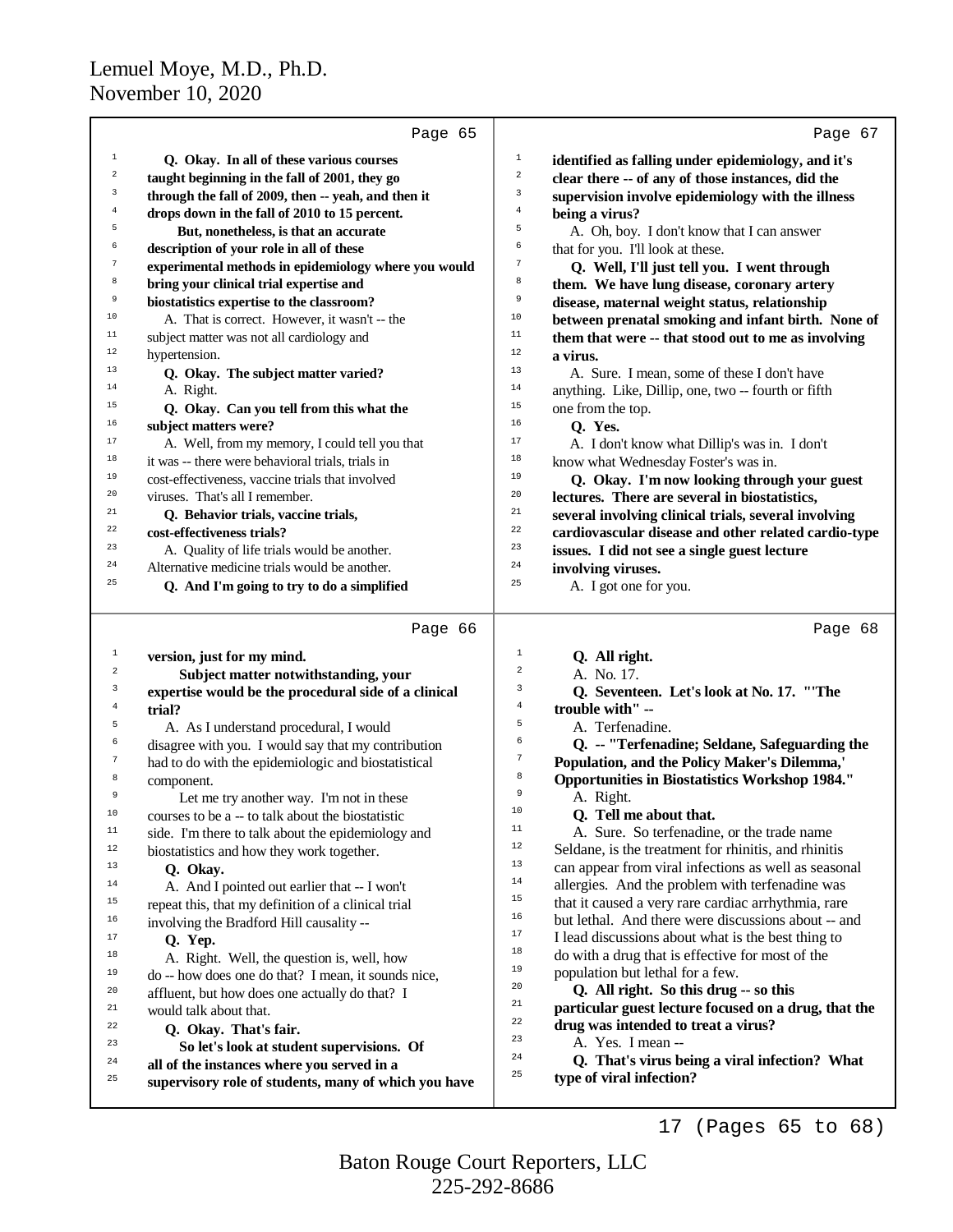| $\,1\,$<br>1<br>Q. Okay. In all of these various courses<br>identified as falling under epidemiology, and it's<br>$\overline{a}$<br>2<br>clear there -- of any of those instances, did the<br>taught beginning in the fall of 2001, they go<br>3<br>3<br>through the fall of 2009, then -- yeah, and then it<br>supervision involve epidemiology with the illness<br>4<br>$\overline{4}$<br>drops down in the fall of 2010 to 15 percent.<br>being a virus?<br>5<br>5<br>But, nonetheless, is that an accurate<br>A. Oh, boy. I don't know that I can answer<br>6<br>6<br>that for you. I'll look at these.<br>description of your role in all of these<br>7<br>7<br>experimental methods in epidemiology where you would<br>Q. Well, I'll just tell you. I went through<br>8<br>8<br>bring your clinical trial expertise and<br>them. We have lung disease, coronary artery<br>9<br>9<br>biostatistics expertise to the classroom?<br>disease, maternal weight status, relationship<br>10<br>10<br>A. That is correct. However, it wasn't -- the<br>between prenatal smoking and infant birth. None of<br>$11\,$<br>$11$<br>subject matter was not all cardiology and<br>them that were -- that stood out to me as involving<br>12<br>12<br>hypertension.<br>a virus.<br>13<br>13<br>A. Sure. I mean, some of these I don't have<br>Q. Okay. The subject matter varied?<br>14<br>14<br>A. Right.<br>anything. Like, Dillip, one, two -- fourth or fifth<br>15<br>15<br>Q. Okay. Can you tell from this what the<br>one from the top.<br>16<br>16<br>subject matters were?<br>Q. Yes.<br>17<br>17<br>A. Well, from my memory, I could tell you that<br>A. I don't know what Dillip's was in. I don't<br>18<br>18<br>it was -- there were behavioral trials, trials in<br>know what Wednesday Foster's was in.<br>19<br>19<br>cost-effectiveness, vaccine trials that involved<br>Q. Okay. I'm now looking through your guest<br>20<br>20<br>lectures. There are several in biostatistics,<br>viruses. That's all I remember.<br>$21\,$<br>21<br>several involving clinical trials, several involving<br>Q. Behavior trials, vaccine trials,<br>22<br>22<br>cardiovascular disease and other related cardio-type<br>cost-effectiveness trials?<br>23<br>23<br>A. Quality of life trials would be another.<br>issues. I did not see a single guest lecture<br>$\bf{24}$<br>24<br>Alternative medicine trials would be another.<br>involving viruses.<br>25<br>25<br>Q. And I'm going to try to do a simplified<br>A. I got one for you.<br>Page 66<br>Page 68<br>$1\,$<br>$\mathbf{1}$<br>version, just for my mind.<br>Q. All right.<br>2<br>2<br>Subject matter notwithstanding, your<br>A. No. 17.<br>3<br>3<br>Q. Seventeen. Let's look at No. 17. "The<br>expertise would be the procedural side of a clinical<br>4<br>trouble with" --<br>4<br>trial?<br>5<br>5<br>A. Terfenadine.<br>A. As I understand procedural, I would<br>6<br>6<br>Q. -- "Terfenadine; Seldane, Safeguarding the<br>disagree with you. I would say that my contribution<br>7<br>7<br>Population, and the Policy Maker's Dilemma,'<br>had to do with the epidemiologic and biostatistical<br>8<br><b>Opportunities in Biostatistics Workshop 1984."</b><br>8<br>component.<br>9<br>9<br>A. Right.<br>Let me try another way. I'm not in these<br>10<br>Q. Tell me about that.<br>10<br>courses to be a -- to talk about the biostatistic<br>11<br>A. Sure. So terfenadine, or the trade name<br>11<br>side. I'm there to talk about the epidemiology and<br>12<br>Seldane, is the treatment for rhinitis, and rhinitis<br>12<br>biostatistics and how they work together.<br>13<br>13<br>can appear from viral infections as well as seasonal<br>Q. Okay.<br>14<br>allergies. And the problem with terfenadine was<br>14<br>A. And I pointed out earlier that -- I won't<br>15<br>that it caused a very rare cardiac arrhythmia, rare<br>15<br>repeat this, that my definition of a clinical trial<br>16<br>but lethal. And there were discussions about -- and<br>16<br>involving the Bradford Hill causality --<br>17<br>I lead discussions about what is the best thing to<br>17<br>Q. Yep.<br>18<br>do with a drug that is effective for most of the<br>18<br>A. Right. Well, the question is, well, how<br>19<br>population but lethal for a few.<br>19<br>do -- how does one do that? I mean, it sounds nice,<br>20<br>Q. All right. So this drug -- so this<br>20<br>affluent, but how does one actually do that? I<br>21<br>particular guest lecture focused on a drug, that the<br>21<br>would talk about that.<br>22<br>drug was intended to treat a virus?<br>22<br>Q. Okay. That's fair.<br>23<br>A. Yes. I mean --<br>23<br>So let's look at student supervisions. Of<br>24<br>Q. That's virus being a viral infection? What<br>24<br>all of the instances where you served in a<br>25<br>type of viral infection?<br>25<br>supervisory role of students, many of which you have | Page 65 | Page 67 |
|-------------------------------------------------------------------------------------------------------------------------------------------------------------------------------------------------------------------------------------------------------------------------------------------------------------------------------------------------------------------------------------------------------------------------------------------------------------------------------------------------------------------------------------------------------------------------------------------------------------------------------------------------------------------------------------------------------------------------------------------------------------------------------------------------------------------------------------------------------------------------------------------------------------------------------------------------------------------------------------------------------------------------------------------------------------------------------------------------------------------------------------------------------------------------------------------------------------------------------------------------------------------------------------------------------------------------------------------------------------------------------------------------------------------------------------------------------------------------------------------------------------------------------------------------------------------------------------------------------------------------------------------------------------------------------------------------------------------------------------------------------------------------------------------------------------------------------------------------------------------------------------------------------------------------------------------------------------------------------------------------------------------------------------------------------------------------------------------------------------------------------------------------------------------------------------------------------------------------------------------------------------------------------------------------------------------------------------------------------------------------------------------------------------------------------------------------------------------------------------------------------------------------------------------------------------------------------------------------------------------------------------------------------------------------------------------------------------------------------------------------------------------------------------------------------------------------------------------------------------------------------------------------------------------------------------------------------------------------------------------------------------------------------------------------------------------------------------------------------------------------------------------------------------------------------------------------------------------------------------------------------------------------------------------------------------------------------------------------------------------------------------------------------------------------------------------------------------------------------------------------------------------------------------------------------------------------------------------------------------------------------------------------------------------------------------------------------------------------------------------------------------------------------------------------------------------------------------------------------------------------------------------------------------------------------------------------------------------------------------------------------------------------------------------------------------------------------------------------------------------------------------------------------------------------------------------------------------------------------------------------------------------------------------------------------------------------------------------------------------------------------------------------------------------------------------------------------------------------------------------------------------------------------------------------------------------------------------------------------------------------------------------------------------------------------------------------------------------------------------------------------------------------------------------------------------------------------------------------------------------------------------------------------------------------------------------------------------------------|---------|---------|
|                                                                                                                                                                                                                                                                                                                                                                                                                                                                                                                                                                                                                                                                                                                                                                                                                                                                                                                                                                                                                                                                                                                                                                                                                                                                                                                                                                                                                                                                                                                                                                                                                                                                                                                                                                                                                                                                                                                                                                                                                                                                                                                                                                                                                                                                                                                                                                                                                                                                                                                                                                                                                                                                                                                                                                                                                                                                                                                                                                                                                                                                                                                                                                                                                                                                                                                                                                                                                                                                                                                                                                                                                                                                                                                                                                                                                                                                                                                                                                                                                                                                                                                                                                                                                                                                                                                                                                                                                                                                                                                                                                                                                                                                                                                                                                                                                                                                                                                                                                         |         |         |
|                                                                                                                                                                                                                                                                                                                                                                                                                                                                                                                                                                                                                                                                                                                                                                                                                                                                                                                                                                                                                                                                                                                                                                                                                                                                                                                                                                                                                                                                                                                                                                                                                                                                                                                                                                                                                                                                                                                                                                                                                                                                                                                                                                                                                                                                                                                                                                                                                                                                                                                                                                                                                                                                                                                                                                                                                                                                                                                                                                                                                                                                                                                                                                                                                                                                                                                                                                                                                                                                                                                                                                                                                                                                                                                                                                                                                                                                                                                                                                                                                                                                                                                                                                                                                                                                                                                                                                                                                                                                                                                                                                                                                                                                                                                                                                                                                                                                                                                                                                         |         |         |
|                                                                                                                                                                                                                                                                                                                                                                                                                                                                                                                                                                                                                                                                                                                                                                                                                                                                                                                                                                                                                                                                                                                                                                                                                                                                                                                                                                                                                                                                                                                                                                                                                                                                                                                                                                                                                                                                                                                                                                                                                                                                                                                                                                                                                                                                                                                                                                                                                                                                                                                                                                                                                                                                                                                                                                                                                                                                                                                                                                                                                                                                                                                                                                                                                                                                                                                                                                                                                                                                                                                                                                                                                                                                                                                                                                                                                                                                                                                                                                                                                                                                                                                                                                                                                                                                                                                                                                                                                                                                                                                                                                                                                                                                                                                                                                                                                                                                                                                                                                         |         |         |
|                                                                                                                                                                                                                                                                                                                                                                                                                                                                                                                                                                                                                                                                                                                                                                                                                                                                                                                                                                                                                                                                                                                                                                                                                                                                                                                                                                                                                                                                                                                                                                                                                                                                                                                                                                                                                                                                                                                                                                                                                                                                                                                                                                                                                                                                                                                                                                                                                                                                                                                                                                                                                                                                                                                                                                                                                                                                                                                                                                                                                                                                                                                                                                                                                                                                                                                                                                                                                                                                                                                                                                                                                                                                                                                                                                                                                                                                                                                                                                                                                                                                                                                                                                                                                                                                                                                                                                                                                                                                                                                                                                                                                                                                                                                                                                                                                                                                                                                                                                         |         |         |
|                                                                                                                                                                                                                                                                                                                                                                                                                                                                                                                                                                                                                                                                                                                                                                                                                                                                                                                                                                                                                                                                                                                                                                                                                                                                                                                                                                                                                                                                                                                                                                                                                                                                                                                                                                                                                                                                                                                                                                                                                                                                                                                                                                                                                                                                                                                                                                                                                                                                                                                                                                                                                                                                                                                                                                                                                                                                                                                                                                                                                                                                                                                                                                                                                                                                                                                                                                                                                                                                                                                                                                                                                                                                                                                                                                                                                                                                                                                                                                                                                                                                                                                                                                                                                                                                                                                                                                                                                                                                                                                                                                                                                                                                                                                                                                                                                                                                                                                                                                         |         |         |
|                                                                                                                                                                                                                                                                                                                                                                                                                                                                                                                                                                                                                                                                                                                                                                                                                                                                                                                                                                                                                                                                                                                                                                                                                                                                                                                                                                                                                                                                                                                                                                                                                                                                                                                                                                                                                                                                                                                                                                                                                                                                                                                                                                                                                                                                                                                                                                                                                                                                                                                                                                                                                                                                                                                                                                                                                                                                                                                                                                                                                                                                                                                                                                                                                                                                                                                                                                                                                                                                                                                                                                                                                                                                                                                                                                                                                                                                                                                                                                                                                                                                                                                                                                                                                                                                                                                                                                                                                                                                                                                                                                                                                                                                                                                                                                                                                                                                                                                                                                         |         |         |
|                                                                                                                                                                                                                                                                                                                                                                                                                                                                                                                                                                                                                                                                                                                                                                                                                                                                                                                                                                                                                                                                                                                                                                                                                                                                                                                                                                                                                                                                                                                                                                                                                                                                                                                                                                                                                                                                                                                                                                                                                                                                                                                                                                                                                                                                                                                                                                                                                                                                                                                                                                                                                                                                                                                                                                                                                                                                                                                                                                                                                                                                                                                                                                                                                                                                                                                                                                                                                                                                                                                                                                                                                                                                                                                                                                                                                                                                                                                                                                                                                                                                                                                                                                                                                                                                                                                                                                                                                                                                                                                                                                                                                                                                                                                                                                                                                                                                                                                                                                         |         |         |
|                                                                                                                                                                                                                                                                                                                                                                                                                                                                                                                                                                                                                                                                                                                                                                                                                                                                                                                                                                                                                                                                                                                                                                                                                                                                                                                                                                                                                                                                                                                                                                                                                                                                                                                                                                                                                                                                                                                                                                                                                                                                                                                                                                                                                                                                                                                                                                                                                                                                                                                                                                                                                                                                                                                                                                                                                                                                                                                                                                                                                                                                                                                                                                                                                                                                                                                                                                                                                                                                                                                                                                                                                                                                                                                                                                                                                                                                                                                                                                                                                                                                                                                                                                                                                                                                                                                                                                                                                                                                                                                                                                                                                                                                                                                                                                                                                                                                                                                                                                         |         |         |
|                                                                                                                                                                                                                                                                                                                                                                                                                                                                                                                                                                                                                                                                                                                                                                                                                                                                                                                                                                                                                                                                                                                                                                                                                                                                                                                                                                                                                                                                                                                                                                                                                                                                                                                                                                                                                                                                                                                                                                                                                                                                                                                                                                                                                                                                                                                                                                                                                                                                                                                                                                                                                                                                                                                                                                                                                                                                                                                                                                                                                                                                                                                                                                                                                                                                                                                                                                                                                                                                                                                                                                                                                                                                                                                                                                                                                                                                                                                                                                                                                                                                                                                                                                                                                                                                                                                                                                                                                                                                                                                                                                                                                                                                                                                                                                                                                                                                                                                                                                         |         |         |
|                                                                                                                                                                                                                                                                                                                                                                                                                                                                                                                                                                                                                                                                                                                                                                                                                                                                                                                                                                                                                                                                                                                                                                                                                                                                                                                                                                                                                                                                                                                                                                                                                                                                                                                                                                                                                                                                                                                                                                                                                                                                                                                                                                                                                                                                                                                                                                                                                                                                                                                                                                                                                                                                                                                                                                                                                                                                                                                                                                                                                                                                                                                                                                                                                                                                                                                                                                                                                                                                                                                                                                                                                                                                                                                                                                                                                                                                                                                                                                                                                                                                                                                                                                                                                                                                                                                                                                                                                                                                                                                                                                                                                                                                                                                                                                                                                                                                                                                                                                         |         |         |
|                                                                                                                                                                                                                                                                                                                                                                                                                                                                                                                                                                                                                                                                                                                                                                                                                                                                                                                                                                                                                                                                                                                                                                                                                                                                                                                                                                                                                                                                                                                                                                                                                                                                                                                                                                                                                                                                                                                                                                                                                                                                                                                                                                                                                                                                                                                                                                                                                                                                                                                                                                                                                                                                                                                                                                                                                                                                                                                                                                                                                                                                                                                                                                                                                                                                                                                                                                                                                                                                                                                                                                                                                                                                                                                                                                                                                                                                                                                                                                                                                                                                                                                                                                                                                                                                                                                                                                                                                                                                                                                                                                                                                                                                                                                                                                                                                                                                                                                                                                         |         |         |
|                                                                                                                                                                                                                                                                                                                                                                                                                                                                                                                                                                                                                                                                                                                                                                                                                                                                                                                                                                                                                                                                                                                                                                                                                                                                                                                                                                                                                                                                                                                                                                                                                                                                                                                                                                                                                                                                                                                                                                                                                                                                                                                                                                                                                                                                                                                                                                                                                                                                                                                                                                                                                                                                                                                                                                                                                                                                                                                                                                                                                                                                                                                                                                                                                                                                                                                                                                                                                                                                                                                                                                                                                                                                                                                                                                                                                                                                                                                                                                                                                                                                                                                                                                                                                                                                                                                                                                                                                                                                                                                                                                                                                                                                                                                                                                                                                                                                                                                                                                         |         |         |
|                                                                                                                                                                                                                                                                                                                                                                                                                                                                                                                                                                                                                                                                                                                                                                                                                                                                                                                                                                                                                                                                                                                                                                                                                                                                                                                                                                                                                                                                                                                                                                                                                                                                                                                                                                                                                                                                                                                                                                                                                                                                                                                                                                                                                                                                                                                                                                                                                                                                                                                                                                                                                                                                                                                                                                                                                                                                                                                                                                                                                                                                                                                                                                                                                                                                                                                                                                                                                                                                                                                                                                                                                                                                                                                                                                                                                                                                                                                                                                                                                                                                                                                                                                                                                                                                                                                                                                                                                                                                                                                                                                                                                                                                                                                                                                                                                                                                                                                                                                         |         |         |
|                                                                                                                                                                                                                                                                                                                                                                                                                                                                                                                                                                                                                                                                                                                                                                                                                                                                                                                                                                                                                                                                                                                                                                                                                                                                                                                                                                                                                                                                                                                                                                                                                                                                                                                                                                                                                                                                                                                                                                                                                                                                                                                                                                                                                                                                                                                                                                                                                                                                                                                                                                                                                                                                                                                                                                                                                                                                                                                                                                                                                                                                                                                                                                                                                                                                                                                                                                                                                                                                                                                                                                                                                                                                                                                                                                                                                                                                                                                                                                                                                                                                                                                                                                                                                                                                                                                                                                                                                                                                                                                                                                                                                                                                                                                                                                                                                                                                                                                                                                         |         |         |
|                                                                                                                                                                                                                                                                                                                                                                                                                                                                                                                                                                                                                                                                                                                                                                                                                                                                                                                                                                                                                                                                                                                                                                                                                                                                                                                                                                                                                                                                                                                                                                                                                                                                                                                                                                                                                                                                                                                                                                                                                                                                                                                                                                                                                                                                                                                                                                                                                                                                                                                                                                                                                                                                                                                                                                                                                                                                                                                                                                                                                                                                                                                                                                                                                                                                                                                                                                                                                                                                                                                                                                                                                                                                                                                                                                                                                                                                                                                                                                                                                                                                                                                                                                                                                                                                                                                                                                                                                                                                                                                                                                                                                                                                                                                                                                                                                                                                                                                                                                         |         |         |
|                                                                                                                                                                                                                                                                                                                                                                                                                                                                                                                                                                                                                                                                                                                                                                                                                                                                                                                                                                                                                                                                                                                                                                                                                                                                                                                                                                                                                                                                                                                                                                                                                                                                                                                                                                                                                                                                                                                                                                                                                                                                                                                                                                                                                                                                                                                                                                                                                                                                                                                                                                                                                                                                                                                                                                                                                                                                                                                                                                                                                                                                                                                                                                                                                                                                                                                                                                                                                                                                                                                                                                                                                                                                                                                                                                                                                                                                                                                                                                                                                                                                                                                                                                                                                                                                                                                                                                                                                                                                                                                                                                                                                                                                                                                                                                                                                                                                                                                                                                         |         |         |
|                                                                                                                                                                                                                                                                                                                                                                                                                                                                                                                                                                                                                                                                                                                                                                                                                                                                                                                                                                                                                                                                                                                                                                                                                                                                                                                                                                                                                                                                                                                                                                                                                                                                                                                                                                                                                                                                                                                                                                                                                                                                                                                                                                                                                                                                                                                                                                                                                                                                                                                                                                                                                                                                                                                                                                                                                                                                                                                                                                                                                                                                                                                                                                                                                                                                                                                                                                                                                                                                                                                                                                                                                                                                                                                                                                                                                                                                                                                                                                                                                                                                                                                                                                                                                                                                                                                                                                                                                                                                                                                                                                                                                                                                                                                                                                                                                                                                                                                                                                         |         |         |
|                                                                                                                                                                                                                                                                                                                                                                                                                                                                                                                                                                                                                                                                                                                                                                                                                                                                                                                                                                                                                                                                                                                                                                                                                                                                                                                                                                                                                                                                                                                                                                                                                                                                                                                                                                                                                                                                                                                                                                                                                                                                                                                                                                                                                                                                                                                                                                                                                                                                                                                                                                                                                                                                                                                                                                                                                                                                                                                                                                                                                                                                                                                                                                                                                                                                                                                                                                                                                                                                                                                                                                                                                                                                                                                                                                                                                                                                                                                                                                                                                                                                                                                                                                                                                                                                                                                                                                                                                                                                                                                                                                                                                                                                                                                                                                                                                                                                                                                                                                         |         |         |
|                                                                                                                                                                                                                                                                                                                                                                                                                                                                                                                                                                                                                                                                                                                                                                                                                                                                                                                                                                                                                                                                                                                                                                                                                                                                                                                                                                                                                                                                                                                                                                                                                                                                                                                                                                                                                                                                                                                                                                                                                                                                                                                                                                                                                                                                                                                                                                                                                                                                                                                                                                                                                                                                                                                                                                                                                                                                                                                                                                                                                                                                                                                                                                                                                                                                                                                                                                                                                                                                                                                                                                                                                                                                                                                                                                                                                                                                                                                                                                                                                                                                                                                                                                                                                                                                                                                                                                                                                                                                                                                                                                                                                                                                                                                                                                                                                                                                                                                                                                         |         |         |
|                                                                                                                                                                                                                                                                                                                                                                                                                                                                                                                                                                                                                                                                                                                                                                                                                                                                                                                                                                                                                                                                                                                                                                                                                                                                                                                                                                                                                                                                                                                                                                                                                                                                                                                                                                                                                                                                                                                                                                                                                                                                                                                                                                                                                                                                                                                                                                                                                                                                                                                                                                                                                                                                                                                                                                                                                                                                                                                                                                                                                                                                                                                                                                                                                                                                                                                                                                                                                                                                                                                                                                                                                                                                                                                                                                                                                                                                                                                                                                                                                                                                                                                                                                                                                                                                                                                                                                                                                                                                                                                                                                                                                                                                                                                                                                                                                                                                                                                                                                         |         |         |
|                                                                                                                                                                                                                                                                                                                                                                                                                                                                                                                                                                                                                                                                                                                                                                                                                                                                                                                                                                                                                                                                                                                                                                                                                                                                                                                                                                                                                                                                                                                                                                                                                                                                                                                                                                                                                                                                                                                                                                                                                                                                                                                                                                                                                                                                                                                                                                                                                                                                                                                                                                                                                                                                                                                                                                                                                                                                                                                                                                                                                                                                                                                                                                                                                                                                                                                                                                                                                                                                                                                                                                                                                                                                                                                                                                                                                                                                                                                                                                                                                                                                                                                                                                                                                                                                                                                                                                                                                                                                                                                                                                                                                                                                                                                                                                                                                                                                                                                                                                         |         |         |
|                                                                                                                                                                                                                                                                                                                                                                                                                                                                                                                                                                                                                                                                                                                                                                                                                                                                                                                                                                                                                                                                                                                                                                                                                                                                                                                                                                                                                                                                                                                                                                                                                                                                                                                                                                                                                                                                                                                                                                                                                                                                                                                                                                                                                                                                                                                                                                                                                                                                                                                                                                                                                                                                                                                                                                                                                                                                                                                                                                                                                                                                                                                                                                                                                                                                                                                                                                                                                                                                                                                                                                                                                                                                                                                                                                                                                                                                                                                                                                                                                                                                                                                                                                                                                                                                                                                                                                                                                                                                                                                                                                                                                                                                                                                                                                                                                                                                                                                                                                         |         |         |
|                                                                                                                                                                                                                                                                                                                                                                                                                                                                                                                                                                                                                                                                                                                                                                                                                                                                                                                                                                                                                                                                                                                                                                                                                                                                                                                                                                                                                                                                                                                                                                                                                                                                                                                                                                                                                                                                                                                                                                                                                                                                                                                                                                                                                                                                                                                                                                                                                                                                                                                                                                                                                                                                                                                                                                                                                                                                                                                                                                                                                                                                                                                                                                                                                                                                                                                                                                                                                                                                                                                                                                                                                                                                                                                                                                                                                                                                                                                                                                                                                                                                                                                                                                                                                                                                                                                                                                                                                                                                                                                                                                                                                                                                                                                                                                                                                                                                                                                                                                         |         |         |
|                                                                                                                                                                                                                                                                                                                                                                                                                                                                                                                                                                                                                                                                                                                                                                                                                                                                                                                                                                                                                                                                                                                                                                                                                                                                                                                                                                                                                                                                                                                                                                                                                                                                                                                                                                                                                                                                                                                                                                                                                                                                                                                                                                                                                                                                                                                                                                                                                                                                                                                                                                                                                                                                                                                                                                                                                                                                                                                                                                                                                                                                                                                                                                                                                                                                                                                                                                                                                                                                                                                                                                                                                                                                                                                                                                                                                                                                                                                                                                                                                                                                                                                                                                                                                                                                                                                                                                                                                                                                                                                                                                                                                                                                                                                                                                                                                                                                                                                                                                         |         |         |
|                                                                                                                                                                                                                                                                                                                                                                                                                                                                                                                                                                                                                                                                                                                                                                                                                                                                                                                                                                                                                                                                                                                                                                                                                                                                                                                                                                                                                                                                                                                                                                                                                                                                                                                                                                                                                                                                                                                                                                                                                                                                                                                                                                                                                                                                                                                                                                                                                                                                                                                                                                                                                                                                                                                                                                                                                                                                                                                                                                                                                                                                                                                                                                                                                                                                                                                                                                                                                                                                                                                                                                                                                                                                                                                                                                                                                                                                                                                                                                                                                                                                                                                                                                                                                                                                                                                                                                                                                                                                                                                                                                                                                                                                                                                                                                                                                                                                                                                                                                         |         |         |
|                                                                                                                                                                                                                                                                                                                                                                                                                                                                                                                                                                                                                                                                                                                                                                                                                                                                                                                                                                                                                                                                                                                                                                                                                                                                                                                                                                                                                                                                                                                                                                                                                                                                                                                                                                                                                                                                                                                                                                                                                                                                                                                                                                                                                                                                                                                                                                                                                                                                                                                                                                                                                                                                                                                                                                                                                                                                                                                                                                                                                                                                                                                                                                                                                                                                                                                                                                                                                                                                                                                                                                                                                                                                                                                                                                                                                                                                                                                                                                                                                                                                                                                                                                                                                                                                                                                                                                                                                                                                                                                                                                                                                                                                                                                                                                                                                                                                                                                                                                         |         |         |
|                                                                                                                                                                                                                                                                                                                                                                                                                                                                                                                                                                                                                                                                                                                                                                                                                                                                                                                                                                                                                                                                                                                                                                                                                                                                                                                                                                                                                                                                                                                                                                                                                                                                                                                                                                                                                                                                                                                                                                                                                                                                                                                                                                                                                                                                                                                                                                                                                                                                                                                                                                                                                                                                                                                                                                                                                                                                                                                                                                                                                                                                                                                                                                                                                                                                                                                                                                                                                                                                                                                                                                                                                                                                                                                                                                                                                                                                                                                                                                                                                                                                                                                                                                                                                                                                                                                                                                                                                                                                                                                                                                                                                                                                                                                                                                                                                                                                                                                                                                         |         |         |
|                                                                                                                                                                                                                                                                                                                                                                                                                                                                                                                                                                                                                                                                                                                                                                                                                                                                                                                                                                                                                                                                                                                                                                                                                                                                                                                                                                                                                                                                                                                                                                                                                                                                                                                                                                                                                                                                                                                                                                                                                                                                                                                                                                                                                                                                                                                                                                                                                                                                                                                                                                                                                                                                                                                                                                                                                                                                                                                                                                                                                                                                                                                                                                                                                                                                                                                                                                                                                                                                                                                                                                                                                                                                                                                                                                                                                                                                                                                                                                                                                                                                                                                                                                                                                                                                                                                                                                                                                                                                                                                                                                                                                                                                                                                                                                                                                                                                                                                                                                         |         |         |
|                                                                                                                                                                                                                                                                                                                                                                                                                                                                                                                                                                                                                                                                                                                                                                                                                                                                                                                                                                                                                                                                                                                                                                                                                                                                                                                                                                                                                                                                                                                                                                                                                                                                                                                                                                                                                                                                                                                                                                                                                                                                                                                                                                                                                                                                                                                                                                                                                                                                                                                                                                                                                                                                                                                                                                                                                                                                                                                                                                                                                                                                                                                                                                                                                                                                                                                                                                                                                                                                                                                                                                                                                                                                                                                                                                                                                                                                                                                                                                                                                                                                                                                                                                                                                                                                                                                                                                                                                                                                                                                                                                                                                                                                                                                                                                                                                                                                                                                                                                         |         |         |
|                                                                                                                                                                                                                                                                                                                                                                                                                                                                                                                                                                                                                                                                                                                                                                                                                                                                                                                                                                                                                                                                                                                                                                                                                                                                                                                                                                                                                                                                                                                                                                                                                                                                                                                                                                                                                                                                                                                                                                                                                                                                                                                                                                                                                                                                                                                                                                                                                                                                                                                                                                                                                                                                                                                                                                                                                                                                                                                                                                                                                                                                                                                                                                                                                                                                                                                                                                                                                                                                                                                                                                                                                                                                                                                                                                                                                                                                                                                                                                                                                                                                                                                                                                                                                                                                                                                                                                                                                                                                                                                                                                                                                                                                                                                                                                                                                                                                                                                                                                         |         |         |
|                                                                                                                                                                                                                                                                                                                                                                                                                                                                                                                                                                                                                                                                                                                                                                                                                                                                                                                                                                                                                                                                                                                                                                                                                                                                                                                                                                                                                                                                                                                                                                                                                                                                                                                                                                                                                                                                                                                                                                                                                                                                                                                                                                                                                                                                                                                                                                                                                                                                                                                                                                                                                                                                                                                                                                                                                                                                                                                                                                                                                                                                                                                                                                                                                                                                                                                                                                                                                                                                                                                                                                                                                                                                                                                                                                                                                                                                                                                                                                                                                                                                                                                                                                                                                                                                                                                                                                                                                                                                                                                                                                                                                                                                                                                                                                                                                                                                                                                                                                         |         |         |
|                                                                                                                                                                                                                                                                                                                                                                                                                                                                                                                                                                                                                                                                                                                                                                                                                                                                                                                                                                                                                                                                                                                                                                                                                                                                                                                                                                                                                                                                                                                                                                                                                                                                                                                                                                                                                                                                                                                                                                                                                                                                                                                                                                                                                                                                                                                                                                                                                                                                                                                                                                                                                                                                                                                                                                                                                                                                                                                                                                                                                                                                                                                                                                                                                                                                                                                                                                                                                                                                                                                                                                                                                                                                                                                                                                                                                                                                                                                                                                                                                                                                                                                                                                                                                                                                                                                                                                                                                                                                                                                                                                                                                                                                                                                                                                                                                                                                                                                                                                         |         |         |
|                                                                                                                                                                                                                                                                                                                                                                                                                                                                                                                                                                                                                                                                                                                                                                                                                                                                                                                                                                                                                                                                                                                                                                                                                                                                                                                                                                                                                                                                                                                                                                                                                                                                                                                                                                                                                                                                                                                                                                                                                                                                                                                                                                                                                                                                                                                                                                                                                                                                                                                                                                                                                                                                                                                                                                                                                                                                                                                                                                                                                                                                                                                                                                                                                                                                                                                                                                                                                                                                                                                                                                                                                                                                                                                                                                                                                                                                                                                                                                                                                                                                                                                                                                                                                                                                                                                                                                                                                                                                                                                                                                                                                                                                                                                                                                                                                                                                                                                                                                         |         |         |
|                                                                                                                                                                                                                                                                                                                                                                                                                                                                                                                                                                                                                                                                                                                                                                                                                                                                                                                                                                                                                                                                                                                                                                                                                                                                                                                                                                                                                                                                                                                                                                                                                                                                                                                                                                                                                                                                                                                                                                                                                                                                                                                                                                                                                                                                                                                                                                                                                                                                                                                                                                                                                                                                                                                                                                                                                                                                                                                                                                                                                                                                                                                                                                                                                                                                                                                                                                                                                                                                                                                                                                                                                                                                                                                                                                                                                                                                                                                                                                                                                                                                                                                                                                                                                                                                                                                                                                                                                                                                                                                                                                                                                                                                                                                                                                                                                                                                                                                                                                         |         |         |
|                                                                                                                                                                                                                                                                                                                                                                                                                                                                                                                                                                                                                                                                                                                                                                                                                                                                                                                                                                                                                                                                                                                                                                                                                                                                                                                                                                                                                                                                                                                                                                                                                                                                                                                                                                                                                                                                                                                                                                                                                                                                                                                                                                                                                                                                                                                                                                                                                                                                                                                                                                                                                                                                                                                                                                                                                                                                                                                                                                                                                                                                                                                                                                                                                                                                                                                                                                                                                                                                                                                                                                                                                                                                                                                                                                                                                                                                                                                                                                                                                                                                                                                                                                                                                                                                                                                                                                                                                                                                                                                                                                                                                                                                                                                                                                                                                                                                                                                                                                         |         |         |
|                                                                                                                                                                                                                                                                                                                                                                                                                                                                                                                                                                                                                                                                                                                                                                                                                                                                                                                                                                                                                                                                                                                                                                                                                                                                                                                                                                                                                                                                                                                                                                                                                                                                                                                                                                                                                                                                                                                                                                                                                                                                                                                                                                                                                                                                                                                                                                                                                                                                                                                                                                                                                                                                                                                                                                                                                                                                                                                                                                                                                                                                                                                                                                                                                                                                                                                                                                                                                                                                                                                                                                                                                                                                                                                                                                                                                                                                                                                                                                                                                                                                                                                                                                                                                                                                                                                                                                                                                                                                                                                                                                                                                                                                                                                                                                                                                                                                                                                                                                         |         |         |
|                                                                                                                                                                                                                                                                                                                                                                                                                                                                                                                                                                                                                                                                                                                                                                                                                                                                                                                                                                                                                                                                                                                                                                                                                                                                                                                                                                                                                                                                                                                                                                                                                                                                                                                                                                                                                                                                                                                                                                                                                                                                                                                                                                                                                                                                                                                                                                                                                                                                                                                                                                                                                                                                                                                                                                                                                                                                                                                                                                                                                                                                                                                                                                                                                                                                                                                                                                                                                                                                                                                                                                                                                                                                                                                                                                                                                                                                                                                                                                                                                                                                                                                                                                                                                                                                                                                                                                                                                                                                                                                                                                                                                                                                                                                                                                                                                                                                                                                                                                         |         |         |
|                                                                                                                                                                                                                                                                                                                                                                                                                                                                                                                                                                                                                                                                                                                                                                                                                                                                                                                                                                                                                                                                                                                                                                                                                                                                                                                                                                                                                                                                                                                                                                                                                                                                                                                                                                                                                                                                                                                                                                                                                                                                                                                                                                                                                                                                                                                                                                                                                                                                                                                                                                                                                                                                                                                                                                                                                                                                                                                                                                                                                                                                                                                                                                                                                                                                                                                                                                                                                                                                                                                                                                                                                                                                                                                                                                                                                                                                                                                                                                                                                                                                                                                                                                                                                                                                                                                                                                                                                                                                                                                                                                                                                                                                                                                                                                                                                                                                                                                                                                         |         |         |
|                                                                                                                                                                                                                                                                                                                                                                                                                                                                                                                                                                                                                                                                                                                                                                                                                                                                                                                                                                                                                                                                                                                                                                                                                                                                                                                                                                                                                                                                                                                                                                                                                                                                                                                                                                                                                                                                                                                                                                                                                                                                                                                                                                                                                                                                                                                                                                                                                                                                                                                                                                                                                                                                                                                                                                                                                                                                                                                                                                                                                                                                                                                                                                                                                                                                                                                                                                                                                                                                                                                                                                                                                                                                                                                                                                                                                                                                                                                                                                                                                                                                                                                                                                                                                                                                                                                                                                                                                                                                                                                                                                                                                                                                                                                                                                                                                                                                                                                                                                         |         |         |
|                                                                                                                                                                                                                                                                                                                                                                                                                                                                                                                                                                                                                                                                                                                                                                                                                                                                                                                                                                                                                                                                                                                                                                                                                                                                                                                                                                                                                                                                                                                                                                                                                                                                                                                                                                                                                                                                                                                                                                                                                                                                                                                                                                                                                                                                                                                                                                                                                                                                                                                                                                                                                                                                                                                                                                                                                                                                                                                                                                                                                                                                                                                                                                                                                                                                                                                                                                                                                                                                                                                                                                                                                                                                                                                                                                                                                                                                                                                                                                                                                                                                                                                                                                                                                                                                                                                                                                                                                                                                                                                                                                                                                                                                                                                                                                                                                                                                                                                                                                         |         |         |
|                                                                                                                                                                                                                                                                                                                                                                                                                                                                                                                                                                                                                                                                                                                                                                                                                                                                                                                                                                                                                                                                                                                                                                                                                                                                                                                                                                                                                                                                                                                                                                                                                                                                                                                                                                                                                                                                                                                                                                                                                                                                                                                                                                                                                                                                                                                                                                                                                                                                                                                                                                                                                                                                                                                                                                                                                                                                                                                                                                                                                                                                                                                                                                                                                                                                                                                                                                                                                                                                                                                                                                                                                                                                                                                                                                                                                                                                                                                                                                                                                                                                                                                                                                                                                                                                                                                                                                                                                                                                                                                                                                                                                                                                                                                                                                                                                                                                                                                                                                         |         |         |
|                                                                                                                                                                                                                                                                                                                                                                                                                                                                                                                                                                                                                                                                                                                                                                                                                                                                                                                                                                                                                                                                                                                                                                                                                                                                                                                                                                                                                                                                                                                                                                                                                                                                                                                                                                                                                                                                                                                                                                                                                                                                                                                                                                                                                                                                                                                                                                                                                                                                                                                                                                                                                                                                                                                                                                                                                                                                                                                                                                                                                                                                                                                                                                                                                                                                                                                                                                                                                                                                                                                                                                                                                                                                                                                                                                                                                                                                                                                                                                                                                                                                                                                                                                                                                                                                                                                                                                                                                                                                                                                                                                                                                                                                                                                                                                                                                                                                                                                                                                         |         |         |
|                                                                                                                                                                                                                                                                                                                                                                                                                                                                                                                                                                                                                                                                                                                                                                                                                                                                                                                                                                                                                                                                                                                                                                                                                                                                                                                                                                                                                                                                                                                                                                                                                                                                                                                                                                                                                                                                                                                                                                                                                                                                                                                                                                                                                                                                                                                                                                                                                                                                                                                                                                                                                                                                                                                                                                                                                                                                                                                                                                                                                                                                                                                                                                                                                                                                                                                                                                                                                                                                                                                                                                                                                                                                                                                                                                                                                                                                                                                                                                                                                                                                                                                                                                                                                                                                                                                                                                                                                                                                                                                                                                                                                                                                                                                                                                                                                                                                                                                                                                         |         |         |
|                                                                                                                                                                                                                                                                                                                                                                                                                                                                                                                                                                                                                                                                                                                                                                                                                                                                                                                                                                                                                                                                                                                                                                                                                                                                                                                                                                                                                                                                                                                                                                                                                                                                                                                                                                                                                                                                                                                                                                                                                                                                                                                                                                                                                                                                                                                                                                                                                                                                                                                                                                                                                                                                                                                                                                                                                                                                                                                                                                                                                                                                                                                                                                                                                                                                                                                                                                                                                                                                                                                                                                                                                                                                                                                                                                                                                                                                                                                                                                                                                                                                                                                                                                                                                                                                                                                                                                                                                                                                                                                                                                                                                                                                                                                                                                                                                                                                                                                                                                         |         |         |
|                                                                                                                                                                                                                                                                                                                                                                                                                                                                                                                                                                                                                                                                                                                                                                                                                                                                                                                                                                                                                                                                                                                                                                                                                                                                                                                                                                                                                                                                                                                                                                                                                                                                                                                                                                                                                                                                                                                                                                                                                                                                                                                                                                                                                                                                                                                                                                                                                                                                                                                                                                                                                                                                                                                                                                                                                                                                                                                                                                                                                                                                                                                                                                                                                                                                                                                                                                                                                                                                                                                                                                                                                                                                                                                                                                                                                                                                                                                                                                                                                                                                                                                                                                                                                                                                                                                                                                                                                                                                                                                                                                                                                                                                                                                                                                                                                                                                                                                                                                         |         |         |
|                                                                                                                                                                                                                                                                                                                                                                                                                                                                                                                                                                                                                                                                                                                                                                                                                                                                                                                                                                                                                                                                                                                                                                                                                                                                                                                                                                                                                                                                                                                                                                                                                                                                                                                                                                                                                                                                                                                                                                                                                                                                                                                                                                                                                                                                                                                                                                                                                                                                                                                                                                                                                                                                                                                                                                                                                                                                                                                                                                                                                                                                                                                                                                                                                                                                                                                                                                                                                                                                                                                                                                                                                                                                                                                                                                                                                                                                                                                                                                                                                                                                                                                                                                                                                                                                                                                                                                                                                                                                                                                                                                                                                                                                                                                                                                                                                                                                                                                                                                         |         |         |
|                                                                                                                                                                                                                                                                                                                                                                                                                                                                                                                                                                                                                                                                                                                                                                                                                                                                                                                                                                                                                                                                                                                                                                                                                                                                                                                                                                                                                                                                                                                                                                                                                                                                                                                                                                                                                                                                                                                                                                                                                                                                                                                                                                                                                                                                                                                                                                                                                                                                                                                                                                                                                                                                                                                                                                                                                                                                                                                                                                                                                                                                                                                                                                                                                                                                                                                                                                                                                                                                                                                                                                                                                                                                                                                                                                                                                                                                                                                                                                                                                                                                                                                                                                                                                                                                                                                                                                                                                                                                                                                                                                                                                                                                                                                                                                                                                                                                                                                                                                         |         |         |
|                                                                                                                                                                                                                                                                                                                                                                                                                                                                                                                                                                                                                                                                                                                                                                                                                                                                                                                                                                                                                                                                                                                                                                                                                                                                                                                                                                                                                                                                                                                                                                                                                                                                                                                                                                                                                                                                                                                                                                                                                                                                                                                                                                                                                                                                                                                                                                                                                                                                                                                                                                                                                                                                                                                                                                                                                                                                                                                                                                                                                                                                                                                                                                                                                                                                                                                                                                                                                                                                                                                                                                                                                                                                                                                                                                                                                                                                                                                                                                                                                                                                                                                                                                                                                                                                                                                                                                                                                                                                                                                                                                                                                                                                                                                                                                                                                                                                                                                                                                         |         |         |
|                                                                                                                                                                                                                                                                                                                                                                                                                                                                                                                                                                                                                                                                                                                                                                                                                                                                                                                                                                                                                                                                                                                                                                                                                                                                                                                                                                                                                                                                                                                                                                                                                                                                                                                                                                                                                                                                                                                                                                                                                                                                                                                                                                                                                                                                                                                                                                                                                                                                                                                                                                                                                                                                                                                                                                                                                                                                                                                                                                                                                                                                                                                                                                                                                                                                                                                                                                                                                                                                                                                                                                                                                                                                                                                                                                                                                                                                                                                                                                                                                                                                                                                                                                                                                                                                                                                                                                                                                                                                                                                                                                                                                                                                                                                                                                                                                                                                                                                                                                         |         |         |
|                                                                                                                                                                                                                                                                                                                                                                                                                                                                                                                                                                                                                                                                                                                                                                                                                                                                                                                                                                                                                                                                                                                                                                                                                                                                                                                                                                                                                                                                                                                                                                                                                                                                                                                                                                                                                                                                                                                                                                                                                                                                                                                                                                                                                                                                                                                                                                                                                                                                                                                                                                                                                                                                                                                                                                                                                                                                                                                                                                                                                                                                                                                                                                                                                                                                                                                                                                                                                                                                                                                                                                                                                                                                                                                                                                                                                                                                                                                                                                                                                                                                                                                                                                                                                                                                                                                                                                                                                                                                                                                                                                                                                                                                                                                                                                                                                                                                                                                                                                         |         |         |
|                                                                                                                                                                                                                                                                                                                                                                                                                                                                                                                                                                                                                                                                                                                                                                                                                                                                                                                                                                                                                                                                                                                                                                                                                                                                                                                                                                                                                                                                                                                                                                                                                                                                                                                                                                                                                                                                                                                                                                                                                                                                                                                                                                                                                                                                                                                                                                                                                                                                                                                                                                                                                                                                                                                                                                                                                                                                                                                                                                                                                                                                                                                                                                                                                                                                                                                                                                                                                                                                                                                                                                                                                                                                                                                                                                                                                                                                                                                                                                                                                                                                                                                                                                                                                                                                                                                                                                                                                                                                                                                                                                                                                                                                                                                                                                                                                                                                                                                                                                         |         |         |

225-292-8686 Baton Rouge Court Reporters, LLC

17 (Pages 65 to 68)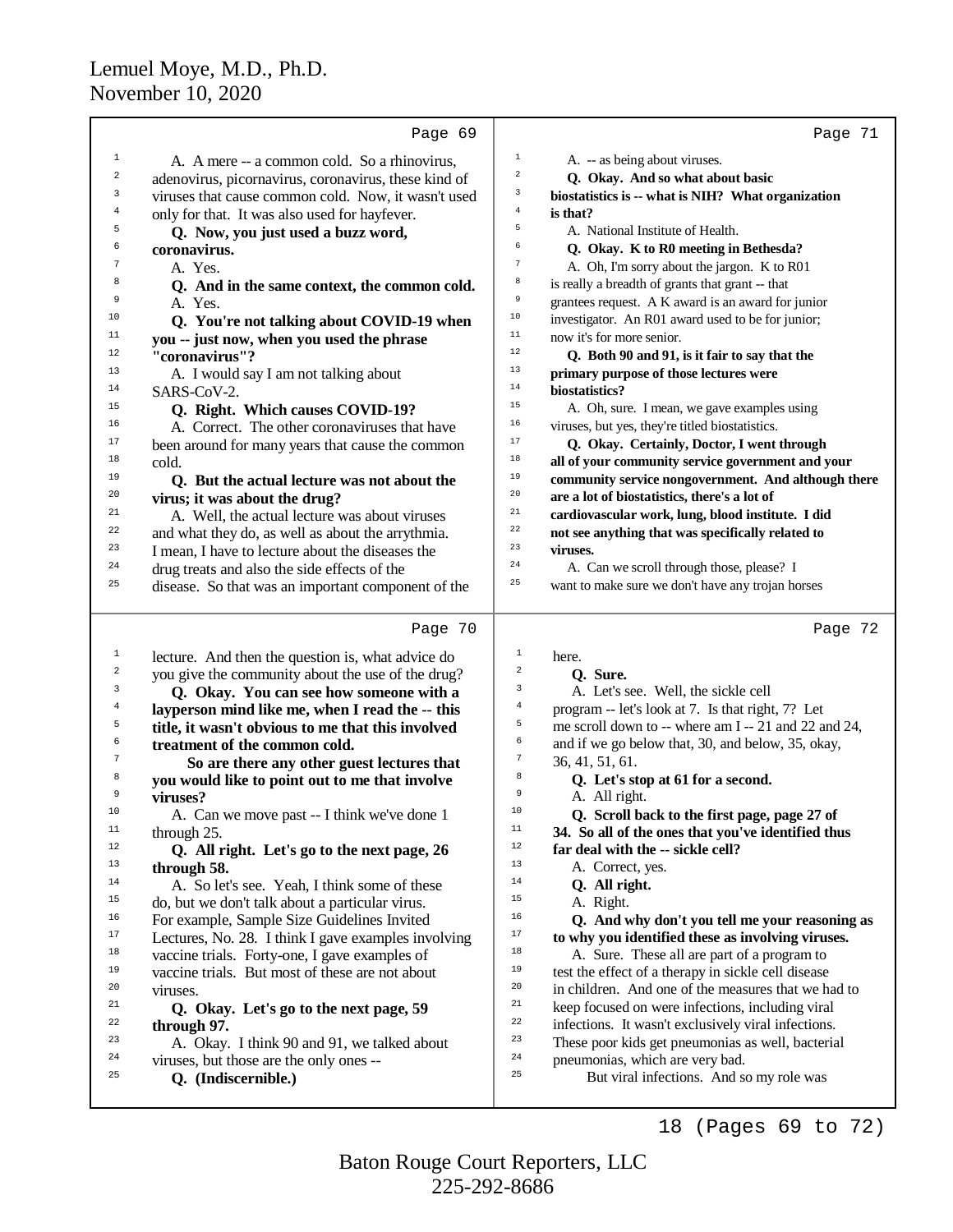|    | Page 69                                              | Page 71                                                               |
|----|------------------------------------------------------|-----------------------------------------------------------------------|
| 1  | A. A mere -- a common cold. So a rhinovirus,         | $\mathbf{1}$<br>A. -- as being about viruses.                         |
| 2  | adenovirus, picornavirus, coronavirus, these kind of | 2<br>Q. Okay. And so what about basic                                 |
| 3  | viruses that cause common cold. Now, it wasn't used  | 3<br>biostatistics is -- what is NIH? What organization               |
| 4  | only for that. It was also used for hayfever.        | $\overline{4}$<br>is that?                                            |
| 5  |                                                      | 5<br>A. National Institute of Health.                                 |
| 6  | Q. Now, you just used a buzz word,<br>coronavirus.   | 6<br>Q. Okay. K to R0 meeting in Bethesda?                            |
| 7  |                                                      | 7                                                                     |
| 8  | A. Yes.                                              | A. Oh, I'm sorry about the jargon. K to R01<br>8                      |
|    | Q. And in the same context, the common cold.         | is really a breadth of grants that grant -- that<br>9                 |
| 9  | A. Yes.                                              | grantees request. A K award is an award for junior<br>10              |
| 10 | Q. You're not talking about COVID-19 when            | investigator. An R01 award used to be for junior;                     |
| 11 | you -- just now, when you used the phrase            | 11<br>now it's for more senior.                                       |
| 12 | "coronavirus"?                                       | 12<br>Q. Both 90 and 91, is it fair to say that the                   |
| 13 | A. I would say I am not talking about                | 13<br>primary purpose of those lectures were                          |
| 14 | SARS-CoV-2.                                          | $1\,4$<br>biostatistics?                                              |
| 15 | Q. Right. Which causes COVID-19?                     | 15<br>A. Oh, sure. I mean, we gave examples using                     |
| 16 | A. Correct. The other coronaviruses that have        | 16<br>viruses, but yes, they're titled biostatistics.                 |
| 17 | been around for many years that cause the common     | 17<br>Q. Okay. Certainly, Doctor, I went through                      |
| 18 | cold.                                                | 18<br>all of your community service government and your               |
| 19 | Q. But the actual lecture was not about the          | 19<br>community service nongovernment. And although there             |
| 20 | virus; it was about the drug?                        | 20<br>are a lot of biostatistics, there's a lot of                    |
| 21 | A. Well, the actual lecture was about viruses        | 21<br>cardiovascular work, lung, blood institute. I did               |
| 22 | and what they do, as well as about the arrythmia.    | 22<br>not see anything that was specifically related to               |
| 23 | I mean, I have to lecture about the diseases the     | 23<br>viruses.                                                        |
| 24 | drug treats and also the side effects of the         | 24<br>A. Can we scroll through those, please? I                       |
| 25 | disease. So that was an important component of the   | 25<br>want to make sure we don't have any trojan horses               |
|    |                                                      |                                                                       |
|    | Page 70                                              | Page 72                                                               |
| 1  | lecture. And then the question is, what advice do    | $\,1$                                                                 |
| 2  |                                                      | here.                                                                 |
|    |                                                      | $\sqrt{2}$                                                            |
| 3  | you give the community about the use of the drug?    | Q. Sure.<br>3                                                         |
| 4  | Q. Okay. You can see how someone with a              | A. Let's see. Well, the sickle cell<br>4                              |
| 5  | layperson mind like me, when I read the -- this      | program -- let's look at 7. Is that right, 7? Let<br>5                |
| 6  | title, it wasn't obvious to me that this involved    | me scroll down to -- where am I -- 21 and 22 and 24,<br>б             |
| 7  | treatment of the common cold.                        | and if we go below that, 30, and below, 35, okay,<br>$\boldsymbol{7}$ |
| 8  | So are there any other guest lectures that           | 36, 41, 51, 61.<br>8                                                  |
| 9  | you would like to point out to me that involve       | Q. Let's stop at 61 for a second.<br>9                                |
| 10 | viruses?                                             | A. All right.<br>10                                                   |
| 11 | A. Can we move past -- I think we've done 1          | Q. Scroll back to the first page, page 27 of<br>$11\,$                |
| 12 | through 25.                                          | 34. So all of the ones that you've identified thus<br>$12\,$          |
|    | Q. All right. Let's go to the next page, 26          | far deal with the -- sickle cell?<br>$13$                             |
| 13 | through 58.                                          | A. Correct, yes.                                                      |
| 14 | A. So let's see. Yeah, I think some of these         | 14<br>Q. All right.                                                   |
| 15 | do, but we don't talk about a particular virus.      | 15<br>A. Right.                                                       |
| 16 | For example, Sample Size Guidelines Invited          | 16<br>Q. And why don't you tell me your reasoning as                  |
| 17 | Lectures, No. 28. I think I gave examples involving  | 17<br>to why you identified these as involving viruses.               |
| 18 | vaccine trials. Forty-one, I gave examples of        | 18<br>A. Sure. These all are part of a program to                     |
| 19 | vaccine trials. But most of these are not about      | 19<br>test the effect of a therapy in sickle cell disease             |
| 20 | viruses.                                             | 20<br>in children. And one of the measures that we had to             |
| 21 | Q. Okay. Let's go to the next page, 59               | 21<br>keep focused on were infections, including viral                |
| 22 | through 97.                                          | 22<br>infections. It wasn't exclusively viral infections.             |
| 23 | A. Okay. I think 90 and 91, we talked about          | 23<br>These poor kids get pneumonias as well, bacterial               |
| 24 | viruses, but those are the only ones --              | 24<br>pneumonias, which are very bad.                                 |
| 25 | Q. (Indiscernible.)                                  | 25<br>But viral infections. And so my role was                        |

18 (Pages 69 to 72)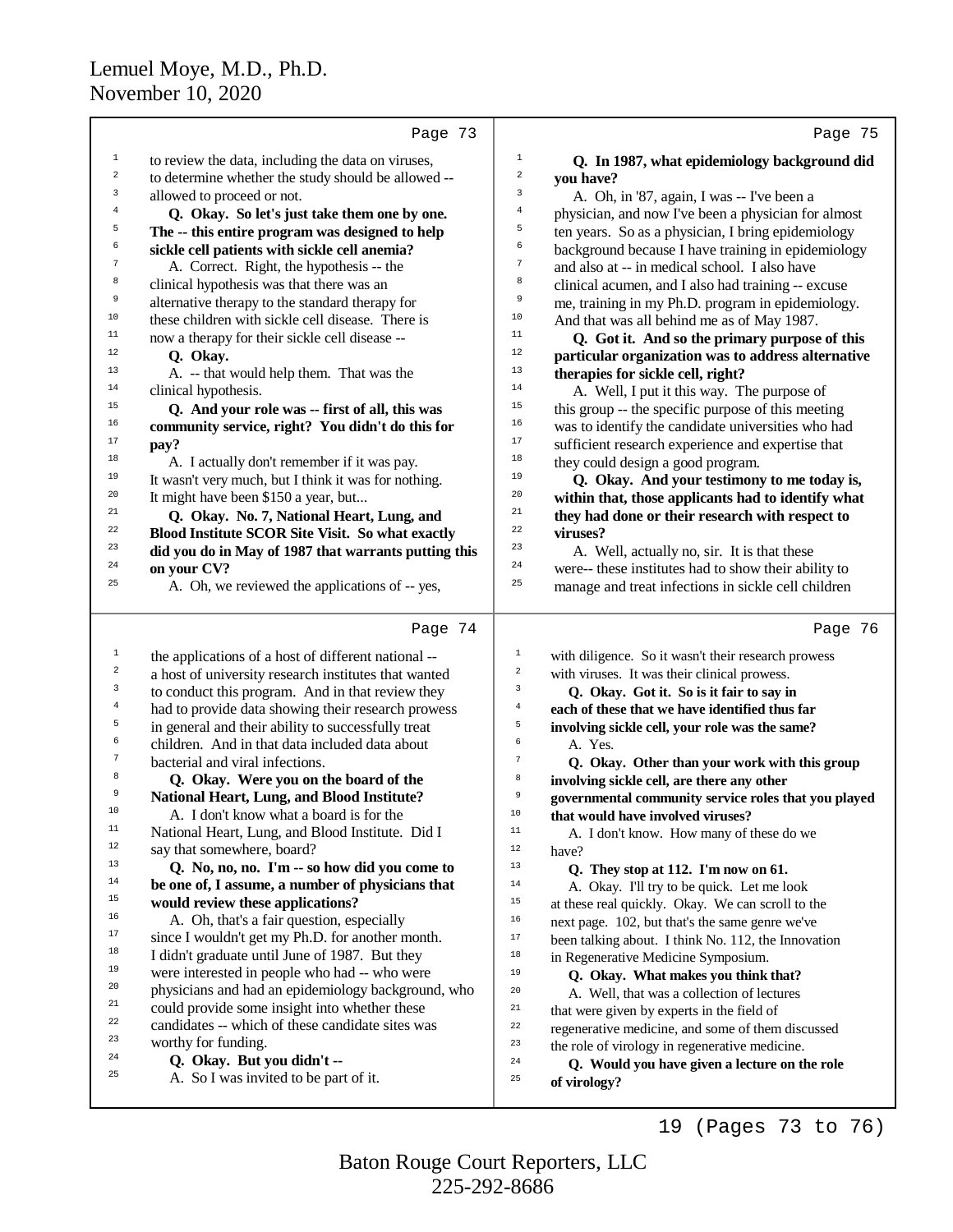|                  | Page 73                                                                             | Page 75                                                                                                   |  |
|------------------|-------------------------------------------------------------------------------------|-----------------------------------------------------------------------------------------------------------|--|
| $\mathbf 1$      | to review the data, including the data on viruses,                                  | $\mathbf{1}$<br>Q. In 1987, what epidemiology background did                                              |  |
| $\,2$            | to determine whether the study should be allowed --                                 | $\boldsymbol{2}$<br>you have?                                                                             |  |
| 3                | allowed to proceed or not.                                                          | 3<br>A. Oh, in '87, again, I was -- I've been a                                                           |  |
| 4                | Q. Okay. So let's just take them one by one.                                        | 4<br>physician, and now I've been a physician for almost                                                  |  |
| 5                | The -- this entire program was designed to help                                     | 5<br>ten years. So as a physician, I bring epidemiology                                                   |  |
| 6                | sickle cell patients with sickle cell anemia?                                       | 6<br>background because I have training in epidemiology                                                   |  |
| $\overline{7}$   | A. Correct. Right, the hypothesis -- the                                            | $\boldsymbol{7}$<br>and also at -- in medical school. I also have                                         |  |
| 8                | clinical hypothesis was that there was an                                           | 8<br>clinical acumen, and I also had training -- excuse                                                   |  |
| 9                | alternative therapy to the standard therapy for                                     | 9<br>me, training in my Ph.D. program in epidemiology.                                                    |  |
| $10$             | these children with sickle cell disease. There is                                   | $10$<br>And that was all behind me as of May 1987.                                                        |  |
| $11\,$           | now a therapy for their sickle cell disease --                                      | 11<br>Q. Got it. And so the primary purpose of this                                                       |  |
| 12               | Q. Okay.                                                                            | 12<br>particular organization was to address alternative                                                  |  |
| 13               | A. -- that would help them. That was the                                            | 13<br>therapies for sickle cell, right?                                                                   |  |
| 14               | clinical hypothesis.                                                                | 14<br>A. Well, I put it this way. The purpose of                                                          |  |
| 15               | Q. And your role was -- first of all, this was                                      | 15<br>this group -- the specific purpose of this meeting                                                  |  |
| 16               | community service, right? You didn't do this for                                    | 16<br>was to identify the candidate universities who had                                                  |  |
| $17\,$<br>$18\,$ | pay?                                                                                | 17<br>sufficient research experience and expertise that                                                   |  |
|                  | A. I actually don't remember if it was pay.                                         | 18<br>they could design a good program.<br>19                                                             |  |
| 19<br>20         | It wasn't very much, but I think it was for nothing.                                | Q. Okay. And your testimony to me today is,<br>20                                                         |  |
| 21               | It might have been \$150 a year, but                                                | within that, those applicants had to identify what<br>21                                                  |  |
| 22               | Q. Okay. No. 7, National Heart, Lung, and                                           | they had done or their research with respect to<br>22<br>viruses?                                         |  |
| 23               | Blood Institute SCOR Site Visit. So what exactly                                    | 23                                                                                                        |  |
| 24               | did you do in May of 1987 that warrants putting this<br>on your CV?                 | A. Well, actually no, sir. It is that these<br>24<br>were-- these institutes had to show their ability to |  |
| 25               | A. Oh, we reviewed the applications of -- yes,                                      | 25<br>manage and treat infections in sickle cell children                                                 |  |
|                  |                                                                                     |                                                                                                           |  |
|                  | Page 74                                                                             | Page 76                                                                                                   |  |
| $\mathbf 1$      | the applications of a host of different national --                                 | $\mathbf 1$<br>with diligence. So it wasn't their research prowess                                        |  |
| $\boldsymbol{2}$ | a host of university research institutes that wanted                                | $\mathbf 2$<br>with viruses. It was their clinical prowess.                                               |  |
| 3                | to conduct this program. And in that review they                                    | 3<br>Q. Okay. Got it. So is it fair to say in                                                             |  |
| 4<br>5           | had to provide data showing their research prowess                                  | $\,4$<br>each of these that we have identified thus far                                                   |  |
| б                | in general and their ability to successfully treat                                  | 5<br>involving sickle cell, your role was the same?                                                       |  |
| $\boldsymbol{7}$ | children. And in that data included data about                                      | 6<br>A. Yes.<br>$\sqrt{ }$                                                                                |  |
| 8                | bacterial and viral infections.                                                     | Q. Okay. Other than your work with this group<br>8                                                        |  |
| 9                | Q. Okay. Were you on the board of the<br>National Heart, Lung, and Blood Institute? | involving sickle cell, are there any other<br>9                                                           |  |
| 10               | A. I don't know what a board is for the                                             | governmental community service roles that you played<br>10                                                |  |
| 11               | National Heart, Lung, and Blood Institute. Did I                                    | that would have involved viruses?<br>$11\,$                                                               |  |
| 12               | say that somewhere, board?                                                          | A. I don't know. How many of these do we<br>12<br>have?                                                   |  |
| 13               | Q. No, no, no. I'm -- so how did you come to                                        | 13<br>Q. They stop at 112. I'm now on 61.                                                                 |  |
| $14\,$           | be one of, I assume, a number of physicians that                                    | $1\,4$<br>A. Okay. I'll try to be quick. Let me look                                                      |  |
| 15               | would review these applications?                                                    | $15\,$<br>at these real quickly. Okay. We can scroll to the                                               |  |
| 16               | A. Oh, that's a fair question, especially                                           | 16<br>next page. 102, but that's the same genre we've                                                     |  |
| $17\,$           | since I wouldn't get my Ph.D. for another month.                                    | $17\,$<br>been talking about. I think No. 112, the Innovation                                             |  |
| 18               | I didn't graduate until June of 1987. But they                                      | $1\,8$<br>in Regenerative Medicine Symposium.                                                             |  |
| 19               | were interested in people who had -- who were                                       | 19<br>Q. Okay. What makes you think that?                                                                 |  |
| 20               | physicians and had an epidemiology background, who                                  | 20<br>A. Well, that was a collection of lectures                                                          |  |
| 21               | could provide some insight into whether these                                       | $^{\rm 21}$<br>that were given by experts in the field of                                                 |  |
| 22               | candidates -- which of these candidate sites was                                    | 22<br>regenerative medicine, and some of them discussed                                                   |  |
| 23               | worthy for funding.                                                                 | 23<br>the role of virology in regenerative medicine.                                                      |  |
| 24               | Q. Okay. But you didn't --                                                          | 24<br>Q. Would you have given a lecture on the role                                                       |  |
| 25               | A. So I was invited to be part of it.                                               | 25<br>of virology?                                                                                        |  |

19 (Pages 73 to 76)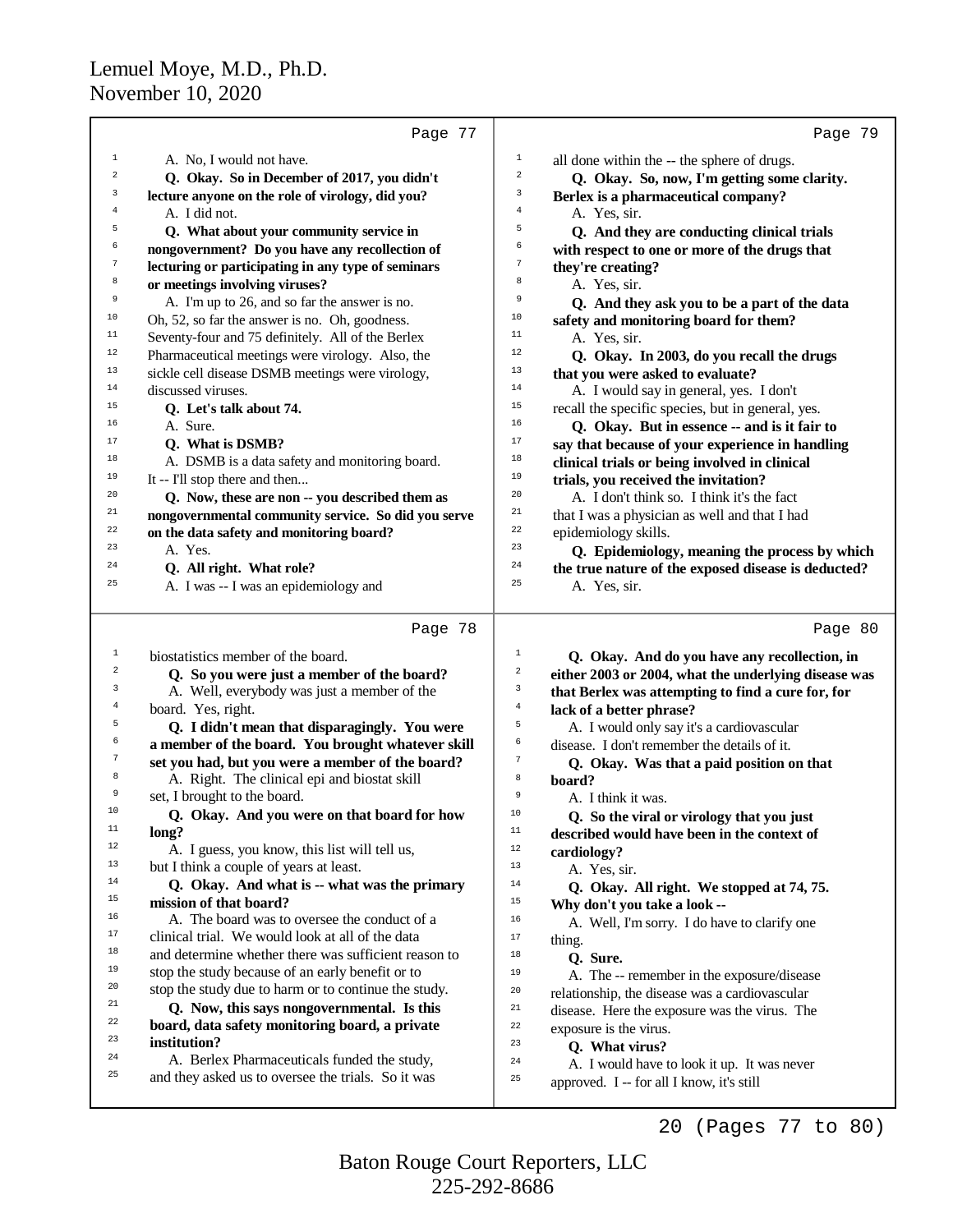| Page 77                                                                                         | Page 79                                              |
|-------------------------------------------------------------------------------------------------|------------------------------------------------------|
| $1\,$<br>$1\,$<br>A. No, I would not have.                                                      | all done within the -- the sphere of drugs.          |
| $\sqrt{2}$<br>2<br>Q. Okay. So in December of 2017, you didn't                                  | Q. Okay. So, now, I'm getting some clarity.          |
| 3<br>3<br>lecture anyone on the role of virology, did you?                                      | Berlex is a pharmaceutical company?                  |
| $\overline{4}$<br>4<br>A. I did not.<br>A. Yes, sir.                                            |                                                      |
| 5<br>5<br>Q. What about your community service in                                               | Q. And they are conducting clinical trials           |
| 6<br>6<br>nongovernment? Do you have any recollection of                                        | with respect to one or more of the drugs that        |
| $\sqrt{ }$<br>$\tau$<br>lecturing or participating in any type of seminars<br>they're creating? |                                                      |
| 8<br>8<br>or meetings involving viruses?<br>A. Yes, sir.                                        |                                                      |
| 9<br>9<br>A. I'm up to 26, and so far the answer is no.                                         | Q. And they ask you to be a part of the data         |
| 10<br>10<br>Oh, 52, so far the answer is no. Oh, goodness.                                      | safety and monitoring board for them?                |
| 11<br>11<br>Seventy-four and 75 definitely. All of the Berlex<br>A. Yes, sir.                   |                                                      |
| 12<br>12<br>Pharmaceutical meetings were virology. Also, the                                    | Q. Okay. In 2003, do you recall the drugs            |
| 13<br>13<br>sickle cell disease DSMB meetings were virology,                                    | that you were asked to evaluate?                     |
| 14<br>14<br>discussed viruses.                                                                  | A. I would say in general, yes. I don't              |
| 15<br>15<br>Q. Let's talk about 74.                                                             | recall the specific species, but in general, yes.    |
| 16<br>16<br>A. Sure.                                                                            | Q. Okay. But in essence -- and is it fair to         |
| $17\,$<br>17<br>Q. What is DSMB?                                                                | say that because of your experience in handling      |
| 18<br>18<br>A. DSMB is a data safety and monitoring board.                                      | clinical trials or being involved in clinical        |
| 19<br>19<br>It -- I'll stop there and then                                                      | trials, you received the invitation?                 |
| 20<br>20<br>Q. Now, these are non -- you described them as                                      | A. I don't think so. I think it's the fact           |
| 21<br>21<br>nongovernmental community service. So did you serve                                 | that I was a physician as well and that I had        |
| 22<br>22<br>on the data safety and monitoring board?<br>epidemiology skills.                    |                                                      |
| 23<br>23<br>A. Yes.                                                                             | Q. Epidemiology, meaning the process by which        |
| 24<br>24<br>Q. All right. What role?                                                            | the true nature of the exposed disease is deducted?  |
| 25<br>25<br>A. I was -- I was an epidemiology and<br>A. Yes, sir.                               |                                                      |
| Page 78                                                                                         | Page 80                                              |
| $\mathbf 1$<br>$\mathbf{1}$<br>biostatistics member of the board.                               | Q. Okay. And do you have any recollection, in        |
| $\overline{\mathbf{c}}$<br>$\boldsymbol{2}$<br>Q. So you were just a member of the board?       | either 2003 or 2004, what the underlying disease was |
| 3<br>3<br>A. Well, everybody was just a member of the                                           | that Berlex was attempting to find a cure for, for   |
| $\overline{4}$<br>$\,4\,$<br>board. Yes, right.                                                 | lack of a better phrase?                             |
| 5<br>5<br>Q. I didn't mean that disparagingly. You were                                         | A. I would only say it's a cardiovascular            |
| 6<br>a member of the board. You brought whatever skill<br>6                                     | disease. I don't remember the details of it.         |
| 7<br>$\tau$<br>set you had, but you were a member of the board?                                 | Q. Okay. Was that a paid position on that            |
| 8<br>A. Right. The clinical epi and biostat skill<br>8<br>board?                                |                                                      |
| 9<br>set, I brought to the board.<br>9<br>A. I think it was.                                    |                                                      |
| 10<br>Q. Okay. And you were on that board for how<br>10                                         | Q. So the viral or virology that you just            |
| 11<br>$11\,$<br>long?                                                                           | described would have been in the context of          |
| 12<br>A. I guess, you know, this list will tell us,<br>$12 \,$<br>cardiology?                   |                                                      |
| 13<br>but I think a couple of years at least.<br>13<br>A. Yes, sir.                             |                                                      |
| 14<br>Q. Okay. And what is -- what was the primary<br>$14\,$                                    | Q. Okay. All right. We stopped at 74, 75.            |
| 15<br>mission of that board?<br>15                                                              | Why don't you take a look --                         |
| 16<br>A. The board was to oversee the conduct of a<br>16                                        | A. Well, I'm sorry. I do have to clarify one         |
| 17<br>clinical trial. We would look at all of the data<br>17<br>thing.                          |                                                      |
| 18<br>and determine whether there was sufficient reason to<br>18<br>Q. Sure.                    |                                                      |
| 19<br>stop the study because of an early benefit or to<br>19                                    | A. The -- remember in the exposure/disease           |
| 20<br>stop the study due to harm or to continue the study.<br>20                                | relationship, the disease was a cardiovascular       |
| 21<br>Q. Now, this says nongovernmental. Is this<br>21                                          | disease. Here the exposure was the virus. The        |
| 22<br>board, data safety monitoring board, a private<br>22<br>exposure is the virus.            |                                                      |
| 23<br>institution?<br>23<br>Q. What virus?                                                      |                                                      |
| 24<br>A. Berlex Pharmaceuticals funded the study,<br>24                                         | A. I would have to look it up. It was never          |
| 25<br>and they asked us to oversee the trials. So it was<br>25                                  | approved. I -- for all I know, it's still            |
|                                                                                                 | (Pages 77 to 80)<br>20                               |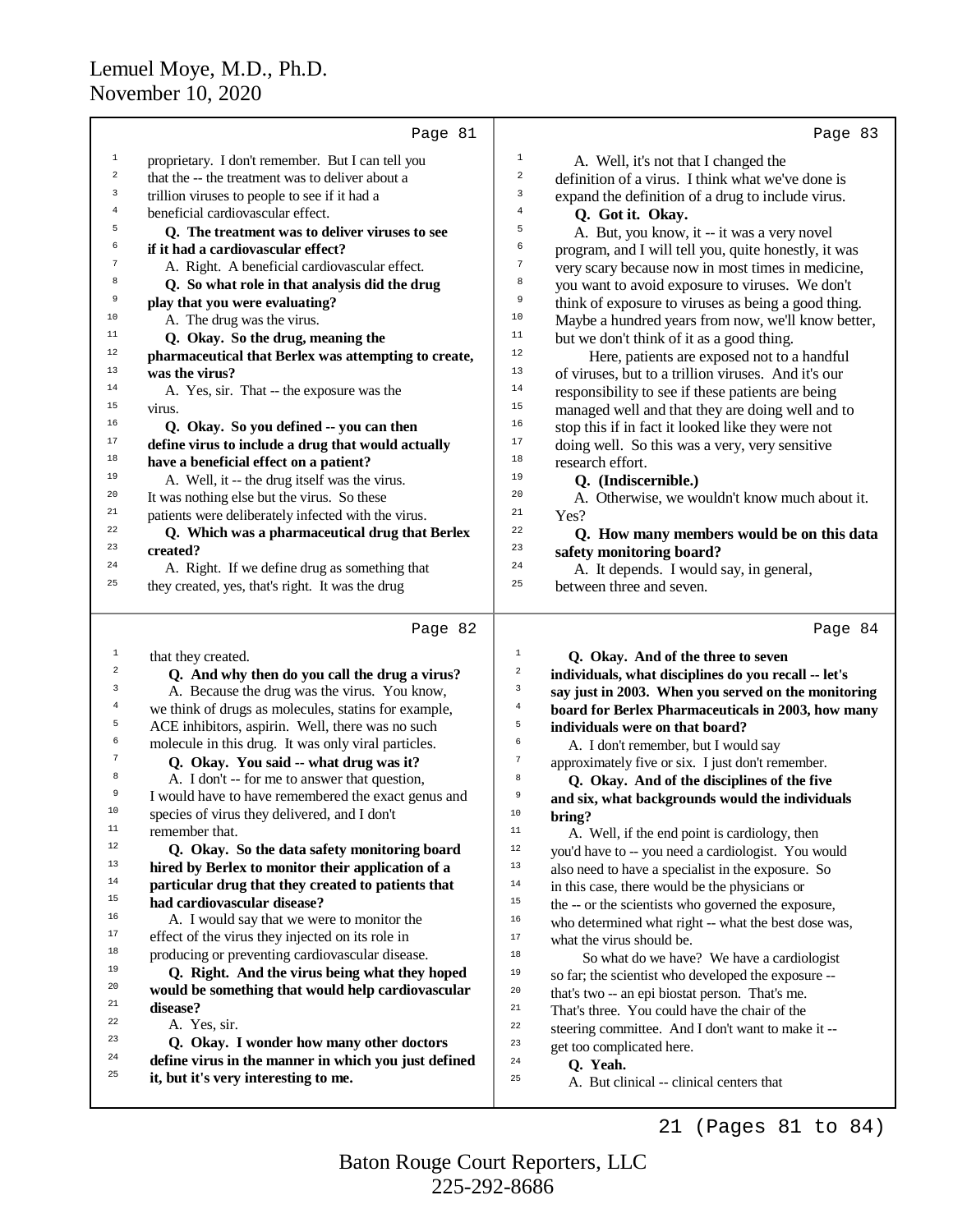|                         | Page 81                                                                                      | Page 83                                                                      |
|-------------------------|----------------------------------------------------------------------------------------------|------------------------------------------------------------------------------|
| 1                       | proprietary. I don't remember. But I can tell you                                            | $\mathbf 1$<br>A. Well, it's not that I changed the                          |
| $\boldsymbol{2}$        | that the -- the treatment was to deliver about a                                             | $\overline{\mathbf{c}}$<br>definition of a virus. I think what we've done is |
| 3                       | trillion viruses to people to see if it had a                                                | 3<br>expand the definition of a drug to include virus.                       |
| $\overline{4}$          | beneficial cardiovascular effect.                                                            | 4<br>Q. Got it. Okay.                                                        |
| 5                       | Q. The treatment was to deliver viruses to see                                               | 5<br>A. But, you know, it -- it was a very novel                             |
| 6                       | if it had a cardiovascular effect?                                                           | 6<br>program, and I will tell you, quite honestly, it was                    |
| 7                       | A. Right. A beneficial cardiovascular effect.                                                | 7<br>very scary because now in most times in medicine,                       |
| 8                       | Q. So what role in that analysis did the drug                                                | 8<br>you want to avoid exposure to viruses. We don't                         |
| 9                       | play that you were evaluating?                                                               | 9<br>think of exposure to viruses as being a good thing.                     |
| 10                      | A. The drug was the virus.                                                                   | $10$<br>Maybe a hundred years from now, we'll know better,                   |
| 11                      | Q. Okay. So the drug, meaning the                                                            | 11<br>but we don't think of it as a good thing.                              |
| 12                      | pharmaceutical that Berlex was attempting to create,                                         | 12<br>Here, patients are exposed not to a handful                            |
| 13                      | was the virus?                                                                               | 13<br>of viruses, but to a trillion viruses. And it's our                    |
| 14                      | A. Yes, sir. That -- the exposure was the                                                    | 14<br>responsibility to see if these patients are being                      |
| 15                      | virus.                                                                                       | 15<br>managed well and that they are doing well and to                       |
| 16                      | Q. Okay. So you defined -- you can then                                                      | 16<br>stop this if in fact it looked like they were not                      |
| 17                      | define virus to include a drug that would actually                                           | 17<br>doing well. So this was a very, very sensitive                         |
| 18                      | have a beneficial effect on a patient?                                                       | 18<br>research effort.                                                       |
| 19                      | A. Well, it -- the drug itself was the virus.                                                | 19<br>Q. (Indiscernible.)                                                    |
| 20                      | It was nothing else but the virus. So these                                                  | 20<br>A. Otherwise, we wouldn't know much about it.                          |
| 21                      | patients were deliberately infected with the virus.                                          | 21<br>Yes?                                                                   |
| 22                      | Q. Which was a pharmaceutical drug that Berlex                                               | 22<br>Q. How many members would be on this data                              |
| 23                      | created?                                                                                     | 23<br>safety monitoring board?                                               |
| 24                      | A. Right. If we define drug as something that                                                | 24<br>A. It depends. I would say, in general,                                |
| 25                      | they created, yes, that's right. It was the drug                                             | 25<br>between three and seven.                                               |
|                         |                                                                                              |                                                                              |
|                         |                                                                                              |                                                                              |
|                         | Page 82                                                                                      | Page 84                                                                      |
| $\mathbf{1}$            | that they created.                                                                           | 1<br>Q. Okay. And of the three to seven                                      |
| $\overline{\mathbf{c}}$ | Q. And why then do you call the drug a virus?                                                | 2<br>individuals, what disciplines do you recall -- let's                    |
| 3                       | A. Because the drug was the virus. You know,                                                 | 3<br>say just in 2003. When you served on the monitoring                     |
| $\bf{4}$                | we think of drugs as molecules, statins for example,                                         | $\overline{4}$<br>board for Berlex Pharmaceuticals in 2003, how many         |
| 5                       | ACE inhibitors, aspirin. Well, there was no such                                             | 5<br>individuals were on that board?                                         |
| 6                       | molecule in this drug. It was only viral particles.                                          | б<br>A. I don't remember, but I would say                                    |
| 7                       | Q. Okay. You said -- what drug was it?                                                       | $\boldsymbol{7}$<br>approximately five or six. I just don't remember.        |
| 8                       | A. I don't -- for me to answer that question,                                                | 8<br>Q. Okay. And of the disciplines of the five                             |
| 9                       | I would have to have remembered the exact genus and                                          | 9<br>and six, what backgrounds would the individuals                         |
| 10                      | species of virus they delivered, and I don't                                                 | 10<br>bring?                                                                 |
| 11                      | remember that.                                                                               | 11<br>A. Well, if the end point is cardiology, then                          |
| $12\,$                  | Q. Okay. So the data safety monitoring board                                                 | 12<br>you'd have to -- you need a cardiologist. You would                    |
| 13                      | hired by Berlex to monitor their application of a                                            | 13<br>also need to have a specialist in the exposure. So                     |
| 14                      | particular drug that they created to patients that                                           | 14<br>in this case, there would be the physicians or                         |
| 15                      | had cardiovascular disease?                                                                  | $15$<br>the -- or the scientists who governed the exposure,                  |
| 16<br>17                | A. I would say that we were to monitor the                                                   | 16<br>who determined what right -- what the best dose was,                   |
| 18                      | effect of the virus they injected on its role in                                             | $17\,$<br>what the virus should be.                                          |
| 19                      | producing or preventing cardiovascular disease.                                              | 18<br>So what do we have? We have a cardiologist                             |
| 20                      | Q. Right. And the virus being what they hoped                                                | 19<br>so far; the scientist who developed the exposure --                    |
| 21                      | would be something that would help cardiovascular                                            | 20<br>that's two -- an epi biostat person. That's me.                        |
| 22                      | disease?                                                                                     | 21<br>That's three. You could have the chair of the                          |
| 23                      | A. Yes, sir.                                                                                 | $^{\rm 22}$<br>steering committee. And I don't want to make it --            |
| 24                      | Q. Okay. I wonder how many other doctors                                                     | 23<br>get too complicated here.                                              |
| 25                      | define virus in the manner in which you just defined<br>it, but it's very interesting to me. | 24<br>Q. Yeah.<br>25<br>A. But clinical -- clinical centers that             |

225-292-8686 Baton Rouge Court Reporters, LLC

21 (Pages 81 to 84)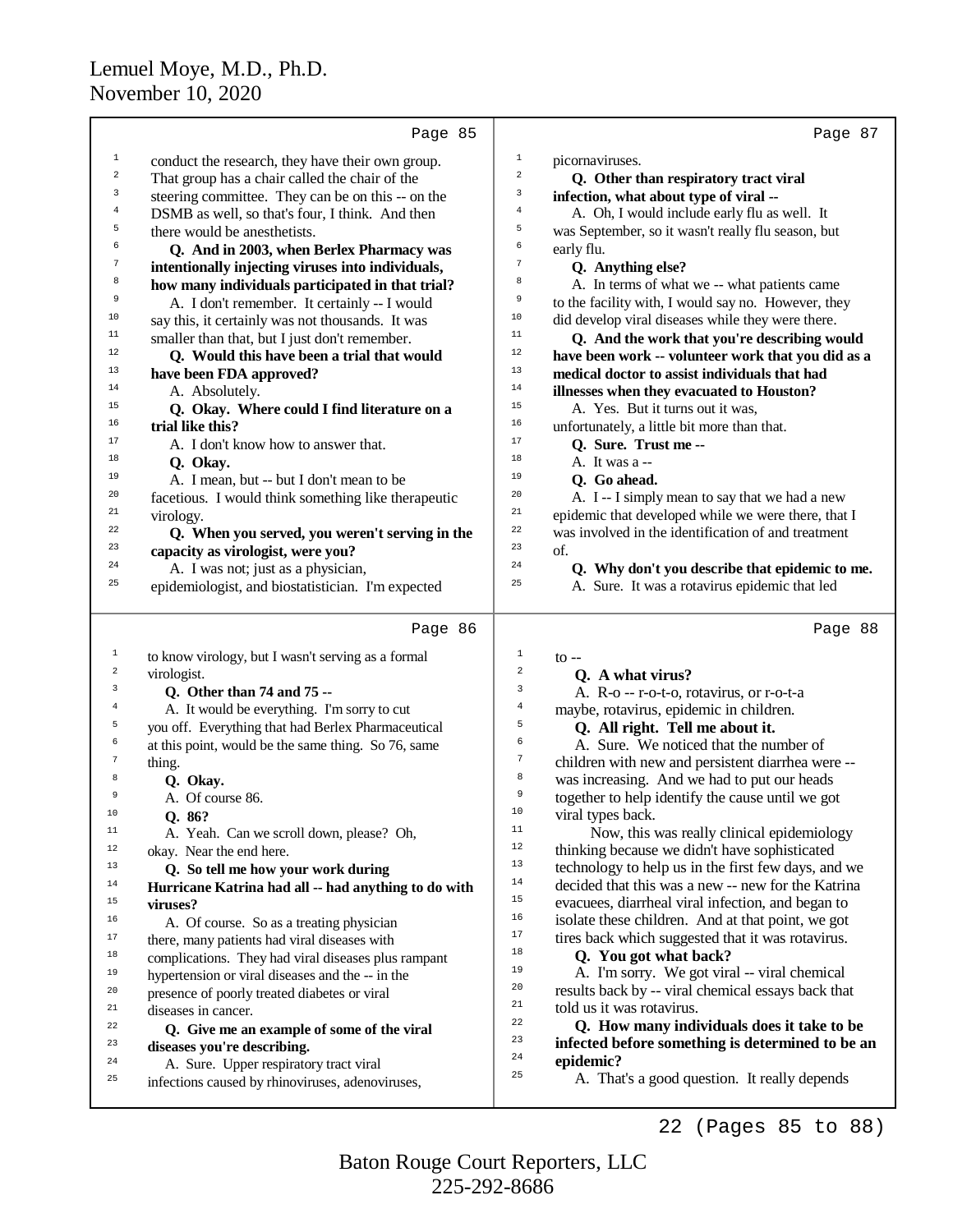|                  | Page 85                                              | Page 87                                                               |
|------------------|------------------------------------------------------|-----------------------------------------------------------------------|
| $\mathbf 1$      | conduct the research, they have their own group.     | $\,1$<br>picornaviruses.                                              |
| $\,2$            | That group has a chair called the chair of the       | $\overline{a}$<br>Q. Other than respiratory tract viral               |
| 3                | steering committee. They can be on this -- on the    | 3<br>infection, what about type of viral --                           |
| $\bf{4}$         | DSMB as well, so that's four, I think. And then      | $\overline{4}$<br>A. Oh, I would include early flu as well. It        |
| 5                | there would be an esthetists.                        | 5<br>was September, so it wasn't really flu season, but               |
| 6                | Q. And in 2003, when Berlex Pharmacy was             | б<br>early flu.                                                       |
| 7                | intentionally injecting viruses into individuals,    | $\sqrt{ }$<br>Q. Anything else?                                       |
| 8                | how many individuals participated in that trial?     | 8<br>A. In terms of what we -- what patients came                     |
| 9                | A. I don't remember. It certainly -- I would         | 9<br>to the facility with, I would say no. However, they              |
| $10\,$           | say this, it certainly was not thousands. It was     | 10<br>did develop viral diseases while they were there.               |
| 11               | smaller than that, but I just don't remember.        | 11<br>Q. And the work that you're describing would                    |
| 12               | Q. Would this have been a trial that would           | $12\,$<br>have been work -- volunteer work that you did as a          |
| 13               | have been FDA approved?                              | 13<br>medical doctor to assist individuals that had                   |
| 14               | A. Absolutely.                                       | 14<br>illnesses when they evacuated to Houston?                       |
| 15               | Q. Okay. Where could I find literature on a          | 15<br>A. Yes. But it turns out it was,                                |
| 16               | trial like this?                                     | 16<br>unfortunately, a little bit more than that.                     |
| 17               | A. I don't know how to answer that.                  | 17<br>O. Sure. Trust me --                                            |
| 18               | Q. Okay.                                             | 18<br>A. It was a --                                                  |
| 19               | A. I mean, but -- but I don't mean to be             | 19<br>O. Go ahead.                                                    |
| 20               | facetious. I would think something like therapeutic  | 20<br>A. I -- I simply mean to say that we had a new                  |
| 21               | virology.                                            | 21<br>epidemic that developed while we were there, that I             |
| 22               | Q. When you served, you weren't serving in the       | 22<br>was involved in the identification of and treatment             |
| 23               | capacity as virologist, were you?                    | 23<br>of.                                                             |
| 24               | A. I was not; just as a physician,                   | 24<br>Q. Why don't you describe that epidemic to me.                  |
| 25               | epidemiologist, and biostatistician. I'm expected    | 25<br>A. Sure. It was a rotavirus epidemic that led                   |
|                  |                                                      |                                                                       |
|                  | Page 86                                              | Page 88                                                               |
| 1                | to know virology, but I wasn't serving as a formal   | 1<br>$\mathfrak{g}$ --                                                |
| $\boldsymbol{2}$ | virologist.                                          | 2<br>Q. A what virus?                                                 |
| 3                | Q. Other than 74 and 75 --                           | 3<br>A. R-o -- r-o-t-o, rotavirus, or r-o-t-a                         |
| $\bf{4}$         | A. It would be everything. I'm sorry to cut          | $\bf{4}$<br>maybe, rotavirus, epidemic in children.                   |
| 5                | you off. Everything that had Berlex Pharmaceutical   | 5<br>Q. All right. Tell me about it.                                  |
| 6                | at this point, would be the same thing. So 76, same  | 6<br>A. Sure. We noticed that the number of                           |
| $\overline{7}$   | thing.                                               | $\boldsymbol{7}$<br>children with new and persistent diarrhea were -- |
| 8                | Q. Okay.                                             | 8<br>was increasing. And we had to put our heads                      |
| 9                | A. Of course 86.                                     | 9<br>together to help identify the cause until we got                 |
| 10               | Q. 86?                                               | 10<br>viral types back.                                               |
| 11               | A. Yeah. Can we scroll down, please? Oh,             | 11<br>Now, this was really clinical epidemiology                      |
| 12               | okay. Near the end here.                             | $1\,2$<br>thinking because we didn't have sophisticated               |
| 13               | Q. So tell me how your work during                   | 13<br>technology to help us in the first few days, and we             |
| 14               | Hurricane Katrina had all -- had anything to do with | 14<br>decided that this was a new -- new for the Katrina              |
| 15               | viruses?                                             | 15<br>evacuees, diarrheal viral infection, and began to               |
| 16               | A. Of course. So as a treating physician             | 16<br>isolate these children. And at that point, we got               |
| 17               | there, many patients had viral diseases with         | 17<br>tires back which suggested that it was rotavirus.               |
| 18               | complications. They had viral diseases plus rampant  | 18<br>Q. You got what back?                                           |
| 19               | hypertension or viral diseases and the -- in the     | 19<br>A. I'm sorry. We got viral -- viral chemical                    |
| 20               | presence of poorly treated diabetes or viral         | 20<br>results back by -- viral chemical essays back that              |
| 21               | diseases in cancer.                                  | 21<br>told us it was rotavirus.                                       |
| 22               | Q. Give me an example of some of the viral           | 22<br>Q. How many individuals does it take to be                      |
| 23               | diseases you're describing.                          | 23<br>infected before something is determined to be an                |
| 24               | A. Sure. Upper respiratory tract viral               | 24<br>epidemic?                                                       |
| 25               | infections caused by rhinoviruses, adenoviruses,     | 25<br>A. That's a good question. It really depends                    |
|                  |                                                      |                                                                       |

22 (Pages 85 to 88)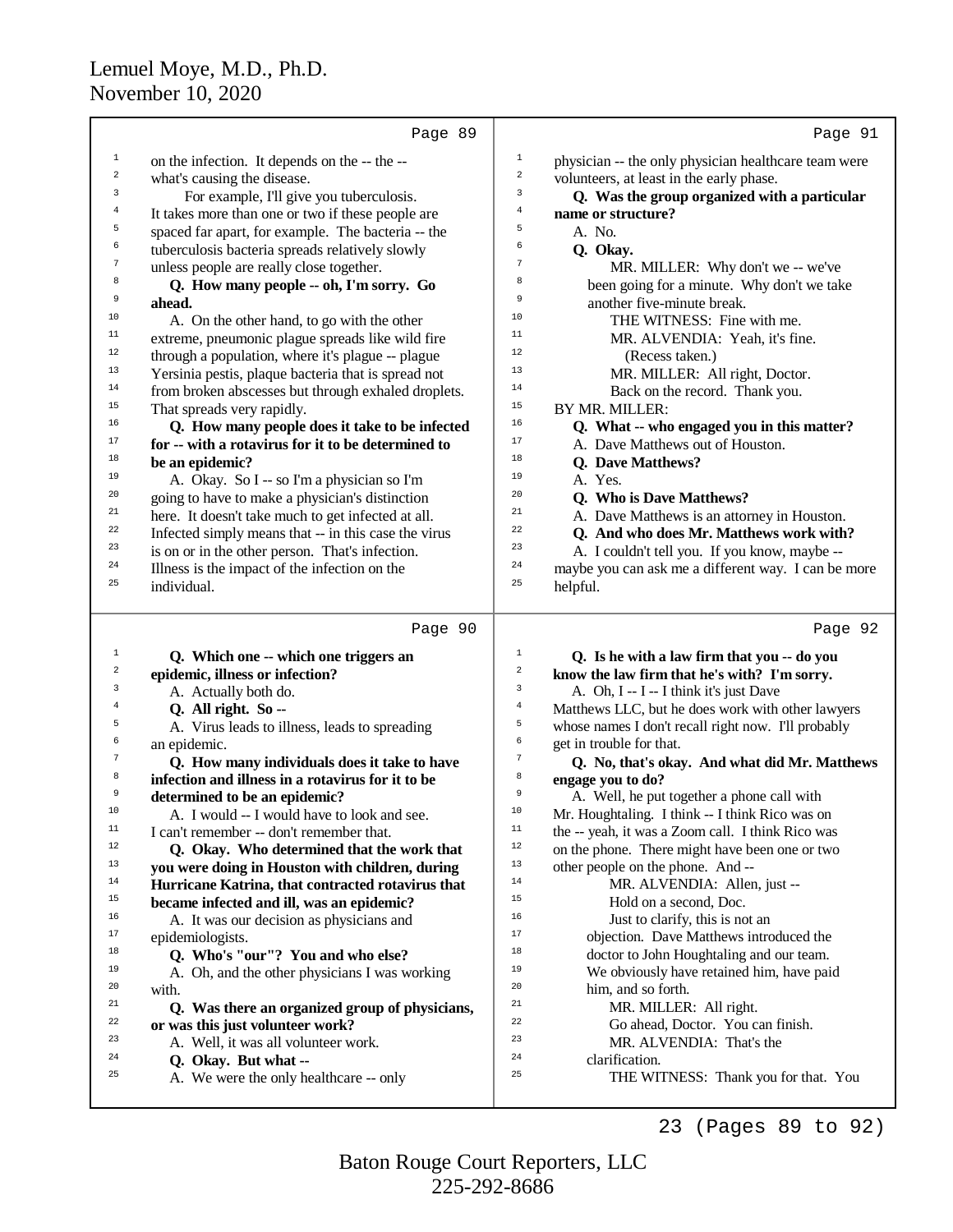|                | Page 89                                                                            |                  | Page 91                                                                             |
|----------------|------------------------------------------------------------------------------------|------------------|-------------------------------------------------------------------------------------|
| $\mathbf 1$    | on the infection. It depends on the -- the --                                      | $\mathbf{1}$     | physician -- the only physician healthcare team were                                |
| $\mathbf 2$    | what's causing the disease.                                                        | $\boldsymbol{2}$ | volunteers, at least in the early phase.                                            |
| 3              | For example, I'll give you tuberculosis.                                           | 3                | Q. Was the group organized with a particular                                        |
| 4              | It takes more than one or two if these people are                                  | $\overline{4}$   | name or structure?                                                                  |
| 5              | spaced far apart, for example. The bacteria -- the                                 | 5                | A. No.                                                                              |
| 6              | tuberculosis bacteria spreads relatively slowly                                    | 6                | Q. Okay.                                                                            |
| 7              | unless people are really close together.                                           | 7                | MR. MILLER: Why don't we -- we've                                                   |
| 8              | Q. How many people -- oh, I'm sorry. Go                                            | 8                | been going for a minute. Why don't we take                                          |
| 9              | ahead.                                                                             | 9                | another five-minute break.                                                          |
| 10             | A. On the other hand, to go with the other                                         | 10               | THE WITNESS: Fine with me.                                                          |
| 11             | extreme, pneumonic plague spreads like wild fire                                   | 11               | MR. ALVENDIA: Yeah, it's fine.                                                      |
| 12             | through a population, where it's plague -- plague                                  | 12               | (Recess taken.)                                                                     |
| 13             | Yersinia pestis, plaque bacteria that is spread not                                | 13               | MR. MILLER: All right, Doctor.                                                      |
| 14             | from broken abscesses but through exhaled droplets.                                | 14               | Back on the record. Thank you.                                                      |
| $15\,$         | That spreads very rapidly.                                                         | 15               | BY MR. MILLER:                                                                      |
| 16             | Q. How many people does it take to be infected                                     | 16               | Q. What -- who engaged you in this matter?                                          |
| 17             | for -- with a rotavirus for it to be determined to                                 | 17               | A. Dave Matthews out of Houston.                                                    |
| 18             | be an epidemic?                                                                    | 18               | <b>Q.</b> Dave Matthews?                                                            |
| 19<br>20       | A. Okay. So I -- so I'm a physician so I'm                                         | 19<br>20         | A. Yes.                                                                             |
| 21             | going to have to make a physician's distinction                                    | 21               | Q. Who is Dave Matthews?                                                            |
| 22             | here. It doesn't take much to get infected at all.                                 | 22               | A. Dave Matthews is an attorney in Houston.                                         |
| 23             | Infected simply means that -- in this case the virus                               | 23               | Q. And who does Mr. Matthews work with?                                             |
| 24             | is on or in the other person. That's infection.                                    | 24               | A. I couldn't tell you. If you know, maybe --                                       |
| 25             | Illness is the impact of the infection on the<br>individual.                       | 25               | maybe you can ask me a different way. I can be more<br>helpful.                     |
|                |                                                                                    |                  |                                                                                     |
|                |                                                                                    |                  |                                                                                     |
|                | Page 90                                                                            |                  | Page 92                                                                             |
| $\mathbf{1}$   | Q. Which one -- which one triggers an                                              | $\,1$            | Q. Is he with a law firm that you -- do you                                         |
| 2              | epidemic, illness or infection?                                                    | $\boldsymbol{2}$ | know the law firm that he's with? I'm sorry.                                        |
| 3              | A. Actually both do.                                                               | $\mathsf 3$      | A. Oh, I -- I -- I think it's just Dave                                             |
| $\overline{4}$ | Q. All right. So --                                                                | $\bf{4}$         | Matthews LLC, but he does work with other lawyers                                   |
| 5              | A. Virus leads to illness, leads to spreading                                      | 5                | whose names I don't recall right now. I'll probably                                 |
| 6              | an epidemic.                                                                       | б                | get in trouble for that.                                                            |
| 7              | Q. How many individuals does it take to have                                       | 7                | Q. No, that's okay. And what did Mr. Matthews                                       |
| 8<br>9         | infection and illness in a rotavirus for it to be                                  | 8<br>9           | engage you to do?                                                                   |
| 10             | determined to be an epidemic?                                                      | 10               | A. Well, he put together a phone call with                                          |
| 11             | A. I would -- I would have to look and see.                                        | 11               | Mr. Houghtaling. I think -- I think Rico was on                                     |
| 12             | I can't remember -- don't remember that.                                           | 12               | the -- yeah, it was a Zoom call. I think Rico was                                   |
| 13             | Q. Okay. Who determined that the work that                                         | 13               | on the phone. There might have been one or two                                      |
| 14             | you were doing in Houston with children, during                                    | 14               | other people on the phone. And --                                                   |
| 15             | Hurricane Katrina, that contracted rotavirus that                                  | 15               | MR. ALVENDIA: Allen, just --                                                        |
| 16             | became infected and ill, was an epidemic?                                          | 16               | Hold on a second, Doc.                                                              |
| 17             | A. It was our decision as physicians and                                           | 17               | Just to clarify, this is not an                                                     |
| 18             | epidemiologists.                                                                   | 18               | objection. Dave Matthews introduced the<br>doctor to John Houghtaling and our team. |
| 19             | Q. Who's "our"? You and who else?<br>A. Oh, and the other physicians I was working | 19               | We obviously have retained him, have paid                                           |
| 20             | with.                                                                              | 20               | him, and so forth.                                                                  |
| 21             | Q. Was there an organized group of physicians,                                     | 21               | MR. MILLER: All right.                                                              |
| 22             | or was this just volunteer work?                                                   | 22               | Go ahead, Doctor. You can finish.                                                   |
| 23             | A. Well, it was all volunteer work.                                                | 23               | MR. ALVENDIA: That's the                                                            |
| 24<br>25       | Q. Okay. But what --<br>A. We were the only healthcare -- only                     | 24<br>25         | clarification.<br>THE WITNESS: Thank you for that. You                              |

23 (Pages 89 to 92)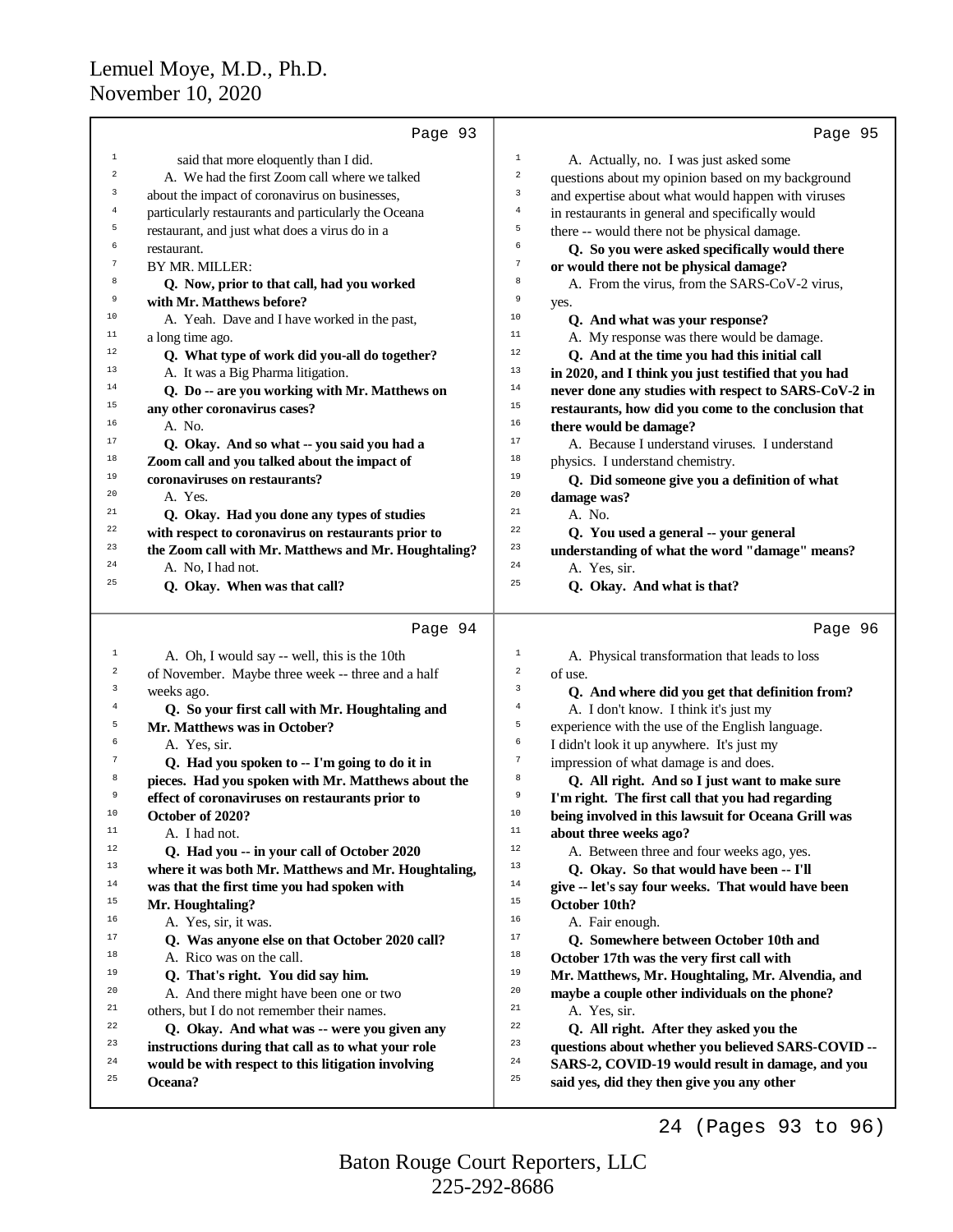|                | Page 93                                              | Page 95                                                         |
|----------------|------------------------------------------------------|-----------------------------------------------------------------|
| 1              | said that more eloquently than I did.                | $\mathbf 1$<br>A. Actually, no. I was just asked some           |
| 2              | A. We had the first Zoom call where we talked        | $\sqrt{2}$<br>questions about my opinion based on my background |
| 3              | about the impact of coronavirus on businesses,       | 3<br>and expertise about what would happen with viruses         |
| $\overline{4}$ | particularly restaurants and particularly the Oceana | $\,4$<br>in restaurants in general and specifically would       |
| 5              | restaurant, and just what does a virus do in a       | 5<br>there -- would there not be physical damage.               |
| 6              | restaurant.                                          | 6<br>Q. So you were asked specifically would there              |
| 7              | BY MR. MILLER:                                       | $\boldsymbol{7}$<br>or would there not be physical damage?      |
| 8              | Q. Now, prior to that call, had you worked           | 8<br>A. From the virus, from the SARS-CoV-2 virus,              |
| 9              | with Mr. Matthews before?                            | 9<br>yes.                                                       |
| 10             | A. Yeah. Dave and I have worked in the past,         | 10<br>Q. And what was your response?                            |
| 11             | a long time ago.                                     | $11$<br>A. My response was there would be damage.               |
| 12             | Q. What type of work did you-all do together?        | 12<br>Q. And at the time you had this initial call              |
| 13             | A. It was a Big Pharma litigation.                   | 13<br>in 2020, and I think you just testified that you had      |
| 14             | Q. Do -- are you working with Mr. Matthews on        | 14<br>never done any studies with respect to SARS-CoV-2 in      |
| 15             | any other coronavirus cases?                         | 15<br>restaurants, how did you come to the conclusion that      |
| 16             | A. No.                                               | 16<br>there would be damage?                                    |
| 17             | Q. Okay. And so what -- you said you had a           | 17<br>A. Because I understand viruses. I understand             |
| 18             | Zoom call and you talked about the impact of         | 18<br>physics. I understand chemistry.                          |
| 19             | coronaviruses on restaurants?                        | 19<br>Q. Did someone give you a definition of what              |
| 20             | A. Yes.                                              | 20<br>damage was?                                               |
| 21             | Q. Okay. Had you done any types of studies           | 21<br>A. No.                                                    |
| 22             | with respect to coronavirus on restaurants prior to  | 22<br>Q. You used a general -- your general                     |
| 23             | the Zoom call with Mr. Matthews and Mr. Houghtaling? | 23<br>understanding of what the word "damage" means?            |
| 24             | A. No, I had not.                                    | 24<br>A. Yes, sir.                                              |
| 25             | Q. Okay. When was that call?                         | 25<br>Q. Okay. And what is that?                                |
|                | Page 94                                              | Page 96                                                         |
| 1              | A. Oh, I would say -- well, this is the 10th         | $\mathbf{1}$<br>A. Physical transformation that leads to loss   |
| 2              | of November. Maybe three week -- three and a half    | $\overline{\mathbf{c}}$<br>of use.                              |
| 3              | weeks ago.                                           | 3<br>Q. And where did you get that definition from?             |
| $\overline{4}$ | Q. So your first call with Mr. Houghtaling and       | $\,4$<br>A. I don't know. I think it's just my                  |
| 5              | Mr. Matthews was in October?                         | 5<br>experience with the use of the English language.           |
| 6              | A. Yes, sir.                                         | 6<br>I didn't look it up anywhere. It's just my                 |
| 7              | Q. Had you spoken to -- I'm going to do it in        | $\overline{7}$<br>impression of what damage is and does.        |
| 8              | pieces. Had you spoken with Mr. Matthews about the   | 8<br>Q. All right. And so I just want to make sure              |
| 9              | effect of coronaviruses on restaurants prior to      | $\,9$<br>I'm right. The first call that you had regarding       |
| $10\,$         | October of 2020?                                     | $10$<br>being involved in this lawsuit for Oceana Grill was     |
| 11             | A. I had not.                                        | $11$<br>about three weeks ago?                                  |
| $12\,$         | Q. Had you -- in your call of October 2020           | 12<br>A. Between three and four weeks ago, yes.                 |
| 13             | where it was both Mr. Matthews and Mr. Houghtaling,  | 13<br>Q. Okay. So that would have been -- I'll                  |
| 14             | was that the first time you had spoken with          | 14<br>give -- let's say four weeks. That would have been        |
| 15             | Mr. Houghtaling?                                     | $15\,$<br>October 10th?                                         |
| 16             | A. Yes, sir, it was.                                 | 16<br>A. Fair enough.                                           |
| 17             | Q. Was anyone else on that October 2020 call?        | $17$<br>Q. Somewhere between October 10th and                   |
| 18             | A. Rico was on the call.                             | $18\,$<br>October 17th was the very first call with             |
| 19             | Q. That's right. You did say him.                    | 19<br>Mr. Matthews, Mr. Houghtaling, Mr. Alvendia, and          |
| 20             | A. And there might have been one or two              | 20<br>maybe a couple other individuals on the phone?            |
| 21             | others, but I do not remember their names.           | 21<br>A. Yes, sir.                                              |
| 22             | Q. Okay. And what was -- were you given any          | 22<br>Q. All right. After they asked you the                    |
| 23             | instructions during that call as to what your role   | 23<br>questions about whether you believed SARS-COVID --        |
| 24             | would be with respect to this litigation involving   | 24<br>SARS-2, COVID-19 would result in damage, and you          |
| 25             | Oceana?                                              | 25<br>said yes, did they then give you any other                |
|                |                                                      |                                                                 |

225-292-8686 Baton Rouge Court Reporters, LLC

24 (Pages 93 to 96)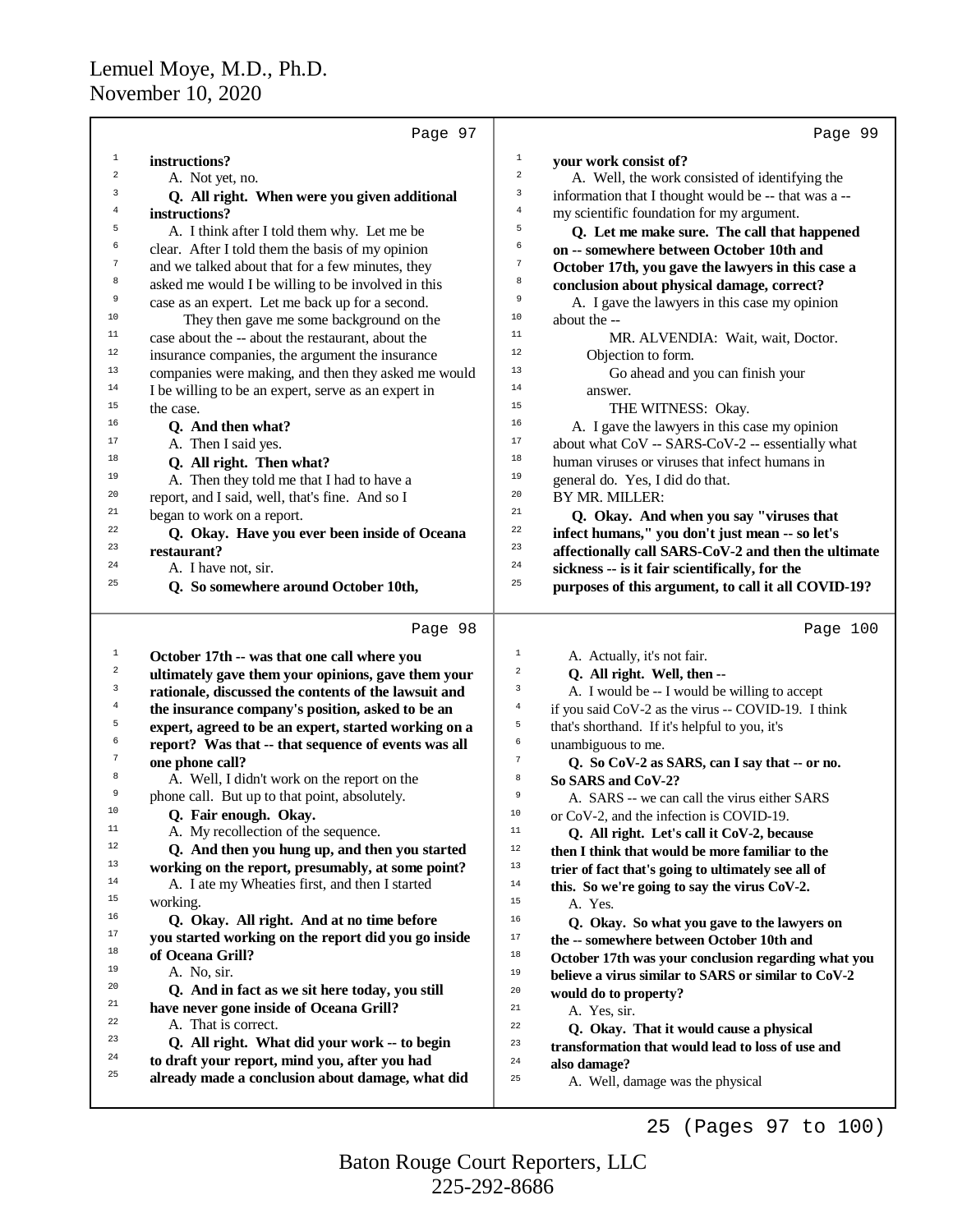1

2

3

4

5

6

7

8

 $\ddot{q}$ 

3

4

5

6

7

8

<sup>23</sup> **Q. All right. What did your work -- to begin** <sup>24</sup> **to draft your report, mind you, after you had**

<sup>25</sup> **already made a conclusion about damage, what did**

Page 97 **instructions?** A. Not yet, no.  **Q. All right. When were you given additional instructions?** A. I think after I told them why. Let me be clear. After I told them the basis of my opinion and we talked about that for a few minutes, they asked me would I be willing to be involved in this case as an expert. Let me back up for a second. <sup>10</sup> They then gave me some background on the<br><sup>11</sup> Case shout the shout the restaurant shout the <sup>11</sup> case about the  $\frac{1}{2}$  case about the  $\frac{1}{2}$  case about the *incurrence* <sup>12</sup> insurance companies, the argument the insurance<br> $\frac{13}{2}$  companies were making and then they asked may <sup>13</sup> companies were making, and then they asked me would  $\frac{14}{1}$  I ho willing to be an aynext serve as an aynext in <sup>14</sup> I be willing to be an expert, serve as an expert in  $\frac{15}{2}$ <sup>15</sup> the case. <sup>16</sup> Q. And then what? <sup>17</sup> A. Then I said yes. <sup>18</sup> **Q. All right. Then what?** <sup>19</sup> A. Then they told me that I had to have a<br><sup>20</sup> arranged and I said small, that have a had see I <sup>20</sup> report, and I said, well, that's fine. And so I  $^{21}$  began to work on a report. <sup>22</sup> Q. Okay. Have you ever been inside of Oceana  $\frac{23}{24}$  **restaurant?**  $2^4$  A. I have not, sir. <sup>25</sup> **Q. So somewhere around October 10th,** Page 98 <sup>1</sup> **October 17th -- was that one call where you** <sup>2</sup> **ultimately gave them your opinions, gave them your rationale, discussed the contents of the lawsuit and the insurance company's position, asked to be an expert, agreed to be an expert, started working on a report? Was that -- that sequence of events was all one phone call?** A. Well, I didn't work on the report on the  $\frac{9}{10}$  phone call. But up to that point, absolutely. <sup>10</sup> **Q. Fair enough. Okay.** <sup>11</sup> A. My recollection of the sequence. <sup>12</sup> Q. And then you hung up, and then you started<br><sup>13</sup> working on the renort presumably, at some point? <sup>13</sup> **working on the report, presumably, at some point?** <sup>14</sup> A. I ate my Wheaties first, and then I started  $\frac{15}{2}$ <sup>15</sup> working. <sup>16</sup> Q. Okay. All right. And at no time before <sup>17</sup> you started working on the report did you go inside<br><sup>18</sup> of Ossame C<sub>will</sub>? <sup>18</sup> of Oceana Grill? <sup>19</sup> A. No, sir. <sup>20</sup> Q. And in fact as we sit here today, you still<br><sup>21</sup> house notice agree inside of Ossons Cuill<sup>2</sup> <sup>21</sup> **have never gone inside of Oceana Grill?**  $2^2$  A. That is correct. Page 99 1 **your work consist of?** 2 A. Well, the work consisted of identifying the 3 information that I thought would be -- that was a -- <sup>4</sup> my scientific foundation for my argument. 5  **Q. Let me make sure. The call that happened** 6 **on -- somewhere between October 10th and** <sup>7</sup> **October 17th, you gave the lawyers in this case a** 8 **conclusion about physical damage, correct?**  $\ddot{9}$  A. I gave the lawyers in this case my opinion  $10$  about the  $-11$ <sup>11</sup> MR. ALVENDIA: Wait, wait, Doctor.  $12$  Objection to form.  $^{13}$  Go ahead and you can finish your  $\frac{14}{15}$  answer. <sup>15</sup> THE WITNESS: Okay. <sup>16</sup> A. I gave the lawyers in this case my opinion<br><sup>17</sup> character SADS  $G_{\rm N}$  are accordially vil <sup>17</sup> about what  $COV - SARS-CoV-2$  -- essentially what<br><sup>18</sup> hymno viruses or viruses that infect hymnos in <sup>18</sup> human viruses or viruses that infect humans in<br> $\frac{19}{2}$  cancral do New I did do that <sup>19</sup> general do. Yes, I did do that.  $^{20}$  BY MR. MILLER: <sup>21</sup> Q. Okay. And when you say "viruses that <sup>22</sup> **infect humans,"** you don't just mean -- so let's<br><sup>23</sup> **offectionally call SADS** CoV 2 and than the vit <sup>23</sup> **affectionally call SARS-CoV-2 and then the ultimate** <sup>24</sup> **sickness -- is it fair scientifically, for the** <sup>25</sup> **purposes of this argument, to call it all COVID-19?** Page 100 1 A. Actually, it's not fair. 2  **Q. All right. Well, then --** 3 A. I would be -- I would be willing to accept 4 if you said CoV-2 as the virus -- COVID-19. I think 5 that's shorthand. If it's helpful to you, it's <sup>6</sup> unambiguous to me. 7  **Q. So CoV-2 as SARS, can I say that -- or no.** <sup>8</sup> **So SARS and CoV-2?**  $\overline{9}$  A. SARS -- we can call the virus either SARS <sup>10</sup> or CoV-2, and the infection is COVID-19. <sup>11</sup> **Q. All right. Let's call it CoV-2, because** <sup>12</sup> **then I think that would be more familiar to the**<br><sup>13</sup> **trier of fact that's going to ultimately see all of** <sup>13</sup> trier of fact that's going to ultimately see all of <sup>14</sup> **this.** So we're going to say the virus CoV-2. <sup>15</sup> A. Yes. <sup>16</sup> **Q. Okay. So what you gave to the lawyers on** <sup>17</sup> **the -- somewhere between October 10th and**<br><sup>18</sup> **October 17th was your conclusion percepting** <sup>18</sup> **October 17th was your conclusion regarding what you<br>
<sup>19</sup> <b>believe a virus similar to SABS** on similar to  $C_2V$ . <sup>19</sup> **believe a virus similar to SARS or similar to CoV-2**<br><sup>20</sup> **provided a to proporty?** <sup>20</sup> **would do to property?** <sup>21</sup> A. Yes, sir.<br>
<sup>22</sup> **Q.** Okey, 7

<sup>22</sup> **Q. Okay. That it would cause a physical**  $\frac{23}{4}$  **transformation that would lead to loss of use and** <sup>24</sup> **also damage?**<br><sup>25</sup>  $\Lambda$  **Well** de

A. Well, damage was the physical

25 (Pages 97 to 100)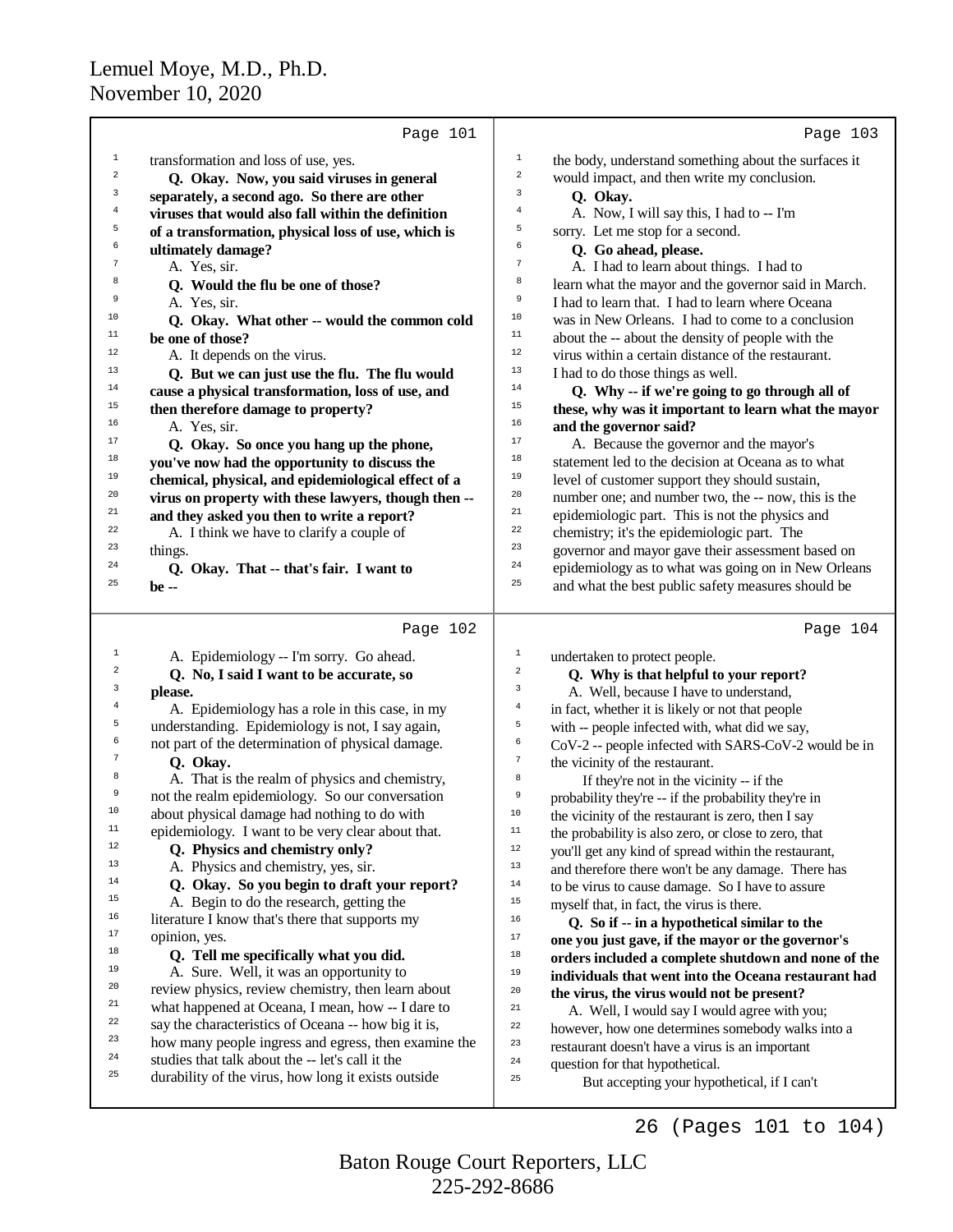|                | Page 101                                                                                                |                | Page 103                                                                       |
|----------------|---------------------------------------------------------------------------------------------------------|----------------|--------------------------------------------------------------------------------|
| $\mathbf 1$    | transformation and loss of use, yes.                                                                    | $\,1\,$        | the body, understand something about the surfaces it                           |
| $\overline{a}$ | Q. Okay. Now, you said viruses in general                                                               | $\,2$          | would impact, and then write my conclusion.                                    |
| 3              | separately, a second ago. So there are other                                                            | 3              | Q. Okay.                                                                       |
| $\overline{4}$ | viruses that would also fall within the definition                                                      | 4              | A. Now, I will say this, I had to -- I'm                                       |
| 5              | of a transformation, physical loss of use, which is                                                     | 5              | sorry. Let me stop for a second.                                               |
| 6              | ultimately damage?                                                                                      | б              | Q. Go ahead, please.                                                           |
| 7              | A. Yes, sir.                                                                                            | 7              | A. I had to learn about things. I had to                                       |
| 8              | Q. Would the flu be one of those?                                                                       | 8              | learn what the mayor and the governor said in March.                           |
| 9              | A. Yes, sir.                                                                                            | 9              | I had to learn that. I had to learn where Oceana                               |
| 10             | Q. Okay. What other -- would the common cold                                                            | 10             | was in New Orleans. I had to come to a conclusion                              |
| 11             | be one of those?                                                                                        | 11             | about the -- about the density of people with the                              |
| 12             | A. It depends on the virus.                                                                             | 12             | virus within a certain distance of the restaurant.                             |
| 13             | Q. But we can just use the flu. The flu would                                                           | 13             | I had to do those things as well.                                              |
| 14             | cause a physical transformation, loss of use, and                                                       | 14             | Q. Why -- if we're going to go through all of                                  |
| 15             | then therefore damage to property?                                                                      | 15             | these, why was it important to learn what the mayor                            |
| 16             | A. Yes, sir.                                                                                            | 16             | and the governor said?                                                         |
| 17             | Q. Okay. So once you hang up the phone,                                                                 | 17             | A. Because the governor and the mayor's                                        |
| 18             | you've now had the opportunity to discuss the                                                           | 18             | statement led to the decision at Oceana as to what                             |
| 19             | chemical, physical, and epidemiological effect of a                                                     | 19             | level of customer support they should sustain,                                 |
| 20             | virus on property with these lawyers, though then --                                                    | 20             | number one; and number two, the -- now, this is the                            |
| 21             | and they asked you then to write a report?                                                              | 21             | epidemiologic part. This is not the physics and                                |
| 22             | A. I think we have to clarify a couple of                                                               | 22             | chemistry; it's the epidemiologic part. The                                    |
| 23             | things.                                                                                                 | 23             | governor and mayor gave their assessment based on                              |
| 24             | Q. Okay. That -- that's fair. I want to                                                                 | 24             | epidemiology as to what was going on in New Orleans                            |
| 25             | be --                                                                                                   | 25             | and what the best public safety measures should be                             |
|                | Page 102                                                                                                |                | Page 104                                                                       |
| $\mathbf{1}$   | A. Epidemiology -- I'm sorry. Go ahead.                                                                 | $\mathbf 1$    | undertaken to protect people.                                                  |
| 2              | Q. No, I said I want to be accurate, so                                                                 | $\sqrt{2}$     | Q. Why is that helpful to your report?                                         |
| 3              | please.                                                                                                 | 3              | A. Well, because I have to understand,                                         |
| $\overline{4}$ | A. Epidemiology has a role in this case, in my                                                          | $\overline{4}$ | in fact, whether it is likely or not that people                               |
| 5              | understanding. Epidemiology is not, I say again,                                                        | $\mathsf S$    | with -- people infected with, what did we say,                                 |
| 6              | not part of the determination of physical damage.                                                       | 6              | CoV-2 -- people infected with SARS-CoV-2 would be in                           |
| 7              | Q. Okay.                                                                                                | $\tau$         | the vicinity of the restaurant.                                                |
| 8              | A. That is the realm of physics and chemistry,                                                          | $^{\rm 8}$     | If they're not in the vicinity -- if the                                       |
| 9              | not the realm epidemiology. So our conversation                                                         | $\overline{9}$ | probability they're -- if the probability they're in                           |
| 10             | about physical damage had nothing to do with                                                            | $10$           | the vicinity of the restaurant is zero, then I say                             |
| $11$           | epidemiology. I want to be very clear about that.                                                       | $11\,$         | the probability is also zero, or close to zero, that                           |
| 12             | Q. Physics and chemistry only?                                                                          | $1\,2$         | you'll get any kind of spread within the restaurant,                           |
| 13             | A. Physics and chemistry, yes, sir.                                                                     | $13$           | and therefore there won't be any damage. There has                             |
| 14             | Q. Okay. So you begin to draft your report?                                                             | $1\,4$         | to be virus to cause damage. So I have to assure                               |
| 15             | A. Begin to do the research, getting the                                                                | $15\,$         | myself that, in fact, the virus is there.                                      |
| 16             | literature I know that's there that supports my                                                         | $16\,$         | Q. So if -- in a hypothetical similar to the                                   |
| 17             | opinion, yes.                                                                                           | $17\,$         | one you just gave, if the mayor or the governor's                              |
|                |                                                                                                         |                |                                                                                |
| 18             | Q. Tell me specifically what you did.                                                                   | $1\,8$         | orders included a complete shutdown and none of the                            |
| 19             | A. Sure. Well, it was an opportunity to                                                                 | 19             | individuals that went into the Oceana restaurant had                           |
| 20             | review physics, review chemistry, then learn about                                                      | $20\,$         | the virus, the virus would not be present?                                     |
| $21\,$         | what happened at Oceana, I mean, how -- I dare to                                                       | 21             | A. Well, I would say I would agree with you;                                   |
| 22<br>23       | say the characteristics of Oceana -- how big it is,                                                     | 22             | however, how one determines somebody walks into a                              |
| 24             | how many people ingress and egress, then examine the                                                    | 23             | restaurant doesn't have a virus is an important                                |
| 25             | studies that talk about the -- let's call it the<br>durability of the virus, how long it exists outside | 24<br>25       | question for that hypothetical.<br>But accepting your hypothetical, if I can't |

225-292-8686 Baton Rouge Court Reporters, LLC

26 (Pages 101 to 104)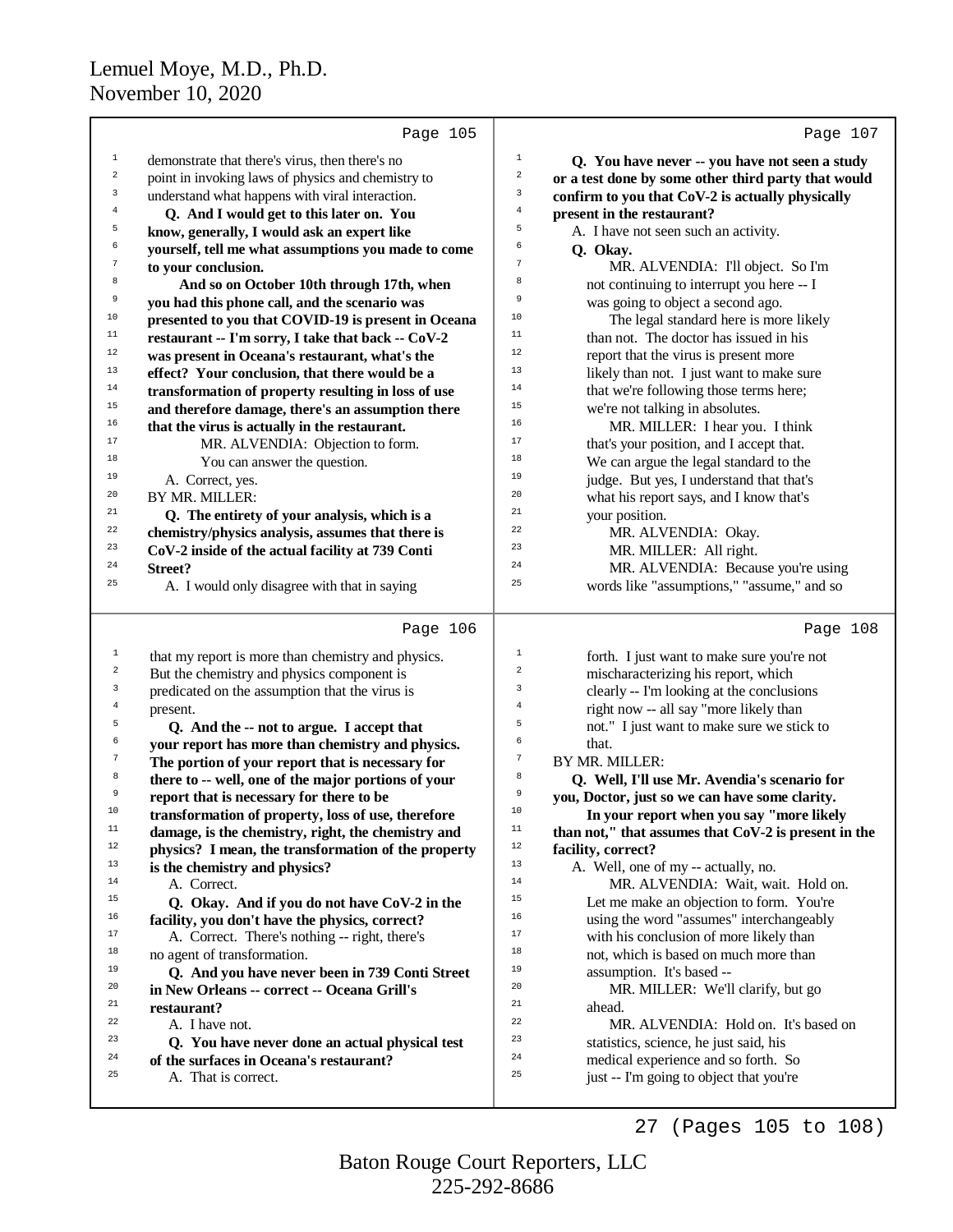|                         | Page 105                                                                                             |                  | Page 107                                                                                       |
|-------------------------|------------------------------------------------------------------------------------------------------|------------------|------------------------------------------------------------------------------------------------|
| $\mathbf 1$             | demonstrate that there's virus, then there's no                                                      | $\,1$            | Q. You have never -- you have not seen a study                                                 |
| $\overline{\mathbf{c}}$ | point in invoking laws of physics and chemistry to                                                   | $\boldsymbol{2}$ | or a test done by some other third party that would                                            |
| 3                       | understand what happens with viral interaction.                                                      | 3                | confirm to you that CoV-2 is actually physically                                               |
| $\overline{4}$          | Q. And I would get to this later on. You                                                             | $\bf{4}$         | present in the restaurant?                                                                     |
| 5                       | know, generally, I would ask an expert like                                                          | 5                | A. I have not seen such an activity.                                                           |
| 6                       | yourself, tell me what assumptions you made to come                                                  | 6                | Q. Okay.                                                                                       |
| $\sqrt{7}$              | to your conclusion.                                                                                  | $\boldsymbol{7}$ | MR. ALVENDIA: I'll object. So I'm                                                              |
| 8                       | And so on October 10th through 17th, when                                                            | 8                | not continuing to interrupt you here -- I                                                      |
| 9                       | you had this phone call, and the scenario was                                                        | 9                | was going to object a second ago.                                                              |
| 10                      | presented to you that COVID-19 is present in Oceana                                                  | 10               | The legal standard here is more likely                                                         |
| $11\,$                  | restaurant -- I'm sorry, I take that back -- CoV-2                                                   | 11               | than not. The doctor has issued in his                                                         |
| $12\,$                  | was present in Oceana's restaurant, what's the                                                       | 12               | report that the virus is present more                                                          |
| 13                      | effect? Your conclusion, that there would be a                                                       | 13               | likely than not. I just want to make sure                                                      |
| 14                      | transformation of property resulting in loss of use                                                  | 14               | that we're following those terms here;                                                         |
| $15\,$                  | and therefore damage, there's an assumption there                                                    | 15               | we're not talking in absolutes.                                                                |
| 16                      | that the virus is actually in the restaurant.                                                        | 16               | MR. MILLER: I hear you. I think                                                                |
| 17                      | MR. ALVENDIA: Objection to form.                                                                     | 17               | that's your position, and I accept that.                                                       |
| 18                      | You can answer the question.                                                                         | 18               | We can argue the legal standard to the                                                         |
| 19                      | A. Correct, yes.                                                                                     | 19               | judge. But yes, I understand that that's                                                       |
| 20                      | BY MR. MILLER:                                                                                       | 20               | what his report says, and I know that's                                                        |
| 21                      | Q. The entirety of your analysis, which is a                                                         | 21               | your position.                                                                                 |
| 22                      | chemistry/physics analysis, assumes that there is                                                    | 22               | MR. ALVENDIA: Okay.                                                                            |
| 23                      | CoV-2 inside of the actual facility at 739 Conti                                                     | 23               | MR. MILLER: All right.                                                                         |
| 24                      | <b>Street?</b>                                                                                       | 24               | MR. ALVENDIA: Because you're using                                                             |
| 25                      | A. I would only disagree with that in saying                                                         | 25               | words like "assumptions," "assume," and so                                                     |
|                         | Page 106                                                                                             |                  | Page 108                                                                                       |
| $\mathbf{1}$            | that my report is more than chemistry and physics.                                                   | $1\,$            | forth. I just want to make sure you're not                                                     |
| $\overline{a}$          | But the chemistry and physics component is                                                           | 2                | mischaracterizing his report, which                                                            |
| 3                       | predicated on the assumption that the virus is                                                       | 3                | clearly -- I'm looking at the conclusions                                                      |
| $\overline{4}$          | present.                                                                                             | $\overline{4}$   | right now -- all say "more likely than                                                         |
| 5                       |                                                                                                      |                  |                                                                                                |
|                         |                                                                                                      | 5                |                                                                                                |
| 6                       | Q. And the -- not to argue. I accept that                                                            | 6                | not." I just want to make sure we stick to<br>that.                                            |
| $\tau$                  | your report has more than chemistry and physics.<br>The portion of your report that is necessary for | $\boldsymbol{7}$ | BY MR. MILLER:                                                                                 |
| 8                       |                                                                                                      | 8                |                                                                                                |
| 9                       | there to -- well, one of the major portions of your<br>report that is necessary for there to be      | 9                | Q. Well, I'll use Mr. Avendia's scenario for<br>you, Doctor, just so we can have some clarity. |
| 10                      | transformation of property, loss of use, therefore                                                   | 10               | In your report when you say "more likely                                                       |
| 11                      | damage, is the chemistry, right, the chemistry and                                                   | 11               | than not," that assumes that CoV-2 is present in the                                           |
| 12                      | physics? I mean, the transformation of the property                                                  | 12               | facility, correct?                                                                             |
| 13                      | is the chemistry and physics?                                                                        | 13               | A. Well, one of my -- actually, no.                                                            |
| 14                      | A. Correct.                                                                                          | 14               | MR. ALVENDIA: Wait, wait. Hold on.                                                             |
| 15                      | Q. Okay. And if you do not have CoV-2 in the                                                         | 15               | Let me make an objection to form. You're                                                       |
| 16                      | facility, you don't have the physics, correct?                                                       | 16               | using the word "assumes" interchangeably                                                       |
| 17                      | A. Correct. There's nothing -- right, there's                                                        | 17               | with his conclusion of more likely than                                                        |
| 18                      | no agent of transformation.                                                                          | 18               | not, which is based on much more than                                                          |
| 19                      | Q. And you have never been in 739 Conti Street                                                       | 19               | assumption. It's based --                                                                      |
| $20\,$                  | in New Orleans -- correct -- Oceana Grill's                                                          | 20               | MR. MILLER: We'll clarify, but go                                                              |
| 21                      | restaurant?                                                                                          | 21               | ahead.                                                                                         |
| 22                      | A. I have not.                                                                                       | 22               | MR. ALVENDIA: Hold on. It's based on                                                           |
| 23                      | Q. You have never done an actual physical test                                                       | 23               | statistics, science, he just said, his                                                         |
| $\bf 24$                | of the surfaces in Oceana's restaurant?                                                              | 24               | medical experience and so forth. So                                                            |
| 25                      | A. That is correct.                                                                                  | 25               | just -- I'm going to object that you're                                                        |

225-292-8686 Baton Rouge Court Reporters, LLC

27 (Pages 105 to 108)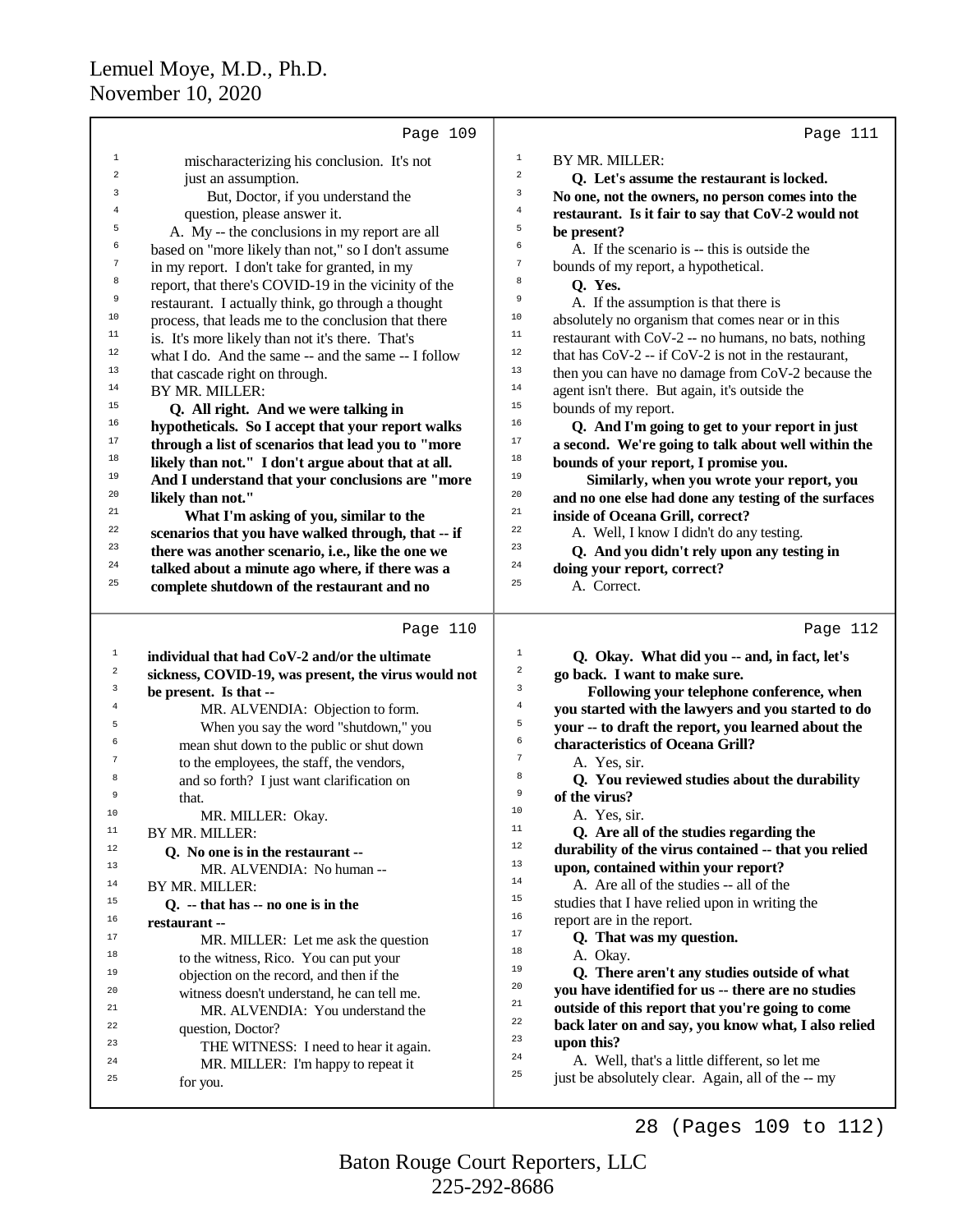|                | Page 109                                             |                | Page 111                                              |
|----------------|------------------------------------------------------|----------------|-------------------------------------------------------|
| $1\,$          | mischaracterizing his conclusion. It's not           | $\mathbf{1}$   | BY MR. MILLER:                                        |
| 2              | just an assumption.                                  | $\sqrt{2}$     | Q. Let's assume the restaurant is locked.             |
| 3              | But, Doctor, if you understand the                   | $\mathbf{3}$   | No one, not the owners, no person comes into the      |
|                | question, please answer it.                          | $\bf{4}$       | restaurant. Is it fair to say that CoV-2 would not    |
| 5              | A. My -- the conclusions in my report are all        | 5              | be present?                                           |
| 6              | based on "more likely than not," so I don't assume   | 6              | A. If the scenario is -- this is outside the          |
| 7              | in my report. I don't take for granted, in my        | $\tau$         | bounds of my report, a hypothetical.                  |
| 8              | report, that there's COVID-19 in the vicinity of the | 8              | Q. Yes.                                               |
| 9              | restaurant. I actually think, go through a thought   | $\overline{9}$ | A. If the assumption is that there is                 |
| 10             | process, that leads me to the conclusion that there  | 10             | absolutely no organism that comes near or in this     |
| $11\,$         | is. It's more likely than not it's there. That's     | $11\,$         | restaurant with CoV-2 -- no humans, no bats, nothing  |
| $12\,$         | what I do. And the same -- and the same -- I follow  | $12\,$         | that has $CoV-2 - if CoV-2$ is not in the restaurant, |
| 13             | that cascade right on through.                       | $13$           | then you can have no damage from CoV-2 because the    |
| 14             | BY MR. MILLER:                                       | 14             | agent isn't there. But again, it's outside the        |
| 15             | Q. All right. And we were talking in                 | $15\,$         | bounds of my report.                                  |
| 16             | hypotheticals. So I accept that your report walks    | 16             | Q. And I'm going to get to your report in just        |
| 17             | through a list of scenarios that lead you to "more   | $17\,$         | a second. We're going to talk about well within the   |
| 18             | likely than not." I don't argue about that at all.   | $18\,$         | bounds of your report, I promise you.                 |
| 19             | And I understand that your conclusions are "more     | 19             | Similarly, when you wrote your report, you            |
| 20             | likely than not."                                    | 20             | and no one else had done any testing of the surfaces  |
| 21             | What I'm asking of you, similar to the               | $21\,$         | inside of Oceana Grill, correct?                      |
| 22             | scenarios that you have walked through, that -- if   | 22             | A. Well, I know I didn't do any testing.              |
| 23             | there was another scenario, i.e., like the one we    | 23             | Q. And you didn't rely upon any testing in            |
| 24             | talked about a minute ago where, if there was a      | 24             | doing your report, correct?                           |
| 25             | complete shutdown of the restaurant and no           | 25             | A. Correct.                                           |
|                | Page 110                                             |                | Page 112                                              |
| $\,1$          | individual that had CoV-2 and/or the ultimate        | $\mathbf{1}$   | Q. Okay. What did you -- and, in fact, let's          |
| $\,2$          | sickness, COVID-19, was present, the virus would not | 2              | go back. I want to make sure.                         |
| $\mathsf 3$    | be present. Is that --                               | 3              | Following your telephone conference, when             |
| $\overline{4}$ | MR. ALVENDIA: Objection to form.                     | $\overline{4}$ | you started with the lawyers and you started to do    |
| 5              | When you say the word "shutdown," you                | 5              | your -- to draft the report, you learned about the    |
| 6              | mean shut down to the public or shut down            | 6              | characteristics of Oceana Grill?                      |
| 7              | to the employees, the staff, the vendors,            | $\overline{7}$ | A. Yes, sir.                                          |
| 8              | and so forth? I just want clarification on           | 8              | Q. You reviewed studies about the durability          |
| 9              | that.                                                | 9              | of the virus?                                         |
| 10             | MR. MILLER: Okay.                                    | $10$           | A. Yes, sir.                                          |
| 11             | BY MR. MILLER:                                       | 11             | Q. Are all of the studies regarding the               |
| 12             | Q. No one is in the restaurant --                    | 12             | durability of the virus contained -- that you relied  |
| 13             | MR. ALVENDIA: No human --                            | 13             | upon, contained within your report?                   |
| 14             | BY MR. MILLER:                                       | 14             | A. Are all of the studies -- all of the               |
| 15             | $Q. -$ that has $-$ no one is in the                 | 15             | studies that I have relied upon in writing the        |
| 16             | restaurant --                                        | 16<br>17       | report are in the report.                             |
| 17             | $MD$ MILLED: Let me sel the question                 |                | O. That was my question.                              |

MR. MILLER: Let me ask the question

<sup>18</sup> to the witness, Rico. You can put your<br>
objection on the record and then if the <sup>19</sup> objection on the record, and then if the  $\frac{19}{20}$  objection on the record, and then if the <sup>20</sup> witness doesn't understand, he can tell me.<br><sup>21</sup> MP ALVENDIA: You understand the <sup>21</sup> MR. ALVENDIA: You understand the  $\frac{22}{2}$  and  $\frac{22}{2}$ 

<sup>23</sup> THE WITNESS: I need to hear it again.<br><sup>24</sup> MP MILLEP: I'm happy to repeat it <sup>24</sup> MR. MILLER: I'm happy to repeat it

<sup>22</sup> question, Doctor?<br><sup>23</sup> THE WITNES

for you.

225-292-8686 Baton Rouge Court Reporters, LLC

<sup>18</sup> A. Okay.<br> **O** There

<sup>23</sup> **upon this?**<br><sup>24</sup> **A Well** 

<sup>17</sup> Q. That was my question.

<sup>19</sup> **Q. There aren't any studies outside of what**<br><sup>20</sup> vou have identified for us -- there are no studies <sup>20</sup> **you have identified for us -- there are no studies**<br><sup>21</sup> **outside of this report that you're going to come** <sup>21</sup> **outside of this report that you're going to come** <sup>22</sup> **back later on and say, you know what, I also relied**<br><sup>23</sup> **upon this**?

<sup>24</sup> A. Well, that's a little different, so let me

just be absolutely clear. Again, all of the -- my

28 (Pages 109 to 112)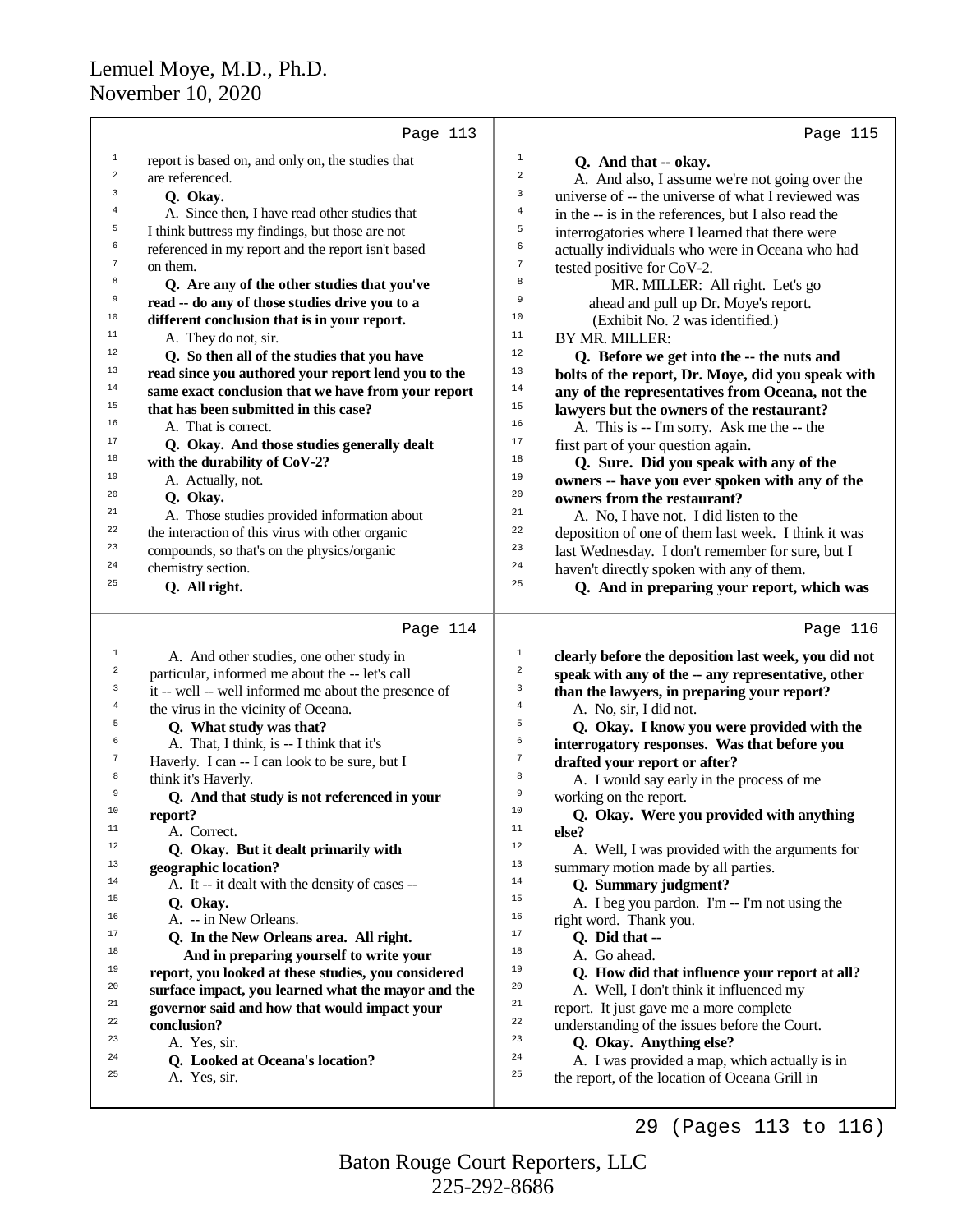|                | Page 113                                             |                | Page 115                                             |
|----------------|------------------------------------------------------|----------------|------------------------------------------------------|
| $\mathbf 1$    | report is based on, and only on, the studies that    | $\mathbf{1}$   | Q. And that -- okay.                                 |
| $\overline{a}$ | are referenced.                                      | $\overline{a}$ | A. And also, I assume we're not going over the       |
| 3              | Q. Okay.                                             | 3              | universe of -- the universe of what I reviewed was   |
| $\overline{4}$ | A. Since then, I have read other studies that        | $\overline{4}$ | in the -- is in the references, but I also read the  |
| 5              | I think buttress my findings, but those are not      | 5              | interrogatories where I learned that there were      |
| 6              | referenced in my report and the report isn't based   | 6              | actually individuals who were in Oceana who had      |
| $\overline{7}$ | on them.                                             | 7              | tested positive for CoV-2.                           |
| 8              | Q. Are any of the other studies that you've          | 8              | MR. MILLER: All right. Let's go                      |
| 9              | read -- do any of those studies drive you to a       | 9              | ahead and pull up Dr. Moye's report.                 |
| 10             | different conclusion that is in your report.         | 10             | (Exhibit No. 2 was identified.)                      |
| 11             | A. They do not, sir.                                 | 11             | BY MR. MILLER:                                       |
| 12             | Q. So then all of the studies that you have          | 12             | Q. Before we get into the -- the nuts and            |
| 13             | read since you authored your report lend you to the  | 13             | bolts of the report, Dr. Moye, did you speak with    |
| 14             | same exact conclusion that we have from your report  | 14             | any of the representatives from Oceana, not the      |
| 15             | that has been submitted in this case?                | 15             | lawyers but the owners of the restaurant?            |
| 16             | A. That is correct.                                  | 16             | A. This is -- I'm sorry. Ask me the -- the           |
| 17             | Q. Okay. And those studies generally dealt           | 17             | first part of your question again.                   |
| 18             | with the durability of CoV-2?                        | 18             | Q. Sure. Did you speak with any of the               |
| 19             | A. Actually, not.                                    | 19             | owners -- have you ever spoken with any of the       |
| 20             | Q. Okay.                                             | 20             | owners from the restaurant?                          |
| 21             | A. Those studies provided information about          | 21             | A. No, I have not. I did listen to the               |
| 22             | the interaction of this virus with other organic     | 22             | deposition of one of them last week. I think it was  |
| 23             | compounds, so that's on the physics/organic          | 23             | last Wednesday. I don't remember for sure, but I     |
| 24             | chemistry section.                                   | 24             | haven't directly spoken with any of them.            |
| 25             | Q. All right.                                        | 25             | Q. And in preparing your report, which was           |
|                | Page 114                                             |                | Page 116                                             |
| $\mathbf{1}$   | A. And other studies, one other study in             | $\mathbf{1}$   | clearly before the deposition last week, you did not |
| $\sqrt{2}$     | particular, informed me about the -- let's call      | $\mathbf 2$    | speak with any of the -- any representative, other   |
| 3              | it -- well -- well informed me about the presence of | 3              | than the lawyers, in preparing your report?          |
| $\overline{4}$ | the virus in the vicinity of Oceana.                 | $\bf{4}$       | A. No, sir, I did not.                               |
| 5              | Q. What study was that?                              | 5              | Q. Okay. I know you were provided with the           |
| 6              | A. That, I think, is -- I think that it's            | 6              | interrogatory responses. Was that before you         |
| $\tau$         | Haverly. I can -- I can look to be sure, but I       | 7              | drafted your report or after?                        |
| 8              | think it's Haverly.                                  | 8              | A. I would say early in the process of me            |
| 9              | Q. And that study is not referenced in your          | 9              | working on the report.                               |

<sup>10</sup> **report?**<br><sup>11</sup> **A**  $\overline{C}$ <sup>11</sup> A. Correct.<br> $\mathbf{Q} = \mathbf{Q} \mathbf{Q}$ <sup>12</sup> Q. Okay. But it dealt primarily with <sup>13</sup> **geographic location?** <sup>14</sup>  $\overrightarrow{A}$ . It -- it dealt with the density of cases --<sup>15</sup> **Q. Okay.**<br><sup>16</sup> **A II N**<sub>6</sub> <sup>16</sup> A. -- in New Orleans. <sup>17</sup> Q. In the New Orleans area. All right. <sup>18</sup> **And in preparing yourself to write your**<br><sup>19</sup> **report** you looked at these studies you consid <sup>19</sup> **report, you looked at these studies, you considered** <sup>20</sup> surface impact, you learned what the mayor and the <sup>21</sup> governor said and how that would impact your<br><sup>22</sup> conclusion? <sup>22</sup> **conclusion?**<br><sup>23</sup>  $\Lambda$   $\Delta$ <sup>23</sup> A. Yes, sir.<br> $\frac{24}{7}$  A. Yes, sir. <sup>24</sup> Q. Looked at Oceana's location? A. Yes, sir.

29 (Pages 113 to 116)

<sup>10</sup> **Q. Okay.** Were you provided with anything <br><sup>11</sup> else?

<sup>12</sup> A. Well, I was provided with the arguments for<br><sup>13</sup> summary motion made by all parties

<sup>15</sup> A. I beg you pardon. I'm  $-$  I'm not using the right word. Thank you

<sup>19</sup> **Q. How did that influence your report at all?**<br><sup>20</sup> **A** Well I don't think it influenced my

<sup>24</sup> A. I was provided a map, which actually is in  $\frac{25}{100}$  the general of the leastion of Qeeane Grill in the report, of the location of Oceana Grill in

<sup>20</sup> A. Well, I don't think it influenced my <sup>21</sup> report. It just gave me a more complete<br><sup>22</sup> understanding of the issues before the C <sup>22</sup> understanding of the issues before the Court.<br><sup>23</sup>  $Q = Q \log \frac{\Delta}{2}$ 

<sup>13</sup> summary motion made by all parties. <sup>14</sup> Q. Summary judgment?

<sup>16</sup> right word. Thank you. <sup>17</sup> Q. Did that  $\frac{18}{4}$ <sup>18</sup> A. Go ahead.

<sup>23</sup> Q. Okay. Anything else?

 $11$  **else?**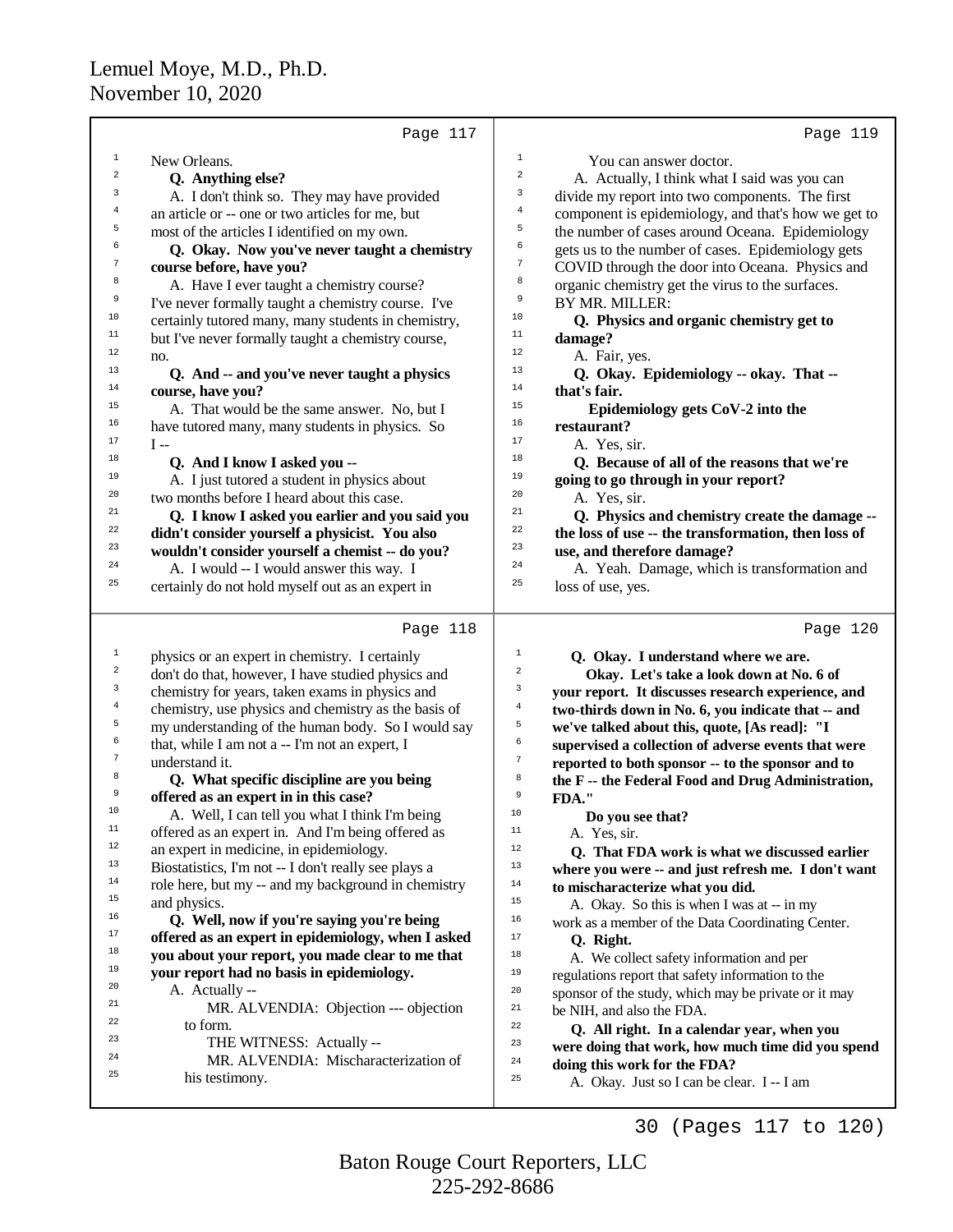|              | Page 117                                               | Page 119                                                                               |
|--------------|--------------------------------------------------------|----------------------------------------------------------------------------------------|
| $\mathbf{1}$ | New Orleans.                                           | $\mathbf{1}$<br>You can answer doctor.                                                 |
| 2            | Q. Anything else?                                      | $\sqrt{2}$<br>A. Actually, I think what I said was you can                             |
| 3            | A. I don't think so. They may have provided            | 3<br>divide my report into two components. The first                                   |
| 4            | an article or -- one or two articles for me, but       | $\overline{4}$<br>component is epidemiology, and that's how we get to                  |
| 5            | most of the articles I identified on my own.           | 5<br>the number of cases around Oceana. Epidemiology                                   |
| 6            | Q. Okay. Now you've never taught a chemistry           | 6<br>gets us to the number of cases. Epidemiology gets                                 |
| 7            | course before, have you?                               | $\boldsymbol{7}$<br>COVID through the door into Oceana. Physics and                    |
| 8            | A. Have I ever taught a chemistry course?              | 8<br>organic chemistry get the virus to the surfaces.                                  |
| 9            | I've never formally taught a chemistry course. I've    | 9<br>BY MR. MILLER:                                                                    |
| 10           | certainly tutored many, many students in chemistry,    | 10<br>Q. Physics and organic chemistry get to                                          |
| 11           | but I've never formally taught a chemistry course,     | $11$<br>damage?                                                                        |
| 12           | no.                                                    | 12<br>A. Fair, yes.                                                                    |
| 13           | Q. And -- and you've never taught a physics            | 13<br>Q. Okay. Epidemiology -- okay. That --                                           |
| 14           | course, have you?                                      | 14<br>that's fair.                                                                     |
| 15           | A. That would be the same answer. No, but I            | 15<br>Epidemiology gets CoV-2 into the                                                 |
| 16           | have tutored many, many students in physics. So        | 16<br>restaurant?                                                                      |
| 17           | I --                                                   | 17<br>A. Yes, sir.                                                                     |
| 18           | Q. And I know I asked you --                           | 18<br>Q. Because of all of the reasons that we're                                      |
| 19           | A. I just tutored a student in physics about           | 19<br>going to go through in your report?                                              |
| 20           | two months before I heard about this case.             | 20<br>A. Yes, sir.                                                                     |
| 21           | Q. I know I asked you earlier and you said you         | 21<br>Q. Physics and chemistry create the damage --                                    |
| 22           | didn't consider yourself a physicist. You also         | 22<br>the loss of use -- the transformation, then loss of                              |
| 23           | wouldn't consider yourself a chemist -- do you?        | 23<br>use, and therefore damage?                                                       |
| 24           | A. I would -- I would answer this way. I               | 24<br>A. Yeah. Damage, which is transformation and                                     |
| 25           | certainly do not hold myself out as an expert in       | 25<br>loss of use, yes.                                                                |
|              |                                                        |                                                                                        |
|              |                                                        |                                                                                        |
|              | Page 118                                               | Page 120                                                                               |
| $\mathbf 1$  | physics or an expert in chemistry. I certainly         | 1<br>Q. Okay. I understand where we are.                                               |
| $\sqrt{2}$   | don't do that, however, I have studied physics and     | $\overline{c}$<br>Okay. Let's take a look down at No. 6 of                             |
| 3            | chemistry for years, taken exams in physics and        | $\mathsf 3$<br>your report. It discusses research experience, and                      |
| 4            | chemistry, use physics and chemistry as the basis of   | $\overline{4}$<br>two-thirds down in No. 6, you indicate that -- and                   |
| 5            | my understanding of the human body. So I would say     | 5<br>we've talked about this, quote, [As read]: "I                                     |
| 6            | that, while I am not a -- I'm not an expert, I         | $\epsilon$<br>supervised a collection of adverse events that were                      |
| 7            | understand it.                                         | $\sqrt{7}$<br>reported to both sponsor -- to the sponsor and to                        |
| 8            | Q. What specific discipline are you being              | 8<br>the F -- the Federal Food and Drug Administration,                                |
| 9            | offered as an expert in in this case?                  | 9<br>FDA."                                                                             |
| 10           | A. Well, I can tell you what I think I'm being         | 10<br>Do you see that?                                                                 |
| 11           | offered as an expert in. And I'm being offered as      | $11$<br>A. Yes, sir.                                                                   |
| 12           | an expert in medicine, in epidemiology.                | 12<br>Q. That FDA work is what we discussed earlier                                    |
| 13           | Biostatistics, I'm not -- I don't really see plays a   | 13<br>where you were -- and just refresh me. I don't want                              |
| $14\,$       | role here, but my -- and my background in chemistry    | 14<br>to mischaracterize what you did.                                                 |
| 15           | and physics.                                           | 15<br>A. Okay. So this is when I was at -- in my                                       |
| 16           | Q. Well, now if you're saying you're being             | 16<br>work as a member of the Data Coordinating Center.                                |
| 17           | offered as an expert in epidemiology, when I asked     | $17\,$<br>Q. Right.                                                                    |
| 18           | you about your report, you made clear to me that       | 18<br>A. We collect safety information and per                                         |
| 19           | your report had no basis in epidemiology.              | 19<br>regulations report that safety information to the                                |
| 20           | A. Actually --                                         | 20<br>sponsor of the study, which may be private or it may                             |
| 21<br>22     | MR. ALVENDIA: Objection --- objection                  | 21<br>be NIH, and also the FDA.                                                        |
| 23           | to form.                                               | 22<br>Q. All right. In a calendar year, when you                                       |
| 24           | THE WITNESS: Actually --                               | 23<br>were doing that work, how much time did you spend                                |
| 25           | MR. ALVENDIA: Mischaracterization of<br>his testimony. | 24<br>doing this work for the FDA?<br>25<br>A. Okay. Just so I can be clear. I -- I am |

30 (Pages 117 to 120)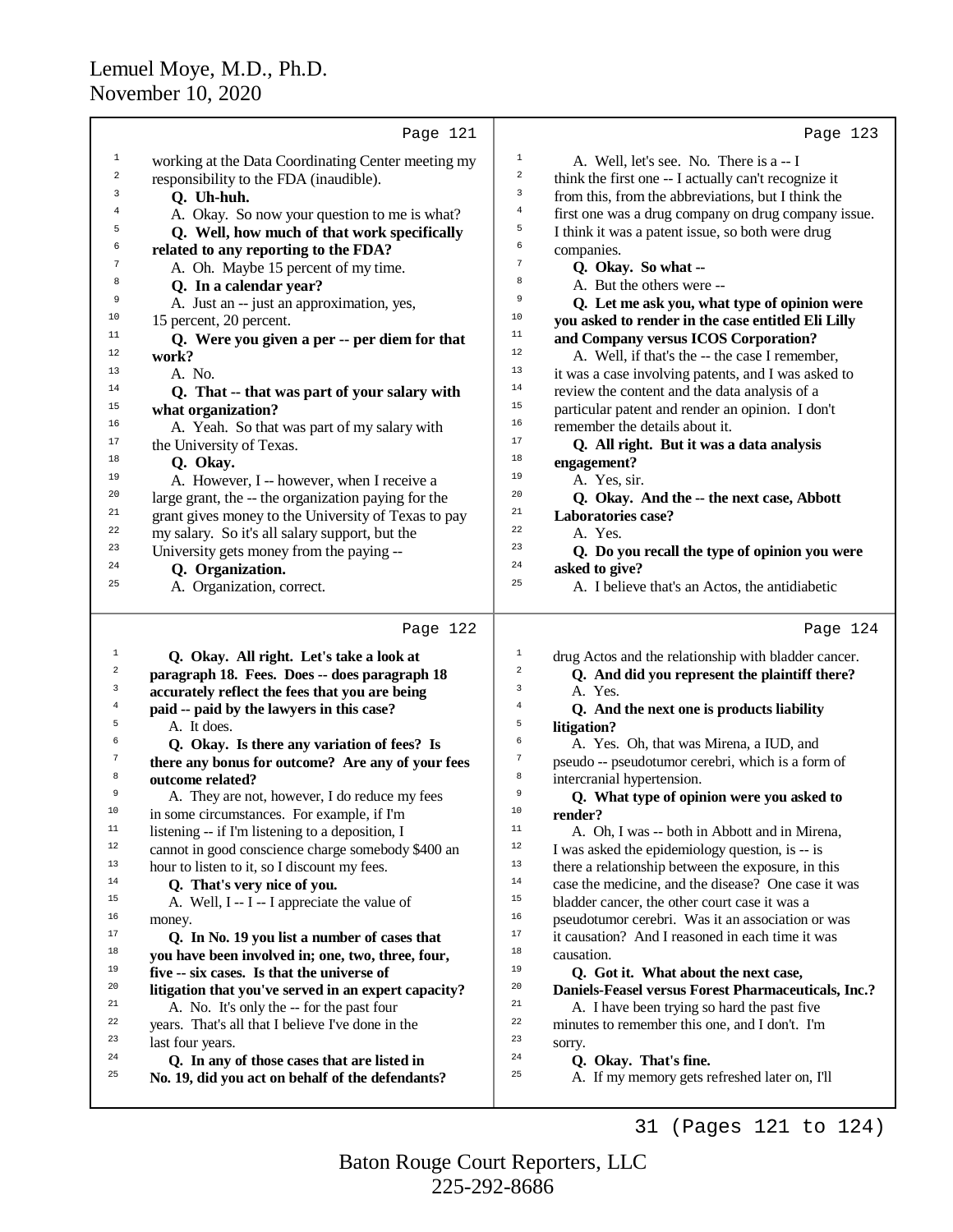|                         | Page 121                                                                                       |                  | Page 123                                                 |
|-------------------------|------------------------------------------------------------------------------------------------|------------------|----------------------------------------------------------|
| $\mathbf{1}$            | working at the Data Coordinating Center meeting my                                             | $\mathbf{1}$     | A. Well, let's see. No. There is a -- I                  |
| $\,2$                   | responsibility to the FDA (inaudible).                                                         | $\,2$            | think the first one -- I actually can't recognize it     |
| 3                       | Q. Uh-huh.                                                                                     | 3                | from this, from the abbreviations, but I think the       |
| 4                       | A. Okay. So now your question to me is what?                                                   | $\overline{4}$   | first one was a drug company on drug company issue.      |
| 5                       | Q. Well, how much of that work specifically                                                    | 5                | I think it was a patent issue, so both were drug         |
| 6                       | related to any reporting to the FDA?                                                           | 6                | companies.                                               |
| 7                       | A. Oh. Maybe 15 percent of my time.                                                            | 7                | Q. Okay. So what --                                      |
| 8                       | Q. In a calendar year?                                                                         | 8                | A. But the others were --                                |
| 9                       | A. Just an -- just an approximation, yes,                                                      | 9                | Q. Let me ask you, what type of opinion were             |
| 10                      | 15 percent, 20 percent.                                                                        | $10$             | you asked to render in the case entitled Eli Lilly       |
| 11                      | Q. Were you given a per -- per diem for that                                                   | 11               | and Company versus ICOS Corporation?                     |
| 12                      | work?                                                                                          | 12               | A. Well, if that's the -- the case I remember,           |
| 13                      | A. No.                                                                                         | 13               | it was a case involving patents, and I was asked to      |
| 14                      | Q. That -- that was part of your salary with                                                   | 14               | review the content and the data analysis of a            |
| 15                      | what organization?                                                                             | 15               | particular patent and render an opinion. I don't         |
| 16                      | A. Yeah. So that was part of my salary with                                                    | 16               | remember the details about it.                           |
| 17                      | the University of Texas.                                                                       | 17               | Q. All right. But it was a data analysis                 |
| 18                      | Q. Okay.                                                                                       | 18               | engagement?                                              |
| 19                      | A. However, I -- however, when I receive a                                                     | 19               | A. Yes, sir.                                             |
| 20                      | large grant, the -- the organization paying for the                                            | 20               | Q. Okay. And the -- the next case, Abbott                |
| 21                      | grant gives money to the University of Texas to pay                                            | 21               | Laboratories case?                                       |
| 22                      | my salary. So it's all salary support, but the                                                 | 22               | A. Yes.                                                  |
| 23                      | University gets money from the paying --                                                       | 23               | Q. Do you recall the type of opinion you were            |
| 24                      | Q. Organization.                                                                               | 24               | asked to give?                                           |
| 25                      | A. Organization, correct.                                                                      | 25               | A. I believe that's an Actos, the antidiabetic           |
|                         |                                                                                                |                  |                                                          |
|                         | Page 122                                                                                       |                  | Page 124                                                 |
| $\mathbf{1}$            | Q. Okay. All right. Let's take a look at                                                       | 1                | drug Actos and the relationship with bladder cancer.     |
| $\overline{\mathbf{c}}$ | paragraph 18. Fees. Does -- does paragraph 18                                                  | 2                | Q. And did you represent the plaintiff there?            |
| 3                       | accurately reflect the fees that you are being                                                 | 3                | A. Yes.                                                  |
| $\overline{4}$<br>5     | paid -- paid by the lawyers in this case?                                                      | 4<br>5           | Q. And the next one is products liability                |
| 6                       | A. It does.                                                                                    | б                | litigation?                                              |
| 7                       | Q. Okay. Is there any variation of fees? Is                                                    | $\boldsymbol{7}$ | A. Yes. Oh, that was Mirena, a IUD, and                  |
| 8                       | there any bonus for outcome? Are any of your fees                                              | 8                | pseudo -- pseudotumor cerebri, which is a form of        |
| 9                       | outcome related?                                                                               | 9                | intercranial hypertension.                               |
| TΩ                      | A. They are not, however, I do reduce my fees                                                  | TΩ               | Q. What type of opinion were you asked to                |
| 11                      | in some circumstances. For example, if I'm<br>listening -- if I'm listening to a deposition, I | 11               | render?<br>A. Oh, I was -- both in Abbott and in Mirena, |
| $12\,$                  | cannot in good conscience charge somebody \$400 an                                             | $12\,$           | I was asked the epidemiology question, is -- is          |
| 13                      | hour to listen to it, so I discount my fees.                                                   | 13               | there a relationship between the exposure, in this       |
| 14                      | Q. That's very nice of you.                                                                    | 14               | case the medicine, and the disease? One case it was      |
| 15                      | A. Well, I -- I -- I appreciate the value of                                                   | 15               | bladder cancer, the other court case it was a            |
| 16                      | money.                                                                                         | 16               | pseudotumor cerebri. Was it an association or was        |
| 17                      | Q. In No. 19 you list a number of cases that                                                   | 17               | it causation? And I reasoned in each time it was         |
| 18                      | you have been involved in; one, two, three, four,                                              | 18               | causation.                                               |
| 19                      | five -- six cases. Is that the universe of                                                     | 19               | Q. Got it. What about the next case,                     |
| 20                      | litigation that you've served in an expert capacity?                                           | 20               | Daniels-Feasel versus Forest Pharmaceuticals, Inc.?      |
| 21                      | A. No. It's only the -- for the past four                                                      | 21               | A. I have been trying so hard the past five              |
| 22                      | years. That's all that I believe I've done in the                                              | 22               | minutes to remember this one, and I don't. I'm           |
| 23                      | last four years.                                                                               | 23               | sorry.                                                   |
| 24                      | Q. In any of those cases that are listed in                                                    | 24               | Q. Okay. That's fine.                                    |
| 25                      | No. 19, did you act on behalf of the defendants?                                               | 25               | A. If my memory gets refreshed later on, I'll            |
|                         |                                                                                                |                  |                                                          |

225-292-8686 Baton Rouge Court Reporters, LLC

31 (Pages 121 to 124)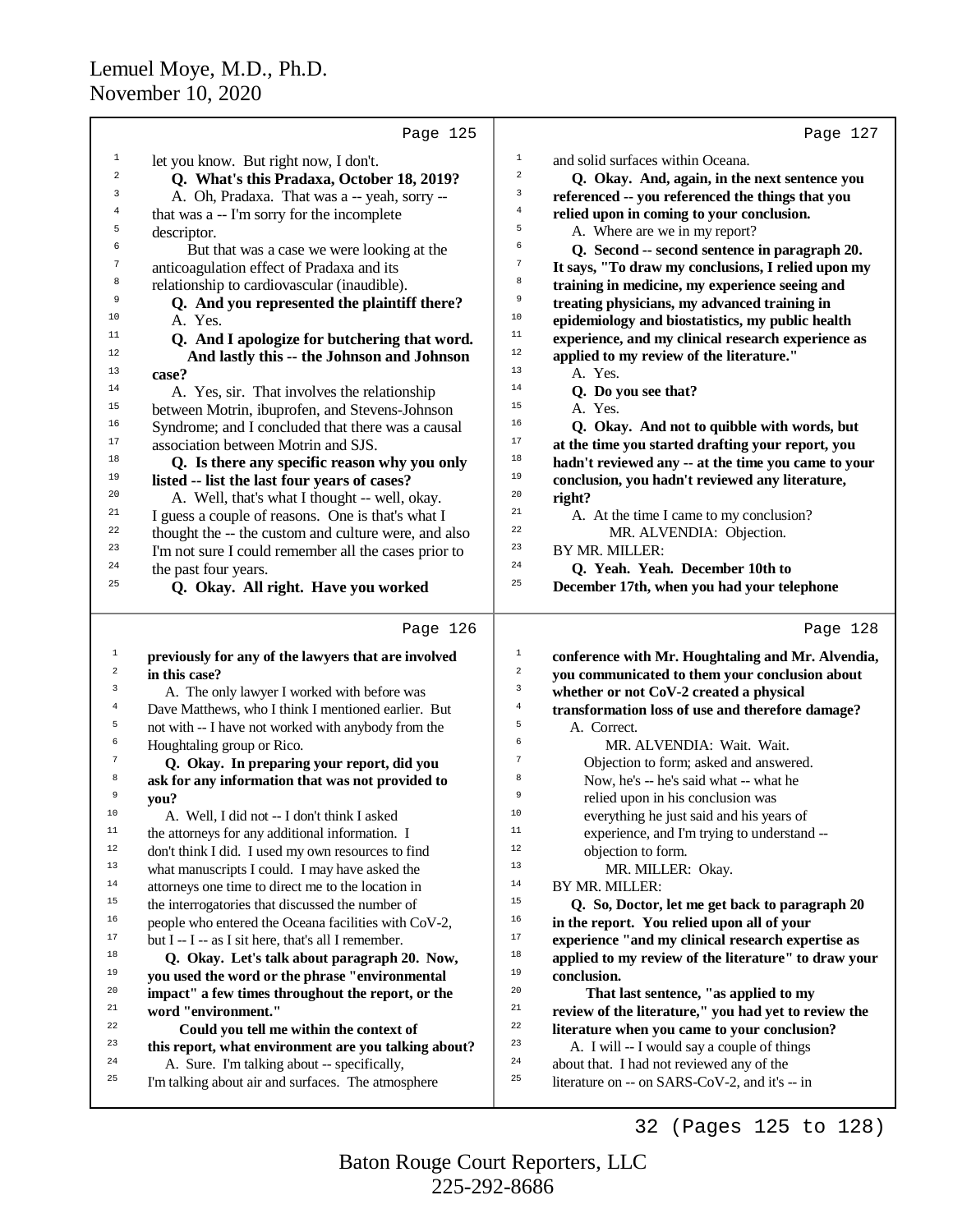|                         | Page 125                                                                                                    | Page 127                                                                                                |
|-------------------------|-------------------------------------------------------------------------------------------------------------|---------------------------------------------------------------------------------------------------------|
| $\mathbf{1}$            | let you know. But right now, I don't.                                                                       | $\mathbf{1}$<br>and solid surfaces within Oceana.                                                       |
| $\sqrt{2}$              | Q. What's this Pradaxa, October 18, 2019?                                                                   | $\,2$<br>Q. Okay. And, again, in the next sentence you                                                  |
| 3                       | A. Oh, Pradaxa. That was a -- yeah, sorry --                                                                | 3<br>referenced -- you referenced the things that you                                                   |
| 4                       | that was a -- I'm sorry for the incomplete                                                                  | 4<br>relied upon in coming to your conclusion.                                                          |
| 5                       | descriptor.                                                                                                 | 5<br>A. Where are we in my report?                                                                      |
| 6                       | But that was a case we were looking at the                                                                  | б<br>Q. Second -- second sentence in paragraph 20.                                                      |
| 7                       | anticoagulation effect of Pradaxa and its                                                                   | $\boldsymbol{7}$<br>It says, "To draw my conclusions, I relied upon my                                  |
| 8                       | relationship to cardiovascular (inaudible).                                                                 | 8<br>training in medicine, my experience seeing and                                                     |
| 9                       | Q. And you represented the plaintiff there?                                                                 | $\,9$<br>treating physicians, my advanced training in                                                   |
| 10                      | A. Yes.                                                                                                     | 10<br>epidemiology and biostatistics, my public health                                                  |
| 11                      | Q. And I apologize for butchering that word.                                                                | 11<br>experience, and my clinical research experience as                                                |
| 12                      | And lastly this -- the Johnson and Johnson                                                                  | 12<br>applied to my review of the literature."                                                          |
| 13                      | case?                                                                                                       | 13<br>A. Yes.                                                                                           |
| 14                      | A. Yes, sir. That involves the relationship                                                                 | 14<br>Q. Do you see that?                                                                               |
| 15                      | between Motrin, ibuprofen, and Stevens-Johnson                                                              | 15<br>A. Yes.                                                                                           |
| 16<br>17                | Syndrome; and I concluded that there was a causal                                                           | 16<br>Q. Okay. And not to quibble with words, but<br>17                                                 |
| 18                      | association between Motrin and SJS.                                                                         | at the time you started drafting your report, you<br>18                                                 |
| 19                      | Q. Is there any specific reason why you only<br>listed -- list the last four years of cases?                | hadn't reviewed any -- at the time you came to your<br>19                                               |
| 20                      | A. Well, that's what I thought -- well, okay.                                                               | conclusion, you hadn't reviewed any literature,<br>20<br>right?                                         |
| 21                      | I guess a couple of reasons. One is that's what I                                                           | 21<br>A. At the time I came to my conclusion?                                                           |
| 22                      | thought the -- the custom and culture were, and also                                                        | 22<br>MR. ALVENDIA: Objection.                                                                          |
| 23                      | I'm not sure I could remember all the cases prior to                                                        | 23<br>BY MR. MILLER:                                                                                    |
| 24                      | the past four years.                                                                                        | 24<br>Q. Yeah. Yeah. December 10th to                                                                   |
| 25                      | Q. Okay. All right. Have you worked                                                                         | 25<br>December 17th, when you had your telephone                                                        |
|                         |                                                                                                             |                                                                                                         |
|                         | Page 126                                                                                                    | Page 128                                                                                                |
| $\mathbf 1$             |                                                                                                             |                                                                                                         |
|                         | previously for any of the lawyers that are involved                                                         | $1\,$<br>conference with Mr. Houghtaling and Mr. Alvendia,                                              |
| $\overline{\mathbf{c}}$ | in this case?                                                                                               | $\sqrt{2}$<br>you communicated to them your conclusion about                                            |
| 3                       | A. The only lawyer I worked with before was                                                                 | 3<br>whether or not CoV-2 created a physical                                                            |
| 4                       | Dave Matthews, who I think I mentioned earlier. But                                                         | $\overline{4}$<br>transformation loss of use and therefore damage?                                      |
| 5                       | not with -- I have not worked with anybody from the                                                         | 5<br>A. Correct.                                                                                        |
| 6                       | Houghtaling group or Rico.                                                                                  | 6<br>MR. ALVENDIA: Wait. Wait.                                                                          |
| 7                       | Q. Okay. In preparing your report, did you                                                                  | 7<br>Objection to form; asked and answered.                                                             |
| 8                       | ask for any information that was not provided to                                                            | 8<br>Now, he's -- he's said what -- what he<br>9                                                        |
| 9<br>10                 | you?                                                                                                        | relied upon in his conclusion was<br>10                                                                 |
| 11                      | A. Well, I did not -- I don't think I asked                                                                 | everything he just said and his years of<br>11                                                          |
| $12 \,$                 | the attorneys for any additional information. I                                                             | experience, and I'm trying to understand --<br>12                                                       |
| 13                      | don't think I did. I used my own resources to find                                                          | objection to form.<br>13                                                                                |
| 14                      | what manuscripts I could. I may have asked the                                                              | MR. MILLER: Okay.<br>14                                                                                 |
| 15                      | attorneys one time to direct me to the location in                                                          | BY MR. MILLER:<br>15                                                                                    |
| 16                      | the interrogatories that discussed the number of                                                            | Q. So, Doctor, let me get back to paragraph 20<br>16                                                    |
| 17                      | people who entered the Oceana facilities with CoV-2,<br>but I -- I -- as I sit here, that's all I remember. | in the report. You relied upon all of your<br>17<br>experience "and my clinical research expertise as   |
| 18                      | Q. Okay. Let's talk about paragraph 20. Now,                                                                | 18<br>applied to my review of the literature" to draw your                                              |
| 19                      | you used the word or the phrase "environmental                                                              | 19<br>conclusion.                                                                                       |
| 20                      | impact" a few times throughout the report, or the                                                           | 20<br>That last sentence, "as applied to my                                                             |
| 21                      | word "environment."                                                                                         | 21<br>review of the literature," you had yet to review the                                              |
| 22                      | Could you tell me within the context of                                                                     | 22<br>literature when you came to your conclusion?                                                      |
| 23                      | this report, what environment are you talking about?                                                        | 23<br>A. I will -- I would say a couple of things                                                       |
| 24<br>25                | A. Sure. I'm talking about -- specifically,<br>I'm talking about air and surfaces. The atmosphere           | 24<br>about that. I had not reviewed any of the<br>25<br>literature on -- on SARS-CoV-2, and it's -- in |

32 (Pages 125 to 128)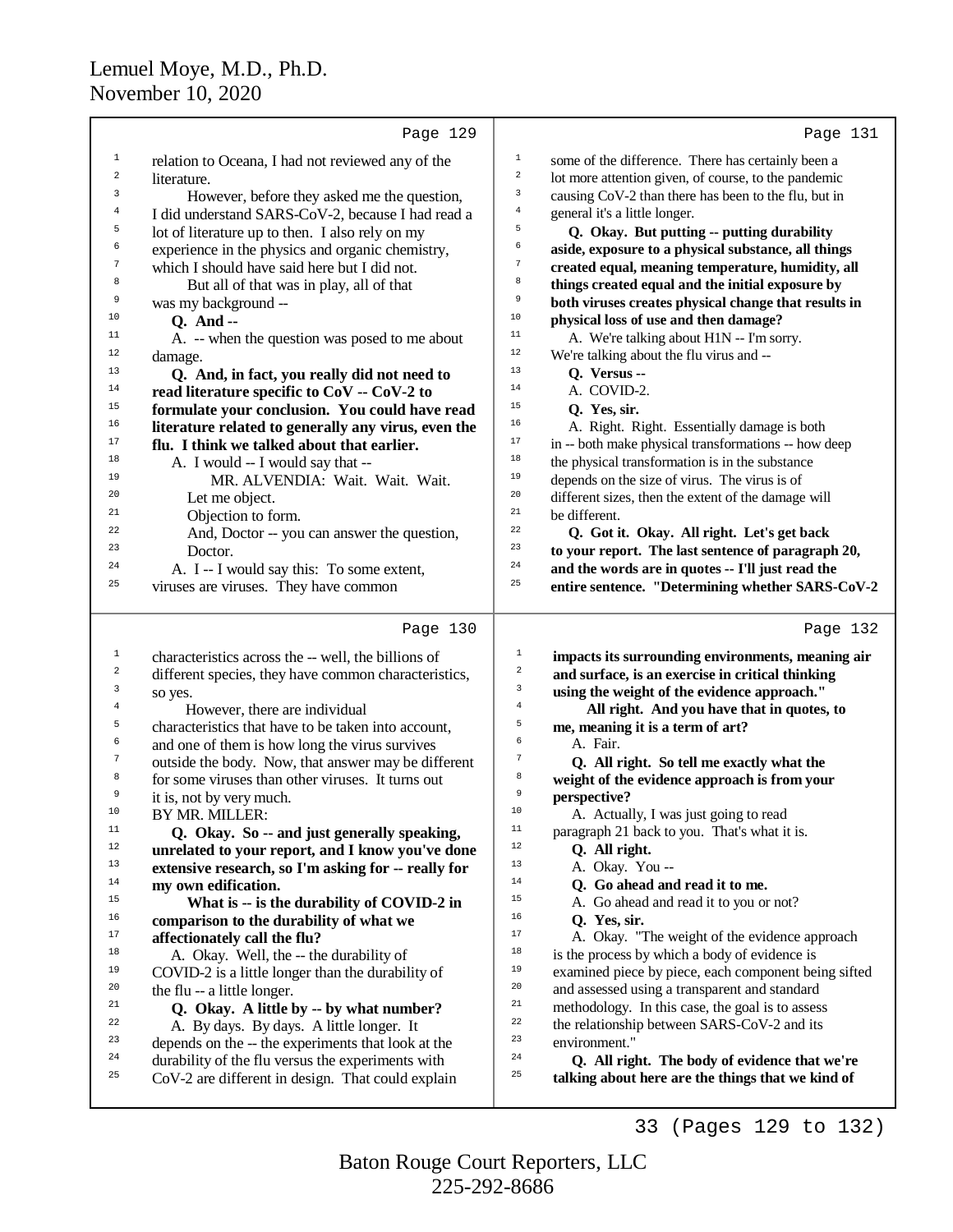|                                  | Page 129                                                                                                 | Page 131                                                                                                 |
|----------------------------------|----------------------------------------------------------------------------------------------------------|----------------------------------------------------------------------------------------------------------|
| 1                                | relation to Oceana, I had not reviewed any of the                                                        | $\mathbf 1$<br>some of the difference. There has certainly been a                                        |
| $\overline{\mathbf{c}}$          | literature.                                                                                              | $\boldsymbol{2}$<br>lot more attention given, of course, to the pandemic                                 |
| 3                                | However, before they asked me the question,                                                              | 3<br>causing CoV-2 than there has been to the flu, but in                                                |
| 4                                | I did understand SARS-CoV-2, because I had read a                                                        | $\,4$<br>general it's a little longer.                                                                   |
| 5                                | lot of literature up to then. I also rely on my                                                          | 5<br>Q. Okay. But putting -- putting durability                                                          |
| 6                                | experience in the physics and organic chemistry,                                                         | б<br>aside, exposure to a physical substance, all things                                                 |
| 7                                | which I should have said here but I did not.                                                             | $\boldsymbol{7}$<br>created equal, meaning temperature, humidity, all                                    |
| 8                                | But all of that was in play, all of that                                                                 | 8<br>things created equal and the initial exposure by                                                    |
| 9                                | was my background --                                                                                     | 9<br>both viruses creates physical change that results in                                                |
| 10                               | Q. And --                                                                                                | $10$<br>physical loss of use and then damage?                                                            |
| $11$                             | A. -- when the question was posed to me about                                                            | $11\,$<br>A. We're talking about H1N -- I'm sorry.                                                       |
| $12$                             | damage.                                                                                                  | $12$<br>We're talking about the flu virus and --                                                         |
| 13                               | Q. And, in fact, you really did not need to                                                              | 13<br>Q. Versus --                                                                                       |
| $14$                             | read literature specific to CoV -- CoV-2 to                                                              | 14<br>A. COVID-2.                                                                                        |
| 15                               | formulate your conclusion. You could have read                                                           | 15<br>Q. Yes, sir.                                                                                       |
| $16$                             | literature related to generally any virus, even the                                                      | 16<br>A. Right. Right. Essentially damage is both                                                        |
| $17\,$                           | flu. I think we talked about that earlier.                                                               | 17<br>in -- both make physical transformations -- how deep                                               |
| 18                               | A. I would -- I would say that --                                                                        | 18<br>the physical transformation is in the substance                                                    |
| 19                               | MR. ALVENDIA: Wait. Wait. Wait.                                                                          | 19<br>depends on the size of virus. The virus is of                                                      |
| 20                               | Let me object.                                                                                           | $20\,$<br>different sizes, then the extent of the damage will                                            |
| 21                               | Objection to form.                                                                                       | $21\,$<br>be different.                                                                                  |
| 22                               | And, Doctor -- you can answer the question,                                                              | $^{\rm 22}$<br>Q. Got it. Okay. All right. Let's get back                                                |
| 23                               | Doctor.                                                                                                  | 23<br>to your report. The last sentence of paragraph 20,                                                 |
| 24                               | A. I -- I would say this: To some extent,                                                                | 24<br>and the words are in quotes -- I'll just read the                                                  |
| 25                               | viruses are viruses. They have common                                                                    | 25<br>entire sentence. "Determining whether SARS-CoV-2                                                   |
|                                  |                                                                                                          |                                                                                                          |
|                                  | Page 130                                                                                                 | Page 132                                                                                                 |
|                                  |                                                                                                          | $\mathbf 1$                                                                                              |
| $\mathbf{1}$<br>$\boldsymbol{2}$ | characteristics across the -- well, the billions of                                                      | impacts its surrounding environments, meaning air<br>$\boldsymbol{2}$                                    |
| 3                                | different species, they have common characteristics,                                                     | and surface, is an exercise in critical thinking<br>3                                                    |
| $\overline{4}$                   | so yes.                                                                                                  | using the weight of the evidence approach."<br>$\bf{4}$                                                  |
| 5                                | However, there are individual                                                                            | All right. And you have that in quotes, to<br>5                                                          |
| 6                                | characteristics that have to be taken into account,                                                      | me, meaning it is a term of art?<br>6<br>A. Fair.                                                        |
| 7                                | and one of them is how long the virus survives                                                           | $\overline{7}$<br>Q. All right. So tell me exactly what the                                              |
| 8                                | outside the body. Now, that answer may be different<br>for some viruses than other viruses. It turns out | 8<br>weight of the evidence approach is from your                                                        |
| 9                                | it is, not by very much.                                                                                 | 9<br>perspective?                                                                                        |
| 10                               | BY MR. MILLER:                                                                                           | 10<br>A. Actually, I was just going to read                                                              |
| $11\,$                           | Q. Okay. So -- and just generally speaking,                                                              | $11\,$<br>paragraph 21 back to you. That's what it is.                                                   |
| 12                               | unrelated to your report, and I know you've done                                                         | $12\,$<br>Q. All right.                                                                                  |
| 13                               | extensive research, so I'm asking for -- really for                                                      | 13<br>A. Okay. You --                                                                                    |
| $14$                             | my own edification.                                                                                      | 14<br>Q. Go ahead and read it to me.                                                                     |
| 15                               | What is -- is the durability of COVID-2 in                                                               | 15<br>A. Go ahead and read it to you or not?                                                             |
| 16                               | comparison to the durability of what we                                                                  | 16<br>Q. Yes, sir.                                                                                       |
| 17                               | affectionately call the flu?                                                                             | 17<br>A. Okay. "The weight of the evidence approach                                                      |
| 18                               | A. Okay. Well, the -- the durability of                                                                  | 18<br>is the process by which a body of evidence is                                                      |
| 19                               | COVID-2 is a little longer than the durability of                                                        | 19<br>examined piece by piece, each component being sifted                                               |
| 20                               | the flu -- a little longer.                                                                              | $20\,$<br>and assessed using a transparent and standard<br>21                                            |
| 21<br>22                         | Q. Okay. A little by -- by what number?                                                                  | methodology. In this case, the goal is to assess<br>$^{\rm 22}$                                          |
| 23                               | A. By days. By days. A little longer. It                                                                 | the relationship between SARS-CoV-2 and its<br>23                                                        |
| 24                               | depends on the -- the experiments that look at the                                                       | environment."<br>24                                                                                      |
| 25                               | durability of the flu versus the experiments with<br>CoV-2 are different in design. That could explain   | Q. All right. The body of evidence that we're<br>25<br>talking about here are the things that we kind of |

225-292-8686 Baton Rouge Court Reporters, LLC

33 (Pages 129 to 132)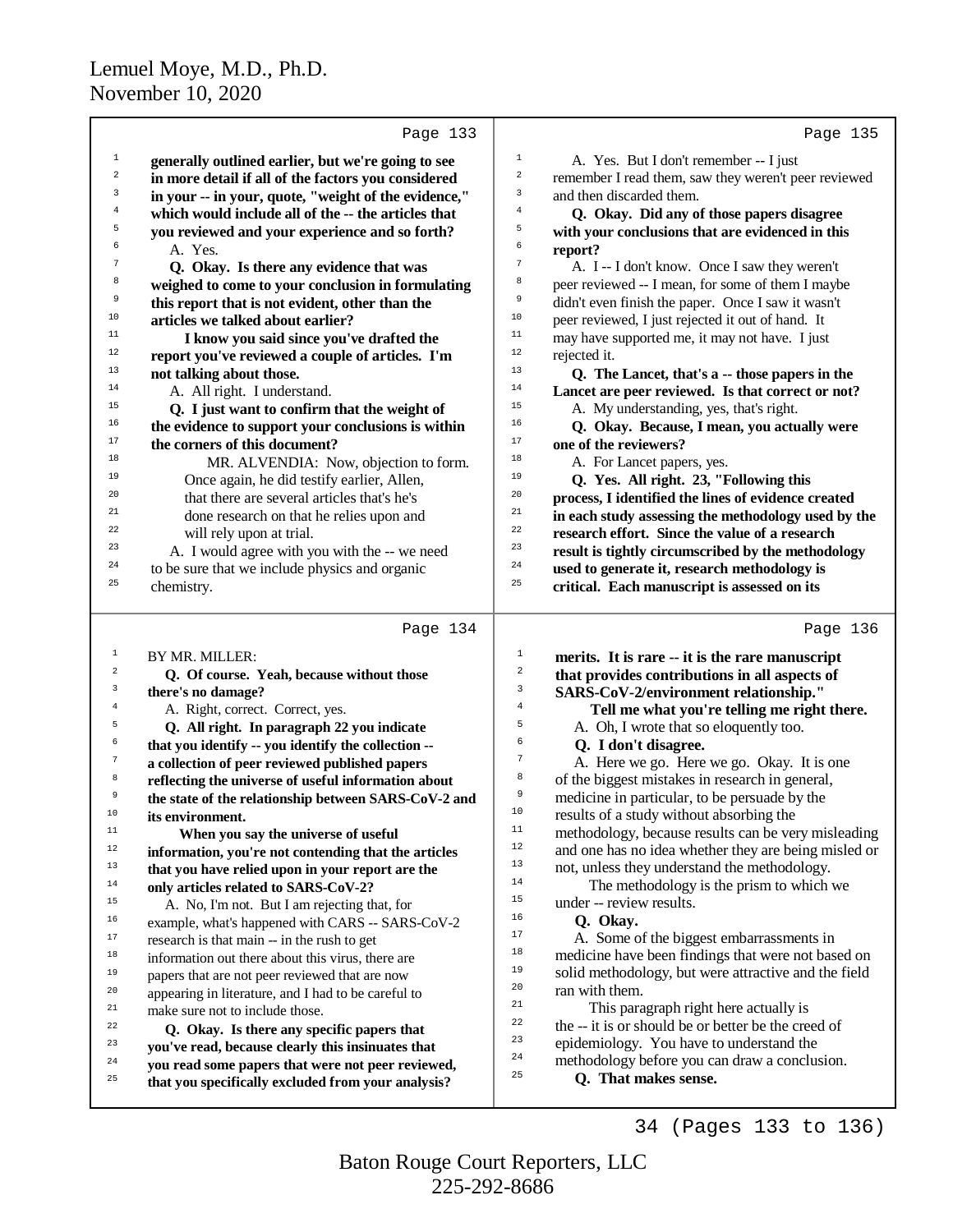|                  | Page 133                                             | Page 135                                                                 |  |
|------------------|------------------------------------------------------|--------------------------------------------------------------------------|--|
| $\mathbf{1}$     | generally outlined earlier, but we're going to see   | $1\,$<br>A. Yes. But I don't remember -- I just                          |  |
| 2                | in more detail if all of the factors you considered  | $\boldsymbol{2}$<br>remember I read them, saw they weren't peer reviewed |  |
| 3                | in your -- in your, quote, "weight of the evidence," | 3<br>and then discarded them.                                            |  |
| 4                | which would include all of the -- the articles that  | $\overline{4}$<br>Q. Okay. Did any of those papers disagree              |  |
| 5                | you reviewed and your experience and so forth?       | 5<br>with your conclusions that are evidenced in this                    |  |
| 6                | A. Yes.                                              | 6<br>report?                                                             |  |
| $\boldsymbol{7}$ | Q. Okay. Is there any evidence that was              | $\overline{7}$<br>A. I -- I don't know. Once I saw they weren't          |  |
| 8                | weighed to come to your conclusion in formulating    | 8<br>peer reviewed -- I mean, for some of them I maybe                   |  |
| 9                | this report that is not evident, other than the      | 9<br>didn't even finish the paper. Once I saw it wasn't                  |  |
| 10               | articles we talked about earlier?                    | $10$<br>peer reviewed, I just rejected it out of hand. It                |  |
| 11               | I know you said since you've drafted the             | 11<br>may have supported me, it may not have. I just                     |  |
| 12               | report you've reviewed a couple of articles. I'm     | 12<br>rejected it.                                                       |  |
| 13               | not talking about those.                             | 13<br>Q. The Lancet, that's a -- those papers in the                     |  |
| 14               | A. All right. I understand.                          | 14<br>Lancet are peer reviewed. Is that correct or not?                  |  |
| 15               | Q. I just want to confirm that the weight of         | 15<br>A. My understanding, yes, that's right.                            |  |
| 16               | the evidence to support your conclusions is within   | 16<br>Q. Okay. Because, I mean, you actually were                        |  |
| 17               | the corners of this document?                        | 17<br>one of the reviewers?                                              |  |
| 18               | MR. ALVENDIA: Now, objection to form.                | 18<br>A. For Lancet papers, yes.                                         |  |
| 19               | Once again, he did testify earlier, Allen,           | 19<br>Q. Yes. All right. 23, "Following this                             |  |
| 20               | that there are several articles that's he's          | 20<br>process, I identified the lines of evidence created                |  |
| 21               | done research on that he relies upon and             | 21<br>in each study assessing the methodology used by the                |  |
| 22               | will rely upon at trial.                             | 22<br>research effort. Since the value of a research                     |  |
| 23               | A. I would agree with you with the -- we need        | 23<br>result is tightly circumscribed by the methodology                 |  |
| 24               | to be sure that we include physics and organic       | 24<br>used to generate it, research methodology is                       |  |
| 25               | chemistry.                                           | 25<br>critical. Each manuscript is assessed on its                       |  |
|                  |                                                      |                                                                          |  |
|                  | Page 134                                             | Page 136                                                                 |  |
| 1                | BY MR. MILLER:                                       | $\mathbf 1$<br>merits. It is rare -- it is the rare manuscript           |  |
|                  |                                                      |                                                                          |  |
| $\overline{a}$   | Q. Of course. Yeah, because without those            | $\,2$<br>that provides contributions in all aspects of                   |  |
| 3                | there's no damage?                                   | 3<br>SARS-CoV-2/environment relationship."                               |  |
| 4                | A. Right, correct. Correct, yes.                     | $\bf{4}$<br>Tell me what you're telling me right there.                  |  |
| 5                | Q. All right. In paragraph 22 you indicate           | 5<br>A. Oh, I wrote that so eloquently too.                              |  |
| б                | that you identify -- you identify the collection --  | 6<br>Q. I don't disagree.                                                |  |
| $\tau$           | a collection of peer reviewed published papers       | 7<br>A. Here we go. Here we go. Okay. It is one                          |  |
| $\,$ 8           | reflecting the universe of useful information about  | 8<br>of the biggest mistakes in research in general,                     |  |
| 9                | the state of the relationship between SARS-CoV-2 and | 9<br>medicine in particular, to be persuade by the                       |  |
| 10               | its environment.                                     | 10<br>results of a study without absorbing the                           |  |
| $11$             | When you say the universe of useful                  | $11\,$<br>methodology, because results can be very misleading            |  |
| $12\,$           | information, you're not contending that the articles | 12<br>and one has no idea whether they are being misled or               |  |
| $13$             | that you have relied upon in your report are the     | 13<br>not, unless they understand the methodology.                       |  |
| $14\,$           | only articles related to SARS-CoV-2?                 | 14<br>The methodology is the prism to which we                           |  |
| 15               | A. No, I'm not. But I am rejecting that, for         | 15<br>under -- review results.                                           |  |
| 16               | example, what's happened with CARS -- SARS-CoV-2     | 16<br>Q. Okay.                                                           |  |
| 17               | research is that main -- in the rush to get          | 17<br>A. Some of the biggest embarrassments in                           |  |
| $18\,$           | information out there about this virus, there are    | 18<br>medicine have been findings that were not based on                 |  |
| 19               | papers that are not peer reviewed that are now       | 19<br>solid methodology, but were attractive and the field               |  |
| 20               | appearing in literature, and I had to be careful to  | 20<br>ran with them.                                                     |  |
| 21               | make sure not to include those.                      | 21<br>This paragraph right here actually is                              |  |
| 22               | Q. Okay. Is there any specific papers that           | 22<br>the -- it is or should be or better be the creed of                |  |
| 23               | you've read, because clearly this insinuates that    | 23<br>epidemiology. You have to understand the                           |  |
| 24               | you read some papers that were not peer reviewed,    | 24<br>methodology before you can draw a conclusion.                      |  |
| 25               | that you specifically excluded from your analysis?   | 25<br>Q. That makes sense.                                               |  |

34 (Pages 133 to 136)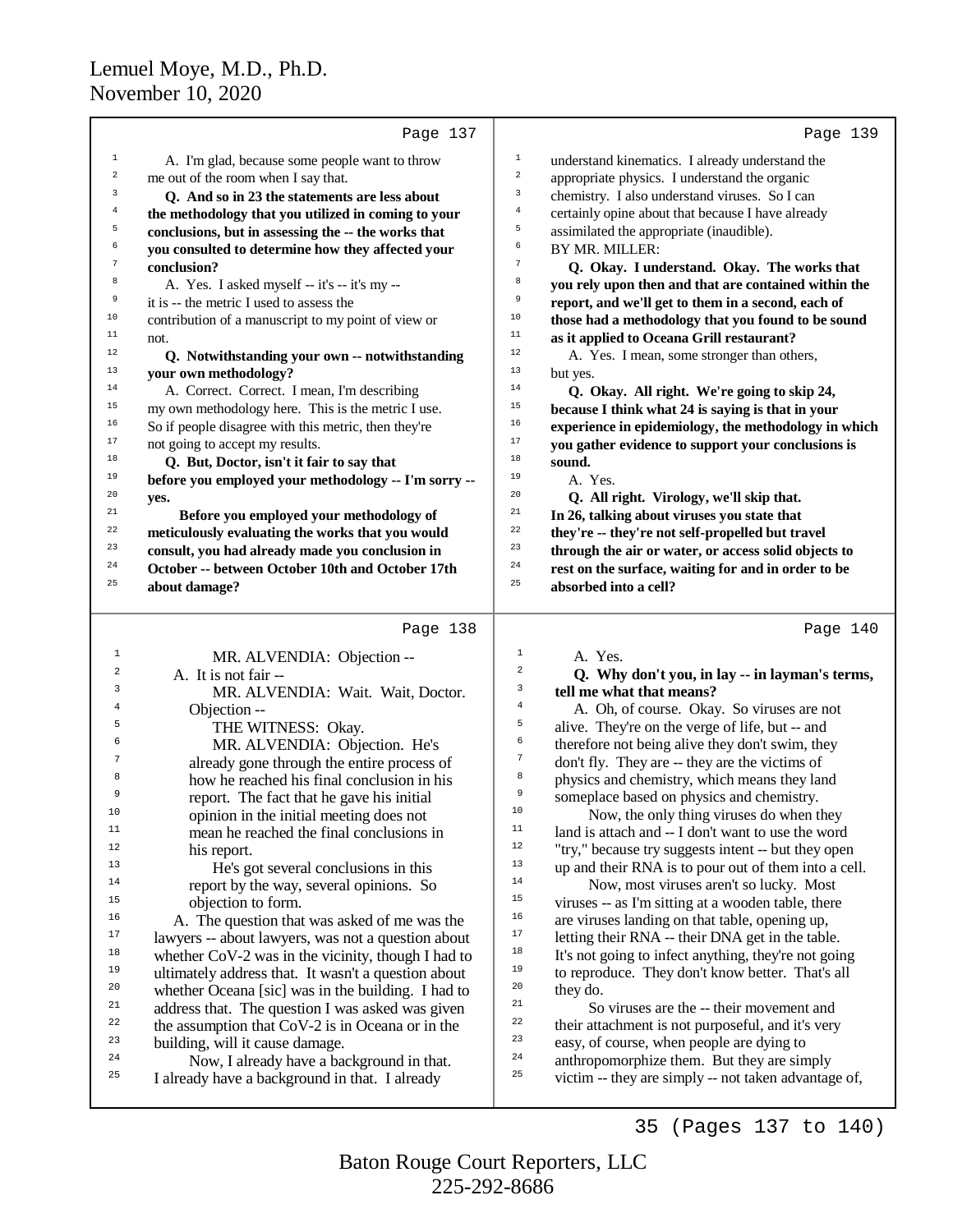|                  | Page 137                                             |                         | Page 139                                             |
|------------------|------------------------------------------------------|-------------------------|------------------------------------------------------|
| $\mathbf{1}$     | A. I'm glad, because some people want to throw       | $\mathbf 1$             | understand kinematics. I already understand the      |
| $\boldsymbol{2}$ | me out of the room when I say that.                  | $\mathbf 2$             | appropriate physics. I understand the organic        |
| 3                | Q. And so in 23 the statements are less about        | 3                       | chemistry. I also understand viruses. So I can       |
| $\overline{4}$   | the methodology that you utilized in coming to your  | $\overline{4}$          | certainly opine about that because I have already    |
| 5                | conclusions, but in assessing the -- the works that  | 5                       | assimilated the appropriate (inaudible).             |
| 6                | you consulted to determine how they affected your    | 6                       | BY MR. MILLER:                                       |
| $7\phantom{.0}$  | conclusion?                                          | $\overline{7}$          | Q. Okay. I understand. Okay. The works that          |
| 8                | A. Yes. I asked myself -- it's -- it's my --         | 8                       | you rely upon then and that are contained within the |
| 9                | it is -- the metric I used to assess the             | 9                       | report, and we'll get to them in a second, each of   |
| 10               | contribution of a manuscript to my point of view or  | 10                      | those had a methodology that you found to be sound   |
| 11               | not.                                                 | 11                      | as it applied to Oceana Grill restaurant?            |
| 12               | Q. Notwithstanding your own -- notwithstanding       | 12                      | A. Yes. I mean, some stronger than others,           |
| 13               | your own methodology?                                | 13                      | but yes.                                             |
| 14               | A. Correct. Correct. I mean, I'm describing          | 14                      | Q. Okay. All right. We're going to skip 24,          |
| 15               | my own methodology here. This is the metric I use.   | 15                      | because I think what 24 is saying is that in your    |
| 16               | So if people disagree with this metric, then they're | 16                      | experience in epidemiology, the methodology in which |
| 17               | not going to accept my results.                      | 17                      | you gather evidence to support your conclusions is   |
| 18               | Q. But, Doctor, isn't it fair to say that            | 18                      | sound.                                               |
| 19               | before you employed your methodology -- I'm sorry -- | 19                      | A. Yes.                                              |
| 20               | yes.                                                 | 20                      | Q. All right. Virology, we'll skip that.             |
| 21               | Before you employed your methodology of              | 21                      | In 26, talking about viruses you state that          |
| 22               | meticulously evaluating the works that you would     | 22                      | they're -- they're not self-propelled but travel     |
| 23               | consult, you had already made you conclusion in      | 23                      | through the air or water, or access solid objects to |
| 24               | October -- between October 10th and October 17th     | 24                      | rest on the surface, waiting for and in order to be  |
| 25               | about damage?                                        | 25                      | absorbed into a cell?                                |
|                  | Page 138                                             |                         | Page 140                                             |
| $\mathbf{1}$     | MR. ALVENDIA: Objection --                           | $\mathbf{1}$            | A. Yes.                                              |
| 2                | $\Lambda$ Leignot foir                               | $\overline{\mathbf{c}}$ | $\Omega$ Why don't you in loy in loymon's torms      |

3

4

5

6

7

8

9

| 2              | A. It is not fair --                                |  |
|----------------|-----------------------------------------------------|--|
| $\overline{3}$ | MR. ALVENDIA: Wait. Wait, Doctor.                   |  |
| $\overline{4}$ | Objection --                                        |  |
| 5              | THE WITNESS: Okay.                                  |  |
| 6              | MR. ALVENDIA: Objection. He's                       |  |
| 7              | already gone through the entire process of          |  |
| 8              | how he reached his final conclusion in his          |  |
| 9              | report. The fact that he gave his initial           |  |
| 10             | opinion in the initial meeting does not             |  |
| 11             | mean he reached the final conclusions in            |  |
| 12             | his report.                                         |  |
| 13             | He's got several conclusions in this                |  |
| 14             | report by the way, several opinions. So             |  |
| 15             | objection to form.                                  |  |
| 16             | A. The question that was asked of me was the        |  |
| 17             | lawyers -- about lawyers, was not a question about  |  |
| 18             | whether CoV-2 was in the vicinity, though I had to  |  |
| 19             | ultimately address that. It wasn't a question about |  |
| 20             | whether Oceana [sic] was in the building. I had to  |  |
| 21             | address that. The question I was asked was given    |  |
| 22             | the assumption that $CoV_2$ is in Oceana or in the  |  |

<sup>22</sup> the assumption that  $COV-2$  is in Oceana or in the<br><sup>23</sup> building will it cause damage  $\frac{23}{24}$  building, will it cause damage.

<sup>24</sup> Now, I already have a background in that.<br> $\frac{25}{4}$  I already have a background in that. I already I already have a background in that. I already

#### **Q. Why don't you, in lay -- in layman's terms, tell me what that means?** A. Oh, of course. Okay. So viruses are not alive. They're on the verge of life, but -- and therefore not being alive they don't swim, they don't fly. They are -- they are the victims of physics and chemistry, which means they land someplace based on physics and chemistry. <sup>10</sup> Now, the only thing viruses do when they<br><sup>11</sup> land is attach and  $\frac{1}{2}$  don't want to use the word <sup>11</sup> land is attach and  $-I$  don't want to use the word <sup>12</sup> "try," because try suggests intent -- but they open<br><sup>13</sup> up and their  $\text{DNA}$  is to now out of them into a cal <sup>13</sup> up and their RNA is to pour out of them into a cell.<br><sup>14</sup> November 2001 to high Most <sup>14</sup> Now, most viruses aren't so lucky. Most<br><sup>15</sup> viruses - as I'm sitting at a wooden table, there <sup>15</sup> viruses -- as I'm sitting at a wooden table, there  $\frac{16}{16}$  are viruses landing on that table, opening up <sup>16</sup> are viruses landing on that table, opening up,<br> $\frac{17}{2}$  latting their  $\frac{DMA}{100}$  their  $\frac{DMA}{100}$  and in the table <sup>17</sup> letting their RNA -- their DNA get in the table.<br><sup>18</sup> It's not going to infect anything, they're not going <sup>18</sup> It's not going to infect anything, they're not going<br>to reproduce. They don't know better. That's all <sup>19</sup> to reproduce. They don't know better. That's all  $\frac{10}{10}$  $20$  they do. <sup>21</sup> So viruses are the -- their movement and<br><sup>22</sup> their attachment is not purposeful, and it's very

<sup>22</sup> their attachment is not purposeful, and it's very<br><sup>23</sup> oney of course, when people are dying to <sup>23</sup> easy, of course, when people are dying to  $\frac{24}{7}$  enthronomorphize them. But they are ging <sup>24</sup> anthropomorphize them. But they are simply  $\frac{25}{25}$  satisfying the space simply and taken a director

victim -- they are simply -- not taken advantage of,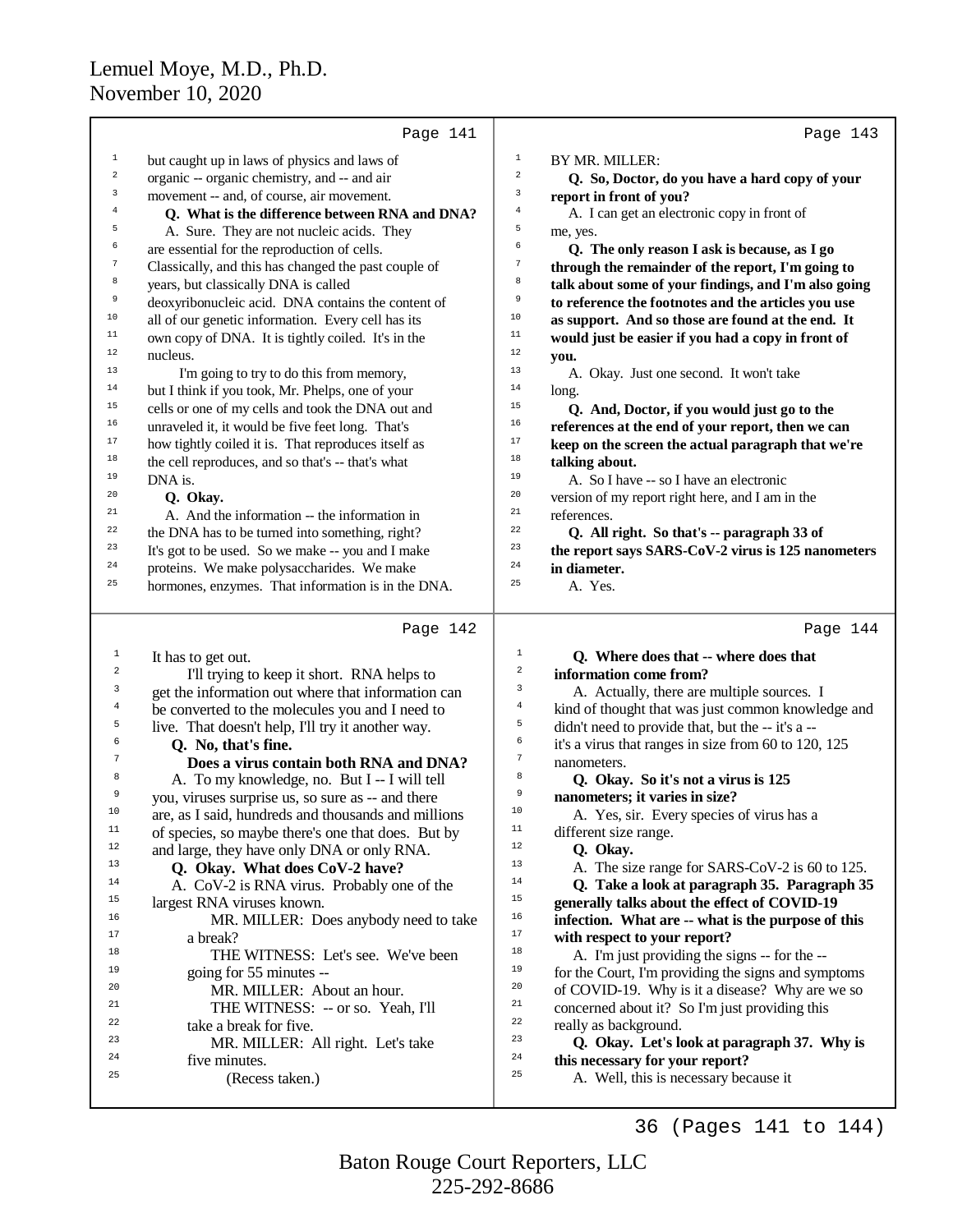|                         | Page 141                                             | Page 143                                                                       |  |
|-------------------------|------------------------------------------------------|--------------------------------------------------------------------------------|--|
| 1                       | but caught up in laws of physics and laws of         | 1<br>BY MR. MILLER:                                                            |  |
| $\boldsymbol{2}$        | organic -- organic chemistry, and -- and air         | 2<br>Q. So, Doctor, do you have a hard copy of your                            |  |
| 3                       | movement -- and, of course, air movement.            | 3<br>report in front of you?                                                   |  |
| 4                       | Q. What is the difference between RNA and DNA?       | $\bf{4}$<br>A. I can get an electronic copy in front of                        |  |
| 5                       | A. Sure. They are not nucleic acids. They            | 5<br>me, yes.                                                                  |  |
| 6                       | are essential for the reproduction of cells.         | 6<br>Q. The only reason I ask is because, as I go                              |  |
| $\boldsymbol{7}$        | Classically, and this has changed the past couple of | $\boldsymbol{7}$<br>through the remainder of the report, I'm going to          |  |
| 8                       | years, but classically DNA is called                 | 8<br>talk about some of your findings, and I'm also going                      |  |
| 9                       | deoxyribonucleic acid. DNA contains the content of   | 9<br>to reference the footnotes and the articles you use                       |  |
| $10$                    | all of our genetic information. Every cell has its   | 10<br>as support. And so those are found at the end. It                        |  |
| $\mathbf{11}%$          | own copy of DNA. It is tightly coiled. It's in the   | 11<br>would just be easier if you had a copy in front of                       |  |
| 12                      | nucleus.                                             | 12<br>you.                                                                     |  |
| 13                      | I'm going to try to do this from memory,             | 13<br>A. Okay. Just one second. It won't take                                  |  |
| $14\,$                  | but I think if you took, Mr. Phelps, one of your     | 14<br>long.                                                                    |  |
| $15\,$                  | cells or one of my cells and took the DNA out and    | 15<br>Q. And, Doctor, if you would just go to the                              |  |
| 16                      | unraveled it, it would be five feet long. That's     | 16<br>references at the end of your report, then we can                        |  |
| 17                      | how tightly coiled it is. That reproduces itself as  | 17<br>keep on the screen the actual paragraph that we're                       |  |
| 18                      | the cell reproduces, and so that's -- that's what    | 18<br>talking about.                                                           |  |
| 19                      | DNA is.                                              | 19<br>A. So I have -- so I have an electronic                                  |  |
| 20                      | Q. Okay.                                             | 20<br>version of my report right here, and I am in the                         |  |
| 21                      | A. And the information -- the information in         | 21<br>references.                                                              |  |
| 22                      | the DNA has to be turned into something, right?      | 22<br>Q. All right. So that's -- paragraph 33 of                               |  |
| 23                      | It's got to be used. So we make -- you and I make    | 23<br>the report says SARS-CoV-2 virus is 125 nanometers                       |  |
| 24                      | proteins. We make polysaccharides. We make           | 24<br>in diameter.                                                             |  |
| 25                      | hormones, enzymes. That information is in the DNA.   | 25<br>A. Yes.                                                                  |  |
|                         |                                                      |                                                                                |  |
|                         |                                                      |                                                                                |  |
|                         | Page 142                                             | Page 144                                                                       |  |
| $\mathbf{1}$            | It has to get out.                                   | $\mathbf{1}$<br>Q. Where does that -- where does that                          |  |
| $\overline{\mathbf{c}}$ | I'll trying to keep it short. RNA helps to           | $\overline{\mathbf{c}}$<br>information come from?                              |  |
| 3                       | get the information out where that information can   | 3<br>A. Actually, there are multiple sources. I                                |  |
| 4                       | be converted to the molecules you and I need to      | 4<br>kind of thought that was just common knowledge and                        |  |
| 5                       | live. That doesn't help, I'll try it another way.    | 5<br>didn't need to provide that, but the -- it's a --                         |  |
| 6                       | Q. No, that's fine.                                  | 6<br>it's a virus that ranges in size from 60 to 120, 125                      |  |
| 7                       | Does a virus contain both RNA and DNA?               | $\tau$<br>nanometers.                                                          |  |
| 8                       | A. To my knowledge, no. But I -- I will tell         | 8<br>Q. Okay. So it's not a virus is 125                                       |  |
| 9                       | you, viruses surprise us, so sure as -- and there    | 9<br>nanometers; it varies in size?                                            |  |
| 10                      | are, as I said, hundreds and thousands and millions  | 10<br>A. Yes, sir. Every species of virus has a                                |  |
| 11                      | of species, so maybe there's one that does. But by   | 11<br>different size range.                                                    |  |
| 12                      | and large, they have only DNA or only RNA.           | 12<br>Q. Okay.                                                                 |  |
| 13                      | Q. Okay. What does CoV-2 have?                       | 13<br>A. The size range for SARS-CoV-2 is 60 to 125.                           |  |
| 14                      | A. CoV-2 is RNA virus. Probably one of the           | 14<br>Q. Take a look at paragraph 35. Paragraph 35                             |  |
| 15                      | largest RNA viruses known.                           | 15<br>generally talks about the effect of COVID-19                             |  |
| 16                      | MR. MILLER: Does anybody need to take                | 16<br>infection. What are -- what is the purpose of this                       |  |
| 17                      | a break?                                             | 17<br>with respect to your report?                                             |  |
| 18                      | THE WITNESS: Let's see. We've been                   | 18<br>A. I'm just providing the signs -- for the --                            |  |
| 19                      | going for 55 minutes --                              | 19<br>for the Court, I'm providing the signs and symptoms                      |  |
| 20                      | MR. MILLER: About an hour.                           | 20<br>of COVID-19. Why is it a disease? Why are we so                          |  |
| 21                      | THE WITNESS: -- or so. Yeah, I'll                    | 21<br>concerned about it? So I'm just providing this                           |  |
| 22<br>23                | take a break for five.                               | 22<br>really as background.<br>23                                              |  |
| 24                      | MR. MILLER: All right. Let's take                    | Q. Okay. Let's look at paragraph 37. Why is<br>24                              |  |
| 25                      | five minutes.<br>(Recess taken.)                     | this necessary for your report?<br>25<br>A. Well, this is necessary because it |  |

36 (Pages 141 to 144)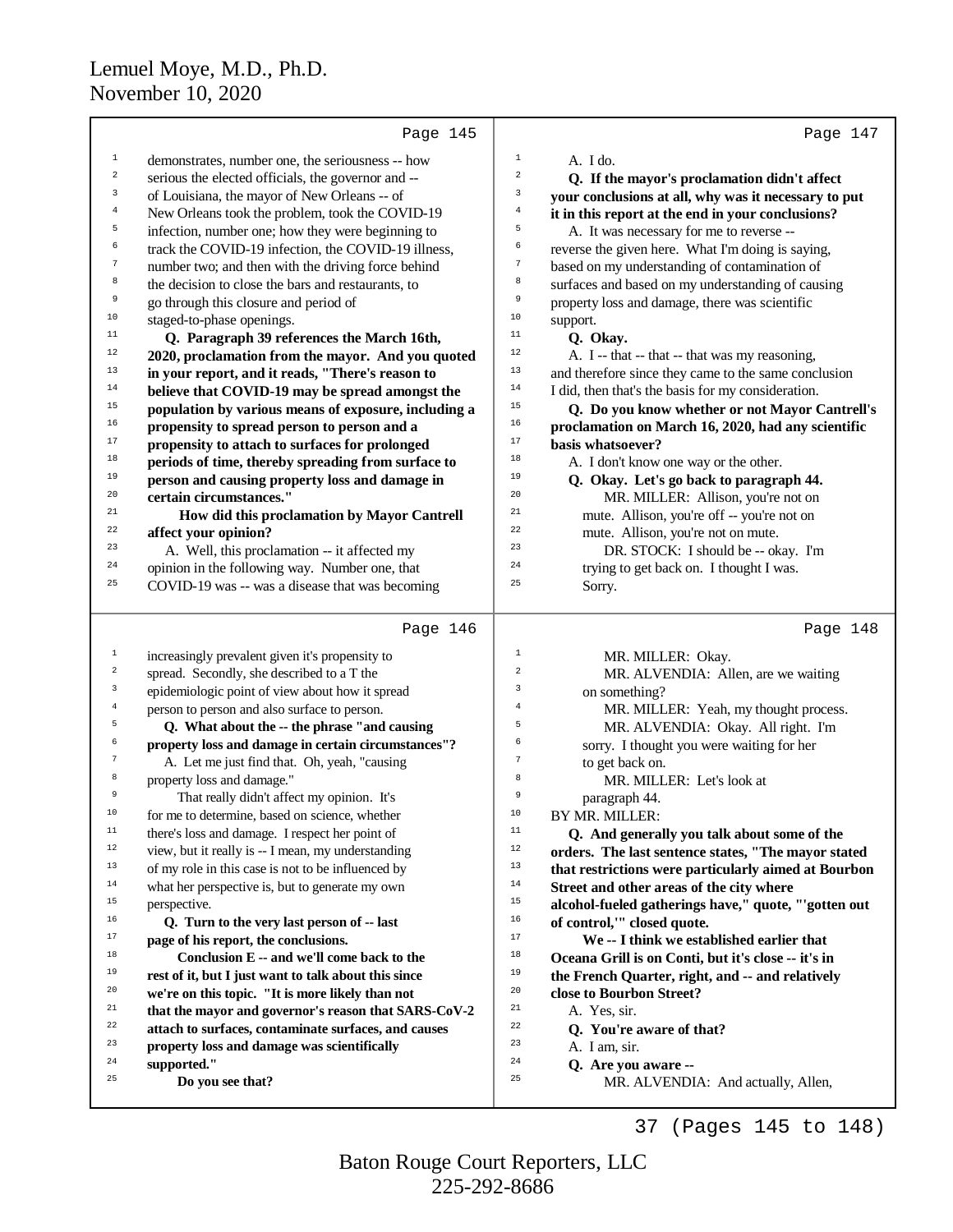|                     | Page 145                                                                                                 | Page 147                                                                       |
|---------------------|----------------------------------------------------------------------------------------------------------|--------------------------------------------------------------------------------|
| $\mathbf 1$         | demonstrates, number one, the seriousness -- how                                                         | 1<br>A. I do.                                                                  |
| $\mathbf 2$         | serious the elected officials, the governor and --                                                       | $\,2$<br>Q. If the mayor's proclamation didn't affect                          |
| 3                   | of Louisiana, the mayor of New Orleans -- of                                                             | 3<br>your conclusions at all, why was it necessary to put                      |
| $\overline{4}$      | New Orleans took the problem, took the COVID-19                                                          | $\overline{4}$<br>it in this report at the end in your conclusions?            |
| 5                   | infection, number one; how they were beginning to                                                        | 5<br>A. It was necessary for me to reverse --                                  |
| 6                   | track the COVID-19 infection, the COVID-19 illness,                                                      | 6<br>reverse the given here. What I'm doing is saying,                         |
| 7                   | number two; and then with the driving force behind                                                       | $\boldsymbol{7}$<br>based on my understanding of contamination of              |
| 8                   | the decision to close the bars and restaurants, to                                                       | 8<br>surfaces and based on my understanding of causing                         |
| 9                   | go through this closure and period of                                                                    | 9<br>property loss and damage, there was scientific                            |
| 10                  | staged-to-phase openings.                                                                                | 10<br>support.                                                                 |
| $11$                | Q. Paragraph 39 references the March 16th,                                                               | 11<br>Q. Okay.                                                                 |
| 12                  | 2020, proclamation from the mayor. And you quoted                                                        | 12<br>A. I -- that -- that -- that was my reasoning,                           |
| 13                  | in your report, and it reads, "There's reason to                                                         | 13<br>and therefore since they came to the same conclusion                     |
| 14                  | believe that COVID-19 may be spread amongst the                                                          | $14\,$<br>I did, then that's the basis for my consideration.                   |
| 15                  | population by various means of exposure, including a                                                     | 15<br>Q. Do you know whether or not Mayor Cantrell's                           |
| 16                  | propensity to spread person to person and a                                                              | 16<br>proclamation on March 16, 2020, had any scientific                       |
| 17                  | propensity to attach to surfaces for prolonged                                                           | 17<br>basis whatsoever?                                                        |
| 18                  | periods of time, thereby spreading from surface to                                                       | 18<br>A. I don't know one way or the other.                                    |
| 19                  | person and causing property loss and damage in                                                           | 19<br>Q. Okay. Let's go back to paragraph 44.                                  |
| 20                  | certain circumstances."                                                                                  | 20<br>MR. MILLER: Allison, you're not on                                       |
| 21                  | How did this proclamation by Mayor Cantrell                                                              | 21<br>mute. Allison, you're off -- you're not on                               |
| 22                  | affect your opinion?                                                                                     | 22<br>mute. Allison, you're not on mute.                                       |
| 23                  | A. Well, this proclamation -- it affected my                                                             | 23<br>DR. STOCK: I should be -- okay. I'm                                      |
| 24                  | opinion in the following way. Number one, that                                                           | 24<br>trying to get back on. I thought I was.                                  |
| 25                  | COVID-19 was -- was a disease that was becoming                                                          | 25<br>Sorry.                                                                   |
|                     |                                                                                                          |                                                                                |
|                     | Page 146                                                                                                 | Page 148                                                                       |
| $\mathbf{1}$        | increasingly prevalent given it's propensity to                                                          | $\mathbf 1$<br>MR. MILLER: Okay.                                               |
| $\,$                | spread. Secondly, she described to a T the                                                               | $\boldsymbol{2}$<br>MR. ALVENDIA: Allen, are we waiting<br>3                   |
| 3<br>$\overline{4}$ | epidemiologic point of view about how it spread                                                          | on something?<br>$\overline{4}$                                                |
| 5                   | person to person and also surface to person.                                                             | MR. MILLER: Yeah, my thought process.<br>5                                     |
| 6                   | Q. What about the -- the phrase "and causing                                                             | MR. ALVENDIA: Okay. All right. I'm<br>6                                        |
| 7                   | property loss and damage in certain circumstances"?                                                      | sorry. I thought you were waiting for her<br>$\tau$                            |
| 8                   | A. Let me just find that. Oh, yeah, "causing                                                             | to get back on.<br>8                                                           |
| 9                   | property loss and damage."                                                                               | MR. MILLER: Let's look at<br>9                                                 |
| 10                  | That really didn't affect my opinion. It's                                                               | paragraph 44.<br>$10\,$                                                        |
| 11                  | for me to determine, based on science, whether<br>there's loss and damage. I respect her point of        | BY MR. MILLER:<br>11                                                           |
| $12$                |                                                                                                          | Q. And generally you talk about some of the<br>12                              |
| $13$                | view, but it really is -- I mean, my understanding<br>of my role in this case is not to be influenced by | orders. The last sentence states, "The mayor stated<br>13                      |
| $1\,4$              |                                                                                                          | that restrictions were particularly aimed at Bourbon<br>$14\,$                 |
| 15                  | what her perspective is, but to generate my own<br>perspective.                                          | Street and other areas of the city where<br>15                                 |
| 16                  |                                                                                                          | alcohol-fueled gatherings have," quote, "'gotten out<br>16                     |
| 17                  | Q. Turn to the very last person of -- last<br>page of his report, the conclusions.                       | of control,"' closed quote.<br>17<br>We -- I think we established earlier that |
| 18                  | Conclusion E -- and we'll come back to the                                                               | 18<br>Oceana Grill is on Conti, but it's close -- it's in                      |
| 19                  | rest of it, but I just want to talk about this since                                                     | 19<br>the French Quarter, right, and -- and relatively                         |
| 20                  | we're on this topic. "It is more likely than not                                                         | 20<br>close to Bourbon Street?                                                 |
| 21                  | that the mayor and governor's reason that SARS-CoV-2                                                     | 21<br>A. Yes, sir.                                                             |
| 22                  | attach to surfaces, contaminate surfaces, and causes                                                     | 22<br>Q. You're aware of that?                                                 |
| 23                  | property loss and damage was scientifically                                                              | 23<br>A. I am, sir.                                                            |
| 24<br>25            | supported."<br>Do you see that?                                                                          | 24<br>Q. Are you aware --<br>25                                                |

37 (Pages 145 to 148)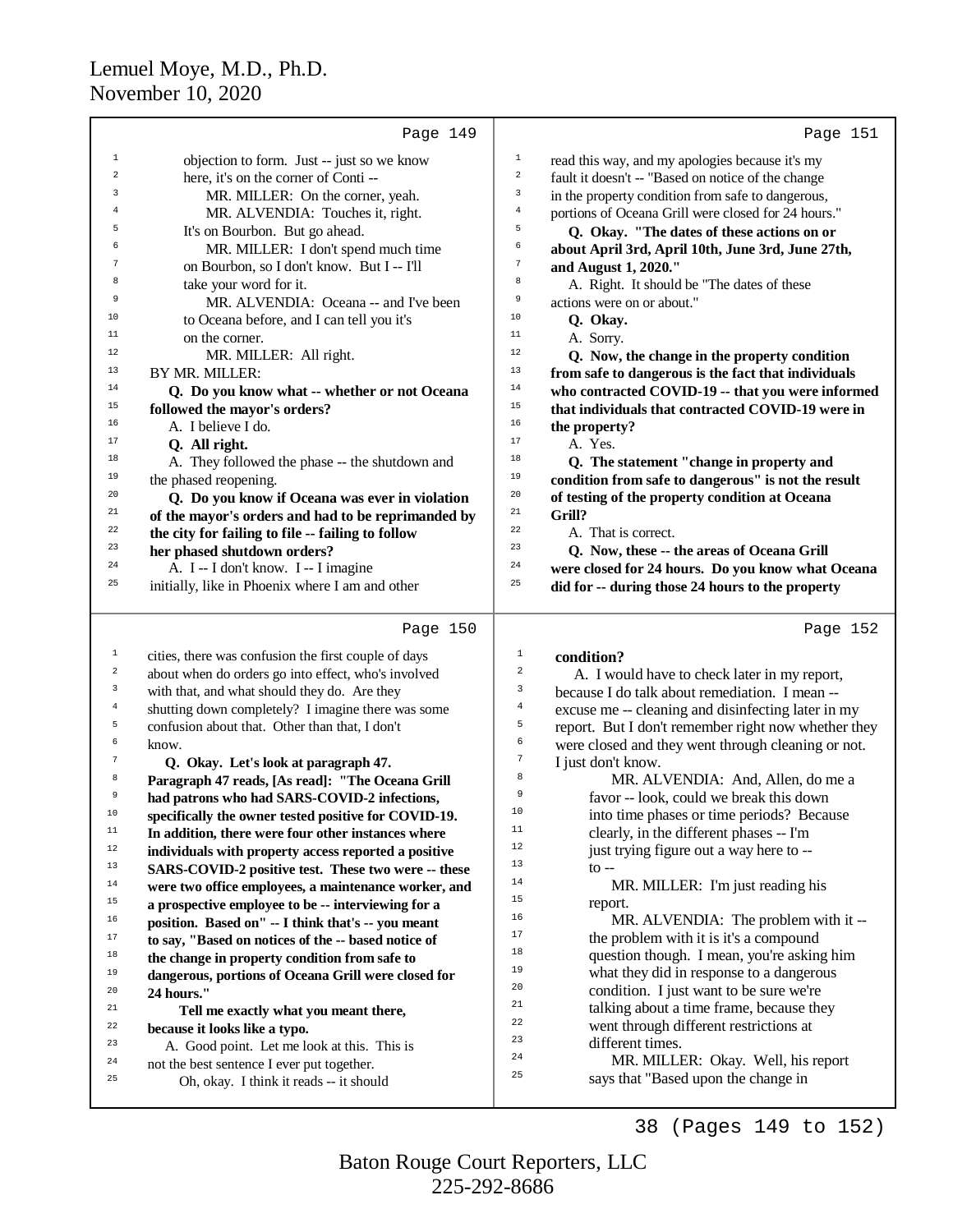|                  | Page 149                                             |                                                                       | Page 151 |
|------------------|------------------------------------------------------|-----------------------------------------------------------------------|----------|
| $\mathbf{1}$     | objection to form. Just -- just so we know           | $\mathbf 1$<br>read this way, and my apologies because it's my        |          |
| $\,2$            | here, it's on the corner of Conti--                  | $\sqrt{2}$<br>fault it doesn't -- "Based on notice of the change      |          |
| 3                | MR. MILLER: On the corner, yeah.                     | 3<br>in the property condition from safe to dangerous,                |          |
| 4                | MR. ALVENDIA: Touches it, right.                     | $\overline{4}$<br>portions of Oceana Grill were closed for 24 hours." |          |
| 5                | It's on Bourbon. But go ahead.                       | 5<br>Q. Okay. "The dates of these actions on or                       |          |
| 6                | MR. MILLER: I don't spend much time                  | 6<br>about April 3rd, April 10th, June 3rd, June 27th,                |          |
| 7                | on Bourbon, so I don't know. But I -- I'll           | $\boldsymbol{7}$<br>and August 1, 2020."                              |          |
| 8                | take your word for it.                               | $^{\rm 8}$<br>A. Right. It should be "The dates of these              |          |
| 9                | MR. ALVENDIA: Oceana -- and I've been                | 9<br>actions were on or about."                                       |          |
| 10               | to Oceana before, and I can tell you it's            | 10<br>Q. Okay.                                                        |          |
| 11               | on the corner.                                       | 11<br>A. Sorry.                                                       |          |
| 12               | MR. MILLER: All right.                               | 12<br>Q. Now, the change in the property condition                    |          |
| 13               | BY MR. MILLER:                                       | 13<br>from safe to dangerous is the fact that individuals             |          |
| 14               | Q. Do you know what -- whether or not Oceana         | 14<br>who contracted COVID-19 -- that you were informed               |          |
| 15               | followed the mayor's orders?                         | 15<br>that individuals that contracted COVID-19 were in               |          |
| 16               | A. I believe I do.                                   | 16<br>the property?                                                   |          |
| 17               | Q. All right.                                        | 17<br>A. Yes.                                                         |          |
| 18               | A. They followed the phase -- the shutdown and       | 18<br>Q. The statement "change in property and                        |          |
| 19               | the phased reopening.                                | 19<br>condition from safe to dangerous" is not the result             |          |
| 20               | Q. Do you know if Oceana was ever in violation       | 20<br>of testing of the property condition at Oceana                  |          |
| 21               | of the mayor's orders and had to be reprimanded by   | 21<br>Grill?                                                          |          |
| 22               | the city for failing to file -- failing to follow    | 22<br>A. That is correct.                                             |          |
| 23               | her phased shutdown orders?                          | 23<br>Q. Now, these -- the areas of Oceana Grill                      |          |
| 24               | A. I -- I don't know. I -- I imagine                 | 24<br>were closed for 24 hours. Do you know what Oceana               |          |
| 25               | initially, like in Phoenix where I am and other      | 25<br>did for -- during those 24 hours to the property                |          |
|                  | Page 150                                             |                                                                       | Page 152 |
| 1                | cities, there was confusion the first couple of days | 1<br>condition?                                                       |          |
| $\boldsymbol{2}$ | about when do orders go into effect, who's involved  | 2<br>A. I would have to check later in my report,                     |          |
| 3                | with that, and what should they do. Are they         | 3<br>because I do talk about remediation. I mean --                   |          |
| 4                | shutting down completely? I imagine there was some   | $\bf{4}$<br>excuse me -- cleaning and disinfecting later in my        |          |
| 5                | confusion about that. Other than that, I don't       | 5<br>report. But I don't remember right now whether they              |          |
| б                | know.                                                | 6<br>were closed and they went through cleaning or not.               |          |
| $\boldsymbol{7}$ | Q. Okay. Let's look at paragraph 47.                 | $\boldsymbol{7}$<br>I just don't know.                                |          |
| 8                | Paragraph 47 reads, [As read]: "The Oceana Grill     | 8<br>MR. ALVENDIA: And, Allen, do me a                                |          |
| 9                | had patrons who had SARS-COVID-2 infections,         | 9<br>favor -- look, could we break this down                          |          |
| 10               | specifically the owner tested positive for COVID-19. | 10<br>into time phases or time periods? Because                       |          |
| $11\,$           | In addition, there were four other instances where   | 11<br>clearly, in the different phases -- I'm                         |          |
| $12\,$           | individuals with property access reported a positive | 12<br>just trying figure out a way here to --                         |          |
| 13               | SARS-COVID-2 positive test. These two were -- these  | 13<br>$\mathfrak{g}$ --                                               |          |
| $14\,$           | were two office employees, a maintenance worker, and | 14<br>MR. MILLER: I'm just reading his                                |          |
| 15               | a prospective employee to be -- interviewing for a   | 15<br>report.                                                         |          |
| 16               | position. Based on" -- I think that's -- you meant   | 16<br>MR. ALVENDIA: The problem with it --                            |          |
| 17               | to say, "Based on notices of the -- based notice of  | 17<br>the problem with it is it's a compound                          |          |
| 18               | the change in property condition from safe to        | 18<br>question though. I mean, you're asking him                      |          |
| 19               | dangerous, portions of Oceana Grill were closed for  | 19<br>what they did in response to a dangerous                        |          |
| 20               | 24 hours."                                           | 20<br>condition. I just want to be sure we're<br>21                   |          |
| 21               | Tell me exactly what you meant there,                | talking about a time frame, because they<br>22                        |          |
| 22               | because it looks like a typo.                        | went through different restrictions at<br>23                          |          |
| 23               | A. Good point. Let me look at this. This is          | different times.<br>24                                                |          |
| 24               | not the best sentence I ever put together.           | MR. MILLER: Okay. Well, his report<br>25                              |          |
| 25               | Oh, okay. I think it reads -- it should              | says that "Based upon the change in                                   |          |

38 (Pages 149 to 152)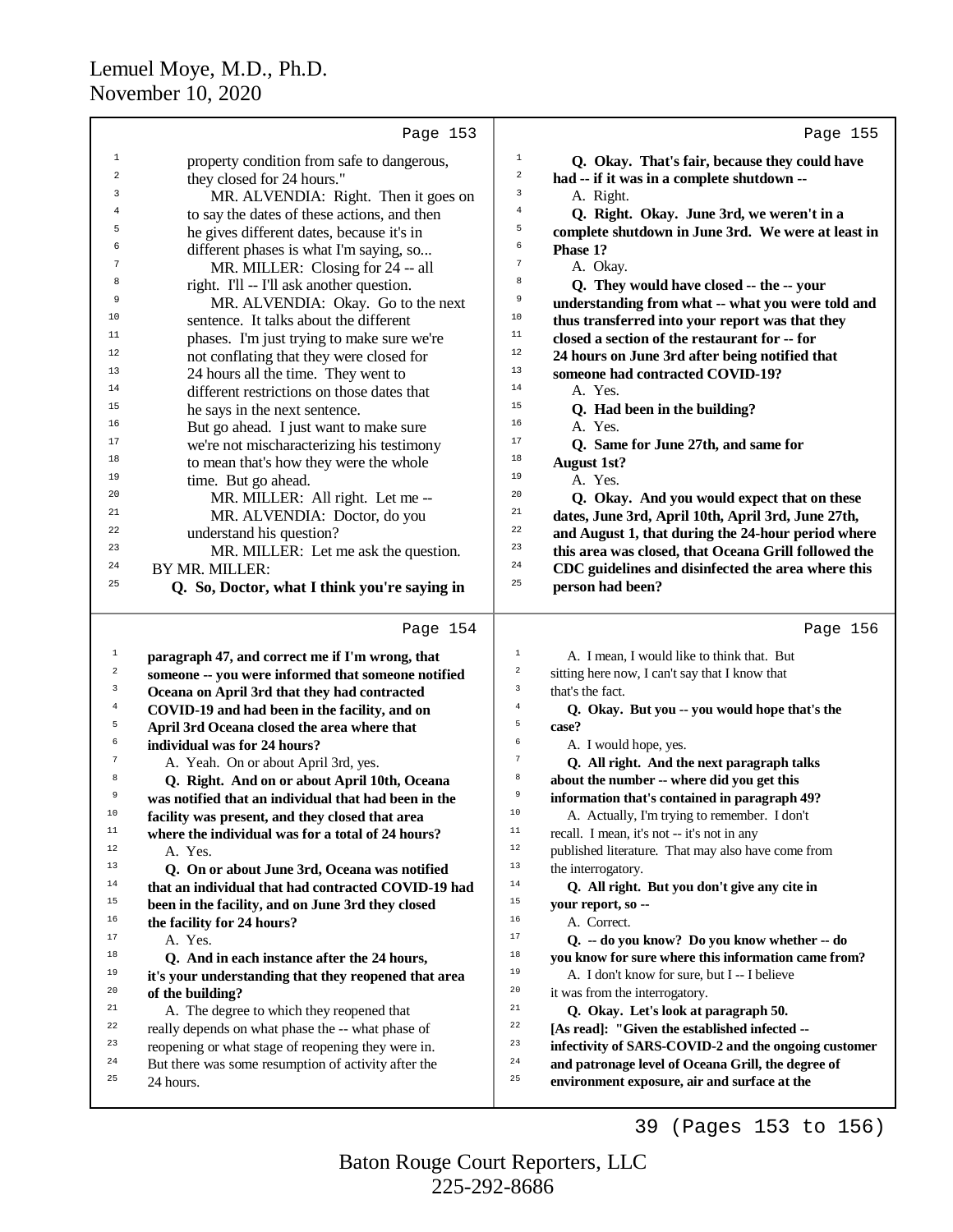|                  | Page 153                                                                                                  | Page 155                                                                                                    |
|------------------|-----------------------------------------------------------------------------------------------------------|-------------------------------------------------------------------------------------------------------------|
| $\mathbf{1}$     | property condition from safe to dangerous,                                                                | $\mathbf 1$<br>Q. Okay. That's fair, because they could have                                                |
| $\overline{a}$   | they closed for 24 hours."                                                                                | $\sqrt{2}$<br>had -- if it was in a complete shutdown --                                                    |
| 3                | MR. ALVENDIA: Right. Then it goes on                                                                      | 3<br>A. Right.                                                                                              |
| 4                | to say the dates of these actions, and then                                                               | 4<br>Q. Right. Okay. June 3rd, we weren't in a                                                              |
| 5                | he gives different dates, because it's in                                                                 | 5<br>complete shutdown in June 3rd. We were at least in                                                     |
| 6                | different phases is what I'm saying, so                                                                   | б<br>Phase 1?                                                                                               |
| 7                | MR. MILLER: Closing for 24 -- all                                                                         | 7<br>A. Okay.                                                                                               |
| 8                | right. I'll -- I'll ask another question.                                                                 | 8<br>Q. They would have closed -- the -- your                                                               |
| 9                | MR. ALVENDIA: Okay. Go to the next                                                                        | 9<br>understanding from what -- what you were told and                                                      |
| 10               | sentence. It talks about the different                                                                    | 10<br>thus transferred into your report was that they                                                       |
| 11               | phases. I'm just trying to make sure we're                                                                | 11<br>closed a section of the restaurant for -- for                                                         |
| 12               | not conflating that they were closed for                                                                  | 12<br>24 hours on June 3rd after being notified that                                                        |
| 13               | 24 hours all the time. They went to                                                                       | 13<br>someone had contracted COVID-19?                                                                      |
| 14               | different restrictions on those dates that                                                                | 14<br>A. Yes.                                                                                               |
| 15               | he says in the next sentence.                                                                             | 15<br>Q. Had been in the building?                                                                          |
| 16               | But go ahead. I just want to make sure                                                                    | 16<br>A. Yes.                                                                                               |
| 17               | we're not mischaracterizing his testimony                                                                 | 17<br>Q. Same for June 27th, and same for                                                                   |
| 18               | to mean that's how they were the whole                                                                    | 18<br><b>August 1st?</b>                                                                                    |
| 19               | time. But go ahead.                                                                                       | 19<br>A. Yes.                                                                                               |
| 20               | MR. MILLER: All right. Let me --                                                                          | 20<br>Q. Okay. And you would expect that on these                                                           |
| 21               | MR. ALVENDIA: Doctor, do you                                                                              | 21<br>dates, June 3rd, April 10th, April 3rd, June 27th,                                                    |
| 22               | understand his question?                                                                                  | 22<br>and August 1, that during the 24-hour period where                                                    |
| 23<br>24         | MR. MILLER: Let me ask the question.                                                                      | 23<br>this area was closed, that Oceana Grill followed the<br>24                                            |
| 25               | BY MR. MILLER:                                                                                            | CDC guidelines and disinfected the area where this<br>25                                                    |
|                  | Q. So, Doctor, what I think you're saying in                                                              | person had been?                                                                                            |
|                  |                                                                                                           |                                                                                                             |
|                  | Page 154                                                                                                  | Page 156                                                                                                    |
| $\mathbf{1}$     | paragraph 47, and correct me if I'm wrong, that                                                           | $\mathbf{1}$<br>A. I mean, I would like to think that. But                                                  |
| $\boldsymbol{2}$ | someone -- you were informed that someone notified                                                        | $\sqrt{2}$<br>sitting here now, I can't say that I know that                                                |
| 3                | Oceana on April 3rd that they had contracted                                                              | 3<br>that's the fact.                                                                                       |
| 4                | COVID-19 and had been in the facility, and on                                                             | $\overline{4}$<br>Q. Okay. But you -- you would hope that's the                                             |
| 5                | April 3rd Oceana closed the area where that                                                               | 5<br>case?                                                                                                  |
| 6                | individual was for 24 hours?                                                                              | 6<br>A. I would hope, yes.                                                                                  |
| $\tau$           | A. Yeah. On or about April 3rd, yes.                                                                      | $\boldsymbol{7}$<br>Q. All right. And the next paragraph talks                                              |
| 8                | Q. Right. And on or about April 10th, Oceana                                                              | 8<br>about the number -- where did you get this                                                             |
| 9                | was notified that an individual that had been in the                                                      | 9<br>information that's contained in paragraph 49?                                                          |
| 10               | facility was present, and they closed that area                                                           | 10<br>A. Actually, I'm trying to remember. I don't                                                          |
| $\mathbf{11}%$   | where the individual was for a total of 24 hours?                                                         | $1\,1$<br>recall. I mean, it's not -- it's not in any                                                       |
| 12               | A. Yes.                                                                                                   | $1\,2$<br>published literature. That may also have come from                                                |
| 13               | Q. On or about June 3rd, Oceana was notified                                                              | $13$<br>the interrogatory.                                                                                  |
| 14               | that an individual that had contracted COVID-19 had                                                       | $1\,4$<br>Q. All right. But you don't give any cite in                                                      |
| 15               | been in the facility, and on June 3rd they closed                                                         | $15$<br>your report, so --                                                                                  |
| 16<br>17         | the facility for 24 hours?                                                                                | $16$<br>A. Correct.<br>17                                                                                   |
| 18               | A. Yes.                                                                                                   | Q. -- do you know? Do you know whether -- do<br>18                                                          |
| 19               | Q. And in each instance after the 24 hours,                                                               | you know for sure where this information came from?<br>19                                                   |
| 20               | it's your understanding that they reopened that area                                                      | A. I don't know for sure, but I -- I believe<br>20                                                          |
| 21               | of the building?                                                                                          | it was from the interrogatory.<br>21                                                                        |
| 22               | A. The degree to which they reopened that                                                                 | Q. Okay. Let's look at paragraph 50.<br>$2\sqrt{2}$                                                         |
| 23               | really depends on what phase the -- what phase of                                                         | [As read]: "Given the established infected --<br>23<br>infectivity of SARS-COVID-2 and the ongoing customer |
| 24               | reopening or what stage of reopening they were in.<br>But there was some resumption of activity after the | 24<br>and patronage level of Oceana Grill, the degree of                                                    |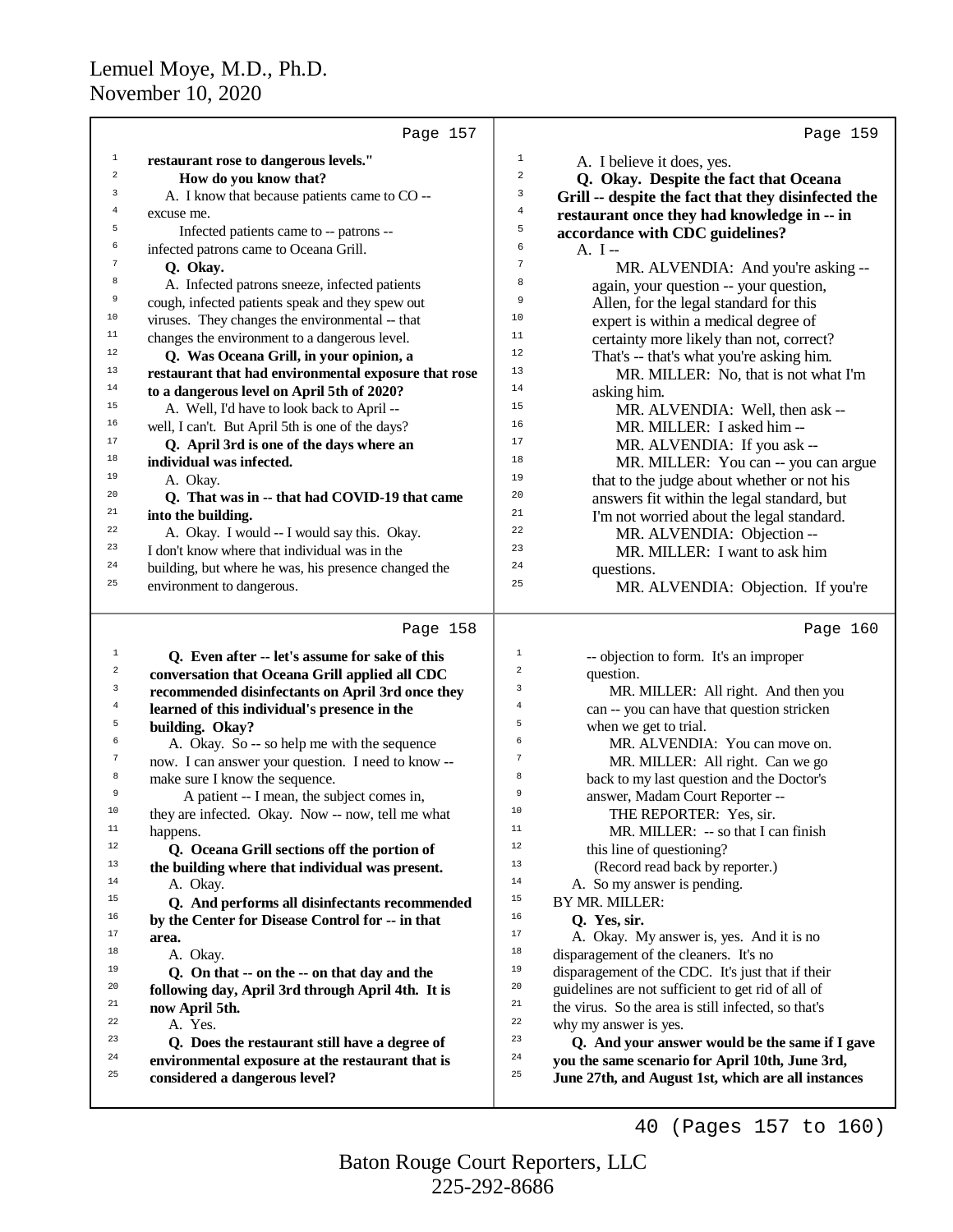|                         | Page 157                                                       |                         | Page 159                                                                                                                                                                                                                                                                                                                          |
|-------------------------|----------------------------------------------------------------|-------------------------|-----------------------------------------------------------------------------------------------------------------------------------------------------------------------------------------------------------------------------------------------------------------------------------------------------------------------------------|
| $\mathbf 1$             | restaurant rose to dangerous levels."                          | $\mathbf 1$             | A. I believe it does, yes.                                                                                                                                                                                                                                                                                                        |
| $\mathbf 2$             | How do you know that?                                          | 2                       | Q. Okay. Despite the fact that Oceana                                                                                                                                                                                                                                                                                             |
| 3                       | A. I know that because patients came to CO --                  | 3                       | Grill -- despite the fact that they disinfected the                                                                                                                                                                                                                                                                               |
| 4                       | excuse me.                                                     | $\bf{4}$                | restaurant once they had knowledge in -- in                                                                                                                                                                                                                                                                                       |
| 5                       | Infected patients came to -- patrons --                        | 5                       | accordance with CDC guidelines?                                                                                                                                                                                                                                                                                                   |
| 6                       | infected patrons came to Oceana Grill.                         | 6                       | $A. I -$                                                                                                                                                                                                                                                                                                                          |
| 7                       | Q. Okay.                                                       | $\overline{7}$          | MR. ALVENDIA: And you're asking --                                                                                                                                                                                                                                                                                                |
| 8                       | A. Infected patrons sneeze, infected patients                  | 8                       | again, your question -- your question,                                                                                                                                                                                                                                                                                            |
| 9                       | cough, infected patients speak and they spew out               | 9                       | Allen, for the legal standard for this                                                                                                                                                                                                                                                                                            |
| 10                      | viruses. They changes the environmental -- that                | 10                      | expert is within a medical degree of                                                                                                                                                                                                                                                                                              |
| $11\,$                  | changes the environment to a dangerous level.                  | 11                      | certainty more likely than not, correct?                                                                                                                                                                                                                                                                                          |
| 12                      | Q. Was Oceana Grill, in your opinion, a                        | 12                      | That's -- that's what you're asking him.                                                                                                                                                                                                                                                                                          |
| 13                      | restaurant that had environmental exposure that rose           | 13                      | MR. MILLER: No, that is not what I'm                                                                                                                                                                                                                                                                                              |
| 14                      | to a dangerous level on April 5th of 2020?                     | 14                      | asking him.                                                                                                                                                                                                                                                                                                                       |
| 15                      | A. Well, I'd have to look back to April --                     | 15                      | MR. ALVENDIA: Well, then ask --                                                                                                                                                                                                                                                                                                   |
| 16                      | well, I can't. But April 5th is one of the days?               | 16                      | MR. MILLER: I asked him-                                                                                                                                                                                                                                                                                                          |
| 17                      | Q. April 3rd is one of the days where an                       | 17                      | MR. ALVENDIA: If you ask --                                                                                                                                                                                                                                                                                                       |
| 18                      | individual was infected.                                       | 18                      | MR. MILLER: You can -- you can argue                                                                                                                                                                                                                                                                                              |
| 19                      | A. Okay.                                                       | 19                      | that to the judge about whether or not his                                                                                                                                                                                                                                                                                        |
| 20                      | Q. That was in -- that had COVID-19 that came                  | 20                      | answers fit within the legal standard, but                                                                                                                                                                                                                                                                                        |
| 21                      | into the building.                                             | 21                      | I'm not worried about the legal standard.                                                                                                                                                                                                                                                                                         |
| 22                      | A. Okay. I would -- I would say this. Okay.                    | 22                      | MR. ALVENDIA: Objection --                                                                                                                                                                                                                                                                                                        |
| 23                      | I don't know where that individual was in the                  | 23                      | MR. MILLER: I want to ask him                                                                                                                                                                                                                                                                                                     |
| 24                      | building, but where he was, his presence changed the           | 24                      | questions.                                                                                                                                                                                                                                                                                                                        |
| 25                      | environment to dangerous.                                      | 25                      | MR. ALVENDIA: Objection. If you're                                                                                                                                                                                                                                                                                                |
|                         |                                                                |                         |                                                                                                                                                                                                                                                                                                                                   |
|                         | Page 158                                                       |                         | Page 160                                                                                                                                                                                                                                                                                                                          |
| $\mathbf{1}$            | Q. Even after -- let's assume for sake of this                 | $\mathbf{1}$            | -- objection to form. It's an improper                                                                                                                                                                                                                                                                                            |
| $\overline{\mathbf{c}}$ | conversation that Oceana Grill applied all CDC                 | $\overline{\mathbf{c}}$ | question.                                                                                                                                                                                                                                                                                                                         |
| 3                       | recommended disinfectants on April 3rd once they               | 3                       | MR. MILLER: All right. And then you                                                                                                                                                                                                                                                                                               |
| $\overline{4}$          | learned of this individual's presence in the                   | $\overline{4}$<br>5     | can -- you can have that question stricken                                                                                                                                                                                                                                                                                        |
| 5<br>6                  | building. Okay?                                                | 6                       | when we get to trial.                                                                                                                                                                                                                                                                                                             |
| $\boldsymbol{7}$        | A. Okay. So -- so help me with the sequence                    | $\overline{7}$          | MR. ALVENDIA: You can move on.                                                                                                                                                                                                                                                                                                    |
| 8                       | now. I can answer your question. I need to know --             | 8                       | MR. MILLER: All right. Can we go                                                                                                                                                                                                                                                                                                  |
| 9                       | make sure I know the sequence.                                 | 9                       | back to my last question and the Doctor's                                                                                                                                                                                                                                                                                         |
| 10                      | A patient -- I mean, the subject comes in,                     | 10                      | answer, Madam Court Reporter --                                                                                                                                                                                                                                                                                                   |
| 11                      | they are infected. Okay. Now -- now, tell me what              | 11                      | THE REPORTER: Yes, sir.                                                                                                                                                                                                                                                                                                           |
| 12                      | happens.                                                       | 12                      | MR. MILLER: -- so that I can finish                                                                                                                                                                                                                                                                                               |
| 13                      | Q. Oceana Grill sections off the portion of                    | 13                      | this line of questioning?                                                                                                                                                                                                                                                                                                         |
| 14                      | the building where that individual was present.                | 14                      | (Record read back by reporter.)                                                                                                                                                                                                                                                                                                   |
| 15                      | A. Okay.                                                       | 15                      | A. So my answer is pending.                                                                                                                                                                                                                                                                                                       |
| 16                      | Q. And performs all disinfectants recommended                  | 16                      | BY MR. MILLER:                                                                                                                                                                                                                                                                                                                    |
| 17                      | by the Center for Disease Control for -- in that               | $17\,$                  | Q. Yes, sir.                                                                                                                                                                                                                                                                                                                      |
| $18\,$                  | area.<br>A. Okay.                                              | $18\,$                  | A. Okay. My answer is, yes. And it is no<br>disparagement of the cleaners. It's no                                                                                                                                                                                                                                                |
| 19                      | $\Omega$ and that $\Omega$ on the $\Omega$ on that day and the | 19                      | $di$ constrained $\alpha$ and $\alpha$ and $\alpha$ and $\alpha$ and $\alpha$ are $\alpha$ in $\alpha$ in $\alpha$ in $\alpha$ in $\alpha$ in $\alpha$ in $\alpha$ in $\alpha$ in $\alpha$ in $\alpha$ in $\alpha$ in $\alpha$ in $\alpha$ in $\alpha$ in $\alpha$ in $\alpha$ in $\alpha$ in $\alpha$ in $\alpha$ in $\alpha$ in |
|                         |                                                                |                         |                                                                                                                                                                                                                                                                                                                                   |

<sup>18</sup> A. Okay.<br> $\overline{D}$  **O** On the <sup>19</sup> **Q. On that -- on the -- on that day and the**<br><sup>20</sup> **following day April 3rd through April 4th** <sup>20</sup> **following day, April 3rd through April 4th. It is**<br><sup>21</sup> **now April 5th** <sup>21</sup> **now April 5th.**<br> $\frac{22}{\lambda}$  **Nes** <sup>22</sup> A. Yes.<br><sup>23</sup> O. Does

 **Q. Does the restaurant still have a degree of** <sup>24</sup> environmental exposure at the restaurant that is<br><sup>25</sup> experienced a denominate layer **considered a dangerous level?**

40 (Pages 157 to 160)

<sup>19</sup> disparagement of the CDC. It's just that if their<br><sup>20</sup> quidelines are not sufficient to get rid of all of <sup>20</sup> guidelines are not sufficient to get rid of all of  $e^{21}$  the virus. So the area is still infected so that's <sup>21</sup> the virus. So the area is still infected, so that's<br><sup>22</sup> why my answer is yes

<sup>23</sup> Q. And your answer would be the same if I gave <sup>24</sup> you the same scenario for April 10th, June 3rd,<br><sup>25</sup> Iune 27th, and August 1st, which are all instance **June 27th, and August 1st, which are all instances**

<sup>22</sup> why my answer is yes.<br> $\frac{23}{7}$  **O** And your open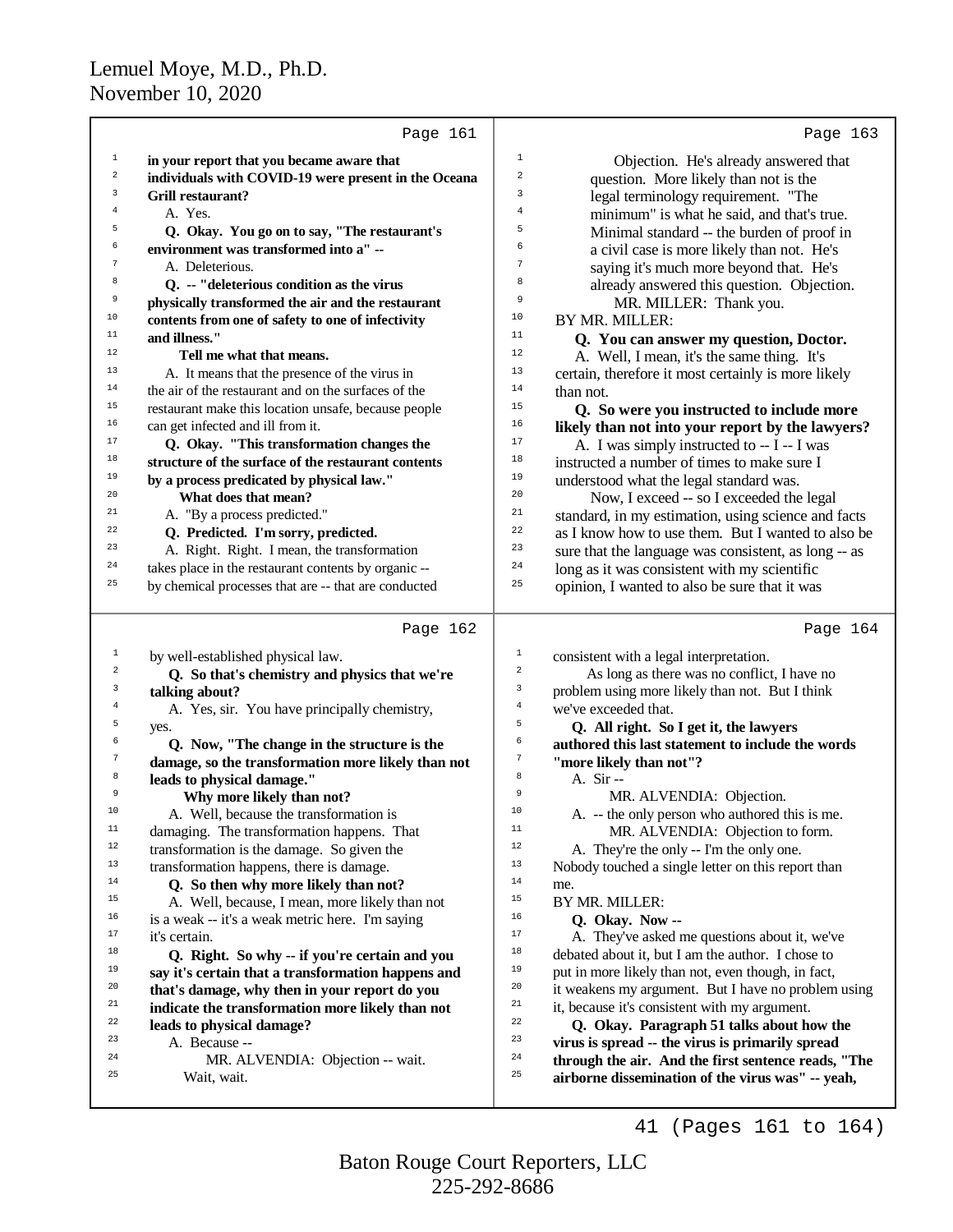|                         | Page 161                                             |                | Page 163                                                                                                 |
|-------------------------|------------------------------------------------------|----------------|----------------------------------------------------------------------------------------------------------|
| $\mathbf{1}$            | in your report that you became aware that            | $\mathbf 1$    | Objection. He's already answered that                                                                    |
| $\overline{\mathbf{c}}$ | individuals with COVID-19 were present in the Oceana | $\overline{a}$ | question. More likely than not is the                                                                    |
| 3                       | <b>Grill restaurant?</b>                             | 3              | legal terminology requirement. "The                                                                      |
| 4                       | A. Yes.                                              | 4              | minimum" is what he said, and that's true.                                                               |
| 5                       | Q. Okay. You go on to say, "The restaurant's         | 5              | Minimal standard -- the burden of proof in                                                               |
| 6                       | environment was transformed into a" --               | 6              | a civil case is more likely than not. He's                                                               |
| 7                       | A. Deleterious.                                      | 7              | saying it's much more beyond that. He's                                                                  |
| 8                       | Q. -- "deleterious condition as the virus            | 8              | already answered this question. Objection.                                                               |
| 9                       | physically transformed the air and the restaurant    | 9              | MR. MILLER: Thank you.                                                                                   |
| 10                      | contents from one of safety to one of infectivity    | 10             | BY MR. MILLER:                                                                                           |
| $11$                    | and illness."                                        | 11             | Q. You can answer my question, Doctor.                                                                   |
| 12                      | Tell me what that means.                             | 12             | A. Well, I mean, it's the same thing. It's                                                               |
| 13                      | A. It means that the presence of the virus in        | 13             | certain, therefore it most certainly is more likely                                                      |
| 14                      | the air of the restaurant and on the surfaces of the | $14\,$         | than not.                                                                                                |
| 15                      | restaurant make this location unsafe, because people | 15             | Q. So were you instructed to include more                                                                |
| 16                      | can get infected and ill from it.                    | 16             | likely than not into your report by the lawyers?                                                         |
| 17                      | Q. Okay. "This transformation changes the            | 17             | A. I was simply instructed to -- I -- I was                                                              |
| 18                      | structure of the surface of the restaurant contents  | 18             | instructed a number of times to make sure I                                                              |
| 19                      | by a process predicated by physical law."            | 19             |                                                                                                          |
| 20                      | What does that mean?                                 | 20             | understood what the legal standard was.                                                                  |
| 21                      | A. "By a process predicted."                         | 21             | Now, I exceed -- so I exceeded the legal<br>standard, in my estimation, using science and facts          |
| 22                      | Q. Predicted. I'm sorry, predicted.                  | 22             |                                                                                                          |
| 23                      |                                                      | 23             | as I know how to use them. But I wanted to also be                                                       |
| 24                      | A. Right. Right. I mean, the transformation          | 24             | sure that the language was consistent, as long -- as                                                     |
| 25                      | takes place in the restaurant contents by organic -- | 25             | long as it was consistent with my scientific                                                             |
|                         | by chemical processes that are -- that are conducted |                | opinion, I wanted to also be sure that it was                                                            |
|                         |                                                      |                |                                                                                                          |
|                         | Page 162                                             |                | Page 164                                                                                                 |
| 1                       |                                                      | $1\,$          |                                                                                                          |
| 2                       | by well-established physical law.                    | $\,2$          | consistent with a legal interpretation.                                                                  |
| 3                       | Q. So that's chemistry and physics that we're        | 3              | As long as there was no conflict, I have no                                                              |
| 4                       | talking about?                                       | $\bf{4}$       | problem using more likely than not. But I think                                                          |
| 5                       | A. Yes, sir. You have principally chemistry,         | 5              | we've exceeded that.                                                                                     |
| 6                       | yes.                                                 | 6              | Q. All right. So I get it, the lawyers                                                                   |
| 7                       | Q. Now, "The change in the structure is the          | 7              | authored this last statement to include the words                                                        |
| 8                       | damage, so the transformation more likely than not   | 8              | "more likely than not"?                                                                                  |
| 9                       | leads to physical damage."                           | $\overline{9}$ | A. Sir --                                                                                                |
| 10                      | Why more likely than not?                            | 10             | MR. ALVENDIA: Objection.                                                                                 |
| 11                      | A. Well, because the transformation is               | 11             | A. -- the only person who authored this is me.                                                           |
| 12                      | damaging. The transformation happens. That           | 12             | MR. ALVENDIA: Objection to form.                                                                         |
| 13                      | transformation is the damage. So given the           | 13             | A. They're the only -- I'm the only one.                                                                 |
| 14                      | transformation happens, there is damage.             | 14             | Nobody touched a single letter on this report than                                                       |
| 15                      | Q. So then why more likely than not?                 | 15             | me.                                                                                                      |
| 16                      | A. Well, because, I mean, more likely than not       | 16             | BY MR. MILLER:                                                                                           |
| 17                      | is a weak -- it's a weak metric here. I'm saying     | 17             | Q. Okay. Now--                                                                                           |
| 18                      | it's certain.                                        | 18             | A. They've asked me questions about it, we've                                                            |
| 19                      | Q. Right. So why -- if you're certain and you        | 19             | debated about it, but I am the author. I chose to                                                        |
| 20                      | say it's certain that a transformation happens and   | 20             | put in more likely than not, even though, in fact,                                                       |
| 21                      | that's damage, why then in your report do you        | 21             | it weakens my argument. But I have no problem using                                                      |
| 22                      | indicate the transformation more likely than not     | 22             | it, because it's consistent with my argument.                                                            |
| 23                      | leads to physical damage?<br>A. Because --           | 23             | Q. Okay. Paragraph 51 talks about how the                                                                |
| 24                      |                                                      | 24             | virus is spread -- the virus is primarily spread                                                         |
| 25                      | MR. ALVENDIA: Objection -- wait.<br>Wait, wait.      | 25             | through the air. And the first sentence reads, "The<br>airborne dissemination of the virus was" -- yeah, |

41 (Pages 161 to 164)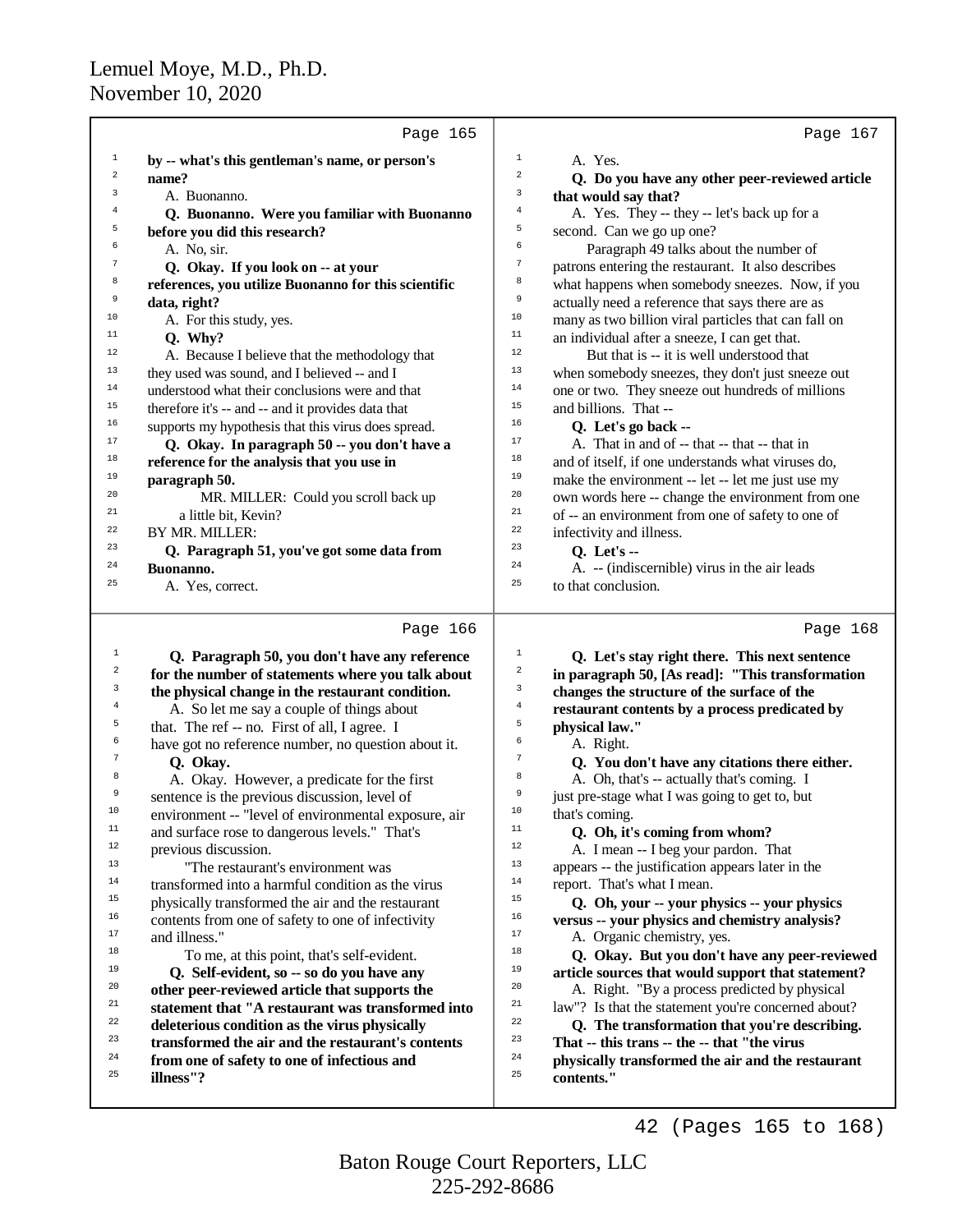|                | Page 165                                             |                                                                                    | Page 167 |
|----------------|------------------------------------------------------|------------------------------------------------------------------------------------|----------|
| $\,1$          | by -- what's this gentleman's name, or person's      | $1\,$<br>A. Yes.                                                                   |          |
| $\sqrt{2}$     | name?                                                | $\overline{a}$<br>Q. Do you have any other peer-reviewed article                   |          |
| 3              | A. Buonanno.                                         | 3<br>that would say that?                                                          |          |
| $\overline{4}$ | Q. Buonanno. Were you familiar with Buonanno         | $\overline{4}$<br>A. Yes. They -- they -- let's back up for a                      |          |
| 5              | before you did this research?                        | 5<br>second. Can we go up one?                                                     |          |
| 6              | A. No, sir.                                          | $\epsilon$<br>Paragraph 49 talks about the number of                               |          |
| $\overline{7}$ | Q. Okay. If you look on -- at your                   | $\overline{7}$<br>patrons entering the restaurant. It also describes               |          |
| 8              | references, you utilize Buonanno for this scientific | 8<br>what happens when somebody sneezes. Now, if you                               |          |
| 9              | data, right?                                         | $\mathsf 9$<br>actually need a reference that says there are as                    |          |
| 10             | A. For this study, yes.                              | $10$<br>many as two billion viral particles that can fall on                       |          |
| 11             | Q. Why?                                              | 11<br>an individual after a sneeze, I can get that.                                |          |
| 12             | A. Because I believe that the methodology that       | $12\,$<br>But that is -- it is well understood that                                |          |
| 13             | they used was sound, and I believed -- and I         | 13<br>when somebody sneezes, they don't just sneeze out                            |          |
| 14             | understood what their conclusions were and that      | $14\,$<br>one or two. They sneeze out hundreds of millions                         |          |
| 15             | therefore it's -- and -- and it provides data that   | 15<br>and billions. That --                                                        |          |
| 16             | supports my hypothesis that this virus does spread.  | 16<br>Q. Let's go back --                                                          |          |
| 17             | Q. Okay. In paragraph 50 -- you don't have a         | 17<br>A. That in and of -- that -- that -- that in                                 |          |
| 18             | reference for the analysis that you use in           | 18<br>and of itself, if one understands what viruses do,                           |          |
| 19             | paragraph 50.                                        | 19<br>make the environment -- let -- let me just use my                            |          |
| 20             | MR. MILLER: Could you scroll back up                 | 20<br>own words here -- change the environment from one                            |          |
| 21             | a little bit, Kevin?                                 | 21<br>of -- an environment from one of safety to one of                            |          |
| 22             | BY MR. MILLER:                                       | 22<br>infectivity and illness.                                                     |          |
| 23             | Q. Paragraph 51, you've got some data from           | 23<br><b>Q.</b> Let's --                                                           |          |
| 24             | Buonanno.                                            | 24<br>A. -- (indiscernible) virus in the air leads                                 |          |
| 25             | A. Yes, correct.                                     | 25<br>to that conclusion.                                                          |          |
|                |                                                      |                                                                                    |          |
|                | Page 166                                             |                                                                                    | Page 168 |
| $\mathbf{1}$   | Q. Paragraph 50, you don't have any reference        | $\,1$<br>Q. Let's stay right there. This next sentence                             |          |
| 2<br>3         | for the number of statements where you talk about    | $\overline{a}$<br>in paragraph 50, [As read]: "This transformation<br>$\mathbf{3}$ |          |
| 4              | the physical change in the restaurant condition.     | changes the structure of the surface of the<br>$\bf{4}$                            |          |
| 5              | A. So let me say a couple of things about            | restaurant contents by a process predicated by<br>5                                |          |
| 6              | that. The ref -- no. First of all, I agree. I        | physical law."<br>6                                                                |          |
| 7              | have got no reference number, no question about it.  | A. Right.<br>$\tau$                                                                |          |
| 8              | Q. Okay.                                             | Q. You don't have any citations there either.<br>8                                 |          |
| 9              | A. Okay. However, a predicate for the first          | A. Oh, that's -- actually that's coming. I<br>$\overline{9}$                       |          |
|                | sentence is the previous discussion, level of        | just pre-stage what I was going to get to, but                                     |          |

<sup>10</sup> environment -- "level of environmental exposure, air<br><sup>11</sup> and surface rose to dangerous levels." That's <sup>11</sup> and surface rose to dangerous levels." That's<br> $\frac{12}{2}$  $12$  previous discussion.

<sup>13</sup>  $\frac{13}{14}$   $\frac{14}{12}$   $\frac{1}{2}$   $\frac{1}{2}$   $\frac{1}{2}$   $\frac{1}{2}$   $\frac{1}{2}$   $\frac{1}{2}$   $\frac{1}{2}$   $\frac{1}{2}$   $\frac{1}{2}$   $\frac{1}{2}$   $\frac{1}{2}$   $\frac{1}{2}$   $\frac{1}{2}$   $\frac{1}{2}$   $\frac{1}{2}$   $\frac{1}{2}$   $\frac{1}{2}$   $\frac{1}{2}$   $\frac{1}{2}$   $\$  $14$  transformed into a harmful condition as the virus<br> $15$  the virus physically transformed the air and the restaurant <sup>15</sup> physically transformed the air and the restaurant  $\frac{16}{16}$  contents from one of safety to one of infectivity <sup>16</sup> contents from one of safety to one of infectivity

 $^{17}$  and illness."

<sup>18</sup> To me, at this point, that's self-evident.<sup>19</sup>  $\Omega$  Self-evident so  $\sim$  so do you have any

<sup>19</sup> **Q. Self-evident, so -- so do you have any** <sup>20</sup> **other peer-reviewed article that supports the** 

<sup>20</sup> other peer-reviewed article that supports the<br><sup>21</sup> ottomant that "A regtormant was transformed

- <sup>21</sup> **statement that "A restaurant was transformed into**<br><sup>22</sup> **deleterious condition as the virus physically**
- <sup>22</sup> deleterious condition as the virus physically<br><sup>23</sup> transformed the six and the restaurant's con-
- $\frac{23}{4}$  **transformed the air and the restaurant's contents**  $\frac{24}{25}$  **from one of safety to one of infectious and**
- <sup>25</sup> **illness"?**

<sup>10</sup> that's coming.<br> **11 O** Ob it's

<sup>11</sup> **Q. Oh, it's coming from whom?**<br><sup>12</sup> **A** I mean - I heq. your pardon. T <sup>12</sup> A. I mean -- I beg your pardon. That<br><sup>13</sup> appears -- the justification appears later is <sup>13</sup> appears -- the justification appears later in the report. That's what I mean <sup>14</sup> report. That's what I mean.<br> $\frac{15}{15}$  **O** Ob your -- your ph <sup>15</sup> **Q. Oh, your -- your physics -- your physics**

<sup>16</sup> **versus -- your physics and chemistry analysis?** <sup>17</sup> A. Organic chemistry, yes.<br> **A.** Organic chemistry, yes.

<sup>18</sup> **Q. Okay. But you don't have any peer-reviewed**<br><sup>19</sup> article sources that would support that statement? <sup>19</sup> **article sources that would support that statement?**<br><sup>20</sup> **A** Right "By a process predicted by physical <sup>20</sup> A. Right. "By a process predicted by physical  $\frac{21}{10}$  law"? Is that the statement you're concerned show <sup>21</sup> law"? Is that the statement you're concerned about?<br><sup>22</sup> **C** The transformation that you're describing <sup>22</sup> Q. The transformation that you're describing.<br><sup>23</sup> That this trans the that "the virus

<sup>23</sup> **That -- this trans -- the -- that "the virus** <sup>24</sup> **physically transformed the air and the restaurant** <sup>25</sup> **contents."**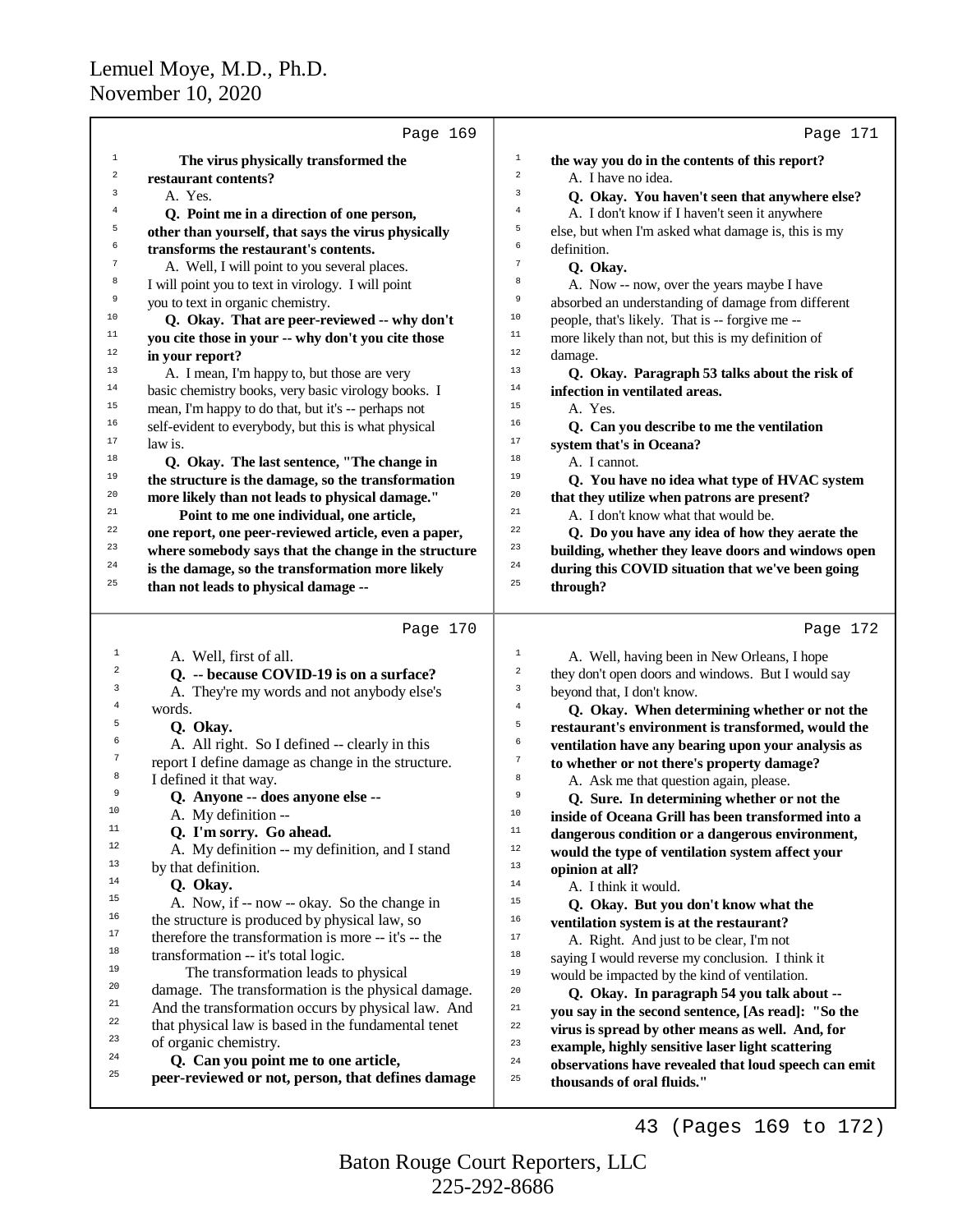|                | Page 169                                             |                       | Page 171                                                                           |
|----------------|------------------------------------------------------|-----------------------|------------------------------------------------------------------------------------|
| 1              | The virus physically transformed the                 | $\mathbf 1$           | the way you do in the contents of this report?                                     |
| $\sqrt{2}$     | restaurant contents?                                 | $\mathbf 2$           | A. I have no idea.                                                                 |
| 3              | A. Yes.                                              | 3                     | Q. Okay. You haven't seen that anywhere else?                                      |
| $\overline{4}$ | Q. Point me in a direction of one person,            | 4                     | A. I don't know if I haven't seen it anywhere                                      |
| 5              | other than yourself, that says the virus physically  | 5                     | else, but when I'm asked what damage is, this is my                                |
| 6              | transforms the restaurant's contents.                | 6                     | definition.                                                                        |
| $\overline{7}$ | A. Well, I will point to you several places.         | 7                     | Q. Okay.                                                                           |
| 8              | I will point you to text in virology. I will point   | 8                     | A. Now -- now, over the years maybe I have                                         |
| 9              | you to text in organic chemistry.                    | 9                     | absorbed an understanding of damage from different                                 |
| 10             | Q. Okay. That are peer-reviewed -- why don't         | $10$                  | people, that's likely. That is -- forgive me --                                    |
| 11             | you cite those in your -- why don't you cite those   | $11\,$                | more likely than not, but this is my definition of                                 |
| 12             | in your report?                                      | 12                    | damage.                                                                            |
| 13             | A. I mean, I'm happy to, but those are very          | 13                    | Q. Okay. Paragraph 53 talks about the risk of                                      |
| 14             | basic chemistry books, very basic virology books. I  | 14                    | infection in ventilated areas.                                                     |
| 15             | mean, I'm happy to do that, but it's -- perhaps not  | 15                    | A. Yes.                                                                            |
| 16             | self-evident to everybody, but this is what physical | 16                    | Q. Can you describe to me the ventilation                                          |
| 17             | law is.                                              | 17                    | system that's in Oceana?                                                           |
| 18             | Q. Okay. The last sentence, "The change in           | 18                    | A. I cannot.                                                                       |
| 19             | the structure is the damage, so the transformation   | 19                    | Q. You have no idea what type of HVAC system                                       |
| 20             | more likely than not leads to physical damage."      | 20                    | that they utilize when patrons are present?                                        |
| 21             | Point to me one individual, one article,             | 21                    | A. I don't know what that would be.                                                |
| 22             | one report, one peer-reviewed article, even a paper, | 22                    | Q. Do you have any idea of how they aerate the                                     |
| 23             | where somebody says that the change in the structure | 23                    | building, whether they leave doors and windows open                                |
| 24             | is the damage, so the transformation more likely     | 24                    | during this COVID situation that we've been going                                  |
| 25             | than not leads to physical damage --                 | 25                    | through?                                                                           |
|                |                                                      |                       |                                                                                    |
|                | Page 170                                             |                       | Page 172                                                                           |
| 1              | A. Well, first of all.                               | $\mathbf 1$           | A. Well, having been in New Orleans, I hope                                        |
| 2              | Q. -- because COVID-19 is on a surface?              | $\boldsymbol{2}$      | they don't open doors and windows. But I would say                                 |
| 3              | A. They're my words and not anybody else's           | 3                     | beyond that, I don't know.                                                         |
| 4<br>5         | words.                                               | $\,4$                 | Q. Okay. When determining whether or not the                                       |
| 6              | Q. Okay.                                             | 5                     | restaurant's environment is transformed, would the                                 |
| 7              | A. All right. So I defined -- clearly in this        | 6<br>$\boldsymbol{7}$ | ventilation have any bearing upon your analysis as                                 |
| 8              | report I define damage as change in the structure.   |                       | to whether or not there's property damage?                                         |
| 9              | I defined it that way.                               | 8<br>9                | A. Ask me that question again, please.                                             |
| 10             | Q. Anyone -- does anyone else --                     | $10$                  | Q. Sure. In determining whether or not the                                         |
| 11             | A. My definition --                                  | $11\,$                | inside of Oceana Grill has been transformed into a                                 |
| 12             | Q. I'm sorry. Go ahead.                              | $12\,$                | dangerous condition or a dangerous environment,                                    |
| 13             | A. My definition -- my definition, and I stand       | 13                    | would the type of ventilation system affect your                                   |
| 14             | by that definition.<br>Q. Okay.                      | $14$                  | opinion at all?                                                                    |
| 15             | A. Now, if -- now -- okay. So the change in          | 15                    | A. I think it would.                                                               |
| 16             | the structure is produced by physical law, so        | 16                    | Q. Okay. But you don't know what the                                               |
| 17             | therefore the transformation is more -- it's -- the  | 17                    | ventilation system is at the restaurant?                                           |
| 18             | transformation -- it's total logic.                  | 18                    | A. Right. And just to be clear, I'm not                                            |
| 19             | The transformation leads to physical                 | 19                    | saying I would reverse my conclusion. I think it                                   |
| 20             | damage. The transformation is the physical damage.   | 20                    | would be impacted by the kind of ventilation.                                      |
| 21             | And the transformation occurs by physical law. And   | 21                    | Q. Okay. In paragraph 54 you talk about --                                         |
| 22             | that physical law is based in the fundamental tenet  | $^{\rm 22}$           | you say in the second sentence, [As read]: "So the                                 |
| 23             | of organic chemistry.                                | 23                    | virus is spread by other means as well. And, for                                   |
| 24             | Q. Can you point me to one article,                  | $\bf{24}$             | example, highly sensitive laser light scattering                                   |
| 25             | peer-reviewed or not, person, that defines damage    | 25                    | observations have revealed that loud speech can emit<br>thousands of oral fluids." |
|                |                                                      |                       |                                                                                    |
|                |                                                      |                       | (Pages 169 to 172)<br>43                                                           |

225-292-8686 Baton Rouge Court Reporters, LLC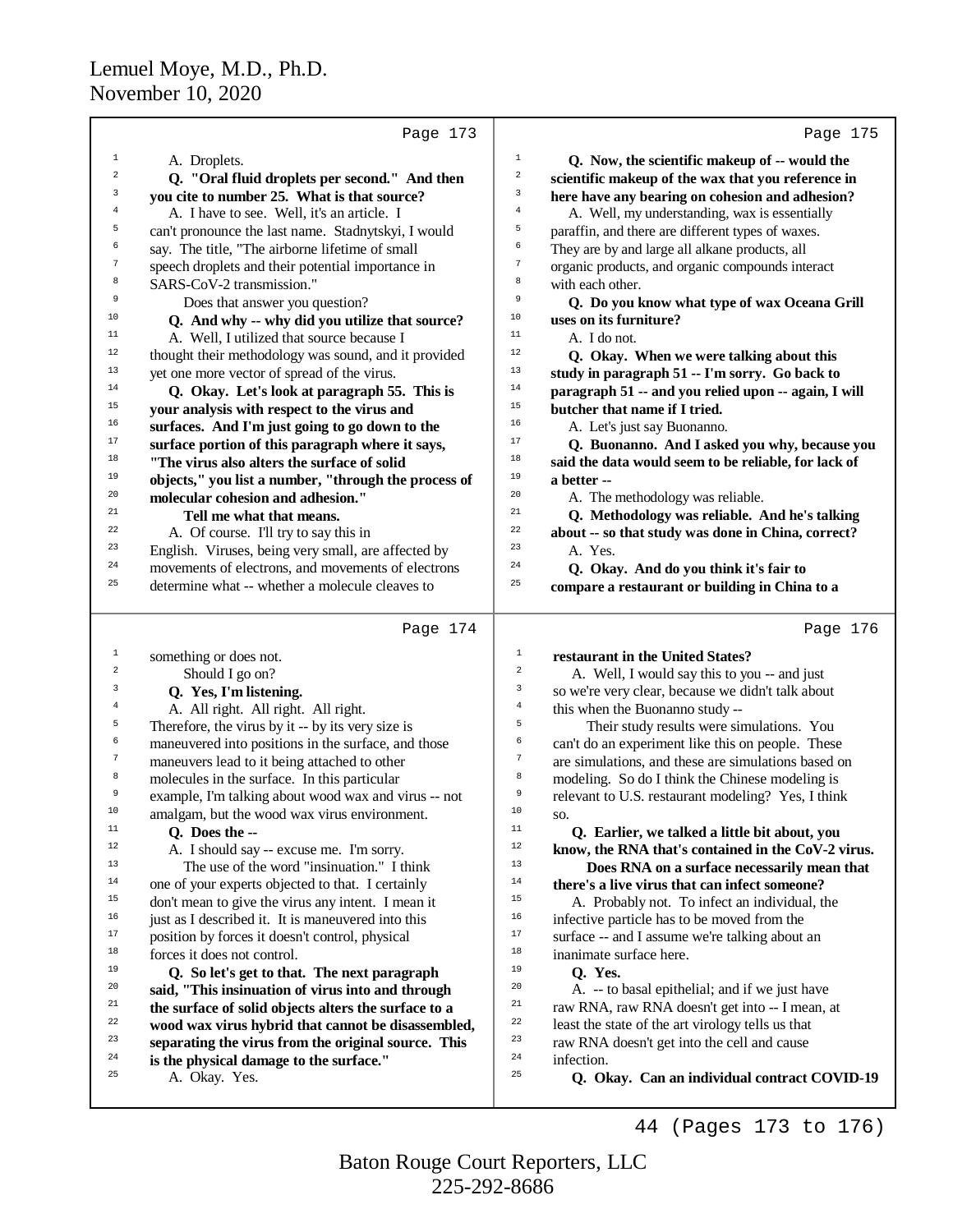|                  | Page 173                                             | Page 175                                                             |
|------------------|------------------------------------------------------|----------------------------------------------------------------------|
| $\mathbf{1}$     | A. Droplets.                                         | $\mathbf 1$<br>Q. Now, the scientific makeup of -- would the         |
| $\overline{a}$   | Q. "Oral fluid droplets per second." And then        | $\mathbf 2$<br>scientific makeup of the wax that you reference in    |
| 3                | you cite to number 25. What is that source?          | 3<br>here have any bearing on cohesion and adhesion?                 |
| $\,4$            | A. I have to see. Well, it's an article. I           | $\overline{4}$<br>A. Well, my understanding, wax is essentially      |
| 5                | can't pronounce the last name. Stadnytskyi, I would  | 5<br>paraffin, and there are different types of waxes.               |
| 6                | say. The title, "The airborne lifetime of small      | 6<br>They are by and large all alkane products, all                  |
| $\boldsymbol{7}$ | speech droplets and their potential importance in    | $\boldsymbol{7}$<br>organic products, and organic compounds interact |
| 8                | SARS-CoV-2 transmission."                            | 8<br>with each other.                                                |
| 9                | Does that answer you question?                       | 9<br>Q. Do you know what type of wax Oceana Grill                    |
| 10               | Q. And why -- why did you utilize that source?       | $10$<br>uses on its furniture?                                       |
| 11               | A. Well, I utilized that source because I            | $11$<br>A. I do not.                                                 |
| 12               | thought their methodology was sound, and it provided | $12$<br>Q. Okay. When we were talking about this                     |
| 13               | yet one more vector of spread of the virus.          | 13<br>study in paragraph 51 -- I'm sorry. Go back to                 |
| 14               | Q. Okay. Let's look at paragraph 55. This is         | 14<br>paragraph 51 -- and you relied upon -- again, I will           |
| $15\,$           | your analysis with respect to the virus and          | 15<br>butcher that name if I tried.                                  |
| $16\,$           | surfaces. And I'm just going to go down to the       | 16<br>A. Let's just say Buonanno.                                    |
| $17\,$           | surface portion of this paragraph where it says,     | 17<br>Q. Buonanno. And I asked you why, because you                  |
| 18               | "The virus also alters the surface of solid          | 18<br>said the data would seem to be reliable, for lack of           |
| 19               | objects," you list a number, "through the process of | 19<br>a better --                                                    |
| $20\,$           | molecular cohesion and adhesion."                    | 20<br>A. The methodology was reliable.                               |
| 21               | Tell me what that means.                             | 21<br>Q. Methodology was reliable. And he's talking                  |
| 22               | A. Of course. I'll try to say this in                | 22<br>about -- so that study was done in China, correct?             |
| 23               | English. Viruses, being very small, are affected by  | 23<br>A. Yes.                                                        |
| 24               | movements of electrons, and movements of electrons   | 24<br>Q. Okay. And do you think it's fair to                         |
| 25               | determine what -- whether a molecule cleaves to      | 25<br>compare a restaurant or building in China to a                 |
|                  |                                                      |                                                                      |
|                  | Page 174                                             | Page 176                                                             |
| 1                | something or does not.                               |                                                                      |
|                  |                                                      | $\mathbf 1$<br>restaurant in the United States?                      |
| 2                | Should I go on?                                      | $\boldsymbol{2}$<br>A. Well, I would say this to you -- and just     |
| 3                | Q. Yes, I'm listening.                               | $\mathbf{3}$<br>so we're very clear, because we didn't talk about    |
| $\overline{4}$   | A. All right. All right. All right.                  | $\overline{4}$<br>this when the Buonanno study --                    |
| 5                | Therefore, the virus by it -- by its very size is    | 5<br>Their study results were simulations. You                       |
| 6                | maneuvered into positions in the surface, and those  | 6<br>can't do an experiment like this on people. These               |
| $\boldsymbol{7}$ | maneuvers lead to it being attached to other         | $\tau$<br>are simulations, and these are simulations based on        |
| 8                | molecules in the surface. In this particular         | 8<br>modeling. So do I think the Chinese modeling is                 |
| 9                | example, I'm talking about wood wax and virus -- not | 9<br>relevant to U.S. restaurant modeling? Yes, I think              |
| 10 <sup>°</sup>  | amalgam, but the wood wax virus environment.         | 10<br>SO.                                                            |
| $11\,$           | Q. Does the --                                       | $11\,$<br>Q. Earlier, we talked a little bit about, you              |
| 12               | A. I should say -- excuse me. I'm sorry.             | 12<br>know, the RNA that's contained in the CoV-2 virus.             |
| 13               | The use of the word "insinuation." I think           | 13<br>Does RNA on a surface necessarily mean that                    |
| $14\,$           | one of your experts objected to that. I certainly    | 14<br>there's a live virus that can infect someone?                  |
| 15               | don't mean to give the virus any intent. I mean it   | 15<br>A. Probably not. To infect an individual, the                  |
| $16\,$           | just as I described it. It is maneuvered into this   | 16<br>infective particle has to be moved from the                    |
| $17\,$           | position by forces it doesn't control, physical      | $17\,$<br>surface -- and I assume we're talking about an             |
| $18\,$           | forces it does not control.                          | $18\,$<br>inanimate surface here.                                    |
| 19               | Q. So let's get to that. The next paragraph          | 19<br>Q. Yes.                                                        |
| 20               | said, "This insinuation of virus into and through    | 20<br>A. -- to basal epithelial; and if we just have                 |
| 21               | the surface of solid objects alters the surface to a | 21<br>raw RNA, raw RNA doesn't get into -- I mean, at                |
| 22               | wood wax virus hybrid that cannot be disassembled,   | 22<br>least the state of the art virology tells us that              |
| 23               | separating the virus from the original source. This  | 23<br>raw RNA doesn't get into the cell and cause                    |
| 24               | is the physical damage to the surface."              | 24<br>infection.                                                     |
| 25               | A. Okay. Yes.                                        | 25<br>Q. Okay. Can an individual contract COVID-19                   |

225-292-8686 Baton Rouge Court Reporters, LLC

44 (Pages 173 to 176)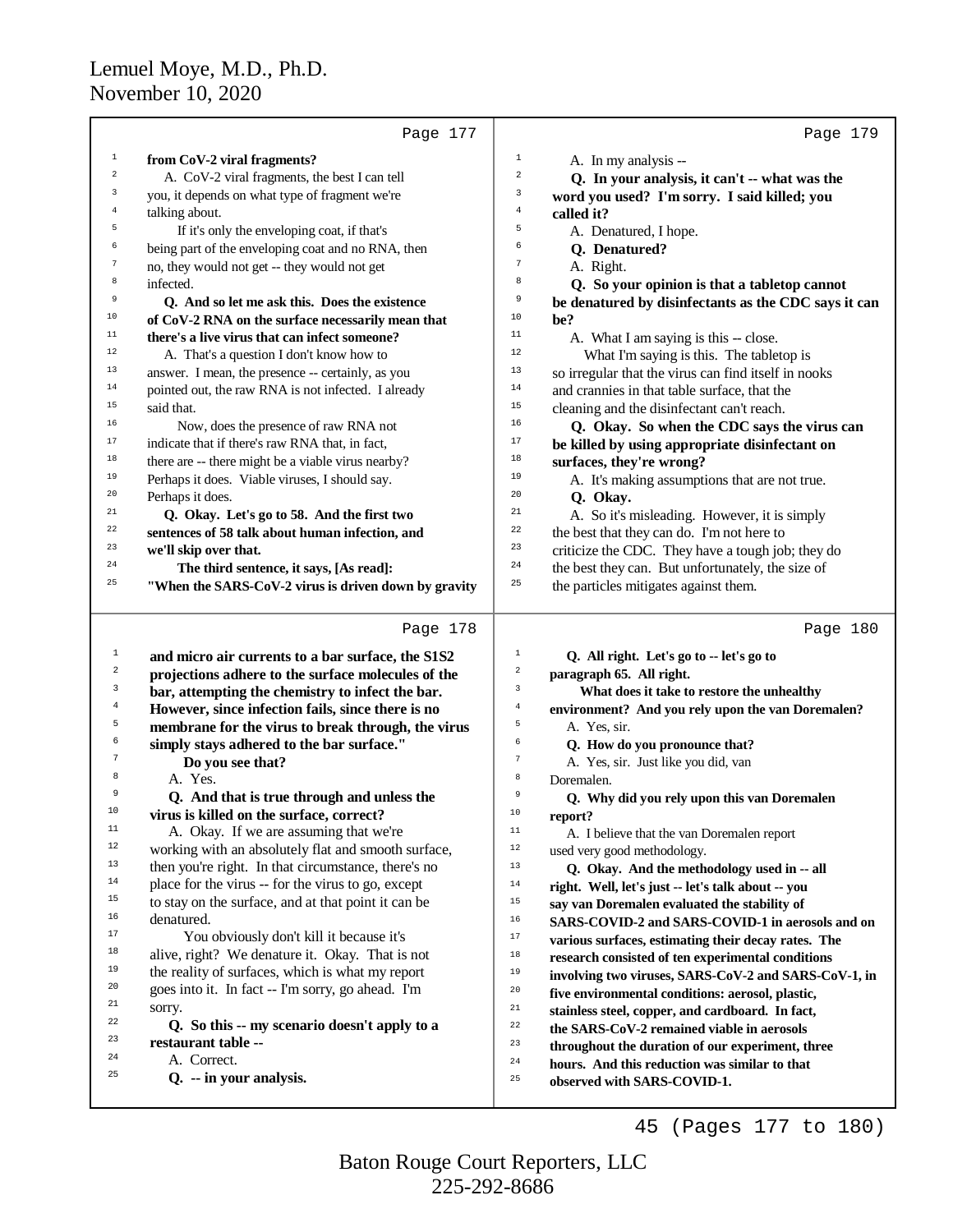|                | Page 177                                                                                               |                | Page 179                                                                     |
|----------------|--------------------------------------------------------------------------------------------------------|----------------|------------------------------------------------------------------------------|
| $\mathbf{1}$   | from CoV-2 viral fragments?                                                                            | $\,1$          | A. In my analysis --                                                         |
| 2              | A. CoV-2 viral fragments, the best I can tell                                                          | $\overline{a}$ | Q. In your analysis, it can't -- what was the                                |
| 3              | you, it depends on what type of fragment we're                                                         | 3              | word you used? I'm sorry. I said killed; you                                 |
| $\overline{4}$ | talking about.                                                                                         | $\overline{4}$ | called it?                                                                   |
| 5              | If it's only the enveloping coat, if that's                                                            | 5              | A. Denatured, I hope.                                                        |
| 6              | being part of the enveloping coat and no RNA, then                                                     | 6              | Q. Denatured?                                                                |
| 7              | no, they would not get -- they would not get                                                           | $\overline{7}$ | A. Right.                                                                    |
| 8              | infected.                                                                                              | 8              | Q. So your opinion is that a tabletop cannot                                 |
| 9              | Q. And so let me ask this. Does the existence                                                          | 9              | be denatured by disinfectants as the CDC says it can                         |
| $10$           | of CoV-2 RNA on the surface necessarily mean that                                                      | 10             | be?                                                                          |
| 11             | there's a live virus that can infect someone?                                                          | 11             | A. What I am saying is this -- close.                                        |
| 12             | A. That's a question I don't know how to                                                               | 12             | What I'm saying is this. The tabletop is                                     |
| 13             | answer. I mean, the presence -- certainly, as you                                                      | $13\,$         | so irregular that the virus can find itself in nooks                         |
| 14             | pointed out, the raw RNA is not infected. I already                                                    | 14             | and crannies in that table surface, that the                                 |
| 15             | said that.                                                                                             | 15             | cleaning and the disinfectant can't reach.                                   |
| 16             | Now, does the presence of raw RNA not                                                                  | 16             | Q. Okay. So when the CDC says the virus can                                  |
| 17             | indicate that if there's raw RNA that, in fact,                                                        | 17             | be killed by using appropriate disinfectant on                               |
| $1\,8$         | there are -- there might be a viable virus nearby?                                                     | 18             | surfaces, they're wrong?                                                     |
| 19             | Perhaps it does. Viable viruses, I should say.                                                         | 19             | A. It's making assumptions that are not true.                                |
| 20             | Perhaps it does.                                                                                       | 20             | Q. Okay.                                                                     |
| 21             | Q. Okay. Let's go to 58. And the first two                                                             | 21             | A. So it's misleading. However, it is simply                                 |
| 22             | sentences of 58 talk about human infection, and                                                        | 22             | the best that they can do. I'm not here to                                   |
| 23             | we'll skip over that.                                                                                  | 23             | criticize the CDC. They have a tough job; they do                            |
| 24             | The third sentence, it says, [As read]:                                                                | 24             | the best they can. But unfortunately, the size of                            |
| 25             | "When the SARS-CoV-2 virus is driven down by gravity                                                   | 25             | the particles mitigates against them.                                        |
|                |                                                                                                        |                |                                                                              |
|                |                                                                                                        |                |                                                                              |
|                | Page 178                                                                                               |                | Page 180                                                                     |
| $\mathbf{1}$   |                                                                                                        | $\mathbf 1$    | Q. All right. Let's go to -- let's go to                                     |
| 2              | and micro air currents to a bar surface, the S1S2                                                      | $\sqrt{2}$     | paragraph 65. All right.                                                     |
| 3              | projections adhere to the surface molecules of the<br>bar, attempting the chemistry to infect the bar. | 3              | What does it take to restore the unhealthy                                   |
| $\overline{4}$ | However, since infection fails, since there is no                                                      | $\overline{4}$ | environment? And you rely upon the van Doremalen?                            |
| 5              | membrane for the virus to break through, the virus                                                     | 5              | A. Yes, sir.                                                                 |
| 6              | simply stays adhered to the bar surface."                                                              | 6              | Q. How do you pronounce that?                                                |
| 7              | Do you see that?                                                                                       | 7              | A. Yes, sir. Just like you did, van                                          |
| 8              | A. Yes.                                                                                                | 8              | Doremalen.                                                                   |
| 9              | Q. And that is true through and unless the                                                             | 9              | Q. Why did you rely upon this van Doremalen                                  |
| 10             | virus is killed on the surface, correct?                                                               | $10$           | report?                                                                      |
| $11\,$         | A. Okay. If we are assuming that we're                                                                 | $11\,$         | A. I believe that the van Doremalen report                                   |
| $12 \,$        | working with an absolutely flat and smooth surface,                                                    | $1\,2$         | used very good methodology.                                                  |
| 13             | then you're right. In that circumstance, there's no                                                    | 13             | Q. Okay. And the methodology used in -- all                                  |
| $1\,4$         | place for the virus -- for the virus to go, except                                                     | $1\,4$         | right. Well, let's just -- let's talk about -- you                           |
| 15             | to stay on the surface, and at that point it can be                                                    | 15             | say van Doremalen evaluated the stability of                                 |
| 16             | denatured.                                                                                             | 16             | SARS-COVID-2 and SARS-COVID-1 in aerosols and on                             |
| 17             | You obviously don't kill it because it's                                                               | $17\,$         | various surfaces, estimating their decay rates. The                          |
| 18             | alive, right? We denature it. Okay. That is not                                                        | $1\,8$         | research consisted of ten experimental conditions                            |
| 19             | the reality of surfaces, which is what my report                                                       | 19             | involving two viruses, SARS-CoV-2 and SARS-CoV-1, in                         |
| 20             | goes into it. In fact -- I'm sorry, go ahead. I'm                                                      | 20             | five environmental conditions: aerosol, plastic,                             |
| 21             | sorry.                                                                                                 | 21             | stainless steel, copper, and cardboard. In fact,                             |
| 22             | Q. So this -- my scenario doesn't apply to a                                                           | 22             | the SARS-CoV-2 remained viable in aerosols                                   |
| 23             | restaurant table --                                                                                    | 23             | throughout the duration of our experiment, three                             |
| 24<br>25       | A. Correct.<br>Q. -- in your analysis.                                                                 | 24<br>25       | hours. And this reduction was similar to that<br>observed with SARS-COVID-1. |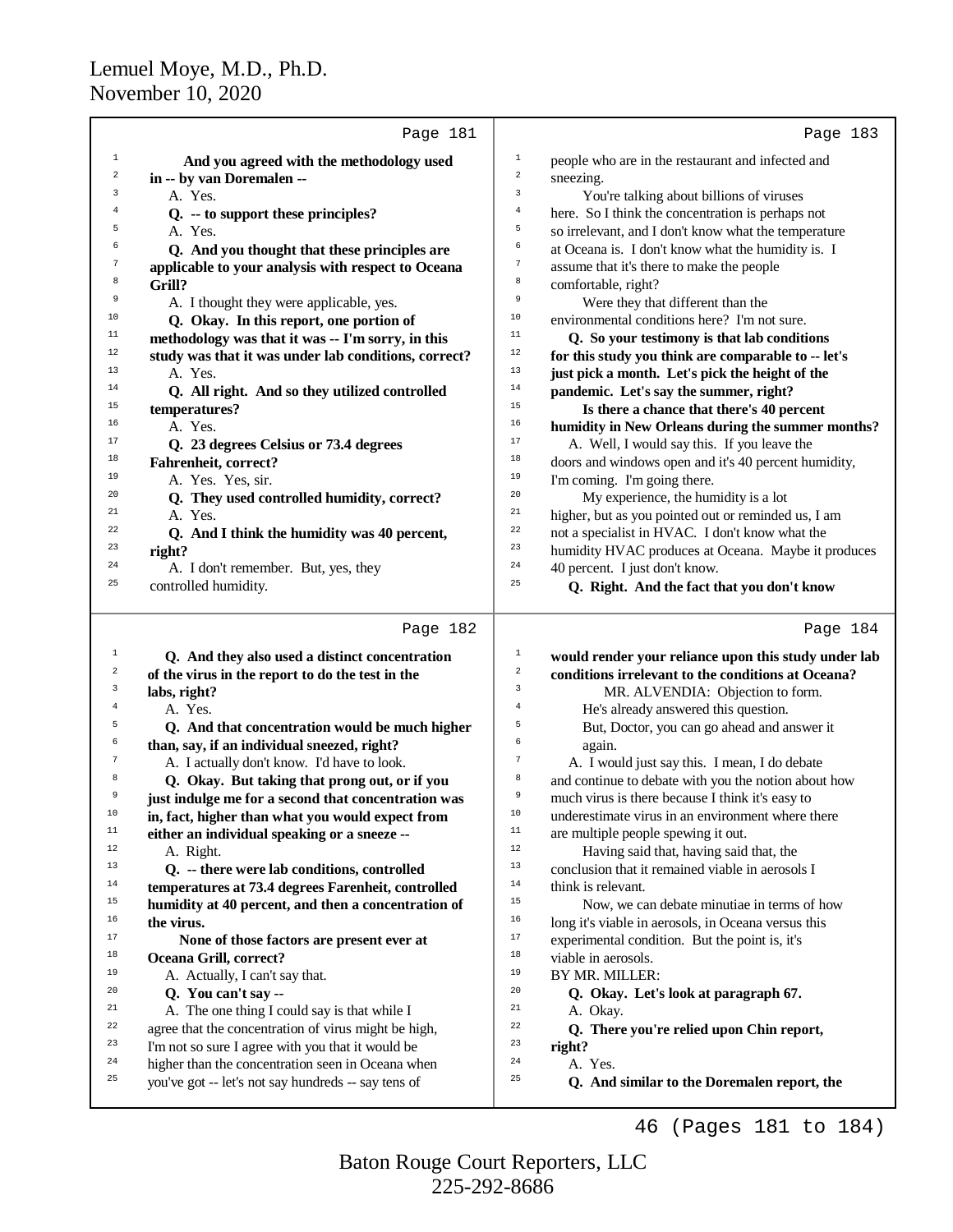|              | Page 181                                             |                         | Page 183                                             |
|--------------|------------------------------------------------------|-------------------------|------------------------------------------------------|
| $\mathbf{1}$ | And you agreed with the methodology used             | $\mathbf{1}$            | people who are in the restaurant and infected and    |
| 2            | in -- by van Doremalen --                            | $\overline{\mathbf{c}}$ | sneezing.                                            |
| 3            | A. Yes.                                              | $\overline{3}$          | You're talking about billions of viruses             |
| 4            | Q. -- to support these principles?                   | 4                       | here. So I think the concentration is perhaps not    |
| 5            | A. Yes.                                              | 5                       | so irrelevant, and I don't know what the temperature |
| 6            | Q. And you thought that these principles are         | 6                       | at Oceana is. I don't know what the humidity is. I   |
| 7            | applicable to your analysis with respect to Oceana   | $\overline{7}$          | assume that it's there to make the people            |
| 8            | Grill?                                               | 8                       | comfortable, right?                                  |
| 9            | A. I thought they were applicable, yes.              | 9                       | Were they that different than the                    |
| 10           | Q. Okay. In this report, one portion of              | 10                      | environmental conditions here? I'm not sure.         |
| 11           | methodology was that it was -- I'm sorry, in this    | 11                      | Q. So your testimony is that lab conditions          |
| 12           | study was that it was under lab conditions, correct? | 12                      | for this study you think are comparable to -- let's  |
| 13           | A. Yes.                                              | 13                      | just pick a month. Let's pick the height of the      |
| 14           | Q. All right. And so they utilized controlled        | 14                      | pandemic. Let's say the summer, right?               |
| 15           | temperatures?                                        | 15                      | Is there a chance that there's 40 percent            |
| 16           | A. Yes.                                              | 16                      | humidity in New Orleans during the summer months?    |
| 17           | Q. 23 degrees Celsius or 73.4 degrees                | 17                      | A. Well, I would say this. If you leave the          |
| 18           | <b>Fahrenheit, correct?</b>                          | $18$                    | doors and windows open and it's 40 percent humidity, |
| 19           | A. Yes. Yes, sir.                                    | 19                      | I'm coming. I'm going there.                         |
| 20           | Q. They used controlled humidity, correct?           | 20                      | My experience, the humidity is a lot                 |
| 21           | A. Yes.                                              | 21                      | higher, but as you pointed out or reminded us, I am  |
| 22           | Q. And I think the humidity was 40 percent,          | 22                      | not a specialist in HVAC. I don't know what the      |
| 23           | right?                                               | 23                      | humidity HVAC produces at Oceana. Maybe it produces  |
| 24           | A. I don't remember. But, yes, they                  | 24                      | 40 percent. I just don't know.                       |
| 25           | controlled humidity.                                 | 25                      | Q. Right. And the fact that you don't know           |
|              | Page 182                                             |                         | Page 184                                             |
| $\mathbf{1}$ | Q. And they also used a distinct concentration       | $\mathbf{1}$            | would render your reliance upon this study under lab |
| $\,2$        | of the virus in the report to do the test in the     | $\,2$                   | conditions irrelevant to the conditions at Oceana?   |
| 3            | labs, right?                                         | 3                       | MR. ALVENDIA: Objection to form.                     |

| 2  | of the virus in the report to do the test in the     | 2              | conditions irrelevant to the conditions at Oceana?   |
|----|------------------------------------------------------|----------------|------------------------------------------------------|
| 3  | labs, right?                                         | 3              | MR. ALVENDIA: Objection to form.                     |
| 4  | A. Yes.                                              | $\overline{4}$ | He's already answered this question.                 |
| 5  | Q. And that concentration would be much higher       | 5              | But, Doctor, you can go ahead and answer it          |
| 6  | than, say, if an individual sneezed, right?          | 6              | again.                                               |
| 7  | A. I actually don't know. I'd have to look.          | 7              | A. I would just say this. I mean, I do debate        |
| 8  | Q. Okay. But taking that prong out, or if you        | 8              | and continue to debate with you the notion about how |
| 9  | just indulge me for a second that concentration was  | 9              | much virus is there because I think it's easy to     |
| 10 | in, fact, higher than what you would expect from     | 10             | underestimate virus in an environment where there    |
| 11 | either an individual speaking or a sneeze --         | 11             | are multiple people spewing it out.                  |
| 12 | A. Right.                                            | 12             | Having said that, having said that, the              |
| 13 | Q. -- there were lab conditions, controlled          | 13             | conclusion that it remained viable in aerosols I     |
| 14 | temperatures at 73.4 degrees Farenheit, controlled   | 14             | think is relevant.                                   |
| 15 | humidity at 40 percent, and then a concentration of  | 15             | Now, we can debate minutiae in terms of how          |
| 16 | the virus.                                           | 16             | long it's viable in aerosols, in Oceana versus this  |
| 17 | None of those factors are present ever at            | 17             | experimental condition. But the point is, it's       |
| 18 | Oceana Grill, correct?                               | 18             | viable in aerosols.                                  |
| 19 | A. Actually, I can't say that.                       | 19             | BY MR. MILLER:                                       |
| 20 | Q. You can't say --                                  | 20             | Q. Okay. Let's look at paragraph 67.                 |
| 21 | A. The one thing I could say is that while I         | 21             | A. Okay.                                             |
| 22 | agree that the concentration of virus might be high, | 22             | Q. There you're relied upon Chin report,             |
| 23 | I'm not so sure I agree with you that it would be    | 23             | right?                                               |
| 24 | higher than the concentration seen in Oceana when    | 24             | A. Yes.                                              |
| 25 | you've got -- let's not say hundreds -- say tens of  | 25             | Q. And similar to the Doremalen report, the          |
|    |                                                      |                | Pages 181 to 184)<br>46                              |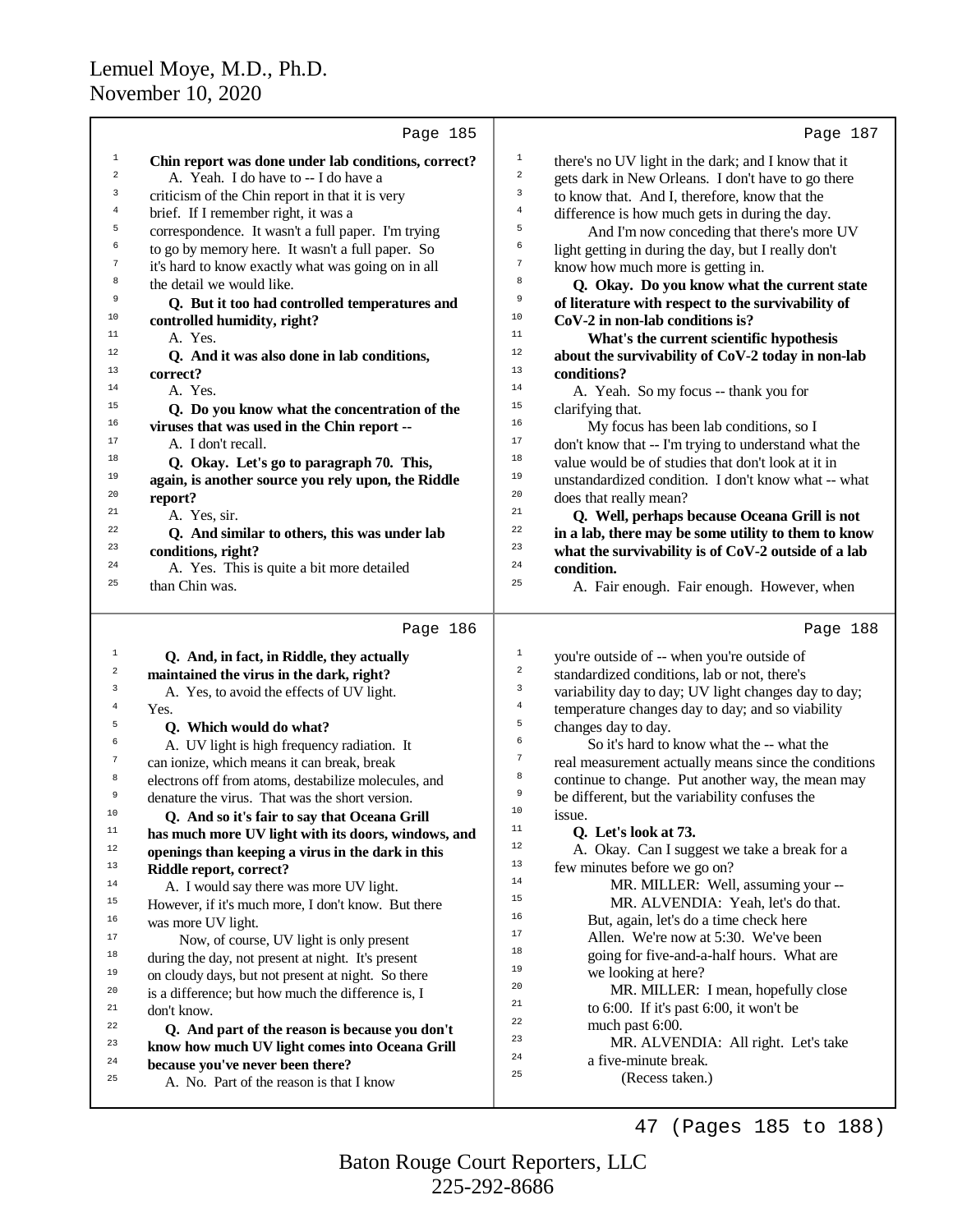|                         | Page 185                                                                     |                         | Page 187                                             |
|-------------------------|------------------------------------------------------------------------------|-------------------------|------------------------------------------------------|
| $\mathbf{1}$            | Chin report was done under lab conditions, correct?                          | $1\,$                   | there's no UV light in the dark; and I know that it  |
| 2                       | A. Yeah. I do have to -- I do have a                                         | $\sqrt{2}$              | gets dark in New Orleans. I don't have to go there   |
| 3                       | criticism of the Chin report in that it is very                              | 3                       | to know that. And I, therefore, know that the        |
| 4                       | brief. If I remember right, it was a                                         | $\,4$                   | difference is how much gets in during the day.       |
| 5                       | correspondence. It wasn't a full paper. I'm trying                           | 5                       | And I'm now conceding that there's more UV           |
| 6                       | to go by memory here. It wasn't a full paper. So                             | 6                       | light getting in during the day, but I really don't  |
| 7                       | it's hard to know exactly what was going on in all                           | $\boldsymbol{7}$        | know how much more is getting in.                    |
| 8                       | the detail we would like.                                                    | 8                       | Q. Okay. Do you know what the current state          |
| 9                       | Q. But it too had controlled temperatures and                                | 9                       | of literature with respect to the survivability of   |
| 10                      | controlled humidity, right?                                                  | 10                      | CoV-2 in non-lab conditions is?                      |
| 11                      | A. Yes.                                                                      | 11                      | What's the current scientific hypothesis             |
| 12                      | Q. And it was also done in lab conditions,                                   | 12                      | about the survivability of CoV-2 today in non-lab    |
| 13                      | correct?                                                                     | 13                      | conditions?                                          |
| 14                      | A. Yes.                                                                      | 14                      | A. Yeah. So my focus -- thank you for                |
| 15                      | Q. Do you know what the concentration of the                                 | 15                      | clarifying that.                                     |
| 16                      | viruses that was used in the Chin report --                                  | 16                      | My focus has been lab conditions, so I               |
| 17                      | A. I don't recall.                                                           | 17                      | don't know that -- I'm trying to understand what the |
| 18                      | Q. Okay. Let's go to paragraph 70. This,                                     | 18                      | value would be of studies that don't look at it in   |
| 19                      | again, is another source you rely upon, the Riddle                           | 19                      | unstandardized condition. I don't know what -- what  |
| 20                      | report?                                                                      | 20                      | does that really mean?                               |
| 21                      | A. Yes, sir.                                                                 | 21                      | Q. Well, perhaps because Oceana Grill is not         |
| 22                      | Q. And similar to others, this was under lab                                 | 22                      | in a lab, there may be some utility to them to know  |
| 23                      | conditions, right?                                                           | 23                      | what the survivability is of CoV-2 outside of a lab  |
| 24                      | A. Yes. This is quite a bit more detailed                                    | 24                      | condition.                                           |
| 25                      | than Chin was.                                                               | 25                      | A. Fair enough. Fair enough. However, when           |
|                         |                                                                              |                         |                                                      |
|                         | Page 186                                                                     |                         | Page 188                                             |
|                         |                                                                              |                         |                                                      |
| $\mathbf{1}$            | Q. And, in fact, in Riddle, they actually                                    | $\mathbf{1}$            | you're outside of -- when you're outside of          |
| $\overline{\mathbf{c}}$ | maintained the virus in the dark, right?                                     | $\overline{\mathbf{c}}$ | standardized conditions, lab or not, there's         |
| 3                       | A. Yes, to avoid the effects of UV light.                                    | 3                       | variability day to day; UV light changes day to day; |
| $\overline{4}$          | Yes.                                                                         | $\bf{4}$                | temperature changes day to day; and so viability     |
| 5                       | Q. Which would do what?                                                      | 5                       | changes day to day.                                  |
| 6                       | A. UV light is high frequency radiation. It                                  | 6                       | So it's hard to know what the -- what the            |
| $\tau$                  | can ionize, which means it can break, break                                  | $\boldsymbol{7}$        | real measurement actually means since the conditions |
| 8                       | electrons off from atoms, destabilize molecules, and                         | 8                       | continue to change. Put another way, the mean may    |
| 9                       | denature the virus. That was the short version.                              | 9                       | be different, but the variability confuses the       |
| 10                      | Q. And so it's fair to say that Oceana Grill                                 | 10                      | issue.                                               |
| $\mathbf{11}%$          | has much more UV light with its doors, windows, and                          | $11\,$                  | Q. Let's look at 73.                                 |
| 12                      | openings than keeping a virus in the dark in this                            | 12                      | A. Okay. Can I suggest we take a break for a         |
| 13                      | Riddle report, correct?                                                      | 13                      | few minutes before we go on?                         |
| 14                      | A. I would say there was more UV light.                                      | 14<br>15                | MR. MILLER: Well, assuming your --                   |
| 15                      | However, if it's much more, I don't know. But there                          | 16                      | MR. ALVENDIA: Yeah, let's do that.                   |
| 16                      | was more UV light.                                                           | 17                      | But, again, let's do a time check here               |
| 17                      | Now, of course, UV light is only present                                     | 18                      | Allen. We're now at 5:30. We've been                 |
| 18                      | during the day, not present at night. It's present                           | 19                      | going for five-and-a-half hours. What are            |
| 19                      | on cloudy days, but not present at night. So there                           | 20                      | we looking at here?                                  |
| 20                      | is a difference; but how much the difference is, I                           | 21                      | MR. MILLER: I mean, hopefully close                  |
| 21                      | don't know.                                                                  | 22                      | to 6:00. If it's past 6:00, it won't be              |
| 22<br>23                | Q. And part of the reason is because you don't                               | 23                      | much past 6:00.                                      |
| 24                      | know how much UV light comes into Oceana Grill                               | 24                      | MR. ALVENDIA: All right. Let's take                  |
| 25                      | because you've never been there?<br>A. No. Part of the reason is that I know | 25                      | a five-minute break.<br>(Recess taken.)              |

47 (Pages 185 to 188)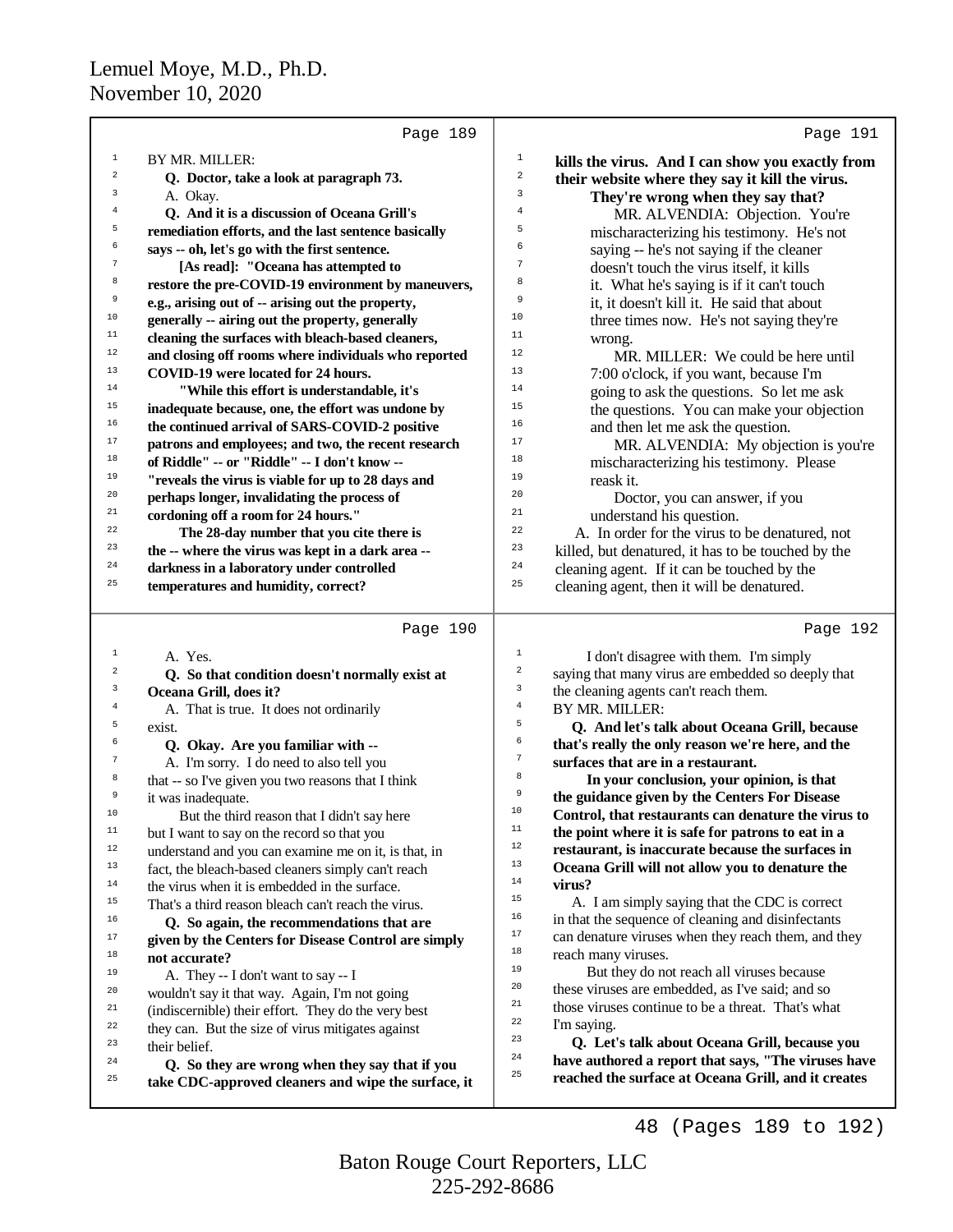$\alpha$ 

it was inadequate.

<sup>18</sup> **not accurate?** 

<sup>23</sup> their belief.<br><sup>24</sup>  $\Omega$  Se then

<sup>10</sup> But the third reason that I didn't say here  $\frac{11}{11}$  but I want to say on the researd so that you but I want to say on the record so that you <sup>12</sup> understand and you can examine me on it, is that, in<br><sup>13</sup> fact, the bleach-based cleaners simply can't reach <sup>13</sup> fact, the bleach-based cleaners simply can't reach  $\frac{14}{14}$  the simple when it is embedded in the surface. <sup>14</sup> the virus when it is embedded in the surface.<br> $15$  That's a third reason bloods can't reach the virus <sup>15</sup> That's a third reason bleach can't reach the virus.<br> **16** Co some the recommendations that an <sup>16</sup> **Q.** So again, the recommendations that are <sup>17</sup> given by the Centers for Disease Control are simply<br><sup>18</sup> and accurate?

<sup>19</sup> A. They -- I don't want to say -- I

<sup>20</sup> wouldn't say it that way. Again, I'm not going<br>
<sup>21</sup> (indiccernible) their effort. They do the yery b <sup>21</sup> (indiscernible) their effort. They do the very best<br><sup>22</sup> they can. But the size of virus miticates equipst <sup>22</sup> they can. But the size of virus mitigates against  $\frac{23}{100}$ 

|                         | Page 189                                             |                | Page 191                                                                                |
|-------------------------|------------------------------------------------------|----------------|-----------------------------------------------------------------------------------------|
| 1                       | BY MR. MILLER:                                       | $\mathbf{1}$   | kills the virus. And I can show you exactly from                                        |
| $\sqrt{2}$              | Q. Doctor, take a look at paragraph 73.              | $\overline{a}$ | their website where they say it kill the virus.                                         |
| $\overline{\mathbf{3}}$ | A. Okay.                                             | 3              | They're wrong when they say that?                                                       |
| $\overline{4}$          | Q. And it is a discussion of Oceana Grill's          | $\overline{4}$ | MR. ALVENDIA: Objection. You're                                                         |
| 5                       | remediation efforts, and the last sentence basically | 5              | mischaracterizing his testimony. He's not                                               |
| 6                       | says -- oh, let's go with the first sentence.        | 6              | saying -- he's not saying if the cleaner                                                |
| $\boldsymbol{7}$        | [As read]: "Oceana has attempted to                  | $\overline{7}$ | doesn't touch the virus itself, it kills                                                |
| 8                       | restore the pre-COVID-19 environment by maneuvers,   | 8              | it. What he's saying is if it can't touch                                               |
| 9                       | e.g., arising out of -- arising out the property,    | 9              | it, it doesn't kill it. He said that about                                              |
| 10                      | generally -- airing out the property, generally      | 10             | three times now. He's not saying they're                                                |
| $11$                    | cleaning the surfaces with bleach-based cleaners,    | $11\,$         | wrong.                                                                                  |
| $12$                    | and closing off rooms where individuals who reported | 12             | MR. MILLER: We could be here until                                                      |
| 13                      | COVID-19 were located for 24 hours.                  | 13             | 7:00 o'clock, if you want, because I'm                                                  |
| $14$                    | "While this effort is understandable, it's           | 14             | going to ask the questions. So let me ask                                               |
| 15                      | inadequate because, one, the effort was undone by    | 15             | the questions. You can make your objection                                              |
| 16                      | the continued arrival of SARS-COVID-2 positive       | 16             | and then let me ask the question.                                                       |
| 17                      | patrons and employees; and two, the recent research  | 17             | MR. ALVENDIA: My objection is you're                                                    |
| 18                      | of Riddle" -- or "Riddle" -- I don't know --         | 18             | mischaracterizing his testimony. Please                                                 |
| 19                      | "reveals the virus is viable for up to 28 days and   | 19             | reask it.                                                                               |
| 20                      | perhaps longer, invalidating the process of          | 20             | Doctor, you can answer, if you                                                          |
| 21                      | cordoning off a room for 24 hours."                  | 21             | understand his question.                                                                |
| 22                      | The 28-day number that you cite there is             | 22             | A. In order for the virus to be denatured, not                                          |
| 23                      | the -- where the virus was kept in a dark area --    | 23             | killed, but denatured, it has to be touched by the                                      |
| 24                      | darkness in a laboratory under controlled            | 24             | cleaning agent. If it can be touched by the                                             |
| 25                      | temperatures and humidity, correct?                  | 25             | cleaning agent, then it will be denatured.                                              |
|                         | Page 190                                             |                | Page 192                                                                                |
| 1                       |                                                      | $\,1\,$        |                                                                                         |
| $\sqrt{2}$              | A. Yes.                                              | $\mathbf 2$    | I don't disagree with them. I'm simply                                                  |
| $\mathsf 3$             | Q. So that condition doesn't normally exist at       | $\mathsf 3$    | saying that many virus are embedded so deeply that                                      |
| $\overline{4}$          | Oceana Grill, does it?                               | $\bf{4}$       | the cleaning agents can't reach them.                                                   |
| 5                       | A. That is true. It does not ordinarily              | 5              | BY MR. MILLER:                                                                          |
| 6                       | exist.                                               | 6              | Q. And let's talk about Oceana Grill, because                                           |
| $\overline{7}$          | Q. Okay. Are you familiar with --                    | $\tau$         | that's really the only reason we're here, and the<br>surfaces that are in a restaurant. |
| 8                       | A. I'm sorry. I do need to also tell you             | 8              |                                                                                         |
|                         | that -- so I've given you two reasons that I think   |                | In your conclusion, your opinion, is that                                               |

9

 **In your conclusion, your opinion, is that the guidance given by the Centers For Disease** <sup>10</sup> **Control, that restaurants can denature the virus to**<br><sup>11</sup> **the point where it is safe for patrons to get in a** <sup>11</sup> **the point where it is safe for patrons to eat in a**<br>nectaurent is inequante because the surfaces in <sup>12</sup> **restaurant, is inaccurate because the surfaces in** <sup>13</sup> **Oceana Grill will not allow you to denature the**  $\frac{14}{15}$  **virus?** 

<sup>15</sup>  $\mu$  A. I am simply saying that the CDC is correct<br><sup>16</sup> in that the sequence of cleaning and disinfectants <sup>16</sup> in that the sequence of cleaning and disinfectants<br> $\frac{17}{2}$  can denoture virtues when they reach them and the  $17$  can denature viruses when they reach them, and they reach many viruses <sup>18</sup> reach many viruses.<br>
<sup>19</sup> But they do no

<sup>19</sup> But they do not reach all viruses because  $\frac{20}{100}$  these viruses are embedded as I've said, and so <sup>20</sup> these viruses are embedded, as I've said; and so  $\frac{21}{1000}$  these viruses continue to be a threat. That's who <sup>21</sup> those viruses continue to be a threat. That's what  $\frac{22}{\pi}$  I'm saying <sup>22</sup> I'm saying.

<sup>23</sup> **Q. Let's talk about Oceana Grill, because you** <sup>24</sup> **have authored a report that says, "The viruses have** <sup>25</sup> **reached the surface at Oceana Grill, and it creates**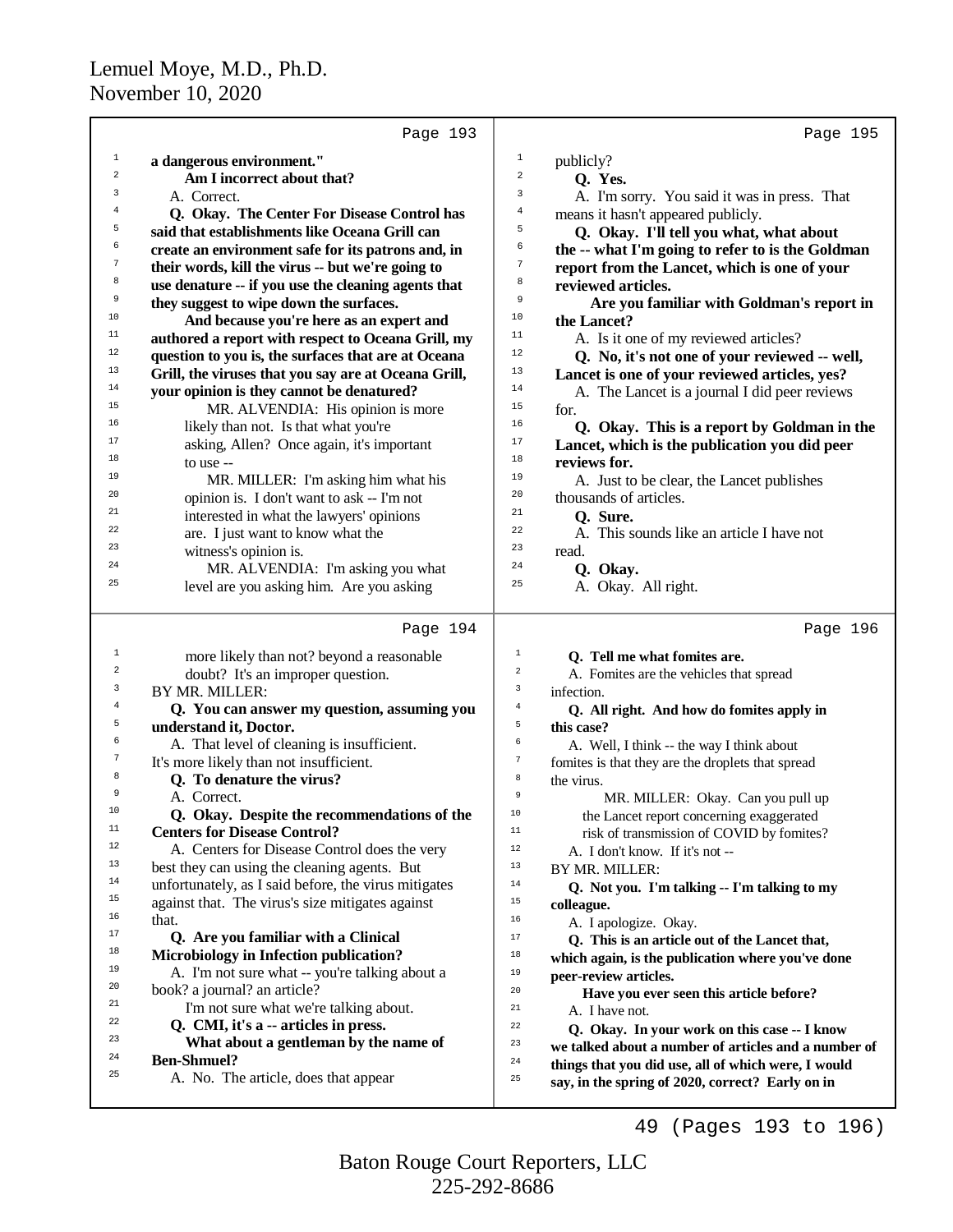|              | Page 193                                             | Page 195                                                              |
|--------------|------------------------------------------------------|-----------------------------------------------------------------------|
| $\mathbf{1}$ | a dangerous environment."                            | $\mathbf{1}$<br>publicly?                                             |
| 2            | Am I incorrect about that?                           | $\,2$<br>Q. Yes.                                                      |
| 3            | A. Correct.                                          | 3<br>A. I'm sorry. You said it was in press. That                     |
| 4            | Q. Okay. The Center For Disease Control has          | $\overline{4}$<br>means it hasn't appeared publicly.                  |
| 5            | said that establishments like Oceana Grill can       | 5<br>Q. Okay. I'll tell you what, what about                          |
| 6            | create an environment safe for its patrons and, in   | 6<br>the -- what I'm going to refer to is the Goldman                 |
| 7            | their words, kill the virus -- but we're going to    | 7<br>report from the Lancet, which is one of your                     |
| 8            | use denature -- if you use the cleaning agents that  | 8<br>reviewed articles.                                               |
| 9            | they suggest to wipe down the surfaces.              | 9<br>Are you familiar with Goldman's report in                        |
| 10           | And because you're here as an expert and             | 10<br>the Lancet?                                                     |
| 11           | authored a report with respect to Oceana Grill, my   | 11<br>A. Is it one of my reviewed articles?                           |
| 12           | question to you is, the surfaces that are at Oceana  | 12<br>Q. No, it's not one of your reviewed -- well,                   |
| 13           | Grill, the viruses that you say are at Oceana Grill, | 13<br>Lancet is one of your reviewed articles, yes?                   |
| 14           | your opinion is they cannot be denatured?            | 14<br>A. The Lancet is a journal I did peer reviews                   |
| 15           | MR. ALVENDIA: His opinion is more                    | 15<br>for.                                                            |
| 16           | likely than not. Is that what you're                 | 16<br>Q. Okay. This is a report by Goldman in the                     |
| 17           | asking, Allen? Once again, it's important            | 17                                                                    |
| 18           |                                                      | Lancet, which is the publication you did peer<br>18<br>reviews for.   |
| 19           | to use --                                            | 19                                                                    |
| 20           | MR. MILLER: I'm asking him what his                  | A. Just to be clear, the Lancet publishes<br>20                       |
| 21           | opinion is. I don't want to ask -- I'm not           | thousands of articles.<br>21                                          |
| 22           | interested in what the lawyers' opinions             | Q. Sure.<br>22                                                        |
| 23           | are. I just want to know what the                    | A. This sounds like an article I have not<br>23                       |
| 24           | witness's opinion is.                                | read.<br>24                                                           |
| 25           | MR. ALVENDIA: I'm asking you what                    | Q. Okay.<br>25                                                        |
|              | level are you asking him. Are you asking             | A. Okay. All right.                                                   |
|              | Page 194                                             | Page 196                                                              |
| 1            | more likely than not? beyond a reasonable            | 1<br>Q. Tell me what fomites are.                                     |
| 2            | doubt? It's an improper question.                    | 2<br>A. Fomites are the vehicles that spread                          |
| 3            | BY MR. MILLER:                                       | 3<br>infection.                                                       |
| 4            | Q. You can answer my question, assuming you          | $\,4$<br>Q. All right. And how do fomites apply in                    |
| 5            | understand it, Doctor.                               | 5<br>this case?                                                       |
| 6            | A. That level of cleaning is insufficient.           | 6<br>A. Well, I think -- the way I think about                        |
| 7            | It's more likely than not insufficient.              | $\boldsymbol{7}$<br>fomites is that they are the droplets that spread |
| 8            | Q. To denature the virus?                            | 8<br>the virus.                                                       |
| 9            | A. Correct.                                          | $\overline{9}$<br>MR. MILLER: Okay. Can you pull up                   |
| 10           | Q. Okay. Despite the recommendations of the          | 10<br>the Lancet report concerning exaggerated                        |
| 11           | <b>Centers for Disease Control?</b>                  | $11\,$<br>risk of transmission of COVID by fomites?                   |
| 12           | A. Centers for Disease Control does the very         | $12$<br>A. I don't know. If it's not --                               |
| 13           | best they can using the cleaning agents. But         | 13<br>BY MR. MILLER:                                                  |
| 14           | unfortunately, as I said before, the virus mitigates | $1\,4$<br>Q. Not you. I'm talking -- I'm talking to my                |
| 15           | against that. The virus's size mitigates against     | 15<br>colleague.                                                      |
| 16           | that.                                                | 16<br>A. I apologize. Okay.                                           |
| 17           | Q. Are you familiar with a Clinical                  | 17<br>Q. This is an article out of the Lancet that,                   |
| 18           | <b>Microbiology in Infection publication?</b>        | 18<br>which again, is the publication where you've done               |
| 19           | A. I'm not sure what -- you're talking about a       | 19<br>peer-review articles.                                           |
| 20           | book? a journal? an article?                         | 20<br>Have you ever seen this article before?                         |
| 21           | I'm not sure what we're talking about.               | 21<br>A. I have not.                                                  |
| 22           | Q. CMI, it's a -- articles in press.                 | 22<br>Q. Okay. In your work on this case -- I know                    |
| 23           | What about a gentleman by the name of                | 23<br>we talked about a number of articles and a number of            |
| 24           | <b>Ben-Shmuel?</b>                                   | 24<br>things that you did use, all of which were, I would             |
| 25           | A. No. The article, does that appear                 | 25<br>say, in the spring of 2020, correct? Early on in                |

225-292-8686 Baton Rouge Court Reporters, LLC

49 (Pages 193 to 196)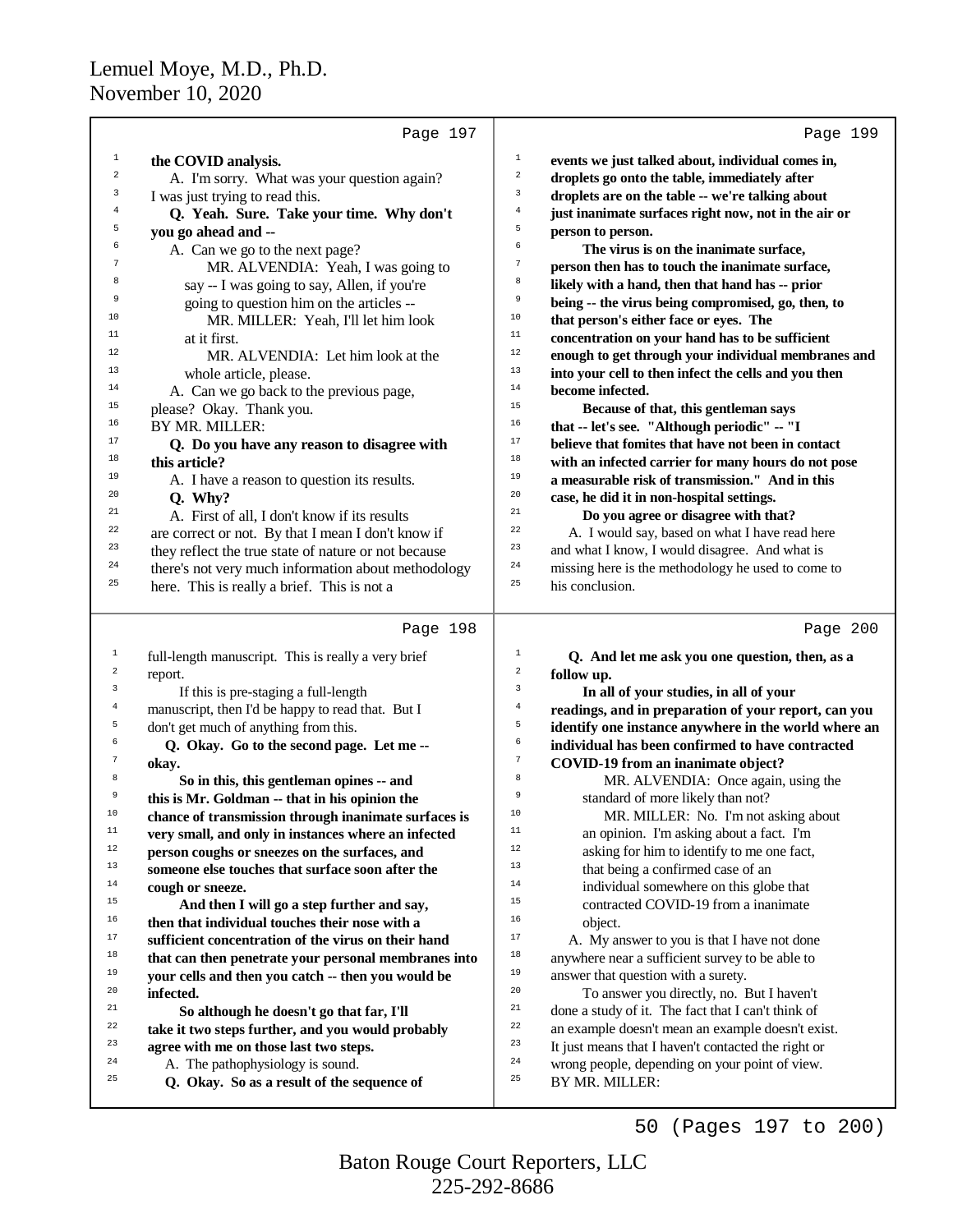|                  | Page 197                                                                                    | Page 199                                                                                                       |
|------------------|---------------------------------------------------------------------------------------------|----------------------------------------------------------------------------------------------------------------|
| $\mathbf{1}$     | the COVID analysis.                                                                         | $\mathbf 1$<br>events we just talked about, individual comes in,                                               |
| $\,2$            | A. I'm sorry. What was your question again?                                                 | $\,$ 2 $\,$<br>droplets go onto the table, immediately after                                                   |
| 3                | I was just trying to read this.                                                             | $\overline{3}$<br>droplets are on the table -- we're talking about                                             |
| 4                | Q. Yeah. Sure. Take your time. Why don't                                                    | $\,4$<br>just inanimate surfaces right now, not in the air or                                                  |
| 5                | you go ahead and --                                                                         | 5<br>person to person.                                                                                         |
| 6                | A. Can we go to the next page?                                                              | 6<br>The virus is on the inanimate surface,                                                                    |
| 7                | MR. ALVENDIA: Yeah, I was going to                                                          | $\boldsymbol{7}$<br>person then has to touch the inanimate surface,                                            |
| 8                | say -- I was going to say, Allen, if you're                                                 | 8<br>likely with a hand, then that hand has -- prior                                                           |
| 9                | going to question him on the articles --                                                    | 9<br>being -- the virus being compromised, go, then, to                                                        |
| 10               | MR. MILLER: Yeah, I'll let him look                                                         | $10\,$<br>that person's either face or eyes. The                                                               |
| 11               | at it first.                                                                                | $11\,$<br>concentration on your hand has to be sufficient                                                      |
| 12               | MR. ALVENDIA: Let him look at the                                                           | 12<br>enough to get through your individual membranes and                                                      |
| 13               | whole article, please.                                                                      | 13<br>into your cell to then infect the cells and you then                                                     |
| 14               | A. Can we go back to the previous page,                                                     | 14<br>become infected.                                                                                         |
| 15               | please? Okay. Thank you.                                                                    | 15<br>Because of that, this gentleman says                                                                     |
| 16               | BY MR. MILLER:                                                                              | 16<br>that -- let's see. "Although periodic" -- "I                                                             |
| 17               | Q. Do you have any reason to disagree with                                                  | $17\,$<br>believe that fomites that have not been in contact                                                   |
| 18               | this article?                                                                               | $18\,$<br>with an infected carrier for many hours do not pose                                                  |
| 19               | A. I have a reason to question its results.                                                 | 19<br>a measurable risk of transmission." And in this                                                          |
| 20               | Q. Why?                                                                                     | 20<br>case, he did it in non-hospital settings.                                                                |
| 21               | A. First of all, I don't know if its results                                                | 21<br>Do you agree or disagree with that?                                                                      |
| 22               | are correct or not. By that I mean I don't know if                                          | 22<br>A. I would say, based on what I have read here                                                           |
| 23               | they reflect the true state of nature or not because                                        | 23<br>and what I know, I would disagree. And what is                                                           |
| 24               | there's not very much information about methodology                                         | 24<br>missing here is the methodology he used to come to                                                       |
| 25               | here. This is really a brief. This is not a                                                 | 25<br>his conclusion.                                                                                          |
|                  | Page 198                                                                                    | Page 200                                                                                                       |
| 1                | full-length manuscript. This is really a very brief                                         | $\mathbf 1$<br>Q. And let me ask you one question, then, as a                                                  |
| $\boldsymbol{2}$ | report.                                                                                     | $\sqrt{2}$<br>follow up.                                                                                       |
| $\mathsf 3$      | If this is pre-staging a full-length                                                        | 3                                                                                                              |
| $\bf{4}$         | manuscript, then I'd be happy to read that. But I                                           |                                                                                                                |
| 5                |                                                                                             | In all of your studies, in all of your<br>$\,4$                                                                |
|                  |                                                                                             | readings, and in preparation of your report, can you<br>5                                                      |
| 6                | don't get much of anything from this.                                                       | identify one instance anywhere in the world where an<br>6                                                      |
| $\boldsymbol{7}$ | Q. Okay. Go to the second page. Let me --                                                   | individual has been confirmed to have contracted<br>$\boldsymbol{7}$                                           |
| 8                | okay.                                                                                       | COVID-19 from an inanimate object?<br>$^{\rm 8}$                                                               |
| 9                | So in this, this gentleman opines -- and                                                    | MR. ALVENDIA: Once again, using the<br>$\,9$                                                                   |
| 10               | this is Mr. Goldman -- that in his opinion the                                              | standard of more likely than not?<br>10                                                                        |
| $11\,$           | chance of transmission through inanimate surfaces is                                        | MR. MILLER: No. I'm not asking about<br>$11\,$                                                                 |
| $12 \,$          | very small, and only in instances where an infected                                         | an opinion. I'm asking about a fact. I'm<br>12                                                                 |
| 13               | person coughs or sneezes on the surfaces, and                                               | asking for him to identify to me one fact,<br>13                                                               |
| $14\,$           | someone else touches that surface soon after the                                            | that being a confirmed case of an<br>14                                                                        |
| 15               | cough or sneeze.                                                                            | individual somewhere on this globe that<br>15                                                                  |
| 16               | And then I will go a step further and say,                                                  | contracted COVID-19 from a inanimate<br>16                                                                     |
| $17\,$           | then that individual touches their nose with a                                              | object.<br>17                                                                                                  |
| $18\,$           | sufficient concentration of the virus on their hand                                         | A. My answer to you is that I have not done<br>18                                                              |
| 19               | that can then penetrate your personal membranes into                                        | anywhere near a sufficient survey to be able to<br>19                                                          |
| 20               | your cells and then you catch -- then you would be                                          | answer that question with a surety.<br>20                                                                      |
| 21               | infected.                                                                                   | To answer you directly, no. But I haven't<br>21                                                                |
| 22               | So although he doesn't go that far, I'll                                                    | done a study of it. The fact that I can't think of<br>22                                                       |
| 23               | take it two steps further, and you would probably<br>agree with me on those last two steps. | an example doesn't mean an example doesn't exist.<br>23<br>It just means that I haven't contacted the right or |
| 24               | A. The pathophysiology is sound.                                                            | $2\,4$<br>wrong people, depending on your point of view.                                                       |
| 25               | Q. Okay. So as a result of the sequence of                                                  | 25<br>BY MR. MILLER:                                                                                           |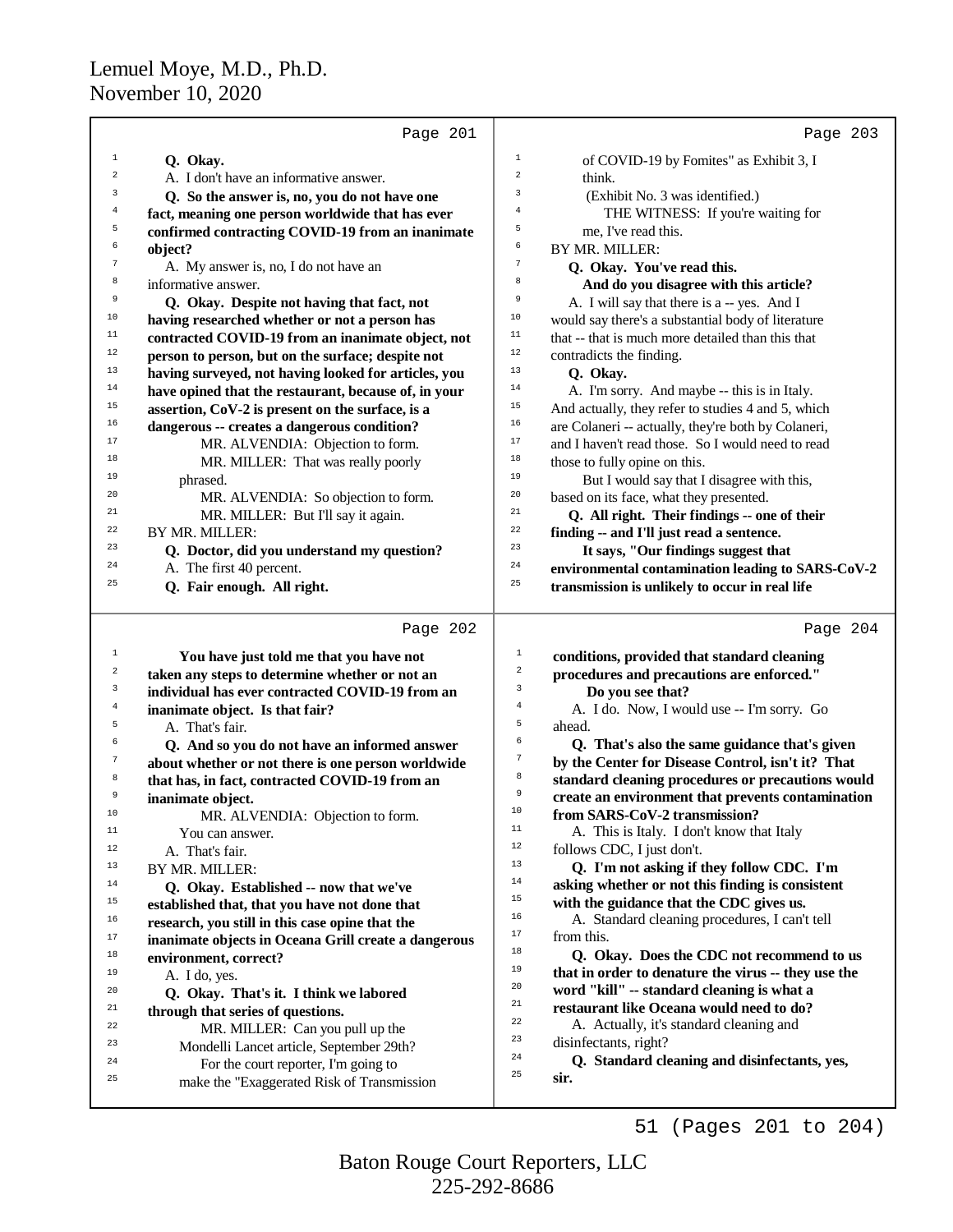| Page 201                                             | Page 203                                            |
|------------------------------------------------------|-----------------------------------------------------|
| $\mathbf 1$                                          | $\mathbf 1$                                         |
| Q. Okay.                                             | of COVID-19 by Fomites" as Exhibit 3, I             |
| $\overline{a}$                                       | 2                                                   |
| A. I don't have an informative answer.               | think.                                              |
| 3                                                    | 3                                                   |
| Q. So the answer is, no, you do not have one         | (Exhibit No. 3 was identified.)                     |
| $\overline{4}$                                       | 4                                                   |
| fact, meaning one person worldwide that has ever     | THE WITNESS: If you're waiting for                  |
| 5                                                    | 5                                                   |
| confirmed contracting COVID-19 from an inanimate     | me, I've read this.                                 |
| 6                                                    | 6                                                   |
| object?                                              | BY MR. MILLER:                                      |
| 7                                                    | $\overline{7}$                                      |
| A. My answer is, no, I do not have an                | Q. Okay. You've read this.                          |
| 8                                                    | 8                                                   |
| informative answer.                                  | And do you disagree with this article?              |
| 9                                                    | 9                                                   |
| Q. Okay. Despite not having that fact, not           | A. I will say that there is a -- yes. And I         |
| 10                                                   | $10$                                                |
| having researched whether or not a person has        | would say there's a substantial body of literature  |
| $11$                                                 | $11$                                                |
| contracted COVID-19 from an inanimate object, not    | that -- that is much more detailed than this that   |
| 12                                                   | 12                                                  |
| person to person, but on the surface; despite not    | contradicts the finding.                            |
| 13                                                   | 13                                                  |
| having surveyed, not having looked for articles, you | Q. Okay.                                            |
| 14                                                   | 14                                                  |
| have opined that the restaurant, because of, in your | A. I'm sorry. And maybe -- this is in Italy.        |
| 15                                                   | 15                                                  |
| assertion, CoV-2 is present on the surface, is a     | And actually, they refer to studies 4 and 5, which  |
| 16                                                   | 16                                                  |
| dangerous -- creates a dangerous condition?          | are Colaneri -- actually, they're both by Colaneri, |
| 17                                                   | 17                                                  |
| MR. ALVENDIA: Objection to form.                     | and I haven't read those. So I would need to read   |
| 18                                                   | $1\,8$                                              |
| MR. MILLER: That was really poorly                   | those to fully opine on this.                       |
| 19                                                   | 19                                                  |
| phrased.                                             | But I would say that I disagree with this,          |
| 20                                                   | 20                                                  |
| MR. ALVENDIA: So objection to form.                  | based on its face, what they presented.             |
| 21                                                   | $2\sqrt{1}$                                         |
| MR. MILLER: But I'll say it again.                   | Q. All right. Their findings -- one of their        |
| 22                                                   | 22                                                  |
| BY MR. MILLER:                                       | finding -- and I'll just read a sentence.           |
| 23                                                   | 23                                                  |
| Q. Doctor, did you understand my question?           | It says, "Our findings suggest that                 |
| 24                                                   | 24                                                  |
| A. The first 40 percent.                             | environmental contamination leading to SARS-CoV-2   |
| 25                                                   | 25                                                  |
| Q. Fair enough. All right.                           | transmission is unlikely to occur in real life      |
| Page 202                                             | Page 204                                            |
| $\mathbf{1}$                                         | $1\,$                                               |
| You have just told me that you have not              | conditions, provided that standard cleaning         |
| $\overline{a}$                                       | $\overline{a}$                                      |
| taken any steps to determine whether or not an       | procedures and precautions are enforced."           |
| 3                                                    | $\mathbf{3}$                                        |
| individual has ever contracted COVID-19 from an      | Do you see that?                                    |
| $\overline{4}$                                       | $\bf{4}$                                            |
| inanimate object. Is that fair?                      | A. I do. Now, I would use -- I'm sorry. Go          |
| 5                                                    | 5                                                   |
| A. That's fair.                                      | ahead.                                              |
| 6                                                    | 6                                                   |
| Q. And so you do not have an informed answer         | Q. That's also the same guidance that's given       |
| $\sqrt{7}$                                           | $\boldsymbol{7}$                                    |
| about whether or not there is one person worldwide   | by the Center for Disease Control, isn't it? That   |
| 8                                                    | 8                                                   |
| that has, in fact, contracted COVID-19 from an       | standard cleaning procedures or precautions would   |
| 9                                                    | $\,9$                                               |
| inanimate object.                                    | create an environment that prevents contamination   |
| MR. ALVENDIA: Objection to form.                     | 10                                                  |
| 10                                                   | from SARS-CoV-2 transmission?                       |
| $11$                                                 | 11                                                  |
| You can answer.                                      | A. This is Italy. I don't know that Italy           |
| 12                                                   | 12                                                  |
| A. That's fair.                                      | follows CDC, I just don't.                          |
| 13                                                   | 13                                                  |
| BY MR. MILLER:                                       | Q. I'm not asking if they follow CDC. I'm           |
| 14                                                   | 14                                                  |
| Q. Okay. Established -- now that we've               | asking whether or not this finding is consistent    |
| 15                                                   | 15                                                  |
| established that, that you have not done that        | with the guidance that the CDC gives us.            |
| 16                                                   | $16\,$                                              |
| research, you still in this case opine that the      | A. Standard cleaning procedures, I can't tell       |
| 17                                                   | 17                                                  |
| inanimate objects in Oceana Grill create a dangerous | from this.                                          |
| 18                                                   | 18                                                  |
| environment, correct?                                | Q. Okay. Does the CDC not recommend to us           |
| 19                                                   | 19                                                  |
| A. I do, yes.                                        | that in order to denature the virus -- they use the |
| 20                                                   | 20                                                  |
| Q. Okay. That's it. I think we labored               | word "kill" -- standard cleaning is what a          |
| 21                                                   | 21                                                  |
| through that series of questions.                    | restaurant like Oceana would need to do?            |
| 22<br>MR. MILLER: Can you pull up the                | 22<br>A. Actually, it's standard cleaning and<br>23 |
| 23                                                   | disinfectants, right?                               |
| Mondelli Lancet article, September 29th?             | ${\bf 24}$                                          |
| 24                                                   | Q. Standard cleaning and disinfectants, yes,        |
| For the court reporter, I'm going to                 | 25                                                  |
| 25<br>make the "Exaggerated Risk of Transmission     | sir.                                                |
|                                                      |                                                     |

51 (Pages 201 to 204)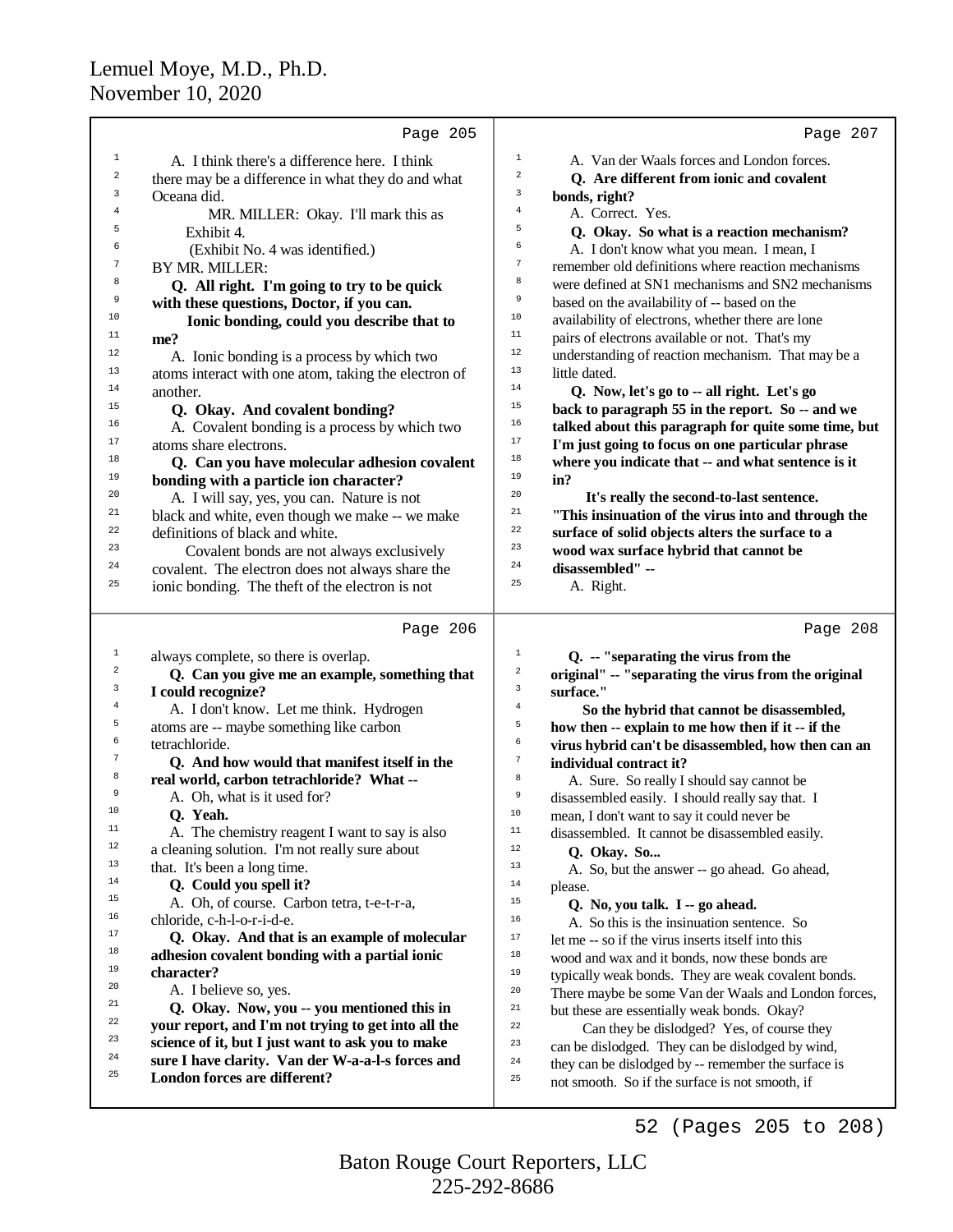|                  | Page 205                                                                                  | Page 207                                                                                           |
|------------------|-------------------------------------------------------------------------------------------|----------------------------------------------------------------------------------------------------|
| $\mathbf{1}$     | A. I think there's a difference here. I think                                             | $\mathbf 1$<br>A. Van der Waals forces and London forces.                                          |
| $\boldsymbol{2}$ | there may be a difference in what they do and what                                        | $\sqrt{2}$<br>Q. Are different from ionic and covalent                                             |
| 3                | Oceana did.                                                                               | 3<br>bonds, right?                                                                                 |
| 4                | MR. MILLER: Okay. I'll mark this as                                                       | $\,4$<br>A. Correct. Yes.                                                                          |
| 5                | Exhibit 4.                                                                                | 5<br>Q. Okay. So what is a reaction mechanism?                                                     |
| 6                | (Exhibit No. 4 was identified.)                                                           | 6<br>A. I don't know what you mean. I mean, I                                                      |
| 7                | BY MR. MILLER:                                                                            | $\sqrt{7}$<br>remember old definitions where reaction mechanisms                                   |
| 8                | Q. All right. I'm going to try to be quick                                                | 8<br>were defined at SN1 mechanisms and SN2 mechanisms                                             |
| 9                | with these questions, Doctor, if you can.                                                 | 9<br>based on the availability of -- based on the                                                  |
| 10               | Ionic bonding, could you describe that to                                                 | $10$<br>availability of electrons, whether there are lone                                          |
| 11               | me?                                                                                       | $11$<br>pairs of electrons available or not. That's my                                             |
| 12               | A. Ionic bonding is a process by which two                                                | 12<br>understanding of reaction mechanism. That may be a                                           |
| 13               | atoms interact with one atom, taking the electron of                                      | 13<br>little dated.                                                                                |
| 14               | another.                                                                                  | $14\,$<br>Q. Now, let's go to -- all right. Let's go                                               |
| 15               | Q. Okay. And covalent bonding?                                                            | 15<br>back to paragraph 55 in the report. So -- and we                                             |
| 16               | A. Covalent bonding is a process by which two                                             | 16<br>talked about this paragraph for quite some time, but                                         |
| 17               | atoms share electrons.                                                                    | 17<br>I'm just going to focus on one particular phrase                                             |
| 18               | Q. Can you have molecular adhesion covalent                                               | 18<br>where you indicate that -- and what sentence is it                                           |
| 19               | bonding with a particle ion character?                                                    | 19<br>in?                                                                                          |
| 20               | A. I will say, yes, you can. Nature is not                                                | 20<br>It's really the second-to-last sentence.                                                     |
| 21               | black and white, even though we make -- we make                                           | 21<br>"This insinuation of the virus into and through the                                          |
| 22               | definitions of black and white.                                                           | 22<br>surface of solid objects alters the surface to a                                             |
| 23               | Covalent bonds are not always exclusively                                                 | 23<br>wood wax surface hybrid that cannot be                                                       |
| 24               | covalent. The electron does not always share the                                          | 24<br>disassembled" --                                                                             |
| 25               | ionic bonding. The theft of the electron is not                                           | 25<br>A. Right.                                                                                    |
|                  |                                                                                           |                                                                                                    |
|                  |                                                                                           |                                                                                                    |
| $\mathbf{1}$     | Page 206                                                                                  | Page 208<br>1                                                                                      |
| 2                | always complete, so there is overlap.                                                     | Q. -- "separating the virus from the<br>$\sqrt{2}$                                                 |
| 3                | Q. Can you give me an example, something that                                             | original" -- "separating the virus from the original<br>3                                          |
| 4                | I could recognize?                                                                        | surface."<br>$\,4$                                                                                 |
| 5                | A. I don't know. Let me think. Hydrogen                                                   | So the hybrid that cannot be disassembled,<br>5                                                    |
| 6                | atoms are -- maybe something like carbon                                                  | how then -- explain to me how then if it -- if the<br>6                                            |
| 7                | tetrachloride.                                                                            | virus hybrid can't be disassembled, how then can an<br>$\boldsymbol{7}$                            |
| 8                | Q. And how would that manifest itself in the<br>real world, carbon tetrachloride? What -- | individual contract it?<br>8                                                                       |
| 9                | A. Oh, what is it used for?                                                               | A. Sure. So really I should say cannot be<br>9<br>disassembled easily. I should really say that. I |
| 10               | O. Yeah.                                                                                  | 10<br>mean, I don't want to say it could never be                                                  |
| $11\,$           | A. The chemistry reagent I want to say is also                                            | $11\,$<br>disassembled. It cannot be disassembled easily.                                          |
| 12               | a cleaning solution. I'm not really sure about                                            | 12<br>Q. Okay. So                                                                                  |
| 13               | that. It's been a long time.                                                              | 13<br>A. So, but the answer -- go ahead. Go ahead,                                                 |
| 14               | Q. Could you spell it?                                                                    | 14<br>please.                                                                                      |
| 15               | A. Oh, of course. Carbon tetra, t-e-t-r-a,                                                | $15$<br>Q. No, you talk. I -- go ahead.                                                            |
| 16               | chloride, c-h-l-o-r-i-d-e.                                                                | 16<br>A. So this is the insinuation sentence. So                                                   |
| 17               | Q. Okay. And that is an example of molecular                                              | 17<br>let me -- so if the virus inserts itself into this                                           |
| 18               | adhesion covalent bonding with a partial ionic                                            | 18<br>wood and wax and it bonds, now these bonds are                                               |
| 19               | character?                                                                                | 19<br>typically weak bonds. They are weak covalent bonds.                                          |
| 20               | A. I believe so, yes.                                                                     | 20<br>There maybe be some Van der Waals and London forces,                                         |
| 21               | Q. Okay. Now, you -- you mentioned this in                                                | $21\,$<br>but these are essentially weak bonds. Okay?                                              |
| 22               | your report, and I'm not trying to get into all the                                       | 22<br>Can they be dislodged? Yes, of course they                                                   |
| 23               | science of it, but I just want to ask you to make                                         | 23<br>can be dislodged. They can be dislodged by wind,                                             |
| 24               | sure I have clarity. Van der W-a-a-l-s forces and                                         | 24<br>they can be dislodged by -- remember the surface is                                          |
| 25               | London forces are different?                                                              | 25<br>not smooth. So if the surface is not smooth, if                                              |

52 (Pages 205 to 208)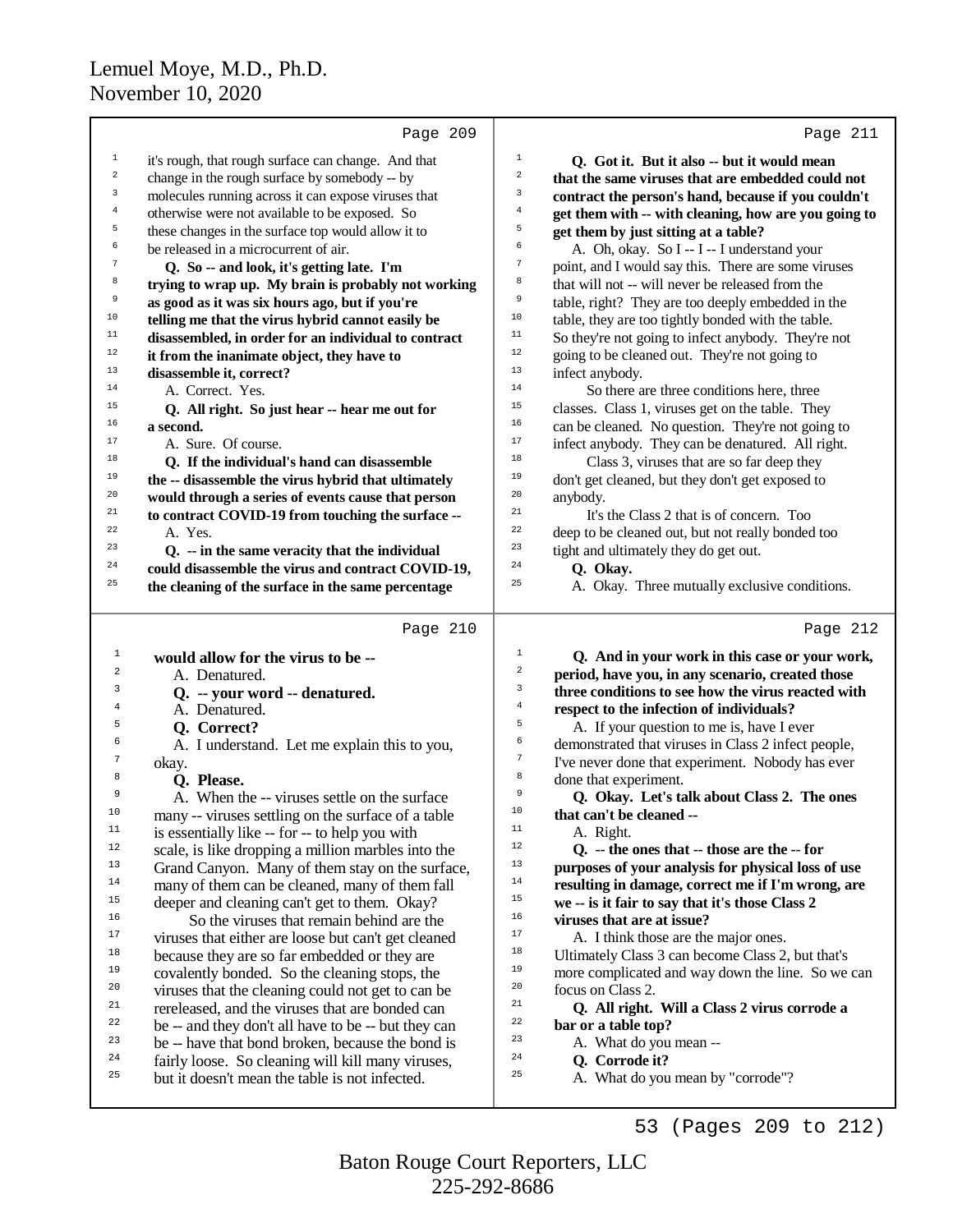|                  | Page 209                                             | Page 211                                                                     |  |
|------------------|------------------------------------------------------|------------------------------------------------------------------------------|--|
| $\mathbf 1$      | it's rough, that rough surface can change. And that  | $1\,$<br>Q. Got it. But it also -- but it would mean                         |  |
| $\boldsymbol{2}$ | change in the rough surface by somebody -- by        | $\overline{\mathbf{c}}$<br>that the same viruses that are embedded could not |  |
| 3                | molecules running across it can expose viruses that  | 3<br>contract the person's hand, because if you couldn't                     |  |
| $\bf{4}$         | otherwise were not available to be exposed. So       | $\overline{4}$<br>get them with -- with cleaning, how are you going to       |  |
| 5                | these changes in the surface top would allow it to   | 5<br>get them by just sitting at a table?                                    |  |
| 6                | be released in a microcurrent of air.                | 6<br>A. Oh, okay. So I -- I -- I understand your                             |  |
| $\sqrt{7}$       | Q. So -- and look, it's getting late. I'm            | $\overline{7}$<br>point, and I would say this. There are some viruses        |  |
| 8                | trying to wrap up. My brain is probably not working  | 8<br>that will not -- will never be released from the                        |  |
| 9                | as good as it was six hours ago, but if you're       | 9<br>table, right? They are too deeply embedded in the                       |  |
| 10               | telling me that the virus hybrid cannot easily be    | 10<br>table, they are too tightly bonded with the table.                     |  |
| $11\,$           | disassembled, in order for an individual to contract | 11<br>So they're not going to infect anybody. They're not                    |  |
| $12\,$           | it from the inanimate object, they have to           | 12<br>going to be cleaned out. They're not going to                          |  |
| 13               | disassemble it, correct?                             | 13<br>infect anybody.                                                        |  |
| 14               | A. Correct. Yes.                                     | 14<br>So there are three conditions here, three                              |  |
| 15               | Q. All right. So just hear -- hear me out for        | 15<br>classes. Class 1, viruses get on the table. They                       |  |
| 16               | a second.                                            | 16<br>can be cleaned. No question. They're not going to                      |  |
| 17               | A. Sure. Of course.                                  | 17<br>infect anybody. They can be denatured. All right.                      |  |
| 18               | Q. If the individual's hand can disassemble          | 18<br>Class 3, viruses that are so far deep they                             |  |
| 19               | the -- disassemble the virus hybrid that ultimately  | 19<br>don't get cleaned, but they don't get exposed to                       |  |
| 20               | would through a series of events cause that person   | 20<br>anybody.                                                               |  |
| 21               | to contract COVID-19 from touching the surface --    | 21<br>It's the Class 2 that is of concern. Too                               |  |
| 22               | A. Yes.                                              | 22<br>deep to be cleaned out, but not really bonded too                      |  |
| 23               | Q. -- in the same veracity that the individual       | 23<br>tight and ultimately they do get out.                                  |  |
| 24               | could disassemble the virus and contract COVID-19,   | 24<br>Q. Okay.                                                               |  |
| 25               | the cleaning of the surface in the same percentage   | 25<br>A. Okay. Three mutually exclusive conditions.                          |  |
|                  |                                                      |                                                                              |  |
|                  |                                                      |                                                                              |  |
|                  | Page 210                                             | Page 212                                                                     |  |
| $\mathbf{1}$     | would allow for the virus to be --                   | $\mathbf{1}$<br>Q. And in your work in this case or your work,               |  |
| 2                | A. Denatured.                                        | $\,2$<br>period, have you, in any scenario, created those                    |  |
| 3                | Q. -- your word -- denatured.                        | 3<br>three conditions to see how the virus reacted with                      |  |
| 4                | A. Denatured.                                        | $\bf{4}$<br>respect to the infection of individuals?                         |  |
| 5                | Q. Correct?                                          | 5<br>A. If your question to me is, have I ever                               |  |
| 6                | A. I understand. Let me explain this to you,         | 6<br>demonstrated that viruses in Class 2 infect people,                     |  |
| 7                | okay.                                                | $\overline{7}$<br>I've never done that experiment. Nobody has ever           |  |
| 8                | Q. Please.                                           | 8<br>done that experiment.                                                   |  |
| 9                | A. When the -- viruses settle on the surface         | 9<br>Q. Okay. Let's talk about Class 2. The ones                             |  |
| 10               | many -- viruses settling on the surface of a table   | 10<br>that can't be cleaned --                                               |  |
| 11               | is essentially like -- for -- to help you with       | 11<br>A. Right.                                                              |  |
| 12               | scale, is like dropping a million marbles into the   | 12<br>Q. -- the ones that -- those are the -- for                            |  |
| 13               | Grand Canyon. Many of them stay on the surface,      | 13<br>purposes of your analysis for physical loss of use                     |  |
| 14               | many of them can be cleaned, many of them fall       | $14\,$<br>resulting in damage, correct me if I'm wrong, are                  |  |
| 15               | deeper and cleaning can't get to them. Okay?         | $15\,$<br>we -- is it fair to say that it's those Class 2                    |  |
| 16               | So the viruses that remain behind are the            | 16<br>viruses that are at issue?                                             |  |
| $17\,$           | viruses that either are loose but can't get cleaned  | $17\,$<br>A. I think those are the major ones.                               |  |
| 18               | because they are so far embedded or they are         | 18<br>Ultimately Class 3 can become Class 2, but that's                      |  |
| 19               | covalently bonded. So the cleaning stops, the        | 19<br>more complicated and way down the line. So we can                      |  |
| 20               | viruses that the cleaning could not get to can be    | 20<br>focus on Class 2.                                                      |  |
| 21               | rereleased, and the viruses that are bonded can      | $21\,$<br>Q. All right. Will a Class 2 virus corrode a                       |  |
| 22               | be -- and they don't all have to be -- but they can  | 22<br>bar or a table top?                                                    |  |
| 23               | be -- have that bond broken, because the bond is     | 23<br>A. What do you mean --                                                 |  |
| 24               | fairly loose. So cleaning will kill many viruses,    | 24<br>Q. Corrode it?                                                         |  |
| 25               | but it doesn't mean the table is not infected.       | 25<br>A. What do you mean by "corrode"?                                      |  |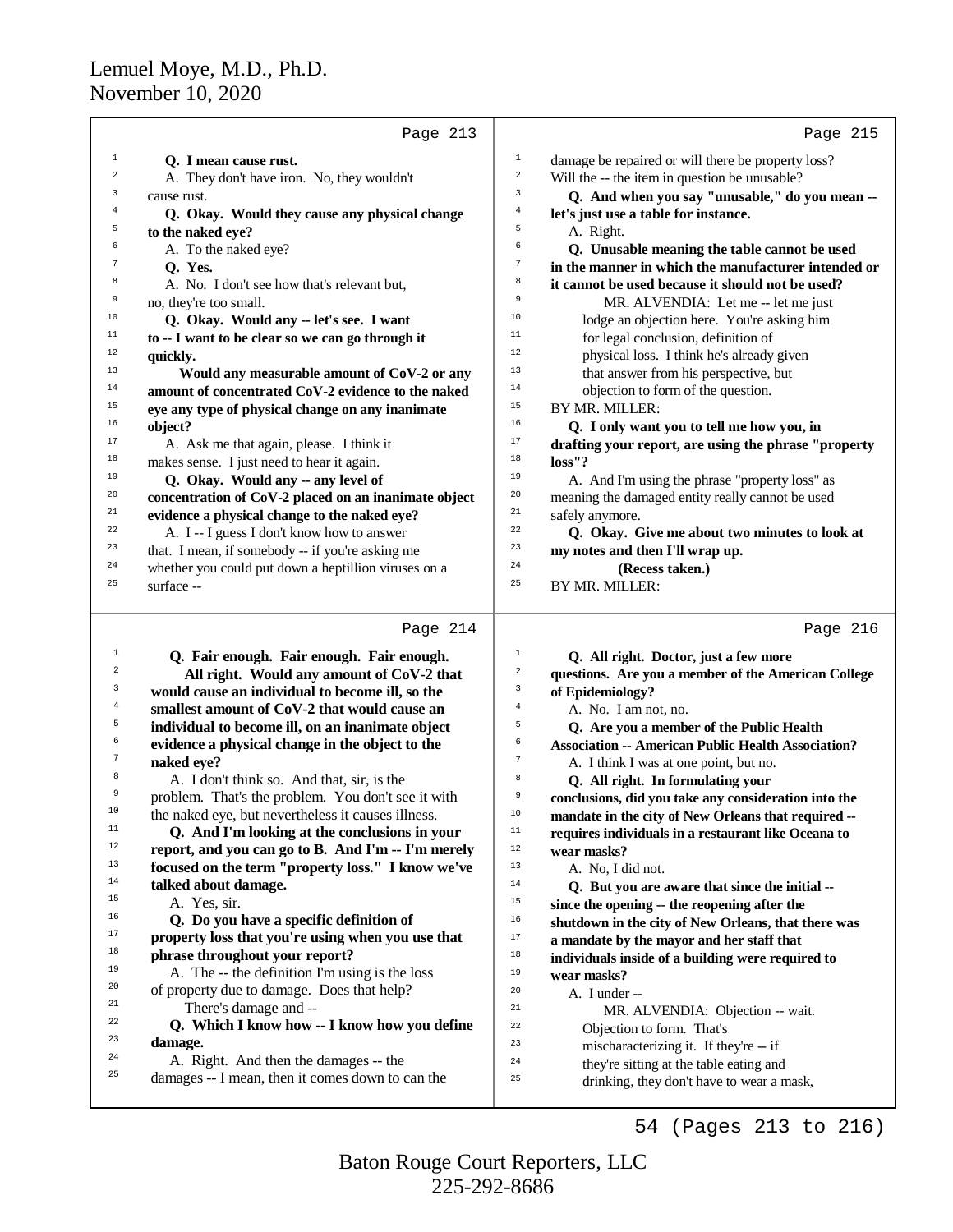|                | Page 213                                             |                         | Page 215                                             |
|----------------|------------------------------------------------------|-------------------------|------------------------------------------------------|
| 1              | O. I mean cause rust.                                | $\mathbf{1}$            | damage be repaired or will there be property loss?   |
| $\overline{2}$ | A. They don't have iron. No, they wouldn't           | $\overline{\mathbf{c}}$ | Will the -- the item in question be unusable?        |
| 3              | cause rust.                                          | 3                       | Q. And when you say "unusable," do you mean --       |
| $\overline{4}$ | Q. Okay. Would they cause any physical change        | 4                       | let's just use a table for instance.                 |
| 5              | to the naked eye?                                    | 5                       | A. Right.                                            |
| 6              | A. To the naked eye?                                 | 6                       | Q. Unusable meaning the table cannot be used         |
| 7              | O. Yes.                                              | 7                       | in the manner in which the manufacturer intended or  |
| 8              | A. No. I don't see how that's relevant but,          | 8                       | it cannot be used because it should not be used?     |
| 9              | no, they're too small.                               | 9                       | MR. ALVENDIA: Let me -- let me just                  |
| 10             | Q. Okay. Would any -- let's see. I want              | 10                      | lodge an objection here. You're asking him           |
| 11             | to -- I want to be clear so we can go through it     | 11                      | for legal conclusion, definition of                  |
| 12             | quickly.                                             | 12                      | physical loss. I think he's already given            |
| 13             | Would any measurable amount of CoV-2 or any          | 13                      | that answer from his perspective, but                |
| 14             | amount of concentrated CoV-2 evidence to the naked   | 14                      | objection to form of the question.                   |
| 15             | eye any type of physical change on any inanimate     | 15                      | BY MR. MILLER:                                       |
| 16             | object?                                              | 16                      | Q. I only want you to tell me how you, in            |
| 17             | A. Ask me that again, please. I think it             | 17                      | drafting your report, are using the phrase "property |
| 18             | makes sense. I just need to hear it again.           | 18                      | loss''?                                              |
| 19             | Q. Okay. Would any -- any level of                   | 19                      | A. And I'm using the phrase "property loss" as       |
| 20             | concentration of CoV-2 placed on an inanimate object | 20                      | meaning the damaged entity really cannot be used     |
| 21             | evidence a physical change to the naked eye?         | 21                      | safely anymore.                                      |
| 22             | A. I -- I guess I don't know how to answer           | 22                      | Q. Okay. Give me about two minutes to look at        |
| 23             | that. I mean, if somebody -- if you're asking me     | 23                      | my notes and then I'll wrap up.                      |
| 24             | whether you could put down a heptillion viruses on a | 24                      | (Recess taken.)                                      |
| 25             | surface --                                           | 25                      | BY MR. MILLER:                                       |

# Page 214  $|$

|                 | Page 214                                           |                | Page 216                                                  |
|-----------------|----------------------------------------------------|----------------|-----------------------------------------------------------|
| 1               | Q. Fair enough. Fair enough. Fair enough.          | 1              | Q. All right. Doctor, just a few more                     |
| $\overline{a}$  | All right. Would any amount of CoV-2 that          | $\overline{2}$ | questions. Are you a member of the American College       |
| 3               | would cause an individual to become ill, so the    | 3              | of Epidemiology?                                          |
| $\overline{4}$  | smallest amount of CoV-2 that would cause an       | $\overline{4}$ | A. No. I am not, no.                                      |
| 5               | individual to become ill, on an inanimate object   | 5              | Q. Are you a member of the Public Health                  |
| 6               | evidence a physical change in the object to the    | 6              | <b>Association -- American Public Health Association?</b> |
| $7\phantom{.0}$ | naked eye?                                         | 7              | A. I think I was at one point, but no.                    |
| 8               | A. I don't think so. And that, sir, is the         | 8              | Q. All right. In formulating your                         |
| 9               | problem. That's the problem. You don't see it with | 9              | conclusions, did you take any consideration into the      |
| 10              | the naked eye, but nevertheless it causes illness. | 10             | mandate in the city of New Orleans that required --       |
| 11              | Q. And I'm looking at the conclusions in your      | 11             | requires individuals in a restaurant like Oceana to       |
| 12              | report, and you can go to B. And I'm -- I'm merely | 12             | wear masks?                                               |
| 13              | focused on the term "property loss." I know we've  | 13             | A. No, I did not.                                         |
| 14              | talked about damage.                               | 14             | Q. But you are aware that since the initial --            |
| 15              | A. Yes, sir.                                       | 15             | since the opening -- the reopening after the              |
| 16              | Q. Do you have a specific definition of            | 16             | shutdown in the city of New Orleans, that there was       |
| 17              | property loss that you're using when you use that  | 17             | a mandate by the mayor and her staff that                 |
| 18              | phrase throughout your report?                     | 18             | individuals inside of a building were required to         |
| 19              | A. The -- the definition I'm using is the loss     | 19             | wear masks?                                               |
| 20              | of property due to damage. Does that help?         | 20             | A. I under --                                             |
| 21              | There's damage and --                              | 21             | MR. ALVENDIA: Objection -- wait.                          |
| 22              | Q. Which I know how -- I know how you define       | 22             | Objection to form. That's                                 |
| 23              | damage.                                            | 23             | mischaracterizing it. If they're -- if                    |
| 24              | A. Right. And then the damages -- the              | 24             | they're sitting at the table eating and                   |
| 25              | damages -- I mean, then it comes down to can the   | 25             | drinking, they don't have to wear a mask,                 |
|                 |                                                    |                |                                                           |

54 (Pages 213 to 216)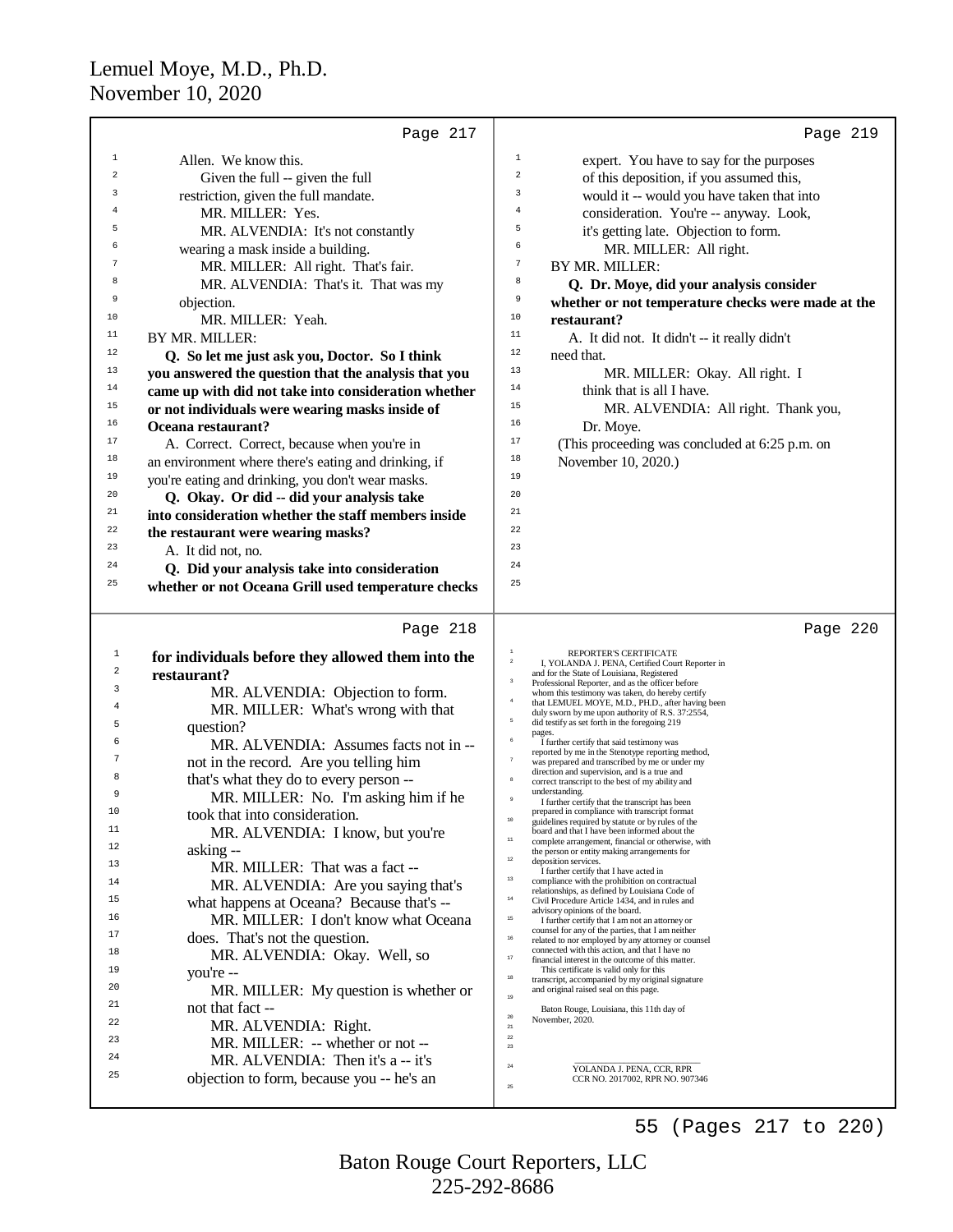|                | Page 217                                             | Page 219                                                                                                                  |
|----------------|------------------------------------------------------|---------------------------------------------------------------------------------------------------------------------------|
| 1              | Allen. We know this.                                 | $\mathbf{1}$<br>expert. You have to say for the purposes                                                                  |
| 2              | Given the full -- given the full                     | $\boldsymbol{2}$<br>of this deposition, if you assumed this,                                                              |
| 3              | restriction, given the full mandate.                 | 3<br>would it -- would you have taken that into                                                                           |
| $\overline{4}$ | MR. MILLER: Yes.                                     | 4<br>consideration. You're -- anyway. Look,                                                                               |
| 5              | MR. ALVENDIA: It's not constantly                    | 5<br>it's getting late. Objection to form.                                                                                |
| 6              | wearing a mask inside a building.                    | 6<br>MR. MILLER: All right.                                                                                               |
| 7              | MR. MILLER: All right. That's fair.                  | $\boldsymbol{7}$<br>BY MR. MILLER:                                                                                        |
| 8              | MR. ALVENDIA: That's it. That was my                 | 8<br>Q. Dr. Moye, did your analysis consider                                                                              |
| 9              | objection.                                           | 9<br>whether or not temperature checks were made at the                                                                   |
| 10             | MR. MILLER: Yeah.                                    | 10<br>restaurant?                                                                                                         |
| 11             | BY MR. MILLER:                                       | 11<br>A. It did not. It didn't -- it really didn't                                                                        |
| 12             | Q. So let me just ask you, Doctor. So I think        | 12<br>need that.                                                                                                          |
| 13             | you answered the question that the analysis that you | 13<br>MR. MILLER: Okay. All right. I                                                                                      |
| 14             | came up with did not take into consideration whether | 14<br>think that is all I have.                                                                                           |
| 15             | or not individuals were wearing masks inside of      | 15<br>MR. ALVENDIA: All right. Thank you,                                                                                 |
| 16             | Oceana restaurant?                                   | 16<br>Dr. Moye.                                                                                                           |
| 17             | A. Correct. Correct, because when you're in          | 17<br>(This proceeding was concluded at 6:25 p.m. on                                                                      |
| 18             | an environment where there's eating and drinking, if | 18<br>November 10, 2020.)                                                                                                 |
| 19             | you're eating and drinking, you don't wear masks.    | 19                                                                                                                        |
| 20             | Q. Okay. Or did -- did your analysis take            | 20                                                                                                                        |
| 21             | into consideration whether the staff members inside  | 21                                                                                                                        |
| 22             | the restaurant were wearing masks?                   | 22                                                                                                                        |
| 23             | A. It did not, no.                                   | 23                                                                                                                        |
| 24             | Q. Did your analysis take into consideration         | 24                                                                                                                        |
| 25             | whether or not Oceana Grill used temperature checks  | 25                                                                                                                        |
|                |                                                      |                                                                                                                           |
|                | Page 218                                             | Page 220                                                                                                                  |
| $\mathbf{1}$   | for individuals before they allowed them into the    | REPORTER'S CERTIFICATE<br>$\,$ 2 $\,$<br>I, YOLANDA J. PENA, Certified Court Reporter in                                  |
| 2              | restaurant?                                          | and for the State of Louisiana, Registered<br>$\overline{\mathbf{3}}$<br>Professional Reporter, and as the officer before |
| 3              | MR. ALVENDIA: Objection to form.                     | whom this testimony was taken, do hereby certify<br>$\bf{4}$                                                              |
| 4              | MR. MILLER: What's wrong with that                   | that LEMUEL MOYE, M.D., PH.D., after having been<br>duly sworn by me upon authority of R.S. 37:2554,                      |
| 5              | question?                                            | $\sf 5$<br>did testify as set forth in the foregoing 219<br>pages.                                                        |
| 6              | MR. ALVENDIA: Assumes facts not in --                | $\,$ 6<br>I further certify that said testimony was<br>reported by me in the Stenotype reporting method,                  |
| 7              | not in the record. Are you telling him               | $\tau$<br>was prepared and transcribed by me or under my<br>direction and supervision, and is a true and                  |
| 8              | that's what they do to every person --               | $\mathbf{8}$<br>correct transcript to the best of my ability and                                                          |
| 9              | MR. MILLER: No. I'm asking him if he                 | understanding.<br>I further certify that the transcript has been                                                          |
| 10             | took that into consideration.                        | prepared in compliance with transcript format<br>$10\,$<br>guidelines required by statute or by rules of the              |
| 11             | MR. ALVENDIA: I know, but you're                     | board and that I have been informed about the<br>$11\,$<br>complete arrangement, financial or otherwise, with             |
| 12             | asking --                                            | the person or entity making arrangements for<br>$12\,$<br>deposition services.                                            |
| 13<br>14       | MR. MILLER: That was a fact --                       | I further certify that I have acted in<br>13<br>compliance with the prohibition on contractual                            |
| 15             | MR. ALVENDIA: Are you saying that's                  | relationships, as defined by Louisiana Code of<br>$14\,$                                                                  |
| 16             | what happens at Oceana? Because that's --            | Civil Procedure Article 1434, and in rules and<br>advisory opinions of the board.                                         |
| 17             | MR. MILLER: I don't know what Oceana                 | $15\,$<br>I further certify that I am not an attorney or<br>counsel for any of the parties, that I am neither             |
|                | does. That's not the question.                       | $16\,$<br>related to nor employed by any attorney or counsel<br>connected with this action, and that I have no            |
| 18<br>19       | MR. ALVENDIA: Okay. Well, so                         | $17\,$<br>financial interest in the outcome of this matter.<br>This certificate is valid only for this                    |
| 20             | you're --                                            | $18\,$<br>transcript, accompanied by my original signature                                                                |
| 21             | MR. MILLER: My question is whether or                | and original raised seal on this page.<br>19                                                                              |
| 22             | not that fact --                                     | Baton Rouge, Louisiana, this 11th day of<br>$20\,$<br>November, 2020.                                                     |
| 23             | MR. ALVENDIA: Right.                                 | $21\,$<br>$22\,$                                                                                                          |
| 24             | MR. MILLER: -- whether or not --                     | $23\,$                                                                                                                    |
| 25             | MR. ALVENDIA: Then it's a -- it's                    | $\bf 24$<br>YOLANDA J. PENA, CCR, RPR                                                                                     |
|                | objection to form, because you -- he's an            | CCR NO. 2017002, RPR NO. 907346<br>$25\,$                                                                                 |

225-292-8686 Baton Rouge Court Reporters, LLC

55 (Pages 217 to 220)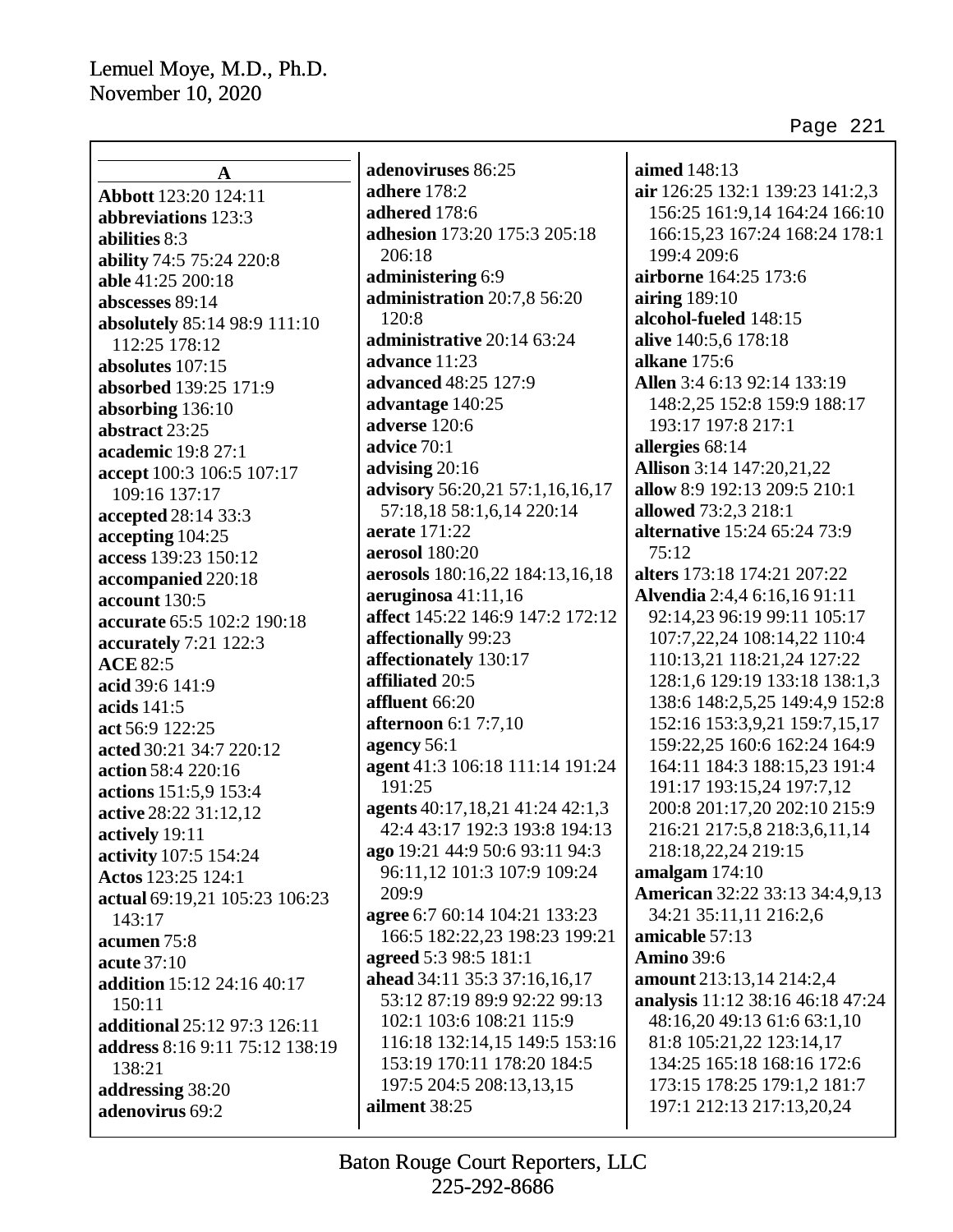| $\mathbf A$                    | adenoviruses 86:25               | aimed 148:13                          |
|--------------------------------|----------------------------------|---------------------------------------|
| Abbott 123:20 124:11           | adhere 178:2                     | air 126:25 132:1 139:23 141:2,3       |
| abbreviations 123:3            | adhered 178:6                    | 156:25 161:9,14 164:24 166:10         |
| abilities 8:3                  | adhesion 173:20 175:3 205:18     | 166:15,23 167:24 168:24 178:1         |
| ability 74:5 75:24 220:8       | 206:18                           | 199:4 209:6                           |
| able 41:25 200:18              | administering 6:9                | airborne 164:25 173:6                 |
| abscesses 89:14                | administration 20:7,8 56:20      | airing $189:10$                       |
| absolutely 85:14 98:9 111:10   | 120:8                            | alcohol-fueled 148:15                 |
| 112:25 178:12                  | administrative 20:14 63:24       | alive 140:5,6 178:18                  |
| absolutes 107:15               | advance 11:23                    | alkane 175:6                          |
| absorbed 139:25 171:9          | advanced 48:25 127:9             | Allen 3:4 6:13 92:14 133:19           |
| absorbing 136:10               | advantage 140:25                 | 148:2,25 152:8 159:9 188:17           |
| abstract 23:25                 | adverse 120:6                    | 193:17 197:8 217:1                    |
| academic 19:8 27:1             | advice 70:1                      | allergies 68:14                       |
| accept 100:3 106:5 107:17      | advising 20:16                   | <b>Allison</b> 3:14 147:20,21,22      |
| 109:16 137:17                  | advisory 56:20,21 57:1,16,16,17  | allow 8:9 192:13 209:5 210:1          |
| accepted 28:14 33:3            | 57:18,18 58:1,6,14 220:14        | allowed 73:2,3 218:1                  |
| accepting 104:25               | aerate 171:22                    | alternative 15:24 65:24 73:9          |
| access 139:23 150:12           | aerosol 180:20                   | 75:12                                 |
| accompanied 220:18             | aerosols 180:16,22 184:13,16,18  | alters 173:18 174:21 207:22           |
| account 130:5                  | aeruginosa $41:11,16$            | Alvendia 2:4,4 6:16,16 91:11          |
| accurate 65:5 102:2 190:18     | affect 145:22 146:9 147:2 172:12 | 92:14,23 96:19 99:11 105:17           |
| accurately 7:21 122:3          | affectionally 99:23              | 107:7,22,24 108:14,22 110:4           |
| <b>ACE 82:5</b>                | affectionately 130:17            | 110:13,21 118:21,24 127:22            |
| acid 39:6 141:9                | affiliated 20:5                  | 128:1,6 129:19 133:18 138:1,3         |
| acids 141:5                    | affluent 66:20                   | 138:6 148:2,5,25 149:4,9 152:8        |
| act 56:9 122:25                | <b>afternoon</b> 6:1 7:7,10      | 152:16 153:3,9,21 159:7,15,17         |
| acted 30:21 34:7 220:12        | agency 56:1                      | 159:22,25 160:6 162:24 164:9          |
| action 58:4 220:16             | agent 41:3 106:18 111:14 191:24  | 164:11 184:3 188:15,23 191:4          |
| actions 151:5,9 153:4          | 191:25                           | 191:17 193:15,24 197:7,12             |
| active 28:22 31:12,12          | agents 40:17,18,21 41:24 42:1,3  | 200:8 201:17,20 202:10 215:9          |
| actively 19:11                 | 42:4 43:17 192:3 193:8 194:13    | 216:21 217:5,8 218:3,6,11,14          |
| activity 107:5 154:24          | ago 19:21 44:9 50:6 93:11 94:3   | 218:18,22,24 219:15                   |
| Actos 123:25 124:1             | 96:11,12 101:3 107:9 109:24      | amalgam $174:10$                      |
| actual 69:19,21 105:23 106:23  | 209:9                            | <b>American</b> 32:22 33:13 34:4,9,13 |
| 143:17                         | agree 6:7 60:14 104:21 133:23    | 34:21 35:11,11 216:2,6                |
| acumen 75:8                    | 166:5 182:22,23 198:23 199:21    | amicable 57:13                        |
| acute 37:10                    | agreed 5:3 98:5 181:1            | <b>Amino 39:6</b>                     |
| addition 15:12 24:16 40:17     | ahead 34:11 35:3 37:16,16,17     | amount 213:13,14 214:2,4              |
| 150:11                         | 53:12 87:19 89:9 92:22 99:13     | analysis 11:12 38:16 46:18 47:24      |
| additional 25:12 97:3 126:11   | 102:1 103:6 108:21 115:9         | 48:16,20 49:13 61:6 63:1,10           |
| address 8:16 9:11 75:12 138:19 | 116:18 132:14,15 149:5 153:16    | 81:8 105:21,22 123:14,17              |
| 138:21                         | 153:19 170:11 178:20 184:5       | 134:25 165:18 168:16 172:6            |
| addressing 38:20               | 197:5 204:5 208:13,13,15         | 173:15 178:25 179:1,2 181:7           |
| adenovirus 69:2                | ailment 38:25                    | 197:1 212:13 217:13,20,24             |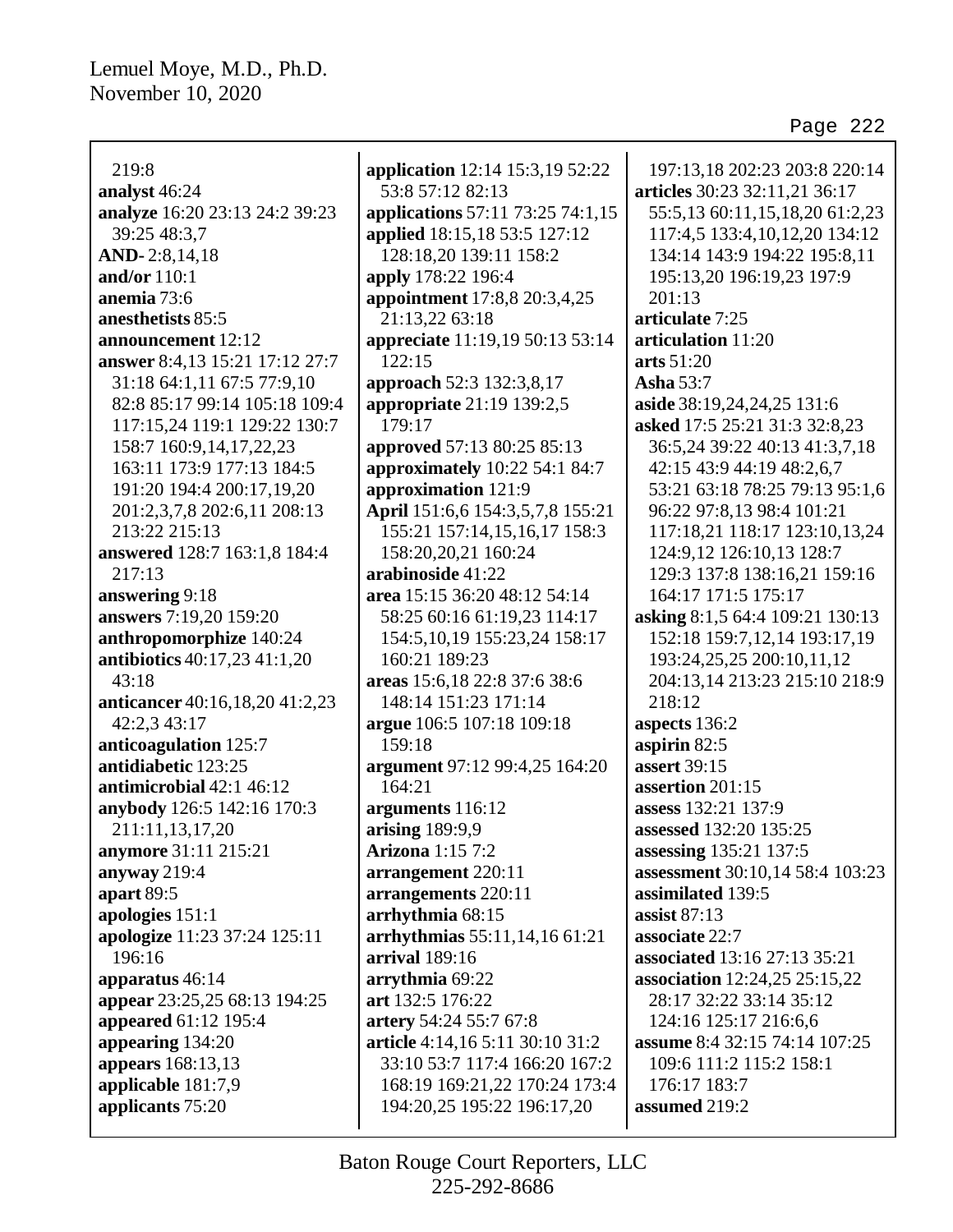219:8 **analyst** 46:24 **analyze** 16:20 23:13 24:2 39:23 39:25 48:3,7 **AND-** 2:8,14,18 **and/or** 110:1 **anemia** 73:6 **anesthetists** 85:5 **announcement** 12:12 **answer** 8:4,13 15:21 17:12 27:7 31:18 64:1,11 67:5 77:9,10 82:8 85:17 99:14 105:18 109:4 117:15,24 119:1 129:22 130:7 158:7 160:9,14,17,22,23 163:11 173:9 177:13 184:5 191:20 194:4 200:17,19,20 201:2,3,7,8 202:6,11 208:13 213:22 215:13 **answered** 128:7 163:1,8 184:4 217:13 **answering** 9:18 **answers** 7:19,20 159:20 **anthropomorphize** 140:24 **antibiotics** 40:17,23 41:1,20 43:18 **anticancer** 40:16,18,20 41:2,23 42:2,3 43:17 **anticoagulation** 125:7 **antidiabetic** 123:25 **antimicrobial** 42:1 46:12 **anybody** 126:5 142:16 170:3 211:11,13,17,20 **anymore** 31:11 215:21 **anyway** 219:4 **apart** 89:5 **apologies** 151:1 **apologize** 11:23 37:24 125:11 196:16 **apparatus** 46:14 **appear** 23:25,25 68:13 194:25 **appeared** 61:12 195:4 **appearing** 134:20 **appears** 168:13,13 **applicable** 181:7,9 **applicants** 75:20

**application** 12:14 15:3,19 52:22 53:8 57:12 82:13 **applications** 57:11 73:25 74:1,15 **applied** 18:15,18 53:5 127:12 128:18,20 139:11 158:2 **apply** 178:22 196:4 **appointment** 17:8,8 20:3,4,25 21:13,22 63:18 **appreciate** 11:19,19 50:13 53:14 122:15 **approach** 52:3 132:3,8,17 **appropriate** 21:19 139:2,5 179:17 **approved** 57:13 80:25 85:13 **approximately** 10:22 54:1 84:7 **approximation** 121:9 **April** 151:6,6 154:3,5,7,8 155:21 155:21 157:14,15,16,17 158:3 158:20,20,21 160:24 **arabinoside** 41:22 **area** 15:15 36:20 48:12 54:14 58:25 60:16 61:19,23 114:17 154:5,10,19 155:23,24 158:17 160:21 189:23 **areas** 15:6,18 22:8 37:6 38:6 148:14 151:23 171:14 **argue** 106:5 107:18 109:18 159:18 **argument** 97:12 99:4,25 164:20 164:21 **arguments** 116:12 **arising** 189:9,9 **Arizona** 1:15 7:2 **arrangement** 220:11 **arrangements** 220:11 **arrhythmia** 68:15 **arrhythmias** 55:11,14,16 61:21 **arrival** 189:16 **arrythmia** 69:22 **art** 132:5 176:22 **artery** 54:24 55:7 67:8 **article** 4:14,16 5:11 30:10 31:2 33:10 53:7 117:4 166:20 167:2 168:19 169:21,22 170:24 173:4 194:20,25 195:22 196:17,20

197:13,18 202:23 203:8 220:14 **articles** 30:23 32:11,21 36:17 55:5,13 60:11,15,18,20 61:2,23 117:4,5 133:4,10,12,20 134:12 134:14 143:9 194:22 195:8,11 195:13,20 196:19,23 197:9 201:13 **articulate** 7:25 **articulation** 11:20 **arts** 51:20 **Asha** 53:7 **aside** 38:19,24,24,25 131:6 **asked** 17:5 25:21 31:3 32:8,23 36:5,24 39:22 40:13 41:3,7,18 42:15 43:9 44:19 48:2,6,7 53:21 63:18 78:25 79:13 95:1,6 96:22 97:8,13 98:4 101:21 117:18,21 118:17 123:10,13,24 124:9,12 126:10,13 128:7 129:3 137:8 138:16,21 159:16 164:17 171:5 175:17 **asking** 8:1,5 64:4 109:21 130:13 152:18 159:7,12,14 193:17,19 193:24,25,25 200:10,11,12 204:13,14 213:23 215:10 218:9 218:12 **aspects** 136:2 **aspirin** 82:5 **assert** 39:15 **assertion** 201:15 **assess** 132:21 137:9 **assessed** 132:20 135:25 **assessing** 135:21 137:5 **assessment** 30:10,14 58:4 103:23 **assimilated** 139:5 **assist** 87:13 **associate** 22:7 **associated** 13:16 27:13 35:21 **association** 12:24,25 25:15,22 28:17 32:22 33:14 35:12 124:16 125:17 216:6,6 **assume** 8:4 32:15 74:14 107:25 109:6 111:2 115:2 158:1 176:17 183:7 **assumed** 219:2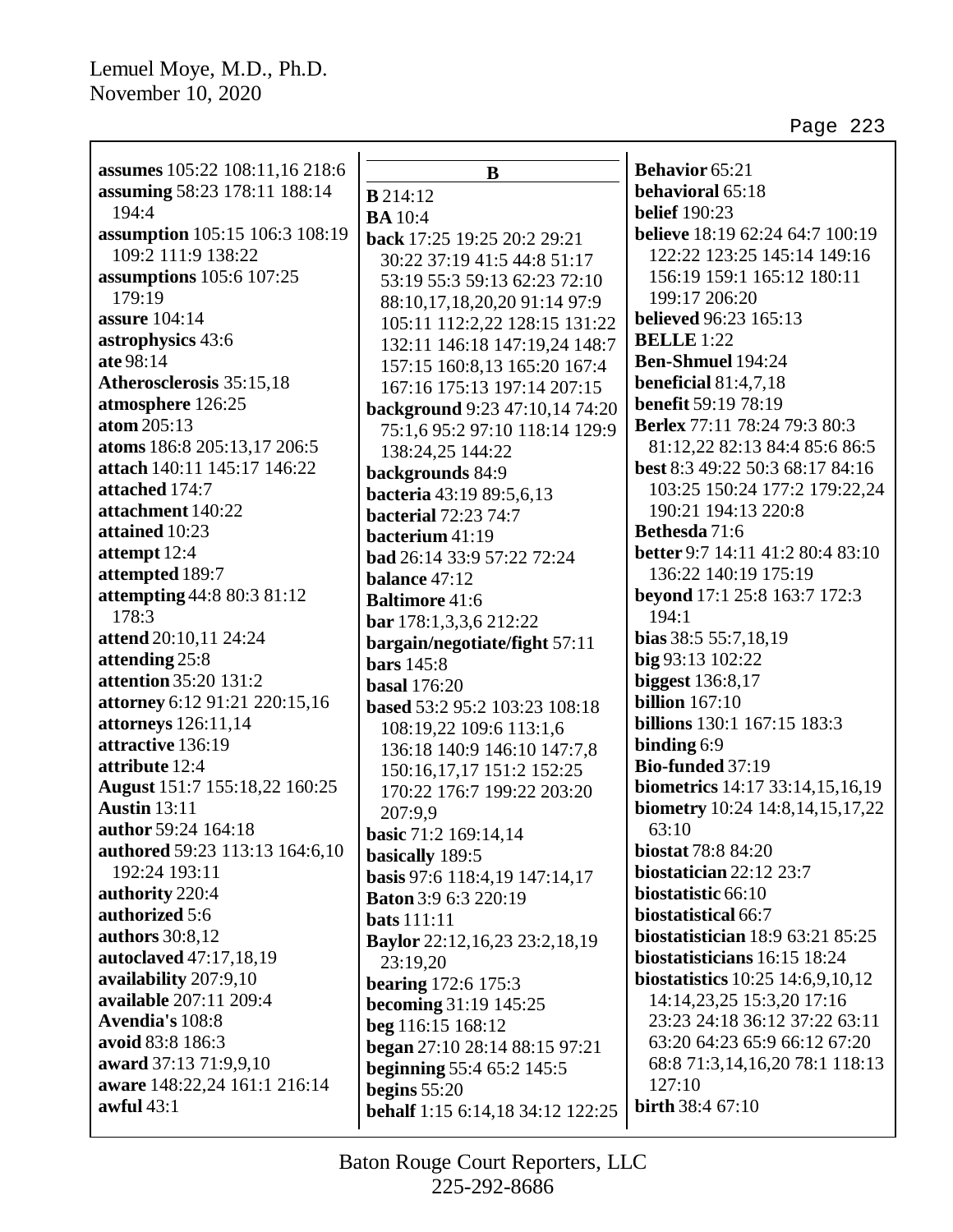| assumes 105:22 108:11,16 218:6        | B                                                             | <b>Behavior</b> 65:21                   |
|---------------------------------------|---------------------------------------------------------------|-----------------------------------------|
| assuming 58:23 178:11 188:14          | $B$ 214:12                                                    | behavioral 65:18                        |
| 194:4                                 | <b>BA</b> 10:4                                                | <b>belief</b> 190:23                    |
| assumption 105:15 106:3 108:19        | back 17:25 19:25 20:2 29:21                                   | <b>believe</b> 18:19 62:24 64:7 100:19  |
| 109:2 111:9 138:22                    |                                                               | 122:22 123:25 145:14 149:16             |
| assumptions 105:6 107:25              | 30:22 37:19 41:5 44:8 51:17                                   | 156:19 159:1 165:12 180:11              |
| 179:19                                | 53:19 55:3 59:13 62:23 72:10                                  | 199:17 206:20                           |
| assure 104:14                         | 88:10,17,18,20,20 91:14 97:9                                  | <b>believed</b> 96:23 165:13            |
| astrophysics 43:6                     | 105:11 112:2,22 128:15 131:22                                 | <b>BELLE</b> 1:22                       |
| ate 98:14                             | 132:11 146:18 147:19,24 148:7<br>157:15 160:8,13 165:20 167:4 | <b>Ben-Shmuel 194:24</b>                |
| Atherosclerosis 35:15,18              | 167:16 175:13 197:14 207:15                                   | beneficial $81:4,7,18$                  |
| atmosphere 126:25                     | background 9:23 47:10,14 74:20                                | <b>benefit 59:19 78:19</b>              |
| atom 205:13                           | 75:1,6 95:2 97:10 118:14 129:9                                | <b>Berlex</b> 77:11 78:24 79:3 80:3     |
| atoms 186:8 205:13,17 206:5           | 138:24,25 144:22                                              | 81:12,22 82:13 84:4 85:6 86:5           |
| attach 140:11 145:17 146:22           | backgrounds 84:9                                              | best 8:3 49:22 50:3 68:17 84:16         |
| attached 174:7                        | bacteria 43:19 89:5,6,13                                      | 103:25 150:24 177:2 179:22,24           |
| attachment 140:22                     | <b>bacterial</b> 72:23 74:7                                   | 190:21 194:13 220:8                     |
| attained 10:23                        | bacterium 41:19                                               | Bethesda 71:6                           |
| attempt 12:4                          | <b>bad</b> 26:14 33:9 57:22 72:24                             | <b>better</b> 9:7 14:11 41:2 80:4 83:10 |
| attempted 189:7                       | balance 47:12                                                 | 136:22 140:19 175:19                    |
| attempting 44:8 80:3 81:12            | <b>Baltimore 41:6</b>                                         | beyond 17:1 25:8 163:7 172:3            |
| 178:3                                 | bar 178:1,3,3,6 212:22                                        | 194:1                                   |
| attend 20:10,11 24:24                 | bargain/negotiate/fight 57:11                                 | bias 38:5 55:7,18,19                    |
| attending 25:8                        | <b>bars</b> 145:8                                             | big 93:13 102:22                        |
| attention 35:20 131:2                 | <b>basal</b> 176:20                                           | <b>biggest</b> 136:8,17                 |
| attorney 6:12 91:21 220:15,16         | based 53:2 95:2 103:23 108:18                                 | <b>billion</b> 167:10                   |
| attorneys 126:11,14                   | 108:19,22 109:6 113:1,6                                       | <b>billions</b> 130:1 167:15 183:3      |
| attractive 136:19                     | 136:18 140:9 146:10 147:7,8                                   | binding 6:9                             |
| attribute 12:4                        | 150:16,17,17 151:2 152:25                                     | Bio-funded 37:19                        |
| August 151:7 155:18,22 160:25         | 170:22 176:7 199:22 203:20                                    | biometrics 14:17 33:14,15,16,19         |
| <b>Austin</b> 13:11                   | 207:9,9                                                       | biometry 10:24 14:8,14,15,17,22         |
| author 59:24 164:18                   | basic 71:2 169:14,14                                          | 63:10                                   |
| <b>authored</b> 59:23 113:13 164:6,10 | basically 189:5                                               | <b>biostat 78:8 84:20</b>               |
| 192:24 193:11                         | basis 97:6 118:4,19 147:14,17                                 | biostatician $22:12$ $23:7$             |
| authority 220:4                       | <b>Baton</b> 3:9 6:3 220:19                                   | biostatistic 66:10                      |
| authorized 5:6                        | <b>bats</b> 111:11                                            | biostatistical 66:7                     |
| authors 30:8,12                       | <b>Baylor</b> 22:12,16,23 23:2,18,19                          | biostatistician 18:9 63:21 85:25        |
| autoclaved 47:17,18,19                | 23:19,20                                                      | biostatisticians 16:15 18:24            |
| availability 207:9,10                 | <b>bearing</b> 172:6 175:3                                    | biostatistics 10:25 14:6,9,10,12        |
| available 207:11 209:4                | becoming 31:19 145:25                                         | 14:14,23,25 15:3,20 17:16               |
| Avendia's 108:8                       | beg 116:15 168:12                                             | 23:23 24:18 36:12 37:22 63:11           |
| avoid 83:8 186:3                      | began 27:10 28:14 88:15 97:21                                 | 63:20 64:23 65:9 66:12 67:20            |
| award 37:13 71:9,9,10                 | <b>beginning</b> 55:4 65:2 145:5                              | 68:8 71:3,14,16,20 78:1 118:13          |
| aware 148:22,24 161:1 216:14          | begins $55:20$                                                | 127:10                                  |
| awful $43:1$                          | behalf 1:15 6:14,18 34:12 122:25                              | <b>birth</b> 38:4 67:10                 |
|                                       |                                                               |                                         |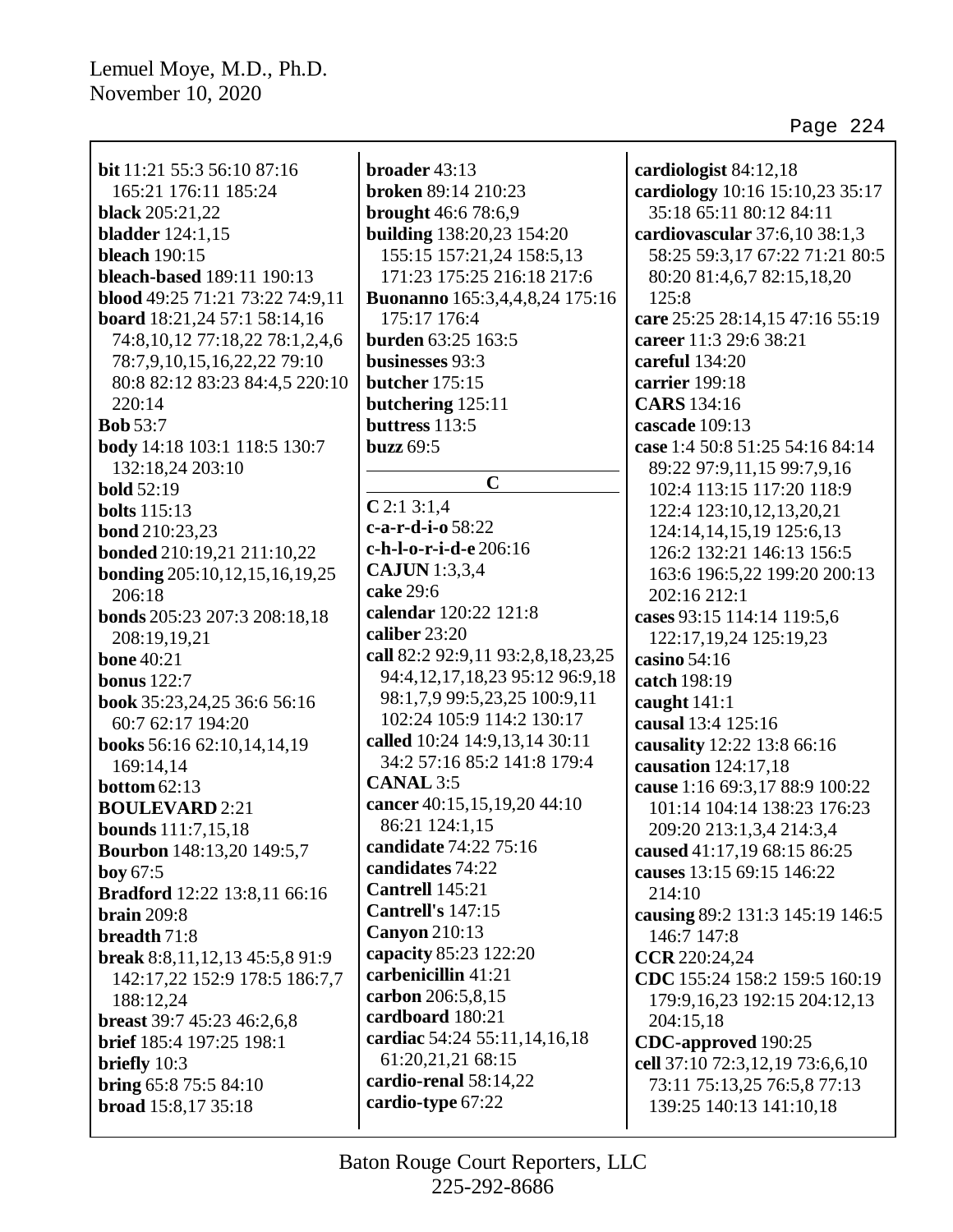| <b>bit</b> 11:21 55:3 56:10 87:16    | broader 43:13                                                  | cardiologist 84:12,18           |
|--------------------------------------|----------------------------------------------------------------|---------------------------------|
| 165:21 176:11 185:24                 | broken 89:14 210:23                                            | cardiology 10:16 15:10,23 35:17 |
| <b>black</b> 205:21,22               | <b>brought</b> 46:6 78:6,9                                     | 35:18 65:11 80:12 84:11         |
| <b>bladder</b> 124:1,15              | building 138:20,23 154:20                                      | cardiovascular 37:6,10 38:1,3   |
| <b>bleach</b> 190:15                 | 155:15 157:21,24 158:5,13                                      | 58:25 59:3,17 67:22 71:21 80:5  |
|                                      |                                                                |                                 |
| bleach-based 189:11 190:13           | 171:23 175:25 216:18 217:6                                     | 80:20 81:4,6,7 82:15,18,20      |
| blood 49:25 71:21 73:22 74:9,11      | <b>Buonanno</b> 165:3,4,4,8,24 175:16                          | 125:8                           |
| board 18:21,24 57:1 58:14,16         | 175:17 176:4                                                   | care 25:25 28:14,15 47:16 55:19 |
| 74:8, 10, 12 77:18, 22 78:1, 2, 4, 6 | <b>burden</b> 63:25 163:5                                      | career 11:3 29:6 38:21          |
| 78:7,9,10,15,16,22,22 79:10          | businesses 93:3                                                | careful 134:20                  |
| 80:8 82:12 83:23 84:4,5 220:10       | butcher 175:15                                                 | carrier 199:18                  |
| 220:14                               | butchering 125:11                                              | <b>CARS</b> 134:16              |
| <b>Bob</b> 53:7                      | buttress $113:5$                                               | cascade 109:13                  |
| body 14:18 103:1 118:5 130:7         | <b>buzz</b> 69:5                                               | case 1:4 50:8 51:25 54:16 84:14 |
| 132:18,24 203:10                     | $\mathbf C$                                                    | 89:22 97:9,11,15 99:7,9,16      |
| <b>bold</b> 52:19                    |                                                                | 102:4 113:15 117:20 118:9       |
| <b>bolts</b> 115:13                  | $C$ 2:1 3:1,4<br>c-a-r-d-i-o 58:22                             | 122:4 123:10, 12, 13, 20, 21    |
| <b>bond</b> 210:23,23                |                                                                | 124:14,14,15,19 125:6,13        |
| bonded 210:19,21 211:10,22           | c-h-l-o-r-i-d-e 206:16                                         | 126:2 132:21 146:13 156:5       |
| <b>bonding</b> 205:10,12,15,16,19,25 | <b>CAJUN</b> 1:3,3,4                                           | 163:6 196:5,22 199:20 200:13    |
| 206:18                               | cake 29:6<br>calendar 120:22 121:8                             | 202:16 212:1                    |
| bonds 205:23 207:3 208:18,18         | caliber 23:20                                                  | cases 93:15 114:14 119:5,6      |
| 208:19,19,21                         |                                                                | 122:17, 19, 24 125: 19, 23      |
| <b>bone 40:21</b>                    | call 82:2 92:9,11 93:2,8,18,23,25                              | casino 54:16                    |
| <b>bonus</b> 122:7                   | 94:4,12,17,18,23 95:12 96:9,18<br>98:1,7,9 99:5,23,25 100:9,11 | catch 198:19                    |
| book 35:23,24,25 36:6 56:16          | 102:24 105:9 114:2 130:17                                      | caught $141:1$                  |
| 60:7 62:17 194:20                    | called 10:24 14:9,13,14 30:11                                  | causal 13:4 125:16              |
| books 56:16 62:10,14,14,19           | 34:2 57:16 85:2 141:8 179:4                                    | causality 12:22 13:8 66:16      |
| 169:14,14                            | <b>CANAL 3:5</b>                                               | causation 124:17,18             |
| bottom $62:13$                       | cancer 40:15,15,19,20 44:10                                    | cause 1:16 69:3,17 88:9 100:22  |
| <b>BOULEVARD</b> 2:21                | 86:21 124:1,15                                                 | 101:14 104:14 138:23 176:23     |
| <b>bounds</b> 111:7,15,18            | candidate 74:22 75:16                                          | 209:20 213:1,3,4 214:3,4        |
| <b>Bourbon</b> 148:13,20 149:5,7     | candidates 74:22                                               | caused 41:17,19 68:15 86:25     |
| boy 67:5                             | Cantrell 145:21                                                | causes 13:15 69:15 146:22       |
| <b>Bradford</b> 12:22 13:8,11 66:16  | Cantrell's 147:15                                              | 214:10                          |
| <b>brain</b> 209:8                   | <b>Canyon</b> 210:13                                           | causing 89:2 131:3 145:19 146:5 |
| breadth 71:8                         | capacity 85:23 122:20                                          | 146:7 147:8                     |
| break 8:8,11,12,13 45:5,8 91:9       | carbenicillin 41:21                                            | CCR 220:24,24                   |
| 142:17,22 152:9 178:5 186:7,7        | carbon 206:5,8,15                                              | CDC 155:24 158:2 159:5 160:19   |
| 188:12,24                            | cardboard 180:21                                               | 179:9,16,23 192:15 204:12,13    |
| breast 39:7 45:23 46:2,6,8           | cardiac 54:24 55:11,14,16,18                                   | 204:15,18                       |
| <b>brief</b> 185:4 197:25 198:1      | 61:20,21,21 68:15                                              | CDC-approved 190:25             |
| briefly 10:3                         | cardio-renal 58:14,22                                          | cell 37:10 72:3,12,19 73:6,6,10 |
| bring $65:875:584:10$                | cardio-type 67:22                                              | 73:11 75:13,25 76:5,8 77:13     |
| broad 15:8,17 35:18                  |                                                                | 139:25 140:13 141:10,18         |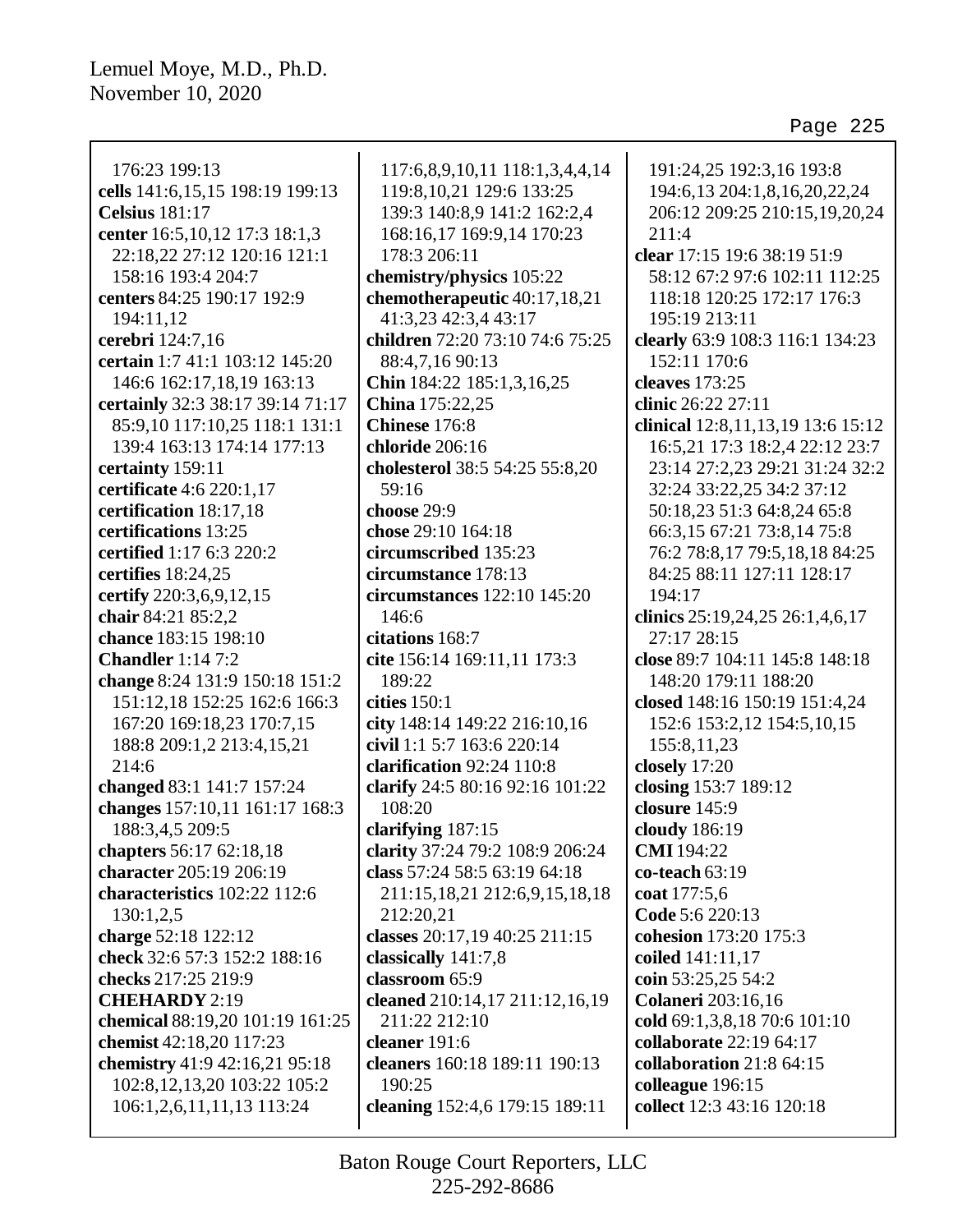176:23 199:13 **cells** 141:6,15,15 198:19 199:13 **Celsius** 181:17 **center** 16:5,10,12 17:3 18:1,3 22:18,22 27:12 120:16 121:1 158:16 193:4 204:7 **centers** 84:25 190:17 192:9 194:11,12 **cerebri** 124:7,16 **certain** 1:7 41:1 103:12 145:20 146:6 162:17,18,19 163:13 **certainly** 32:3 38:17 39:14 71:17 85:9,10 117:10,25 118:1 131:1 139:4 163:13 174:14 177:13 **certainty** 159:11 **certificate** 4:6 220:1,17 **certification** 18:17,18 **certifications** 13:25 **certified** 1:17 6:3 220:2 **certifies** 18:24,25 **certify** 220:3,6,9,12,15 **chair** 84:21 85:2,2 **chance** 183:15 198:10 **Chandler** 1:14 7:2 **change** 8:24 131:9 150:18 151:2 151:12,18 152:25 162:6 166:3 167:20 169:18,23 170:7,15 188:8 209:1,2 213:4,15,21 214:6 **changed** 83:1 141:7 157:24 **changes** 157:10,11 161:17 168:3 188:3,4,5 209:5 **chapters** 56:17 62:18,18 **character** 205:19 206:19 **characteristics** 102:22 112:6 130:1,2,5 **charge** 52:18 122:12 **check** 32:6 57:3 152:2 188:16 **checks** 217:25 219:9 **CHEHARDY** 2:19 **chemical** 88:19,20 101:19 161:25 **chemist** 42:18,20 117:23 **chemistry** 41:9 42:16,21 95:18 102:8,12,13,20 103:22 105:2 106:1,2,6,11,11,13 113:24

117:6,8,9,10,11 118:1,3,4,4,14 119:8,10,21 129:6 133:25 139:3 140:8,9 141:2 162:2,4 168:16,17 169:9,14 170:23 178:3 206:11 **chemistry/physics** 105:22 **chemotherapeutic** 40:17,18,21 41:3,23 42:3,4 43:17 **children** 72:20 73:10 74:6 75:25 88:4,7,16 90:13 **Chin** 184:22 185:1,3,16,25 **China** 175:22,25 **Chinese** 176:8 **chloride** 206:16 **cholesterol** 38:5 54:25 55:8,20 59:16 **choose** 29:9 **chose** 29:10 164:18 **circumscribed** 135:23 **circumstance** 178:13 **circumstances** 122:10 145:20 146:6 **citations** 168:7 **cite** 156:14 169:11,11 173:3 189:22 **cities** 150:1 **city** 148:14 149:22 216:10,16 **civil** 1:1 5:7 163:6 220:14 **clarification** 92:24 110:8 **clarify** 24:5 80:16 92:16 101:22 108:20 **clarifying** 187:15 **clarity** 37:24 79:2 108:9 206:24 **class** 57:24 58:5 63:19 64:18 211:15,18,21 212:6,9,15,18,18 212:20,21 **classes** 20:17,19 40:25 211:15 **classically** 141:7,8 **classroom** 65:9 **cleaned** 210:14,17 211:12,16,19 211:22 212:10 **cleaner** 191:6 **cleaners** 160:18 189:11 190:13 190:25 **cleaning** 152:4,6 179:15 189:11

191:24,25 192:3,16 193:8 194:6,13 204:1,8,16,20,22,24 206:12 209:25 210:15,19,20,24 211:4 **clear** 17:15 19:6 38:19 51:9 58:12 67:2 97:6 102:11 112:25 118:18 120:25 172:17 176:3 195:19 213:11 **clearly** 63:9 108:3 116:1 134:23 152:11 170:6 **cleaves** 173:25 **clinic** 26:22 27:11 **clinical** 12:8,11,13,19 13:6 15:12 16:5,21 17:3 18:2,4 22:12 23:7 23:14 27:2,23 29:21 31:24 32:2 32:24 33:22,25 34:2 37:12 50:18,23 51:3 64:8,24 65:8 66:3,15 67:21 73:8,14 75:8 76:2 78:8,17 79:5,18,18 84:25 84:25 88:11 127:11 128:17 194:17 **clinics** 25:19,24,25 26:1,4,6,17 27:17 28:15 **close** 89:7 104:11 145:8 148:18 148:20 179:11 188:20 **closed** 148:16 150:19 151:4,24 152:6 153:2,12 154:5,10,15 155:8,11,23 **closely** 17:20 **closing** 153:7 189:12 **closure** 145:9 **cloudy** 186:19 **CMI** 194:22 **co-teach** 63:19 **coat** 177:5,6 **Code** 5:6 220:13 **cohesion** 173:20 175:3 **coiled** 141:11,17 **coin** 53:25,25 54:2 **Colaneri** 203:16,16 **cold** 69:1,3,8,18 70:6 101:10 **collaborate** 22:19 64:17 **collaboration** 21:8 64:15 **colleague** 196:15 **collect** 12:3 43:16 120:18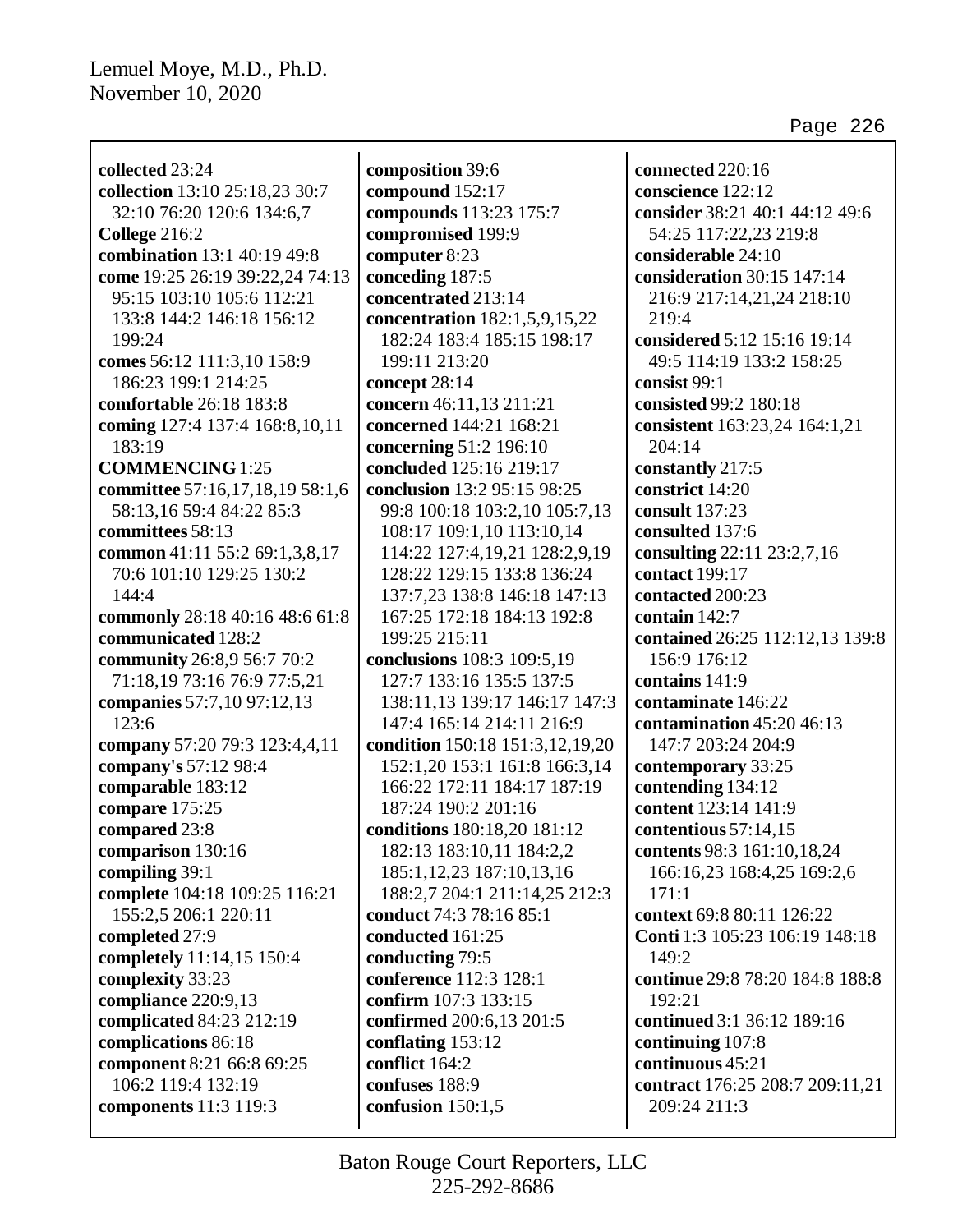| collected 23:24                 |
|---------------------------------|
| collection 13:10 25:18,23 30:7  |
| 32:10 76:20 120:6 134:6,7       |
| College 216:2                   |
| combination 13:1 40:19 49:8     |
| come 19:25 26:19 39:22,24 74:13 |
| 95:15 103:10 105:6 112:21       |
| 133:8 144:2 146:18 156:12       |
|                                 |
| 199:24                          |
| comes 56:12 111:3,10 158:9      |
| 186:23 199:1 214:25             |
| comfortable 26:18 183:8         |
| coming 127:4 137:4 168:8,10,11  |
| 183:19                          |
| <b>COMMENCING</b> 1:25          |
| committee 57:16,17,18,19 58:1,6 |
| 58:13,16 59:4 84:22 85:3        |
| committees 58:13                |
| common 41:11 55:2 69:1,3,8,17   |
| 70:6 101:10 129:25 130:2        |
| 144:4                           |
| commonly 28:18 40:16 48:6 61:8  |
| communicated 128:2              |
| community 26:8,9 56:7 70:2      |
| 71:18,19 73:16 76:9 77:5,21     |
| companies 57:7,10 97:12,13      |
| 123:6                           |
|                                 |
| company 57:20 79:3 123:4,4,11   |
| company's 57:12 98:4            |
| comparable 183:12               |
| compare 175:25                  |
| compared 23:8                   |
| comparison 130:16               |
| compiling 39:1                  |
| complete 104:18 109:25 116:21   |
| 155:2,5 206:1 220:11            |
| completed 27:9                  |
| completely 11:14,15 150:4       |
| complexity 33:23                |
| compliance 220:9,13             |
| complicated 84:23 212:19        |
| complications 86:18             |
| component 8:21 66:8 69:25       |
| 106:2 119:4 132:19              |
| <b>components</b> 11:3 119:3    |
|                                 |

**composition** 39:6 **compound** 152:17 **compounds** 113:23 175:7 **compromised** 199:9 **computer** 8:23 **conceding** 187:5 **concentrated** 213:14 **concentration** 182:1,5,9,15,22 182:24 183:4 185:15 198:17 199:11 213:20 **concept** 28:14 **concern** 46:11,13 211:21 **concerned** 144:21 168:21 **concerning** 51:2 196:10 **concluded** 125:16 219:17 **conclusion** 13:2 95:15 98:25 99:8 100:18 103:2,10 105:7,13 108:17 109:1,10 113:10,14 114:22 127:4,19,21 128:2,9,19 128:22 129:15 133:8 136:24 137:7,23 138:8 146:18 147:13 167:25 172:18 184:13 192:8 199:25 215:11 **conclusions** 108:3 109:5,19 127:7 133:16 135:5 137:5 138:11,13 139:17 146:17 147:3 147:4 165:14 214:11 216:9 **condition** 150:18 151:3,12,19,20 152:1,20 153:1 161:8 166:3,14 166:22 172:11 184:17 187:19 187:24 190:2 201:16 **conditions** 180:18,20 181:12 182:13 183:10,11 184:2,2 185:1,12,23 187:10,13,16 188:2,7 204:1 211:14,25 212:3 **conduct** 74:3 78:16 85:1 **conducted** 161:25 **conducting** 79:5 **conference** 112:3 128:1 **confirm** 107:3 133:15 **confirmed** 200:6,13 201:5 **conflating** 153:12 **conflict** 164:2 **confuses** 188:9 **confusion** 150:1,5

**connected** 220:16 **conscience** 122:12 **consider** 38:21 40:1 44:12 49:6 54:25 117:22,23 219:8 **considerable** 24:10 **consideration** 30:15 147:14 216:9 217:14,21,24 218:10 219:4 **considered** 5:12 15:16 19:14 49:5 114:19 133:2 158:25 **consist** 99:1 **consisted** 99:2 180:18 **consistent** 163:23,24 164:1,21 204:14 **constantly** 217:5 **constrict** 14:20 **consult** 137:23 **consulted** 137:6 **consulting** 22:11 23:2,7,16 **contact** 199:17 **contacted** 200:23 **contain** 142:7 **contained** 26:25 112:12,13 139:8 156:9 176:12 **contains** 141:9 **contaminate** 146:22 **contamination** 45:20 46:13 147:7 203:24 204:9 **contemporary** 33:25 **contending** 134:12 **content** 123:14 141:9 **contentious** 57:14,15 **contents** 98:3 161:10,18,24 166:16,23 168:4,25 169:2,6 171:1 **context** 69:8 80:11 126:22 **Conti** 1:3 105:23 106:19 148:18 149:2 **continue** 29:8 78:20 184:8 188:8 192:21 **continued** 3:1 36:12 189:16 **continuing** 107:8 **continuous** 45:21 **contract** 176:25 208:7 209:11,21 209:24 211:3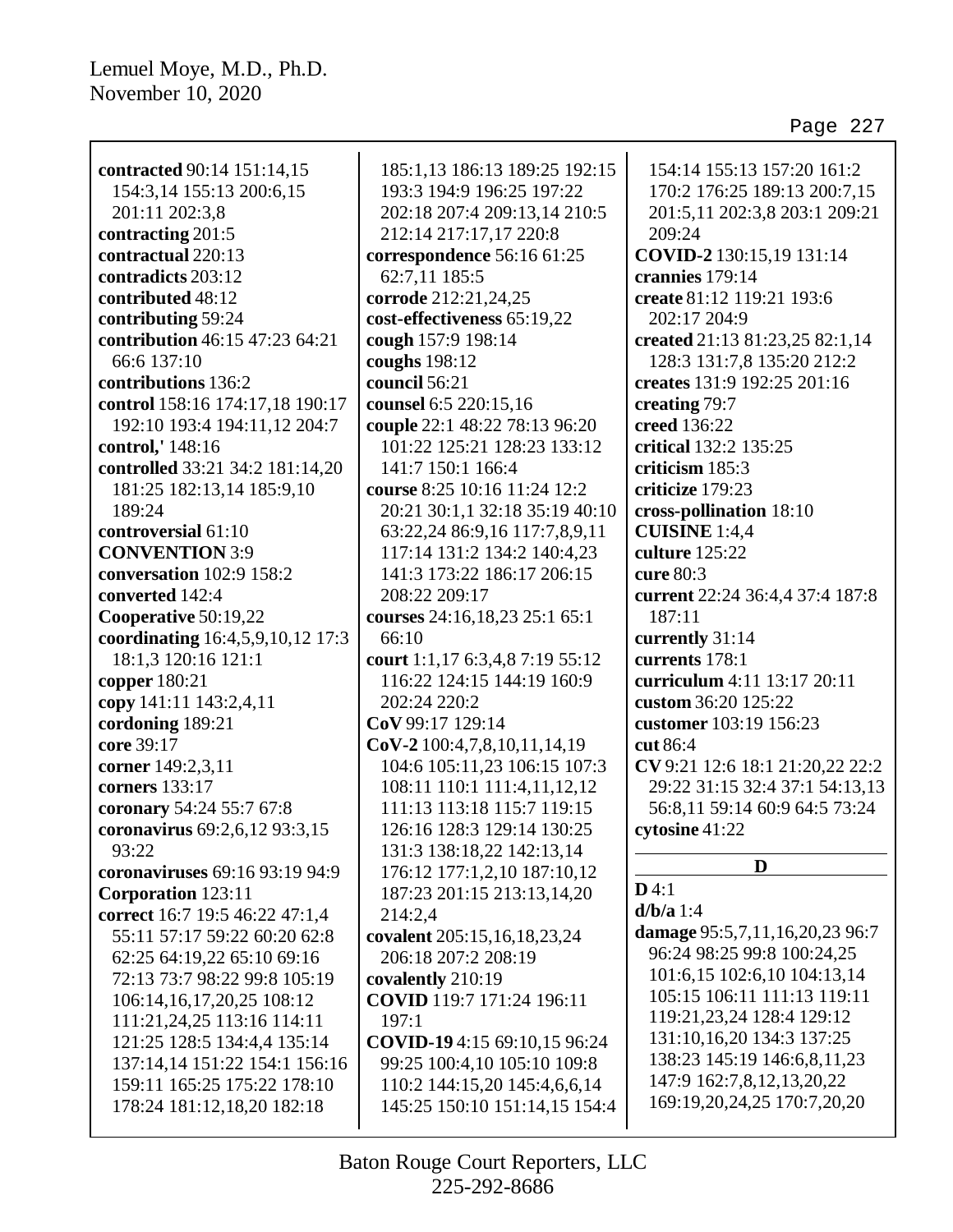| contracted 90:14 151:14,15       | 185:1,13 186:13 189:25 192:15   | 154:14 155:13 157:20 161:2      |
|----------------------------------|---------------------------------|---------------------------------|
| 154:3,14 155:13 200:6,15         | 193:3 194:9 196:25 197:22       | 170:2 176:25 189:13 200:7,15    |
| 201:11 202:3,8                   | 202:18 207:4 209:13,14 210:5    | 201:5,11 202:3,8 203:1 209:21   |
| contracting 201:5                | 212:14 217:17,17 220:8          | 209:24                          |
| contractual 220:13               | correspondence 56:16 61:25      | COVID-2 130:15,19 131:14        |
| contradicts 203:12               | 62:7,11 185:5                   | crannies 179:14                 |
| contributed 48:12                | corrode 212:21,24,25            | create 81:12 119:21 193:6       |
| contributing 59:24               | cost-effectiveness 65:19,22     | 202:17 204:9                    |
| contribution 46:15 47:23 64:21   | cough 157:9 198:14              | created 21:13 81:23,25 82:1,14  |
| 66:6 137:10                      | coughs 198:12                   | 128:3 131:7,8 135:20 212:2      |
| contributions 136:2              | council 56:21                   | creates 131:9 192:25 201:16     |
| control 158:16 174:17,18 190:17  | counsel 6:5 220:15,16           | creating 79:7                   |
| 192:10 193:4 194:11,12 204:7     | couple 22:1 48:22 78:13 96:20   | creed 136:22                    |
| control,' 148:16                 | 101:22 125:21 128:23 133:12     | critical 132:2 135:25           |
| controlled 33:21 34:2 181:14,20  | 141:7 150:1 166:4               | criticism 185:3                 |
| 181:25 182:13,14 185:9,10        | course 8:25 10:16 11:24 12:2    | criticize 179:23                |
| 189:24                           | 20:21 30:1,1 32:18 35:19 40:10  | cross-pollination 18:10         |
| controversial 61:10              | 63:22,24 86:9,16 117:7,8,9,11   | <b>CUISINE</b> 1:4,4            |
| <b>CONVENTION 3:9</b>            | 117:14 131:2 134:2 140:4,23     | culture 125:22                  |
| conversation 102:9 158:2         | 141:3 173:22 186:17 206:15      | cure 80:3                       |
| converted 142:4                  | 208:22 209:17                   | current 22:24 36:4,4 37:4 187:8 |
| Cooperative 50:19,22             | courses 24:16,18,23 25:1 65:1   | 187:11                          |
| coordinating 16:4,5,9,10,12 17:3 | 66:10                           | currently 31:14                 |
| 18:1,3 120:16 121:1              | court 1:1,17 6:3,4,8 7:19 55:12 | currents 178:1                  |
| copper 180:21                    | 116:22 124:15 144:19 160:9      | curriculum 4:11 13:17 20:11     |
| copy 141:11 143:2,4,11           | 202:24 220:2                    | custom 36:20 125:22             |
| cordoning 189:21                 | CoV 99:17 129:14                | customer 103:19 156:23          |
| core 39:17                       | $CoV-2100:4,7,8,10,11,14,19$    | cut 86:4                        |
| corner 149:2,3,11                | 104:6 105:11,23 106:15 107:3    | CV 9:21 12:6 18:1 21:20,22 22:2 |
| corners 133:17                   | 108:11 110:1 111:4,11,12,12     | 29:22 31:15 32:4 37:1 54:13,13  |
| coronary 54:24 55:7 67:8         | 111:13 113:18 115:7 119:15      | 56:8,11 59:14 60:9 64:5 73:24   |
| coronavirus 69:2,6,12 93:3,15    | 126:16 128:3 129:14 130:25      | cytosine 41:22                  |
| 93:22                            | 131:3 138:18,22 142:13,14       |                                 |
| coronaviruses 69:16 93:19 94:9   | 176:12 177:1,2,10 187:10,12     | D                               |
| <b>Corporation</b> 123:11        | 187:23 201:15 213:13,14,20      | D4:1                            |
| correct 16:7 19:5 46:22 47:1,4   | 214:2,4                         | $d/b/a$ 1:4                     |
| 55:11 57:17 59:22 60:20 62:8     | covalent 205:15,16,18,23,24     | damage 95:5,7,11,16,20,23 96:7  |
| 62:25 64:19,22 65:10 69:16       | 206:18 207:2 208:19             | 96:24 98:25 99:8 100:24,25      |
| 72:13 73:7 98:22 99:8 105:19     | covalently 210:19               | 101:6,15 102:6,10 104:13,14     |
| 106:14,16,17,20,25 108:12        | COVID 119:7 171:24 196:11       | 105:15 106:11 111:13 119:11     |
| 111:21,24,25 113:16 114:11       | 197:1                           | 119:21, 23, 24 128:4 129:12     |
| 121:25 128:5 134:4,4 135:14      | COVID-19 4:15 69:10,15 96:24    | 131:10, 16, 20 134: 3 137: 25   |
| 137:14,14 151:22 154:1 156:16    | 99:25 100:4,10 105:10 109:8     | 138:23 145:19 146:6,8,11,23     |
| 159:11 165:25 175:22 178:10      | 110:2 144:15,20 145:4,6,6,14    | 147:9 162:7,8,12,13,20,22       |
| 178:24 181:12,18,20 182:18       | 145:25 150:10 151:14,15 154:4   | 169:19,20,24,25 170:7,20,20     |
|                                  |                                 |                                 |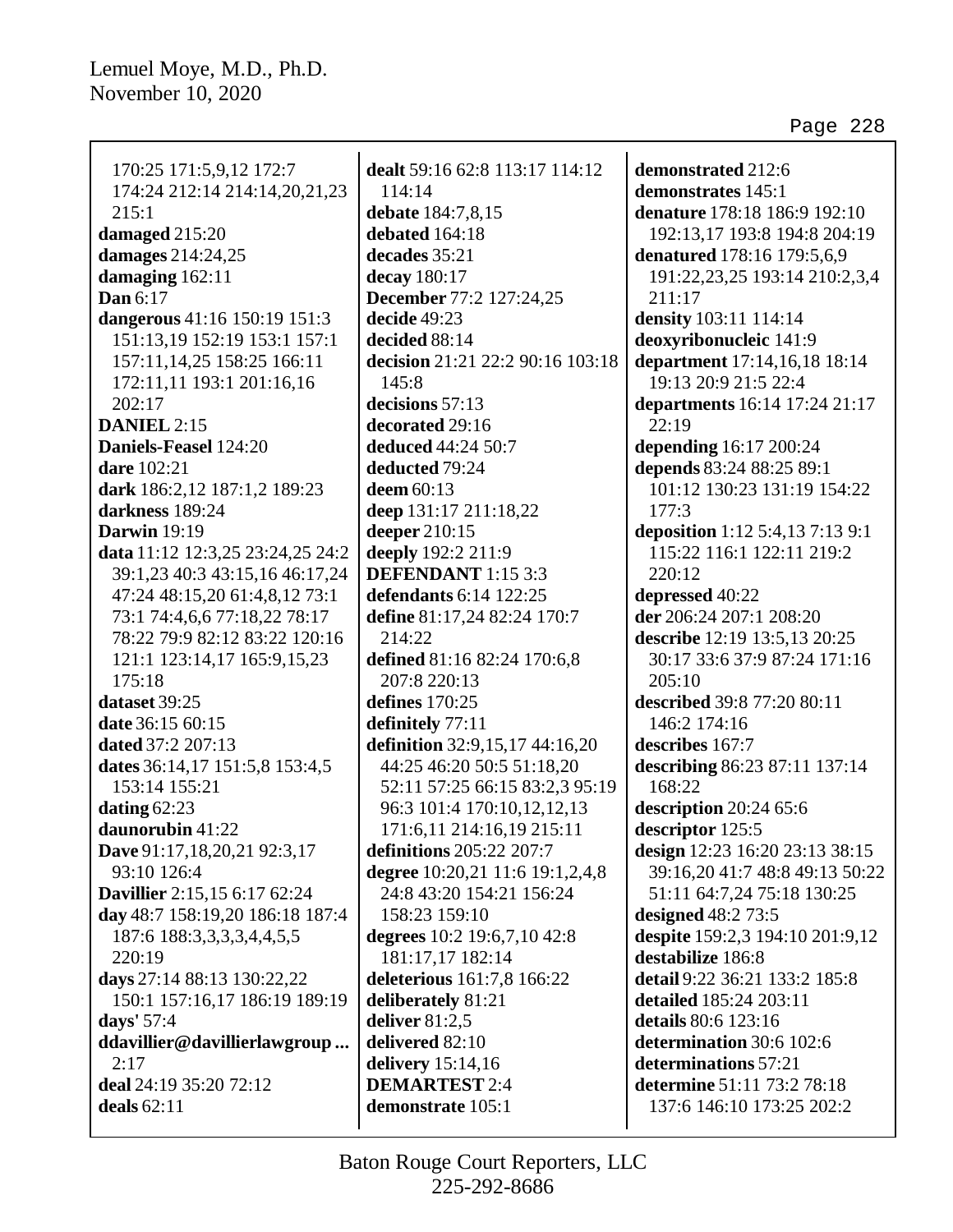| 170:25 171:5,9,12 172:7          |  |
|----------------------------------|--|
| 174:24 212:14 214:14,20,21,23    |  |
| 215:1                            |  |
| damaged 215:20                   |  |
| damages 214:24,25                |  |
| damaging 162:11                  |  |
| <b>Dan</b> 6:17                  |  |
| dangerous 41:16 150:19 151:3     |  |
| 151:13,19 152:19 153:1 157:1     |  |
| 157:11, 14, 25 158: 25 166: 11   |  |
| 172:11,11 193:1 201:16,16        |  |
| 202:17                           |  |
| DANIEL 2:15                      |  |
|                                  |  |
| Daniels-Feasel 124:20            |  |
| <b>dare</b> 102:21               |  |
| dark 186:2,12 187:1,2 189:23     |  |
| darkness 189:24                  |  |
| Darwin 19:19                     |  |
| data 11:12 12:3,25 23:24,25 24:2 |  |
| 39:1,23 40:3 43:15,16 46:17,24   |  |
| 47:24 48:15,20 61:4,8,12 73:1    |  |
| 73:1 74:4,6,6 77:18,22 78:17     |  |
| 78:22 79:9 82:12 83:22 120:16    |  |
| 121:1 123:14,17 165:9,15,23      |  |
| 175:18                           |  |
| dataset 39:25                    |  |
| date 36:15 60:15                 |  |
| dated 37:2 207:13                |  |
| dates 36:14,17 151:5,8 153:4,5   |  |
| 153:14 155:21                    |  |
|                                  |  |
| dating $62:23$                   |  |
| daunorubin 41:22                 |  |
| Dave 91:17,18,20,21 92:3,17      |  |
| 93:10 126:4                      |  |
| Davillier 2:15,15 6:17 62:24     |  |
| day 48:7 158:19,20 186:18 187:4  |  |
| 187:6 188:3,3,3,3,4,4,5,5        |  |
| 220:19                           |  |
| days 27:14 88:13 130:22,22       |  |
| 150:1 157:16,17 186:19 189:19    |  |
| days' 57:4                       |  |
| ddavillier@davillierlawgroup     |  |
| 2:17                             |  |
| deal 24:19 35:20 72:12           |  |
| deals $62:11$                    |  |
|                                  |  |

**dealt** 59:16 62:8 113:17 114:12 114:14 **debate** 184:7,8,15 **debated** 164:18 **decades** 35:21 **decay** 180:17 **December** 77:2 127:24,25 **decide** 49:23 **decided** 88:14 **decision** 21:21 22:2 90:16 103:18  $145:8$ **decisions** 57:13 **decorated** 29:16 **deduced** 44:24 50:7 **deducted** 79:24 **deem** 60:13 **deep** 131:17 211:18,22 **deeper** 210:15 **deeply** 192:2 211:9 **DEFENDANT** 1:15 3:3 **defendants** 6:14 122:25 **define** 81:17,24 82:24 170:7 214:22 **defined** 81:16 82:24 170:6,8 207:8 220:13 **defines** 170:25 **definitely** 77:11 **definition** 32:9,15,17 44:16,20 44:25 46:20 50:5 51:18,20 52:11 57:25 66:15 83:2,3 95:19 96:3 101:4 170:10,12,12,13 171:6,11 214:16,19 215:11 **definitions** 205:22 207:7 **degree** 10:20,21 11:6 19:1,2,4,8 24:8 43:20 154:21 156:24 158:23 159:10 **degrees** 10:2 19:6,7,10 42:8 181:17,17 182:14 **deleterious** 161:7,8 166:22 **deliberately** 81:21 **deliver** 81:2,5 **delivered** 82:10 **delivery** 15:14,16 **DEMARTEST** 2:4 **demonstrate** 105:1

**demonstrated** 212:6 **demonstrates** 145:1 **denature** 178:18 186:9 192:10 192:13,17 193:8 194:8 204:19 **denatured** 178:16 179:5,6,9 191:22,23,25 193:14 210:2,3,4 211:17 **density** 103:11 114:14 **deoxyribonucleic** 141:9 **department** 17:14,16,18 18:14 19:13 20:9 21:5 22:4 **departments** 16:14 17:24 21:17 22:19 **depending** 16:17 200:24 **depends** 83:24 88:25 89:1 101:12 130:23 131:19 154:22 177:3 **deposition** 1:12 5:4,13 7:13 9:1 115:22 116:1 122:11 219:2 220:12 **depressed** 40:22 **der** 206:24 207:1 208:20 **describe** 12:19 13:5,13 20:25 30:17 33:6 37:9 87:24 171:16  $205:10$ **described** 39:8 77:20 80:11 146:2 174:16 **describes** 167:7 **describing** 86:23 87:11 137:14 168:22 **description** 20:24 65:6 **descriptor** 125:5 **design** 12:23 16:20 23:13 38:15 39:16,20 41:7 48:8 49:13 50:22 51:11 64:7,24 75:18 130:25 **designed** 48:2 73:5 **despite** 159:2,3 194:10 201:9,12 **destabilize** 186:8 **detail** 9:22 36:21 133:2 185:8 **detailed** 185:24 203:11 **details** 80:6 123:16 **determination** 30:6 102:6 **determinations** 57:21 **determine** 51:11 73:2 78:18 137:6 146:10 173:25 202:2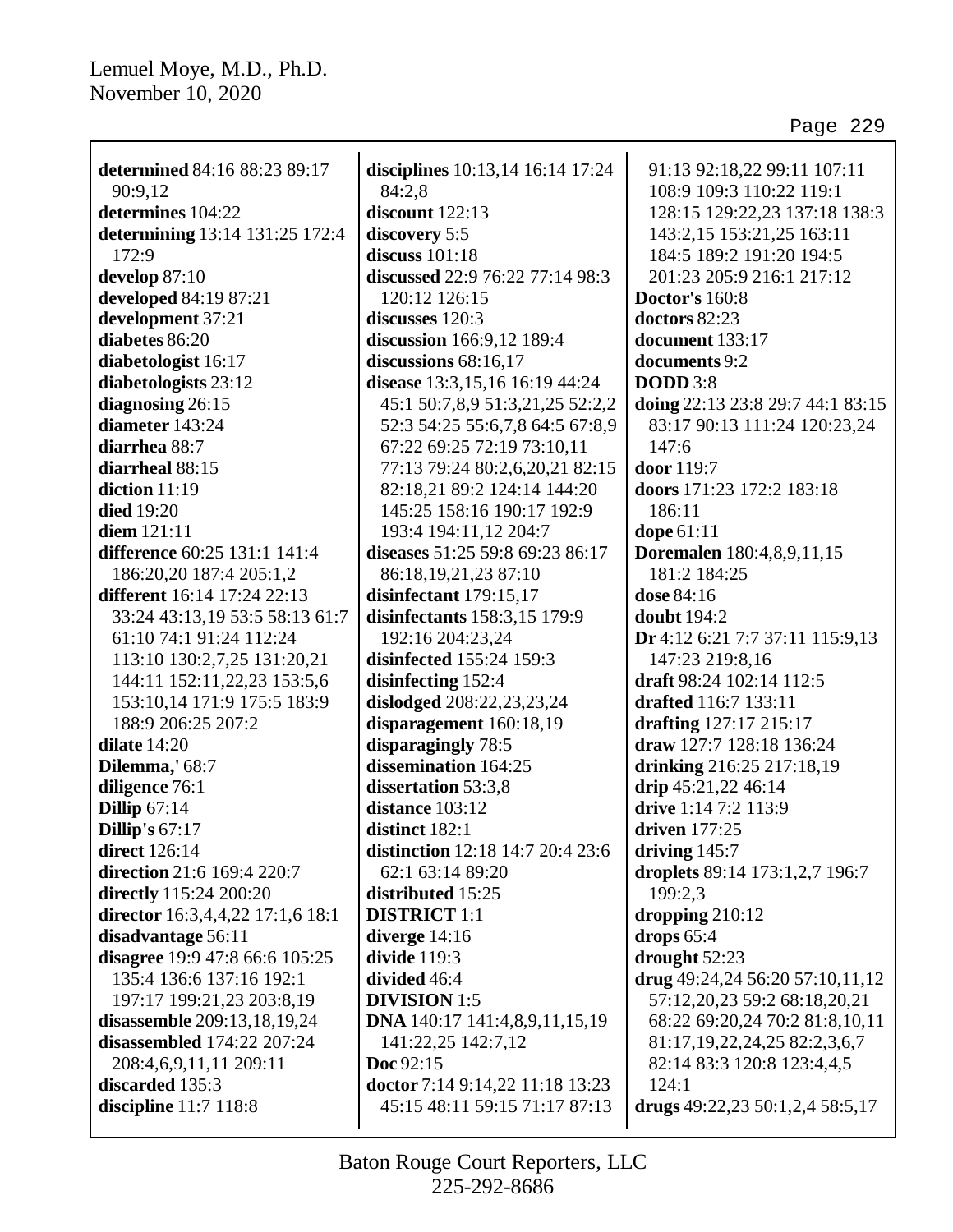| determined 84:16 88:23 89:17     | disciplines 10:13,14 16:14 17:24        | 91:13 92:18,22 99:11 107:11          |
|----------------------------------|-----------------------------------------|--------------------------------------|
| 90:9,12                          | 84:2,8                                  | 108:9 109:3 110:22 119:1             |
| determines 104:22                | discount 122:13                         | 128:15 129:22,23 137:18 138:3        |
| determining 13:14 131:25 172:4   | discovery 5:5                           | 143:2,15 153:21,25 163:11            |
| 172:9                            | discuss $101:18$                        | 184:5 189:2 191:20 194:5             |
| develop 87:10                    | <b>discussed</b> 22:9 76:22 77:14 98:3  | 201:23 205:9 216:1 217:12            |
| developed 84:19 87:21            | 120:12 126:15                           | <b>Doctor's 160:8</b>                |
| development 37:21                | discusses 120:3                         | doctors 82:23                        |
| diabetes 86:20                   | discussion 166:9,12 189:4               | document 133:17                      |
| diabetologist 16:17              | discussions $68:16,17$                  | documents 9:2                        |
| diabetologists 23:12             | disease 13:3,15,16 16:19 44:24          | <b>DODD</b> 3:8                      |
| diagnosing 26:15                 | 45:1 50:7,8,9 51:3,21,25 52:2,2         | doing 22:13 23:8 29:7 44:1 83:15     |
| diameter 143:24                  | 52:3 54:25 55:6,7,8 64:5 67:8,9         | 83:17 90:13 111:24 120:23,24         |
| diarrhea 88:7                    | 67:22 69:25 72:19 73:10,11              | 147:6                                |
| diarrheal 88:15                  | 77:13 79:24 80:2,6,20,21 82:15          | door 119:7                           |
| diction $11:19$                  | 82:18,21 89:2 124:14 144:20             | doors 171:23 172:2 183:18            |
| <b>died</b> 19:20                | 145:25 158:16 190:17 192:9              | 186:11                               |
| diem $121:11$                    | 193:4 194:11,12 204:7                   | dope 61:11                           |
| difference 60:25 131:1 141:4     | diseases 51:25 59:8 69:23 86:17         | <b>Doremalen</b> 180:4,8,9,11,15     |
| 186:20,20 187:4 205:1,2          | 86:18,19,21,23 87:10                    | 181:2 184:25                         |
| different 16:14 17:24 22:13      | disinfectant 179:15,17                  | dose 84:16                           |
|                                  |                                         | <b>doubt</b> 194:2                   |
| 33:24 43:13,19 53:5 58:13 61:7   | disinfectants 158:3,15 179:9            |                                      |
| 61:10 74:1 91:24 112:24          | 192:16 204:23,24                        | Dr 4:12 6:21 7:7 37:11 115:9,13      |
| 113:10 130:2,7,25 131:20,21      | disinfected 155:24 159:3                | 147:23 219:8,16                      |
| 144:11 152:11,22,23 153:5,6      | disinfecting 152:4                      | draft 98:24 102:14 112:5             |
| 153:10,14 171:9 175:5 183:9      | dislodged 208:22,23,23,24               | drafted 116:7 133:11                 |
| 188:9 206:25 207:2               | disparagement 160:18,19                 | drafting 127:17 215:17               |
| dilate $14:20$                   | disparagingly 78:5                      | draw 127:7 128:18 136:24             |
| Dilemma,' 68:7                   | dissemination 164:25                    | drinking 216:25 217:18,19            |
| diligence 76:1                   | dissertation 53:3,8                     | drip 45:21,22 46:14                  |
| <b>Dillip 67:14</b>              | distance 103:12                         | drive 1:14 7:2 113:9                 |
| <b>Dillip's 67:17</b>            | distinct 182:1                          | driven 177:25                        |
| direct $126:14$                  | <b>distinction</b> 12:18 14:7 20:4 23:6 | driving $145:7$                      |
| direction 21:6 169:4 220:7       | 62:1 63:14 89:20                        | droplets 89:14 173:1,2,7 196:7       |
| directly 115:24 200:20           | distributed 15:25                       | 199:2,3                              |
| director 16:3,4,4,22 17:1,6 18:1 | <b>DISTRICT</b> 1:1                     | dropping $210:12$                    |
| disadvantage 56:11               | diverge $14:16$                         | drops $65:4$                         |
| disagree 19:9 47:8 66:6 105:25   | divide $119:3$                          | drought 52:23                        |
| 135:4 136:6 137:16 192:1         | divided 46:4                            | drug 49:24,24 56:20 57:10,11,12      |
| 197:17 199:21,23 203:8,19        | <b>DIVISION</b> 1:5                     | 57:12,20,23 59:2 68:18,20,21         |
| disassemble 209:13,18,19,24      | <b>DNA</b> 140:17 141:4,8,9,11,15,19    | 68:22 69:20,24 70:2 81:8,10,11       |
| disassembled 174:22 207:24       | 141:22,25 142:7,12                      | 81:17, 19, 22, 24, 25 82: 2, 3, 6, 7 |
| 208:4,6,9,11,11 209:11           | Doc 92:15                               | 82:14 83:3 120:8 123:4,4,5           |
| discarded 135:3                  | doctor 7:14 9:14,22 11:18 13:23         | 124:1                                |
| discipline 11:7 118:8            | 45:15 48:11 59:15 71:17 87:13           | drugs $49:22,23\ 50:1,2,4\ 58:5,17$  |
|                                  |                                         |                                      |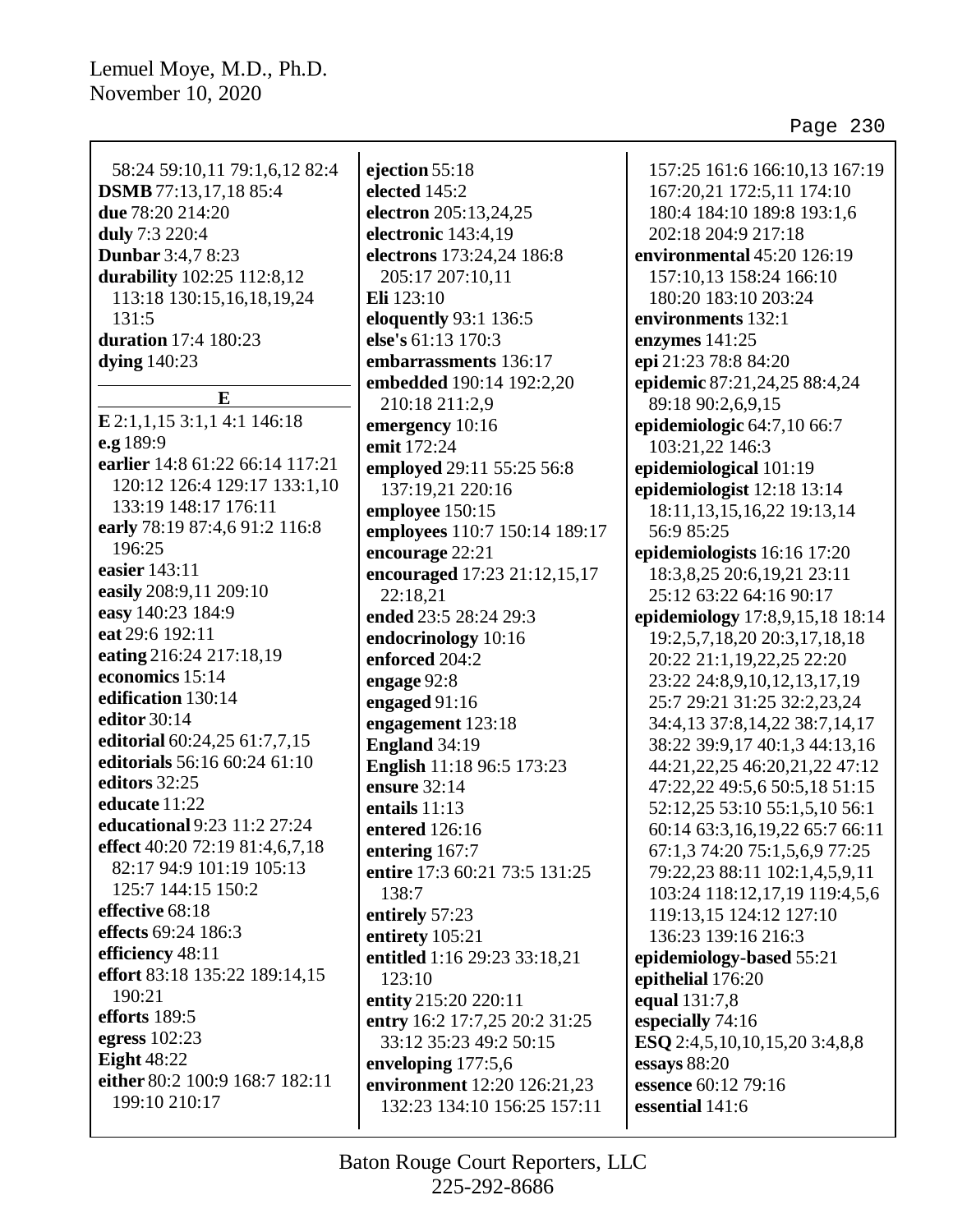| 58:24 59:10,11 79:1,6,12 82:4<br><b>DSMB</b> 77:13,17,18 85:4 | ejection 55:18<br>elected 145:2 | 157:25 161:6 166:10,13 167:19        |
|---------------------------------------------------------------|---------------------------------|--------------------------------------|
| due 78:20 214:20                                              |                                 | 167:20,21 172:5,11 174:10            |
|                                                               | electron 205:13,24,25           | 180:4 184:10 189:8 193:1,6           |
| duly 7:3 220:4                                                | electronic 143:4,19             | 202:18 204:9 217:18                  |
| <b>Dunbar</b> 3:4,7 8:23                                      | electrons 173:24,24 186:8       | environmental 45:20 126:19           |
| durability 102:25 112:8,12                                    | 205:17 207:10,11                | 157:10,13 158:24 166:10              |
| 113:18 130:15,16,18,19,24                                     | Eli 123:10                      | 180:20 183:10 203:24                 |
| 131:5                                                         | eloquently 93:1 136:5           | environments 132:1                   |
| <b>duration</b> 17:4 180:23                                   | else's 61:13 170:3              | enzymes 141:25                       |
| dying $140:23$                                                | embarrassments 136:17           | epi 21:23 78:8 84:20                 |
| $\bf{E}$                                                      | embedded 190:14 192:2,20        | epidemic 87:21,24,25 88:4,24         |
|                                                               | 210:18 211:2,9                  | 89:18 90:2,6,9,15                    |
| E 2:1, 1, 15 3:1, 14:1 146:18                                 | emergency 10:16                 | epidemiologic 64:7,10 66:7           |
| e.g 189:9                                                     | emit 172:24                     | 103:21,22 146:3                      |
| earlier 14:8 61:22 66:14 117:21                               | employed 29:11 55:25 56:8       | epidemiological 101:19               |
| 120:12 126:4 129:17 133:1,10                                  | 137:19,21 220:16                | epidemiologist 12:18 13:14           |
| 133:19 148:17 176:11                                          | employee 150:15                 | 18:11, 13, 15, 16, 22 19:13, 14      |
| early 78:19 87:4,6 91:2 116:8                                 | employees 110:7 150:14 189:17   | 56:9 85:25                           |
| 196:25                                                        | encourage 22:21                 | epidemiologists 16:16 17:20          |
| easier 143:11                                                 | encouraged 17:23 21:12,15,17    | 18:3,8,25 20:6,19,21 23:11           |
| easily 208:9,11 209:10                                        | 22:18,21                        | 25:12 63:22 64:16 90:17              |
| easy 140:23 184:9                                             | ended 23:5 28:24 29:3           | epidemiology 17:8,9,15,18 18:14      |
| eat 29:6 192:11                                               | endocrinology 10:16             | 19:2,5,7,18,20 20:3,17,18,18         |
| eating 216:24 217:18,19                                       | enforced 204:2                  | 20:22 21:1,19,22,25 22:20            |
| economics 15:14                                               | engage 92:8                     | 23:22 24:8,9,10,12,13,17,19          |
| edification 130:14                                            | engaged 91:16                   | 25:7 29:21 31:25 32:2,23,24          |
| editor 30:14                                                  | engagement 123:18               | 34:4,13 37:8,14,22 38:7,14,17        |
| editorial 60:24,25 61:7,7,15                                  | England 34:19                   | 38:22 39:9,17 40:1,3 44:13,16        |
| editorials 56:16 60:24 61:10                                  | English 11:18 96:5 173:23       | 44:21,22,25 46:20,21,22 47:12        |
| editors 32:25                                                 | ensure 32:14                    | 47:22,22 49:5,6 50:5,18 51:15        |
| educate 11:22                                                 | entails $11:13$                 | 52:12,25 53:10 55:1,5,10 56:1        |
| educational 9:23 11:2 27:24                                   | entered 126:16                  | 60:14 63:3,16,19,22 65:7 66:11       |
| effect 40:20 72:19 81:4,6,7,18                                | entering 167:7                  | 67:1,3 74:20 75:1,5,6,9 77:25        |
| 82:17 94:9 101:19 105:13                                      | entire 17:3 60:21 73:5 131:25   | 79:22,23 88:11 102:1,4,5,9,11        |
| 125:7 144:15 150:2                                            | 138:7                           | 103:24 118:12,17,19 119:4,5,6        |
| effective 68:18                                               | entirely 57:23                  | 119:13,15 124:12 127:10              |
| effects 69:24 186:3                                           | entirety 105:21                 | 136:23 139:16 216:3                  |
| efficiency 48:11                                              | entitled 1:16 29:23 33:18,21    | epidemiology-based 55:21             |
| effort 83:18 135:22 189:14,15                                 | 123:10                          | epithelial 176:20                    |
| 190:21                                                        | entity 215:20 220:11            | equal 131:7,8                        |
| efforts 189:5                                                 | entry 16:2 17:7,25 20:2 31:25   | especially 74:16                     |
| egress $102:23$                                               | 33:12 35:23 49:2 50:15          | <b>ESQ</b> 2:4,5,10,10,15,20 3:4,8,8 |
| <b>Eight</b> 48:22                                            | enveloping 177:5,6              | essays 88:20                         |
| either 80:2 100:9 168:7 182:11                                | environment 12:20 126:21,23     | essence 60:12 79:16                  |
| 199:10 210:17                                                 | 132:23 134:10 156:25 157:11     | essential 141:6                      |
|                                                               |                                 |                                      |
|                                                               |                                 |                                      |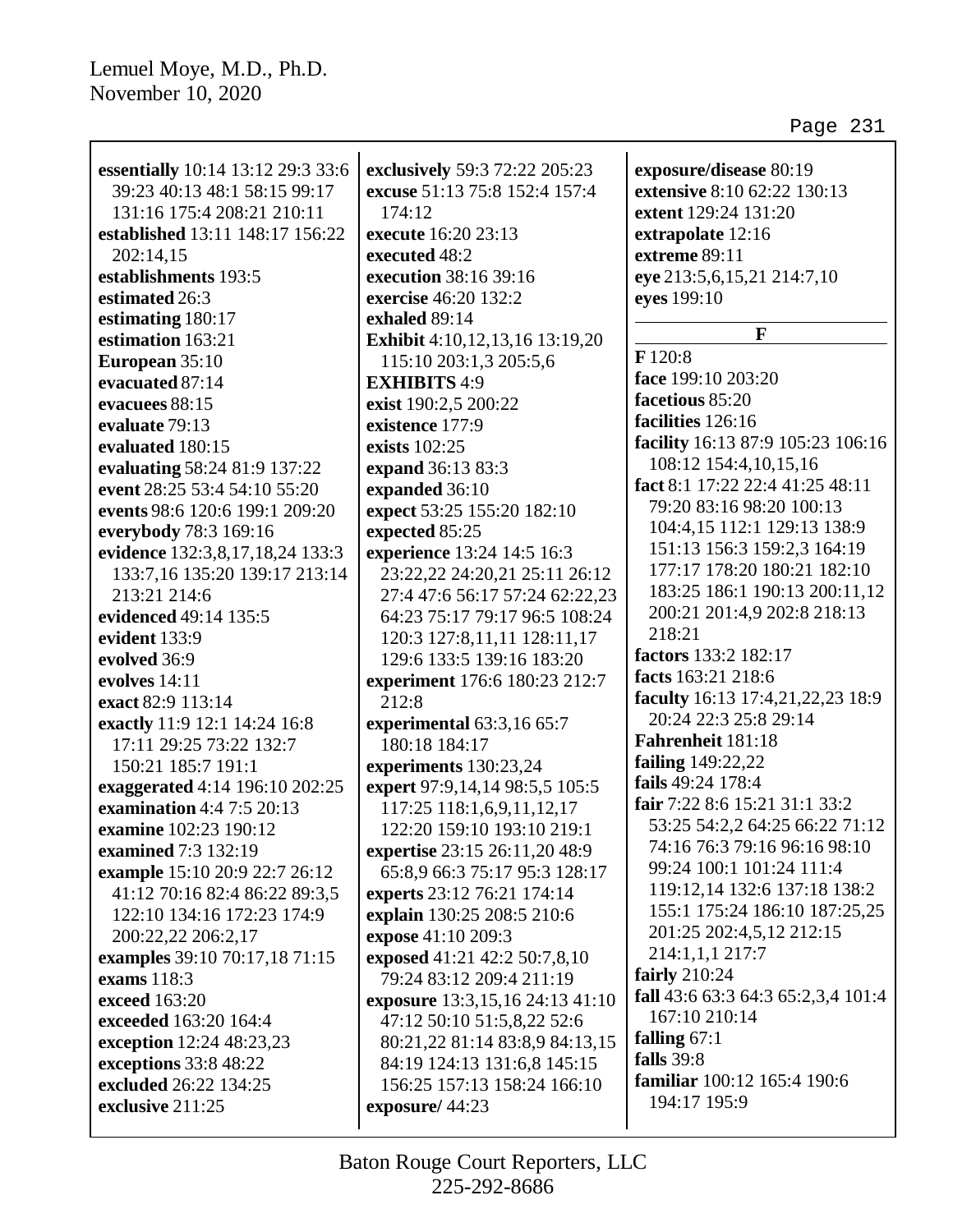| essentially 10:14 13:12 29:3 33:6 | exclusively 59:3 72:22 205:23   | exposure/disease 80:19             |
|-----------------------------------|---------------------------------|------------------------------------|
| 39:23 40:13 48:1 58:15 99:17      | excuse 51:13 75:8 152:4 157:4   | extensive 8:10 62:22 130:13        |
| 131:16 175:4 208:21 210:11        | 174:12                          | extent 129:24 131:20               |
| established 13:11 148:17 156:22   | execute 16:20 23:13             | extrapolate 12:16                  |
| 202:14,15                         | executed 48:2                   | extreme 89:11                      |
| establishments 193:5              | execution 38:16 39:16           | eye 213:5,6,15,21 214:7,10         |
| estimated 26:3                    | exercise 46:20 132:2            | eyes 199:10                        |
| estimating 180:17                 | exhaled 89:14                   |                                    |
| estimation 163:21                 | Exhibit 4:10,12,13,16 13:19,20  | $\mathbf{F}$                       |
| European 35:10                    | 115:10 203:1,3 205:5,6          | F 120:8                            |
| evacuated 87:14                   | <b>EXHIBITS 4:9</b>             | face 199:10 203:20                 |
| evacuees 88:15                    | exist 190:2,5 200:22            | facetious 85:20                    |
| evaluate 79:13                    | existence 177:9                 | facilities 126:16                  |
| evaluated 180:15                  | exists 102:25                   | facility 16:13 87:9 105:23 106:16  |
| evaluating 58:24 81:9 137:22      | expand 36:13 83:3               | 108:12 154:4,10,15,16              |
| event 28:25 53:4 54:10 55:20      | expanded 36:10                  | fact 8:1 17:22 22:4 41:25 48:11    |
| events 98:6 120:6 199:1 209:20    | expect 53:25 155:20 182:10      | 79:20 83:16 98:20 100:13           |
| everybody 78:3 169:16             | expected 85:25                  | 104:4,15 112:1 129:13 138:9        |
| evidence 132:3,8,17,18,24 133:3   | experience 13:24 14:5 16:3      | 151:13 156:3 159:2,3 164:19        |
| 133:7,16 135:20 139:17 213:14     | 23:22,22 24:20,21 25:11 26:12   | 177:17 178:20 180:21 182:10        |
| 213:21 214:6                      | 27:4 47:6 56:17 57:24 62:22,23  | 183:25 186:1 190:13 200:11,12      |
| evidenced 49:14 135:5             | 64:23 75:17 79:17 96:5 108:24   | 200:21 201:4,9 202:8 218:13        |
| evident 133:9                     | 120:3 127:8,11,11 128:11,17     | 218:21                             |
| evolved 36:9                      | 129:6 133:5 139:16 183:20       | factors 133:2 182:17               |
| evolves 14:11                     | experiment 176:6 180:23 212:7   | facts 163:21 218:6                 |
| exact 82:9 113:14                 | 212:8                           | faculty 16:13 17:4,21,22,23 18:9   |
| exactly 11:9 12:1 14:24 16:8      | experimental 63:3,16 65:7       | 20:24 22:3 25:8 29:14              |
| 17:11 29:25 73:22 132:7           | 180:18 184:17                   | Fahrenheit 181:18                  |
| 150:21 185:7 191:1                | experiments 130:23,24           | failing 149:22,22                  |
| exaggerated 4:14 196:10 202:25    | expert 97:9,14,14 98:5,5 105:5  | fails 49:24 178:4                  |
| <b>examination</b> 4:4 7:5 20:13  | 117:25 118:1,6,9,11,12,17       | fair 7:22 8:6 15:21 31:1 33:2      |
| examine 102:23 190:12             | 122:20 159:10 193:10 219:1      | 53:25 54:2,2 64:25 66:22 71:12     |
| <b>examined</b> 7:3 132:19        | expertise 23:15 26:11,20 48:9   | 74:16 76:3 79:16 96:16 98:10       |
| example 15:10 20:9 22:7 26:12     | 65:8,9 66:3 75:17 95:3 128:17   | 99:24 100:1 101:24 111:4           |
| 41:12 70:16 82:4 86:22 89:3,5     | experts 23:12 76:21 174:14      | 119:12,14 132:6 137:18 138:2       |
| 122:10 134:16 172:23 174:9        | explain 130:25 208:5 210:6      | 155:1 175:24 186:10 187:25,25      |
| 200:22,22 206:2,17                | expose 41:10 209:3              | 201:25 202:4,5,12 212:15           |
| examples 39:10 70:17,18 71:15     | exposed 41:21 42:2 50:7,8,10    | 214:1,1,1 217:7                    |
| exams 118:3                       | 79:24 83:12 209:4 211:19        | fairly $210:24$                    |
| exceed 163:20                     | exposure 13:3,15,16 24:13 41:10 | fall 43:6 63:3 64:3 65:2,3,4 101:4 |
| exceeded 163:20 164:4             | 47:12 50:10 51:5,8,22 52:6      | 167:10 210:14                      |
| exception 12:24 48:23,23          | 80:21,22 81:14 83:8,9 84:13,15  | falling $67:1$                     |
| exceptions 33:8 48:22             | 84:19 124:13 131:6,8 145:15     | falls 39:8                         |
| excluded 26:22 134:25             | 156:25 157:13 158:24 166:10     | familiar 100:12 165:4 190:6        |
| exclusive 211:25                  | exposure/44:23                  | 194:17 195:9                       |
|                                   |                                 |                                    |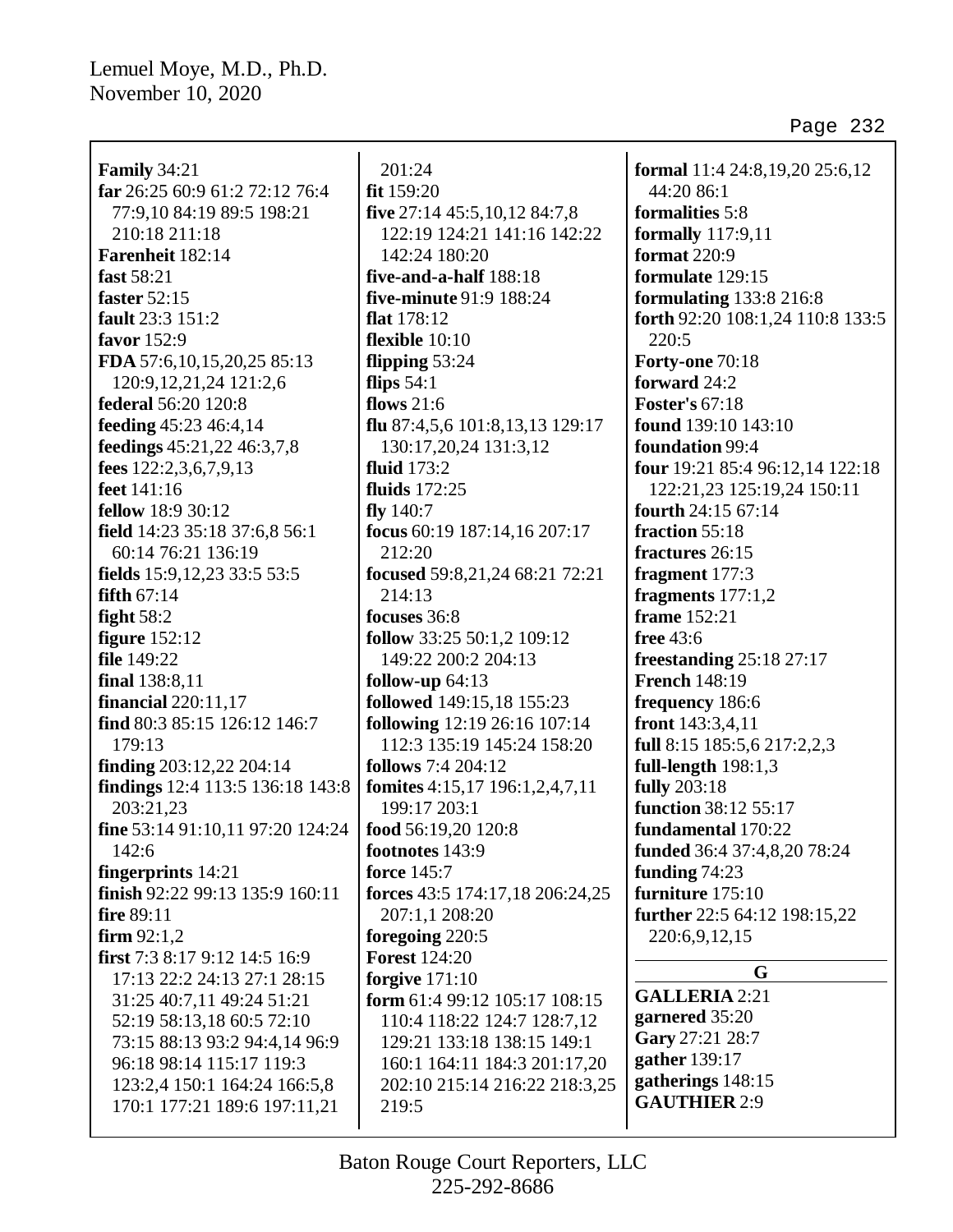$\overline{\Gamma}$ 

| <b>Family 34:21</b>                                     | 201:24                                |
|---------------------------------------------------------|---------------------------------------|
| far 26:25 60:9 61:2 72:12 76:4                          | fit 159:20                            |
| 77:9,10 84:19 89:5 198:21                               | five 27:14 45:5, 10, 12 84:7, 8       |
| 210:18 211:18                                           | 122:19 124:21 141:16 142:22           |
| Farenheit 182:14                                        | 142:24 180:20                         |
| fast 58:21                                              | five-and-a-half 188:18                |
| faster $52:15$                                          | five-minute 91:9 188:24               |
| fault 23:3 151:2                                        | flat 178:12                           |
| favor 152:9                                             | flexible $10:10$                      |
| FDA 57:6, 10, 15, 20, 25 85:13                          | flipping 53:24                        |
| 120:9, 12, 21, 24 121:2, 6                              | flips $54:1$                          |
| federal 56:20 120:8                                     | flows $21:6$                          |
| feeding 45:23 46:4,14                                   | flu 87:4,5,6 101:8,13,13 129:17       |
| feedings 45:21,22 46:3,7,8                              | 130:17,20,24 131:3,12                 |
| fees $122:2,3,6,7,9,13$                                 | fluid $173:2$                         |
| feet 141:16                                             | <b>fluids</b> 172:25                  |
| fellow 18:9 30:12                                       | fly $140:7$                           |
| field 14:23 35:18 37:6,8 56:1                           | focus 60:19 187:14,16 207:17          |
| 60:14 76:21 136:19                                      | 212:20                                |
| fields 15:9,12,23 33:5 53:5                             | focused 59:8,21,24 68:21 72:21        |
| fifth $67:14$                                           | 214:13                                |
| fight $58:2$                                            | focuses 36:8                          |
| <b>figure</b> 152:12                                    | follow 33:25 50:1,2 109:12            |
| file 149:22                                             | 149:22 200:2 204:13                   |
| final 138:8,11                                          | follow-up $64:13$                     |
| <b>financial</b> 220:11,17                              | followed 149:15,18 155:23             |
| find 80:3 85:15 126:12 146:7                            | following 12:19 26:16 107:14          |
| 179:13                                                  | 112:3 135:19 145:24 158:20            |
| finding 203:12,22 204:14                                | <b>follows</b> 7:4 204:12             |
| findings 12:4 113:5 136:18 143:8                        | fomites 4:15,17 196:1,2,4,7,11        |
| 203:21,23                                               | 199:17 203:1                          |
| fine 53:14 91:10,11 97:20 124:24                        | food 56:19,20 120:8                   |
| 142:6                                                   | footnotes 143:9<br><b>force</b> 145:7 |
| fingerprints $14:21$<br>finish 92:22 99:13 135:9 160:11 | forces 43:5 174:17,18 206:24,25       |
| <b>fire</b> 89:11                                       | 207:1,1 208:20                        |
| firm $92:1,2$                                           | foregoing 220:5                       |
| first 7:3 8:17 9:12 14:5 16:9                           | <b>Forest 124:20</b>                  |
| 17:13 22:2 24:13 27:1 28:15                             | forgive $171:10$                      |
| 31:25 40:7,11 49:24 51:21                               | form 61:4 99:12 105:17 108:15         |
| 52:19 58:13,18 60:5 72:10                               | 110:4 118:22 124:7 128:7,12           |
| 73:15 88:13 93:2 94:4,14 96:9                           | 129:21 133:18 138:15 149:1            |
| 96:18 98:14 115:17 119:3                                | 160:1 164:11 184:3 201:17,20          |
| 123:2,4 150:1 164:24 166:5,8                            | 202:10 215:14 216:22 218:3,25         |
| 170:1 177:21 189:6 197:11,21                            | 219:5                                 |
|                                                         |                                       |

**formal** 11:4 24:8,19,20 25:6,12 44:20 86:1 **formalities** 5:8 **formally** 117:9,11 **format** 220:9 **formulate** 129:15 **formulating** 133:8 216:8 **forth** 92:20 108:1,24 110:8 133:5 220:5 **Forty-one** 70:18 **forward** 24:2 **Foster's** 67:18 **found** 139:10 143:10 **foundation** 99:4 **four** 19:21 85:4 96:12,14 122:18 122:21,23 125:19,24 150:11 **fourth** 24:15 67:14 **fraction** 55:18 **fractures** 26:15 **fragment** 177:3 **fragments** 177:1,2 **frame** 152:21 **free** 43:6 **freestanding** 25:18 27:17 **French** 148:19 **frequency** 186:6 **front** 143:3,4,11 **full** 8:15 185:5,6 217:2,2,3 **full-length** 198:1,3 **fully** 203:18 **function** 38:12 55:17 **fundamental** 170:22 **funded** 36:4 37:4,8,20 78:24 **funding** 74:23 **furniture** 175:10 **further** 22:5 64:12 198:15,22 220:6,9,12,15 **G**

**GALLERIA** 2:21 **garnered** 35:20 **Gary** 27:21 28:7 **gather** 139:17 **gatherings** 148:15 **GAUTHIER** 2:9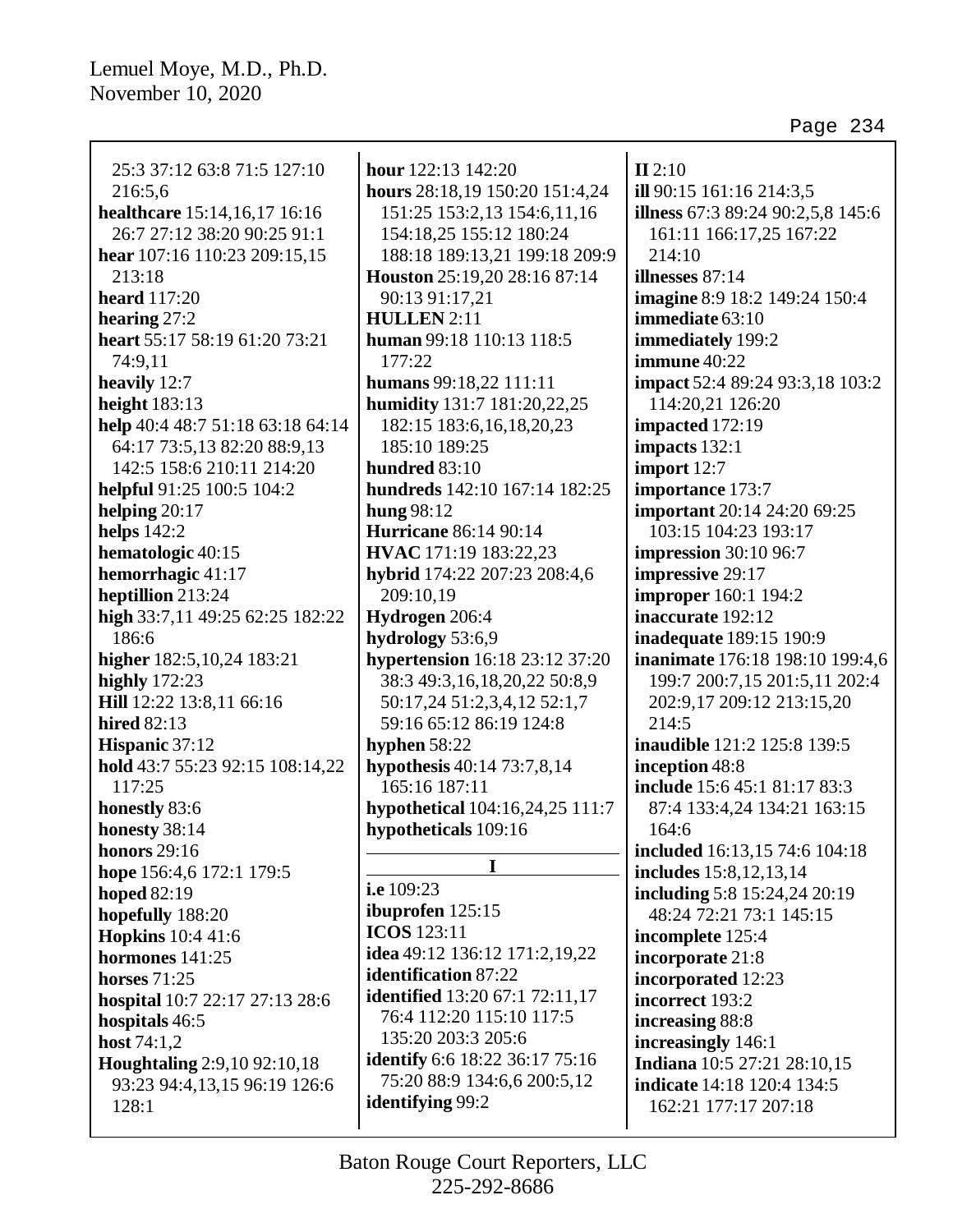25:3 37:12 63:8 71:5 127:10 216:5,6 **healthcare** 15:14,16,17 16:16 26:7 27:12 38:20 90:25 91:1 **hear** 107:16 110:23 209:15,15 213:18 **heard** 117:20 **hearing** 27:2 **heart** 55:17 58:19 61:20 73:21 74:9,11 **heavily** 12:7 **height** 183:13 **help** 40:4 48:7 51:18 63:18 64:14 64:17 73:5,13 82:20 88:9,13 142:5 158:6 210:11 214:20 **helpful** 91:25 100:5 104:2 **helping** 20:17 **helps** 142:2 **hematologic** 40:15 **hemorrhagic** 41:17 **heptillion** 213:24 **high** 33:7,11 49:25 62:25 182:22 186:6 **higher** 182:5,10,24 183:21 **highly** 172:23 **Hill** 12:22 13:8,11 66:16 **hired** 82:13 **Hispanic** 37:12 **hold** 43:7 55:23 92:15 108:14,22 117:25 **honestly** 83:6 **honesty** 38:14 **honors** 29:16 **hope** 156:4,6 172:1 179:5 **hoped** 82:19 **hopefully** 188:20 **Hopkins** 10:4 41:6 **hormones** 141:25 **horses** 71:25 **hospital** 10:7 22:17 27:13 28:6 **hospitals** 46:5 **host** 74:1,2 **Houghtaling** 2:9,10 92:10,18 93:23 94:4,13,15 96:19 126:6 128:1

**hour** 122:13 142:20 **hours** 28:18,19 150:20 151:4,24 151:25 153:2,13 154:6,11,16 154:18,25 155:12 180:24 188:18 189:13,21 199:18 209:9 **Houston** 25:19,20 28:16 87:14 90:13 91:17,21 **HULLEN** 2:11 **human** 99:18 110:13 118:5 177:22 **humans** 99:18,22 111:11 **humidity** 131:7 181:20,22,25 182:15 183:6,16,18,20,23 185:10 189:25 **hundred** 83:10 **hundreds** 142:10 167:14 182:25 **hung** 98:12 **Hurricane** 86:14 90:14 **HVAC** 171:19 183:22,23 **hybrid** 174:22 207:23 208:4,6 209:10,19 **Hydrogen** 206:4 **hydrology** 53:6,9 **hypertension** 16:18 23:12 37:20 38:3 49:3,16,18,20,22 50:8,9 50:17,24 51:2,3,4,12 52:1,7 59:16 65:12 86:19 124:8 **hyphen** 58:22 **hypothesis** 40:14 73:7,8,14 165:16 187:11 **hypothetical** 104:16,24,25 111:7 **hypotheticals** 109:16

**I**

**i.e** 109:23 **ibuprofen** 125:15 **ICOS** 123:11 **idea** 49:12 136:12 171:2,19,22 **identification** 87:22 **identified** 13:20 67:1 72:11,17 76:4 112:20 115:10 117:5 135:20 203:3 205:6 **identify** 6:6 18:22 36:17 75:16 75:20 88:9 134:6,6 200:5,12 **identifying** 99:2

**II** 2:10 **ill** 90:15 161:16 214:3,5 **illness** 67:3 89:24 90:2,5,8 145:6 161:11 166:17,25 167:22 214:10 **illnesses** 87:14 **imagine** 8:9 18:2 149:24 150:4 **immediate** 63:10 **immediately** 199:2 **immune** 40:22 **impact** 52:4 89:24 93:3,18 103:2 114:20,21 126:20 **impacted** 172:19 **impacts** 132:1 **import** 12:7 **importance** 173:7 **important** 20:14 24:20 69:25 103:15 104:23 193:17 **impression** 30:10 96:7 **impressive** 29:17 **improper** 160:1 194:2 **inaccurate** 192:12 **inadequate** 189:15 190:9 **inanimate** 176:18 198:10 199:4,6 199:7 200:7,15 201:5,11 202:4 202:9,17 209:12 213:15,20  $214:5$ **inaudible** 121:2 125:8 139:5 **inception** 48:8 **include** 15:6 45:1 81:17 83:3 87:4 133:4,24 134:21 163:15 164:6 **included** 16:13,15 74:6 104:18 **includes** 15:8,12,13,14 **including** 5:8 15:24,24 20:19 48:24 72:21 73:1 145:15 **incomplete** 125:4 **incorporate** 21:8 **incorporated** 12:23 **incorrect** 193:2 **increasing** 88:8 **increasingly** 146:1 **Indiana** 10:5 27:21 28:10,15 **indicate** 14:18 120:4 134:5 162:21 177:17 207:18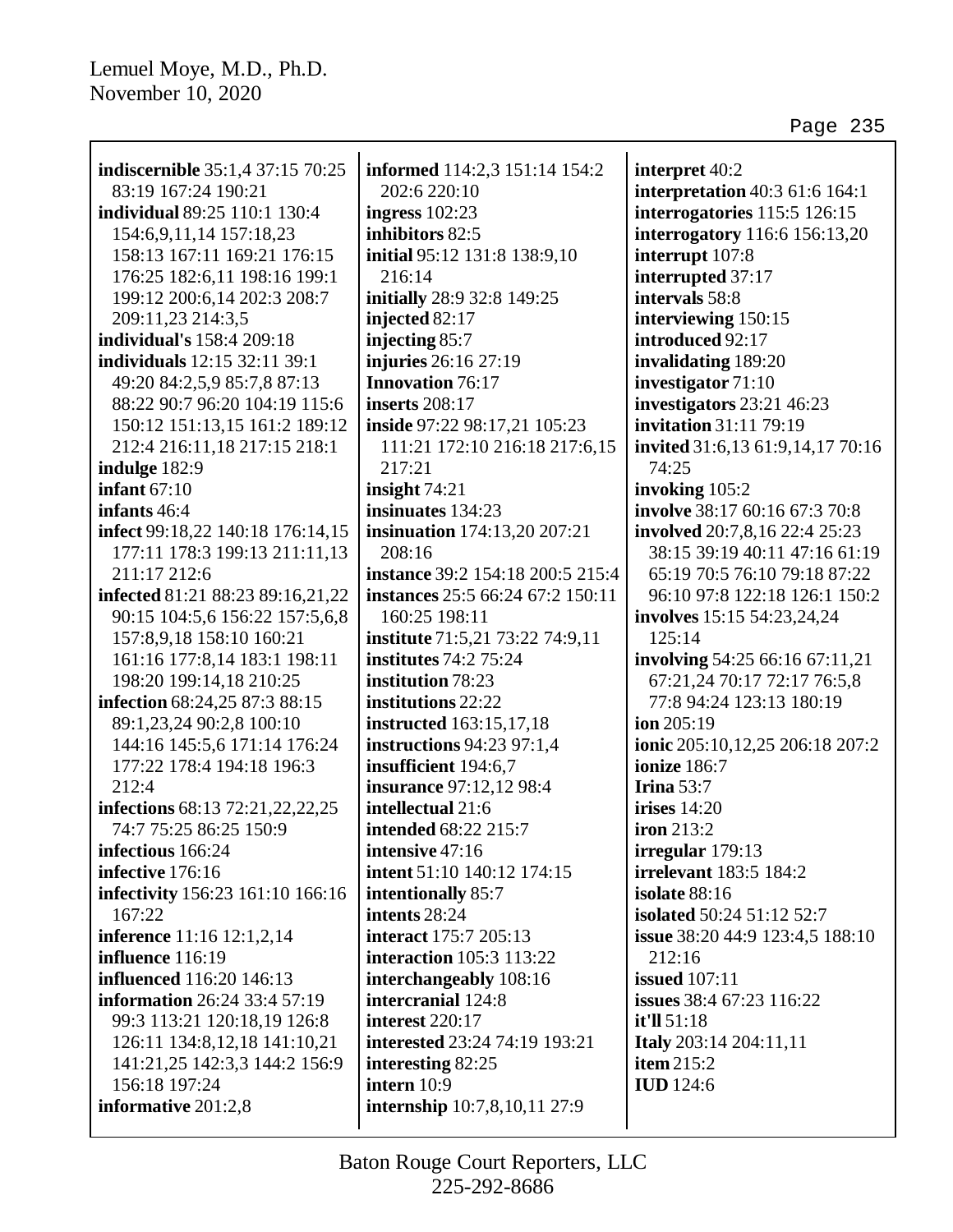| <b>indiscernible</b> 35:1,4 37:15 70:25                     | informed 114:2,3 151:14 154:2                                 |                                                  |
|-------------------------------------------------------------|---------------------------------------------------------------|--------------------------------------------------|
| 83:19 167:24 190:21                                         | 202:6 220:10                                                  | interpret 40:2<br>interpretation 40:3 61:6 164:1 |
| individual 89:25 110:1 130:4                                | ingress $102:23$                                              | interrogatories 115:5 126:15                     |
|                                                             | inhibitors 82:5                                               |                                                  |
| 154:6, 9, 11, 14 157: 18, 23<br>158:13 167:11 169:21 176:15 |                                                               | interrogatory 116:6 156:13,20                    |
|                                                             | initial 95:12 131:8 138:9,10<br>216:14                        | interrupt 107:8                                  |
| 176:25 182:6,11 198:16 199:1                                |                                                               | interrupted 37:17<br>intervals 58:8              |
| 199:12 200:6,14 202:3 208:7<br>209:11,23 214:3,5            | initially 28:9 32:8 149:25<br>injected 82:17                  |                                                  |
| <b>individual's</b> 158:4 209:18                            | injecting 85:7                                                | interviewing 150:15<br>introduced 92:17          |
| <b>individuals</b> 12:15 32:11 39:1                         | injuries 26:16 27:19                                          | invalidating 189:20                              |
| 49:20 84:2,5,9 85:7,8 87:13                                 | <b>Innovation 76:17</b>                                       | investigator 71:10                               |
| 88:22 90:7 96:20 104:19 115:6                               | <b>inserts</b> 208:17                                         | investigators 23:21 46:23                        |
| 150:12 151:13,15 161:2 189:12                               |                                                               | invitation 31:11 79:19                           |
| 212:4 216:11,18 217:15 218:1                                | inside 97:22 98:17,21 105:23<br>111:21 172:10 216:18 217:6,15 | invited 31:6,13 61:9,14,17 70:16                 |
|                                                             | 217:21                                                        | 74:25                                            |
| indulge 182:9<br>infant $67:10$                             | insight $74:21$                                               | invoking 105:2                                   |
| infants 46:4                                                | insinuates 134:23                                             | involve 38:17 60:16 67:3 70:8                    |
| infect 99:18,22 140:18 176:14,15                            | <b>insinuation</b> 174:13,20 207:21                           | involved 20:7,8,16 22:4 25:23                    |
| 177:11 178:3 199:13 211:11,13                               | 208:16                                                        | 38:15 39:19 40:11 47:16 61:19                    |
| 211:17 212:6                                                | instance 39:2 154:18 200:5 215:4                              | 65:19 70:5 76:10 79:18 87:22                     |
| infected 81:21 88:23 89:16,21,22                            | instances 25:5 66:24 67:2 150:11                              | 96:10 97:8 122:18 126:1 150:2                    |
| 90:15 104:5,6 156:22 157:5,6,8                              | 160:25 198:11                                                 | involves 15:15 54:23,24,24                       |
| 157:8,9,18 158:10 160:21                                    | institute 71:5,21 73:22 74:9,11                               | 125:14                                           |
| 161:16 177:8,14 183:1 198:11                                | <b>institutes</b> 74:2 75:24                                  | involving 54:25 66:16 67:11,21                   |
| 198:20 199:14,18 210:25                                     | institution 78:23                                             | 67:21,24 70:17 72:17 76:5,8                      |
| infection 68:24,25 87:3 88:15                               | institutions 22:22                                            | 77:8 94:24 123:13 180:19                         |
| 89:1,23,24 90:2,8 100:10                                    | <b>instructed</b> 163:15,17,18                                | ion 205:19                                       |
| 144:16 145:5,6 171:14 176:24                                | instructions 94:23 97:1,4                                     | ionic 205:10,12,25 206:18 207:2                  |
| 177:22 178:4 194:18 196:3                                   | insufficient 194:6,7                                          | <b>ionize</b> 186:7                              |
| 212:4                                                       | <b>insurance</b> 97:12,12 98:4                                | Irina $53:7$                                     |
| infections 68:13 72:21,22,22,25                             | intellectual 21:6                                             | irises $14:20$                                   |
| 74:7 75:25 86:25 150:9                                      | <b>intended</b> 68:22 215:7                                   | iron 213:2                                       |
| infectious 166:24                                           | intensive $47:16$                                             | irregular 179:13                                 |
| infective 176:16                                            | intent 51:10 140:12 174:15                                    | <b>irrelevant</b> 183:5 184:2                    |
| infectivity 156:23 161:10 166:16                            | intentionally 85:7                                            | isolate 88:16                                    |
| 167:22                                                      | intents 28:24                                                 | <b>isolated 50:24 51:12 52:7</b>                 |
| inference 11:16 12:1,2,14                                   | <b>interact</b> 175:7 205:13                                  | issue 38:20 44:9 123:4,5 188:10                  |
| influence 116:19                                            | <b>interaction</b> 105:3 113:22                               | 212:16                                           |
| <b>influenced</b> 116:20 146:13                             | interchangeably 108:16                                        | <b>issued</b> 107:11                             |
| <b>information</b> 26:24 33:4 57:19                         | intercranial 124:8                                            | issues 38:4 67:23 116:22                         |
| 99:3 113:21 120:18,19 126:8                                 | interest 220:17                                               | it'll 51:18                                      |
| 126:11 134:8,12,18 141:10,21                                | interested 23:24 74:19 193:21                                 | <b>Italy</b> 203:14 204:11,11                    |
| 141:21,25 142:3,3 144:2 156:9                               | interesting 82:25                                             | item $215:2$                                     |
| 156:18 197:24                                               | intern 10:9                                                   | <b>IUD</b> 124:6                                 |
| informative 201:2,8                                         | <b>internship</b> 10:7,8,10,11 27:9                           |                                                  |
|                                                             |                                                               |                                                  |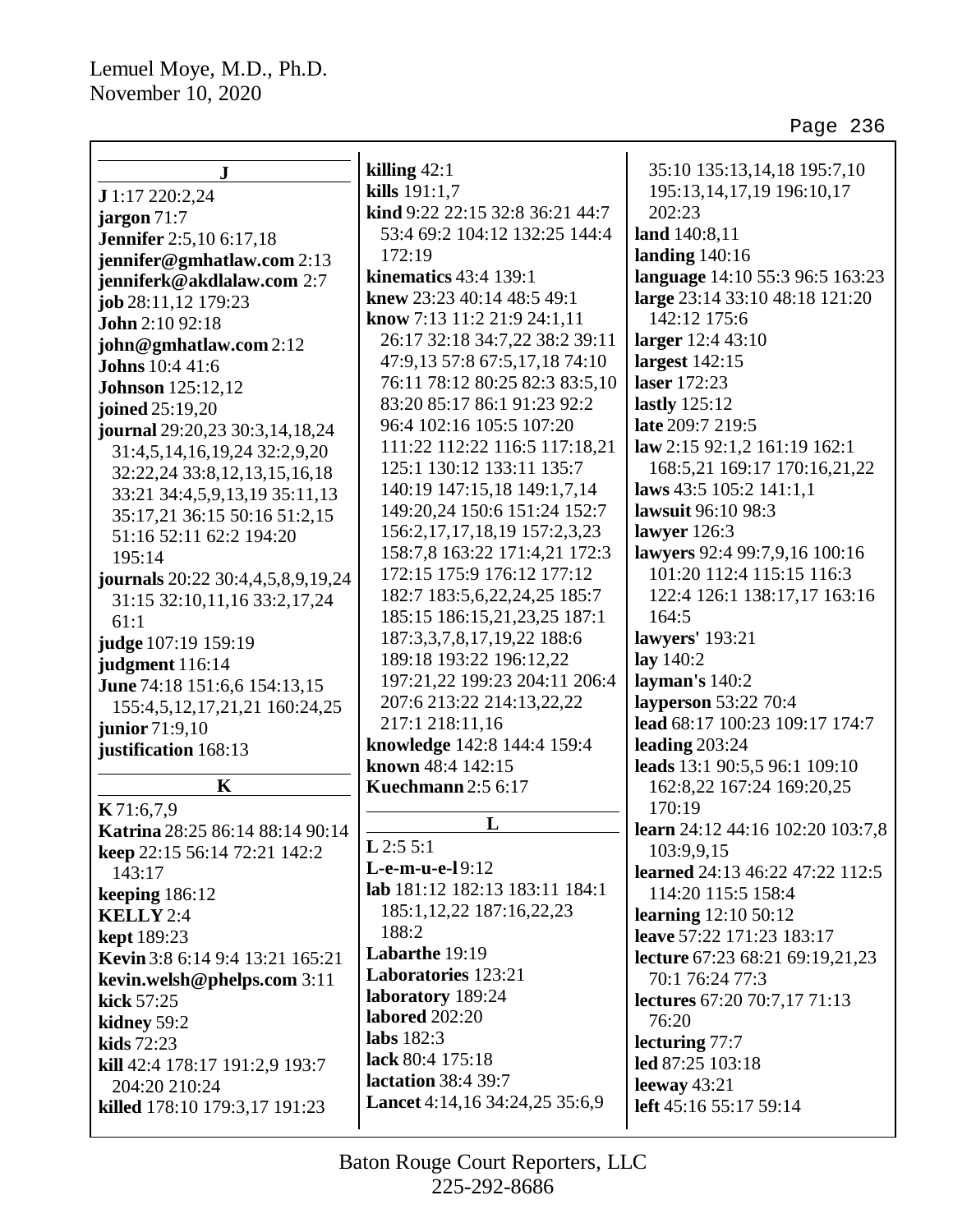| ${\bf J}$                                       | killing $42:1$                                   | 35:10 135:13,14,18 195:7,10            |
|-------------------------------------------------|--------------------------------------------------|----------------------------------------|
| J 1:17 220:2,24                                 | kills 191:1,7<br>kind 9:22 22:15 32:8 36:21 44:7 | 195:13,14,17,19 196:10,17<br>202:23    |
| jargon 71:7                                     | 53:4 69:2 104:12 132:25 144:4                    |                                        |
| <b>Jennifer</b> 2:5,10 6:17,18                  | 172:19                                           | land 140:8,11<br>landing $140:16$      |
| jennifer@gmhatlaw.com 2:13                      | <b>kinematics</b> 43:4 139:1                     | language 14:10 55:3 96:5 163:23        |
| jenniferk@akdlalaw.com 2:7                      | knew 23:23 40:14 48:5 49:1                       | large 23:14 33:10 48:18 121:20         |
| job 28:11,12 179:23                             | know 7:13 11:2 21:9 24:1,11                      | 142:12 175:6                           |
| John 2:10 92:18                                 | 26:17 32:18 34:7,22 38:2 39:11                   | larger 12:4 43:10                      |
| john@gmhatlaw.com 2:12                          | 47:9,13 57:8 67:5,17,18 74:10                    | largest $142:15$                       |
| <b>Johns</b> 10:4 41:6                          | 76:11 78:12 80:25 82:3 83:5,10                   | laser 172:23                           |
| <b>Johnson</b> 125:12,12                        | 83:20 85:17 86:1 91:23 92:2                      | lastly $125:12$                        |
| joined 25:19,20                                 | 96:4 102:16 105:5 107:20                         | late 209:7 219:5                       |
| journal 29:20,23 30:3,14,18,24                  | 111:22 112:22 116:5 117:18,21                    | law 2:15 92:1,2 161:19 162:1           |
| 31:4,5,14,16,19,24 32:2,9,20                    | 125:1 130:12 133:11 135:7                        | 168:5,21 169:17 170:16,21,22           |
| 32:22,24 33:8,12,13,15,16,18                    | 140:19 147:15,18 149:1,7,14                      | laws 43:5 105:2 141:1,1                |
| 33:21 34:4,5,9,13,19 35:11,13                   | 149:20,24 150:6 151:24 152:7                     | lawsuit 96:10 98:3                     |
| 35:17,21 36:15 50:16 51:2,15                    | 156:2, 17, 17, 18, 19 157:2, 3, 23               | lawyer $126:3$                         |
| 51:16 52:11 62:2 194:20                         | 158:7,8 163:22 171:4,21 172:3                    | lawyers 92:4 99:7,9,16 100:16          |
| 195:14                                          | 172:15 175:9 176:12 177:12                       | 101:20 112:4 115:15 116:3              |
| journals 20:22 30:4,4,5,8,9,19,24               | 182:7 183:5,6,22,24,25 185:7                     | 122:4 126:1 138:17,17 163:16           |
| 31:15 32:10,11,16 33:2,17,24                    | 185:15 186:15,21,23,25 187:1                     | 164:5                                  |
| 61:1                                            | 187:3,3,7,8,17,19,22 188:6                       | lawyers' 193:21                        |
| judge 107:19 159:19                             | 189:18 193:22 196:12,22                          | lay 140:2                              |
| judgment 116:14<br>June 74:18 151:6,6 154:13,15 | 197:21,22 199:23 204:11 206:4                    | layman's 140:2                         |
| 155:4,5,12,17,21,21 160:24,25                   | 207:6 213:22 214:13,22,22                        | layperson 53:22 70:4                   |
| junior 71:9,10                                  | 217:1 218:11,16                                  | lead 68:17 100:23 109:17 174:7         |
| justification 168:13                            | knowledge 142:8 144:4 159:4                      | leading 203:24                         |
|                                                 | known 48:4 142:15                                | leads 13:1 90:5,5 96:1 109:10          |
| $\mathbf K$                                     | <b>Kuechmann</b> 2:5 6:17                        | 162:8,22 167:24 169:20,25              |
| K71:6,7,9                                       |                                                  | 170:19                                 |
| Katrina 28:25 86:14 88:14 90:14                 | L                                                | learn 24:12 44:16 102:20 103:7,8       |
| keep 22:15 56:14 72:21 142:2                    | $L$ 2:5 5:1                                      | 103:9,9,15                             |
| 143:17                                          | L-e-m-u-e-19:12                                  | <b>learned</b> 24:13 46:22 47:22 112:5 |
| keeping $186:12$                                | lab 181:12 182:13 183:11 184:1                   | 114:20 115:5 158:4                     |
| <b>KELLY</b> 2:4                                | 185:1, 12, 22 187: 16, 22, 23                    | <b>learning</b> 12:10 50:12            |
| <b>kept</b> 189:23                              | 188:2                                            | leave 57:22 171:23 183:17              |
| Kevin 3:8 6:14 9:4 13:21 165:21                 | Labarthe 19:19                                   | lecture 67:23 68:21 69:19,21,23        |
| kevin.welsh@phelps.com 3:11                     | Laboratories 123:21                              | 70:1 76:24 77:3                        |
| kick 57:25                                      | laboratory 189:24                                | <b>lectures</b> 67:20 70:7,17 71:13    |
| kidney 59:2                                     | labored 202:20                                   | 76:20                                  |
| kids 72:23                                      | labs $182:3$                                     | lecturing 77:7                         |
| kill 42:4 178:17 191:2,9 193:7                  | lack 80:4 175:18                                 | led 87:25 103:18                       |
| 204:20 210:24                                   | <b>lactation</b> 38:4 39:7                       | leeway $43:21$                         |
| killed 178:10 179:3,17 191:23                   | Lancet 4:14,16 34:24,25 35:6,9                   | left 45:16 55:17 59:14                 |
|                                                 |                                                  |                                        |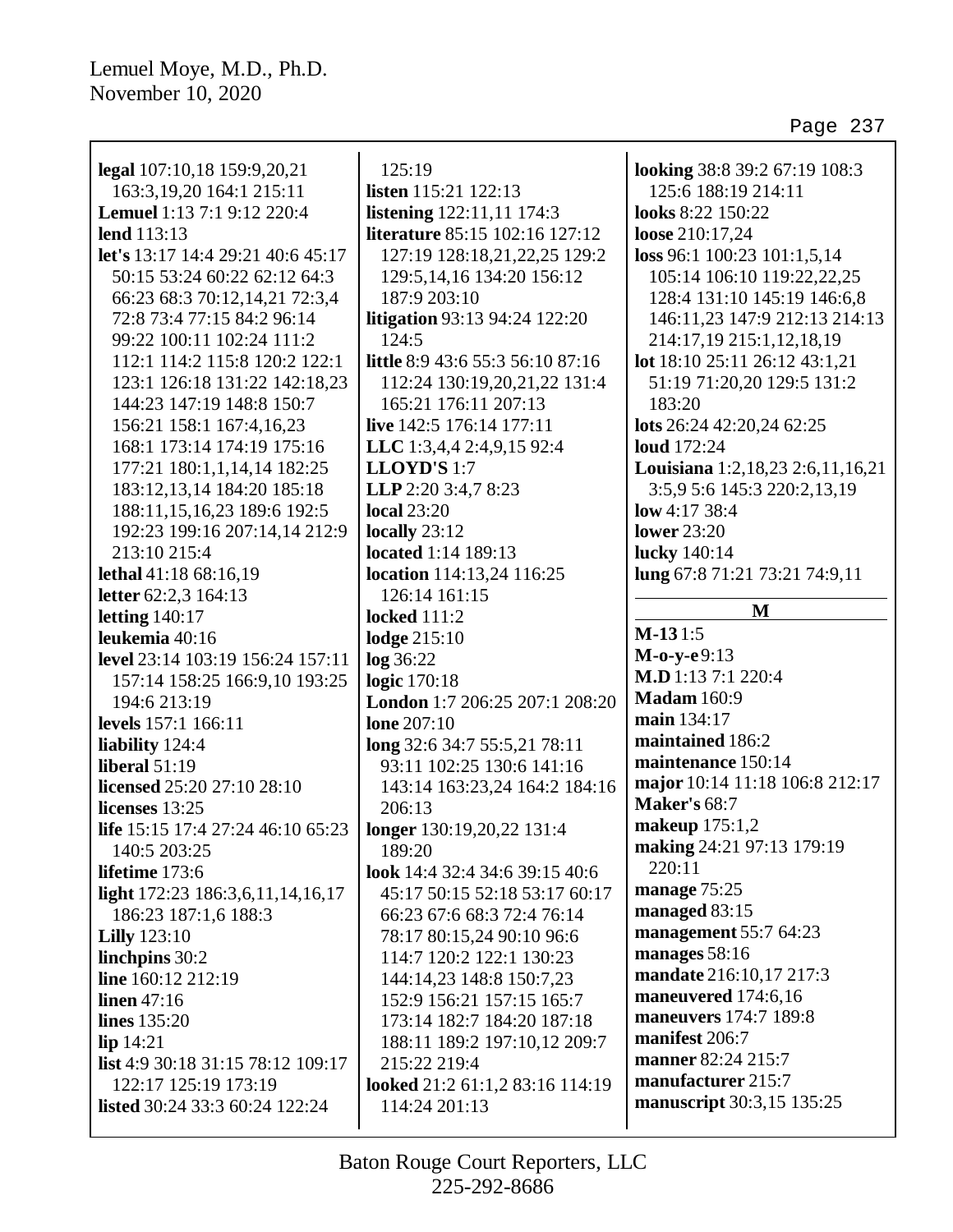| legal 107:10,18 159:9,20,21                                                 | 125:19                           | looking 38:8 39:2 67:19 108:3    |
|-----------------------------------------------------------------------------|----------------------------------|----------------------------------|
| 163:3,19,20 164:1 215:11                                                    | <b>listen</b> 115:21 122:13      | 125:6 188:19 214:11              |
| <b>Lemuel</b> 1:13 7:1 9:12 220:4                                           | listening 122:11,11 174:3        | looks 8:22 150:22                |
| lend 113:13                                                                 | literature 85:15 102:16 127:12   | loose 210:17,24                  |
| let's 13:17 14:4 29:21 40:6 45:17                                           | 127:19 128:18,21,22,25 129:2     | loss 96:1 100:23 101:1,5,14      |
| 50:15 53:24 60:22 62:12 64:3                                                | 129:5, 14, 16 134: 20 156: 12    | 105:14 106:10 119:22,22,25       |
| 66:23 68:3 70:12,14,21 72:3,4                                               | 187:9 203:10                     | 128:4 131:10 145:19 146:6,8      |
| 72:8 73:4 77:15 84:2 96:14                                                  | litigation 93:13 94:24 122:20    | 146:11,23 147:9 212:13 214:13    |
| 99:22 100:11 102:24 111:2                                                   | 124:5                            | 214:17,19 215:1,12,18,19         |
| 112:1 114:2 115:8 120:2 122:1                                               | little 8:9 43:6 55:3 56:10 87:16 | lot 18:10 25:11 26:12 43:1,21    |
| 123:1 126:18 131:22 142:18,23                                               | 112:24 130:19,20,21,22 131:4     | 51:19 71:20,20 129:5 131:2       |
| 144:23 147:19 148:8 150:7                                                   | 165:21 176:11 207:13             | 183:20                           |
| 156:21 158:1 167:4,16,23                                                    | live 142:5 176:14 177:11         | lots 26:24 42:20,24 62:25        |
| 168:1 173:14 174:19 175:16                                                  | LLC 1:3,4,4 2:4,9,15 92:4        | <b>loud</b> 172:24               |
| 177:21 180:1,1,14,14 182:25                                                 | LLOYD'S 1:7                      | Louisiana 1:2,18,23 2:6,11,16,21 |
| 183:12,13,14 184:20 185:18                                                  | LLP 2:20 3:4,7 8:23              | 3:5,9 5:6 145:3 220:2,13,19      |
| 188:11,15,16,23 189:6 192:5                                                 | <b>local</b> 23:20               | low $4:1738:4$                   |
| 192:23 199:16 207:14,14 212:9                                               | locally $23:12$                  | <b>lower</b> 23:20               |
| 213:10 215:4                                                                | <b>located</b> 1:14 189:13       | lucky 140:14                     |
| lethal 41:18 68:16,19                                                       | location 114:13,24 116:25        | lung 67:8 71:21 73:21 74:9,11    |
| letter 62:2,3 164:13                                                        | 126:14 161:15                    |                                  |
| letting $140:17$                                                            | <b>locked</b> 111:2              | M                                |
| leukemia 40:16                                                              | lodge 215:10                     | $M-131:5$                        |
| level 23:14 103:19 156:24 157:11                                            | log 36:22                        | $M-o-y-e9:13$                    |
| 157:14 158:25 166:9,10 193:25                                               | logic 170:18                     | M.D 1:13 7:1 220:4               |
| 194:6 213:19                                                                | London 1:7 206:25 207:1 208:20   | <b>Madam</b> 160:9               |
| levels 157:1 166:11                                                         | <b>lone</b> 207:10               | main 134:17                      |
| liability 124:4                                                             | long 32:6 34:7 55:5,21 78:11     | maintained 186:2                 |
| liberal $51:19$                                                             | 93:11 102:25 130:6 141:16        | maintenance 150:14               |
| licensed 25:20 27:10 28:10                                                  | 143:14 163:23,24 164:2 184:16    | major 10:14 11:18 106:8 212:17   |
| licenses 13:25                                                              | 206:13                           | <b>Maker's 68:7</b>              |
| <b>life</b> 15:15 17:4 27:24 46:10 65:23 <b>  longer</b> 130:19,20,22 131:4 |                                  | makeup $175:1,2$                 |
| 140:5 203:25                                                                | 189:20                           | making 24:21 97:13 179:19        |
| lifetime 173:6                                                              | look 14:4 32:4 34:6 39:15 40:6   | 220:11                           |
| light 172:23 186:3,6,11,14,16,17                                            | 45:17 50:15 52:18 53:17 60:17    | manage 75:25                     |
| 186:23 187:1,6 188:3                                                        | 66:23 67:6 68:3 72:4 76:14       | managed 83:15                    |
| <b>Lilly</b> 123:10                                                         | 78:17 80:15,24 90:10 96:6        | management 55:7 64:23            |
| linchpins 30:2                                                              | 114:7 120:2 122:1 130:23         | manages 58:16                    |
| line 160:12 212:19                                                          | 144:14,23 148:8 150:7,23         | mandate 216:10,17 217:3          |
| linen $47:16$                                                               | 152:9 156:21 157:15 165:7        | maneuvered 174:6,16              |
| <b>lines</b> 135:20                                                         | 173:14 182:7 184:20 187:18       | maneuvers 174:7 189:8            |
| lip 14:21                                                                   | 188:11 189:2 197:10,12 209:7     | manifest 206:7                   |
| <b>list</b> 4:9 30:18 31:15 78:12 109:17                                    | 215:22 219:4                     | manner 82:24 215:7               |
| 122:17 125:19 173:19                                                        | looked 21:2 61:1,2 83:16 114:19  | manufacturer 215:7               |
| <b>listed</b> 30:24 33:3 60:24 122:24                                       | 114:24 201:13                    | manuscript 30:3,15 135:25        |
|                                                                             |                                  |                                  |
|                                                                             |                                  |                                  |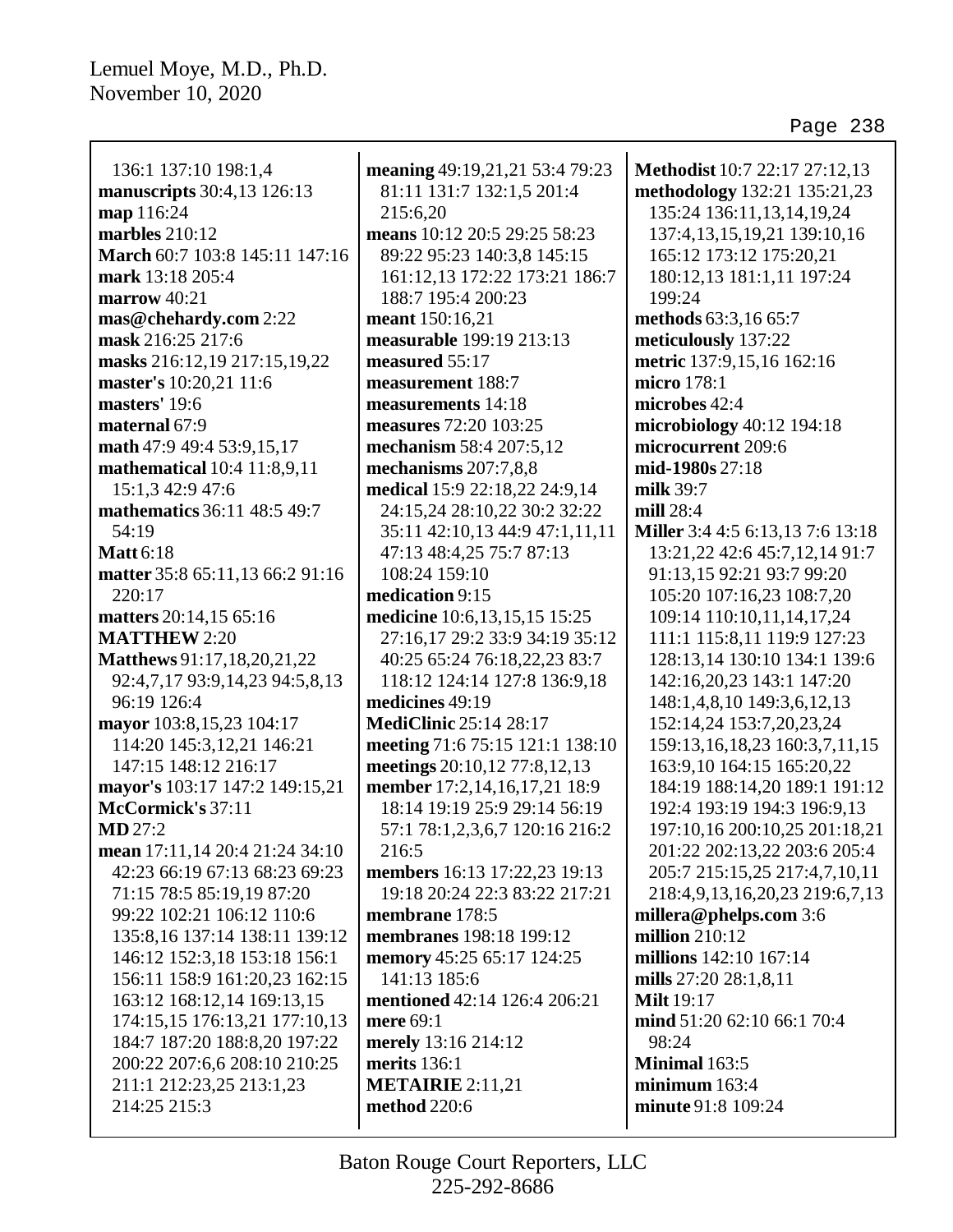| 136:1 137:10 198:1,4                                  | meaning 49:19,21,21 53:4 79:23                                 | Methodist 10:7 22:17 27:12,13                                    |
|-------------------------------------------------------|----------------------------------------------------------------|------------------------------------------------------------------|
| manuscripts 30:4,13 126:13                            | 81:11 131:7 132:1,5 201:4<br>215:6,20                          | methodology 132:21 135:21,23<br>135:24 136:11,13,14,19,24        |
| map 116:24<br>marbles 210:12                          | means 10:12 20:5 29:25 58:23                                   | 137:4,13,15,19,21 139:10,16                                      |
|                                                       |                                                                |                                                                  |
| March 60:7 103:8 145:11 147:16                        | 89:22 95:23 140:3,8 145:15                                     | 165:12 173:12 175:20,21                                          |
| mark 13:18 205:4                                      | 161:12,13 172:22 173:21 186:7                                  | 180:12,13 181:1,11 197:24                                        |
| marrow $40:21$                                        | 188:7 195:4 200:23                                             | 199:24                                                           |
| mas@chehardy.com 2:22                                 | meant 150:16,21                                                | methods 63:3,16 65:7                                             |
| mask 216:25 217:6                                     | measurable 199:19 213:13                                       | meticulously 137:22                                              |
| masks 216:12,19 217:15,19,22                          | measured 55:17                                                 | metric 137:9,15,16 162:16                                        |
| master's 10:20,21 11:6                                | measurement 188:7                                              | micro 178:1                                                      |
| masters' 19:6                                         | measurements 14:18                                             | microbes 42:4                                                    |
| maternal 67:9                                         | measures 72:20 103:25                                          | microbiology 40:12 194:18                                        |
| math 47:9 49:4 53:9,15,17                             | mechanism 58:4 207:5,12                                        | microcurrent 209:6                                               |
| mathematical 10:4 11:8,9,11                           | mechanisms $207:7,8,8$                                         | mid-1980s 27:18                                                  |
| 15:1,3 42:9 47:6                                      | medical 15:9 22:18,22 24:9,14                                  | milk 39:7                                                        |
| mathematics 36:11 48:5 49:7                           | 24:15,24 28:10,22 30:2 32:22                                   | mill 28:4                                                        |
| 54:19                                                 | 35:11 42:10,13 44:9 47:1,11,11                                 | Miller 3:4 4:5 6:13,13 7:6 13:18                                 |
| <b>Matt</b> 6:18<br>matter 35:8 65:11,13 66:2 91:16   | 47:13 48:4,25 75:7 87:13                                       | 13:21,22 42:6 45:7,12,14 91:7                                    |
|                                                       | 108:24 159:10                                                  | 91:13,15 92:21 93:7 99:20                                        |
| 220:17                                                | medication 9:15                                                | 105:20 107:16,23 108:7,20                                        |
| matters 20:14,15 65:16<br><b>MATTHEW 2:20</b>         | medicine 10:6,13,15,15 15:25                                   | 109:14 110:10,11,14,17,24                                        |
|                                                       | 27:16,17 29:2 33:9 34:19 35:12<br>40:25 65:24 76:18,22,23 83:7 | 111:1 115:8,11 119:9 127:23                                      |
| Matthews 91:17, 18, 20, 21, 22                        |                                                                | 128:13,14 130:10 134:1 139:6                                     |
| 92:4,7,17 93:9,14,23 94:5,8,13<br>96:19 126:4         | 118:12 124:14 127:8 136:9,18<br>medicines 49:19                | 142:16,20,23 143:1 147:20                                        |
|                                                       | <b>MediClinic 25:14 28:17</b>                                  | 148:1,4,8,10 149:3,6,12,13                                       |
| mayor 103:8,15,23 104:17<br>114:20 145:3,12,21 146:21 | meeting 71:6 75:15 121:1 138:10                                | 152:14,24 153:7,20,23,24<br>159:13, 16, 18, 23 160: 3, 7, 11, 15 |
| 147:15 148:12 216:17                                  | meetings 20:10,12 77:8,12,13                                   | 163:9,10 164:15 165:20,22                                        |
| mayor's 103:17 147:2 149:15,21                        | member 17:2,14,16,17,21 18:9                                   | 184:19 188:14,20 189:1 191:12                                    |
| McCormick's 37:11                                     | 18:14 19:19 25:9 29:14 56:19                                   | 192:4 193:19 194:3 196:9,13                                      |
| MD 27:2                                               | 57:1 78:1,2,3,6,7 120:16 216:2                                 | 197:10,16 200:10,25 201:18,21                                    |
| mean 17:11,14 20:4 21:24 34:10                        | 216:5                                                          | 201:22 202:13,22 203:6 205:4                                     |
| 42:23 66:19 67:13 68:23 69:23                         | members 16:13 17:22,23 19:13                                   | 205:7 215:15,25 217:4,7,10,11                                    |
| 71:15 78:5 85:19,19 87:20                             | 19:18 20:24 22:3 83:22 217:21                                  | 218:4,9,13,16,20,23 219:6,7,13                                   |
| 99:22 102:21 106:12 110:6                             | membrane 178:5                                                 | millera@phelps.com 3:6                                           |
| 135:8, 16 137:14 138:11 139:12                        | membranes 198:18 199:12                                        | million $210:12$                                                 |
| 146:12 152:3,18 153:18 156:1                          | memory 45:25 65:17 124:25                                      | millions 142:10 167:14                                           |
| 156:11 158:9 161:20,23 162:15                         | 141:13 185:6                                                   | mills 27:20 28:1,8,11                                            |
| 163:12 168:12,14 169:13,15                            | mentioned 42:14 126:4 206:21                                   | <b>Milt</b> 19:17                                                |
| 174:15,15 176:13,21 177:10,13                         | mere 69:1                                                      | mind 51:20 62:10 66:1 70:4                                       |
| 184:7 187:20 188:8,20 197:22                          | merely 13:16 214:12                                            | 98:24                                                            |
| 200:22 207:6,6 208:10 210:25                          | merits 136:1                                                   | Minimal 163:5                                                    |
| 211:1 212:23,25 213:1,23                              | <b>METAIRIE</b> 2:11,21                                        | minimum $163:4$                                                  |
| 214:25 215:3                                          | <b>method</b> 220:6                                            | minute 91:8 109:24                                               |
|                                                       |                                                                |                                                                  |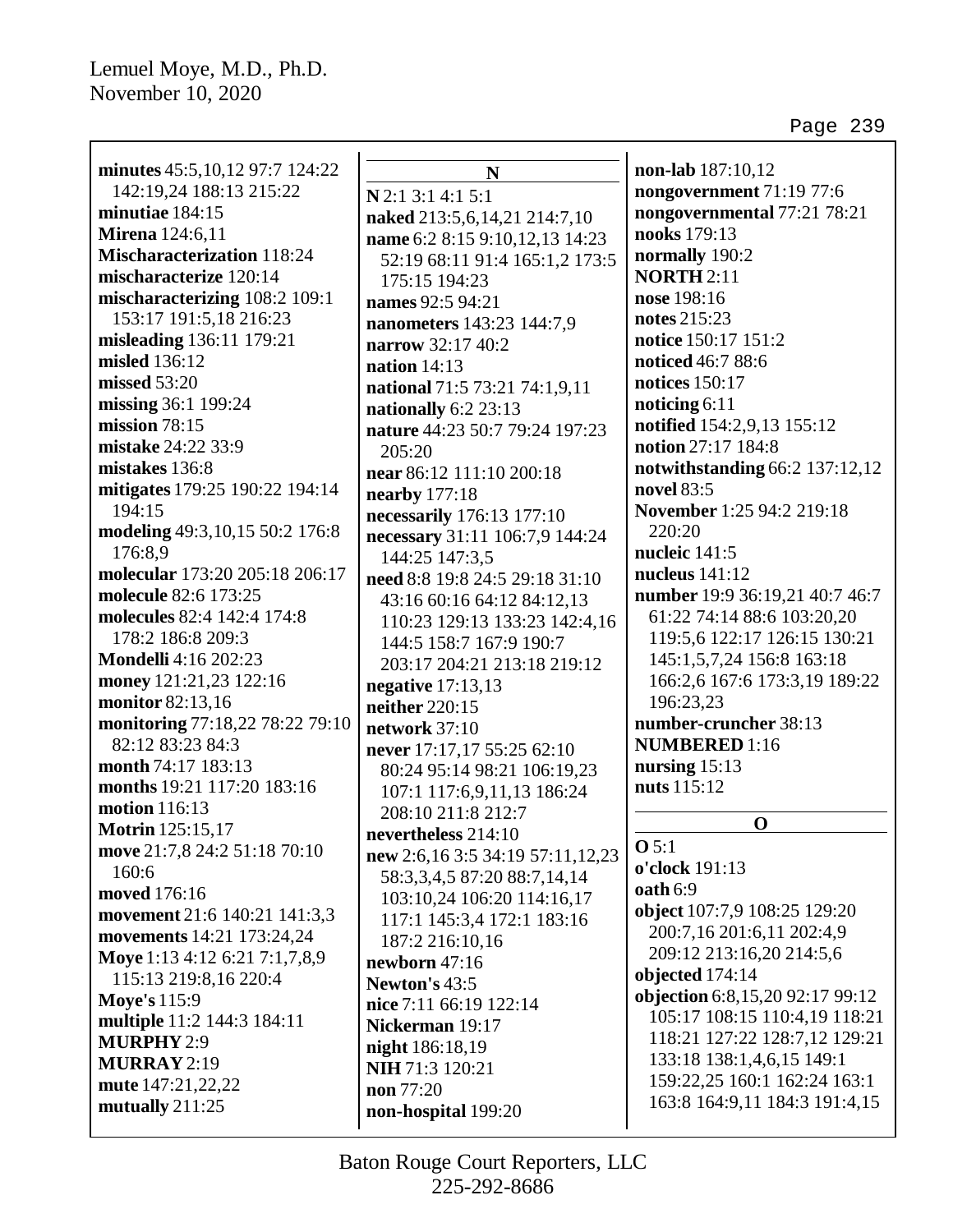| minutes 45:5, 10, 12 97:7 124:22  | N                                | non-lab 187:10,12               |
|-----------------------------------|----------------------------------|---------------------------------|
| 142:19,24 188:13 215:22           | N 2:1 3:1 4:1 5:1                | nongovernment 71:19 77:6        |
| minutiae 184:15                   | naked 213:5,6,14,21 214:7,10     | nongovernmental 77:21 78:21     |
| <b>Mirena</b> 124:6,11            | name 6:2 8:15 9:10,12,13 14:23   | nooks 179:13                    |
| <b>Mischaracterization</b> 118:24 | 52:19 68:11 91:4 165:1,2 173:5   | normally 190:2                  |
| mischaracterize 120:14            | 175:15 194:23                    | <b>NORTH 2:11</b>               |
| mischaracterizing 108:2 109:1     | names 92:5 94:21                 | nose 198:16                     |
| 153:17 191:5,18 216:23            | nanometers 143:23 144:7,9        | notes 215:23                    |
| misleading 136:11 179:21          | narrow 32:17 40:2                | notice 150:17 151:2             |
| misled 136:12                     | nation $14:13$                   | noticed 46:7 88:6               |
| missed 53:20                      | national 71:5 73:21 74:1,9,11    | <b>notices</b> 150:17           |
| missing 36:1 199:24               | nationally 6:2 23:13             | noticing $6:11$                 |
| mission 78:15                     | nature 44:23 50:7 79:24 197:23   | notified 154:2,9,13 155:12      |
| mistake 24:22 33:9                | 205:20                           | notion 27:17 184:8              |
| mistakes 136:8                    | near 86:12 111:10 200:18         | notwithstanding 66:2 137:12,12  |
| mitigates 179:25 190:22 194:14    | nearby 177:18                    | novel 83:5                      |
| 194:15                            | necessarily 176:13 177:10        | November 1:25 94:2 219:18       |
| modeling 49:3, 10, 15 50:2 176:8  | necessary 31:11 106:7,9 144:24   | 220:20                          |
| 176:8.9                           | 144:25 147:3,5                   | nucleic 141:5                   |
| molecular 173:20 205:18 206:17    | need 8:8 19:8 24:5 29:18 31:10   | nucleus $141:12$                |
| molecule 82:6 173:25              | 43:16 60:16 64:12 84:12,13       | number 19:9 36:19,21 40:7 46:7  |
| molecules 82:4 142:4 174:8        | 110:23 129:13 133:23 142:4,16    | 61:22 74:14 88:6 103:20,20      |
| 178:2 186:8 209:3                 | 144:5 158:7 167:9 190:7          | 119:5,6 122:17 126:15 130:21    |
| <b>Mondelli</b> 4:16 202:23       | 203:17 204:21 213:18 219:12      | 145:1,5,7,24 156:8 163:18       |
| money 121:21,23 122:16            | negative $17:13,13$              | 166:2,6 167:6 173:3,19 189:22   |
| monitor 82:13,16                  | neither 220:15                   | 196:23,23                       |
| monitoring 77:18,22 78:22 79:10   | network 37:10                    | number-cruncher 38:13           |
| 82:12 83:23 84:3                  | never 17:17,17 55:25 62:10       | <b>NUMBERED</b> 1:16            |
| month 74:17 183:13                | 80:24 95:14 98:21 106:19,23      | nursing $15:13$                 |
| months 19:21 117:20 183:16        | 107:1 117:6,9,11,13 186:24       | nuts 115:12                     |
| <b>motion</b> 116:13              | 208:10 211:8 212:7               |                                 |
| <b>Motrin</b> 125:15,17           | nevertheless 214:10              | $\mathbf 0$                     |
| move 21:7,8 24:2 51:18 70:10      | new 2:6,16 3:5 34:19 57:11,12,23 | O 5:1                           |
| 160:6                             | 58:3,3,4,5 87:20 88:7,14,14      | o'clock 191:13                  |
| moved 176:16                      | 103:10,24 106:20 114:16,17       | <b>oath</b> 6:9                 |
| movement 21:6 140:21 141:3,3      | 117:1 145:3,4 172:1 183:16       | object 107:7,9 108:25 129:20    |
| movements 14:21 173:24,24         | 187:2 216:10,16                  | 200:7,16 201:6,11 202:4,9       |
| Moye 1:13 4:12 6:21 7:1,7,8,9     | newborn 47:16                    | 209:12 213:16,20 214:5,6        |
| 115:13 219:8,16 220:4             | Newton's 43:5                    | objected 174:14                 |
| <b>Moye's 115:9</b>               | nice 7:11 66:19 122:14           | objection 6:8,15,20 92:17 99:12 |
| multiple 11:2 144:3 184:11        | Nickerman 19:17                  | 105:17 108:15 110:4,19 118:21   |
| <b>MURPHY 2:9</b>                 | night 186:18,19                  | 118:21 127:22 128:7,12 129:21   |
| <b>MURRAY 2:19</b>                | NIH 71:3 120:21                  | 133:18 138:1,4,6,15 149:1       |
| mute 147:21,22,22                 | non 77:20                        | 159:22,25 160:1 162:24 163:1    |
| mutually $211:25$                 | non-hospital 199:20              | 163:8 164:9,11 184:3 191:4,15   |
|                                   |                                  |                                 |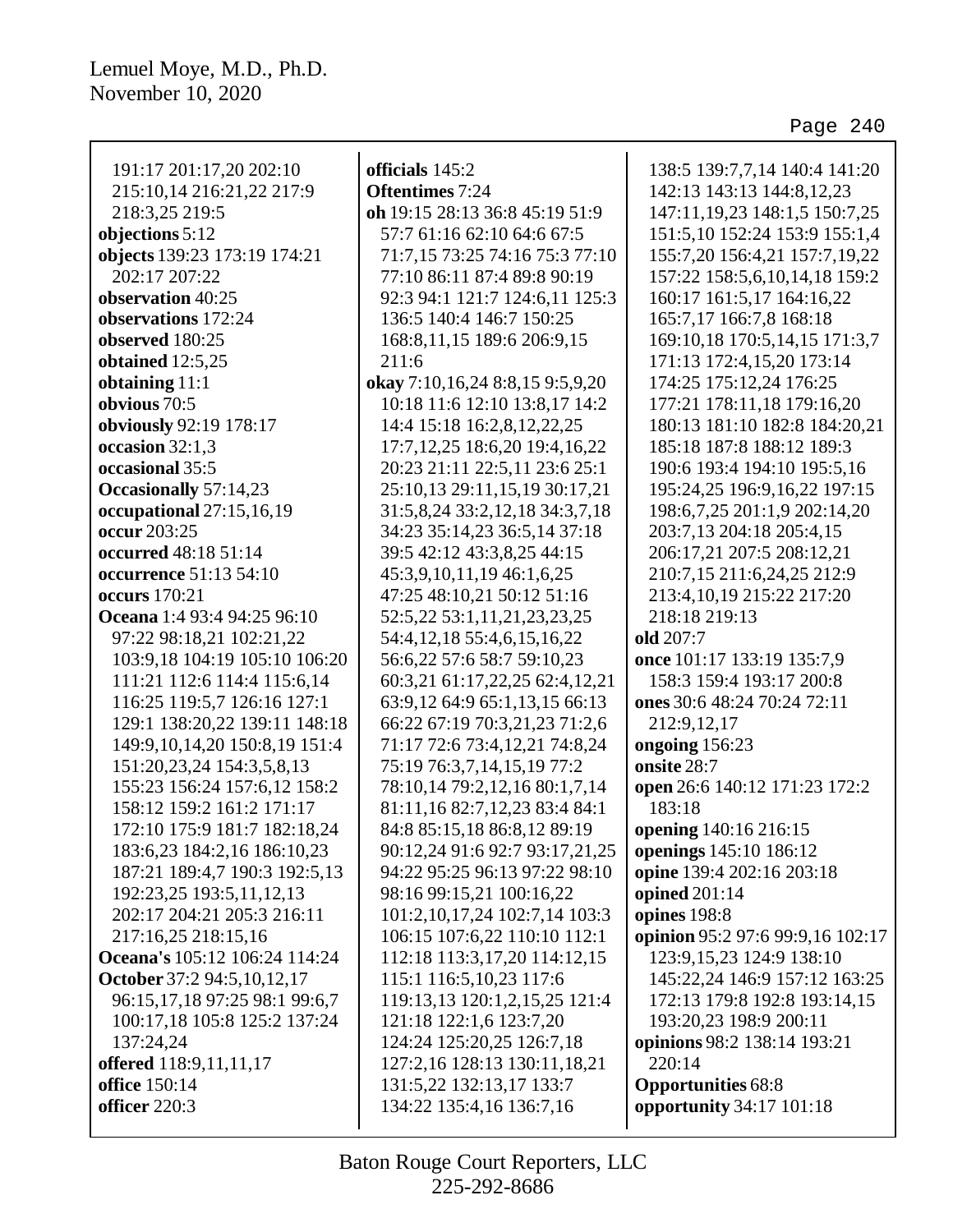| officials 145:2<br><b>Oftentimes</b> 7:24<br>oh 19:15 28:13 36:8 45:19 51:9<br>57:7 61:16 62:10 64:6 67:5<br>71:7,15 73:25 74:16 75:3 77:10<br>77:10 86:11 87:4 89:8 90:19<br>92:3 94:1 121:7 124:6,11 125:3<br>136:5 140:4 146:7 150:25<br>168:8, 11, 15 189:6 206:9, 15<br>211:6<br>okay 7:10,16,24 8:8,15 9:5,9,20<br>10:18 11:6 12:10 13:8,17 14:2<br>14:4 15:18 16:2,8,12,22,25<br>17:7, 12, 25 18:6, 20 19:4, 16, 22<br>20:23 21:11 22:5,11 23:6 25:1<br>25:10,13 29:11,15,19 30:17,21<br>31:5,8,24 33:2,12,18 34:3,7,18<br>34:23 35:14,23 36:5,14 37:18<br>39:5 42:12 43:3,8,25 44:15<br>45:3,9,10,11,19 46:1,6,25<br>47:25 48:10,21 50:12 51:16<br>52:5,22 53:1,11,21,23,23,25<br>54:4, 12, 18 55:4, 6, 15, 16, 22<br>56:6,22 57:6 58:7 59:10,23<br>60:3,21 61:17,22,25 62:4,12,21<br>63:9,12 64:9 65:1,13,15 66:13<br>66:22 67:19 70:3,21,23 71:2,6<br>71:17 72:6 73:4,12,21 74:8,24<br>75:19 76:3,7,14,15,19 77:2<br>78:10,14 79:2,12,16 80:1,7,14<br>81:11,16 82:7,12,23 83:4 84:1<br>84:8 85:15,18 86:8,12 89:19<br>90:12,24 91:6 92:7 93:17,21,25<br>94:22 95:25 96:13 97:22 98:10<br>98:16 99:15,21 100:16,22<br>101:2, 10, 17, 24 102: 7, 14 103: 3<br>106:15 107:6,22 110:10 112:1<br>112:18 113:3, 17, 20 114:12, 15<br>115:1 116:5, 10, 23 117:6<br>119:13,13 120:1,2,15,25 121:4<br>121:18 122:1,6 123:7,20 | 138:5 139:7,7,14 140:4 141:20<br>142:13 143:13 144:8,12,23<br>147:11, 19, 23 148:1, 5 150:7, 25<br>151:5, 10 152:24 153:9 155:1,4<br>155:7,20 156:4,21 157:7,19,22<br>157:22 158:5,6,10,14,18 159:2<br>160:17 161:5,17 164:16,22<br>165:7,17 166:7,8 168:18<br>169:10,18 170:5,14,15 171:3,7<br>171:13 172:4,15,20 173:14<br>174:25 175:12,24 176:25<br>177:21 178:11,18 179:16,20<br>180:13 181:10 182:8 184:20,21<br>185:18 187:8 188:12 189:3<br>190:6 193:4 194:10 195:5,16<br>195:24,25 196:9,16,22 197:15<br>198:6,7,25 201:1,9 202:14,20<br>203:7,13 204:18 205:4,15<br>206:17,21 207:5 208:12,21<br>210:7,15 211:6,24,25 212:9<br>213:4,10,19 215:22 217:20<br>218:18 219:13<br>old 207:7<br>once 101:17 133:19 135:7,9<br>158:3 159:4 193:17 200:8<br>ones 30:6 48:24 70:24 72:11<br>212:9,12,17<br>ongoing 156:23<br>onsite 28:7<br>open 26:6 140:12 171:23 172:2<br>183:18<br>opening 140:16 216:15<br>openings 145:10 186:12<br>opine 139:4 202:16 203:18<br>opined 201:14<br>opines 198:8<br>opinion 95:2 97:6 99:9,16 102:17<br>123:9, 15, 23 124: 9 138: 10<br>145:22,24 146:9 157:12 163:25<br>172:13 179:8 192:8 193:14,15<br>193:20,23 198:9 200:11 |
|--------------------------------------------------------------------------------------------------------------------------------------------------------------------------------------------------------------------------------------------------------------------------------------------------------------------------------------------------------------------------------------------------------------------------------------------------------------------------------------------------------------------------------------------------------------------------------------------------------------------------------------------------------------------------------------------------------------------------------------------------------------------------------------------------------------------------------------------------------------------------------------------------------------------------------------------------------------------------------------------------------------------------------------------------------------------------------------------------------------------------------------------------------------------------------------------------------------------------------------------------------------------------------------------------------------------------------|-----------------------------------------------------------------------------------------------------------------------------------------------------------------------------------------------------------------------------------------------------------------------------------------------------------------------------------------------------------------------------------------------------------------------------------------------------------------------------------------------------------------------------------------------------------------------------------------------------------------------------------------------------------------------------------------------------------------------------------------------------------------------------------------------------------------------------------------------------------------------------------------------------------------------------------------------------------------------------------------------------------------------------------------------------------------------------------------------------------------------------------------------------------------------|
| 124:24 125:20,25 126:7,18<br>127:2,16 128:13 130:11,18,21<br>131:5,22 132:13,17 133:7                                                                                                                                                                                                                                                                                                                                                                                                                                                                                                                                                                                                                                                                                                                                                                                                                                                                                                                                                                                                                                                                                                                                                                                                                                          | opinions 98:2 138:14 193:21<br>220:14<br><b>Opportunities 68:8</b><br>opportunity 34:17 101:18                                                                                                                                                                                                                                                                                                                                                                                                                                                                                                                                                                                                                                                                                                                                                                                                                                                                                                                                                                                                                                                                        |
|                                                                                                                                                                                                                                                                                                                                                                                                                                                                                                                                                                                                                                                                                                                                                                                                                                                                                                                                                                                                                                                                                                                                                                                                                                                                                                                                | 134:22 135:4,16 136:7,16                                                                                                                                                                                                                                                                                                                                                                                                                                                                                                                                                                                                                                                                                                                                                                                                                                                                                                                                                                                                                                                                                                                                              |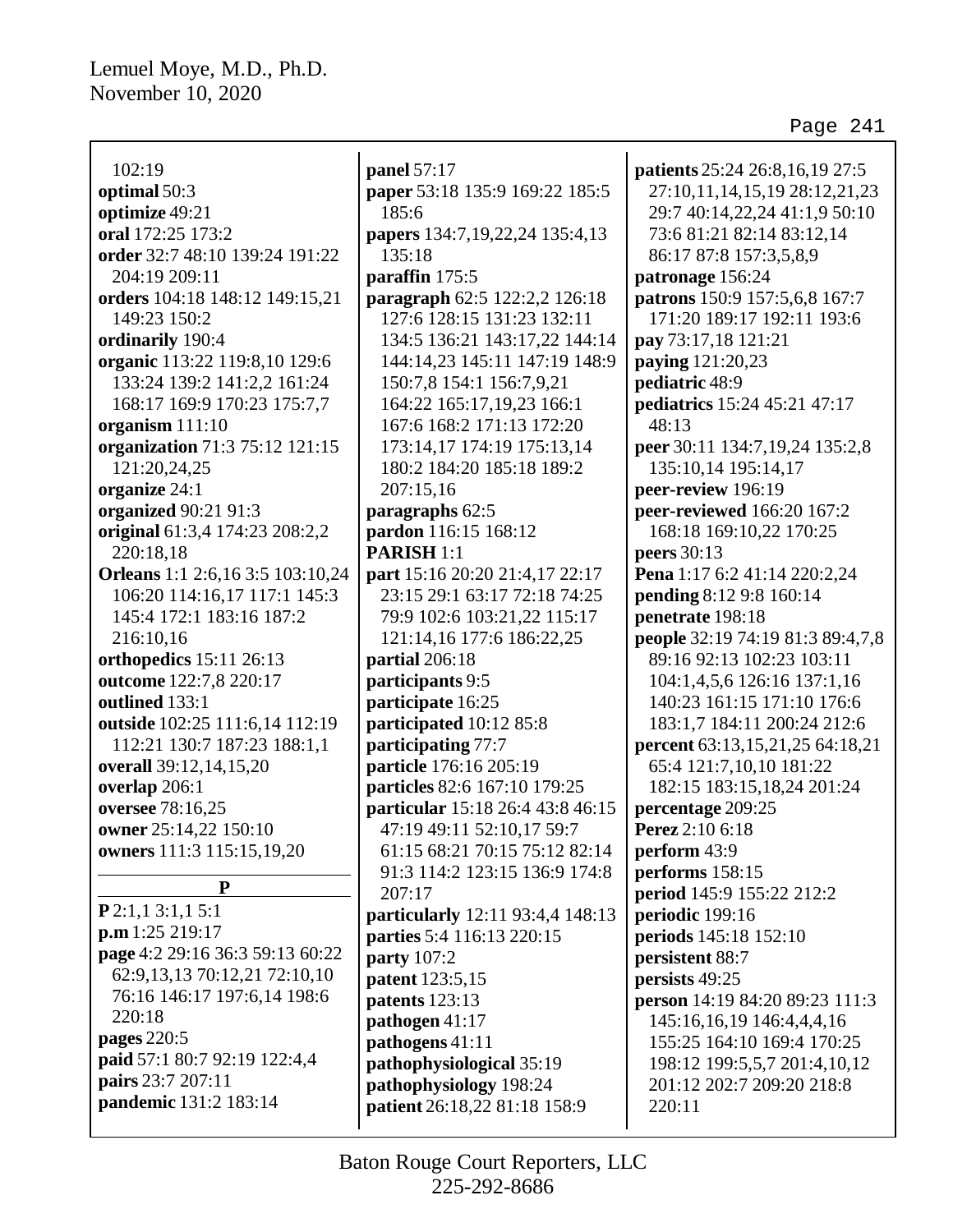| 102:19                           | panel 57:17                      | <b>patients</b> 25:24 26:8,16,19 27:5 |
|----------------------------------|----------------------------------|---------------------------------------|
| optimal 50:3                     | paper 53:18 135:9 169:22 185:5   | 27:10,11,14,15,19 28:12,21,23         |
| optimize 49:21                   | 185:6                            | 29:7 40:14,22,24 41:1,9 50:10         |
| oral 172:25 173:2                | papers 134:7,19,22,24 135:4,13   | 73:6 81:21 82:14 83:12,14             |
| order 32:7 48:10 139:24 191:22   | 135:18                           | 86:17 87:8 157:3,5,8,9                |
| 204:19 209:11                    | paraffin 175:5                   | patronage 156:24                      |
| orders 104:18 148:12 149:15,21   | paragraph 62:5 122:2,2 126:18    | patrons 150:9 157:5,6,8 167:7         |
| 149:23 150:2                     | 127:6 128:15 131:23 132:11       | 171:20 189:17 192:11 193:6            |
| ordinarily 190:4                 | 134:5 136:21 143:17,22 144:14    | pay 73:17,18 121:21                   |
| organic 113:22 119:8,10 129:6    | 144:14,23 145:11 147:19 148:9    | paying 121:20,23                      |
| 133:24 139:2 141:2,2 161:24      | 150:7,8 154:1 156:7,9,21         | pediatric 48:9                        |
| 168:17 169:9 170:23 175:7,7      | 164:22 165:17,19,23 166:1        | pediatrics 15:24 45:21 47:17          |
| organism 111:10                  | 167:6 168:2 171:13 172:20        | 48:13                                 |
| organization 71:3 75:12 121:15   | 173:14,17 174:19 175:13,14       | peer 30:11 134:7,19,24 135:2,8        |
| 121:20,24,25                     | 180:2 184:20 185:18 189:2        | 135:10,14 195:14,17                   |
| organize 24:1                    | 207:15,16                        | peer-review 196:19                    |
| organized 90:21 91:3             | paragraphs 62:5                  | peer-reviewed 166:20 167:2            |
| original 61:3,4 174:23 208:2,2   | pardon 116:15 168:12             | 168:18 169:10,22 170:25               |
| 220:18,18                        | <b>PARISH 1:1</b>                | <b>peers</b> 30:13                    |
| Orleans 1:1 2:6,16 3:5 103:10,24 | part 15:16 20:20 21:4,17 22:17   | Pena 1:17 6:2 41:14 220:2,24          |
| 106:20 114:16,17 117:1 145:3     | 23:15 29:1 63:17 72:18 74:25     | pending 8:12 9:8 160:14               |
| 145:4 172:1 183:16 187:2         | 79:9 102:6 103:21,22 115:17      | penetrate 198:18                      |
| 216:10,16                        | 121:14,16 177:6 186:22,25        | people 32:19 74:19 81:3 89:4,7,8      |
| orthopedics 15:11 26:13          | partial 206:18                   | 89:16 92:13 102:23 103:11             |
| outcome 122:7,8 220:17           | participants 9:5                 | 104:1,4,5,6 126:16 137:1,16           |
| outlined 133:1                   | participate 16:25                | 140:23 161:15 171:10 176:6            |
| outside 102:25 111:6,14 112:19   | participated 10:12 85:8          | 183:1,7 184:11 200:24 212:6           |
| 112:21 130:7 187:23 188:1,1      | participating 77:7               | percent 63:13,15,21,25 64:18,21       |
| overall 39:12,14,15,20           | particle 176:16 205:19           | 65:4 121:7,10,10 181:22               |
| overlap 206:1                    | particles 82:6 167:10 179:25     | 182:15 183:15,18,24 201:24            |
| oversee 78:16,25                 | particular 15:18 26:4 43:8 46:15 | percentage 209:25                     |
| owner 25:14,22 150:10            | 47:19 49:11 52:10,17 59:7        | <b>Perez</b> 2:10 6:18                |
| owners 111:3 115:15,19,20        | 61:15 68:21 70:15 75:12 82:14    | perform 43:9                          |
|                                  | 91:3 114:2 123:15 136:9 174:8    | performs 158:15                       |
| P                                | 207:17                           | <b>period</b> 145:9 155:22 212:2      |
| $P$ 2:1,1 3:1,1 5:1              | particularly 12:11 93:4,4 148:13 | periodic 199:16                       |
| p.m 1:25 219:17                  | parties 5:4 116:13 220:15        | periods 145:18 152:10                 |
| page 4:2 29:16 36:3 59:13 60:22  | <b>party</b> 107:2               | persistent 88:7                       |
| 62:9, 13, 13 70:12, 21 72:10, 10 | patent 123:5,15                  | persists 49:25                        |
| 76:16 146:17 197:6,14 198:6      | patents 123:13                   | person 14:19 84:20 89:23 111:3        |
| 220:18                           | pathogen 41:17                   | 145:16,16,19 146:4,4,4,16             |
| <b>pages</b> 220:5               | pathogens 41:11                  | 155:25 164:10 169:4 170:25            |
| paid 57:1 80:7 92:19 122:4,4     | pathophysiological 35:19         | 198:12 199:5,5,7 201:4,10,12          |
| pairs 23:7 207:11                | pathophysiology 198:24           | 201:12 202:7 209:20 218:8             |
| pandemic 131:2 183:14            | patient 26:18,22 81:18 158:9     | 220:11                                |
|                                  |                                  |                                       |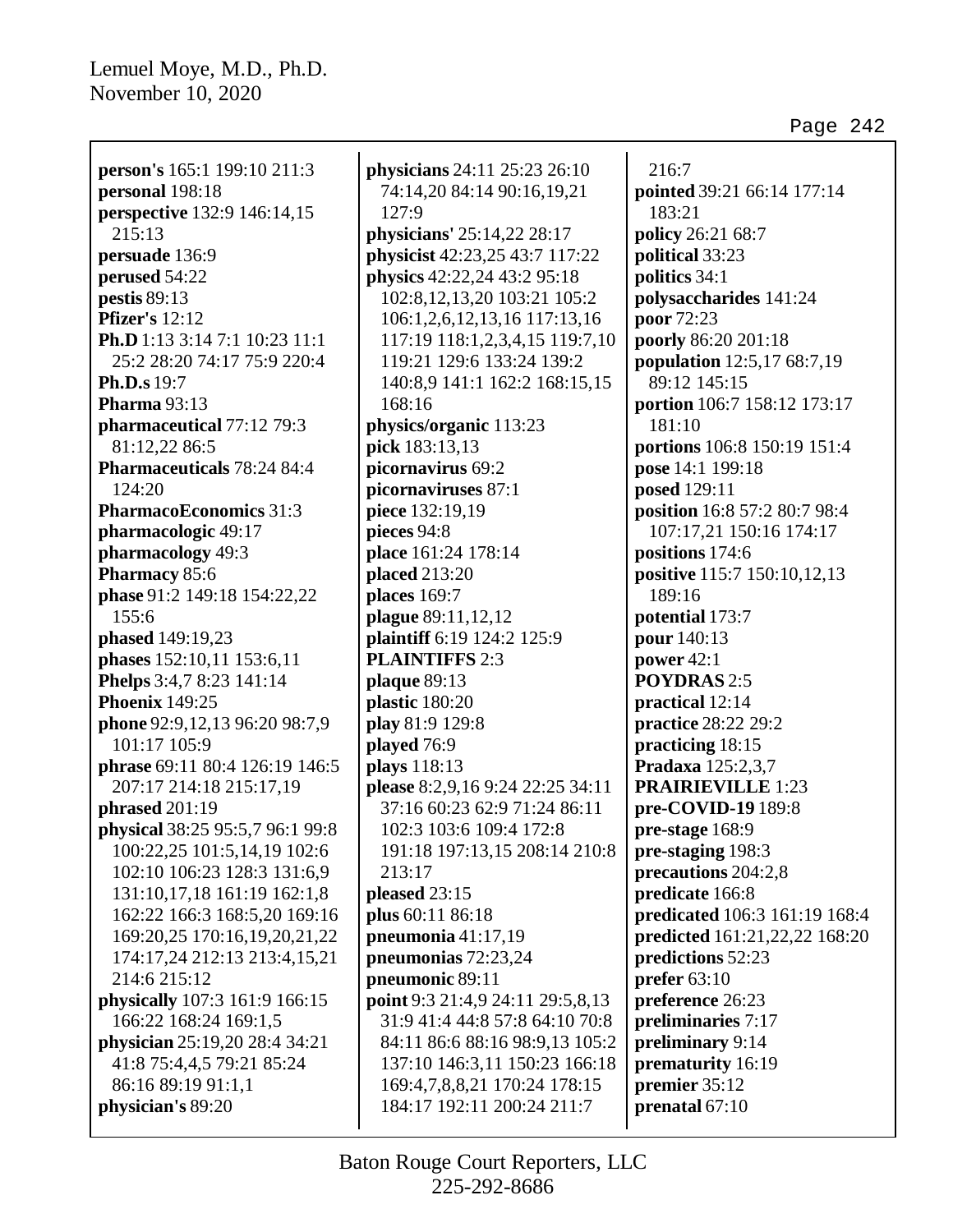**person's** 165:1 199:10 211:3 **personal** 198:18 **perspective** 132:9 146:14,15 215:13 **persuade** 136:9 **perused** 54:22 **pestis** 89:13 **Pfizer's** 12:12 **Ph.D** 1:13 3:14 7:1 10:23 11:1 25:2 28:20 74:17 75:9 220:4 **Ph.D.s** 19:7 **Pharma** 93:13 **pharmaceutical** 77:12 79:3 81:12,22 86:5 **Pharmaceuticals** 78:24 84:4 124:20 **PharmacoEconomics** 31:3 **pharmacologic** 49:17 **pharmacology** 49:3 **Pharmacy** 85:6 **phase** 91:2 149:18 154:22,22 155:6 **phased** 149:19,23 **phases** 152:10,11 153:6,11 **Phelps** 3:4,7 8:23 141:14 **Phoenix** 149:25 **phone** 92:9,12,13 96:20 98:7,9 101:17 105:9 **phrase** 69:11 80:4 126:19 146:5 207:17 214:18 215:17,19 **phrased** 201:19 **physical** 38:25 95:5,7 96:1 99:8 100:22,25 101:5,14,19 102:6 102:10 106:23 128:3 131:6,9 131:10,17,18 161:19 162:1,8 162:22 166:3 168:5,20 169:16 169:20,25 170:16,19,20,21,22 174:17,24 212:13 213:4,15,21 214:6 215:12 **physically** 107:3 161:9 166:15 166:22 168:24 169:1,5 **physician** 25:19,20 28:4 34:21 41:8 75:4,4,5 79:21 85:24 86:16 89:19 91:1,1 **physician's** 89:20

**physicians** 24:11 25:23 26:10 74:14,20 84:14 90:16,19,21 127:9 **physicians'** 25:14,22 28:17 **physicist** 42:23,25 43:7 117:22 **physics** 42:22,24 43:2 95:18 102:8,12,13,20 103:21 105:2 106:1,2,6,12,13,16 117:13,16 117:19 118:1,2,3,4,15 119:7,10 119:21 129:6 133:24 139:2 140:8,9 141:1 162:2 168:15,15 168:16 **physics/organic** 113:23 **pick** 183:13,13 **picornavirus** 69:2 **picornaviruses** 87:1 **piece** 132:19,19 **pieces** 94:8 **place** 161:24 178:14 **placed** 213:20 **places** 169:7 **plague** 89:11,12,12 **plaintiff** 6:19 124:2 125:9 **PLAINTIFFS** 2:3 **plaque** 89:13 **plastic** 180:20 **play** 81:9 129:8 **played** 76:9 **plays** 118:13 **please** 8:2,9,16 9:24 22:25 34:11 37:16 60:23 62:9 71:24 86:11 102:3 103:6 109:4 172:8 191:18 197:13,15 208:14 210:8 213:17 **pleased** 23:15 **plus** 60:11 86:18 **pneumonia** 41:17,19 **pneumonias** 72:23,24 **pneumonic** 89:11 **point** 9:3 21:4,9 24:11 29:5,8,13 31:9 41:4 44:8 57:8 64:10 70:8 84:11 86:6 88:16 98:9,13 105:2 137:10 146:3,11 150:23 166:18 169:4,7,8,8,21 170:24 178:15 184:17 192:11 200:24 211:7

216:7 **pointed** 39:21 66:14 177:14 183:21 **policy** 26:21 68:7 **political** 33:23 **politics** 34:1 **polysaccharides** 141:24 **poor** 72:23 **poorly** 86:20 201:18 **population** 12:5,17 68:7,19 89:12 145:15 **portion** 106:7 158:12 173:17 181:10 **portions** 106:8 150:19 151:4 **pose** 14:1 199:18 **posed** 129:11 **position** 16:8 57:2 80:7 98:4 107:17,21 150:16 174:17 **positions** 174:6 **positive** 115:7 150:10,12,13 189:16 **potential** 173:7 **pour** 140:13 **power** 42:1 **POYDRAS** 2:5 **practical** 12:14 **practice** 28:22 29:2 **practicing** 18:15 **Pradaxa** 125:2,3,7 **PRAIRIEVILLE** 1:23 **pre-COVID-19** 189:8 **pre-stage** 168:9 **pre-staging** 198:3 **precautions** 204:2,8 **predicate** 166:8 **predicated** 106:3 161:19 168:4 **predicted** 161:21,22,22 168:20 **predictions** 52:23 **prefer** 63:10 **preference** 26:23 **preliminaries** 7:17 **preliminary** 9:14 **prematurity** 16:19 **premier** 35:12 **prenatal** 67:10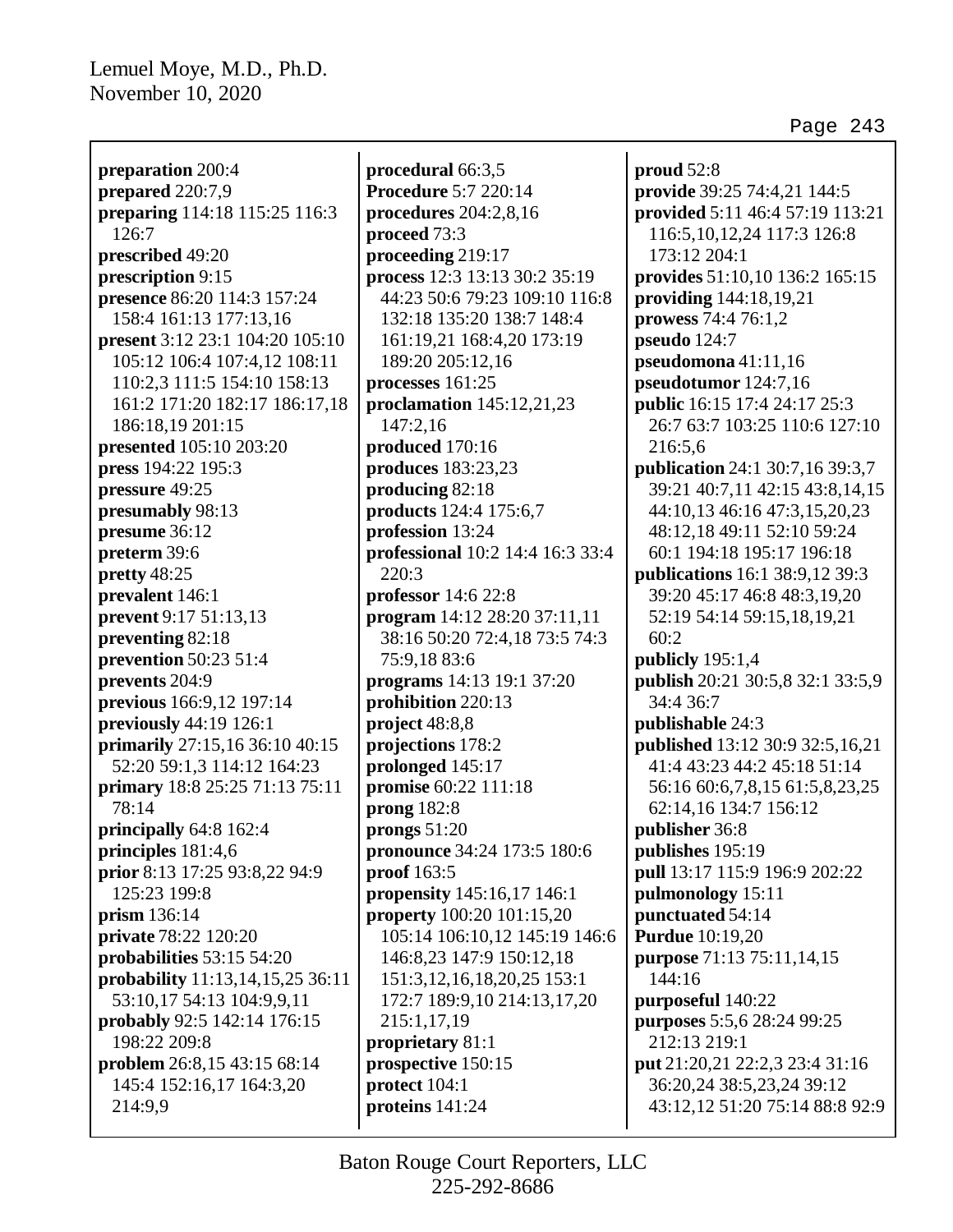| preparation 200:4                |
|----------------------------------|
| prepared 220:7,9                 |
| preparing 114:18 115:25 116:3    |
| 126:7                            |
| prescribed 49:20                 |
| prescription 9:15                |
| presence 86:20 114:3 157:24      |
| 158:4 161:13 177:13,16           |
| present 3:12 23:1 104:20 105:10  |
| 105:12 106:4 107:4,12 108:11     |
| 110:2,3 111:5 154:10 158:13      |
| 161:2 171:20 182:17 186:17,18    |
| 186:18,19 201:15                 |
| presented 105:10 203:20          |
| press 194:22 195:3               |
| pressure 49:25                   |
| presumably 98:13                 |
| presume 36:12                    |
| preterm 39:6                     |
| pretty 48:25                     |
| prevalent 146:1                  |
| prevent 9:17 51:13,13            |
| preventing 82:18                 |
| prevention 50:23 51:4            |
| prevents 204:9                   |
| previous 166:9,12 197:14         |
| previously 44:19 126:1           |
| primarily 27:15,16 36:10 40:15   |
| 52:20 59:1,3 114:12 164:23       |
| primary 18:8 25:25 71:13 75:11   |
| 78:14                            |
| principally 64:8 162:4           |
| principles 181:4,6               |
| prior 8:13 17:25 93:8,22 94:9    |
| 125:23 199:8                     |
| prism 136:14                     |
| <b>private</b> 78:22 120:20      |
| probabilities 53:15 54:20        |
| probability 11:13,14,15,25 36:11 |
| 53:10,17 54:13 104:9,9,11        |
| probably 92:5 142:14 176:15      |
| 198:22 209:8                     |
| problem 26:8,15 43:15 68:14      |
| 145:4 152:16,17 164:3,20         |
| 214:9,9                          |

**procedural** 66:3,5 **Procedure** 5:7 220:14 **procedures** 204:2,8,16 **proceed** 73:3 **proceeding** 219:17 **process** 12:3 13:13 30:2 35:19 44:23 50:6 79:23 109:10 116:8 132:18 135:20 138:7 148:4 161:19,21 168:4,20 173:19 189:20 205:12,16 **processes** 161:25 **proclamation** 145:12,21,23 147:2,16 **produced** 170:16 **produces** 183:23,23 **producing** 82:18 **products** 124:4 175:6,7 **profession** 13:24 **professional** 10:2 14:4 16:3 33:4 220:3 **professor** 14:6 22:8 **program** 14:12 28:20 37:11,11 38:16 50:20 72:4,18 73:5 74:3 75:9,18 83:6 **programs** 14:13 19:1 37:20 **prohibition** 220:13 **project** 48:8,8 **projections** 178:2 **prolonged** 145:17 **promise** 60:22 111:18 **prong** 182:8 **prongs** 51:20 **pronounce** 34:24 173:5 180:6 **proof** 163:5 **propensity** 145:16,17 146:1 **property** 100:20 101:15,20 105:14 106:10,12 145:19 146:6 146:8,23 147:9 150:12,18 151:3,12,16,18,20,25 153:1 172:7 189:9,10 214:13,17,20 215:1,17,19 **proprietary** 81:1 **prospective** 150:15 **protect** 104:1 **proteins** 141:24

**proud** 52:8 **provide** 39:25 74:4,21 144:5 **provided** 5:11 46:4 57:19 113:21 116:5,10,12,24 117:3 126:8 173:12 204:1 **provides** 51:10,10 136:2 165:15 **providing** 144:18,19,21 **prowess** 74:4 76:1,2 **pseudo** 124:7 **pseudomona** 41:11,16 **pseudotumor** 124:7,16 **public** 16:15 17:4 24:17 25:3 26:7 63:7 103:25 110:6 127:10 216:5,6 **publication** 24:1 30:7,16 39:3,7 39:21 40:7,11 42:15 43:8,14,15 44:10,13 46:16 47:3,15,20,23 48:12,18 49:11 52:10 59:24 60:1 194:18 195:17 196:18 **publications** 16:1 38:9,12 39:3 39:20 45:17 46:8 48:3,19,20 52:19 54:14 59:15,18,19,21 60:2 **publicly** 195:1,4 **publish** 20:21 30:5,8 32:1 33:5,9 34:4 36:7 **publishable** 24:3 **published** 13:12 30:9 32:5,16,21 41:4 43:23 44:2 45:18 51:14 56:16 60:6,7,8,15 61:5,8,23,25 62:14,16 134:7 156:12 **publisher** 36:8 **publishes** 195:19 **pull** 13:17 115:9 196:9 202:22 **pulmonology** 15:11 **punctuated** 54:14 **Purdue** 10:19,20 **purpose** 71:13 75:11,14,15 144:16 **purposeful** 140:22 **purposes** 5:5,6 28:24 99:25 212:13 219:1 **put** 21:20,21 22:2,3 23:4 31:16 36:20,24 38:5,23,24 39:12 43:12,12 51:20 75:14 88:8 92:9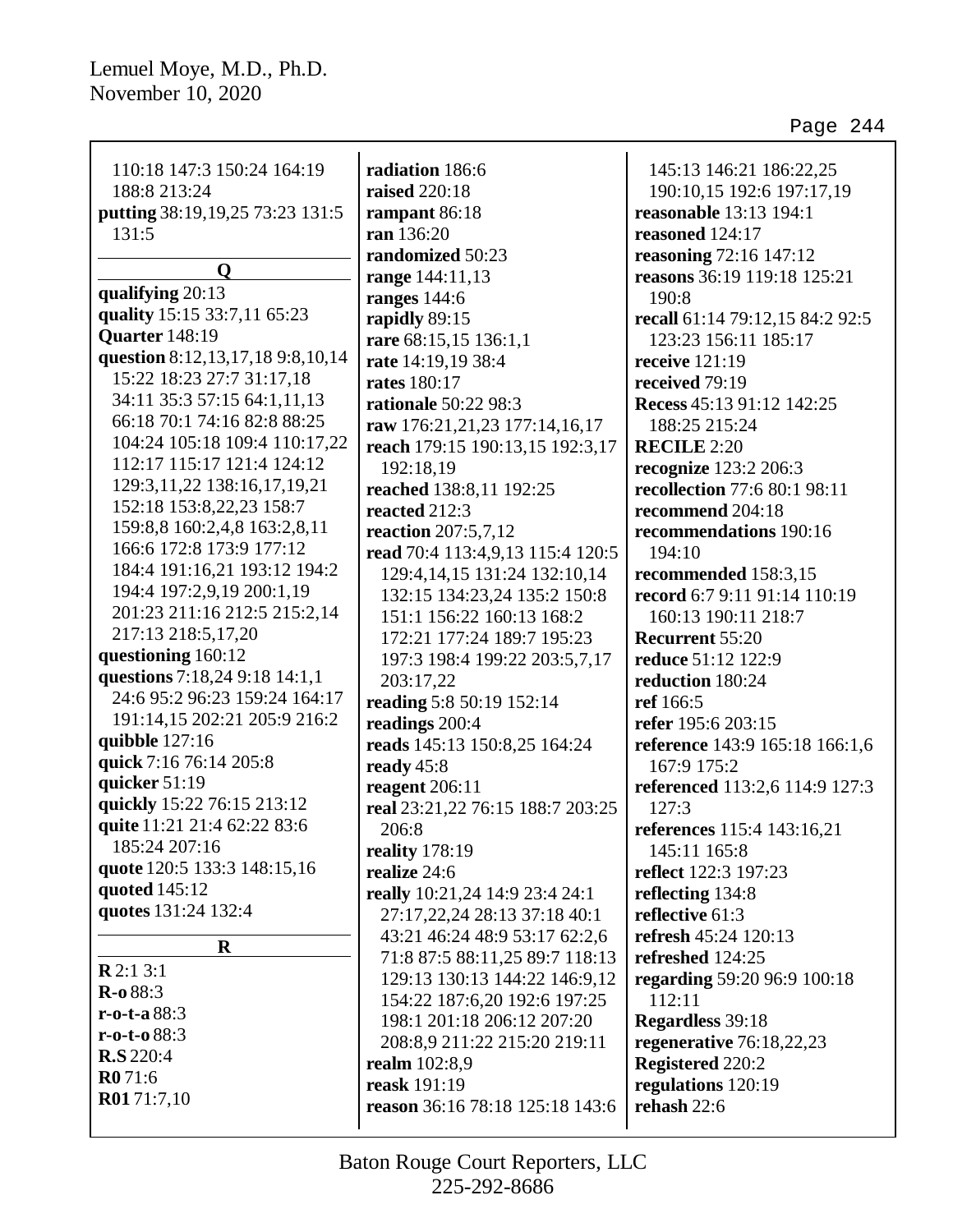| 110:18 147:3 150:24 164:19        | radiation 186:6                  | 145:13 146:21 186:22,25         |
|-----------------------------------|----------------------------------|---------------------------------|
| 188:8 213:24                      | <b>raised</b> 220:18             | 190:10,15 192:6 197:17,19       |
| putting 38:19, 19, 25 73:23 131:5 | rampant 86:18                    | reasonable 13:13 194:1          |
| 131:5                             | ran 136:20                       | reasoned 124:17                 |
|                                   | randomized 50:23                 | reasoning 72:16 147:12          |
| O                                 | range 144:11,13                  | reasons 36:19 119:18 125:21     |
| qualifying 20:13                  | ranges $144:6$                   | 190:8                           |
| quality 15:15 33:7,11 65:23       | rapidly 89:15                    | recall 61:14 79:12,15 84:2 92:5 |
| Quarter 148:19                    | rare 68:15,15 136:1,1            | 123:23 156:11 185:17            |
| question 8:12,13,17,18 9:8,10,14  | rate 14:19,19 38:4               | receive $121:19$                |
| 15:22 18:23 27:7 31:17,18         | <b>rates</b> 180:17              | received 79:19                  |
| 34:11 35:3 57:15 64:1,11,13       | rationale 50:22 98:3             | Recess 45:13 91:12 142:25       |
| 66:18 70:1 74:16 82:8 88:25       | raw 176:21,21,23 177:14,16,17    | 188:25 215:24                   |
| 104:24 105:18 109:4 110:17,22     | reach 179:15 190:13,15 192:3,17  | <b>RECILE 2:20</b>              |
| 112:17 115:17 121:4 124:12        | 192:18,19                        | recognize 123:2 206:3           |
| 129:3, 11, 22 138: 16, 17, 19, 21 | reached 138:8,11 192:25          | recollection 77:6 80:1 98:11    |
| 152:18 153:8,22,23 158:7          | reacted 212:3                    | recommend 204:18                |
| 159:8,8 160:2,4,8 163:2,8,11      | <b>reaction</b> 207:5,7,12       | recommendations 190:16          |
| 166:6 172:8 173:9 177:12          | read 70:4 113:4,9,13 115:4 120:5 | 194:10                          |
| 184:4 191:16,21 193:12 194:2      | 129:4, 14, 15 131:24 132:10, 14  | recommended 158:3,15            |
| 194:4 197:2,9,19 200:1,19         | 132:15 134:23,24 135:2 150:8     | record 6:7 9:11 91:14 110:19    |
| 201:23 211:16 212:5 215:2,14      | 151:1 156:22 160:13 168:2        | 160:13 190:11 218:7             |
| 217:13 218:5,17,20                | 172:21 177:24 189:7 195:23       | <b>Recurrent 55:20</b>          |
| questioning 160:12                | 197:3 198:4 199:22 203:5,7,17    | <b>reduce</b> 51:12 122:9       |
| questions 7:18,24 9:18 14:1,1     | 203:17,22                        | reduction 180:24                |
| 24:6 95:2 96:23 159:24 164:17     | reading 5:8 50:19 152:14         | ref 166:5                       |
| 191:14,15 202:21 205:9 216:2      | readings 200:4                   | refer 195:6 203:15              |
| quibble $127:16$                  | reads 145:13 150:8,25 164:24     | reference 143:9 165:18 166:1,6  |
| quick 7:16 76:14 205:8            | ready 45:8                       | 167:9 175:2                     |
| quicker 51:19                     | reagent 206:11                   | referenced 113:2,6 114:9 127:3  |
| quickly 15:22 76:15 213:12        | real 23:21,22 76:15 188:7 203:25 | 127:3                           |
| quite 11:21 21:4 62:22 83:6       | 206:8                            | references 115:4 143:16,21      |
| 185:24 207:16                     | reality $178:19$                 | 145:11 165:8                    |
| quote 120:5 133:3 148:15,16       | realize 24:6                     | reflect 122:3 197:23            |
| quoted 145:12                     | really 10:21,24 14:9 23:4 24:1   | reflecting 134:8                |
| quotes 131:24 132:4               | 27:17,22,24 28:13 37:18 40:1     | reflective 61:3                 |
| $\bf R$                           | 43:21 46:24 48:9 53:17 62:2,6    | refresh 45:24 120:13            |
| R2:13:1                           | 71:8 87:5 88:11,25 89:7 118:13   | refreshed 124:25                |
| $R - 0.88:3$                      | 129:13 130:13 144:22 146:9,12    | regarding 59:20 96:9 100:18     |
| $r-0-t-a88:3$                     | 154:22 187:6,20 192:6 197:25     | 112:11                          |
| $r - 0 - t - 088:3$               | 198:1 201:18 206:12 207:20       | Regardless 39:18                |
| <b>R.S</b> 220:4                  | 208:8,9 211:22 215:20 219:11     | regenerative $76:18,22,23$      |
| R071:6                            | <b>realm</b> 102:8,9             | Registered 220:2                |
| R0171:7,10                        | reask 191:19                     | regulations 120:19              |
|                                   | reason 36:16 78:18 125:18 143:6  | rehash 22:6                     |
|                                   |                                  |                                 |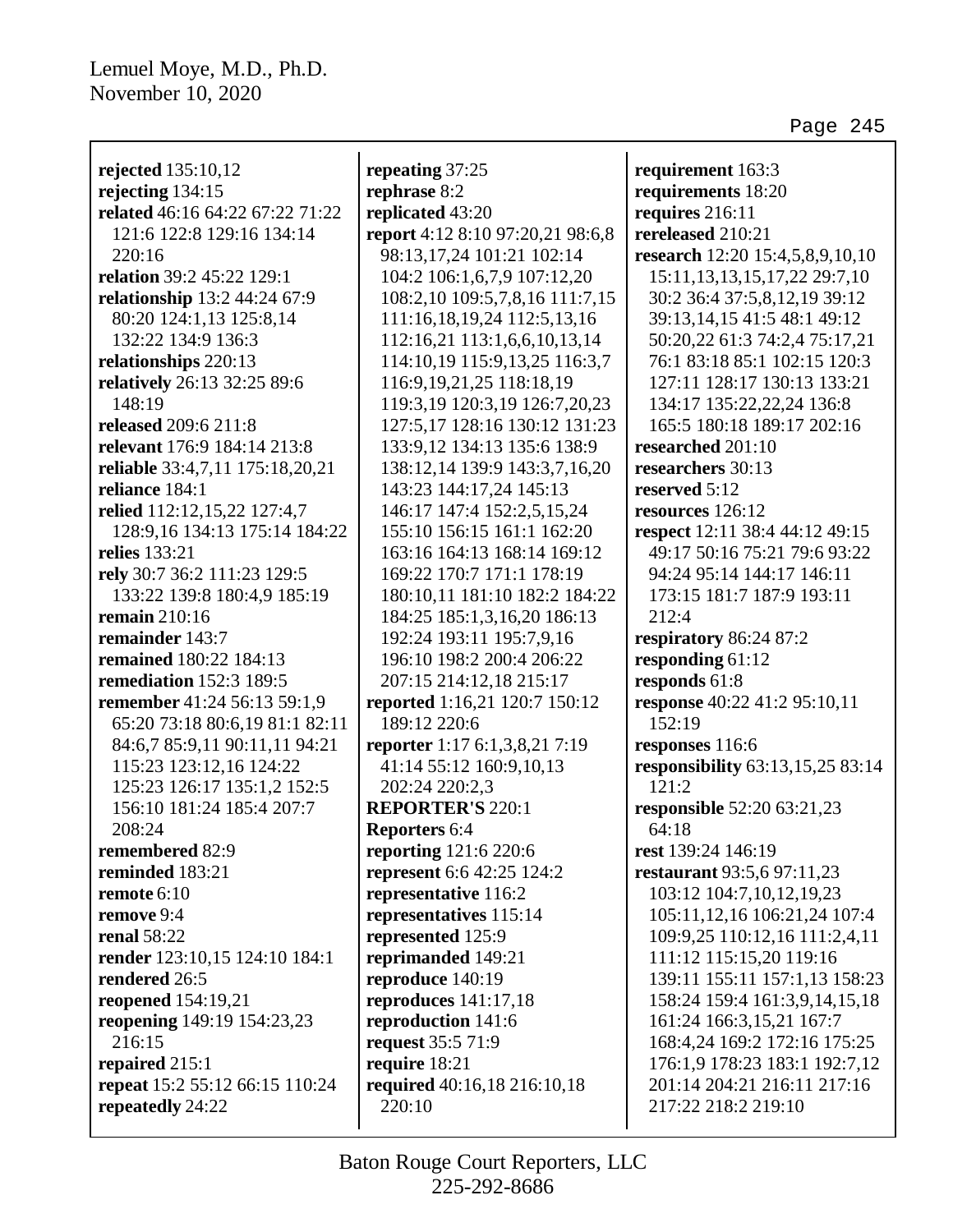| rejected 135:10,12                               | repeating 37:25                              | requirement 163:3                                         |
|--------------------------------------------------|----------------------------------------------|-----------------------------------------------------------|
| rejecting 134:15                                 | rephrase 8:2                                 | requirements 18:20                                        |
| related 46:16 64:22 67:22 71:22                  | replicated 43:20                             | requires 216:11                                           |
| 121:6 122:8 129:16 134:14                        | report 4:12 8:10 97:20,21 98:6,8             | rereleased 210:21                                         |
| 220:16                                           | 98:13,17,24 101:21 102:14                    | research 12:20 15:4,5,8,9,10,10                           |
| relation 39:2 45:22 129:1                        | 104:2 106:1,6,7,9 107:12,20                  | 15:11, 13, 13, 15, 17, 22 29:7, 10                        |
| relationship 13:2 44:24 67:9                     | 108:2,10 109:5,7,8,16 111:7,15               | 30:2 36:4 37:5,8,12,19 39:12                              |
| 80:20 124:1,13 125:8,14                          | 111:16,18,19,24 112:5,13,16                  | 39:13, 14, 15 41:5 48:1 49:12                             |
| 132:22 134:9 136:3                               | 112:16,21 113:1,6,6,10,13,14                 | 50:20,22 61:3 74:2,4 75:17,21                             |
| relationships 220:13                             | 114:10,19 115:9,13,25 116:3,7                | 76:1 83:18 85:1 102:15 120:3                              |
| relatively 26:13 32:25 89:6                      | 116:9, 19, 21, 25 118: 18, 19                | 127:11 128:17 130:13 133:21                               |
| 148:19                                           | 119:3,19 120:3,19 126:7,20,23                | 134:17 135:22,22,24 136:8                                 |
| released 209:6 211:8                             | 127:5,17 128:16 130:12 131:23                | 165:5 180:18 189:17 202:16                                |
| relevant 176:9 184:14 213:8                      | 133:9,12 134:13 135:6 138:9                  | researched 201:10                                         |
| reliable 33:4,7,11 175:18,20,21                  | 138:12,14 139:9 143:3,7,16,20                | researchers 30:13                                         |
| reliance 184:1                                   | 143:23 144:17,24 145:13                      | reserved 5:12                                             |
| relied 112:12,15,22 127:4,7                      | 146:17 147:4 152:2,5,15,24                   | resources 126:12                                          |
| 128:9,16 134:13 175:14 184:22                    | 155:10 156:15 161:1 162:20                   | respect 12:11 38:4 44:12 49:15                            |
| relies 133:21                                    | 163:16 164:13 168:14 169:12                  | 49:17 50:16 75:21 79:6 93:22                              |
| rely 30:7 36:2 111:23 129:5                      | 169:22 170:7 171:1 178:19                    | 94:24 95:14 144:17 146:11                                 |
| 133:22 139:8 180:4,9 185:19                      | 180:10,11 181:10 182:2 184:22                | 173:15 181:7 187:9 193:11                                 |
| <b>remain</b> 210:16                             | 184:25 185:1,3,16,20 186:13                  | 212:4                                                     |
| remainder 143:7                                  | 192:24 193:11 195:7,9,16                     | respiratory 86:24 87:2                                    |
| remained 180:22 184:13                           | 196:10 198:2 200:4 206:22                    | responding 61:12                                          |
| <b>remediation</b> 152:3 189:5                   | 207:15 214:12,18 215:17                      | responds 61:8                                             |
| remember 41:24 56:13 59:1,9                      | reported 1:16,21 120:7 150:12                | response 40:22 41:2 95:10,11                              |
| 65:20 73:18 80:6,19 81:1 82:11                   | 189:12 220:6                                 | 152:19                                                    |
| 84:6,7 85:9,11 90:11,11 94:21                    | reporter 1:17 6:1,3,8,21 7:19                | responses 116:6                                           |
| 115:23 123:12,16 124:22                          | 41:14 55:12 160:9,10,13                      | responsibility 63:13,15,25 83:14                          |
| 125:23 126:17 135:1,2 152:5                      | 202:24 220:2,3                               | 121:2                                                     |
| 156:10 181:24 185:4 207:7                        | <b>REPORTER'S 220:1</b>                      | responsible 52:20 63:21,23                                |
| 208:24                                           | Reporters 6:4                                | 64:18                                                     |
| remembered 82:9                                  | reporting 121:6 220:6                        | rest 139:24 146:19                                        |
| reminded 183:21                                  | <b>represent</b> 6:6 42:25 124:2             | restaurant 93:5,6 97:11,23                                |
| remote $6:10$                                    | representative 116:2                         | 103:12 104:7,10,12,19,23                                  |
| remove 9:4                                       | representatives 115:14                       | 105:11,12,16 106:21,24 107:4                              |
| <b>renal</b> 58:22                               | represented 125:9                            | 109:9,25 110:12,16 111:2,4,11                             |
| render 123:10,15 124:10 184:1<br>rendered 26:5   | reprimanded 149:21                           | 111:12 115:15,20 119:16<br>139:11 155:11 157:1,13 158:23  |
|                                                  | reproduce 140:19                             |                                                           |
| reopened 154:19,21<br>reopening 149:19 154:23,23 | reproduces $141:17,18$<br>reproduction 141:6 | 158:24 159:4 161:3,9,14,15,18<br>161:24 166:3,15,21 167:7 |
| 216:15                                           | request 35:5 71:9                            | 168:4,24 169:2 172:16 175:25                              |
| repaired 215:1                                   | require 18:21                                | 176:1,9 178:23 183:1 192:7,12                             |
| repeat 15:2 55:12 66:15 110:24                   | required 40:16,18 216:10,18                  | 201:14 204:21 216:11 217:16                               |
| repeatedly 24:22                                 | 220:10                                       | 217:22 218:2 219:10                                       |
|                                                  |                                              |                                                           |
|                                                  |                                              |                                                           |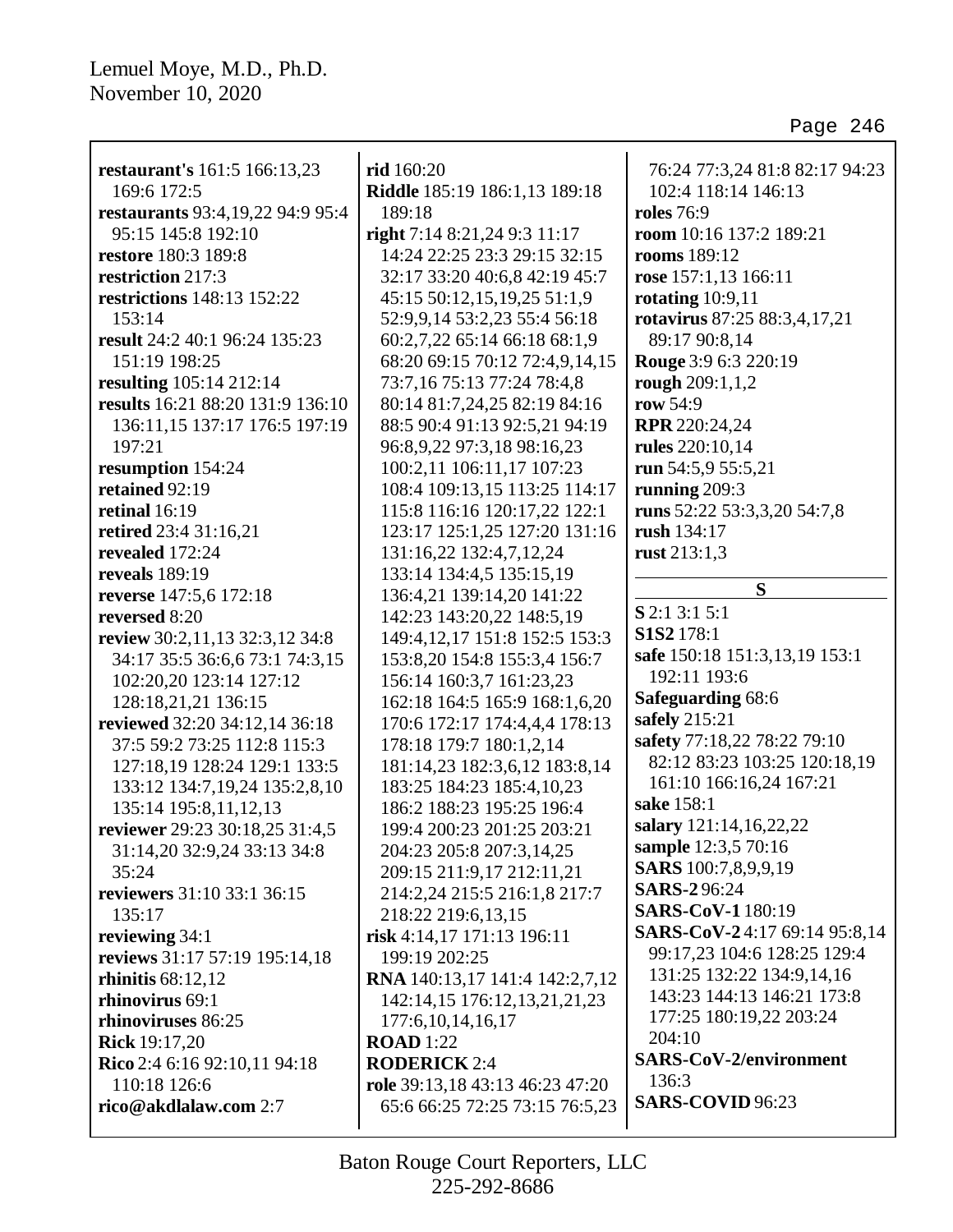| restaurant's 161:5 166:13,23            | rid 160:20                      | 76:24 77:3,24 81:8 82:17 94:23                           |
|-----------------------------------------|---------------------------------|----------------------------------------------------------|
| 169:6 172:5                             | Riddle 185:19 186:1,13 189:18   | 102:4 118:14 146:13                                      |
| restaurants 93:4, 19, 22 94: 9 95: 4    | 189:18                          | <b>roles</b> 76:9                                        |
| 95:15 145:8 192:10                      | right 7:14 8:21,24 9:3 11:17    | room 10:16 137:2 189:21                                  |
| restore 180:3 189:8                     | 14:24 22:25 23:3 29:15 32:15    | rooms 189:12                                             |
| restriction 217:3                       | 32:17 33:20 40:6,8 42:19 45:7   | rose 157:1,13 166:11                                     |
| restrictions 148:13 152:22              | 45:15 50:12,15,19,25 51:1,9     | rotating $10:9,11$                                       |
| 153:14                                  | 52:9,9,14 53:2,23 55:4 56:18    | rotavirus 87:25 88:3,4,17,21                             |
| result 24:2 40:1 96:24 135:23           | 60:2,7,22 65:14 66:18 68:1,9    | 89:17 90:8,14                                            |
| 151:19 198:25                           | 68:20 69:15 70:12 72:4,9,14,15  | Rouge 3:9 6:3 220:19                                     |
| resulting 105:14 212:14                 | 73:7,16 75:13 77:24 78:4,8      | rough 209:1,1,2                                          |
| results 16:21 88:20 131:9 136:10        | 80:14 81:7,24,25 82:19 84:16    | row 54:9                                                 |
| 136:11,15 137:17 176:5 197:19           | 88:5 90:4 91:13 92:5,21 94:19   | RPR 220:24,24                                            |
| 197:21                                  | 96:8,9,22 97:3,18 98:16,23      | rules 220:10,14                                          |
| resumption 154:24                       | 100:2,11 106:11,17 107:23       | run 54:5,9 55:5,21                                       |
| retained 92:19                          | 108:4 109:13,15 113:25 114:17   | running $209:3$                                          |
| retinal $16:19$                         | 115:8 116:16 120:17,22 122:1    | runs 52:22 53:3,3,20 54:7,8                              |
| retired 23:4 31:16,21                   | 123:17 125:1,25 127:20 131:16   | rush 134:17                                              |
| revealed 172:24                         | 131:16,22 132:4,7,12,24         | rust 213:1,3                                             |
| reveals 189:19                          | 133:14 134:4,5 135:15,19        |                                                          |
|                                         |                                 | S                                                        |
| reverse 147:5,6 172:18<br>reversed 8:20 | 136:4,21 139:14,20 141:22       | $S$ 2:1 3:1 5:1                                          |
|                                         | 142:23 143:20,22 148:5,19       | S1S2 178:1                                               |
| review 30:2,11,13 32:3,12 34:8          | 149:4, 12, 17 151:8 152:5 153:3 | safe 150:18 151:3,13,19 153:1                            |
| 34:17 35:5 36:6,6 73:1 74:3,15          | 153:8,20 154:8 155:3,4 156:7    | 192:11 193:6                                             |
| 102:20,20 123:14 127:12                 | 156:14 160:3,7 161:23,23        | <b>Safeguarding 68:6</b>                                 |
| 128:18,21,21 136:15                     | 162:18 164:5 165:9 168:1,6,20   | safely 215:21                                            |
| reviewed 32:20 34:12,14 36:18           | 170:6 172:17 174:4,4,4 178:13   | safety 77:18,22 78:22 79:10                              |
| 37:5 59:2 73:25 112:8 115:3             | 178:18 179:7 180:1,2,14         | 82:12 83:23 103:25 120:18,19                             |
| 127:18,19 128:24 129:1 133:5            | 181:14,23 182:3,6,12 183:8,14   | 161:10 166:16,24 167:21                                  |
| 133:12 134:7,19,24 135:2,8,10           | 183:25 184:23 185:4,10,23       | sake 158:1                                               |
| 135:14 195:8,11,12,13                   | 186:2 188:23 195:25 196:4       | salary 121:14,16,22,22                                   |
| reviewer 29:23 30:18,25 31:4,5          | 199:4 200:23 201:25 203:21      | sample 12:3,5 70:16                                      |
| 31:14,20 32:9,24 33:13 34:8             | 204:23 205:8 207:3,14,25        | SARS 100:7,8,9,9,19                                      |
| 35:24                                   | 209:15 211:9,17 212:11,21       | <b>SARS-296:24</b>                                       |
| reviewers 31:10 33:1 36:15              | 214:2,24 215:5 216:1,8 217:7    | SARS-CoV-1180:19                                         |
| 135:17                                  | 218:22 219:6,13,15              | SARS-CoV-24:17 69:14 95:8,14                             |
| reviewing 34:1                          | risk 4:14,17 171:13 196:11      |                                                          |
| reviews 31:17 57:19 195:14,18           | 199:19 202:25                   | 99:17,23 104:6 128:25 129:4<br>131:25 132:22 134:9,14,16 |
| rhinitis $68:12,12$                     | RNA 140:13,17 141:4 142:2,7,12  |                                                          |
| rhinovirus 69:1                         | 142:14,15 176:12,13,21,21,23    | 143:23 144:13 146:21 173:8                               |
| rhinoviruses 86:25                      | 177:6, 10, 14, 16, 17           | 177:25 180:19,22 203:24                                  |
| <b>Rick</b> 19:17,20                    | <b>ROAD</b> 1:22                | 204:10                                                   |
| Rico 2:4 6:16 92:10,11 94:18            | <b>RODERICK 2:4</b>             | <b>SARS-CoV-2/environment</b>                            |
| 110:18 126:6                            | role 39:13,18 43:13 46:23 47:20 | 136:3                                                    |
| rico@akdlalaw.com 2:7                   | 65:6 66:25 72:25 73:15 76:5,23  | SARS-COVID 96:23                                         |
|                                         |                                 |                                                          |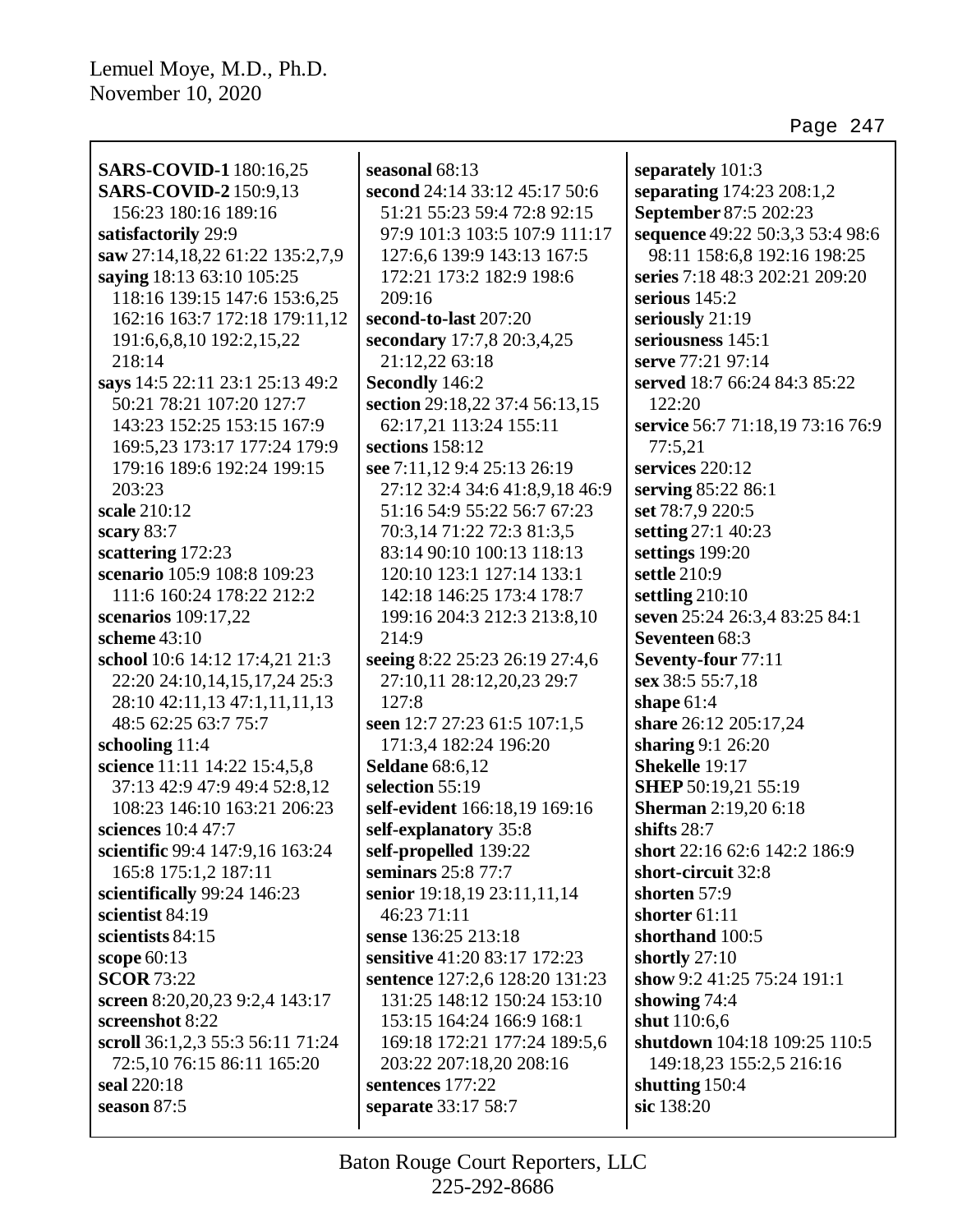| <b>SARS-COVID-1</b> 180:16,25<br><b>SARS-COVID-2</b> 150:9,13 | seasonal 68:13<br>second 24:14 33:12 45:17 50:6 | separately 101:3<br>separating 174:23 208:1,2 |
|---------------------------------------------------------------|-------------------------------------------------|-----------------------------------------------|
| 156:23 180:16 189:16                                          | 51:21 55:23 59:4 72:8 92:15                     |                                               |
|                                                               |                                                 | September 87:5 202:23                         |
| satisfactorily 29:9                                           | 97:9 101:3 103:5 107:9 111:17                   | sequence 49:22 50:3,3 53:4 98:6               |
| saw 27:14,18,22 61:22 135:2,7,9                               | 127:6,6 139:9 143:13 167:5                      | 98:11 158:6,8 192:16 198:25                   |
| saying 18:13 63:10 105:25                                     | 172:21 173:2 182:9 198:6                        | series 7:18 48:3 202:21 209:20                |
| 118:16 139:15 147:6 153:6,25                                  | 209:16                                          | serious $145:2$                               |
| 162:16 163:7 172:18 179:11,12                                 | second-to-last 207:20                           | seriously 21:19                               |
| 191:6,6,8,10 192:2,15,22                                      | secondary 17:7,8 20:3,4,25                      | seriousness 145:1                             |
| 218:14                                                        | 21:12,22 63:18                                  | serve 77:21 97:14                             |
| says 14:5 22:11 23:1 25:13 49:2                               | Secondly 146:2                                  | served 18:7 66:24 84:3 85:22                  |
| 50:21 78:21 107:20 127:7                                      | section 29:18,22 37:4 56:13,15                  | 122:20                                        |
| 143:23 152:25 153:15 167:9                                    | 62:17,21 113:24 155:11                          | service 56:7 71:18,19 73:16 76:9              |
| 169:5,23 173:17 177:24 179:9                                  | sections 158:12                                 | 77:5,21                                       |
| 179:16 189:6 192:24 199:15                                    | see 7:11,12 9:4 25:13 26:19                     | services 220:12                               |
| 203:23                                                        | 27:12 32:4 34:6 41:8,9,18 46:9                  | serving 85:22 86:1                            |
| scale 210:12                                                  | 51:16 54:9 55:22 56:7 67:23                     | set 78:7,9 220:5                              |
| scary 83:7                                                    | 70:3,14 71:22 72:3 81:3,5                       | setting 27:1 40:23                            |
| scattering 172:23                                             | 83:14 90:10 100:13 118:13                       | settings 199:20                               |
| scenario 105:9 108:8 109:23                                   | 120:10 123:1 127:14 133:1                       | settle 210:9                                  |
| 111:6 160:24 178:22 212:2                                     | 142:18 146:25 173:4 178:7                       | settling 210:10                               |
| scenarios 109:17,22                                           | 199:16 204:3 212:3 213:8,10                     | seven 25:24 26:3,4 83:25 84:1                 |
| scheme $43:10$                                                | 214:9                                           | Seventeen 68:3                                |
| school 10:6 14:12 17:4,21 21:3                                | seeing 8:22 25:23 26:19 27:4,6                  | Seventy-four 77:11                            |
| 22:20 24:10,14,15,17,24 25:3                                  | 27:10,11 28:12,20,23 29:7                       | sex 38:5 55:7,18                              |
| 28:10 42:11,13 47:1,11,11,13                                  | 127:8                                           | shape $61:4$                                  |
| 48:5 62:25 63:7 75:7                                          | seen 12:7 27:23 61:5 107:1,5                    | share 26:12 205:17,24                         |
| schooling 11:4                                                | 171:3,4 182:24 196:20                           | sharing 9:1 26:20                             |
| science 11:11 14:22 15:4,5,8                                  | <b>Seldane</b> 68:6,12                          | Shekelle 19:17                                |
| 37:13 42:9 47:9 49:4 52:8,12                                  | selection 55:19                                 | <b>SHEP</b> 50:19,21 55:19                    |
| 108:23 146:10 163:21 206:23                                   | self-evident 166:18,19 169:16                   | <b>Sherman</b> 2:19,20 6:18                   |
| sciences 10:4 47:7                                            | self-explanatory 35:8                           | shifts $28:7$                                 |
| scientific 99:4 147:9,16 163:24                               | self-propelled 139:22                           | short 22:16 62:6 142:2 186:9                  |
| 165:8 175:1,2 187:11                                          | seminars 25:8 77:7                              | short-circuit 32:8                            |
| scientifically 99:24 146:23                                   | senior 19:18,19 23:11,11,14                     | shorten 57:9                                  |
| scientist 84:19                                               | 46:23 71:11                                     | shorter $61:11$                               |
| scientists 84:15                                              | sense 136:25 213:18                             | shorthand 100:5                               |
| scope $60:13$                                                 | sensitive 41:20 83:17 172:23                    | shortly $27:10$                               |
| <b>SCOR 73:22</b>                                             | sentence 127:2,6 128:20 131:23                  | show 9:2 41:25 75:24 191:1                    |
| screen 8:20, 20, 23 9:2, 4 143:17                             | 131:25 148:12 150:24 153:10                     | showing $74:4$                                |
| screenshot 8:22                                               | 153:15 164:24 166:9 168:1                       | shut 110:6,6                                  |
| scroll 36:1,2,3 55:3 56:11 71:24                              | 169:18 172:21 177:24 189:5,6                    | shutdown 104:18 109:25 110:5                  |
| 72:5,10 76:15 86:11 165:20                                    | 203:22 207:18,20 208:16                         | 149:18,23 155:2,5 216:16                      |
| seal 220:18                                                   | sentences 177:22                                | shutting 150:4                                |
| season 87:5                                                   | separate 33:17 58:7                             | sic 138:20                                    |
|                                                               |                                                 |                                               |
|                                                               |                                                 |                                               |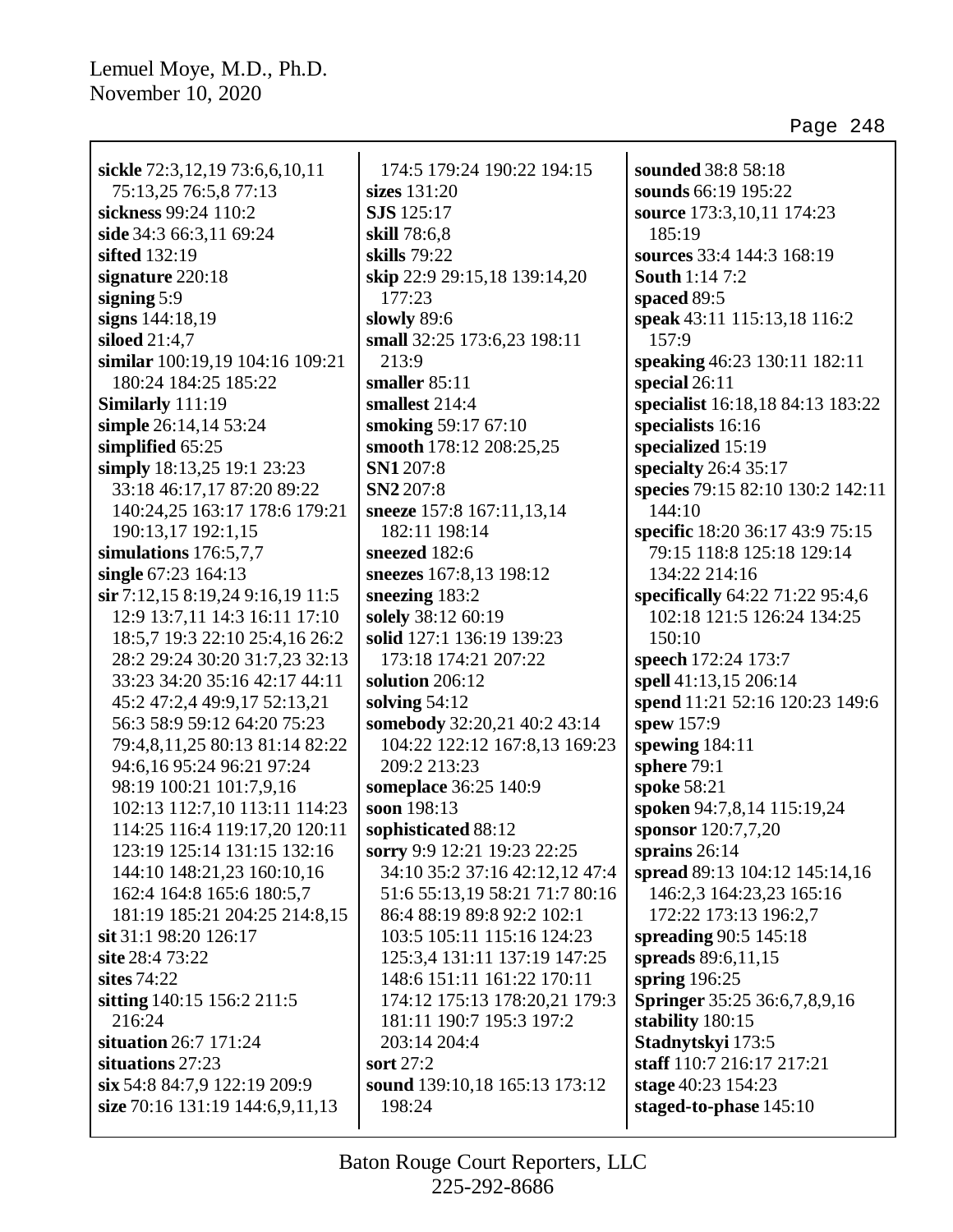| sickle 72:3,12,19 73:6,6,10,11   | 174:5 179:24 190:22 194:15     | sounded 38:8 58:18                  |
|----------------------------------|--------------------------------|-------------------------------------|
| 75:13,25 76:5,8 77:13            | sizes 131:20                   | sounds 66:19 195:22                 |
| sickness 99:24 110:2             | <b>SJS</b> 125:17              | source 173:3,10,11 174:23           |
| side 34:3 66:3,11 69:24          | skill 78:6,8                   | 185:19                              |
| sifted 132:19                    | skills 79:22                   | sources 33:4 144:3 168:19           |
| signature 220:18                 | skip 22:9 29:15,18 139:14,20   | <b>South 1:14 7:2</b>               |
| signing $5:9$                    | 177:23                         | spaced 89:5                         |
| signs 144:18,19                  | slowly 89:6                    | speak 43:11 115:13,18 116:2         |
| siloed $21:4,7$                  | small 32:25 173:6,23 198:11    | 157:9                               |
| similar 100:19,19 104:16 109:21  | 213:9                          | speaking 46:23 130:11 182:11        |
| 180:24 184:25 185:22             | smaller $85:11$                | special $26:11$                     |
| Similarly 111:19                 | smallest 214:4                 | specialist 16:18,18 84:13 183:22    |
| simple 26:14,14 53:24            | smoking 59:17 67:10            | specialists 16:16                   |
| simplified 65:25                 | smooth 178:12 208:25,25        | specialized 15:19                   |
| simply 18:13,25 19:1 23:23       | SN1 207:8                      | specialty 26:4 35:17                |
| 33:18 46:17,17 87:20 89:22       | SN2 207:8                      | species 79:15 82:10 130:2 142:11    |
| 140:24,25 163:17 178:6 179:21    | sneeze 157:8 167:11,13,14      | 144:10                              |
| 190:13,17 192:1,15               | 182:11 198:14                  | specific 18:20 36:17 43:9 75:15     |
| simulations $176:5,7,7$          | sneezed 182:6                  | 79:15 118:8 125:18 129:14           |
| single 67:23 164:13              | sneezes 167:8,13 198:12        | 134:22 214:16                       |
| sir 7:12,15 8:19,24 9:16,19 11:5 | sneezing 183:2                 | specifically 64:22 71:22 95:4,6     |
| 12:9 13:7,11 14:3 16:11 17:10    | solely 38:12 60:19             | 102:18 121:5 126:24 134:25          |
| 18:5,7 19:3 22:10 25:4,16 26:2   | solid 127:1 136:19 139:23      | 150:10                              |
| 28:2 29:24 30:20 31:7,23 32:13   | 173:18 174:21 207:22           | speech 172:24 173:7                 |
| 33:23 34:20 35:16 42:17 44:11    | solution 206:12                | spell 41:13,15 206:14               |
| 45:2 47:2,4 49:9,17 52:13,21     | solving $54:12$                | spend 11:21 52:16 120:23 149:6      |
| 56:3 58:9 59:12 64:20 75:23      | somebody 32:20,21 40:2 43:14   | spew 157:9                          |
| 79:4,8,11,25 80:13 81:14 82:22   | 104:22 122:12 167:8,13 169:23  | spewing 184:11                      |
| 94:6,16 95:24 96:21 97:24        | 209:2 213:23                   | sphere 79:1                         |
| 98:19 100:21 101:7,9,16          | someplace 36:25 140:9          | spoke 58:21                         |
| 102:13 112:7,10 113:11 114:23    | soon 198:13                    | spoken 94:7,8,14 115:19,24          |
| 114:25 116:4 119:17,20 120:11    | sophisticated 88:12            | sponsor 120:7,7,20                  |
| 123:19 125:14 131:15 132:16      | sorry 9:9 12:21 19:23 22:25    | sprains $26:14$                     |
| 144:10 148:21,23 160:10,16       | 34:10 35:2 37:16 42:12,12 47:4 | spread 89:13 104:12 145:14,16       |
| 162:4 164:8 165:6 180:5,7        | 51:6 55:13,19 58:21 71:7 80:16 | 146:2,3 164:23,23 165:16            |
| 181:19 185:21 204:25 214:8,15    | 86:4 88:19 89:8 92:2 102:1     | 172:22 173:13 196:2,7               |
| sit 31:1 98:20 126:17            | 103:5 105:11 115:16 124:23     | spreading 90:5 145:18               |
| site 28:4 73:22                  | 125:3,4 131:11 137:19 147:25   | spreads 89:6,11,15                  |
| sites $74:22$                    | 148:6 151:11 161:22 170:11     | spring $196:25$                     |
| sitting 140:15 156:2 211:5       | 174:12 175:13 178:20,21 179:3  | <b>Springer</b> 35:25 36:6,7,8,9,16 |
| 216:24                           | 181:11 190:7 195:3 197:2       | stability 180:15                    |
| situation 26:7 171:24            | 203:14 204:4                   | Stadnytskyi 173:5                   |
| situations 27:23                 | sort 27:2                      | staff 110:7 216:17 217:21           |
| six 54:8 84:7,9 122:19 209:9     | sound 139:10,18 165:13 173:12  | stage 40:23 154:23                  |
| size 70:16 131:19 144:6,9,11,13  | 198:24                         | staged-to-phase 145:10              |
|                                  |                                |                                     |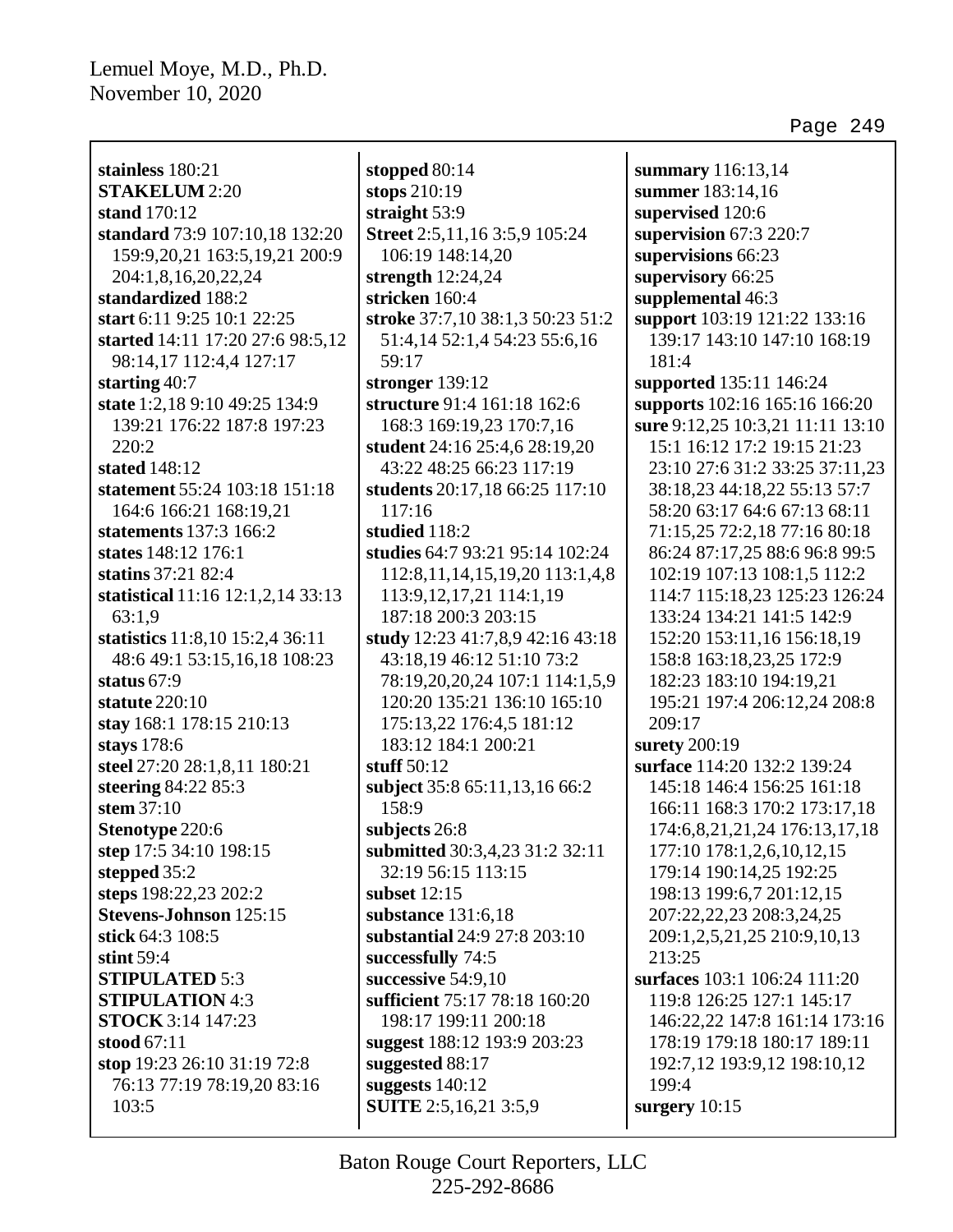Г

| stainless 180:21                              |
|-----------------------------------------------|
| <b>STAKELUM 2:20</b>                          |
| stand 170:12                                  |
| standard 73:9 107:10,18 132:20                |
| 159:9,20,21 163:5,19,21 200:9                 |
| 204:1,8,16,20,22,24                           |
| standardized 188:2                            |
| start 6:11 9:25 10:1 22:25                    |
| started 14:11 17:20 27:6 98:5,12              |
| 98:14,17 112:4,4 127:17                       |
| starting $40:7$                               |
| state 1:2,18 9:10 49:25 134:9                 |
| 139:21 176:22 187:8 197:23                    |
| 220:2                                         |
| stated 148:12                                 |
| statement 55:24 103:18 151:18                 |
| 164:6 166:21 168:19.21                        |
| statements 137:3 166:2                        |
| states 148:12 176:1                           |
| statins 37:21 82:4                            |
|                                               |
| statistical 11:16 12:1,2,14 33:13             |
| 63:1,9                                        |
| statistics 11:8,10 15:2,4 36:11               |
| 48:6 49:1 53:15,16,18 108:23<br>status $67:9$ |
| statute $220:10$                              |
|                                               |
| stay 168:1 178:15 210:13                      |
| stays 178:6                                   |
| steel 27:20 28:1,8,11 180:21                  |
| steering 84:22 85:3                           |
| stem $37:10$                                  |
| <b>Stenotype 220:6</b>                        |
| step 17:5 34:10 198:15                        |
| stepped 35:2                                  |
| steps 198:22,23 202:2                         |
| <b>Stevens-Johnson</b> 125:15                 |
| stick 64:3 108:5                              |
| stint $59:4$                                  |
| <b>STIPULATED 5:3</b>                         |
| <b>STIPULATION 4:3</b>                        |
| STOCK 3:14 147:23                             |
| stood $67:11$                                 |
| stop 19:23 26:10 31:19 72:8                   |
| 76:13 77:19 78:19,20 83:16                    |
| 103:5                                         |

**stopped** 80:14 **stops** 210:19 **straight** 53:9 **Street** 2:5,11,16 3:5,9 105:24 106:19 148:14,20 **strength** 12:24,24 **stricken** 160:4 **stroke** 37:7,10 38:1,3 50:23 51:2 51:4,14 52:1,4 54:23 55:6,16 59:17 **stronger** 139:12 **structure** 91:4 161:18 162:6 168:3 169:19,23 170:7,16 **student** 24:16 25:4,6 28:19,20 43:22 48:25 66:23 117:19 **students** 20:17,18 66:25 117:10 117:16 **studied** 118:2 **studies** 64:7 93:21 95:14 102:24 112:8,11,14,15,19,20 113:1,4,8 113:9,12,17,21 114:1,19 187:18 200:3 203:15 **study** 12:23 41:7,8,9 42:16 43:18 43:18,19 46:12 51:10 73:2 78:19,20,20,24 107:1 114:1,5,9 120:20 135:21 136:10 165:10 175:13,22 176:4,5 181:12 183:12 184:1 200:21 **stuff** 50:12 **subject** 35:8 65:11,13,16 66:2 158:9 **subjects** 26:8 **submitted** 30:3,4,23 31:2 32:11 32:19 56:15 113:15 **subset** 12:15 **substance** 131:6,18 **substantial** 24:9 27:8 203:10 **successfully** 74:5 **successive** 54:9,10 **sufficient** 75:17 78:18 160:20 198:17 199:11 200:18 **suggest** 188:12 193:9 203:23 **suggested** 88:17 **suggests** 140:12 **SUITE** 2:5,16,21 3:5,9

**summary** 116:13,14 **summer** 183:14,16 **supervised** 120:6 **supervision** 67:3 220:7 **supervisions** 66:23 **supervisory** 66:25 **supplemental** 46:3 **support** 103:19 121:22 133:16 139:17 143:10 147:10 168:19 181:4 **supported** 135:11 146:24 **supports** 102:16 165:16 166:20 **sure** 9:12,25 10:3,21 11:11 13:10 15:1 16:12 17:2 19:15 21:23 23:10 27:6 31:2 33:25 37:11,23 38:18,23 44:18,22 55:13 57:7 58:20 63:17 64:6 67:13 68:11 71:15,25 72:2,18 77:16 80:18 86:24 87:17,25 88:6 96:8 99:5 102:19 107:13 108:1,5 112:2 114:7 115:18,23 125:23 126:24 133:24 134:21 141:5 142:9 152:20 153:11,16 156:18,19 158:8 163:18,23,25 172:9 182:23 183:10 194:19,21 195:21 197:4 206:12,24 208:8 209:17 **surety** 200:19 **surface** 114:20 132:2 139:24 145:18 146:4 156:25 161:18 166:11 168:3 170:2 173:17,18 174:6,8,21,21,24 176:13,17,18 177:10 178:1,2,6,10,12,15 179:14 190:14,25 192:25 198:13 199:6,7 201:12,15 207:22,22,23 208:3,24,25 209:1,2,5,21,25 210:9,10,13 213:25 **surfaces** 103:1 106:24 111:20 119:8 126:25 127:1 145:17 146:22,22 147:8 161:14 173:16 178:19 179:18 180:17 189:11 192:7,12 193:9,12 198:10,12 199:4 **surgery** 10:15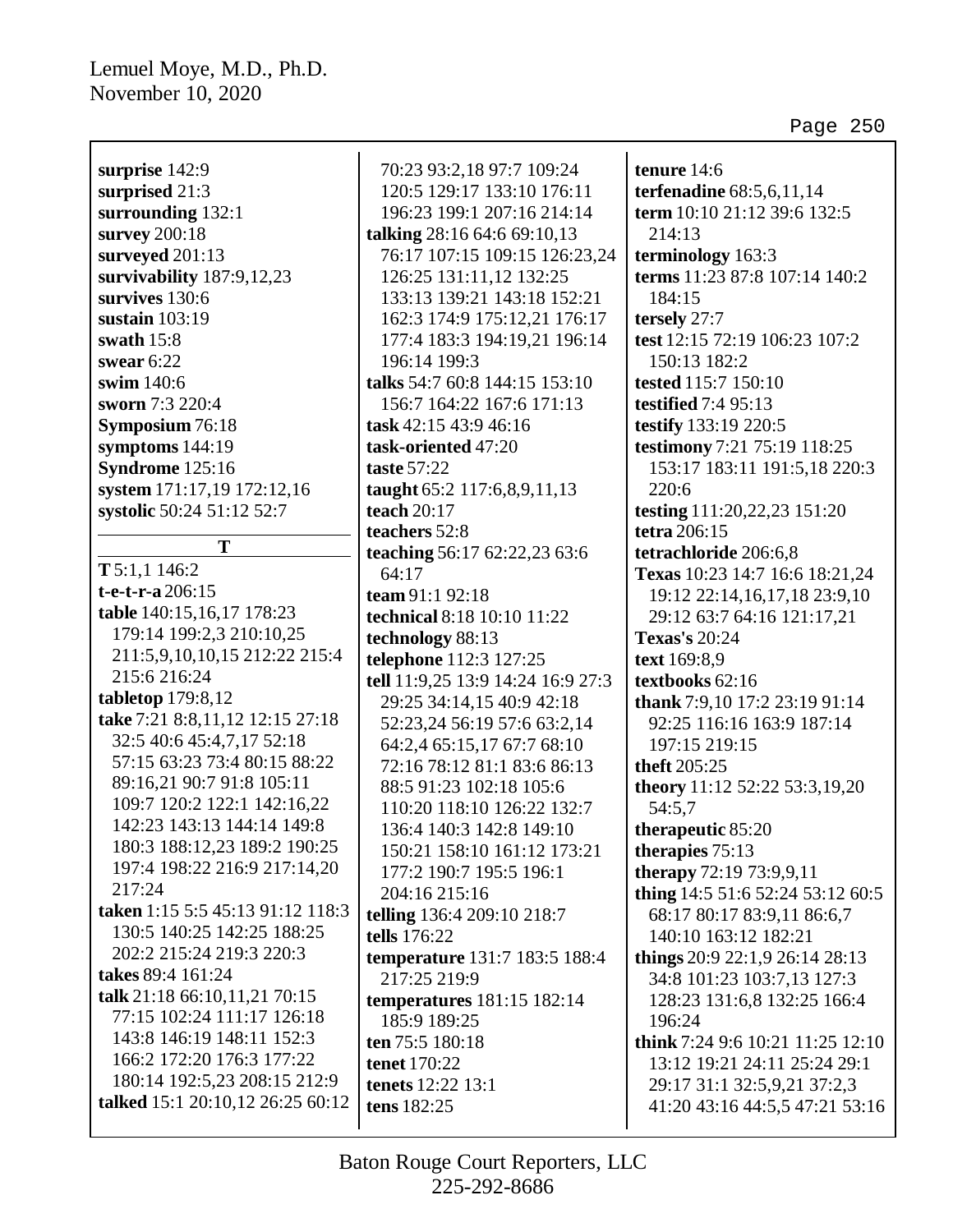| surprise 142:9                                               | 70:23 93:2,18 97:7 109:24                  | tenure 14:6                                        |
|--------------------------------------------------------------|--------------------------------------------|----------------------------------------------------|
| surprised 21:3                                               | 120:5 129:17 133:10 176:11                 | terfenadine 68:5,6,11,14                           |
| surrounding 132:1                                            | 196:23 199:1 207:16 214:14                 | term 10:10 21:12 39:6 132:5                        |
| survey 200:18                                                | talking 28:16 64:6 69:10,13                | 214:13                                             |
| surveyed 201:13                                              | 76:17 107:15 109:15 126:23,24              | terminology 163:3                                  |
| survivability 187:9,12,23                                    | 126:25 131:11,12 132:25                    | terms 11:23 87:8 107:14 140:2                      |
| survives 130:6                                               | 133:13 139:21 143:18 152:21                | 184:15                                             |
| sustain $103:19$                                             | 162:3 174:9 175:12,21 176:17               | tersely 27:7                                       |
| swath $15:8$                                                 | 177:4 183:3 194:19,21 196:14               | test 12:15 72:19 106:23 107:2                      |
| swear $6:22$                                                 | 196:14 199:3                               | 150:13 182:2                                       |
| swim 140:6                                                   | talks 54:7 60:8 144:15 153:10              | tested 115:7 150:10                                |
| sworn 7:3 220:4                                              | 156:7 164:22 167:6 171:13                  | <b>testified</b> 7:4 95:13                         |
| Symposium 76:18                                              | task 42:15 43:9 46:16                      | testify 133:19 220:5                               |
| symptoms 144:19                                              | task-oriented 47:20                        | testimony 7:21 75:19 118:25                        |
| Syndrome 125:16                                              | <b>taste 57:22</b>                         | 153:17 183:11 191:5,18 220:3                       |
| system 171:17,19 172:12,16                                   | taught 65:2 117:6,8,9,11,13                | 220:6                                              |
| systolic 50:24 51:12 52:7                                    | teach $20:17$                              | testing 111:20,22,23 151:20                        |
|                                                              | teachers 52:8                              | tetra 206:15                                       |
| T                                                            | teaching 56:17 62:22,23 63:6               | tetrachloride 206:6,8                              |
| T 5:1,1 146:2                                                | 64:17                                      | Texas 10:23 14:7 16:6 18:21,24                     |
| $t$ -e- $t$ -r-a 206:15                                      | team 91:1 92:18                            | 19:12 22:14,16,17,18 23:9,10                       |
| table 140:15,16,17 178:23                                    | technical 8:18 10:10 11:22                 | 29:12 63:7 64:16 121:17,21                         |
| 179:14 199:2,3 210:10,25                                     | technology 88:13                           | <b>Texas's 20:24</b>                               |
| 211:5,9,10,10,15 212:22 215:4                                | telephone 112:3 127:25                     | text 169:8,9                                       |
| 215:6 216:24                                                 | tell 11:9,25 13:9 14:24 16:9 27:3          | textbooks 62:16                                    |
| tabletop $179:8,12$                                          | 29:25 34:14,15 40:9 42:18                  | thank 7:9,10 17:2 23:19 91:14                      |
| take 7:21 8:8,11,12 12:15 27:18<br>32:5 40:6 45:4,7,17 52:18 | 52:23,24 56:19 57:6 63:2,14                | 92:25 116:16 163:9 187:14                          |
| 57:15 63:23 73:4 80:15 88:22                                 | 64:2,4 65:15,17 67:7 68:10                 | 197:15 219:15                                      |
| 89:16,21 90:7 91:8 105:11                                    | 72:16 78:12 81:1 83:6 86:13                | theft 205:25                                       |
| 109:7 120:2 122:1 142:16,22                                  | 88:5 91:23 102:18 105:6                    | theory 11:12 52:22 53:3,19,20                      |
| 142:23 143:13 144:14 149:8                                   | 110:20 118:10 126:22 132:7                 | 54:5,7                                             |
| 180:3 188:12,23 189:2 190:25                                 | 136:4 140:3 142:8 149:10                   | therapeutic 85:20                                  |
| 197:4 198:22 216:9 217:14,20                                 | 150:21 158:10 161:12 173:21                | therapies $75:13$                                  |
| 217:24                                                       | 177:2 190:7 195:5 196:1                    | therapy 72:19 73:9,9,11                            |
| taken 1:15 5:5 45:13 91:12 118:3                             | 204:16 215:16                              | thing 14:5 51:6 52:24 53:12 60:5                   |
| 130:5 140:25 142:25 188:25                                   | telling 136:4 209:10 218:7<br>tells 176:22 | 68:17 80:17 83:9,11 86:6,7<br>140:10 163:12 182:21 |
| 202:2 215:24 219:3 220:3                                     | temperature 131:7 183:5 188:4              | things 20:9 22:1,9 26:14 28:13                     |
| takes 89:4 161:24                                            | 217:25 219:9                               | 34:8 101:23 103:7,13 127:3                         |
| talk 21:18 66:10,11,21 70:15                                 | <b>temperatures</b> 181:15 182:14          | 128:23 131:6,8 132:25 166:4                        |
| 77:15 102:24 111:17 126:18                                   | 185:9 189:25                               | 196:24                                             |
| 143:8 146:19 148:11 152:3                                    | ten 75:5 180:18                            | think 7:24 9:6 10:21 11:25 12:10                   |
| 166:2 172:20 176:3 177:22                                    | tenet 170:22                               | 13:12 19:21 24:11 25:24 29:1                       |
| 180:14 192:5,23 208:15 212:9                                 | <b>tenets</b> 12:22 13:1                   | 29:17 31:1 32:5,9,21 37:2,3                        |
| talked 15:1 20:10,12 26:25 60:12                             | tens 182:25                                | 41:20 43:16 44:5,5 47:21 53:16                     |
|                                                              |                                            |                                                    |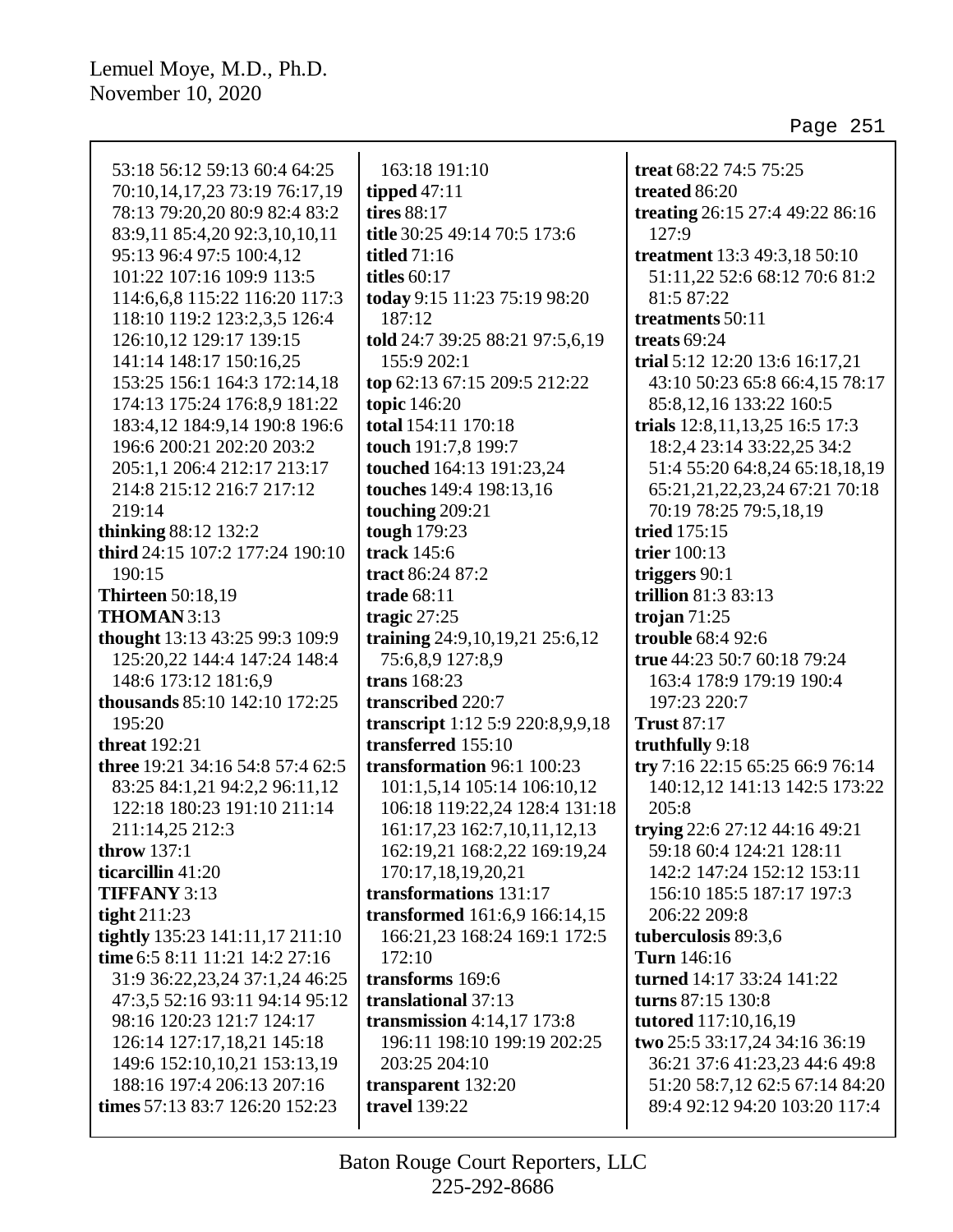| 53:18 56:12 59:13 60:4 64:25     | 163:18 191:10                      | treat 68:22 74:5 75:25          |
|----------------------------------|------------------------------------|---------------------------------|
| 70:10,14,17,23 73:19 76:17,19    | tipped $47:11$                     | treated 86:20                   |
| 78:13 79:20,20 80:9 82:4 83:2    | tires 88:17                        | treating 26:15 27:4 49:22 86:16 |
| 83:9,11 85:4,20 92:3,10,10,11    | title 30:25 49:14 70:5 173:6       | 127:9                           |
| 95:13 96:4 97:5 100:4,12         | <b>titled</b> 71:16                | treatment 13:3 49:3,18 50:10    |
| 101:22 107:16 109:9 113:5        | titles $60:17$                     | 51:11,22 52:6 68:12 70:6 81:2   |
| 114:6,6,8 115:22 116:20 117:3    | today 9:15 11:23 75:19 98:20       | 81:5 87:22                      |
| 118:10 119:2 123:2,3,5 126:4     | 187:12                             | treatments 50:11                |
| 126:10,12 129:17 139:15          | told 24:7 39:25 88:21 97:5,6,19    | treats $69:24$                  |
| 141:14 148:17 150:16,25          | 155:9 202:1                        | trial 5:12 12:20 13:6 16:17,21  |
| 153:25 156:1 164:3 172:14,18     | top 62:13 67:15 209:5 212:22       | 43:10 50:23 65:8 66:4,15 78:17  |
| 174:13 175:24 176:8,9 181:22     | topic 146:20                       | 85:8, 12, 16 133:22 160:5       |
| 183:4,12 184:9,14 190:8 196:6    | total 154:11 170:18                | trials 12:8,11,13,25 16:5 17:3  |
| 196:6 200:21 202:20 203:2        | touch 191:7,8 199:7                | 18:2,4 23:14 33:22,25 34:2      |
| 205:1,1 206:4 212:17 213:17      | touched 164:13 191:23,24           | 51:4 55:20 64:8,24 65:18,18,19  |
| 214:8 215:12 216:7 217:12        | touches 149:4 198:13,16            | 65:21,21,22,23,24 67:21 70:18   |
| 219:14                           | touching 209:21                    | 70:19 78:25 79:5,18,19          |
| <b>thinking 88:12 132:2</b>      | tough 179:23                       | tried 175:15                    |
| third 24:15 107:2 177:24 190:10  | track 145:6                        | trier 100:13                    |
| 190:15                           | tract 86:24 87:2                   | triggers $90:1$                 |
| <b>Thirteen</b> 50:18,19         | trade 68:11                        | trillion 81:3 83:13             |
| THOMAN 3:13                      | tragic $27:25$                     | trojan $71:25$                  |
| thought 13:13 43:25 99:3 109:9   | training 24:9, 10, 19, 21 25:6, 12 | trouble 68:4 92:6               |
| 125:20,22 144:4 147:24 148:4     | 75:6,8,9 127:8,9                   | true 44:23 50:7 60:18 79:24     |
| 148:6 173:12 181:6,9             | trans 168:23                       | 163:4 178:9 179:19 190:4        |
| thousands 85:10 142:10 172:25    | transcribed 220:7                  | 197:23 220:7                    |
| 195:20                           | transcript 1:12 5:9 220:8,9,9,18   | <b>Trust 87:17</b>              |
| <b>threat</b> 192:21             | transferred 155:10                 | truthfully 9:18                 |
| three 19:21 34:16 54:8 57:4 62:5 | transformation 96:1 100:23         | try 7:16 22:15 65:25 66:9 76:14 |
| 83:25 84:1,21 94:2,2 96:11,12    | 101:1,5,14 105:14 106:10,12        | 140:12,12 141:13 142:5 173:22   |
| 122:18 180:23 191:10 211:14      | 106:18 119:22,24 128:4 131:18      | 205:8                           |
| 211:14,25 212:3                  | 161:17,23 162:7,10,11,12,13        | trying 22:6 27:12 44:16 49:21   |
| throw $137:1$                    | 162:19,21 168:2,22 169:19,24       | 59:18 60:4 124:21 128:11        |
| ticarcillin 41:20                | 170:17,18,19,20,21                 | 142:2 147:24 152:12 153:11      |
| <b>TIFFANY 3:13</b>              | transformations 131:17             | 156:10 185:5 187:17 197:3       |
| tight $211:23$                   | transformed 161:6,9 166:14,15      | 206:22 209:8                    |
| tightly 135:23 141:11,17 211:10  | 166:21,23 168:24 169:1 172:5       | tuberculosis 89:3,6             |
| time 6:5 8:11 11:21 14:2 27:16   | 172:10                             | Turn 146:16                     |
| 31:9 36:22,23,24 37:1,24 46:25   | transforms 169:6                   | turned 14:17 33:24 141:22       |
| 47:3,5 52:16 93:11 94:14 95:12   | translational 37:13                | turns 87:15 130:8               |
| 98:16 120:23 121:7 124:17        | transmission $4:14,17$ 173:8       | <b>tutored</b> 117:10,16,19     |
| 126:14 127:17,18,21 145:18       | 196:11 198:10 199:19 202:25        | two 25:5 33:17,24 34:16 36:19   |
| 149:6 152:10,10,21 153:13,19     | 203:25 204:10                      | 36:21 37:6 41:23,23 44:6 49:8   |
| 188:16 197:4 206:13 207:16       | transparent 132:20                 | 51:20 58:7,12 62:5 67:14 84:20  |
| times 57:13 83:7 126:20 152:23   | travel 139:22                      | 89:4 92:12 94:20 103:20 117:4   |
|                                  |                                    |                                 |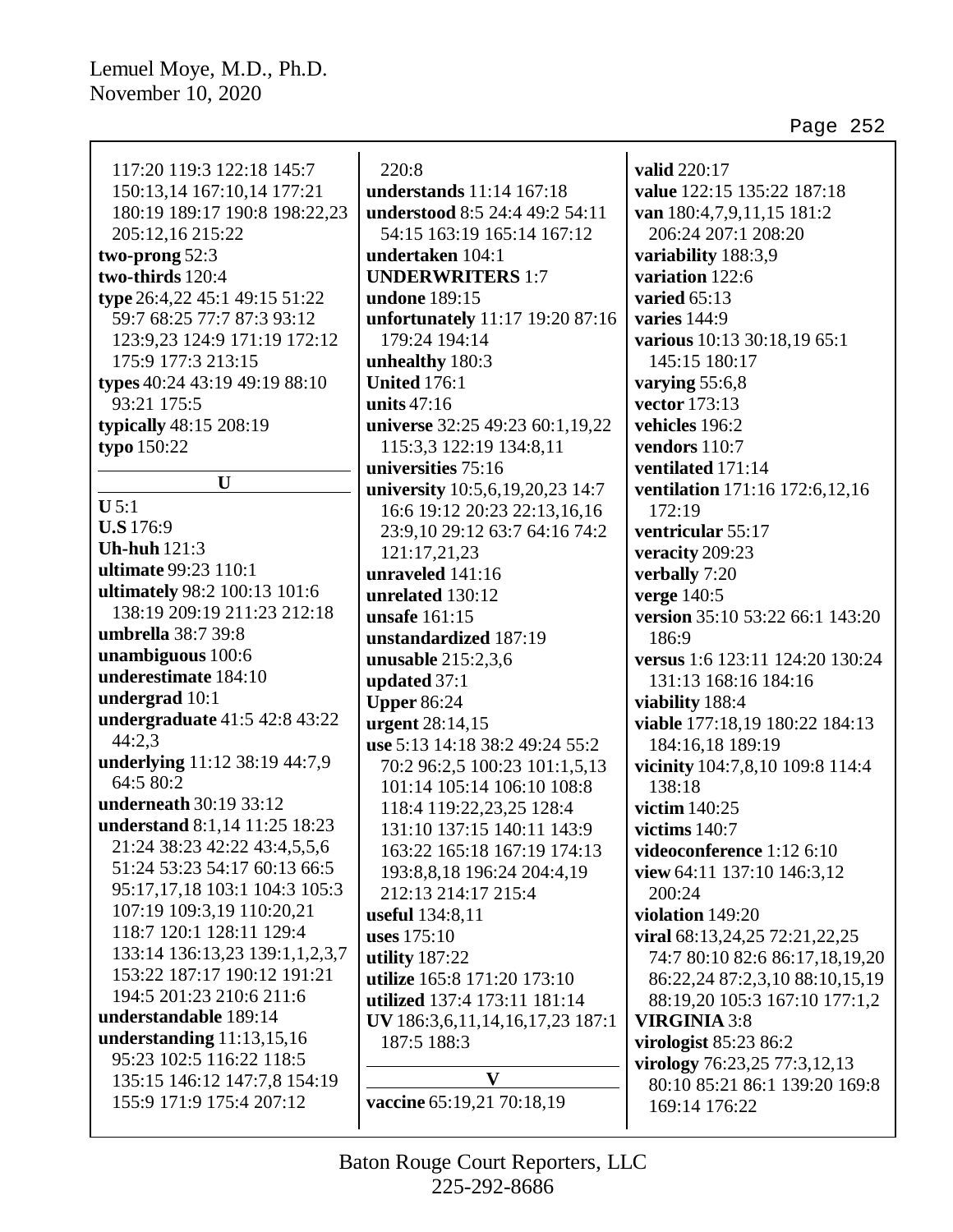$\mathsf{r}$ 

| 117:20 119:3 122:18 145:7      | 220:8                           | valid 220:17                    |
|--------------------------------|---------------------------------|---------------------------------|
| 150:13,14 167:10,14 177:21     | understands 11:14 167:18        | value 122:15 135:22 187:18      |
| 180:19 189:17 190:8 198:22,23  | understood 8:5 24:4 49:2 54:11  | van 180:4,7,9,11,15 181:2       |
| 205:12,16 215:22               | 54:15 163:19 165:14 167:12      | 206:24 207:1 208:20             |
| two-prong 52:3                 | undertaken 104:1                | variability 188:3,9             |
| two-thirds 120:4               | <b>UNDERWRITERS 1:7</b>         | variation 122:6                 |
| type 26:4,22 45:1 49:15 51:22  | undone 189:15                   | varied $65:13$                  |
| 59:7 68:25 77:7 87:3 93:12     | unfortunately 11:17 19:20 87:16 | varies $144:9$                  |
| 123:9,23 124:9 171:19 172:12   | 179:24 194:14                   | various 10:13 30:18,19 65:1     |
| 175:9 177:3 213:15             | unhealthy 180:3                 | 145:15 180:17                   |
| types 40:24 43:19 49:19 88:10  | <b>United 176:1</b>             | varying $55:6,8$                |
| 93:21 175:5                    | units $47:16$                   | vector 173:13                   |
| typically 48:15 208:19         | universe 32:25 49:23 60:1,19,22 | vehicles 196:2                  |
| typo 150:22                    | 115:3,3 122:19 134:8,11         | vendors 110:7                   |
|                                | universities 75:16              | ventilated 171:14               |
| $\mathbf{U}$                   | university 10:5,6,19,20,23 14:7 | ventilation 171:16 172:6,12,16  |
| $U$ 5:1                        | 16:6 19:12 20:23 22:13,16,16    | 172:19                          |
| <b>U.S</b> 176:9               | 23:9,10 29:12 63:7 64:16 74:2   | ventricular 55:17               |
| <b>Uh-huh</b> 121:3            | 121:17,21,23                    | veracity 209:23                 |
| ultimate 99:23 110:1           | unraveled 141:16                | verbally 7:20                   |
| ultimately 98:2 100:13 101:6   | unrelated 130:12                | verge 140:5                     |
| 138:19 209:19 211:23 212:18    | unsafe 161:15                   | version 35:10 53:22 66:1 143:20 |
| umbrella 38:7 39:8             | unstandardized 187:19           | 186:9                           |
| unambiguous 100:6              | unusable $215:2,3,6$            | versus 1:6 123:11 124:20 130:24 |
| underestimate 184:10           | updated 37:1                    | 131:13 168:16 184:16            |
| undergrad 10:1                 | <b>Upper 86:24</b>              | viability 188:4                 |
| undergraduate 41:5 42:8 43:22  | urgent 28:14,15                 | viable 177:18,19 180:22 184:13  |
| 44:2.3                         | use 5:13 14:18 38:2 49:24 55:2  | 184:16,18 189:19                |
| underlying 11:12 38:19 44:7,9  | 70:2 96:2,5 100:23 101:1,5,13   | vicinity 104:7,8,10 109:8 114:4 |
| 64:5 80:2                      | 101:14 105:14 106:10 108:8      | 138:18                          |
| underneath 30:19 33:12         | 118:4 119:22,23,25 128:4        | victim 140:25                   |
| understand 8:1,14 11:25 18:23  | 131:10 137:15 140:11 143:9      | victims 140:7                   |
| 21:24 38:23 42:22 43:4,5,5,6   | 163:22 165:18 167:19 174:13     | videoconference 1:12 6:10       |
| 51:24 53:23 54:17 60:13 66:5   | 193:8,8,18 196:24 204:4,19      | view 64:11 137:10 146:3,12      |
| 95:17,17,18 103:1 104:3 105:3  | 212:13 214:17 215:4             | 200:24                          |
| 107:19 109:3,19 110:20,21      | useful 134:8,11                 | violation 149:20                |
| 118:7 120:1 128:11 129:4       | uses $175:10$                   | viral 68:13,24,25 72:21,22,25   |
| 133:14 136:13,23 139:1,1,2,3,7 | utility 187:22                  | 74:7 80:10 82:6 86:17,18,19,20  |
| 153:22 187:17 190:12 191:21    | utilize 165:8 171:20 173:10     | 86:22,24 87:2,3,10 88:10,15,19  |
| 194:5 201:23 210:6 211:6       | utilized 137:4 173:11 181:14    | 88:19,20 105:3 167:10 177:1,2   |
| understandable 189:14          | UV 186:3,6,11,14,16,17,23 187:1 | <b>VIRGINIA 3:8</b>             |
| understanding $11:13,15,16$    | 187:5 188:3                     | virologist 85:23 86:2           |
| 95:23 102:5 116:22 118:5       | $\mathbf{V}$                    | virology 76:23,25 77:3,12,13    |
| 135:15 146:12 147:7,8 154:19   |                                 | 80:10 85:21 86:1 139:20 169:8   |
| 155:9 171:9 175:4 207:12       | vaccine 65:19,21 70:18,19       | 169:14 176:22                   |
|                                |                                 |                                 |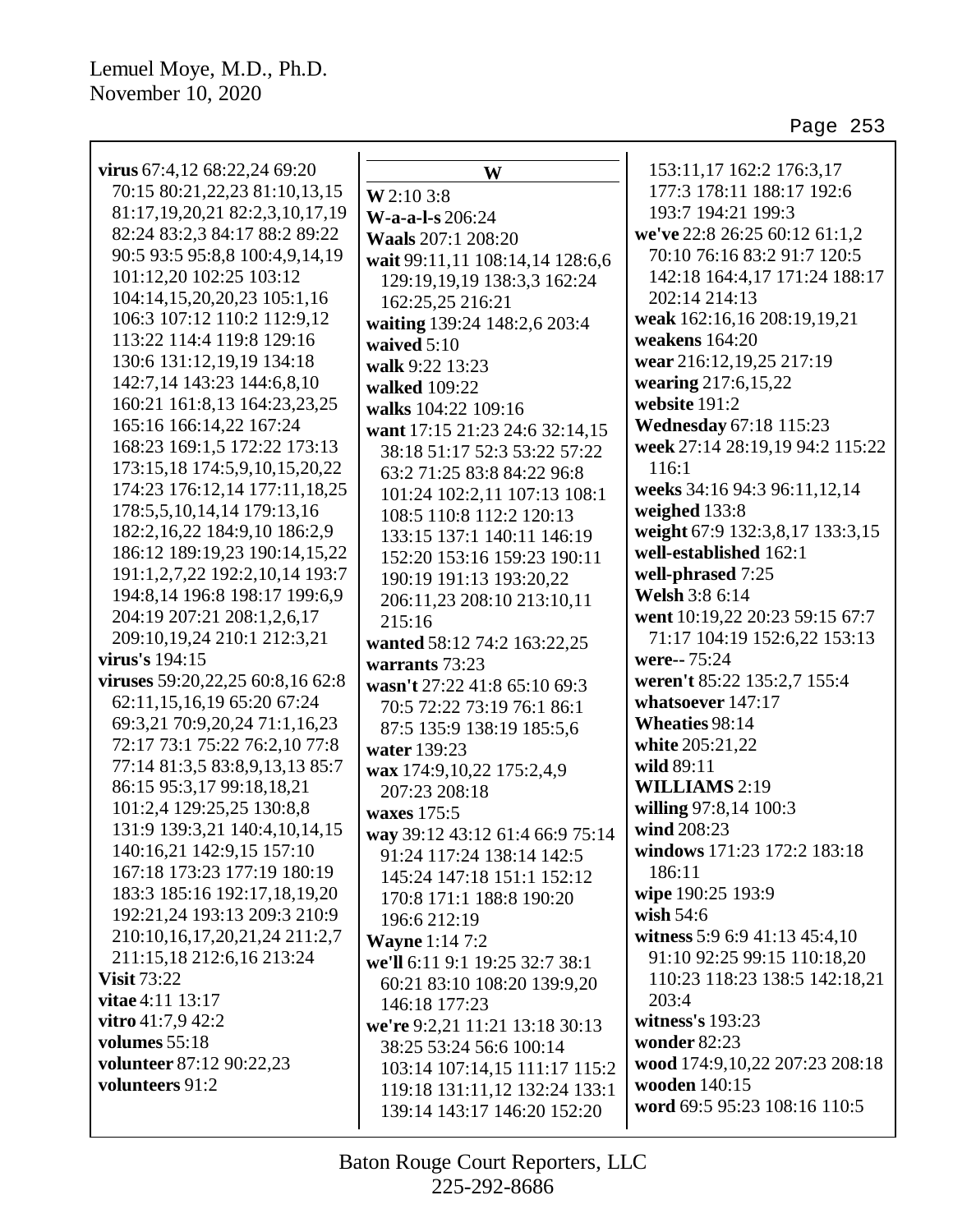| virus 67:4,12 68:22,24 69:20           | W                               | 153:11,17 162:2 176:3,17        |
|----------------------------------------|---------------------------------|---------------------------------|
| 70:15 80:21,22,23 81:10,13,15          | W 2:10 3:8                      | 177:3 178:11 188:17 192:6       |
| 81:17, 19, 20, 21 82: 2, 3, 10, 17, 19 | W-a-a-l-s 206:24                | 193:7 194:21 199:3              |
| 82:24 83:2,3 84:17 88:2 89:22          | Waals 207:1 208:20              | we've 22:8 26:25 60:12 61:1,2   |
| 90:5 93:5 95:8,8 100:4,9,14,19         | wait 99:11,11 108:14,14 128:6,6 | 70:10 76:16 83:2 91:7 120:5     |
| 101:12,20 102:25 103:12                | 129:19,19,19 138:3,3 162:24     | 142:18 164:4,17 171:24 188:17   |
| 104:14,15,20,20,23 105:1,16            | 162:25,25 216:21                | 202:14 214:13                   |
| 106:3 107:12 110:2 112:9,12            | waiting 139:24 148:2,6 203:4    | weak 162:16,16 208:19,19,21     |
| 113:22 114:4 119:8 129:16              | waived $5:10$                   | weakens $164:20$                |
| 130:6 131:12,19,19 134:18              | walk 9:22 13:23                 | wear 216:12,19,25 217:19        |
| 142:7,14 143:23 144:6,8,10             | walked 109:22                   | wearing 217:6,15,22             |
| 160:21 161:8,13 164:23,23,25           | walks 104:22 109:16             | website 191:2                   |
| 165:16 166:14,22 167:24                | want 17:15 21:23 24:6 32:14,15  | <b>Wednesday 67:18 115:23</b>   |
| 168:23 169:1,5 172:22 173:13           | 38:18 51:17 52:3 53:22 57:22    | week 27:14 28:19,19 94:2 115:22 |
| 173:15,18 174:5,9,10,15,20,22          | 63:2 71:25 83:8 84:22 96:8      | 116:1                           |
| 174:23 176:12,14 177:11,18,25          | 101:24 102:2,11 107:13 108:1    | weeks 34:16 94:3 96:11,12,14    |
| 178:5,5,10,14,14 179:13,16             | 108:5 110:8 112:2 120:13        | weighed 133:8                   |
| 182:2,16,22 184:9,10 186:2,9           | 133:15 137:1 140:11 146:19      | weight 67:9 132:3,8,17 133:3,15 |
| 186:12 189:19,23 190:14,15,22          | 152:20 153:16 159:23 190:11     | well-established 162:1          |
| 191:1,2,7,22 192:2,10,14 193:7         | 190:19 191:13 193:20,22         | well-phrased 7:25               |
| 194:8,14 196:8 198:17 199:6,9          | 206:11,23 208:10 213:10,11      | Welsh 3:8 6:14                  |
| 204:19 207:21 208:1,2,6,17             | 215:16                          | went 10:19,22 20:23 59:15 67:7  |
| 209:10,19,24 210:1 212:3,21            | wanted 58:12 74:2 163:22,25     | 71:17 104:19 152:6,22 153:13    |
| virus's 194:15                         | warrants 73:23                  | were--75:24                     |
| viruses 59:20,22,25 60:8,16 62:8       | wasn't 27:22 41:8 65:10 69:3    | weren't 85:22 135:2,7 155:4     |
| 62:11,15,16,19 65:20 67:24             | 70:5 72:22 73:19 76:1 86:1      | whatsoever 147:17               |
| 69:3,21 70:9,20,24 71:1,16,23          | 87:5 135:9 138:19 185:5,6       | <b>Wheaties 98:14</b>           |
| 72:17 73:1 75:22 76:2,10 77:8          | water 139:23                    | white 205:21,22                 |
| 77:14 81:3,5 83:8,9,13,13 85:7         | wax 174:9,10,22 175:2,4,9       | wild 89:11                      |
| 86:15 95:3,17 99:18,18,21              | 207:23 208:18                   | <b>WILLIAMS</b> 2:19            |
| 101:2,4 129:25,25 130:8,8              | waxes 175:5                     | willing 97:8,14 100:3           |
| 131:9 139:3,21 140:4,10,14,15          | way 39:12 43:12 61:4 66:9 75:14 | wind 208:23                     |
| 140:16,21 142:9,15 157:10              | 91:24 117:24 138:14 142:5       | windows 171:23 172:2 183:18     |
| 167:18 173:23 177:19 180:19            | 145:24 147:18 151:1 152:12      | 186:11                          |
| 183:3 185:16 192:17,18,19,20           | 170:8 171:1 188:8 190:20        | wipe 190:25 193:9               |
| 192:21,24 193:13 209:3 210:9           | 196:6 212:19                    | wish $54:6$                     |
| 210:10,16,17,20,21,24 211:2,7          | <b>Wayne</b> 1:14 7:2           | witness 5:9 6:9 41:13 45:4,10   |
| 211:15,18 212:6,16 213:24              | we'll 6:11 9:1 19:25 32:7 38:1  | 91:10 92:25 99:15 110:18,20     |
| <b>Visit 73:22</b>                     | 60:21 83:10 108:20 139:9,20     | 110:23 118:23 138:5 142:18,21   |
| vitae 4:11 13:17                       | 146:18 177:23                   | 203:4                           |
| vitro $41:7,942:2$                     | we're 9:2,21 11:21 13:18 30:13  | witness's 193:23                |
| volumes 55:18                          | 38:25 53:24 56:6 100:14         | <b>wonder 82:23</b>             |
| volunteer 87:12 90:22,23               | 103:14 107:14,15 111:17 115:2   | wood 174:9,10,22 207:23 208:18  |
| volunteers 91:2                        | 119:18 131:11,12 132:24 133:1   | wooden 140:15                   |
|                                        | 139:14 143:17 146:20 152:20     | word 69:5 95:23 108:16 110:5    |
|                                        |                                 |                                 |

225-292-8686 Baton Rouge Court Reporters, LLC

 $\mathsf{I}$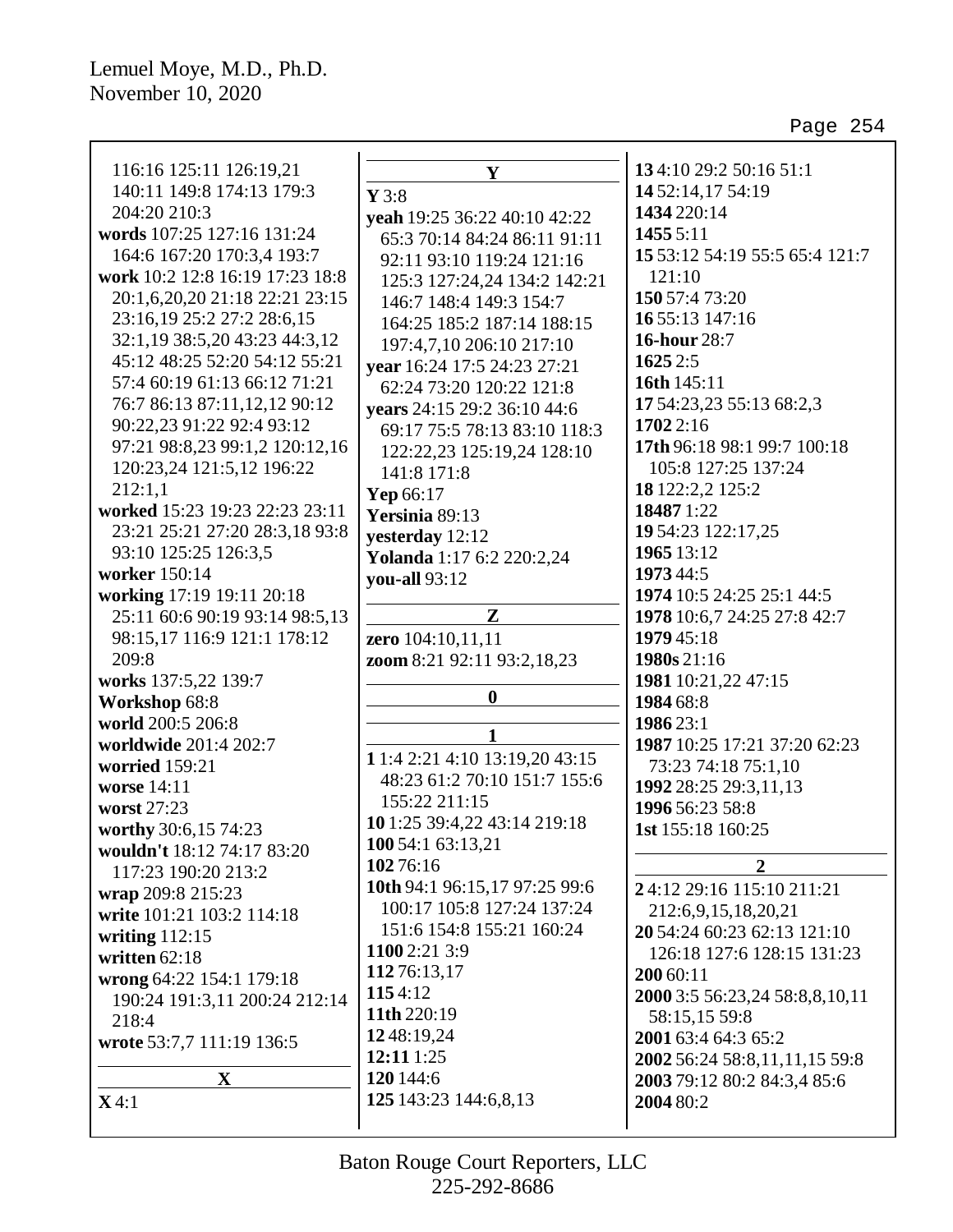| 116:16 125:11 126:19,21         | Y                              | 134:10 29:2 50:16 51:1                          |
|---------------------------------|--------------------------------|-------------------------------------------------|
| 140:11 149:8 174:13 179:3       | $Y$ 3:8                        | 14 52:14,17 54:19                               |
| 204:20 210:3                    | yeah 19:25 36:22 40:10 42:22   | 1434 220:14                                     |
| words 107:25 127:16 131:24      | 65:3 70:14 84:24 86:11 91:11   | 1455 5:11                                       |
| 164:6 167:20 170:3,4 193:7      | 92:11 93:10 119:24 121:16      | 15 53:12 54:19 55:5 65:4 121:7                  |
| work 10:2 12:8 16:19 17:23 18:8 | 125:3 127:24,24 134:2 142:21   | 121:10                                          |
| 20:1,6,20,20 21:18 22:21 23:15  | 146:7 148:4 149:3 154:7        | 150 57:4 73:20                                  |
| 23:16,19 25:2 27:2 28:6,15      | 164:25 185:2 187:14 188:15     | 16 55:13 147:16                                 |
| 32:1,19 38:5,20 43:23 44:3,12   | 197:4,7,10 206:10 217:10       | <b>16-hour</b> 28:7                             |
| 45:12 48:25 52:20 54:12 55:21   | vear 16:24 17:5 24:23 27:21    | 1625 2:5                                        |
| 57:4 60:19 61:13 66:12 71:21    | 62:24 73:20 120:22 121:8       | 16th 145:11                                     |
| 76:7 86:13 87:11,12,12 90:12    |                                | 17 54:23,23 55:13 68:2,3                        |
| 90:22,23 91:22 92:4 93:12       | years 24:15 29:2 36:10 44:6    | 1702 2:16                                       |
| 97:21 98:8,23 99:1,2 120:12,16  | 69:17 75:5 78:13 83:10 118:3   | 17th 96:18 98:1 99:7 100:18                     |
| 120:23,24 121:5,12 196:22       | 122:22,23 125:19,24 128:10     | 105:8 127:25 137:24                             |
| 212:1,1                         | 141:8 171:8                    | 18 122:2,2 125:2                                |
| worked 15:23 19:23 22:23 23:11  | Yep 66:17                      | 18487 1:22                                      |
| 23:21 25:21 27:20 28:3,18 93:8  | Yersinia 89:13                 | 19 54:23 122:17,25                              |
| 93:10 125:25 126:3,5            | yesterday 12:12                | 1965 13:12                                      |
| worker 150:14                   | Yolanda 1:17 6:2 220:2,24      | 1973 44:5                                       |
| working 17:19 19:11 20:18       | you-all 93:12                  | 1974 10:5 24:25 25:1 44:5                       |
| 25:11 60:6 90:19 93:14 98:5,13  | Z                              | 1978 10:6,7 24:25 27:8 42:7                     |
| 98:15,17 116:9 121:1 178:12     |                                | 1979 45:18                                      |
| 209:8                           | zero 104:10,11,11              | 1980s 21:16                                     |
| works 137:5,22 139:7            | zoom 8:21 92:11 93:2,18,23     | 1981 10:21,22 47:15                             |
| Workshop 68:8                   | $\boldsymbol{0}$               | 1984 68:8                                       |
| world 200:5 206:8               |                                |                                                 |
|                                 | 1                              | 1986 23:1<br>1987 10:25 17:21 37:20 62:23       |
| worldwide 201:4 202:7           | 1 1:4 2:21 4:10 13:19,20 43:15 |                                                 |
| worried 159:21<br>worse 14:11   | 48:23 61:2 70:10 151:7 155:6   | 73:23 74:18 75:1,10                             |
|                                 | 155:22 211:15                  | 1992 28:25 29:3,11,13                           |
| worst 27:23                     | 10 1:25 39:4,22 43:14 219:18   | 1996 56:23 58:8                                 |
| worthy 30:6,15 74:23            | 100 54:1 63:13,21              | 1st 155:18 160:25                               |
| wouldn't 18:12 74:17 83:20      | 10276:16                       | $\overline{2}$                                  |
| 117:23 190:20 213:2             | 10th 94:1 96:15,17 97:25 99:6  | 24:12 29:16 115:10 211:21                       |
| wrap 209:8 215:23               | 100:17 105:8 127:24 137:24     | 212:6,9,15,18,20,21                             |
| write 101:21 103:2 114:18       | 151:6 154:8 155:21 160:24      | 20 54:24 60:23 62:13 121:10                     |
| writing $112:15$                | 1100 2:21 3:9                  | 126:18 127:6 128:15 131:23                      |
| written 62:18                   | 11276:13,17                    | 200 60:11                                       |
| wrong 64:22 154:1 179:18        | 1154:12                        |                                                 |
| 190:24 191:3,11 200:24 212:14   | 11th 220:19                    | 2000 3:5 56:23,24 58:8,8,10,11<br>58:15,15 59:8 |
| 218:4                           | 1248:19,24                     | 2001 63:4 64:3 65:2                             |
| wrote 53:7,7 111:19 136:5       | 12:11 1:25                     | 2002 56:24 58:8,11,11,15 59:8                   |
| $\mathbf X$                     | 120 144:6                      | 2003 79:12 80:2 84:3,4 85:6                     |
| X4:1                            | 125 143:23 144:6,8,13          | 2004 80:2                                       |
|                                 |                                |                                                 |
|                                 |                                |                                                 |